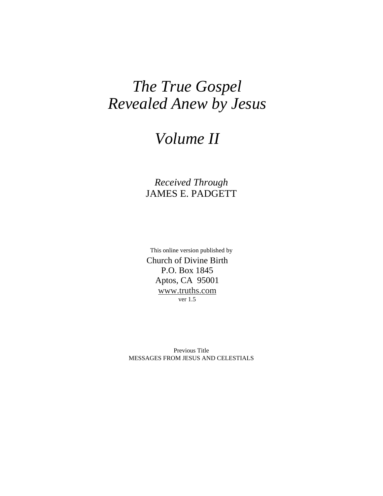# *The True Gospel Revealed Anew by Jesus*

## *Volume II*

### *Received Through*  JAMES E. PADGETT

This online version published by Church of Divine Birth P.O. Box 1845 Aptos, CA 95001 www.truths.com ver 1.5

Previous Title MESSAGES FROM JESUS AND CELESTIALS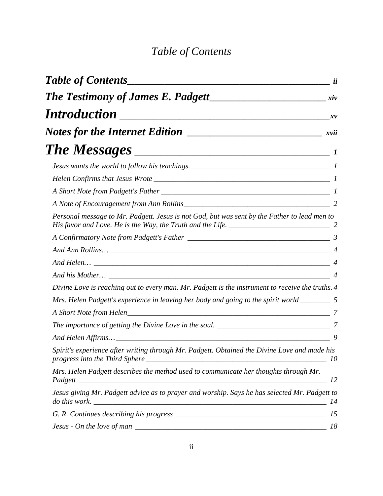## *Table of Contents*

| Personal message to Mr. Padgett. Jesus is not God, but was sent by the Father to lead men to                                     |    |
|----------------------------------------------------------------------------------------------------------------------------------|----|
|                                                                                                                                  |    |
|                                                                                                                                  |    |
|                                                                                                                                  |    |
|                                                                                                                                  |    |
| Divine Love is reaching out to every man. Mr. Padgett is the instrument to receive the truths. 4                                 |    |
| Mrs. Helen Padgett's experience in leaving her body and going to the spirit world ________ 5                                     |    |
|                                                                                                                                  |    |
|                                                                                                                                  |    |
|                                                                                                                                  | 9  |
| Spirit's experience after writing through Mr. Padgett. Obtained the Divine Love and made his<br>progress into the Third Sphere _ | 10 |
| Mrs. Helen Padgett describes the method used to communicate her thoughts through Mr.<br>Padgett                                  | 12 |
| Jesus giving Mr. Padgett advice as to prayer and worship. Says he has selected Mr. Padgett to                                    | 14 |
|                                                                                                                                  | 15 |
|                                                                                                                                  | 18 |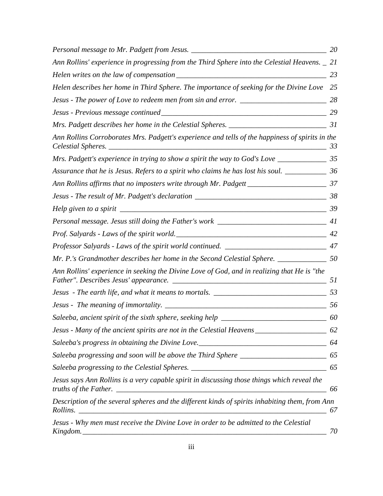|                                                                                                                       | <i>20</i> |
|-----------------------------------------------------------------------------------------------------------------------|-----------|
| Ann Rollins' experience in progressing from the Third Sphere into the Celestial Heavens. _                            | 21        |
|                                                                                                                       | 23        |
| Helen describes her home in Third Sphere. The importance of seeking for the Divine Love 25                            |           |
| Jesus - The power of Love to redeem men from sin and error. _____________________                                     | 28        |
|                                                                                                                       | 29        |
|                                                                                                                       |           |
| Ann Rollins Corroborates Mrs. Padgett's experience and tells of the happiness of spirits in the<br>Celestial Spheres. | 33        |
| Mrs. Padgett's experience in trying to show a spirit the way to God's Love ____________                               | 35        |
| Assurance that he is Jesus. Refers to a spirit who claims he has lost his soul. ______________ 36                     |           |
|                                                                                                                       |           |
| Jesus - The result of Mr. Padgett's declaration _________________________________                                     | 38        |
|                                                                                                                       | 39        |
|                                                                                                                       |           |
| Prof. Salyards - Laws of the spirit world.                                                                            | 42        |
|                                                                                                                       |           |
|                                                                                                                       |           |
| Ann Rollins' experience in seeking the Divine Love of God, and in realizing that He is "the                           | 51        |
| Jesus - The earth life, and what it means to mortals. ___________________________                                     | 53        |
|                                                                                                                       | 56        |
|                                                                                                                       | 60        |
| Jesus - Many of the ancient spirits are not in the Celestial Heavens __________________                               | 62        |
| Saleeba's progress in obtaining the Divine Love. ________________________________                                     | 64        |
| Saleeba progressing and soon will be above the Third Sphere ____________________                                      | 65        |
| Saleeba progressing to the Celestial Spheres. ___________________________________                                     | 65        |
| Jesus says Ann Rollins is a very capable spirit in discussing those things which reveal the<br>truths of the Father.  | 66        |
| Description of the several spheres and the different kinds of spirits inhabiting them, from Ann                       | 67        |
| Jesus - Why men must receive the Divine Love in order to be admitted to the Celestial                                 | 70        |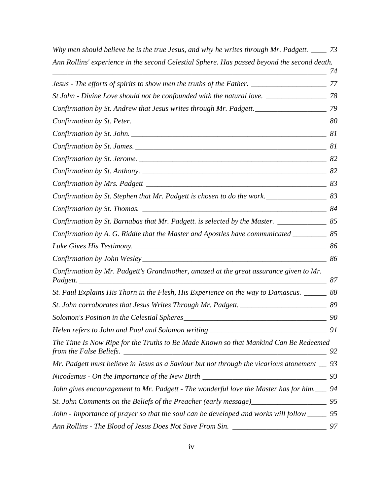| Ann Rollins' experience in the second Celestial Sphere. Has passed beyond the second death.       |          |
|---------------------------------------------------------------------------------------------------|----------|
| Jesus - The efforts of spirits to show men the truths of the Father. ___________________          | 74<br>77 |
|                                                                                                   |          |
| Confirmation by St. Andrew that Jesus writes through Mr. Padgett. ___________________________79   |          |
|                                                                                                   |          |
|                                                                                                   |          |
|                                                                                                   |          |
|                                                                                                   |          |
|                                                                                                   |          |
| Confirmation by Mrs. Padgett $\frac{1}{2}$ 83                                                     |          |
| Confirmation by St. Stephen that Mr. Padgett is chosen to do the work. _______________________ 83 |          |
|                                                                                                   |          |
| Confirmation by St. Barnabas that Mr. Padgett. is selected by the Master. __________________ 85   |          |
| Confirmation by A. G. Riddle that the Master and Apostles have communicated __________ 85         |          |
|                                                                                                   | 86       |
|                                                                                                   | 86       |
| Confirmation by Mr. Padgett's Grandmother, amazed at the great assurance given to Mr.<br>Padgett. | 87       |
| St. Paul Explains His Thorn in the Flesh, His Experience on the way to Damascus. _______ 88       |          |
|                                                                                                   |          |
|                                                                                                   | 90       |
|                                                                                                   |          |
| The Time Is Now Ripe for the Truths to Be Made Known so that Mankind Can Be Redeemed              | 92       |
| Mr. Padgett must believe in Jesus as a Saviour but not through the vicarious atonement _ 93       |          |
| Nicodemus - On the Importance of the New Birth _________________________________                  | 93       |
| John gives encouragement to Mr. Padgett - The wonderful love the Master has for him.              | 94       |
| St. John Comments on the Beliefs of the Preacher (early message)_________________                 | 95       |
| John - Importance of prayer so that the soul can be developed and works will follow ____          | 95       |
|                                                                                                   | 97       |

*Why men should believe he is the true Jesus, and why he writes through Mr. Padgett. \_\_\_\_ 73*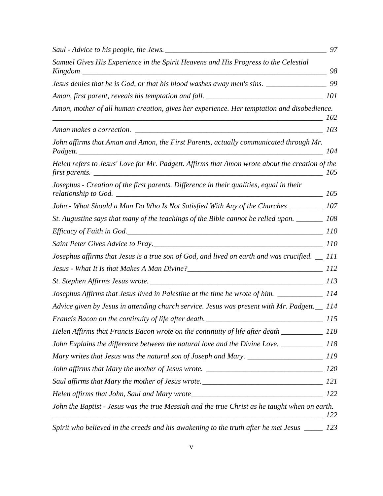|                                                                                                                      | 97         |
|----------------------------------------------------------------------------------------------------------------------|------------|
| Samuel Gives His Experience in the Spirit Heavens and His Progress to the Celestial                                  | 98         |
| Jesus denies that he is God, or that his blood washes away men's sins. _________________________99                   |            |
|                                                                                                                      |            |
| Amon, mother of all human creation, gives her experience. Her temptation and disobedience.                           | 102        |
|                                                                                                                      | 103        |
| John affirms that Aman and Amon, the First Parents, actually communicated through Mr.                                | 104        |
| Helen refers to Jesus' Love for Mr. Padgett. Affirms that Amon wrote about the creation of the<br>$first\, parents.$ | 105        |
| Josephus - Creation of the first parents. Difference in their qualities, equal in their                              |            |
| John - What Should a Man Do Who Is Not Satisfied With Any of the Churches __________ 107                             |            |
| St. Augustine says that many of the teachings of the Bible cannot be relied upon. _______ 108                        |            |
|                                                                                                                      |            |
|                                                                                                                      |            |
| Josephus affirms that Jesus is a true son of God, and lived on earth and was crucified. _ 111                        |            |
|                                                                                                                      |            |
|                                                                                                                      |            |
| Josephus Affirms that Jesus lived in Palestine at the time he wrote of him. ______________ 114                       |            |
| Advice given by Jesus in attending church service. Jesus was present with Mr. Padgett. __ 114                        |            |
|                                                                                                                      |            |
| Helen Affirms that Francis Bacon wrote on the continuity of life after death ______________ 118                      |            |
| John Explains the difference between the natural love and the Divine Love. ___________________________________       |            |
|                                                                                                                      |            |
| John affirms that Mary the mother of Jesus wrote. _______________________________                                    | <i>120</i> |
|                                                                                                                      |            |
|                                                                                                                      |            |
| John the Baptist - Jesus was the true Messiah and the true Christ as he taught when on earth.                        | <i>122</i> |
| $\mathbf{r}$ and $\mathbf{r}$ and $\mathbf{r}$ and $\mathbf{r}$ and $\mathbf{r}$                                     |            |

*Spirit who believed in the creeds and his awakening to the truth after he met Jesus \_\_\_\_\_ 123*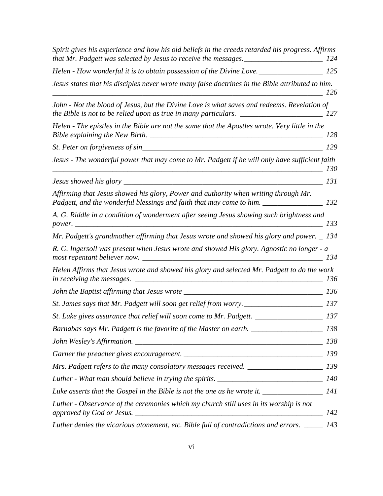| Spirit gives his experience and how his old beliefs in the creeds retarded his progress. Affirms<br>that Mr. Padgett was selected by Jesus to receive the messages.__________________                                   | 124 |
|-------------------------------------------------------------------------------------------------------------------------------------------------------------------------------------------------------------------------|-----|
| Helen - How wonderful it is to obtain possession of the Divine Love. _________________________ 125                                                                                                                      |     |
| Jesus states that his disciples never wrote many false doctrines in the Bible attributed to him.                                                                                                                        | 126 |
| John - Not the blood of Jesus, but the Divine Love is what saves and redeems. Revelation of<br>the Bible is not to be relied upon as true in many particulars. $\frac{1}{2}$ $\frac{1}{27}$                             |     |
| Helen - The epistles in the Bible are not the same that the Apostles wrote. Very little in the                                                                                                                          | 128 |
|                                                                                                                                                                                                                         | 129 |
| Jesus - The wonderful power that may come to Mr. Padgett if he will only have sufficient faith<br><u> 2000 - Jan James James James James James James James James James James James James James James James James Ja</u> | 130 |
| Jesus showed his glory                                                                                                                                                                                                  | 131 |
| Affirming that Jesus showed his glory, Power and authority when writing through Mr.<br>Padgett, and the wonderful blessings and faith that may come to him. _________________________132                                |     |
| A. G. Riddle in a condition of wonderment after seeing Jesus showing such brightness and<br>133<br><i>power.</i>                                                                                                        |     |
| Mr. Padgett's grandmother affirming that Jesus wrote and showed his glory and power. $\angle$ 134                                                                                                                       |     |
| R. G. Ingersoll was present when Jesus wrote and showed His glory. Agnostic no longer - a<br>most repentant believer now.                                                                                               | 134 |
| Helen Affirms that Jesus wrote and showed his glory and selected Mr. Padgett to do the work<br>in receiving the messages.                                                                                               | 136 |
|                                                                                                                                                                                                                         | 136 |
| St. James says that Mr. Padgett will soon get relief from worry. _________________________________137                                                                                                                   |     |
| St. Luke gives assurance that relief will soon come to Mr. Padgett. ________________________ 137                                                                                                                        |     |
| Barnabas says Mr. Padgett is the favorite of the Master on earth. ________________________ 138                                                                                                                          |     |
|                                                                                                                                                                                                                         | 138 |
|                                                                                                                                                                                                                         |     |
| Mrs. Padgett refers to the many consolatory messages received. ________________________ 139                                                                                                                             |     |
| Luther - What man should believe in trying the spirits. _________________________                                                                                                                                       | 140 |
|                                                                                                                                                                                                                         |     |
| Luther - Observance of the ceremonies which my church still uses in its worship is not                                                                                                                                  | 142 |
| Luther denies the vicarious atonement, etc. Bible full of contradictions and errors.                                                                                                                                    | 143 |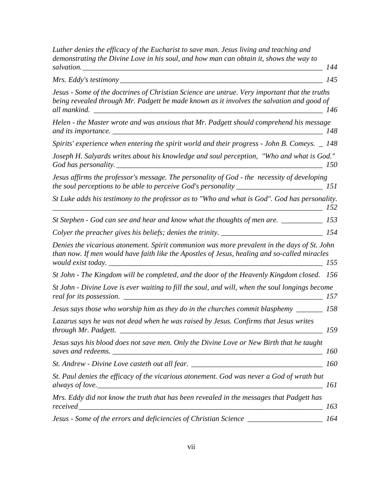| Luther denies the efficacy of the Eucharist to save man. Jesus living and teaching and<br>demonstrating the Divine Love in his soul, and how man can obtain it, shows the way to<br>144                                                     |
|---------------------------------------------------------------------------------------------------------------------------------------------------------------------------------------------------------------------------------------------|
| 145                                                                                                                                                                                                                                         |
| Jesus - Some of the doctrines of Christian Science are untrue. Very important that the truths<br>being revealed through Mr. Padgett be made known as it involves the salvation and good of<br>146<br>all mankind.                           |
| Helen - the Master wrote and was anxious that Mr. Padgett should comprehend his message<br>148                                                                                                                                              |
| Spirits' experience when entering the spirit world and their progress - John B. Comeys. _ 148                                                                                                                                               |
| Joseph H. Salyards writes about his knowledge and soul perception, "Who and what is God."<br>150                                                                                                                                            |
| Jesus affirms the professor's message. The personality of God - the necessity of developing                                                                                                                                                 |
| St Luke adds his testimony to the professor as to "Who and what is God". God has personality.<br>$\overline{\phantom{1525}152}$                                                                                                             |
| St Stephen - God can see and hear and know what the thoughts of men are. _________<br>153                                                                                                                                                   |
| Colyer the preacher gives his beliefs; denies the trinity. __________________________________154                                                                                                                                            |
| Denies the vicarious atonement. Spirit communion was more prevalent in the days of St. John<br>than now. If men would have faith like the Apostles of Jesus, healing and so-called miracles<br>155                                          |
| St John - The Kingdom will be completed, and the door of the Heavenly Kingdom closed. 156                                                                                                                                                   |
| St John - Divine Love is ever waiting to fill the soul, and will, when the soul longings become<br>157                                                                                                                                      |
| Jesus says those who worship him as they do in the churches commit blasphemy ______<br>158                                                                                                                                                  |
| Lazarus says he was not dead when he was raised by Jesus. Confirms that Jesus writes<br>through Mr. Padgett.<br>159<br><u> 1980 - Johann Barn, mars eta bainar eta bainar eta baina eta baina eta baina eta baina eta baina eta baina e</u> |
| Jesus says his blood does not save men. Only the Divine Love or New Birth that he taught<br>160                                                                                                                                             |
| St. Andrew - Divine Love casteth out all fear.<br>160                                                                                                                                                                                       |
| St. Paul denies the efficacy of the vicarious atonement. God was never a God of wrath but<br>161                                                                                                                                            |
| Mrs. Eddy did not know the truth that has been revealed in the messages that Padgett has<br>163                                                                                                                                             |
| Jesus - Some of the errors and deficiencies of Christian Science ________________<br>164                                                                                                                                                    |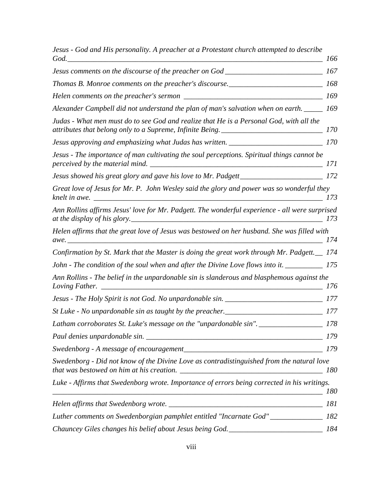| Jesus - God and His personality. A preacher at a Protestant church attempted to describe                          | 166 |
|-------------------------------------------------------------------------------------------------------------------|-----|
| Jesus comments on the discourse of the preacher on God _________________________                                  | 167 |
| Thomas B. Monroe comments on the preacher's discourse.___________________________________168                      |     |
|                                                                                                                   |     |
| Alexander Campbell did not understand the plan of man's salvation when on earth. ______ 169                       |     |
| Judas - What men must do to see God and realize that He is a Personal God, with all the                           |     |
| Jesus approving and emphasizing what Judas has written. ________________________                                  | 170 |
| Jesus - The importance of man cultivating the soul perceptions. Spiritual things cannot be                        | 171 |
| Jesus showed his great glory and gave his love to Mr. Padgett___________________                                  | 172 |
| Great love of Jesus for Mr. P. John Wesley said the glory and power was so wonderful they<br>173<br>knelt in awe. |     |
| Ann Rollins affirms Jesus' love for Mr. Padgett. The wonderful experience - all were surprised                    |     |
| Helen affirms that the great love of Jesus was bestowed on her husband. She was filled with                       | 174 |
| Confirmation by St. Mark that the Master is doing the great work through Mr. Padgett. __ 174                      |     |
| John - The condition of the soul when and after the Divine Love flows into it. _______________ 175                |     |
| Ann Rollins - The belief in the unpardonable sin is slanderous and blasphemous against the                        |     |
| Jesus - The Holy Spirit is not God. No unpardonable sin. ________________________                                 | 177 |
| St Luke - No unpardonable sin as taught by the preacher.________________________                                  | 177 |
|                                                                                                                   |     |
|                                                                                                                   | 179 |
|                                                                                                                   | 179 |
| Swedenborg - Did not know of the Divine Love as contradistinguished from the natural love                         | 180 |
| Luke - Affirms that Swedenborg wrote. Importance of errors being corrected in his writings.                       |     |
|                                                                                                                   | 181 |
| Luther comments on Swedenborgian pamphlet entitled "Incarnate God" _____________                                  | 182 |
| Chauncey Giles changes his belief about Jesus being God. ________________________                                 | 184 |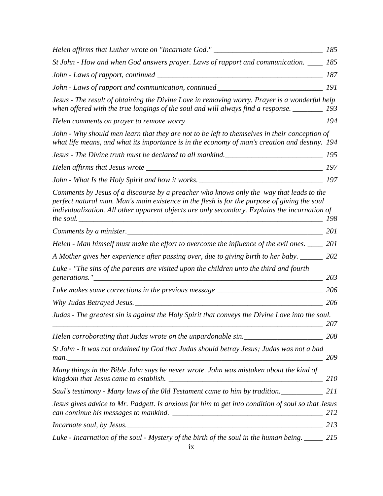| Helen affirms that Luther wrote on "Incarnate God." _____________________________                                                                                                                                                                                                        |
|------------------------------------------------------------------------------------------------------------------------------------------------------------------------------------------------------------------------------------------------------------------------------------------|
| St John - How and when God answers prayer. Laws of rapport and communication. ____ 185                                                                                                                                                                                                   |
|                                                                                                                                                                                                                                                                                          |
| John - Laws of rapport and communication, continued ____________________________                                                                                                                                                                                                         |
| Jesus - The result of obtaining the Divine Love in removing worry. Prayer is a wonderful help<br>when offered with the true longings of the soul and will always find a response. $\frac{1}{\sqrt{1-\frac{1}{n}}}\$ 193                                                                  |
|                                                                                                                                                                                                                                                                                          |
| John - Why should men learn that they are not to be left to themselves in their conception of<br>what life means, and what its importance is in the economy of man's creation and destiny. 194                                                                                           |
| 195<br>Jesus - The Divine truth must be declared to all mankind.________________________                                                                                                                                                                                                 |
| 197                                                                                                                                                                                                                                                                                      |
| John - What Is the Holy Spirit and how it works. ________________________________<br>197                                                                                                                                                                                                 |
| Comments by Jesus of a discourse by a preacher who knows only the way that leads to the<br>perfect natural man. Man's main existence in the flesh is for the purpose of giving the soul<br>individualization. All other apparent objects are only secondary. Explains the incarnation of |
|                                                                                                                                                                                                                                                                                          |
| 201<br>Helen - Man himself must make the effort to overcome the influence of the evil ones. ____                                                                                                                                                                                         |
| A Mother gives her experience after passing over, due to giving birth to her baby. ______                                                                                                                                                                                                |
| Luke - "The sins of the parents are visited upon the children unto the third and fourth                                                                                                                                                                                                  |
| Luke makes some corrections in the previous message _____________________________                                                                                                                                                                                                        |
|                                                                                                                                                                                                                                                                                          |
| Judas - The greatest sin is against the Holy Spirit that conveys the Divine Love into the soul.                                                                                                                                                                                          |
| Helen corroborating that Judas wrote on the unpardonable sin.                                                                                                                                                                                                                            |
| St John - It was not ordained by God that Judas should betray Jesus; Judas was not a bad<br>man.                                                                                                                                                                                         |
| Many things in the Bible John says he never wrote. John was mistaken about the kind of                                                                                                                                                                                                   |
| Saul's testimony - Many laws of the Old Testament came to him by tradition.                                                                                                                                                                                                              |
| Jesus gives advice to Mr. Padgett. Is anxious for him to get into condition of soul so that Jesus<br>212                                                                                                                                                                                 |
|                                                                                                                                                                                                                                                                                          |
| 215<br>Luke - Incarnation of the soul - Mystery of the birth of the soul in the human being. $\frac{d}{dx}$                                                                                                                                                                              |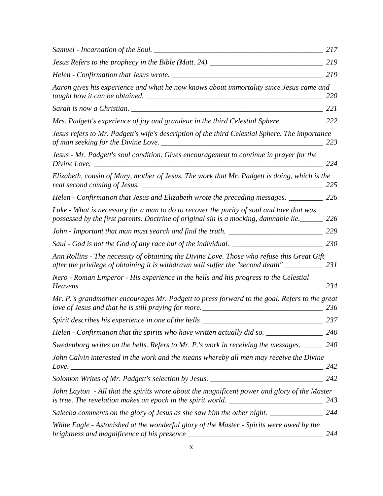|                                                                                                                                                                                             | 217        |
|---------------------------------------------------------------------------------------------------------------------------------------------------------------------------------------------|------------|
| Jesus Refers to the prophecy in the Bible (Matt. 24) ____________________________                                                                                                           | 219        |
|                                                                                                                                                                                             | 219        |
| Aaron gives his experience and what he now knows about immortality since Jesus came and                                                                                                     | <b>220</b> |
|                                                                                                                                                                                             | 221        |
| Mrs. Padgett's experience of joy and grandeur in the third Celestial Sphere.______________ 222                                                                                              |            |
| Jesus refers to Mr. Padgett's wife's description of the third Celestial Sphere. The importance                                                                                              | 223        |
| Jesus - Mr. Padgett's soul condition. Gives encouragement to continue in prayer for the                                                                                                     | 224        |
| Elizabeth, cousin of Mary, mother of Jesus. The work that Mr. Padgett is doing, which is the                                                                                                | 225        |
| Helen - Confirmation that Jesus and Elizabeth wrote the preceding messages. ________                                                                                                        | 226        |
| Luke - What is necessary for a man to do to recover the purity of soul and love that was<br>possessed by the first parents. Doctrine of original sin is a mocking, damnable lie. ______ 226 |            |
| John - Important that man must search and find the truth. _______________________                                                                                                           | 229        |
| Saul - God is not the God of any race but of the individual. ____________________                                                                                                           | 230        |
| Ann Rollins - The necessity of obtaining the Divine Love. Those who refuse this Great Gift<br>after the privilege of obtaining it is withdrawn will suffer the "second death" __________    | 231        |
| Nero - Roman Emperor - His experience in the hells and his progress to the Celestial                                                                                                        | 234        |
| Mr. P.'s grandmother encourages Mr. Padgett to press forward to the goal. Refers to the great                                                                                               | 236        |
| Spirit describes his experience in one of the hells ____________________________                                                                                                            | 237        |
| Helen - Confirmation that the spirits who have written actually did so. _______________                                                                                                     | 240        |
| Swedenborg writes on the hells. Refers to Mr. P.'s work in receiving the messages. _____ 240                                                                                                |            |
| John Calvin interested in the work and the means whereby all men may receive the Divine                                                                                                     | 242        |
| Solomon Writes of Mr. Padgett's selection by Jesus. _____________________________                                                                                                           | 242        |
| John Layton - All that the spirits wrote about the magnificent power and glory of the Master<br>is true. The revelation makes an epoch in the spirit world. $\frac{1}{2}$ $\frac{1}{243}$   |            |
| Saleeba comments on the glory of Jesus as she saw him the other night. ___________                                                                                                          | 244        |
| White Eagle - Astonished at the wonderful glory of the Master - Spirits were awed by the                                                                                                    | 244        |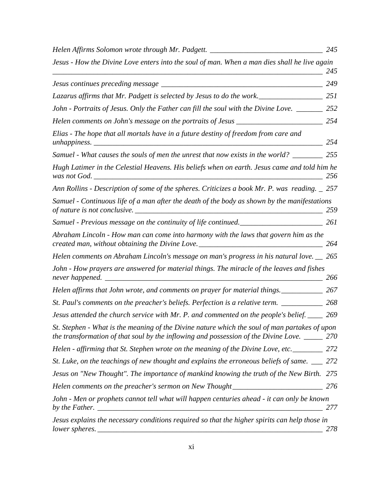| Helen Affirms Solomon wrote through Mr. Padgett. _______________________________                                                                                                           | 245        |
|--------------------------------------------------------------------------------------------------------------------------------------------------------------------------------------------|------------|
| Jesus - How the Divine Love enters into the soul of man. When a man dies shall he live again<br><u> 1989 - Johann John Stone, mars eta biztanleria (</u>                                   | 245        |
|                                                                                                                                                                                            | 249        |
| Lazarus affirms that Mr. Padgett is selected by Jesus to do the work.<br>251                                                                                                               |            |
| John - Portraits of Jesus. Only the Father can fill the soul with the Divine Love. ________ 252                                                                                            |            |
| Helen comments on John's message on the portraits of Jesus _____________________                                                                                                           | 254        |
| Elias - The hope that all mortals have in a future destiny of freedom from care and                                                                                                        | 254        |
| Samuel - What causes the souls of men the unrest that now exists in the world? _______________________________                                                                             |            |
| Hugh Latimer in the Celestial Heavens. His beliefs when on earth. Jesus came and told him he                                                                                               | 256        |
| Ann Rollins - Description of some of the spheres. Criticizes a book Mr. P. was reading. _ 257                                                                                              |            |
| Samuel - Continuous life of a man after the death of the body as shown by the manifestations                                                                                               | 259        |
|                                                                                                                                                                                            |            |
| Abraham Lincoln - How man can come into harmony with the laws that govern him as the<br>created man, without obtaining the Divine Love. _________________________________                  | 264        |
| Helen comments on Abraham Lincoln's message on man's progress in his natural love. __ 265                                                                                                  |            |
| John - How prayers are answered for material things. The miracle of the leaves and fishes                                                                                                  | 266        |
| Helen affirms that John wrote, and comments on prayer for material things. _____________ 267                                                                                               |            |
| St. Paul's comments on the preacher's beliefs. Perfection is a relative term. ________________________________                                                                             |            |
| Jesus attended the church service with Mr. P. and commented on the people's belief. ____ 269                                                                                               |            |
| St. Stephen - What is the meaning of the Divine nature which the soul of man partakes of upon<br>the transformation of that soul by the inflowing and possession of the Divine Love. _____ | <i>270</i> |
| Helen - affirming that St. Stephen wrote on the meaning of the Divine Love, etc.                                                                                                           | 272        |
| St. Luke, on the teachings of new thought and explains the erroneous beliefs of same. __ 272                                                                                               |            |
| Jesus on "New Thought". The importance of mankind knowing the truth of the New Birth. 275                                                                                                  |            |
| Helen comments on the preacher's sermon on New Thought _________________________                                                                                                           | 276        |
| John - Men or prophets cannot tell what will happen centuries ahead - it can only be known<br>by the Father. $\sqrt{2}$ by the Father.                                                     | 277        |
| Jesus explains the necessary conditions required so that the higher spirits can help those in<br>lower spheres.                                                                            | 278        |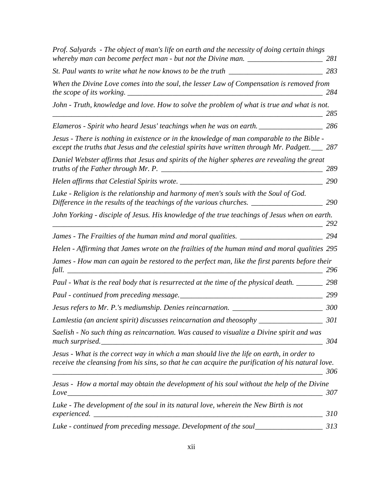| Prof. Salvards - The object of man's life on earth and the necessity of doing certain things<br>whereby man can become perfect man - but not the Divine man. ___________________<br>281               |
|-------------------------------------------------------------------------------------------------------------------------------------------------------------------------------------------------------|
| St. Paul wants to write what he now knows to be the truth ______________________<br>283                                                                                                               |
| When the Divine Love comes into the soul, the lesser Law of Compensation is removed from<br>284<br><i>the scope of its working.</i>                                                                   |
| John - Truth, knowledge and love. How to solve the problem of what is true and what is not.<br>285                                                                                                    |
| Elameros - Spirit who heard Jesus' teachings when he was on earth. ______________<br>286                                                                                                              |
| Jesus - There is nothing in existence or in the knowledge of man comparable to the Bible -<br>except the truths that Jesus and the celestial spirits have written through Mr. Padgett. ___ 287        |
| Daniel Webster affirms that Jesus and spirits of the higher spheres are revealing the great<br>289                                                                                                    |
| 290                                                                                                                                                                                                   |
| Luke - Religion is the relationship and harmony of men's souls with the Soul of God.<br>290                                                                                                           |
| John Yorking - disciple of Jesus. His knowledge of the true teachings of Jesus when on earth.<br>292                                                                                                  |
| James - The Frailties of the human mind and moral qualities. ___________________<br>294                                                                                                               |
| Helen - Affirming that James wrote on the frailties of the human mind and moral qualities 295                                                                                                         |
| James - How man can again be restored to the perfect man, like the first parents before their<br>296<br>fall.                                                                                         |
| 298<br>Paul - What is the real body that is resurrected at the time of the physical death. _______                                                                                                    |
| 299                                                                                                                                                                                                   |
| Jesus refers to Mr. P.'s mediumship. Denies reincarnation. _____________________<br>300                                                                                                               |
|                                                                                                                                                                                                       |
| Saelish - No such thing as reincarnation. Was caused to visualize a Divine spirit and was<br>304                                                                                                      |
| Jesus - What is the correct way in which a man should live the life on earth, in order to<br>receive the cleansing from his sins, so that he can acquire the purification of his natural love.<br>306 |
| Jesus - How a mortal may obtain the development of his soul without the help of the Divine<br>307<br>$Love$ $\overline{\phantom{a}}$                                                                  |
| Luke - The development of the soul in its natural love, wherein the New Birth is not<br>310                                                                                                           |
| Luke - continued from preceding message. Development of the soul_<br>313                                                                                                                              |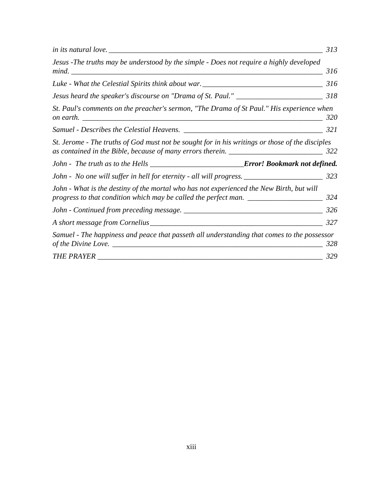|                                                                                                                                                                               | 313 |
|-------------------------------------------------------------------------------------------------------------------------------------------------------------------------------|-----|
| Jesus -The truths may be understood by the simple - Does not require a highly developed                                                                                       | 316 |
|                                                                                                                                                                               | 316 |
|                                                                                                                                                                               |     |
| St. Paul's comments on the preacher's sermon, "The Drama of St Paul." His experience when                                                                                     | 320 |
|                                                                                                                                                                               | 321 |
| St. Jerome - The truths of God must not be sought for in his writings or those of the disciples                                                                               |     |
| John - The truth as to the Hells _______________________________Error! Bookmark not defined.                                                                                  |     |
| John - No one will suffer in hell for eternity - all will progress. ________________________________ 323                                                                      |     |
| John - What is the destiny of the mortal who has not experienced the New Birth, but will<br>progress to that condition which may be called the perfect man. _________________ | 324 |
|                                                                                                                                                                               |     |
|                                                                                                                                                                               | 327 |
| Samuel - The happiness and peace that passeth all understanding that comes to the possessor                                                                                   | 328 |
| THE PRAYER                                                                                                                                                                    | 329 |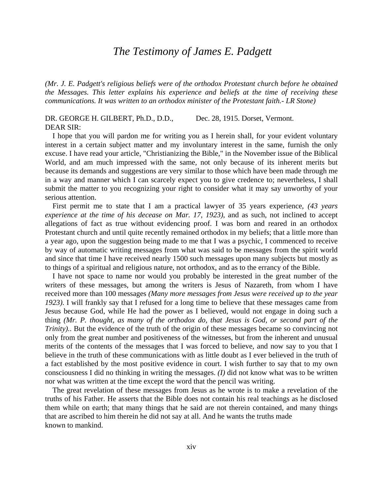### *The Testimony of James E. Padgett*

*(Mr. J. E. Padgett's religious beliefs were of the orthodox Protestant church before he obtained the Messages. This letter explains his experience and beliefs at the time of receiving these communications. It was written to an orthodox minister of the Protestant faith.- LR Stone)* 

DR. GEORGE H. GILBERT, Ph.D., D.D., Dec. 28, 1915. Dorset, Vermont. DEAR SIR:

 I hope that you will pardon me for writing you as I herein shall, for your evident voluntary interest in a certain subject matter and my involuntary interest in the same, furnish the only excuse. I have read your article, "Christianizing the Bible," in the November issue of the Biblical World, and am much impressed with the same, not only because of its inherent merits but because its demands and suggestions are very similar to those which have been made through me in a way and manner which I can scarcely expect you to give credence to; nevertheless, I shall submit the matter to you recognizing your right to consider what it may say unworthy of your serious attention.

 First permit me to state that I am a practical lawyer of 35 years experience, *(43 years experience at the time of his decease on Mar. 17, 1923)*, and as such, not inclined to accept allegations of fact as true without evidencing proof. I was born and reared in an orthodox Protestant church and until quite recently remained orthodox in my beliefs; that a little more than a year ago, upon the suggestion being made to me that I was a psychic, I commenced to receive by way of automatic writing messages from what was said to be messages from the spirit world and since that time I have received nearly 1500 such messages upon many subjects but mostly as to things of a spiritual and religious nature, not orthodox, and as to the errancy of the Bible.

 I have not space to name nor would you probably be interested in the great number of the writers of these messages, but among the writers is Jesus of Nazareth, from whom I have received more than 100 messages *(Many more messages from Jesus were received up to the year 1923)*. I will frankly say that I refused for a long time to believe that these messages came from Jesus because God, while He had the power as I believed, would not engage in doing such a thing *(Mr. P. thought, as many of the orthodox do, that Jesus is God, or second part of the Trinity*).. But the evidence of the truth of the origin of these messages became so convincing not only from the great number and positiveness of the witnesses, but from the inherent and unusual merits of the contents of the messages that I was forced to believe, and now say to you that I believe in the truth of these communications with as little doubt as I ever believed in the truth of a fact established by the most positive evidence in court. I wish further to say that to my own consciousness I did no thinking in writing the messages. *(I)* did not know what was to be written nor what was written at the time except the word that the pencil was writing.

 The great revelation of these messages from Jesus as he wrote is to make a revelation of the truths of his Father. He asserts that the Bible does not contain his real teachings as he disclosed them while on earth; that many things that he said are not therein contained, and many things that are ascribed to him therein he did not say at all. And he wants the truths made known to mankind.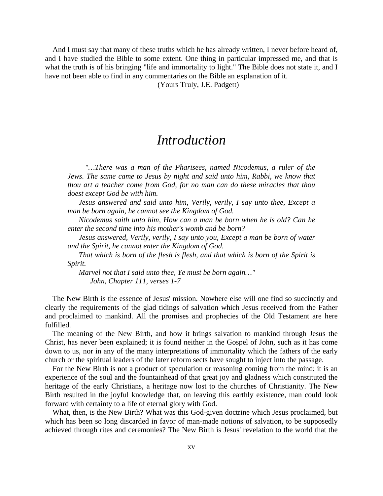And I must say that many of these truths which he has already written, I never before heard of, and I have studied the Bible to some extent. One thing in particular impressed me, and that is what the truth is of his bringing "life and immortality to light." The Bible does not state it, and I have not been able to find in any commentaries on the Bible an explanation of it.

(Yours Truly, J.E. Padgett)

## *Introduction*

 *"…There was a man of the Pharisees, named Nicodemus, a ruler of the Jews. The same came to Jesus by night and said unto him, Rabbi, we know that thou art a teacher come from God, for no man can do these miracles that thou doest except God be with him.* 

 *Jesus answered and said unto him, Verily, verily, I say unto thee, Except a man be born again, he cannot see the Kingdom of God.* 

 *Nicodemus saith unto him, How can a man be born when he is old? Can he enter the second time into his mother's womb and be born?* 

 *Jesus answered, Verily, verily, I say unto you, Except a man be born of water and the Spirit, he cannot enter the Kingdom of God.* 

 *That which is born of the flesh is flesh, and that which is born of the Spirit is Spirit.* 

 *Marvel not that I said unto thee, Ye must be born again…" John, Chapter 111, verses 1-7* 

 The New Birth is the essence of Jesus' mission. Nowhere else will one find so succinctly and clearly the requirements of the glad tidings of salvation which Jesus received from the Father and proclaimed to mankind. All the promises and prophecies of the Old Testament are here fulfilled.

 The meaning of the New Birth, and how it brings salvation to mankind through Jesus the Christ, has never been explained; it is found neither in the Gospel of John, such as it has come down to us, nor in any of the many interpretations of immortality which the fathers of the early church or the spiritual leaders of the later reform sects have sought to inject into the passage.

 For the New Birth is not a product of speculation or reasoning coming from the mind; it is an experience of the soul and the fountainhead of that great joy and gladness which constituted the heritage of the early Christians, a heritage now lost to the churches of Christianity. The New Birth resulted in the joyful knowledge that, on leaving this earthly existence, man could look forward with certainty to a life of eternal glory with God.

 What, then, is the New Birth? What was this God-given doctrine which Jesus proclaimed, but which has been so long discarded in favor of man-made notions of salvation, to be supposedly achieved through rites and ceremonies? The New Birth is Jesus' revelation to the world that the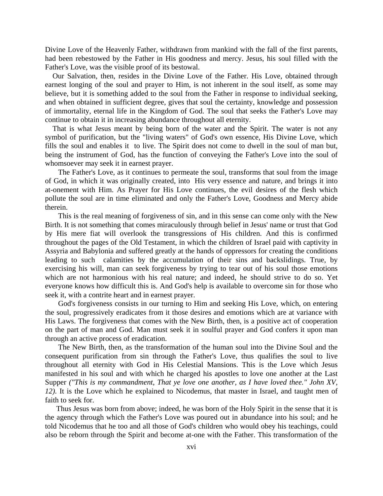Divine Love of the Heavenly Father, withdrawn from mankind with the fall of the first parents, had been rebestowed by the Father in His goodness and mercy. Jesus, his soul filled with the Father's Love, was the visible proof of its bestowal.

 Our Salvation, then, resides in the Divine Love of the Father. His Love, obtained through earnest longing of the soul and prayer to Him, is not inherent in the soul itself, as some may believe, but it is something added to the soul from the Father in response to individual seeking, and when obtained in sufficient degree, gives that soul the certainty, knowledge and possession of immortality, eternal life in the Kingdom of God. The soul that seeks the Father's Love may continue to obtain it in increasing abundance throughout all eternity.

 That is what Jesus meant by being born of the water and the Spirit. The water is not any symbol of purification, but the "living waters" of God's own essence, His Divine Love, which fills the soul and enables it to live. The Spirit does not come to dwell in the soul of man but, being the instrument of God, has the function of conveying the Father's Love into the soul of whomsoever may seek it in earnest prayer.

 The Father's Love, as it continues to permeate the soul, transforms that soul from the image of God, in which it was originally created, into His very essence and nature, and brings it into at-onement with Him. As Prayer for His Love continues, the evil desires of the flesh which pollute the soul are in time eliminated and only the Father's Love, Goodness and Mercy abide therein.

 This is the real meaning of forgiveness of sin, and in this sense can come only with the New Birth. It is not something that comes miraculously through belief in Jesus' name or trust that God by His mere fiat will overlook the transgressions of His children. And this is confirmed throughout the pages of the Old Testament, in which the children of Israel paid with captivity in Assyria and Babylonia and suffered greatly at the hands of oppressors for creating the conditions leading to such calamities by the accumulation of their sins and backslidings. True, by exercising his will, man can seek forgiveness by trying to tear out of his soul those emotions which are not harmonious with his real nature; and indeed, he should strive to do so. Yet everyone knows how difficult this is. And God's help is available to overcome sin for those who seek it, with a contrite heart and in earnest prayer.

 God's forgiveness consists in our turning to Him and seeking His Love, which, on entering the soul, progressively eradicates from it those desires and emotions which are at variance with His Laws. The forgiveness that comes with the New Birth, then, is a positive act of cooperation on the part of man and God. Man must seek it in soulful prayer and God confers it upon man through an active process of eradication.

 The New Birth, then, as the transformation of the human soul into the Divine Soul and the consequent purification from sin through the Father's Love, thus qualifies the soul to live throughout all eternity with God in His Celestial Mansions. This is the Love which Jesus manifested in his soul and with which he charged his apostles to love one another at the Last Supper *("This is my commandment, That ye love one another, as I have loved thee." John XV, 12)*. It is the Love which he explained to Nicodemus, that master in Israel, and taught men of faith to seek for.

 Thus Jesus was born from above; indeed, he was born of the Holy Spirit in the sense that it is the agency through which the Father's Love was poured out in abundance into his soul; and he told Nicodemus that he too and all those of God's children who would obey his teachings, could also be reborn through the Spirit and become at-one with the Father. This transformation of the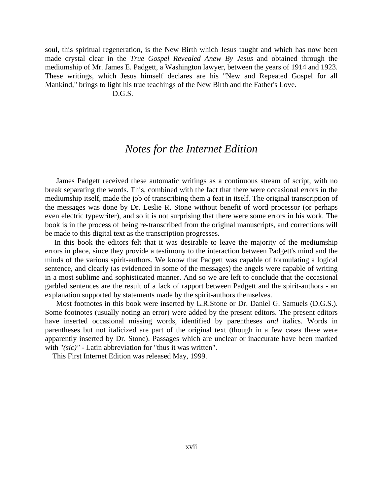soul, this spiritual regeneration, is the New Birth which Jesus taught and which has now been made crystal clear in the *True Gospel Revealed Anew By Jesus* and obtained through the mediumship of Mr. James E. Padgett, a Washington lawyer, between the years of 1914 and 1923. These writings, which Jesus himself declares are his "New and Repeated Gospel for all Mankind," brings to light his true teachings of the New Birth and the Father's Love. D.G.S.

### *Notes for the Internet Edition*

 James Padgett received these automatic writings as a continuous stream of script, with no break separating the words. This, combined with the fact that there were occasional errors in the mediumship itself, made the job of transcribing them a feat in itself. The original transcription of the messages was done by Dr. Leslie R. Stone without benefit of word processor (or perhaps even electric typewriter), and so it is not surprising that there were some errors in his work. The book is in the process of being re-transcribed from the original manuscripts, and corrections will be made to this digital text as the transcription progresses.

 In this book the editors felt that it was desirable to leave the majority of the mediumship errors in place, since they provide a testimony to the interaction between Padgett's mind and the minds of the various spirit-authors. We know that Padgett was capable of formulating a logical sentence, and clearly (as evidenced in some of the messages) the angels were capable of writing in a most sublime and sophisticated manner. And so we are left to conclude that the occasional garbled sentences are the result of a lack of rapport between Padgett and the spirit-authors - an explanation supported by statements made by the spirit-authors themselves.

 Most footnotes in this book were inserted by L.R.Stone or Dr. Daniel G. Samuels (D.G.S.). Some footnotes (usually noting an error) were added by the present editors. The present editors have inserted occasional missing words, identified by parentheses *and* italics. Words in parentheses but not italicized are part of the original text (though in a few cases these were apparently inserted by Dr. Stone). Passages which are unclear or inaccurate have been marked with "*(sic)*" - Latin abbreviation for "thus it was written".

This First Internet Edition was released May, 1999.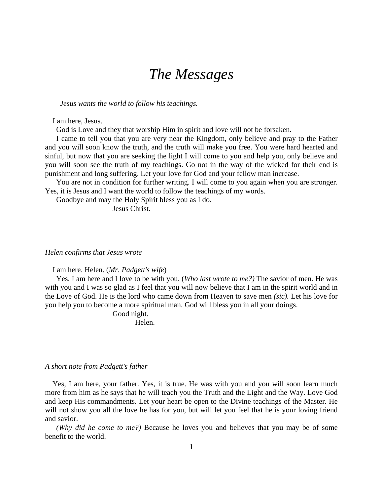## *The Messages*

 *Jesus wants the world to follow his teachings.* 

I am here, Jesus.

God is Love and they that worship Him in spirit and love will not be forsaken.

 I came to tell you that you are very near the Kingdom, only believe and pray to the Father and you will soon know the truth, and the truth will make you free. You were hard hearted and sinful, but now that you are seeking the light I will come to you and help you, only believe and you will soon see the truth of my teachings. Go not in the way of the wicked for their end is punishment and long suffering. Let your love for God and your fellow man increase.

 You are not in condition for further writing. I will come to you again when you are stronger. Yes, it is Jesus and I want the world to follow the teachings of my words.

Goodbye and may the Holy Spirit bless you as I do.

Jesus Christ.

#### *Helen confirms that Jesus wrote*

I am here. Helen. (*Mr. Padgett's wife*)

 Yes, I am here and I love to be with you. (*Who last wrote to me?)* The savior of men. He was with you and I was so glad as I feel that you will now believe that I am in the spirit world and in the Love of God. He is the lord who came down from Heaven to save men *(sic).* Let his love for you help you to become a more spiritual man. God will bless you in all your doings.

Good night.

Helen.

#### *A short note from Padgett's father*

 Yes, I am here, your father. Yes, it is true. He was with you and you will soon learn much more from him as he says that he will teach you the Truth and the Light and the Way. Love God and keep His commandments. Let your heart be open to the Divine teachings of the Master. He will not show you all the love he has for you, but will let you feel that he is your loving friend and savior.

 *(Why did he come to me?)* Because he loves you and believes that you may be of some benefit to the world.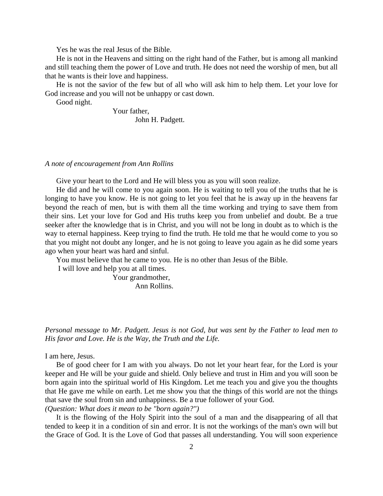Yes he was the real Jesus of the Bible.

 He is not in the Heavens and sitting on the right hand of the Father, but is among all mankind and still teaching them the power of Love and truth. He does not need the worship of men, but all that he wants is their love and happiness.

 He is not the savior of the few but of all who will ask him to help them. Let your love for God increase and you will not be unhappy or cast down.

Good night.

Your father, John H. Padgett.

#### *A note of encouragement from Ann Rollins*

Give your heart to the Lord and He will bless you as you will soon realize.

 He did and he will come to you again soon. He is waiting to tell you of the truths that he is longing to have you know. He is not going to let you feel that he is away up in the heavens far beyond the reach of men, but is with them all the time working and trying to save them from their sins. Let your love for God and His truths keep you from unbelief and doubt. Be a true seeker after the knowledge that is in Christ, and you will not be long in doubt as to which is the way to eternal happiness. Keep trying to find the truth. He told me that he would come to you so that you might not doubt any longer, and he is not going to leave you again as he did some years ago when your heart was hard and sinful.

You must believe that he came to you. He is no other than Jesus of the Bible.

I will love and help you at all times.

Your grandmother, Ann Rollins.

*Personal message to Mr. Padgett. Jesus is not God, but was sent by the Father to lead men to His favor and Love. He is the Way, the Truth and the Life.* 

I am here, Jesus.

 Be of good cheer for I am with you always. Do not let your heart fear, for the Lord is your keeper and He will be your guide and shield. Only believe and trust in Him and you will soon be born again into the spiritual world of His Kingdom. Let me teach you and give you the thoughts that He gave me while on earth. Let me show you that the things of this world are not the things that save the soul from sin and unhappiness. Be a true follower of your God.

*(Question: What does it mean to be "born again?")* 

It is the flowing of the Holy Spirit into the soul of a man and the disappearing of all that tended to keep it in a condition of sin and error. It is not the workings of the man's own will but the Grace of God. It is the Love of God that passes all understanding. You will soon experience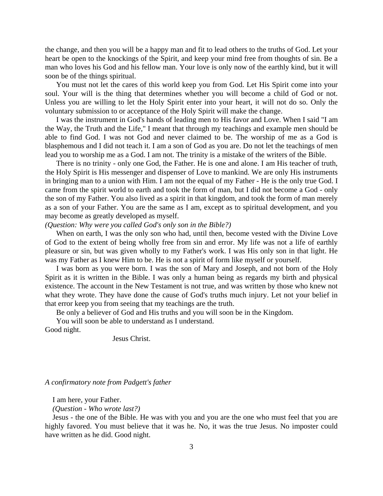the change, and then you will be a happy man and fit to lead others to the truths of God. Let your heart be open to the knockings of the Spirit, and keep your mind free from thoughts of sin. Be a man who loves his God and his fellow man. Your love is only now of the earthly kind, but it will soon be of the things spiritual.

 You must not let the cares of this world keep you from God. Let His Spirit come into your soul. Your will is the thing that determines whether you will become a child of God or not. Unless you are willing to let the Holy Spirit enter into your heart, it will not do so. Only the voluntary submission to or acceptance of the Holy Spirit will make the change.

 I was the instrument in God's hands of leading men to His favor and Love. When I said "I am the Way, the Truth and the Life," I meant that through my teachings and example men should be able to find God. I was not God and never claimed to be. The worship of me as a God is blasphemous and I did not teach it. I am a son of God as you are. Do not let the teachings of men lead you to worship me as a God. I am not. The trinity is a mistake of the writers of the Bible.

 There is no trinity - only one God, the Father. He is one and alone. I am His teacher of truth, the Holy Spirit is His messenger and dispenser of Love to mankind. We are only His instruments in bringing man to a union with Him. I am not the equal of my Father - He is the only true God. I came from the spirit world to earth and took the form of man, but I did not become a God - only the son of my Father. You also lived as a spirit in that kingdom, and took the form of man merely as a son of your Father. You are the same as I am, except as to spiritual development, and you may become as greatly developed as myself.

### *(Question: Why were you called God's only son in the Bible?)*

When on earth, I was the only son who had, until then, become vested with the Divine Love of God to the extent of being wholly free from sin and error. My life was not a life of earthly pleasure or sin, but was given wholly to my Father's work. I was His only son in that light. He was my Father as I knew Him to be. He is not a spirit of form like myself or yourself.

 I was born as you were born. I was the son of Mary and Joseph, and not born of the Holy Spirit as it is written in the Bible. I was only a human being as regards my birth and physical existence. The account in the New Testament is not true, and was written by those who knew not what they wrote. They have done the cause of God's truths much injury. Let not your belief in that error keep you from seeing that my teachings are the truth.

Be only a believer of God and His truths and you will soon be in the Kingdom.

You will soon be able to understand as I understand.

Good night.

Jesus Christ.

*A confirmatory note from Padgett's father* 

I am here, your Father.

*(Question - Who wrote last?)* 

Jesus - the one of the Bible. He was with you and you are the one who must feel that you are highly favored. You must believe that it was he. No, it was the true Jesus. No imposter could have written as he did. Good night.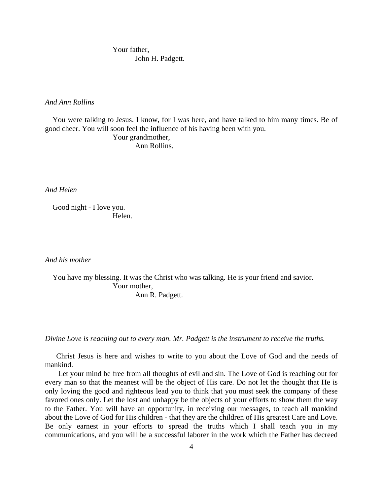Your father, John H. Padgett.

#### *And Ann Rollins*

 You were talking to Jesus. I know, for I was here, and have talked to him many times. Be of good cheer. You will soon feel the influence of his having been with you.

Your grandmother, Ann Rollins.

*And Helen* 

 Good night - I love you. Helen.

*And his mother* 

 You have my blessing. It was the Christ who was talking. He is your friend and savior. Your mother, Ann R. Padgett.

*Divine Love is reaching out to every man. Mr. Padgett is the instrument to receive the truths.* 

 Christ Jesus is here and wishes to write to you about the Love of God and the needs of mankind.

 Let your mind be free from all thoughts of evil and sin. The Love of God is reaching out for every man so that the meanest will be the object of His care. Do not let the thought that He is only loving the good and righteous lead you to think that you must seek the company of these favored ones only. Let the lost and unhappy be the objects of your efforts to show them the way to the Father. You will have an opportunity, in receiving our messages, to teach all mankind about the Love of God for His children - that they are the children of His greatest Care and Love. Be only earnest in your efforts to spread the truths which I shall teach you in my communications, and you will be a successful laborer in the work which the Father has decreed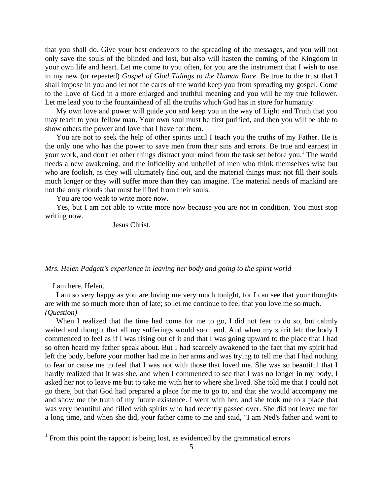that you shall do. Give your best endeavors to the spreading of the messages, and you will not only save the souls of the blinded and lost, but also will hasten the coming of the Kingdom in your own life and heart. Let me come to you often, for you are the instrument that I wish to use in my new (or repeated) *Gospel of Glad Tidings to the Human Race.* Be true to the trust that I shall impose in you and let not the cares of the world keep you from spreading my gospel. Come to the Love of God in a more enlarged and truthful meaning and you will be my true follower. Let me lead you to the fountainhead of all the truths which God has in store for humanity.

 My own love and power will guide you and keep you in the way of Light and Truth that you may teach to your fellow man. Your own soul must be first purified, and then you will be able to show others the power and love that I have for them.

 You are not to seek the help of other spirits until I teach you the truths of my Father. He is the only one who has the power to save men from their sins and errors. Be true and earnest in your work, and don't let other things distract your mind from the task set before you.<sup>1</sup> The world needs a new awakening, and the infidelity and unbelief of men who think themselves wise but who are foolish, as they will ultimately find out, and the material things must not fill their souls much longer or they will suffer more than they can imagine. The material needs of mankind are not the only clouds that must be lifted from their souls.

You are too weak to write more now.

 Yes, but I am not able to write more now because you are not in condition. You must stop writing now.

Jesus Christ.

*Mrs. Helen Padgett's experience in leaving her body and going to the spirit world* 

I am here, Helen.

1

 I am so very happy as you are loving me very much tonight, for I can see that your thoughts are with me so much more than of late; so let me continue to feel that you love me so much. *(Question)* 

When I realized that the time had come for me to go, I did not fear to do so, but calmly waited and thought that all my sufferings would soon end. And when my spirit left the body I commenced to feel as if I was rising out of it and that I was going upward to the place that I had so often heard my father speak about. But I had scarcely awakened to the fact that my spirit had left the body, before your mother had me in her arms and was trying to tell me that I had nothing to fear or cause me to feel that I was not with those that loved me. She was so beautiful that I hardly realized that it was she, and when I commenced to see that I was no longer in my body, I asked her not to leave me but to take me with her to where she lived. She told me that I could not go there, but that God had prepared a place for me to go to, and that she would accompany me and show me the truth of my future existence. I went with her, and she took me to a place that was very beautiful and filled with spirits who had recently passed over. She did not leave me for a long time, and when she did, your father came to me and said, "I am Ned's father and want to

 $<sup>1</sup>$  From this point the rapport is being lost, as evidenced by the grammatical errors</sup>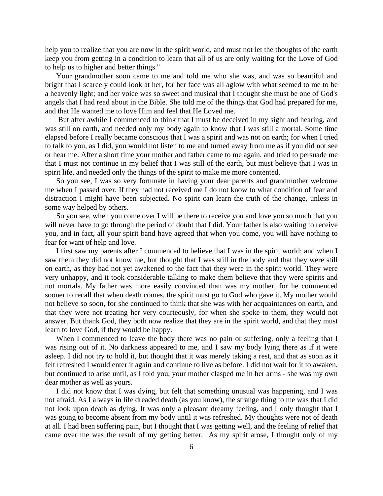help you to realize that you are now in the spirit world, and must not let the thoughts of the earth keep you from getting in a condition to learn that all of us are only waiting for the Love of God to help us to higher and better things."

 Your grandmother soon came to me and told me who she was, and was so beautiful and bright that I scarcely could look at her, for her face was all aglow with what seemed to me to be a heavenly light; and her voice was so sweet and musical that I thought she must be one of God's angels that I had read about in the Bible. She told me of the things that God had prepared for me, and that He wanted me to love Him and feel that He Loved me.

 But after awhile I commenced to think that I must be deceived in my sight and hearing, and was still on earth, and needed only my body again to know that I was still a mortal. Some time elapsed before I really became conscious that I was a spirit and was not on earth; for when I tried to talk to you, as I did, you would not listen to me and turned away from me as if you did not see or hear me. After a short time your mother and father came to me again, and tried to persuade me that I must not continue in my belief that I was still of the earth, but must believe that I was in spirit life, and needed only the things of the spirit to make me more contented.

 So you see, I was so very fortunate in having your dear parents and grandmother welcome me when I passed over. If they had not received me I do not know to what condition of fear and distraction I might have been subjected. No spirit can learn the truth of the change, unless in some way helped by others.

 So you see, when you come over I will be there to receive you and love you so much that you will never have to go through the period of doubt that I did. Your father is also waiting to receive you, and in fact, all your spirit band have agreed that when you come, you will have nothing to fear for want of help and love.

 I first saw my parents after I commenced to believe that I was in the spirit world; and when I saw them they did not know me, but thought that I was still in the body and that they were still on earth, as they had not yet awakened to the fact that they were in the spirit world. They were very unhappy, and it took considerable talking to make them believe that they were spirits and not mortals. My father was more easily convinced than was my mother, for he commenced sooner to recall that when death comes, the spirit must go to God who gave it. My mother would not believe so soon, for she continued to think that she was with her acquaintances on earth, and that they were not treating her very courteously, for when she spoke to them, they would not answer. But thank God, they both now realize that they are in the spirit world, and that they must learn to love God, if they would be happy.

 When I commenced to leave the body there was no pain or suffering, only a feeling that I was rising out of it. No darkness appeared to me, and I saw my body lying there as if it were asleep. I did not try to hold it, but thought that it was merely taking a rest, and that as soon as it felt refreshed I would enter it again and continue to live as before. I did not wait for it to awaken, but continued to arise until, as I told you, your mother clasped me in her arms - she was my own dear mother as well as yours.

 I did not know that I was dying, but felt that something unusual was happening, and I was not afraid. As I always in life dreaded death (as you know), the strange thing to me was that I did not look upon death as dying. It was only a pleasant dreamy feeling, and I only thought that I was going to become absent from my body until it was refreshed. My thoughts were not of death at all. I had been suffering pain, but I thought that I was getting well, and the feeling of relief that came over me was the result of my getting better. As my spirit arose, I thought only of my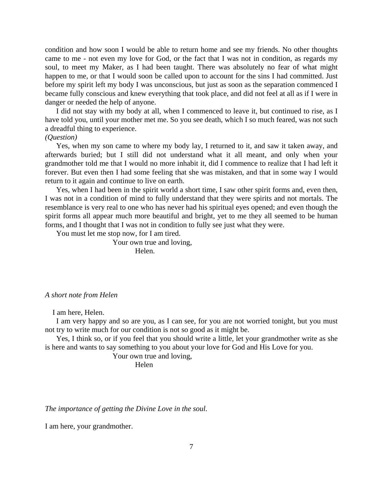condition and how soon I would be able to return home and see my friends. No other thoughts came to me - not even my love for God, or the fact that I was not in condition, as regards my soul, to meet my Maker, as I had been taught. There was absolutely no fear of what might happen to me, or that I would soon be called upon to account for the sins I had committed. Just before my spirit left my body I was unconscious, but just as soon as the separation commenced I became fully conscious and knew everything that took place, and did not feel at all as if I were in danger or needed the help of anyone.

 I did not stay with my body at all, when I commenced to leave it, but continued to rise, as I have told you, until your mother met me. So you see death, which I so much feared, was not such a dreadful thing to experience.

#### *(Question)*

Yes, when my son came to where my body lay, I returned to it, and saw it taken away, and afterwards buried; but I still did not understand what it all meant, and only when your grandmother told me that I would no more inhabit it, did I commence to realize that I had left it forever. But even then I had some feeling that she was mistaken, and that in some way I would return to it again and continue to live on earth.

 Yes, when I had been in the spirit world a short time, I saw other spirit forms and, even then, I was not in a condition of mind to fully understand that they were spirits and not mortals. The resemblance is very real to one who has never had his spiritual eyes opened; and even though the spirit forms all appear much more beautiful and bright, yet to me they all seemed to be human forms, and I thought that I was not in condition to fully see just what they were.

You must let me stop now, for I am tired.

 Your own true and loving, Helen.

#### *A short note from Helen*

I am here, Helen.

 I am very happy and so are you, as I can see, for you are not worried tonight, but you must not try to write much for our condition is not so good as it might be.

 Yes, I think so, or if you feel that you should write a little, let your grandmother write as she is here and wants to say something to you about your love for God and His Love for you.

Your own true and loving,

Helen

*The importance of getting the Divine Love in the soul.* 

I am here, your grandmother.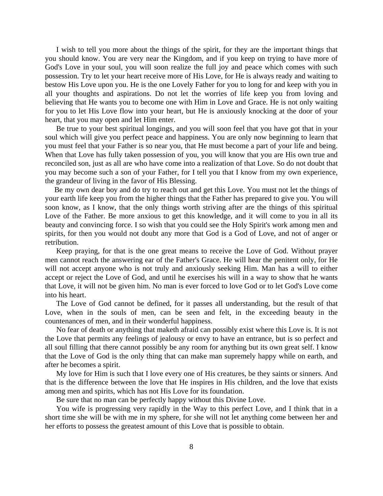I wish to tell you more about the things of the spirit, for they are the important things that you should know. You are very near the Kingdom, and if you keep on trying to have more of God's Love in your soul, you will soon realize the full joy and peace which comes with such possession. Try to let your heart receive more of His Love, for He is always ready and waiting to bestow His Love upon you. He is the one Lovely Father for you to long for and keep with you in all your thoughts and aspirations. Do not let the worries of life keep you from loving and believing that He wants you to become one with Him in Love and Grace. He is not only waiting for you to let His Love flow into your heart, but He is anxiously knocking at the door of your heart, that you may open and let Him enter.

 Be true to your best spiritual longings, and you will soon feel that you have got that in your soul which will give you perfect peace and happiness. You are only now beginning to learn that you must feel that your Father is so near you, that He must become a part of your life and being. When that Love has fully taken possession of you, you will know that you are His own true and reconciled son, just as all are who have come into a realization of that Love. So do not doubt that you may become such a son of your Father, for I tell you that I know from my own experience, the grandeur of living in the favor of His Blessing.

 Be my own dear boy and do try to reach out and get this Love. You must not let the things of your earth life keep you from the higher things that the Father has prepared to give you. You will soon know, as I know, that the only things worth striving after are the things of this spiritual Love of the Father. Be more anxious to get this knowledge, and it will come to you in all its beauty and convincing force. I so wish that you could see the Holy Spirit's work among men and spirits, for then you would not doubt any more that God is a God of Love, and not of anger or retribution.

 Keep praying, for that is the one great means to receive the Love of God. Without prayer men cannot reach the answering ear of the Father's Grace. He will hear the penitent only, for He will not accept anyone who is not truly and anxiously seeking Him. Man has a will to either accept or reject the Love of God, and until he exercises his will in a way to show that he wants that Love, it will not be given him. No man is ever forced to love God or to let God's Love come into his heart.

 The Love of God cannot be defined, for it passes all understanding, but the result of that Love, when in the souls of men, can be seen and felt, in the exceeding beauty in the countenances of men, and in their wonderful happiness.

 No fear of death or anything that maketh afraid can possibly exist where this Love is. It is not the Love that permits any feelings of jealousy or envy to have an entrance, but is so perfect and all soul filling that there cannot possibly be any room for anything but its own great self. I know that the Love of God is the only thing that can make man supremely happy while on earth, and after he becomes a spirit.

 My love for Him is such that I love every one of His creatures, be they saints or sinners. And that is the difference between the love that He inspires in His children, and the love that exists among men and spirits, which has not His Love for its foundation.

Be sure that no man can be perfectly happy without this Divine Love.

 You wife is progressing very rapidly in the Way to this perfect Love, and I think that in a short time she will be with me in my sphere, for she will not let anything come between her and her efforts to possess the greatest amount of this Love that is possible to obtain.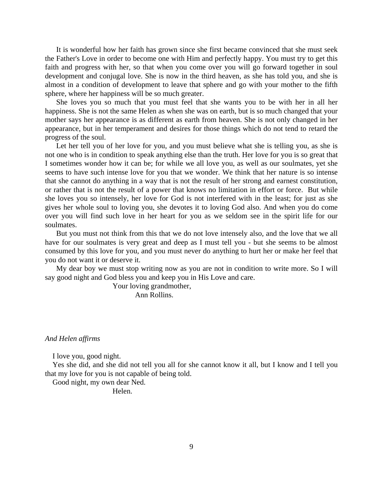It is wonderful how her faith has grown since she first became convinced that she must seek the Father's Love in order to become one with Him and perfectly happy. You must try to get this faith and progress with her, so that when you come over you will go forward together in soul development and conjugal love. She is now in the third heaven, as she has told you, and she is almost in a condition of development to leave that sphere and go with your mother to the fifth sphere, where her happiness will be so much greater.

 She loves you so much that you must feel that she wants you to be with her in all her happiness. She is not the same Helen as when she was on earth, but is so much changed that your mother says her appearance is as different as earth from heaven. She is not only changed in her appearance, but in her temperament and desires for those things which do not tend to retard the progress of the soul.

 Let her tell you of her love for you, and you must believe what she is telling you, as she is not one who is in condition to speak anything else than the truth. Her love for you is so great that I sometimes wonder how it can be; for while we all love you, as well as our soulmates, yet she seems to have such intense love for you that we wonder. We think that her nature is so intense that she cannot do anything in a way that is not the result of her strong and earnest constitution, or rather that is not the result of a power that knows no limitation in effort or force. But while she loves you so intensely, her love for God is not interfered with in the least; for just as she gives her whole soul to loving you, she devotes it to loving God also. And when you do come over you will find such love in her heart for you as we seldom see in the spirit life for our soulmates.

 But you must not think from this that we do not love intensely also, and the love that we all have for our soulmates is very great and deep as I must tell you - but she seems to be almost consumed by this love for you, and you must never do anything to hurt her or make her feel that you do not want it or deserve it.

 My dear boy we must stop writing now as you are not in condition to write more. So I will say good night and God bless you and keep you in His Love and care.

Your loving grandmother,

Ann Rollins.

#### *And Helen affirms*

I love you, good night.

 Yes she did, and she did not tell you all for she cannot know it all, but I know and I tell you that my love for you is not capable of being told.

Good night, my own dear Ned.

Helen.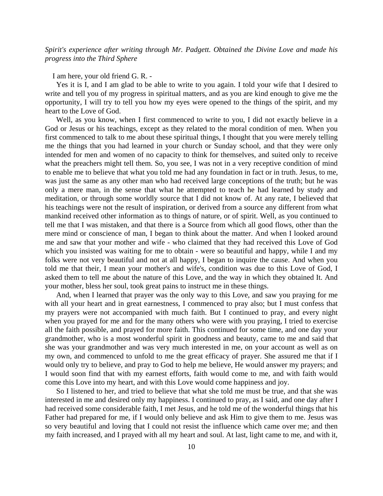*Spirit's experience after writing through Mr. Padgett. Obtained the Divine Love and made his progress into the Third Sphere* 

I am here, your old friend G. R. -

 Yes it is I, and I am glad to be able to write to you again. I told your wife that I desired to write and tell you of my progress in spiritual matters, and as you are kind enough to give me the opportunity, I will try to tell you how my eyes were opened to the things of the spirit, and my heart to the Love of God.

 Well, as you know, when I first commenced to write to you, I did not exactly believe in a God or Jesus or his teachings, except as they related to the moral condition of men. When you first commenced to talk to me about these spiritual things, I thought that you were merely telling me the things that you had learned in your church or Sunday school, and that they were only intended for men and women of no capacity to think for themselves, and suited only to receive what the preachers might tell them. So, you see, I was not in a very receptive condition of mind to enable me to believe that what you told me had any foundation in fact or in truth. Jesus, to me, was just the same as any other man who had received large conceptions of the truth; but he was only a mere man, in the sense that what he attempted to teach he had learned by study and meditation, or through some worldly source that I did not know of. At any rate, I believed that his teachings were not the result of inspiration, or derived from a source any different from what mankind received other information as to things of nature, or of spirit. Well, as you continued to tell me that I was mistaken, and that there is a Source from which all good flows, other than the mere mind or conscience of man, I began to think about the matter. And when I looked around me and saw that your mother and wife - who claimed that they had received this Love of God which you insisted was waiting for me to obtain - were so beautiful and happy, while I and my folks were not very beautiful and not at all happy, I began to inquire the cause. And when you told me that their, I mean your mother's and wife's, condition was due to this Love of God, I asked them to tell me about the nature of this Love, and the way in which they obtained It. And your mother, bless her soul, took great pains to instruct me in these things.

 And, when I learned that prayer was the only way to this Love, and saw you praying for me with all your heart and in great earnestness, I commenced to pray also; but I must confess that my prayers were not accompanied with much faith. But I continued to pray, and every night when you prayed for me and for the many others who were with you praying, I tried to exercise all the faith possible, and prayed for more faith. This continued for some time, and one day your grandmother, who is a most wonderful spirit in goodness and beauty, came to me and said that she was your grandmother and was very much interested in me, on your account as well as on my own, and commenced to unfold to me the great efficacy of prayer. She assured me that if I would only try to believe, and pray to God to help me believe, He would answer my prayers; and I would soon find that with my earnest efforts, faith would come to me, and with faith would come this Love into my heart, and with this Love would come happiness and joy.

 So I listened to her, and tried to believe that what she told me must be true, and that she was interested in me and desired only my happiness. I continued to pray, as I said, and one day after I had received some considerable faith, I met Jesus, and he told me of the wonderful things that his Father had prepared for me, if I would only believe and ask Him to give them to me. Jesus was so very beautiful and loving that I could not resist the influence which came over me; and then my faith increased, and I prayed with all my heart and soul. At last, light came to me, and with it,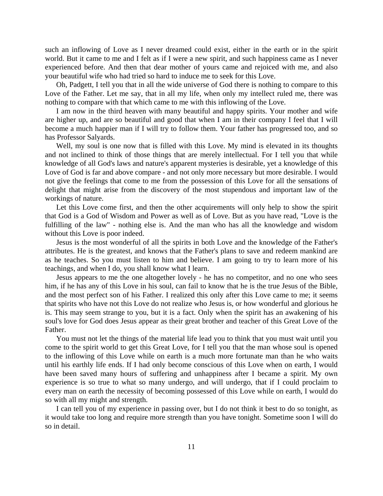such an inflowing of Love as I never dreamed could exist, either in the earth or in the spirit world. But it came to me and I felt as if I were a new spirit, and such happiness came as I never experienced before. And then that dear mother of yours came and rejoiced with me, and also your beautiful wife who had tried so hard to induce me to seek for this Love.

 Oh, Padgett, I tell you that in all the wide universe of God there is nothing to compare to this Love of the Father. Let me say, that in all my life, when only my intellect ruled me, there was nothing to compare with that which came to me with this inflowing of the Love.

 I am now in the third heaven with many beautiful and happy spirits. Your mother and wife are higher up, and are so beautiful and good that when I am in their company I feel that I will become a much happier man if I will try to follow them. Your father has progressed too, and so has Professor Salyards.

 Well, my soul is one now that is filled with this Love. My mind is elevated in its thoughts and not inclined to think of those things that are merely intellectual. For I tell you that while knowledge of all God's laws and nature's apparent mysteries is desirable, yet a knowledge of this Love of God is far and above compare - and not only more necessary but more desirable. I would not give the feelings that come to me from the possession of this Love for all the sensations of delight that might arise from the discovery of the most stupendous and important law of the workings of nature.

 Let this Love come first, and then the other acquirements will only help to show the spirit that God is a God of Wisdom and Power as well as of Love. But as you have read, "Love is the fulfilling of the law" - nothing else is. And the man who has all the knowledge and wisdom without this Love is poor indeed.

 Jesus is the most wonderful of all the spirits in both Love and the knowledge of the Father's attributes. He is the greatest, and knows that the Father's plans to save and redeem mankind are as he teaches. So you must listen to him and believe. I am going to try to learn more of his teachings, and when I do, you shall know what I learn.

 Jesus appears to me the one altogether lovely - he has no competitor, and no one who sees him, if he has any of this Love in his soul, can fail to know that he is the true Jesus of the Bible, and the most perfect son of his Father. I realized this only after this Love came to me; it seems that spirits who have not this Love do not realize who Jesus is, or how wonderful and glorious he is. This may seem strange to you, but it is a fact. Only when the spirit has an awakening of his soul's love for God does Jesus appear as their great brother and teacher of this Great Love of the Father.

 You must not let the things of the material life lead you to think that you must wait until you come to the spirit world to get this Great Love, for I tell you that the man whose soul is opened to the inflowing of this Love while on earth is a much more fortunate man than he who waits until his earthly life ends. If I had only become conscious of this Love when on earth, I would have been saved many hours of suffering and unhappiness after I became a spirit. My own experience is so true to what so many undergo, and will undergo, that if I could proclaim to every man on earth the necessity of becoming possessed of this Love while on earth, I would do so with all my might and strength.

 I can tell you of my experience in passing over, but I do not think it best to do so tonight, as it would take too long and require more strength than you have tonight. Sometime soon I will do so in detail.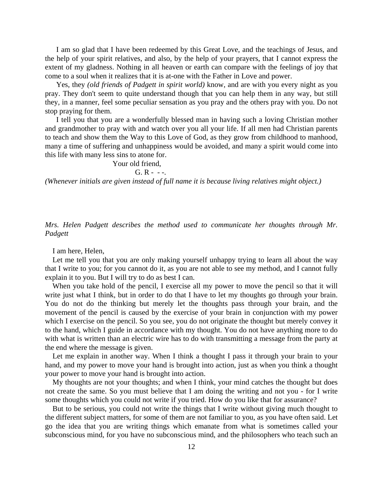I am so glad that I have been redeemed by this Great Love, and the teachings of Jesus, and the help of your spirit relatives, and also, by the help of your prayers, that I cannot express the extent of my gladness. Nothing in all heaven or earth can compare with the feelings of joy that come to a soul when it realizes that it is at-one with the Father in Love and power.

 Yes, they *(old friends of Padgett in spirit world)* know, and are with you every night as you pray. They don't seem to quite understand though that you can help them in any way, but still they, in a manner, feel some peculiar sensation as you pray and the others pray with you. Do not stop praying for them.

 I tell you that you are a wonderfully blessed man in having such a loving Christian mother and grandmother to pray with and watch over you all your life. If all men had Christian parents to teach and show them the Way to this Love of God, as they grow from childhood to manhood, many a time of suffering and unhappiness would be avoided, and many a spirit would come into this life with many less sins to atone for.

Your old friend,

 $G. R - - -$ .

*(Whenever initials are given instead of full name it is because living relatives might object.)* 

*Mrs. Helen Padgett describes the method used to communicate her thoughts through Mr. Padgett* 

I am here, Helen,

 Let me tell you that you are only making yourself unhappy trying to learn all about the way that I write to you; for you cannot do it, as you are not able to see my method, and I cannot fully explain it to you. But I will try to do as best I can.

 When you take hold of the pencil, I exercise all my power to move the pencil so that it will write just what I think, but in order to do that I have to let my thoughts go through your brain. You do not do the thinking but merely let the thoughts pass through your brain, and the movement of the pencil is caused by the exercise of your brain in conjunction with my power which I exercise on the pencil. So you see, you do not originate the thought but merely convey it to the hand, which I guide in accordance with my thought. You do not have anything more to do with what is written than an electric wire has to do with transmitting a message from the party at the end where the message is given.

Let me explain in another way. When I think a thought I pass it through your brain to your hand, and my power to move your hand is brought into action, just as when you think a thought your power to move your hand is brought into action.

 My thoughts are not your thoughts; and when I think, your mind catches the thought but does not create the same. So you must believe that I am doing the writing and not you - for I write some thoughts which you could not write if you tried. How do you like that for assurance?

 But to be serious, you could not write the things that I write without giving much thought to the different subject matters, for some of them are not familiar to you, as you have often said. Let go the idea that you are writing things which emanate from what is sometimes called your subconscious mind, for you have no subconscious mind, and the philosophers who teach such an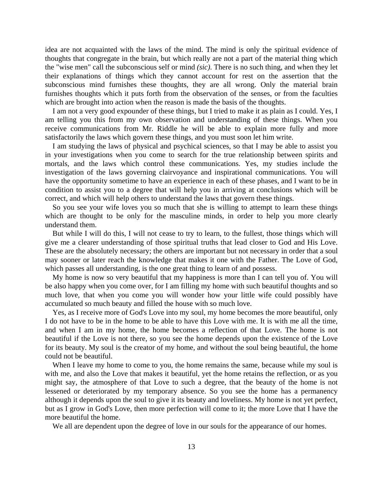idea are not acquainted with the laws of the mind. The mind is only the spiritual evidence of thoughts that congregate in the brain, but which really are not a part of the material thing which the "wise men" call the subconscious self or mind *(sic)*. There is no such thing, and when they let their explanations of things which they cannot account for rest on the assertion that the subconscious mind furnishes these thoughts, they are all wrong. Only the material brain furnishes thoughts which it puts forth from the observation of the senses, or from the faculties which are brought into action when the reason is made the basis of the thoughts.

 I am not a very good expounder of these things, but I tried to make it as plain as I could. Yes, I am telling you this from my own observation and understanding of these things. When you receive communications from Mr. Riddle he will be able to explain more fully and more satisfactorily the laws which govern these things, and you must soon let him write.

 I am studying the laws of physical and psychical sciences, so that I may be able to assist you in your investigations when you come to search for the true relationship between spirits and mortals, and the laws which control these communications. Yes, my studies include the investigation of the laws governing clairvoyance and inspirational communications. You will have the opportunity sometime to have an experience in each of these phases, and I want to be in condition to assist you to a degree that will help you in arriving at conclusions which will be correct, and which will help others to understand the laws that govern these things.

 So you see your wife loves you so much that she is willing to attempt to learn these things which are thought to be only for the masculine minds, in order to help you more clearly understand them.

 But while I will do this, I will not cease to try to learn, to the fullest, those things which will give me a clearer understanding of those spiritual truths that lead closer to God and His Love. These are the absolutely necessary; the others are important but not necessary in order that a soul may sooner or later reach the knowledge that makes it one with the Father. The Love of God, which passes all understanding, is the one great thing to learn of and possess.

 My home is now so very beautiful that my happiness is more than I can tell you of. You will be also happy when you come over, for I am filling my home with such beautiful thoughts and so much love, that when you come you will wonder how your little wife could possibly have accumulated so much beauty and filled the house with so much love.

 Yes, as I receive more of God's Love into my soul, my home becomes the more beautiful, only I do not have to be in the home to be able to have this Love with me. It is with me all the time, and when I am in my home, the home becomes a reflection of that Love. The home is not beautiful if the Love is not there, so you see the home depends upon the existence of the Love for its beauty. My soul is the creator of my home, and without the soul being beautiful, the home could not be beautiful.

When I leave my home to come to you, the home remains the same, because while my soul is with me, and also the Love that makes it beautiful, yet the home retains the reflection, or as you might say, the atmosphere of that Love to such a degree, that the beauty of the home is not lessened or deteriorated by my temporary absence. So you see the home has a permanency although it depends upon the soul to give it its beauty and loveliness. My home is not yet perfect, but as I grow in God's Love, then more perfection will come to it; the more Love that I have the more beautiful the home.

We all are dependent upon the degree of love in our souls for the appearance of our homes.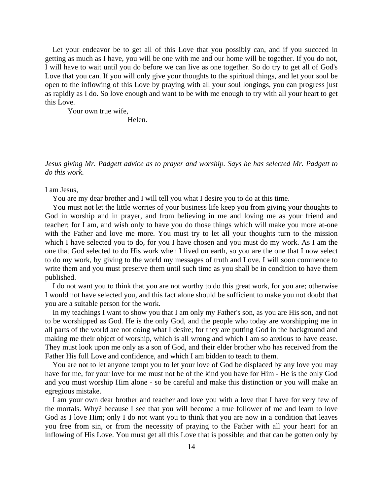Let your endeavor be to get all of this Love that you possibly can, and if you succeed in getting as much as I have, you will be one with me and our home will be together. If you do not, I will have to wait until you do before we can live as one together. So do try to get all of God's Love that you can. If you will only give your thoughts to the spiritual things, and let your soul be open to the inflowing of this Love by praying with all your soul longings, you can progress just as rapidly as I do. So love enough and want to be with me enough to try with all your heart to get this Love.

Your own true wife,

Helen.

*Jesus giving Mr. Padgett advice as to prayer and worship. Says he has selected Mr. Padgett to do this work.* 

I am Jesus,

You are my dear brother and I will tell you what I desire you to do at this time.

 You must not let the little worries of your business life keep you from giving your thoughts to God in worship and in prayer, and from believing in me and loving me as your friend and teacher; for I am, and wish only to have you do those things which will make you more at-one with the Father and love me more. You must try to let all your thoughts turn to the mission which I have selected you to do, for you I have chosen and you must do my work. As I am the one that God selected to do His work when I lived on earth, so you are the one that I now select to do my work, by giving to the world my messages of truth and Love. I will soon commence to write them and you must preserve them until such time as you shall be in condition to have them published.

 I do not want you to think that you are not worthy to do this great work, for you are; otherwise I would not have selected you, and this fact alone should be sufficient to make you not doubt that you are a suitable person for the work.

 In my teachings I want to show you that I am only my Father's son, as you are His son, and not to be worshipped as God. He is the only God, and the people who today are worshipping me in all parts of the world are not doing what I desire; for they are putting God in the background and making me their object of worship, which is all wrong and which I am so anxious to have cease. They must look upon me only as a son of God, and their elder brother who has received from the Father His full Love and confidence, and which I am bidden to teach to them.

 You are not to let anyone tempt you to let your love of God be displaced by any love you may have for me, for your love for me must not be of the kind you have for Him - He is the only God and you must worship Him alone - so be careful and make this distinction or you will make an egregious mistake.

 I am your own dear brother and teacher and love you with a love that I have for very few of the mortals. Why? because I see that you will become a true follower of me and learn to love God as I love Him; only I do not want you to think that you are now in a condition that leaves you free from sin, or from the necessity of praying to the Father with all your heart for an inflowing of His Love. You must get all this Love that is possible; and that can be gotten only by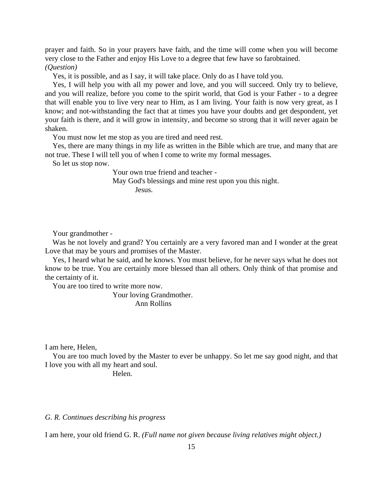prayer and faith. So in your prayers have faith, and the time will come when you will become very close to the Father and enjoy His Love to a degree that few have so farobtained. *(Question)* 

Yes, it is possible, and as I say, it will take place. Only do as I have told you.

 Yes, I will help you with all my power and love, and you will succeed. Only try to believe, and you will realize, before you come to the spirit world, that God is your Father - to a degree that will enable you to live very near to Him, as I am living. Your faith is now very great, as I know; and not-withstanding the fact that at times you have your doubts and get despondent, yet your faith is there, and it will grow in intensity, and become so strong that it will never again be shaken.

You must now let me stop as you are tired and need rest.

 Yes, there are many things in my life as written in the Bible which are true, and many that are not true. These I will tell you of when I come to write my formal messages.

So let us stop now.

Your own true friend and teacher -

 May God's blessings and mine rest upon you this night. Jesus.

Your grandmother -

 Was he not lovely and grand? You certainly are a very favored man and I wonder at the great Love that may be yours and promises of the Master.

 Yes, I heard what he said, and he knows. You must believe, for he never says what he does not know to be true. You are certainly more blessed than all others. Only think of that promise and the certainty of it.

You are too tired to write more now.

 Your loving Grandmother. Ann Rollins

I am here, Helen,

 You are too much loved by the Master to ever be unhappy. So let me say good night, and that I love you with all my heart and soul.

Helen.

#### *G. R. Continues describing his progress*

I am here, your old friend G. R. *(Full name not given because living relatives might object.)*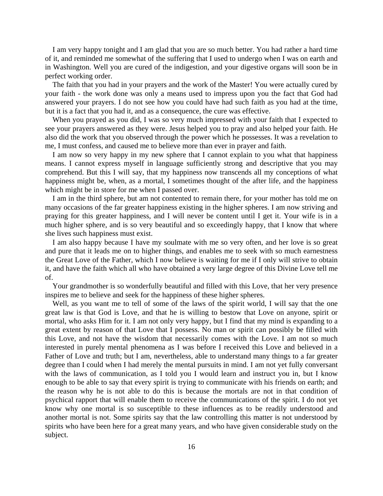I am very happy tonight and I am glad that you are so much better. You had rather a hard time of it, and reminded me somewhat of the suffering that I used to undergo when I was on earth and in Washington. Well you are cured of the indigestion, and your digestive organs will soon be in perfect working order.

 The faith that you had in your prayers and the work of the Master! You were actually cured by your faith - the work done was only a means used to impress upon you the fact that God had answered your prayers. I do not see how you could have had such faith as you had at the time, but it is a fact that you had it, and as a consequence, the cure was effective.

 When you prayed as you did, I was so very much impressed with your faith that I expected to see your prayers answered as they were. Jesus helped you to pray and also helped your faith. He also did the work that you observed through the power which he possesses. It was a revelation to me, I must confess, and caused me to believe more than ever in prayer and faith.

 I am now so very happy in my new sphere that I cannot explain to you what that happiness means. I cannot express myself in language sufficiently strong and descriptive that you may comprehend. But this I will say, that my happiness now transcends all my conceptions of what happiness might be, when, as a mortal, I sometimes thought of the after life, and the happiness which might be in store for me when I passed over.

 I am in the third sphere, but am not contented to remain there, for your mother has told me on many occasions of the far greater happiness existing in the higher spheres. I am now striving and praying for this greater happiness, and I will never be content until I get it. Your wife is in a much higher sphere, and is so very beautiful and so exceedingly happy, that I know that where she lives such happiness must exist.

 I am also happy because I have my soulmate with me so very often, and her love is so great and pure that it leads me on to higher things, and enables me to seek with so much earnestness the Great Love of the Father, which I now believe is waiting for me if I only will strive to obtain it, and have the faith which all who have obtained a very large degree of this Divine Love tell me of.

 Your grandmother is so wonderfully beautiful and filled with this Love, that her very presence inspires me to believe and seek for the happiness of these higher spheres.

 Well, as you want me to tell of some of the laws of the spirit world, I will say that the one great law is that God is Love, and that he is willing to bestow that Love on anyone, spirit or mortal, who asks Him for it. I am not only very happy, but I find that my mind is expanding to a great extent by reason of that Love that I possess. No man or spirit can possibly be filled with this Love, and not have the wisdom that necessarily comes with the Love. I am not so much interested in purely mental phenomena as I was before I received this Love and believed in a Father of Love and truth; but I am, nevertheless, able to understand many things to a far greater degree than I could when I had merely the mental pursuits in mind. I am not yet fully conversant with the laws of communication, as I told you I would learn and instruct you in, but I know enough to be able to say that every spirit is trying to communicate with his friends on earth; and the reason why he is not able to do this is because the mortals are not in that condition of psychical rapport that will enable them to receive the communications of the spirit. I do not yet know why one mortal is so susceptible to these influences as to be readily understood and another mortal is not. Some spirits say that the law controlling this matter is not understood by spirits who have been here for a great many years, and who have given considerable study on the subject.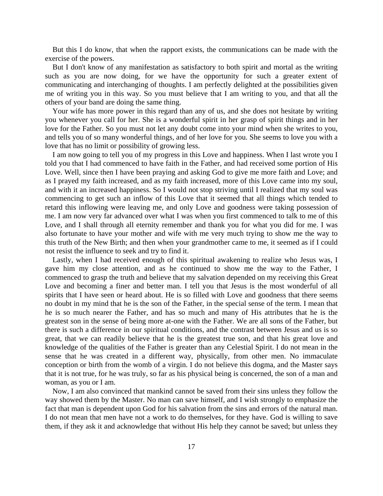But this I do know, that when the rapport exists, the communications can be made with the exercise of the powers.

 But I don't know of any manifestation as satisfactory to both spirit and mortal as the writing such as you are now doing, for we have the opportunity for such a greater extent of communicating and interchanging of thoughts. I am perfectly delighted at the possibilities given me of writing you in this way. So you must believe that I am writing to you, and that all the others of your band are doing the same thing.

 Your wife has more power in this regard than any of us, and she does not hesitate by writing you whenever you call for her. She is a wonderful spirit in her grasp of spirit things and in her love for the Father. So you must not let any doubt come into your mind when she writes to you, and tells you of so many wonderful things, and of her love for you. She seems to love you with a love that has no limit or possibility of growing less.

 I am now going to tell you of my progress in this Love and happiness. When I last wrote you I told you that I had commenced to have faith in the Father, and had received some portion of His Love. Well, since then I have been praying and asking God to give me more faith and Love; and as I prayed my faith increased, and as my faith increased, more of this Love came into my soul, and with it an increased happiness. So I would not stop striving until I realized that my soul was commencing to get such an inflow of this Love that it seemed that all things which tended to retard this inflowing were leaving me, and only Love and goodness were taking possession of me. I am now very far advanced over what I was when you first commenced to talk to me of this Love, and I shall through all eternity remember and thank you for what you did for me. I was also fortunate to have your mother and wife with me very much trying to show me the way to this truth of the New Birth; and then when your grandmother came to me, it seemed as if I could not resist the influence to seek and try to find it.

 Lastly, when I had received enough of this spiritual awakening to realize who Jesus was, I gave him my close attention, and as he continued to show me the way to the Father, I commenced to grasp the truth and believe that my salvation depended on my receiving this Great Love and becoming a finer and better man. I tell you that Jesus is the most wonderful of all spirits that I have seen or heard about. He is so filled with Love and goodness that there seems no doubt in my mind that he is the son of the Father, in the special sense of the term. I mean that he is so much nearer the Father, and has so much and many of His attributes that he is the greatest son in the sense of being more at-one with the Father. We are all sons of the Father, but there is such a difference in our spiritual conditions, and the contrast between Jesus and us is so great, that we can readily believe that he is the greatest true son, and that his great love and knowledge of the qualities of the Father is greater than any Celestial Spirit. I do not mean in the sense that he was created in a different way, physically, from other men. No immaculate conception or birth from the womb of a virgin. I do not believe this dogma, and the Master says that it is not true, for he was truly, so far as his physical being is concerned, the son of a man and woman, as you or I am.

 Now, I am also convinced that mankind cannot be saved from their sins unless they follow the way showed them by the Master. No man can save himself, and I wish strongly to emphasize the fact that man is dependent upon God for his salvation from the sins and errors of the natural man. I do not mean that men have not a work to do themselves, for they have. God is willing to save them, if they ask it and acknowledge that without His help they cannot be saved; but unless they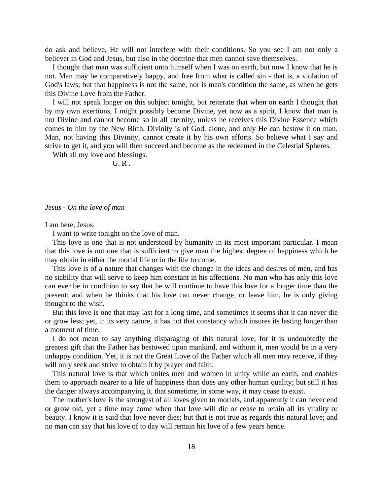do ask and believe, He will not interfere with their conditions. So you see I am not only a believer in God and Jesus, but also in the doctrine that men cannot save themselves.

 I thought that man was sufficient unto himself when I was on earth, but now I know that he is not. Man may be comparatively happy, and free from what is called sin - that is, a violation of God's laws; but that happiness is not the same, nor is man's condition the same, as when he gets this Divine Love from the Father.

 I will not speak longer on this subject tonight, but reiterate that when on earth I thought that by my own exertions, I might possibly become Divine, yet now as a spirit, I know that man is not Divine and cannot become so in all eternity, unless he receives this Divine Essence which comes to him by the New Birth. Divinity is of God, alone, and only He can bestow it on man. Man, not having this Divinity, cannot create it by his own efforts. So believe what I say and strive to get it, and you will then succeed and become as the redeemed in the Celestial Spheres.

With all my love and blessings.

 $G$ . R  $\overline{R}$ 

#### *Jesus - On the love of man*

I am here, Jesus.

I want to write tonight on the love of man.

 This love is one that is not understood by humanity in its most important particular. I mean that this love is not one that is sufficient to give man the highest degree of happiness which he may obtain in either the mortal life or in the life to come.

 This love is of a nature that changes with the change in the ideas and desires of men, and has no stability that will serve to keep him constant in his affections. No man who has only this love can ever be in condition to say that he will continue to have this love for a longer time than the present; and when he thinks that his love can never change, or leave him, he is only giving thought to the wish.

 But this love is one that may last for a long time, and sometimes it seems that it can never die or grow less; yet, in its very nature, it has not that constancy which insures its lasting longer than a moment of time.

 I do not mean to say anything disparaging of this natural love, for it is undoubtedly the greatest gift that the Father has bestowed upon mankind, and without it, men would be in a very unhappy condition. Yet, it is not the Great Love of the Father which all men may receive, if they will only seek and strive to obtain it by prayer and faith.

 This natural love is that which unites men and women in unity while an earth, and enables them to approach nearer to a life of happiness than does any other human quality; but still it has the danger always accompanying it, that sometime, in some way, it may cease to exist.

 The mother's love is the strongest of all loves given to mortals, and apparently it can never end or grow old, yet a time may come when that love will die or cease to retain all its vitality or beauty. I know it is said that love never dies; but that is not true as regards this natural love; and no man can say that his love of to day will remain his love of a few years hence.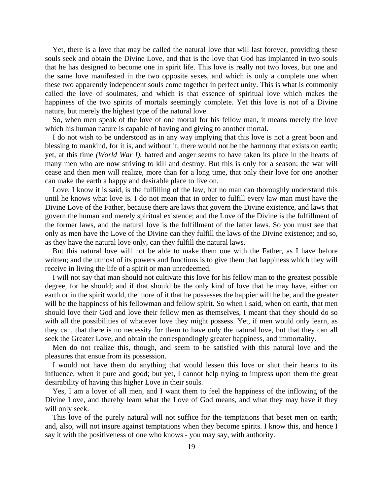Yet, there is a love that may be called the natural love that will last forever, providing these souls seek and obtain the Divine Love, and that is the love that God has implanted in two souls that he has designed to become one in spirit life. This love is really not two loves, but one and the same love manifested in the two opposite sexes, and which is only a complete one when these two apparently independent souls come together in perfect unity. This is what is commonly called the love of soulmates, and which is that essence of spiritual love which makes the happiness of the two spirits of mortals seemingly complete. Yet this love is not of a Divine nature, but merely the highest type of the natural love.

 So, when men speak of the love of one mortal for his fellow man, it means merely the love which his human nature is capable of having and giving to another mortal.

 I do not wish to be understood as in any way implying that this love is not a great boon and blessing to mankind, for it is, and without it, there would not be the harmony that exists on earth; yet, at this time *(World War I)*, hatred and anger seems to have taken its place in the hearts of many men who are now striving to kill and destroy. But this is only for a season; the war will cease and then men will realize, more than for a long time, that only their love for one another can make the earth a happy and desirable place to live on.

 Love, I know it is said, is the fulfilling of the law, but no man can thoroughly understand this until he knows what love is. I do not mean that in order to fulfill every law man must have the Divine Love of the Father, because there are laws that govern the Divine existence, and laws that govern the human and merely spiritual existence; and the Love of the Divine is the fulfillment of the former laws, and the natural love is the fulfillment of the latter laws. So you must see that only as men have the Love of the Divine can they fulfill the laws of the Divine existence; and so, as they have the natural love only, can they fulfill the natural laws.

 But this natural love will not be able to make them one with the Father, as I have before written; and the utmost of its powers and functions is to give them that happiness which they will receive in living the life of a spirit or man unredeemed.

 I will not say that man should not cultivate this love for his fellow man to the greatest possible degree, for he should; and if that should be the only kind of love that he may have, either on earth or in the spirit world, the more of it that he possesses the happier will he be, and the greater will be the happiness of his fellowman and fellow spirit. So when I said, when on earth, that men should love their God and love their fellow men as themselves, I meant that they should do so with all the possibilities of whatever love they might possess. Yet, if men would only learn, as they can, that there is no necessity for them to have only the natural love, but that they can all seek the Greater Love, and obtain the correspondingly greater happiness, and immortality.

 Men do not realize this, though, and seem to be satisfied with this natural love and the pleasures that ensue from its possession.

 I would not have them do anything that would lessen this love or shut their hearts to its influence, when it pure and good; but yet, I cannot help trying to impress upon them the great desirability of having this higher Love in their souls.

 Yes, I am a lover of all men, and I want them to feel the happiness of the inflowing of the Divine Love, and thereby learn what the Love of God means, and what they may have if they will only seek.

 This love of the purely natural will not suffice for the temptations that beset men on earth; and, also, will not insure against temptations when they become spirits. I know this, and hence I say it with the positiveness of one who knows - you may say, with authority.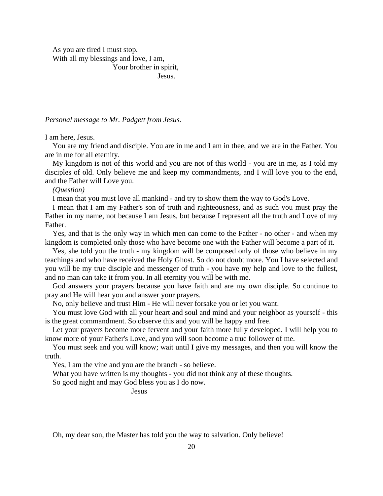As you are tired I must stop. With all my blessings and love, I am, Your brother in spirit, Jesus.

*Personal message to Mr. Padgett from Jesus.* 

I am here, Jesus.

 You are my friend and disciple. You are in me and I am in thee, and we are in the Father. You are in me for all eternity.

 My kingdom is not of this world and you are not of this world - you are in me, as I told my disciples of old. Only believe me and keep my commandments, and I will love you to the end, and the Father will Love you.

# *(Question)*

I mean that you must love all mankind - and try to show them the way to God's Love.

 I mean that I am my Father's son of truth and righteousness, and as such you must pray the Father in my name, not because I am Jesus, but because I represent all the truth and Love of my Father.

 Yes, and that is the only way in which men can come to the Father - no other - and when my kingdom is completed only those who have become one with the Father will become a part of it.

 Yes, she told you the truth - my kingdom will be composed only of those who believe in my teachings and who have received the Holy Ghost. So do not doubt more. You I have selected and you will be my true disciple and messenger of truth - you have my help and love to the fullest, and no man can take it from you. In all eternity you will be with me.

 God answers your prayers because you have faith and are my own disciple. So continue to pray and He will hear you and answer your prayers.

No, only believe and trust Him - He will never forsake you or let you want.

 You must love God with all your heart and soul and mind and your neighbor as yourself - this is the great commandment. So observe this and you will be happy and free.

 Let your prayers become more fervent and your faith more fully developed. I will help you to know more of your Father's Love, and you will soon become a true follower of me.

 You must seek and you will know; wait until I give my messages, and then you will know the truth.

Yes, I am the vine and you are the branch - so believe.

What you have written is my thoughts - you did not think any of these thoughts.

So good night and may God bless you as I do now.

**Jesus** 

Oh, my dear son, the Master has told you the way to salvation. Only believe!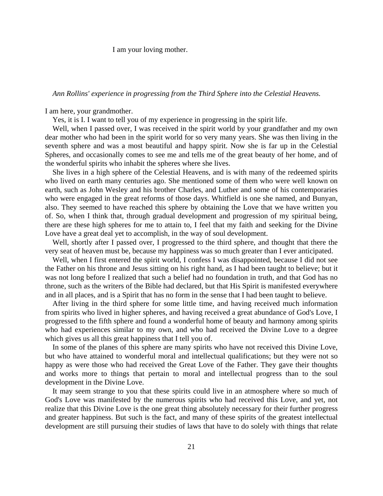I am your loving mother.

 *Ann Rollins' experience in progressing from the Third Sphere into the Celestial Heavens.* 

I am here, your grandmother.

Yes, it is I. I want to tell you of my experience in progressing in the spirit life.

Well, when I passed over, I was received in the spirit world by your grandfather and my own dear mother who had been in the spirit world for so very many years. She was then living in the seventh sphere and was a most beautiful and happy spirit. Now she is far up in the Celestial Spheres, and occasionally comes to see me and tells me of the great beauty of her home, and of the wonderful spirits who inhabit the spheres where she lives.

 She lives in a high sphere of the Celestial Heavens, and is with many of the redeemed spirits who lived on earth many centuries ago. She mentioned some of them who were well known on earth, such as John Wesley and his brother Charles, and Luther and some of his contemporaries who were engaged in the great reforms of those days. Whitfield is one she named, and Bunyan, also. They seemed to have reached this sphere by obtaining the Love that we have written you of. So, when I think that, through gradual development and progression of my spiritual being, there are these high spheres for me to attain to, I feel that my faith and seeking for the Divine Love have a great deal yet to accomplish, in the way of soul development.

 Well, shortly after I passed over, I progressed to the third sphere, and thought that there the very seat of heaven must be, because my happiness was so much greater than I ever anticipated.

 Well, when I first entered the spirit world, I confess I was disappointed, because I did not see the Father on his throne and Jesus sitting on his right hand, as I had been taught to believe; but it was not long before I realized that such a belief had no foundation in truth, and that God has no throne, such as the writers of the Bible had declared, but that His Spirit is manifested everywhere and in all places, and is a Spirit that has no form in the sense that I had been taught to believe.

 After living in the third sphere for some little time, and having received much information from spirits who lived in higher spheres, and having received a great abundance of God's Love, I progressed to the fifth sphere and found a wonderful home of beauty and harmony among spirits who had experiences similar to my own, and who had received the Divine Love to a degree which gives us all this great happiness that I tell you of.

 In some of the planes of this sphere are many spirits who have not received this Divine Love, but who have attained to wonderful moral and intellectual qualifications; but they were not so happy as were those who had received the Great Love of the Father. They gave their thoughts and works more to things that pertain to moral and intellectual progress than to the soul development in the Divine Love.

 It may seem strange to you that these spirits could live in an atmosphere where so much of God's Love was manifested by the numerous spirits who had received this Love, and yet, not realize that this Divine Love is the one great thing absolutely necessary for their further progress and greater happiness. But such is the fact, and many of these spirits of the greatest intellectual development are still pursuing their studies of laws that have to do solely with things that relate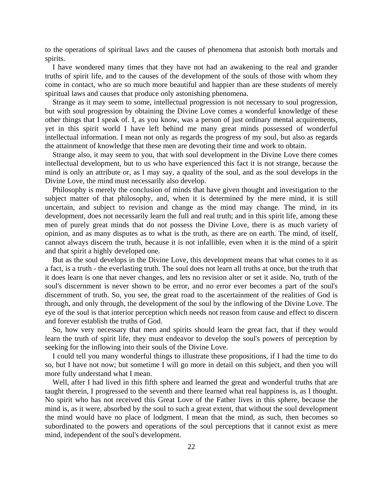to the operations of spiritual laws and the causes of phenomena that astonish both mortals and spirits.

 I have wondered many times that they have not had an awakening to the real and grander truths of spirit life, and to the causes of the development of the souls of those with whom they come in contact, who are so much more beautiful and happier than are these students of merely spiritual laws and causes that produce only astonishing phenomena.

 Strange as it may seem to some, intellectual progression is not necessary to soul progression, but with soul progression by obtaining the Divine Love comes a wonderful knowledge of these other things that I speak of. I, as you know, was a person of just ordinary mental acquirements, yet in this spirit world I have left behind me many great minds possessed of wonderful intellectual information. I mean not only as regards the progress of my soul, but also as regards the attainment of knowledge that these men are devoting their time and work to obtain.

 Strange also, it may seem to you, that with soul development in the Divine Love there comes intellectual development, but to us who have experienced this fact it is not strange, because the mind is only an attribute or, as I may say, a quality of the soul, and as the soul develops in the Divine Love, the mind must necessarily also develop.

 Philosophy is merely the conclusion of minds that have given thought and investigation to the subject matter of that philosophy, and, when it is determined by the mere mind, it is still uncertain, and subject to revision and change as the mind may change. The mind, in its development, does not necessarily learn the full and real truth; and in this spirit life, among these men of purely great minds that do not possess the Divine Love, there is as much variety of opinion, and as many disputes as to what is the truth, as there are on earth. The mind, of itself, cannot always discern the truth, because it is not infallible, even when it is the mind of a spirit and that spirit a highly developed one.

 But as the soul develops in the Divine Love, this development means that what comes to it as a fact, is a truth - the everlasting truth. The soul does not learn all truths at once, but the truth that it does learn is one that never changes, and lets no revision alter or set it aside. No, truth of the soul's discernment is never shown to be error, and no error ever becomes a part of the soul's discernment of truth. So, you see, the great road to the ascertainment of the realities of God is through, and only through, the development of the soul by the inflowing of the Divine Love. The eye of the soul is that interior perception which needs not reason from cause and effect to discern and forever establish the truths of God.

 So, how very necessary that men and spirits should learn the great fact, that if they would learn the truth of spirit life, they must endeavor to develop the soul's powers of perception by seeking for the inflowing into their souls of the Divine Love.

 I could tell you many wonderful things to illustrate these propositions, if I had the time to do so, but I have not now; but sometime I will go more in detail on this subject, and then you will more fully understand what I mean.

Well, after I had lived in this fifth sphere and learned the great and wonderful truths that are taught therein, I progressed to the seventh and there learned what real happiness is, as I thought. No spirit who has not received this Great Love of the Father lives in this sphere, because the mind is, as it were, absorbed by the soul to such a great extent, that without the soul development the mind would have no place of lodgment. I mean that the mind, as such, then becomes so subordinated to the powers and operations of the soul perceptions that it cannot exist as mere mind, independent of the soul's development.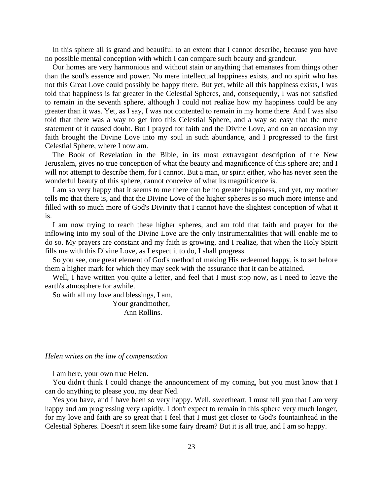In this sphere all is grand and beautiful to an extent that I cannot describe, because you have no possible mental conception with which I can compare such beauty and grandeur.

 Our homes are very harmonious and without stain or anything that emanates from things other than the soul's essence and power. No mere intellectual happiness exists, and no spirit who has not this Great Love could possibly be happy there. But yet, while all this happiness exists, I was told that happiness is far greater in the Celestial Spheres, and, consequently, I was not satisfied to remain in the seventh sphere, although I could not realize how my happiness could be any greater than it was. Yet, as I say, I was not contented to remain in my home there. And I was also told that there was a way to get into this Celestial Sphere, and a way so easy that the mere statement of it caused doubt. But I prayed for faith and the Divine Love, and on an occasion my faith brought the Divine Love into my soul in such abundance, and I progressed to the first Celestial Sphere, where I now am.

 The Book of Revelation in the Bible, in its most extravagant description of the New Jerusalem, gives no true conception of what the beauty and magnificence of this sphere are; and I will not attempt to describe them, for I cannot. But a man, or spirit either, who has never seen the wonderful beauty of this sphere, cannot conceive of what its magnificence is.

 I am so very happy that it seems to me there can be no greater happiness, and yet, my mother tells me that there is, and that the Divine Love of the higher spheres is so much more intense and filled with so much more of God's Divinity that I cannot have the slightest conception of what it is.

 I am now trying to reach these higher spheres, and am told that faith and prayer for the inflowing into my soul of the Divine Love are the only instrumentalities that will enable me to do so. My prayers are constant and my faith is growing, and I realize, that when the Holy Spirit fills me with this Divine Love, as I expect it to do, I shall progress.

 So you see, one great element of God's method of making His redeemed happy, is to set before them a higher mark for which they may seek with the assurance that it can be attained.

 Well, I have written you quite a letter, and feel that I must stop now, as I need to leave the earth's atmosphere for awhile.

So with all my love and blessings, I am,

Your grandmother, Ann Rollins.

### *Helen writes on the law of compensation*

I am here, your own true Helen.

 You didn't think I could change the announcement of my coming, but you must know that I can do anything to please you, my dear Ned.

 Yes you have, and I have been so very happy. Well, sweetheart, I must tell you that I am very happy and am progressing very rapidly. I don't expect to remain in this sphere very much longer, for my love and faith are so great that I feel that I must get closer to God's fountainhead in the Celestial Spheres. Doesn't it seem like some fairy dream? But it is all true, and I am so happy.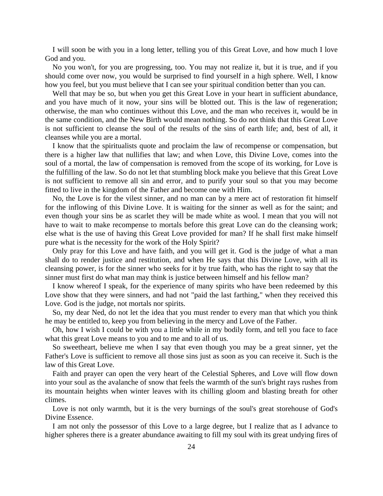I will soon be with you in a long letter, telling you of this Great Love, and how much I love God and you.

 No you won't, for you are progressing, too. You may not realize it, but it is true, and if you should come over now, you would be surprised to find yourself in a high sphere. Well, I know how you feel, but you must believe that I can see your spiritual condition better than you can.

 Well that may be so, but when you get this Great Love in your heart in sufficient abundance, and you have much of it now, your sins will be blotted out. This is the law of regeneration; otherwise, the man who continues without this Love, and the man who receives it, would be in the same condition, and the New Birth would mean nothing. So do not think that this Great Love is not sufficient to cleanse the soul of the results of the sins of earth life; and, best of all, it cleanses while you are a mortal.

 I know that the spiritualists quote and proclaim the law of recompense or compensation, but there is a higher law that nullifies that law; and when Love, this Divine Love, comes into the soul of a mortal, the law of compensation is removed from the scope of its working, for Love is the fulfilling of the law. So do not let that stumbling block make you believe that this Great Love is not sufficient to remove all sin and error, and to purify your soul so that you may become fitted to live in the kingdom of the Father and become one with Him.

 No, the Love is for the vilest sinner, and no man can by a mere act of restoration fit himself for the inflowing of this Divine Love. It is waiting for the sinner as well as for the saint; and even though your sins be as scarlet they will be made white as wool. I mean that you will not have to wait to make recompense to mortals before this great Love can do the cleansing work; else what is the use of having this Great Love provided for man? If he shall first make himself pure what is the necessity for the work of the Holy Spirit?

 Only pray for this Love and have faith, and you will get it. God is the judge of what a man shall do to render justice and restitution, and when He says that this Divine Love, with all its cleansing power, is for the sinner who seeks for it by true faith, who has the right to say that the sinner must first do what man may think is justice between himself and his fellow man?

 I know whereof I speak, for the experience of many spirits who have been redeemed by this Love show that they were sinners, and had not "paid the last farthing," when they received this Love. God is the judge, not mortals nor spirits.

 So, my dear Ned, do not let the idea that you must render to every man that which you think he may be entitled to, keep you from believing in the mercy and Love of the Father.

 Oh, how I wish I could be with you a little while in my bodily form, and tell you face to face what this great Love means to you and to me and to all of us.

 So sweetheart, believe me when I say that even though you may be a great sinner, yet the Father's Love is sufficient to remove all those sins just as soon as you can receive it. Such is the law of this Great Love.

 Faith and prayer can open the very heart of the Celestial Spheres, and Love will flow down into your soul as the avalanche of snow that feels the warmth of the sun's bright rays rushes from its mountain heights when winter leaves with its chilling gloom and blasting breath for other climes.

 Love is not only warmth, but it is the very burnings of the soul's great storehouse of God's Divine Essence.

 I am not only the possessor of this Love to a large degree, but I realize that as I advance to higher spheres there is a greater abundance awaiting to fill my soul with its great undying fires of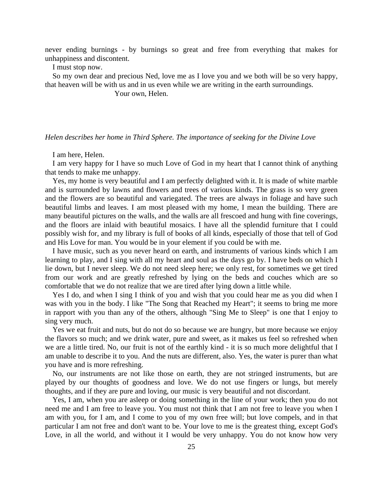never ending burnings - by burnings so great and free from everything that makes for unhappiness and discontent.

I must stop now.

 So my own dear and precious Ned, love me as I love you and we both will be so very happy, that heaven will be with us and in us even while we are writing in the earth surroundings.

Your own, Helen.

# *Helen describes her home in Third Sphere. The importance of seeking for the Divine Love*

## I am here, Helen.

 I am very happy for I have so much Love of God in my heart that I cannot think of anything that tends to make me unhappy.

 Yes, my home is very beautiful and I am perfectly delighted with it. It is made of white marble and is surrounded by lawns and flowers and trees of various kinds. The grass is so very green and the flowers are so beautiful and variegated. The trees are always in foliage and have such beautiful limbs and leaves. I am most pleased with my home, I mean the building. There are many beautiful pictures on the walls, and the walls are all frescoed and hung with fine coverings, and the floors are inlaid with beautiful mosaics. I have all the splendid furniture that I could possibly wish for, and my library is full of books of all kinds, especially of those that tell of God and His Love for man. You would be in your element if you could be with me.

 I have music, such as you never heard on earth, and instruments of various kinds which I am learning to play, and I sing with all my heart and soul as the days go by. I have beds on which I lie down, but I never sleep. We do not need sleep here; we only rest, for sometimes we get tired from our work and are greatly refreshed by lying on the beds and couches which are so comfortable that we do not realize that we are tired after lying down a little while.

 Yes I do, and when I sing I think of you and wish that you could hear me as you did when I was with you in the body. I like "The Song that Reached my Heart"; it seems to bring me more in rapport with you than any of the others, although "Sing Me to Sleep" is one that I enjoy to sing very much.

 Yes we eat fruit and nuts, but do not do so because we are hungry, but more because we enjoy the flavors so much; and we drink water, pure and sweet, as it makes us feel so refreshed when we are a little tired. No, our fruit is not of the earthly kind - it is so much more delightful that I am unable to describe it to you. And the nuts are different, also. Yes, the water is purer than what you have and is more refreshing.

 No, our instruments are not like those on earth, they are not stringed instruments, but are played by our thoughts of goodness and love. We do not use fingers or lungs, but merely thoughts, and if they are pure and loving, our music is very beautiful and not discordant.

 Yes, I am, when you are asleep or doing something in the line of your work; then you do not need me and I am free to leave you. You must not think that I am not free to leave you when I am with you, for I am, and I come to you of my own free will; but love compels, and in that particular I am not free and don't want to be. Your love to me is the greatest thing, except God's Love, in all the world, and without it I would be very unhappy. You do not know how very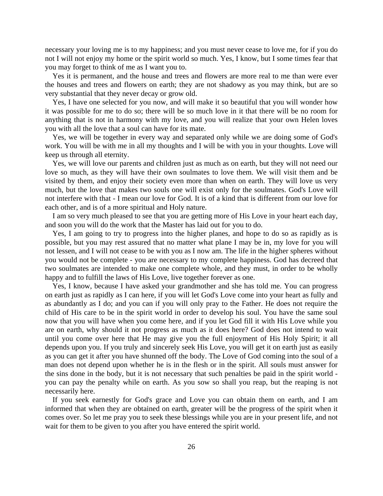necessary your loving me is to my happiness; and you must never cease to love me, for if you do not I will not enjoy my home or the spirit world so much. Yes, I know, but I some times fear that you may forget to think of me as I want you to.

 Yes it is permanent, and the house and trees and flowers are more real to me than were ever the houses and trees and flowers on earth; they are not shadowy as you may think, but are so very substantial that they never decay or grow old.

 Yes, I have one selected for you now, and will make it so beautiful that you will wonder how it was possible for me to do so; there will be so much love in it that there will be no room for anything that is not in harmony with my love, and you will realize that your own Helen loves you with all the love that a soul can have for its mate.

 Yes, we will be together in every way and separated only while we are doing some of God's work. You will be with me in all my thoughts and I will be with you in your thoughts. Love will keep us through all eternity.

 Yes, we will love our parents and children just as much as on earth, but they will not need our love so much, as they will have their own soulmates to love them. We will visit them and be visited by them, and enjoy their society even more than when on earth. They will love us very much, but the love that makes two souls one will exist only for the soulmates. God's Love will not interfere with that - I mean our love for God. It is of a kind that is different from our love for each other, and is of a more spiritual and Holy nature.

 I am so very much pleased to see that you are getting more of His Love in your heart each day, and soon you will do the work that the Master has laid out for you to do.

 Yes, I am going to try to progress into the higher planes, and hope to do so as rapidly as is possible, but you may rest assured that no matter what plane I may be in, my love for you will not lessen, and I will not cease to be with you as I now am. The life in the higher spheres without you would not be complete - you are necessary to my complete happiness. God has decreed that two soulmates are intended to make one complete whole, and they must, in order to be wholly happy and to fulfill the laws of His Love, live together forever as one.

 Yes, I know, because I have asked your grandmother and she has told me. You can progress on earth just as rapidly as I can here, if you will let God's Love come into your heart as fully and as abundantly as I do; and you can if you will only pray to the Father. He does not require the child of His care to be in the spirit world in order to develop his soul. You have the same soul now that you will have when you come here, and if you let God fill it with His Love while you are on earth, why should it not progress as much as it does here? God does not intend to wait until you come over here that He may give you the full enjoyment of His Holy Spirit; it all depends upon you. If you truly and sincerely seek His Love, you will get it on earth just as easily as you can get it after you have shunned off the body. The Love of God coming into the soul of a man does not depend upon whether he is in the flesh or in the spirit. All souls must answer for the sins done in the body, but it is not necessary that such penalties be paid in the spirit world you can pay the penalty while on earth. As you sow so shall you reap, but the reaping is not necessarily here.

 If you seek earnestly for God's grace and Love you can obtain them on earth, and I am informed that when they are obtained on earth, greater will be the progress of the spirit when it comes over. So let me pray you to seek these blessings while you are in your present life, and not wait for them to be given to you after you have entered the spirit world.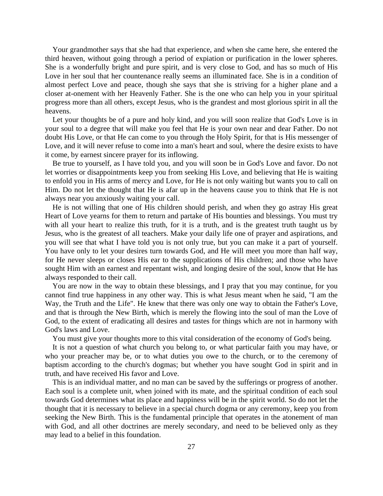Your grandmother says that she had that experience, and when she came here, she entered the third heaven, without going through a period of expiation or purification in the lower spheres. She is a wonderfully bright and pure spirit, and is very close to God, and has so much of His Love in her soul that her countenance really seems an illuminated face. She is in a condition of almost perfect Love and peace, though she says that she is striving for a higher plane and a closer at-onement with her Heavenly Father. She is the one who can help you in your spiritual progress more than all others, except Jesus, who is the grandest and most glorious spirit in all the heavens.

 Let your thoughts be of a pure and holy kind, and you will soon realize that God's Love is in your soul to a degree that will make you feel that He is your own near and dear Father. Do not doubt His Love, or that He can come to you through the Holy Spirit, for that is His messenger of Love, and it will never refuse to come into a man's heart and soul, where the desire exists to have it come, by earnest sincere prayer for its inflowing.

 Be true to yourself, as I have told you, and you will soon be in God's Love and favor. Do not let worries or disappointments keep you from seeking His Love, and believing that He is waiting to enfold you in His arms of mercy and Love, for He is not only waiting but wants you to call on Him. Do not let the thought that He is afar up in the heavens cause you to think that He is not always near you anxiously waiting your call.

 He is not willing that one of His children should perish, and when they go astray His great Heart of Love yearns for them to return and partake of His bounties and blessings. You must try with all your heart to realize this truth, for it is a truth, and is the greatest truth taught us by Jesus, who is the greatest of all teachers. Make your daily life one of prayer and aspirations, and you will see that what I have told you is not only true, but you can make it a part of yourself. You have only to let your desires turn towards God, and He will meet you more than half way, for He never sleeps or closes His ear to the supplications of His children; and those who have sought Him with an earnest and repentant wish, and longing desire of the soul, know that He has always responded to their call.

 You are now in the way to obtain these blessings, and I pray that you may continue, for you cannot find true happiness in any other way. This is what Jesus meant when he said, "I am the Way, the Truth and the Life". He knew that there was only one way to obtain the Father's Love, and that is through the New Birth, which is merely the flowing into the soul of man the Love of God, to the extent of eradicating all desires and tastes for things which are not in harmony with God's laws and Love.

You must give your thoughts more to this vital consideration of the economy of God's being.

 It is not a question of what church you belong to, or what particular faith you may have, or who your preacher may be, or to what duties you owe to the church, or to the ceremony of baptism according to the church's dogmas; but whether you have sought God in spirit and in truth, and have received His favor and Love.

 This is an individual matter, and no man can be saved by the sufferings or progress of another. Each soul is a complete unit, when joined with its mate, and the spiritual condition of each soul towards God determines what its place and happiness will be in the spirit world. So do not let the thought that it is necessary to believe in a special church dogma or any ceremony, keep you from seeking the New Birth. This is the fundamental principle that operates in the atonement of man with God, and all other doctrines are merely secondary, and need to be believed only as they may lead to a belief in this foundation.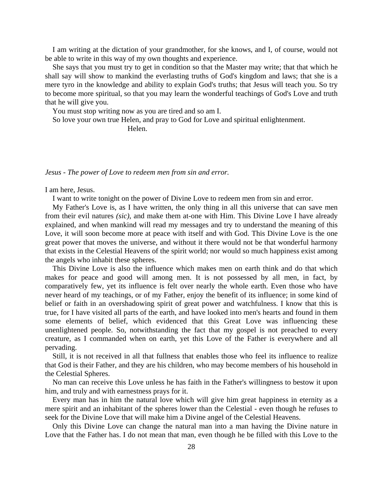I am writing at the dictation of your grandmother, for she knows, and I, of course, would not be able to write in this way of my own thoughts and experience.

 She says that you must try to get in condition so that the Master may write; that that which he shall say will show to mankind the everlasting truths of God's kingdom and laws; that she is a mere tyro in the knowledge and ability to explain God's truths; that Jesus will teach you. So try to become more spiritual, so that you may learn the wonderful teachings of God's Love and truth that he will give you.

You must stop writing now as you are tired and so am I.

So love your own true Helen, and pray to God for Love and spiritual enlightenment.

Helen.

*Jesus - The power of Love to redeem men from sin and error.* 

I am here, Jesus.

I want to write tonight on the power of Divine Love to redeem men from sin and error.

 My Father's Love is, as I have written, the only thing in all this universe that can save men from their evil natures *(sic)*, and make them at-one with Him. This Divine Love I have already explained, and when mankind will read my messages and try to understand the meaning of this Love, it will soon become more at peace with itself and with God. This Divine Love is the one great power that moves the universe, and without it there would not be that wonderful harmony that exists in the Celestial Heavens of the spirit world; nor would so much happiness exist among the angels who inhabit these spheres.

 This Divine Love is also the influence which makes men on earth think and do that which makes for peace and good will among men. It is not possessed by all men, in fact, by comparatively few, yet its influence is felt over nearly the whole earth. Even those who have never heard of my teachings, or of my Father, enjoy the benefit of its influence; in some kind of belief or faith in an overshadowing spirit of great power and watchfulness. I know that this is true, for I have visited all parts of the earth, and have looked into men's hearts and found in them some elements of belief, which evidenced that this Great Love was influencing these unenlightened people. So, notwithstanding the fact that my gospel is not preached to every creature, as I commanded when on earth, yet this Love of the Father is everywhere and all pervading.

 Still, it is not received in all that fullness that enables those who feel its influence to realize that God is their Father, and they are his children, who may become members of his household in the Celestial Spheres.

 No man can receive this Love unless he has faith in the Father's willingness to bestow it upon him, and truly and with earnestness prays for it.

 Every man has in him the natural love which will give him great happiness in eternity as a mere spirit and an inhabitant of the spheres lower than the Celestial - even though he refuses to seek for the Divine Love that will make him a Divine angel of the Celestial Heavens.

 Only this Divine Love can change the natural man into a man having the Divine nature in Love that the Father has. I do not mean that man, even though he be filled with this Love to the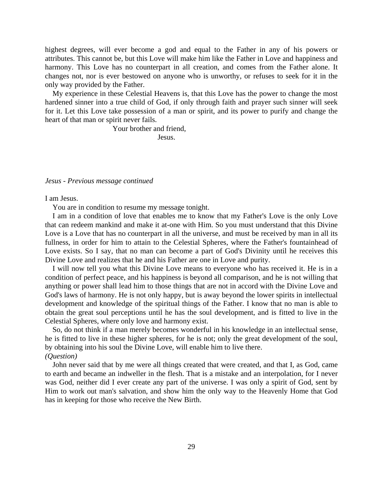highest degrees, will ever become a god and equal to the Father in any of his powers or attributes. This cannot be, but this Love will make him like the Father in Love and happiness and harmony. This Love has no counterpart in all creation, and comes from the Father alone. It changes not, nor is ever bestowed on anyone who is unworthy, or refuses to seek for it in the only way provided by the Father.

 My experience in these Celestial Heavens is, that this Love has the power to change the most hardened sinner into a true child of God, if only through faith and prayer such sinner will seek for it. Let this Love take possession of a man or spirit, and its power to purify and change the heart of that man or spirit never fails.

> Your brother and friend, Jesus.

#### *Jesus - Previous message continued*

I am Jesus.

You are in condition to resume my message tonight.

 I am in a condition of love that enables me to know that my Father's Love is the only Love that can redeem mankind and make it at-one with Him. So you must understand that this Divine Love is a Love that has no counterpart in all the universe, and must be received by man in all its fullness, in order for him to attain to the Celestial Spheres, where the Father's fountainhead of Love exists. So I say, that no man can become a part of God's Divinity until he receives this Divine Love and realizes that he and his Father are one in Love and purity.

 I will now tell you what this Divine Love means to everyone who has received it. He is in a condition of perfect peace, and his happiness is beyond all comparison, and he is not willing that anything or power shall lead him to those things that are not in accord with the Divine Love and God's laws of harmony. He is not only happy, but is away beyond the lower spirits in intellectual development and knowledge of the spiritual things of the Father. I know that no man is able to obtain the great soul perceptions until he has the soul development, and is fitted to live in the Celestial Spheres, where only love and harmony exist.

 So, do not think if a man merely becomes wonderful in his knowledge in an intellectual sense, he is fitted to live in these higher spheres, for he is not; only the great development of the soul, by obtaining into his soul the Divine Love, will enable him to live there. *(Question)* 

John never said that by me were all things created that were created, and that I, as God, came to earth and became an indweller in the flesh. That is a mistake and an interpolation, for I never was God, neither did I ever create any part of the universe. I was only a spirit of God, sent by Him to work out man's salvation, and show him the only way to the Heavenly Home that God has in keeping for those who receive the New Birth.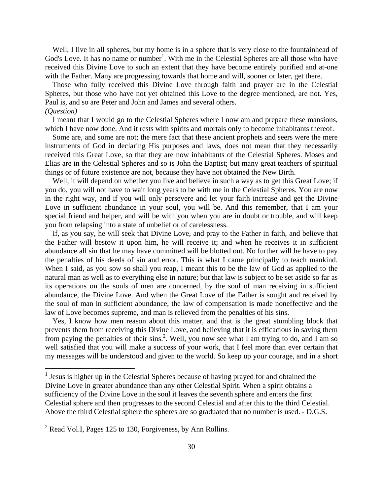Well, I live in all spheres, but my home is in a sphere that is very close to the fountainhead of God's Love. It has no name or number<sup>1</sup>. With me in the Celestial Spheres are all those who have received this Divine Love to such an extent that they have become entirely purified and at-one with the Father. Many are progressing towards that home and will, sooner or later, get there.

 Those who fully received this Divine Love through faith and prayer are in the Celestial Spheres, but those who have not yet obtained this Love to the degree mentioned, are not. Yes, Paul is, and so are Peter and John and James and several others.

## *(Question)*

I meant that I would go to the Celestial Spheres where I now am and prepare these mansions, which I have now done. And it rests with spirits and mortals only to become inhabitants thereof.

 Some are, and some are not; the mere fact that these ancient prophets and seers were the mere instruments of God in declaring His purposes and laws, does not mean that they necessarily received this Great Love, so that they are now inhabitants of the Celestial Spheres. Moses and Elias are in the Celestial Spheres and so is John the Baptist; but many great teachers of spiritual things or of future existence are not, because they have not obtained the New Birth.

 Well, it will depend on whether you live and believe in such a way as to get this Great Love; if you do, you will not have to wait long years to be with me in the Celestial Spheres. You are now in the right way, and if you will only persevere and let your faith increase and get the Divine Love in sufficient abundance in your soul, you will be. And this remember, that I am your special friend and helper, and will be with you when you are in doubt or trouble, and will keep you from relapsing into a state of unbelief or of carelessness.

 If, as you say, he will seek that Divine Love, and pray to the Father in faith, and believe that the Father will bestow it upon him, he will receive it; and when he receives it in sufficient abundance all sin that he may have committed will be blotted out. No further will he have to pay the penalties of his deeds of sin and error. This is what I came principally to teach mankind. When I said, as you sow so shall you reap, I meant this to be the law of God as applied to the natural man as well as to everything else in nature; but that law is subject to be set aside so far as its operations on the souls of men are concerned, by the soul of man receiving in sufficient abundance, the Divine Love. And when the Great Love of the Father is sought and received by the soul of man in sufficient abundance, the law of compensation is made noneffective and the law of Love becomes supreme, and man is relieved from the penalties of his sins.

 Yes, I know how men reason about this matter, and that is the great stumbling block that prevents them from receiving this Divine Love, and believing that it is efficacious in saving them from paying the penalties of their sins.<sup>2</sup>. Well, you now see what I am trying to do, and I am so well satisfied that you will make a success of your work, that I feel more than ever certain that my messages will be understood and given to the world. So keep up your courage, and in a short

<sup>&</sup>lt;sup>1</sup> Jesus is higher up in the Celestial Spheres because of having prayed for and obtained the Divine Love in greater abundance than any other Celestial Spirit. When a spirit obtains a sufficiency of the Divine Love in the soul it leaves the seventh sphere and enters the first Celestial sphere and then progresses to the second Celestial and after this to the third Celestial. Above the third Celestial sphere the spheres are so graduated that no number is used. - D.G.S.

 $2^2$  Read Vol.I, Pages 125 to 130, Forgiveness, by Ann Rollins.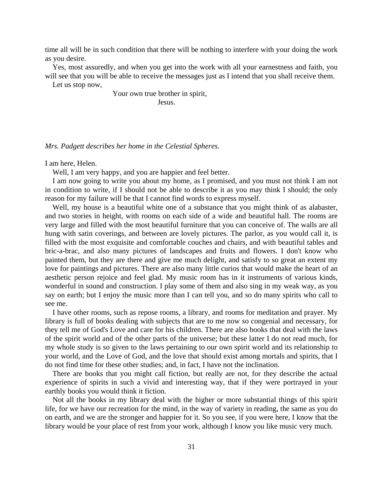time all will be in such condition that there will be nothing to interfere with your doing the work as you desire.

 Yes, most assuredly, and when you get into the work with all your earnestness and faith, you will see that you will be able to receive the messages just as I intend that you shall receive them.

Let us stop now,

 Your own true brother in spirit, Jesus.

*Mrs. Padgett describes her home in the Celestial Spheres.* 

I am here, Helen.

Well, I am very happy, and you are happier and feel better.

 I am now going to write you about my home, as I promised, and you must not think I am not in condition to write, if I should not be able to describe it as you may think I should; the only reason for my failure will be that I cannot find words to express myself.

 Well, my house is a beautiful white one of a substance that you might think of as alabaster, and two stories in height, with rooms on each side of a wide and beautiful hall. The rooms are very large and filled with the most beautiful furniture that you can conceive of. The walls are all hung with satin coverings, and between are lovely pictures. The parlor, as you would call it, is filled with the most exquisite and comfortable couches and chairs, and with beautiful tables and bric-a-brac, and also many pictures of landscapes and fruits and flowers. I don't know who painted them, but they are there and give me much delight, and satisfy to so great an extent my love for paintings and pictures. There are also many little curios that would make the heart of an aesthetic person rejoice and feel glad. My music room has in it instruments of various kinds, wonderful in sound and construction. I play some of them and also sing in my weak way, as you say on earth; but I enjoy the music more than I can tell you, and so do many spirits who call to see me.

 I have other rooms, such as repose rooms, a library, and rooms for meditation and prayer. My library is full of books dealing with subjects that are to me now so congenial and necessary, for they tell me of God's Love and care for his children. There are also books that deal with the laws of the spirit world and of the other parts of the universe; but these latter I do not read much, for my whole study is so given to the laws pertaining to our own spirit world and its relationship to your world, and the Love of God, and the love that should exist among mortals and spirits, that I do not find time for these other studies; and, in fact, I have not the inclination.

 There are books that you might call fiction, but really are not, for they describe the actual experience of spirits in such a vivid and interesting way, that if they were portrayed in your earthly books you would think it fiction.

 Not all the books in my library deal with the higher or more substantial things of this spirit life, for we have our recreation for the mind, in the way of variety in reading, the same as you do on earth, and we are the stronger and happier for it. So you see, if you were here, I know that the library would be your place of rest from your work, although I know you like music very much.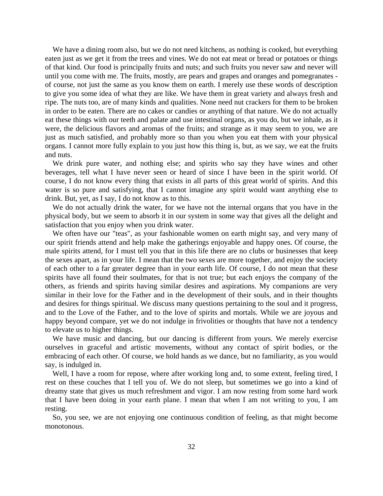We have a dining room also, but we do not need kitchens, as nothing is cooked, but everything eaten just as we get it from the trees and vines. We do not eat meat or bread or potatoes or things of that kind. Our food is principally fruits and nuts; and such fruits you never saw and never will until you come with me. The fruits, mostly, are pears and grapes and oranges and pomegranates of course, not just the same as you know them on earth. I merely use these words of description to give you some idea of what they are like. We have them in great variety and always fresh and ripe. The nuts too, are of many kinds and qualities. None need nut crackers for them to be broken in order to be eaten. There are no cakes or candies or anything of that nature. We do not actually eat these things with our teeth and palate and use intestinal organs, as you do, but we inhale, as it were, the delicious flavors and aromas of the fruits; and strange as it may seem to you, we are just as much satisfied, and probably more so than you when you eat them with your physical organs. I cannot more fully explain to you just how this thing is, but, as we say, we eat the fruits and nuts.

 We drink pure water, and nothing else; and spirits who say they have wines and other beverages, tell what I have never seen or heard of since I have been in the spirit world. Of course, I do not know every thing that exists in all parts of this great world of spirits. And this water is so pure and satisfying, that I cannot imagine any spirit would want anything else to drink. But, yet, as I say, I do not know as to this.

 We do not actually drink the water, for we have not the internal organs that you have in the physical body, but we seem to absorb it in our system in some way that gives all the delight and satisfaction that you enjoy when you drink water.

 We often have our "teas", as your fashionable women on earth might say, and very many of our spirit friends attend and help make the gatherings enjoyable and happy ones. Of course, the male spirits attend, for I must tell you that in this life there are no clubs or businesses that keep the sexes apart, as in your life. I mean that the two sexes are more together, and enjoy the society of each other to a far greater degree than in your earth life. Of course, I do not mean that these spirits have all found their soulmates, for that is not true; but each enjoys the company of the others, as friends and spirits having similar desires and aspirations. My companions are very similar in their love for the Father and in the development of their souls, and in their thoughts and desires for things spiritual. We discuss many questions pertaining to the soul and it progress, and to the Love of the Father, and to the love of spirits and mortals. While we are joyous and happy beyond compare, yet we do not indulge in frivolities or thoughts that have not a tendency to elevate us to higher things.

 We have music and dancing, but our dancing is different from yours. We merely exercise ourselves in graceful and artistic movements, without any contact of spirit bodies, or the embracing of each other. Of course, we hold hands as we dance, but no familiarity, as you would say, is indulged in.

 Well, I have a room for repose, where after working long and, to some extent, feeling tired, I rest on these couches that I tell you of. We do not sleep, but sometimes we go into a kind of dreamy state that gives us much refreshment and vigor. I am now resting from some hard work that I have been doing in your earth plane. I mean that when I am not writing to you, I am resting.

 So, you see, we are not enjoying one continuous condition of feeling, as that might become monotonous.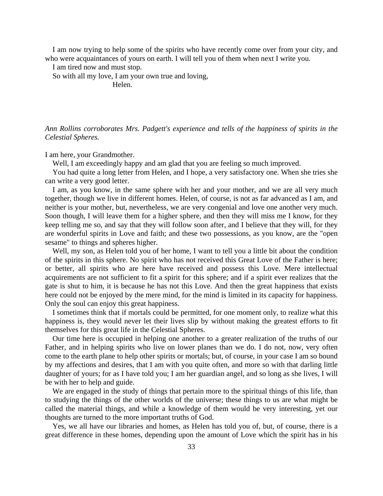I am now trying to help some of the spirits who have recently come over from your city, and who were acquaintances of yours on earth. I will tell you of them when next I write you.

I am tired now and must stop.

So with all my love, I am your own true and loving,

Helen.

*Ann Rollins corroborates Mrs. Padgett's experience and tells of the happiness of spirits in the Celestial Spheres.* 

I am here, your Grandmother.

Well, I am exceedingly happy and am glad that you are feeling so much improved.

 You had quite a long letter from Helen, and I hope, a very satisfactory one. When she tries she can write a very good letter.

 I am, as you know, in the same sphere with her and your mother, and we are all very much together, though we live in different homes. Helen, of course, is not as far advanced as I am, and neither is your mother, but, nevertheless, we are very congenial and love one another very much. Soon though, I will leave them for a higher sphere, and then they will miss me I know, for they keep telling me so, and say that they will follow soon after, and I believe that they will, for they are wonderful spirits in Love and faith; and these two possessions, as you know, are the "open sesame" to things and spheres higher.

 Well, my son, as Helen told you of her home, I want to tell you a little bit about the condition of the spirits in this sphere. No spirit who has not received this Great Love of the Father is here; or better, all spirits who are here have received and possess this Love. Mere intellectual acquirements are not sufficient to fit a spirit for this sphere; and if a spirit ever realizes that the gate is shut to him, it is because he has not this Love. And then the great happiness that exists here could not be enjoyed by the mere mind, for the mind is limited in its capacity for happiness. Only the soul can enjoy this great happiness.

 I sometimes think that if mortals could be permitted, for one moment only, to realize what this happiness is, they would never let their lives slip by without making the greatest efforts to fit themselves for this great life in the Celestial Spheres.

 Our time here is occupied in helping one another to a greater realization of the truths of our Father, and in helping spirits who live on lower planes than we do. I do not, now, very often come to the earth plane to help other spirits or mortals; but, of course, in your case I am so bound by my affections and desires, that I am with you quite often, and more so with that darling little daughter of yours; for as I have told you; I am her guardian angel, and so long as she lives, I will be with her to help and guide.

 We are engaged in the study of things that pertain more to the spiritual things of this life, than to studying the things of the other worlds of the universe; these things to us are what might be called the material things, and while a knowledge of them would be very interesting, yet our thoughts are turned to the more important truths of God.

 Yes, we all have our libraries and homes, as Helen has told you of, but, of course, there is a great difference in these homes, depending upon the amount of Love which the spirit has in his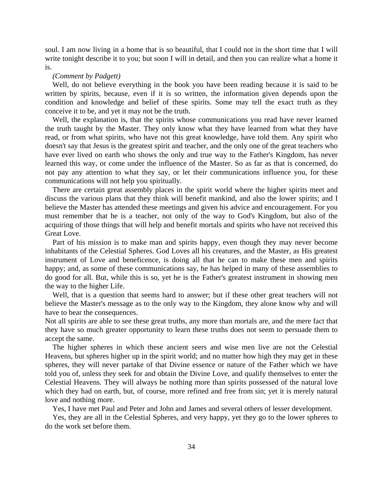soul. I am now living in a home that is so beautiful, that I could not in the short time that I will write tonight describe it to you; but soon I will in detail, and then you can realize what a home it is.

#### *(Comment by Padgett)*

Well, do not believe everything in the book you have been reading because it is said to be written by spirits, because, even if it is so written, the information given depends upon the condition and knowledge and belief of these spirits. Some may tell the exact truth as they conceive it to be, and yet it may not be the truth.

 Well, the explanation is, that the spirits whose communications you read have never learned the truth taught by the Master. They only know what they have learned from what they have read, or from what spirits, who have not this great knowledge, have told them. Any spirit who doesn't say that Jesus is the greatest spirit and teacher, and the only one of the great teachers who have ever lived on earth who shows the only and true way to the Father's Kingdom, has never learned this way, or come under the influence of the Master. So as far as that is concerned, do not pay any attention to what they say, or let their communications influence you, for these communications will not help you spiritually.

 There are certain great assembly places in the spirit world where the higher spirits meet and discuss the various plans that they think will benefit mankind, and also the lower spirits; and I believe the Master has attended these meetings and given his advice and encouragement. For you must remember that he is a teacher, not only of the way to God's Kingdom, but also of the acquiring of those things that will help and benefit mortals and spirits who have not received this Great Love.

 Part of his mission is to make man and spirits happy, even though they may never become inhabitants of the Celestial Spheres. God Loves all his creatures, and the Master, as His greatest instrument of Love and beneficence, is doing all that he can to make these men and spirits happy; and, as some of these communications say, he has helped in many of these assemblies to do good for all. But, while this is so, yet he is the Father's greatest instrument in showing men the way to the higher Life.

 Well, that is a question that seems hard to answer; but if these other great teachers will not believe the Master's message as to the only way to the Kingdom, they alone know why and will have to bear the consequences.

Not all spirits are able to see these great truths, any more than mortals are, and the mere fact that they have so much greater opportunity to learn these truths does not seem to persuade them to accept the same.

 The higher spheres in which these ancient seers and wise men live are not the Celestial Heavens, but spheres higher up in the spirit world; and no matter how high they may get in these spheres, they will never partake of that Divine essence or nature of the Father which we have told you of, unless they seek for and obtain the Divine Love, and qualify themselves to enter the Celestial Heavens. They will always be nothing more than spirits possessed of the natural love which they had on earth, but, of course, more refined and free from sin; yet it is merely natural love and nothing more.

Yes, I have met Paul and Peter and John and James and several others of lesser development.

 Yes, they are all in the Celestial Spheres, and very happy, yet they go to the lower spheres to do the work set before them.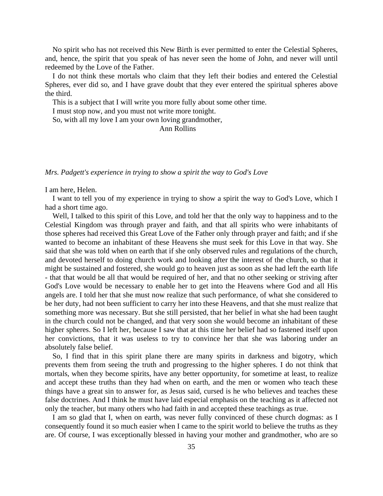No spirit who has not received this New Birth is ever permitted to enter the Celestial Spheres, and, hence, the spirit that you speak of has never seen the home of John, and never will until redeemed by the Love of the Father.

 I do not think these mortals who claim that they left their bodies and entered the Celestial Spheres, ever did so, and I have grave doubt that they ever entered the spiritual spheres above the third.

This is a subject that I will write you more fully about some other time.

I must stop now, and you must not write more tonight.

So, with all my love I am your own loving grandmother,

Ann Rollins

*Mrs. Padgett's experience in trying to show a spirit the way to God's Love* 

I am here, Helen.

 I want to tell you of my experience in trying to show a spirit the way to God's Love, which I had a short time ago.

 Well, I talked to this spirit of this Love, and told her that the only way to happiness and to the Celestial Kingdom was through prayer and faith, and that all spirits who were inhabitants of those spheres had received this Great Love of the Father only through prayer and faith; and if she wanted to become an inhabitant of these Heavens she must seek for this Love in that way. She said that she was told when on earth that if she only observed rules and regulations of the church, and devoted herself to doing church work and looking after the interest of the church, so that it might be sustained and fostered, she would go to heaven just as soon as she had left the earth life - that that would be all that would be required of her, and that no other seeking or striving after God's Love would be necessary to enable her to get into the Heavens where God and all His angels are. I told her that she must now realize that such performance, of what she considered to be her duty, had not been sufficient to carry her into these Heavens, and that she must realize that something more was necessary. But she still persisted, that her belief in what she had been taught in the church could not be changed, and that very soon she would become an inhabitant of these higher spheres. So I left her, because I saw that at this time her belief had so fastened itself upon her convictions, that it was useless to try to convince her that she was laboring under an absolutely false belief.

 So, I find that in this spirit plane there are many spirits in darkness and bigotry, which prevents them from seeing the truth and progressing to the higher spheres. I do not think that mortals, when they become spirits, have any better opportunity, for sometime at least, to realize and accept these truths than they had when on earth, and the men or women who teach these things have a great sin to answer for, as Jesus said, cursed is he who believes and teaches these false doctrines. And I think he must have laid especial emphasis on the teaching as it affected not only the teacher, but many others who had faith in and accepted these teachings as true.

 I am so glad that I, when on earth, was never fully convinced of these church dogmas: as I consequently found it so much easier when I came to the spirit world to believe the truths as they are. Of course, I was exceptionally blessed in having your mother and grandmother, who are so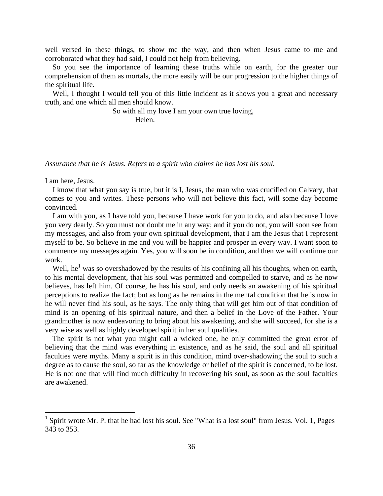well versed in these things, to show me the way, and then when Jesus came to me and corroborated what they had said, I could not help from believing.

 So you see the importance of learning these truths while on earth, for the greater our comprehension of them as mortals, the more easily will be our progression to the higher things of the spiritual life.

Well, I thought I would tell you of this little incident as it shows you a great and necessary truth, and one which all men should know.

So with all my love I am your own true loving,

Helen.

*Assurance that he is Jesus. Refers to a spirit who claims he has lost his soul.* 

I am here, Jesus.

 I know that what you say is true, but it is I, Jesus, the man who was crucified on Calvary, that comes to you and writes. These persons who will not believe this fact, will some day become convinced.

 I am with you, as I have told you, because I have work for you to do, and also because I love you very dearly. So you must not doubt me in any way; and if you do not, you will soon see from my messages, and also from your own spiritual development, that I am the Jesus that I represent myself to be. So believe in me and you will be happier and prosper in every way. I want soon to commence my messages again. Yes, you will soon be in condition, and then we will continue our work.

Well,  $he<sup>1</sup>$  was so overshadowed by the results of his confining all his thoughts, when on earth, to his mental development, that his soul was permitted and compelled to starve, and as he now believes, has left him. Of course, he has his soul, and only needs an awakening of his spiritual perceptions to realize the fact; but as long as he remains in the mental condition that he is now in he will never find his soul, as he says. The only thing that will get him out of that condition of mind is an opening of his spiritual nature, and then a belief in the Love of the Father. Your grandmother is now endeavoring to bring about his awakening, and she will succeed, for she is a very wise as well as highly developed spirit in her soul qualities.

 The spirit is not what you might call a wicked one, he only committed the great error of believing that the mind was everything in existence, and as he said, the soul and all spiritual faculties were myths. Many a spirit is in this condition, mind over-shadowing the soul to such a degree as to cause the soul, so far as the knowledge or belief of the spirit is concerned, to be lost. He is not one that will find much difficulty in recovering his soul, as soon as the soul faculties are awakened.

<sup>&</sup>lt;sup>1</sup> Spirit wrote Mr. P. that he had lost his soul. See "What is a lost soul" from Jesus. Vol. 1, Pages 343 to 353.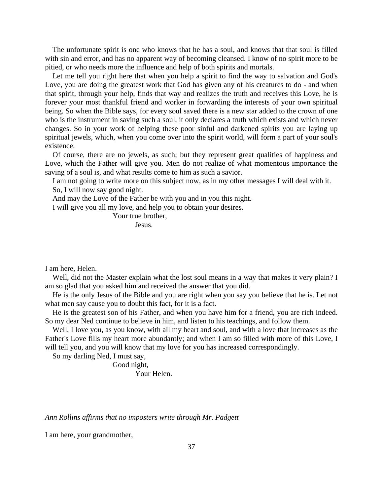The unfortunate spirit is one who knows that he has a soul, and knows that that soul is filled with sin and error, and has no apparent way of becoming cleansed. I know of no spirit more to be pitied, or who needs more the influence and help of both spirits and mortals.

 Let me tell you right here that when you help a spirit to find the way to salvation and God's Love, you are doing the greatest work that God has given any of his creatures to do - and when that spirit, through your help, finds that way and realizes the truth and receives this Love, he is forever your most thankful friend and worker in forwarding the interests of your own spiritual being. So when the Bible says, for every soul saved there is a new star added to the crown of one who is the instrument in saving such a soul, it only declares a truth which exists and which never changes. So in your work of helping these poor sinful and darkened spirits you are laying up spiritual jewels, which, when you come over into the spirit world, will form a part of your soul's existence.

 Of course, there are no jewels, as such; but they represent great qualities of happiness and Love, which the Father will give you. Men do not realize of what momentous importance the saving of a soul is, and what results come to him as such a savior.

 I am not going to write more on this subject now, as in my other messages I will deal with it. So, I will now say good night.

And may the Love of the Father be with you and in you this night.

I will give you all my love, and help you to obtain your desires.

Your true brother,

Jesus.

I am here, Helen.

Well, did not the Master explain what the lost soul means in a way that makes it very plain? I am so glad that you asked him and received the answer that you did.

 He is the only Jesus of the Bible and you are right when you say you believe that he is. Let not what men say cause you to doubt this fact, for it is a fact.

 He is the greatest son of his Father, and when you have him for a friend, you are rich indeed. So my dear Ned continue to believe in him, and listen to his teachings, and follow them.

 Well, I love you, as you know, with all my heart and soul, and with a love that increases as the Father's Love fills my heart more abundantly; and when I am so filled with more of this Love, I will tell you, and you will know that my love for you has increased correspondingly.

So my darling Ned, I must say,

 Good night, Your Helen.

*Ann Rollins affirms that no imposters write through Mr. Padgett* 

I am here, your grandmother,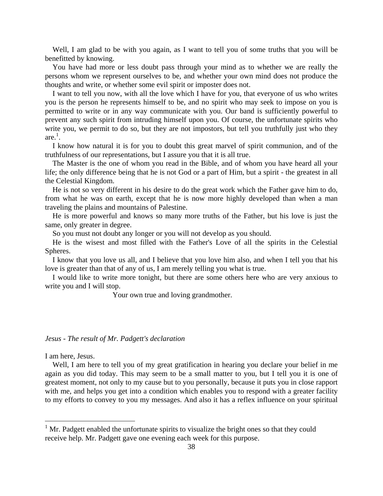Well, I am glad to be with you again, as I want to tell you of some truths that you will be benefitted by knowing.

 You have had more or less doubt pass through your mind as to whether we are really the persons whom we represent ourselves to be, and whether your own mind does not produce the thoughts and write, or whether some evil spirit or imposter does not.

 I want to tell you now, with all the love which I have for you, that everyone of us who writes you is the person he represents himself to be, and no spirit who may seek to impose on you is permitted to write or in any way communicate with you. Our band is sufficiently powerful to prevent any such spirit from intruding himself upon you. Of course, the unfortunate spirits who write you, we permit to do so, but they are not impostors, but tell you truthfully just who they are. $^1$ .

 I know how natural it is for you to doubt this great marvel of spirit communion, and of the truthfulness of our representations, but I assure you that it is all true.

 The Master is the one of whom you read in the Bible, and of whom you have heard all your life; the only difference being that he is not God or a part of Him, but a spirit - the greatest in all the Celestial Kingdom.

 He is not so very different in his desire to do the great work which the Father gave him to do, from what he was on earth, except that he is now more highly developed than when a man traveling the plains and mountains of Palestine.

 He is more powerful and knows so many more truths of the Father, but his love is just the same, only greater in degree.

So you must not doubt any longer or you will not develop as you should.

 He is the wisest and most filled with the Father's Love of all the spirits in the Celestial Spheres.

 I know that you love us all, and I believe that you love him also, and when I tell you that his love is greater than that of any of us, I am merely telling you what is true.

 I would like to write more tonight, but there are some others here who are very anxious to write you and I will stop.

Your own true and loving grandmother.

# *Jesus - The result of Mr. Padgett's declaration*

I am here, Jesus.

 Well, I am here to tell you of my great gratification in hearing you declare your belief in me again as you did today. This may seem to be a small matter to you, but I tell you it is one of greatest moment, not only to my cause but to you personally, because it puts you in close rapport with me, and helps you get into a condition which enables you to respond with a greater facility to my efforts to convey to you my messages. And also it has a reflex influence on your spiritual

<sup>&</sup>lt;sup>1</sup> Mr. Padgett enabled the unfortunate spirits to visualize the bright ones so that they could receive help. Mr. Padgett gave one evening each week for this purpose.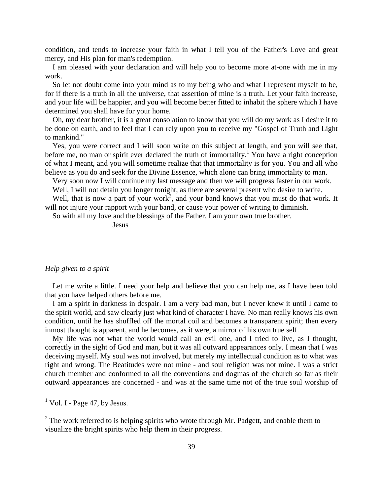condition, and tends to increase your faith in what I tell you of the Father's Love and great mercy, and His plan for man's redemption.

 I am pleased with your declaration and will help you to become more at-one with me in my work.

 So let not doubt come into your mind as to my being who and what I represent myself to be, for if there is a truth in all the universe, that assertion of mine is a truth. Let your faith increase, and your life will be happier, and you will become better fitted to inhabit the sphere which I have determined you shall have for your home.

 Oh, my dear brother, it is a great consolation to know that you will do my work as I desire it to be done on earth, and to feel that I can rely upon you to receive my "Gospel of Truth and Light to mankind."

 Yes, you were correct and I will soon write on this subject at length, and you will see that, before me, no man or spirit ever declared the truth of immortality.<sup>1</sup> You have a right conception of what I meant, and you will sometime realize that that immortality is for you. You and all who believe as you do and seek for the Divine Essence, which alone can bring immortality to man.

Very soon now I will continue my last message and then we will progress faster in our work.

Well, I will not detain you longer tonight, as there are several present who desire to write.

Well, that is now a part of your work<sup>2</sup>, and your band knows that you must do that work. It will not injure your rapport with your band, or cause your power of writing to diminish.

So with all my love and the blessings of the Father, I am your own true brother.

Jesus

# *Help given to a spirit*

 Let me write a little. I need your help and believe that you can help me, as I have been told that you have helped others before me.

 I am a spirit in darkness in despair. I am a very bad man, but I never knew it until I came to the spirit world, and saw clearly just what kind of character I have. No man really knows his own condition, until he has shuffled off the mortal coil and becomes a transparent spirit; then every inmost thought is apparent, and he becomes, as it were, a mirror of his own true self.

 My life was not what the world would call an evil one, and I tried to live, as I thought, correctly in the sight of God and man, but it was all outward appearances only. I mean that I was deceiving myself. My soul was not involved, but merely my intellectual condition as to what was right and wrong. The Beatitudes were not mine - and soul religion was not mine. I was a strict church member and conformed to all the conventions and dogmas of the church so far as their outward appearances are concerned - and was at the same time not of the true soul worship of

 $\overline{a}$ 

 $2$  The work referred to is helping spirits who wrote through Mr. Padgett, and enable them to visualize the bright spirits who help them in their progress.

 $<sup>1</sup>$  Vol. I - Page 47, by Jesus.</sup>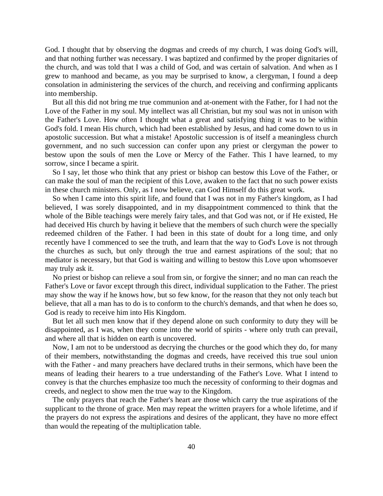God. I thought that by observing the dogmas and creeds of my church, I was doing God's will, and that nothing further was necessary. I was baptized and confirmed by the proper dignitaries of the church, and was told that I was a child of God, and was certain of salvation. And when as I grew to manhood and became, as you may be surprised to know, a clergyman, I found a deep consolation in administering the services of the church, and receiving and confirming applicants into membership.

 But all this did not bring me true communion and at-onement with the Father, for I had not the Love of the Father in my soul. My intellect was all Christian, but my soul was not in unison with the Father's Love. How often I thought what a great and satisfying thing it was to be within God's fold. I mean His church, which had been established by Jesus, and had come down to us in apostolic succession. But what a mistake! Apostolic succession is of itself a meaningless church government, and no such succession can confer upon any priest or clergyman the power to bestow upon the souls of men the Love or Mercy of the Father. This I have learned, to my sorrow, since I became a spirit.

 So I say, let those who think that any priest or bishop can bestow this Love of the Father, or can make the soul of man the recipient of this Love, awaken to the fact that no such power exists in these church ministers. Only, as I now believe, can God Himself do this great work.

 So when I came into this spirit life, and found that I was not in my Father's kingdom, as I had believed, I was sorely disappointed, and in my disappointment commenced to think that the whole of the Bible teachings were merely fairy tales, and that God was not, or if He existed, He had deceived His church by having it believe that the members of such church were the specially redeemed children of the Father. I had been in this state of doubt for a long time, and only recently have I commenced to see the truth, and learn that the way to God's Love is not through the churches as such, but only through the true and earnest aspirations of the soul; that no mediator is necessary, but that God is waiting and willing to bestow this Love upon whomsoever may truly ask it.

 No priest or bishop can relieve a soul from sin, or forgive the sinner; and no man can reach the Father's Love or favor except through this direct, individual supplication to the Father. The priest may show the way if he knows how, but so few know, for the reason that they not only teach but believe, that all a man has to do is to conform to the church's demands, and that when he does so, God is ready to receive him into His Kingdom.

 But let all such men know that if they depend alone on such conformity to duty they will be disappointed, as I was, when they come into the world of spirits - where only truth can prevail, and where all that is hidden on earth is uncovered.

 Now, I am not to be understood as decrying the churches or the good which they do, for many of their members, notwithstanding the dogmas and creeds, have received this true soul union with the Father - and many preachers have declared truths in their sermons, which have been the means of leading their hearers to a true understanding of the Father's Love. What I intend to convey is that the churches emphasize too much the necessity of conforming to their dogmas and creeds, and neglect to show men the true way to the Kingdom.

 The only prayers that reach the Father's heart are those which carry the true aspirations of the supplicant to the throne of grace. Men may repeat the written prayers for a whole lifetime, and if the prayers do not express the aspirations and desires of the applicant, they have no more effect than would the repeating of the multiplication table.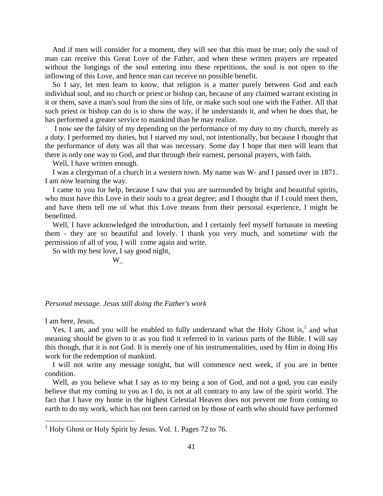And if men will consider for a moment, they will see that this must be true; only the soul of man can receive this Great Love of the Father, and when these written prayers are repeated without the longings of the soul entering into these repetitions, the soul is not open to the inflowing of this Love, and hence man can receive no possible benefit.

 So I say, let men learn to know, that religion is a matter purely between God and each individual soul, and no church or priest or bishop can, because of any claimed warrant existing in it or them, save a man's soul from the sins of life, or make such soul one with the Father. All that such priest or bishop can do is to show the way, if he understands it, and when he does that, he has performed a greater service to mankind than he may realize.

 I now see the falsity of my depending on the performance of my duty to my church, merely as a duty. I performed my duties, but I starved my soul, not intentionally, but because I thought that the performance of duty was all that was necessary. Some day I hope that men will learn that there is only one way to God, and that through their earnest, personal prayers, with faith.

Well, I have written enough.

 I was a clergyman of a church in a western town. My name was W- and I passed over in 1871. I am now learning the way.

 I came to you for help, because I saw that you are surrounded by bright and beautiful spirits, who must have this Love in their souls to a great degree; and I thought that if I could meet them, and have them tell me of what this Love means from their personal experience, I might be benefitted.

Well, I have acknowledged the introduction, and I certainly feel myself fortunate in meeting them - they are so beautiful and lovely. I thank you very much, and sometime with the permission of all of you, I will come again and write.

So with my best love, I say good night,

W\_

## *Personal message. Jesus still doing the Father's work*

I am here, Jesus,

<u>.</u>

Yes, I am, and you will be enabled to fully understand what the Holy Ghost is, $<sup>1</sup>$  and what</sup> meaning should be given to it as you find it referred to in various parts of the Bible. I will say this though, that it is not God. It is merely one of his instrumentalities, used by Him in doing His work for the redemption of mankind.

 I will not write any message tonight, but will commence next week, if you are in better condition.

Well, as you believe what I say as to my being a son of God, and not a god, you can easily believe that my coming to you as I do, is not at all contrary to any law of the spirit world. The fact that I have my home in the highest Celestial Heaven does not prevent me from coming to earth to do my work, which has not been carried on by those of earth who should have performed

<sup>&</sup>lt;sup>1</sup> Holy Ghost or Holy Spirit by Jesus. Vol. 1. Pages 72 to 76.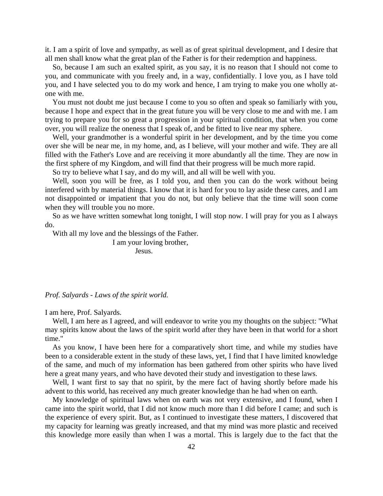it. I am a spirit of love and sympathy, as well as of great spiritual development, and I desire that all men shall know what the great plan of the Father is for their redemption and happiness.

 So, because I am such an exalted spirit, as you say, it is no reason that I should not come to you, and communicate with you freely and, in a way, confidentially. I love you, as I have told you, and I have selected you to do my work and hence, I am trying to make you one wholly atone with me.

 You must not doubt me just because I come to you so often and speak so familiarly with you, because I hope and expect that in the great future you will be very close to me and with me. I am trying to prepare you for so great a progression in your spiritual condition, that when you come over, you will realize the oneness that I speak of, and be fitted to live near my sphere.

 Well, your grandmother is a wonderful spirit in her development, and by the time you come over she will be near me, in my home, and, as I believe, will your mother and wife. They are all filled with the Father's Love and are receiving it more abundantly all the time. They are now in the first sphere of my Kingdom, and will find that their progress will be much more rapid.

So try to believe what I say, and do my will, and all will be well with you.

 Well, soon you will be free, as I told you, and then you can do the work without being interfered with by material things. I know that it is hard for you to lay aside these cares, and I am not disappointed or impatient that you do not, but only believe that the time will soon come when they will trouble you no more.

 So as we have written somewhat long tonight, I will stop now. I will pray for you as I always do.

With all my love and the blessings of the Father.

 I am your loving brother, Jesus.

#### *Prof. Salyards - Laws of the spirit world.*

I am here, Prof. Salyards.

 Well, I am here as I agreed, and will endeavor to write you my thoughts on the subject: "What may spirits know about the laws of the spirit world after they have been in that world for a short time."

 As you know, I have been here for a comparatively short time, and while my studies have been to a considerable extent in the study of these laws, yet, I find that I have limited knowledge of the same, and much of my information has been gathered from other spirits who have lived here a great many years, and who have devoted their study and investigation to these laws.

Well, I want first to say that no spirit, by the mere fact of having shortly before made his advent to this world, has received any much greater knowledge than he had when on earth.

 My knowledge of spiritual laws when on earth was not very extensive, and I found, when I came into the spirit world, that I did not know much more than I did before I came; and such is the experience of every spirit. But, as I continued to investigate these matters, I discovered that my capacity for learning was greatly increased, and that my mind was more plastic and received this knowledge more easily than when I was a mortal. This is largely due to the fact that the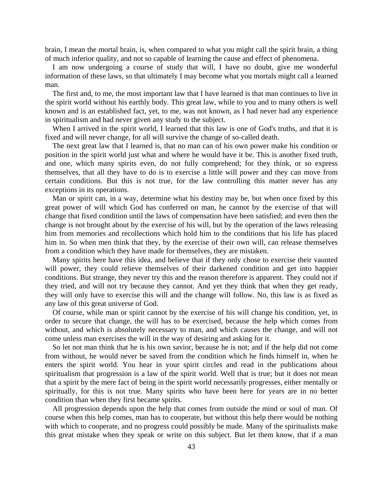brain, I mean the mortal brain, is, when compared to what you might call the spirit brain, a thing of much inferior quality, and not so capable of learning the cause and effect of phenomena.

 I am now undergoing a course of study that will, I have no doubt, give me wonderful information of these laws, so that ultimately I may become what you mortals might call a learned man.

 The first and, to me, the most important law that I have learned is that man continues to live in the spirit world without his earthly body. This great law, while to you and to many others is well known and is an established fact, yet, to me, was not known, as I had never had any experience in spiritualism and had never given any study to the subject.

When I arrived in the spirit world, I learned that this law is one of God's truths, and that it is fixed and will never change, for all will survive the change of so-called death.

 The next great law that I learned is, that no man can of his own power make his condition or position in the spirit world just what and where he would have it be. This is another fixed truth, and one, which many spirits even, do not fully comprehend; for they think, or so express themselves, that all they have to do is to exercise a little will power and they can move from certain conditions. But this is not true, for the law controlling this matter never has any exceptions in its operations.

 Man or spirit can, in a way, determine what his destiny may be, but when once fixed by this great power of will which God has conferred on man, he cannot by the exercise of that will change that fixed condition until the laws of compensation have been satisfied; and even then the change is not brought about by the exercise of his will, but by the operation of the laws releasing him from memories and recollections which hold him to the conditions that his life has placed him in. So when men think that they, by the exercise of their own will, can release themselves from a condition which they have made for themselves, they are mistaken.

 Many spirits here have this idea, and believe that if they only chose to exercise their vaunted will power, they could relieve themselves of their darkened condition and get into happier conditions. But strange, they never try this and the reason therefore is apparent. They could not if they tried, and will not try because they cannot. And yet they think that when they get ready, they will only have to exercise this will and the change will follow. No, this law is as fixed as any law of this great universe of God.

 Of course, while man or spirit cannot by the exercise of his will change his condition, yet, in order to secure that change, the will has to be exercised, because the help which comes from without, and which is absolutely necessary to man, and which causes the change, and will not come unless man exercises the will in the way of desiring and asking for it.

 So let not man think that he is his own savior, because he is not; and if the help did not come from without, he would never be saved from the condition which he finds himself in, when he enters the spirit world. You hear in your spirit circles and read in the publications about spiritualism that progression is a law of the spirit world. Well that is true; but it does not mean that a spirit by the mere fact of being in the spirit world necessarily progresses, either mentally or spiritually, for this is not true. Many spirits who have been here for years are in no better condition than when they first became spirits.

 All progression depends upon the help that comes from outside the mind or soul of man. Of course when this help comes, man has to cooperate, but without this help there would be nothing with which to cooperate, and no progress could possibly be made. Many of the spiritualists make this great mistake when they speak or write on this subject. But let them know, that if a man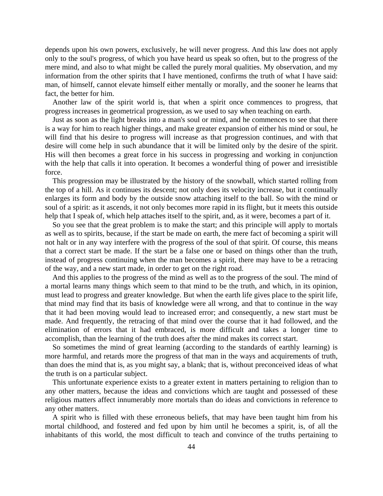depends upon his own powers, exclusively, he will never progress. And this law does not apply only to the soul's progress, of which you have heard us speak so often, but to the progress of the mere mind, and also to what might be called the purely moral qualities. My observation, and my information from the other spirits that I have mentioned, confirms the truth of what I have said: man, of himself, cannot elevate himself either mentally or morally, and the sooner he learns that fact, the better for him.

 Another law of the spirit world is, that when a spirit once commences to progress, that progress increases in geometrical progression, as we used to say when teaching on earth.

 Just as soon as the light breaks into a man's soul or mind, and he commences to see that there is a way for him to reach higher things, and make greater expansion of either his mind or soul, he will find that his desire to progress will increase as that progression continues, and with that desire will come help in such abundance that it will be limited only by the desire of the spirit. His will then becomes a great force in his success in progressing and working in conjunction with the help that calls it into operation. It becomes a wonderful thing of power and irresistible force.

 This progression may be illustrated by the history of the snowball, which started rolling from the top of a hill. As it continues its descent; not only does its velocity increase, but it continually enlarges its form and body by the outside snow attaching itself to the ball. So with the mind or soul of a spirit: as it ascends, it not only becomes more rapid in its flight, but it meets this outside help that I speak of, which help attaches itself to the spirit, and, as it were, becomes a part of it.

 So you see that the great problem is to make the start; and this principle will apply to mortals as well as to spirits, because, if the start be made on earth, the mere fact of becoming a spirit will not halt or in any way interfere with the progress of the soul of that spirit. Of course, this means that a correct start be made. If the start be a false one or based on things other than the truth, instead of progress continuing when the man becomes a spirit, there may have to be a retracing of the way, and a new start made, in order to get on the right road.

 And this applies to the progress of the mind as well as to the progress of the soul. The mind of a mortal learns many things which seem to that mind to be the truth, and which, in its opinion, must lead to progress and greater knowledge. But when the earth life gives place to the spirit life, that mind may find that its basis of knowledge were all wrong, and that to continue in the way that it had been moving would lead to increased error; and consequently, a new start must be made. And frequently, the retracing of that mind over the course that it had followed, and the elimination of errors that it had embraced, is more difficult and takes a longer time to accomplish, than the learning of the truth does after the mind makes its correct start.

 So sometimes the mind of great learning (according to the standards of earthly learning) is more harmful, and retards more the progress of that man in the ways and acquirements of truth, than does the mind that is, as you might say, a blank; that is, without preconceived ideas of what the truth is on a particular subject.

 This unfortunate experience exists to a greater extent in matters pertaining to religion than to any other matters, because the ideas and convictions which are taught and possessed of these religious matters affect innumerably more mortals than do ideas and convictions in reference to any other matters.

 A spirit who is filled with these erroneous beliefs, that may have been taught him from his mortal childhood, and fostered and fed upon by him until he becomes a spirit, is, of all the inhabitants of this world, the most difficult to teach and convince of the truths pertaining to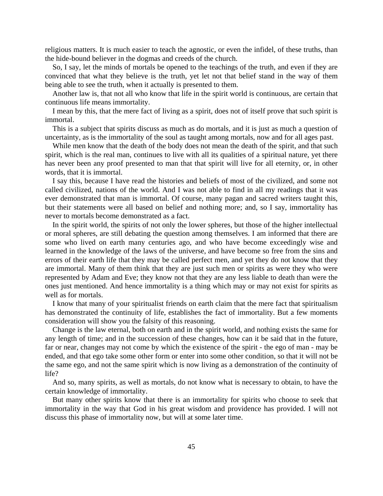religious matters. It is much easier to teach the agnostic, or even the infidel, of these truths, than the hide-bound believer in the dogmas and creeds of the church.

 So, I say, let the minds of mortals be opened to the teachings of the truth, and even if they are convinced that what they believe is the truth, yet let not that belief stand in the way of them being able to see the truth, when it actually is presented to them.

 Another law is, that not all who know that life in the spirit world is continuous, are certain that continuous life means immortality.

 I mean by this, that the mere fact of living as a spirit, does not of itself prove that such spirit is immortal.

 This is a subject that spirits discuss as much as do mortals, and it is just as much a question of uncertainty, as is the immortality of the soul as taught among mortals, now and for all ages past.

While men know that the death of the body does not mean the death of the spirit, and that such spirit, which is the real man, continues to live with all its qualities of a spiritual nature, yet there has never been any proof presented to man that that spirit will live for all eternity, or, in other words, that it is immortal.

 I say this, because I have read the histories and beliefs of most of the civilized, and some not called civilized, nations of the world. And I was not able to find in all my readings that it was ever demonstrated that man is immortal. Of course, many pagan and sacred writers taught this, but their statements were all based on belief and nothing more; and, so I say, immortality has never to mortals become demonstrated as a fact.

 In the spirit world, the spirits of not only the lower spheres, but those of the higher intellectual or moral spheres, are still debating the question among themselves. I am informed that there are some who lived on earth many centuries ago, and who have become exceedingly wise and learned in the knowledge of the laws of the universe, and have become so free from the sins and errors of their earth life that they may be called perfect men, and yet they do not know that they are immortal. Many of them think that they are just such men or spirits as were they who were represented by Adam and Eve; they know not that they are any less liable to death than were the ones just mentioned. And hence immortality is a thing which may or may not exist for spirits as well as for mortals.

 I know that many of your spiritualist friends on earth claim that the mere fact that spiritualism has demonstrated the continuity of life, establishes the fact of immortality. But a few moments consideration will show you the falsity of this reasoning.

 Change is the law eternal, both on earth and in the spirit world, and nothing exists the same for any length of time; and in the succession of these changes, how can it be said that in the future, far or near, changes may not come by which the existence of the spirit - the ego of man - may be ended, and that ego take some other form or enter into some other condition, so that it will not be the same ego, and not the same spirit which is now living as a demonstration of the continuity of life?

 And so, many spirits, as well as mortals, do not know what is necessary to obtain, to have the certain knowledge of immortality.

 But many other spirits know that there is an immortality for spirits who choose to seek that immortality in the way that God in his great wisdom and providence has provided. I will not discuss this phase of immortality now, but will at some later time.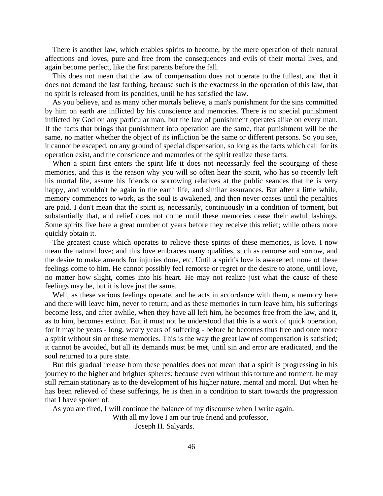There is another law, which enables spirits to become, by the mere operation of their natural affections and loves, pure and free from the consequences and evils of their mortal lives, and again become perfect, like the first parents before the fall.

 This does not mean that the law of compensation does not operate to the fullest, and that it does not demand the last farthing, because such is the exactness in the operation of this law, that no spirit is released from its penalties, until he has satisfied the law.

 As you believe, and as many other mortals believe, a man's punishment for the sins committed by him on earth are inflicted by his conscience and memories. There is no special punishment inflicted by God on any particular man, but the law of punishment operates alike on every man. If the facts that brings that punishment into operation are the same, that punishment will be the same, no matter whether the object of its infliction be the same or different persons. So you see, it cannot be escaped, on any ground of special dispensation, so long as the facts which call for its operation exist, and the conscience and memories of the spirit realize these facts.

When a spirit first enters the spirit life it does not necessarily feel the scourging of these memories, and this is the reason why you will so often hear the spirit, who has so recently left his mortal life, assure his friends or sorrowing relatives at the public seances that he is very happy, and wouldn't be again in the earth life, and similar assurances. But after a little while, memory commences to work, as the soul is awakened, and then never ceases until the penalties are paid. I don't mean that the spirit is, necessarily, continuously in a condition of torment, but substantially that, and relief does not come until these memories cease their awful lashings. Some spirits live here a great number of years before they receive this relief; while others more quickly obtain it.

 The greatest cause which operates to relieve these spirits of these memories, is love. I now mean the natural love; and this love embraces many qualities, such as remorse and sorrow, and the desire to make amends for injuries done, etc. Until a spirit's love is awakened, none of these feelings come to him. He cannot possibly feel remorse or regret or the desire to atone, until love, no matter how slight, comes into his heart. He may not realize just what the cause of these feelings may be, but it is love just the same.

 Well, as these various feelings operate, and he acts in accordance with them, a memory here and there will leave him, never to return; and as these memories in turn leave him, his sufferings become less, and after awhile, when they have all left him, he becomes free from the law, and it, as to him, becomes extinct. But it must not be understood that this is a work of quick operation, for it may be years - long, weary years of suffering - before he becomes thus free and once more a spirit without sin or these memories. This is the way the great law of compensation is satisfied; it cannot be avoided, but all its demands must be met, until sin and error are eradicated, and the soul returned to a pure state.

 But this gradual release from these penalties does not mean that a spirit is progressing in his journey to the higher and brighter spheres; because even without this torture and torment, he may still remain stationary as to the development of his higher nature, mental and moral. But when he has been relieved of these sufferings, he is then in a condition to start towards the progression that I have spoken of.

As you are tired, I will continue the balance of my discourse when I write again.

With all my love I am our true friend and professor,

Joseph H. Salyards.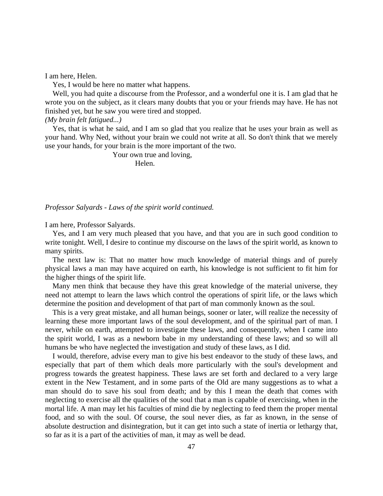I am here, Helen.

Yes, I would be here no matter what happens.

 Well, you had quite a discourse from the Professor, and a wonderful one it is. I am glad that he wrote you on the subject, as it clears many doubts that you or your friends may have. He has not finished yet, but he saw you were tired and stopped.

*(My brain felt fatigued...)* 

Yes, that is what he said, and I am so glad that you realize that he uses your brain as well as your hand. Why Ned, without your brain we could not write at all. So don't think that we merely use your hands, for your brain is the more important of the two.

> Your own true and loving, Helen.

*Professor Salyards - Laws of the spirit world continued.* 

I am here, Professor Salyards.

 Yes, and I am very much pleased that you have, and that you are in such good condition to write tonight. Well, I desire to continue my discourse on the laws of the spirit world, as known to many spirits.

 The next law is: That no matter how much knowledge of material things and of purely physical laws a man may have acquired on earth, his knowledge is not sufficient to fit him for the higher things of the spirit life.

 Many men think that because they have this great knowledge of the material universe, they need not attempt to learn the laws which control the operations of spirit life, or the laws which determine the position and development of that part of man commonly known as the soul.

 This is a very great mistake, and all human beings, sooner or later, will realize the necessity of learning these more important laws of the soul development, and of the spiritual part of man. I never, while on earth, attempted to investigate these laws, and consequently, when I came into the spirit world, I was as a newborn babe in my understanding of these laws; and so will all humans be who have neglected the investigation and study of these laws, as I did.

 I would, therefore, advise every man to give his best endeavor to the study of these laws, and especially that part of them which deals more particularly with the soul's development and progress towards the greatest happiness. These laws are set forth and declared to a very large extent in the New Testament, and in some parts of the Old are many suggestions as to what a man should do to save his soul from death; and by this I mean the death that comes with neglecting to exercise all the qualities of the soul that a man is capable of exercising, when in the mortal life. A man may let his faculties of mind die by neglecting to feed them the proper mental food, and so with the soul. Of course, the soul never dies, as far as known, in the sense of absolute destruction and disintegration, but it can get into such a state of inertia or lethargy that, so far as it is a part of the activities of man, it may as well be dead.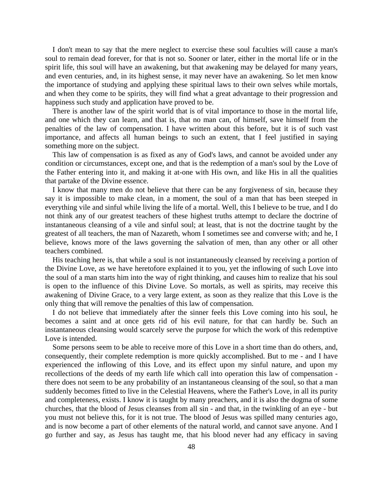I don't mean to say that the mere neglect to exercise these soul faculties will cause a man's soul to remain dead forever, for that is not so. Sooner or later, either in the mortal life or in the spirit life, this soul will have an awakening, but that awakening may be delayed for many years, and even centuries, and, in its highest sense, it may never have an awakening. So let men know the importance of studying and applying these spiritual laws to their own selves while mortals, and when they come to be spirits, they will find what a great advantage to their progression and happiness such study and application have proved to be.

 There is another law of the spirit world that is of vital importance to those in the mortal life, and one which they can learn, and that is, that no man can, of himself, save himself from the penalties of the law of compensation. I have written about this before, but it is of such vast importance, and affects all human beings to such an extent, that I feel justified in saying something more on the subject.

 This law of compensation is as fixed as any of God's laws, and cannot be avoided under any condition or circumstances, except one, and that is the redemption of a man's soul by the Love of the Father entering into it, and making it at-one with His own, and like His in all the qualities that partake of the Divine essence.

 I know that many men do not believe that there can be any forgiveness of sin, because they say it is impossible to make clean, in a moment, the soul of a man that has been steeped in everything vile and sinful while living the life of a mortal. Well, this I believe to be true, and I do not think any of our greatest teachers of these highest truths attempt to declare the doctrine of instantaneous cleansing of a vile and sinful soul; at least, that is not the doctrine taught by the greatest of all teachers, the man of Nazareth, whom I sometimes see and converse with; and he, I believe, knows more of the laws governing the salvation of men, than any other or all other teachers combined.

 His teaching here is, that while a soul is not instantaneously cleansed by receiving a portion of the Divine Love, as we have heretofore explained it to you, yet the inflowing of such Love into the soul of a man starts him into the way of right thinking, and causes him to realize that his soul is open to the influence of this Divine Love. So mortals, as well as spirits, may receive this awakening of Divine Grace, to a very large extent, as soon as they realize that this Love is the only thing that will remove the penalties of this law of compensation.

 I do not believe that immediately after the sinner feels this Love coming into his soul, he becomes a saint and at once gets rid of his evil nature, for that can hardly be. Such an instantaneous cleansing would scarcely serve the purpose for which the work of this redemptive Love is intended.

 Some persons seem to be able to receive more of this Love in a short time than do others, and, consequently, their complete redemption is more quickly accomplished. But to me - and I have experienced the inflowing of this Love, and its effect upon my sinful nature, and upon my recollections of the deeds of my earth life which call into operation this law of compensation there does not seem to be any probability of an instantaneous cleansing of the soul, so that a man suddenly becomes fitted to live in the Celestial Heavens, where the Father's Love, in all its purity and completeness, exists. I know it is taught by many preachers, and it is also the dogma of some churches, that the blood of Jesus cleanses from all sin - and that, in the twinkling of an eye - but you must not believe this, for it is not true. The blood of Jesus was spilled many centuries ago, and is now become a part of other elements of the natural world, and cannot save anyone. And I go further and say, as Jesus has taught me, that his blood never had any efficacy in saving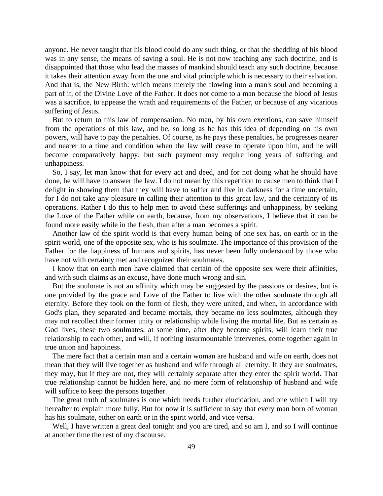anyone. He never taught that his blood could do any such thing, or that the shedding of his blood was in any sense, the means of saving a soul. He is not now teaching any such doctrine, and is disappointed that those who lead the masses of mankind should teach any such doctrine, because it takes their attention away from the one and vital principle which is necessary to their salvation. And that is, the New Birth: which means merely the flowing into a man's soul and becoming a part of it, of the Divine Love of the Father. It does not come to a man because the blood of Jesus was a sacrifice, to appease the wrath and requirements of the Father, or because of any vicarious suffering of Jesus.

 But to return to this law of compensation. No man, by his own exertions, can save himself from the operations of this law, and he, so long as he has this idea of depending on his own powers, will have to pay the penalties. Of course, as he pays these penalties, he progresses nearer and nearer to a time and condition when the law will cease to operate upon him, and he will become comparatively happy; but such payment may require long years of suffering and unhappiness.

 So, I say, let man know that for every act and deed, and for not doing what he should have done, he will have to answer the law. I do not mean by this repetition to cause men to think that I delight in showing them that they will have to suffer and live in darkness for a time uncertain, for I do not take any pleasure in calling their attention to this great law, and the certainty of its operations. Rather I do this to help men to avoid these sufferings and unhappiness, by seeking the Love of the Father while on earth, because, from my observations, I believe that it can be found more easily while in the flesh, than after a man becomes a spirit.

 Another law of the spirit world is that every human being of one sex has, on earth or in the spirit world, one of the opposite sex, who is his soulmate. The importance of this provision of the Father for the happiness of humans and spirits, has never been fully understood by those who have not with certainty met and recognized their soulmates.

 I know that on earth men have claimed that certain of the opposite sex were their affinities, and with such claims as an excuse, have done much wrong and sin.

 But the soulmate is not an affinity which may be suggested by the passions or desires, but is one provided by the grace and Love of the Father to live with the other soulmate through all eternity. Before they took on the form of flesh, they were united, and when, in accordance with God's plan, they separated and became mortals, they became no less soulmates, although they may not recollect their former unity or relationship while living the mortal life. But as certain as God lives, these two soulmates, at some time, after they become spirits, will learn their true relationship to each other, and will, if nothing insurmountable intervenes, come together again in true union and happiness.

 The mere fact that a certain man and a certain woman are husband and wife on earth, does not mean that they will live together as husband and wife through all eternity. If they are soulmates, they may, but if they are not, they will certainly separate after they enter the spirit world. That true relationship cannot be hidden here, and no mere form of relationship of husband and wife will suffice to keep the persons together.

 The great truth of soulmates is one which needs further elucidation, and one which I will try hereafter to explain more fully. But for now it is sufficient to say that every man born of woman has his soulmate, either on earth or in the spirit world, and vice versa.

 Well, I have written a great deal tonight and you are tired, and so am I, and so I will continue at another time the rest of my discourse.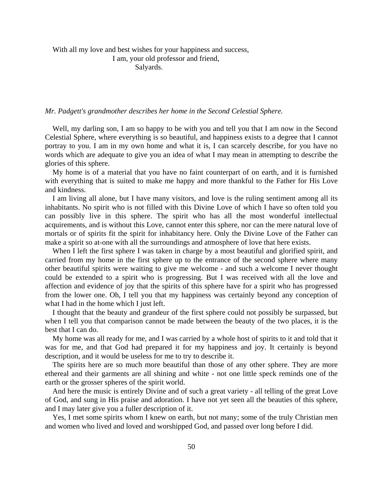With all my love and best wishes for your happiness and success,

I am, your old professor and friend,

Salyards.

## *Mr. Padgett's grandmother describes her home in the Second Celestial Sphere.*

Well, my darling son, I am so happy to be with you and tell you that I am now in the Second Celestial Sphere, where everything is so beautiful, and happiness exists to a degree that I cannot portray to you. I am in my own home and what it is, I can scarcely describe, for you have no words which are adequate to give you an idea of what I may mean in attempting to describe the glories of this sphere.

 My home is of a material that you have no faint counterpart of on earth, and it is furnished with everything that is suited to make me happy and more thankful to the Father for His Love and kindness.

 I am living all alone, but I have many visitors, and love is the ruling sentiment among all its inhabitants. No spirit who is not filled with this Divine Love of which I have so often told you can possibly live in this sphere. The spirit who has all the most wonderful intellectual acquirements, and is without this Love, cannot enter this sphere, nor can the mere natural love of mortals or of spirits fit the spirit for inhabitancy here. Only the Divine Love of the Father can make a spirit so at-one with all the surroundings and atmosphere of love that here exists.

When I left the first sphere I was taken in charge by a most beautiful and glorified spirit, and carried from my home in the first sphere up to the entrance of the second sphere where many other beautiful spirits were waiting to give me welcome - and such a welcome I never thought could be extended to a spirit who is progressing. But I was received with all the love and affection and evidence of joy that the spirits of this sphere have for a spirit who has progressed from the lower one. Oh, I tell you that my happiness was certainly beyond any conception of what I had in the home which I just left.

 I thought that the beauty and grandeur of the first sphere could not possibly be surpassed, but when I tell you that comparison cannot be made between the beauty of the two places, it is the best that I can do.

 My home was all ready for me, and I was carried by a whole host of spirits to it and told that it was for me, and that God had prepared it for my happiness and joy. It certainly is beyond description, and it would be useless for me to try to describe it.

 The spirits here are so much more beautiful than those of any other sphere. They are more ethereal and their garments are all shining and white - not one little speck reminds one of the earth or the grosser spheres of the spirit world.

 And here the music is entirely Divine and of such a great variety - all telling of the great Love of God, and sung in His praise and adoration. I have not yet seen all the beauties of this sphere, and I may later give you a fuller description of it.

 Yes, I met some spirits whom I knew on earth, but not many; some of the truly Christian men and women who lived and loved and worshipped God, and passed over long before I did.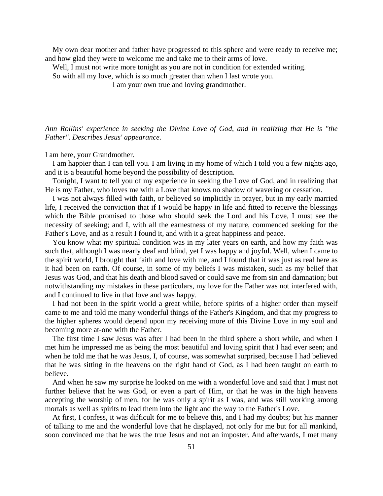My own dear mother and father have progressed to this sphere and were ready to receive me; and how glad they were to welcome me and take me to their arms of love.

Well, I must not write more tonight as you are not in condition for extended writing.

So with all my love, which is so much greater than when I last wrote you.

I am your own true and loving grandmother.

*Ann Rollins' experience in seeking the Divine Love of God, and in realizing that He is "the Father". Describes Jesus' appearance.* 

I am here, your Grandmother.

 I am happier than I can tell you. I am living in my home of which I told you a few nights ago, and it is a beautiful home beyond the possibility of description.

 Tonight, I want to tell you of my experience in seeking the Love of God, and in realizing that He is my Father, who loves me with a Love that knows no shadow of wavering or cessation.

 I was not always filled with faith, or believed so implicitly in prayer, but in my early married life, I received the conviction that if I would be happy in life and fitted to receive the blessings which the Bible promised to those who should seek the Lord and his Love, I must see the necessity of seeking; and I, with all the earnestness of my nature, commenced seeking for the Father's Love, and as a result I found it, and with it a great happiness and peace.

 You know what my spiritual condition was in my later years on earth, and how my faith was such that, although I was nearly deaf and blind, yet I was happy and joyful. Well, when I came to the spirit world, I brought that faith and love with me, and I found that it was just as real here as it had been on earth. Of course, in some of my beliefs I was mistaken, such as my belief that Jesus was God, and that his death and blood saved or could save me from sin and damnation; but notwithstanding my mistakes in these particulars, my love for the Father was not interfered with, and I continued to live in that love and was happy.

 I had not been in the spirit world a great while, before spirits of a higher order than myself came to me and told me many wonderful things of the Father's Kingdom, and that my progress to the higher spheres would depend upon my receiving more of this Divine Love in my soul and becoming more at-one with the Father.

 The first time I saw Jesus was after I had been in the third sphere a short while, and when I met him he impressed me as being the most beautiful and loving spirit that I had ever seen; and when he told me that he was Jesus, I, of course, was somewhat surprised, because I had believed that he was sitting in the heavens on the right hand of God, as I had been taught on earth to believe.

 And when he saw my surprise he looked on me with a wonderful love and said that I must not further believe that he was God, or even a part of Him, or that he was in the high heavens accepting the worship of men, for he was only a spirit as I was, and was still working among mortals as well as spirits to lead them into the light and the way to the Father's Love.

 At first, I confess, it was difficult for me to believe this, and I had my doubts; but his manner of talking to me and the wonderful love that he displayed, not only for me but for all mankind, soon convinced me that he was the true Jesus and not an imposter. And afterwards, I met many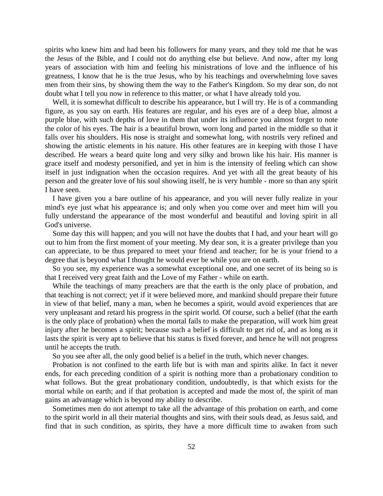spirits who knew him and had been his followers for many years, and they told me that he was the Jesus of the Bible, and I could not do anything else but believe. And now, after my long years of association with him and feeling his ministrations of love and the influence of his greatness, I know that he is the true Jesus, who by his teachings and overwhelming love saves men from their sins, by showing them the way to the Father's Kingdom. So my dear son, do not doubt what I tell you now in reference to this matter, or what I have already told you.

Well, it is somewhat difficult to describe his appearance, but I will try. He is of a commanding figure, as you say on earth. His features are regular, and his eyes are of a deep blue, almost a purple blue, with such depths of love in them that under its influence you almost forget to note the color of his eyes. The hair is a beautiful brown, worn long and parted in the middle so that it falls over his shoulders. His nose is straight and somewhat long, with nostrils very refined and showing the artistic elements in his nature. His other features are in keeping with those I have described. He wears a beard quite long and very silky and brown like his hair. His manner is grace itself and modesty personified, and yet in him is the intensity of feeling which can show itself in just indignation when the occasion requires. And yet with all the great beauty of his person and the greater love of his soul showing itself, he is very humble - more so than any spirit I have seen.

 I have given you a bare outline of his appearance, and you will never fully realize in your mind's eye just what his appearance is; and only when you come over and meet him will you fully understand the appearance of the most wonderful and beautiful and loving spirit in all God's universe.

 Some day this will happen; and you will not have the doubts that I had, and your heart will go out to him from the first moment of your meeting. My dear son, it is a greater privilege than you can appreciate, to be thus prepared to meet your friend and teacher; for he is your friend to a degree that is beyond what I thought he would ever be while you are on earth.

 So you see, my experience was a somewhat exceptional one, and one secret of its being so is that I received very great faith and the Love of my Father - while on earth.

 While the teachings of many preachers are that the earth is the only place of probation, and that teaching is not correct; yet if it were believed more, and mankind should prepare their future in view of that belief, many a man, when he becomes a spirit, would avoid experiences that are very unpleasant and retard his progress in the spirit world. Of course, such a belief (that the earth is the only place of probation) when the mortal fails to make the preparation, will work him great injury after he becomes a spirit; because such a belief is difficult to get rid of, and as long as it lasts the spirit is very apt to believe that his status is fixed forever, and hence he will not progress until he accepts the truth.

So you see after all, the only good belief is a belief in the truth, which never changes.

 Probation is not confined to the earth life but is with man and spirits alike. In fact it never ends, for each preceding condition of a spirit is nothing more than a probationary condition to what follows. But the great probationary condition, undoubtedly, is that which exists for the mortal while on earth; and if that probation is accepted and made the most of, the spirit of man gains an advantage which is beyond my ability to describe.

 Sometimes men do not attempt to take all the advantage of this probation on earth, and come to the spirit world in all their material thoughts and sins, with their souls dead, as Jesus said, and find that in such condition, as spirits, they have a more difficult time to awaken from such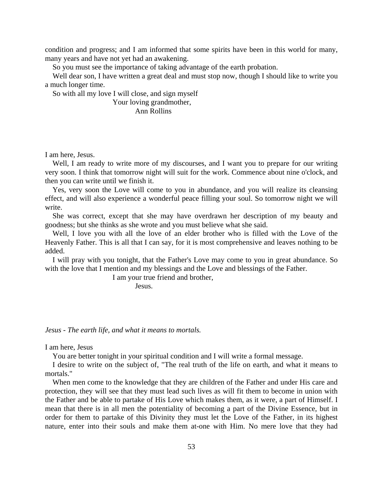condition and progress; and I am informed that some spirits have been in this world for many, many years and have not yet had an awakening.

So you must see the importance of taking advantage of the earth probation.

 Well dear son, I have written a great deal and must stop now, though I should like to write you a much longer time.

So with all my love I will close, and sign myself

Your loving grandmother,

Ann Rollins

I am here, Jesus.

Well, I am ready to write more of my discourses, and I want you to prepare for our writing very soon. I think that tomorrow night will suit for the work. Commence about nine o'clock, and then you can write until we finish it.

 Yes, very soon the Love will come to you in abundance, and you will realize its cleansing effect, and will also experience a wonderful peace filling your soul. So tomorrow night we will write.

 She was correct, except that she may have overdrawn her description of my beauty and goodness; but she thinks as she wrote and you must believe what she said.

 Well, I love you with all the love of an elder brother who is filled with the Love of the Heavenly Father. This is all that I can say, for it is most comprehensive and leaves nothing to be added.

 I will pray with you tonight, that the Father's Love may come to you in great abundance. So with the love that I mention and my blessings and the Love and blessings of the Father.

> I am your true friend and brother, Jesus.

*Jesus - The earth life, and what it means to mortals.* 

I am here, Jesus

You are better tonight in your spiritual condition and I will write a formal message.

 I desire to write on the subject of, "The real truth of the life on earth, and what it means to mortals."

 When men come to the knowledge that they are children of the Father and under His care and protection, they will see that they must lead such lives as will fit them to become in union with the Father and be able to partake of His Love which makes them, as it were, a part of Himself. I mean that there is in all men the potentiality of becoming a part of the Divine Essence, but in order for them to partake of this Divinity they must let the Love of the Father, in its highest nature, enter into their souls and make them at-one with Him. No mere love that they had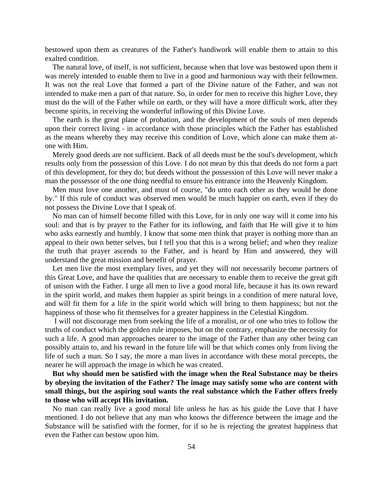bestowed upon them as creatures of the Father's handiwork will enable them to attain to this exalted condition.

 The natural love, of itself, is not sufficient, because when that love was bestowed upon them it was merely intended to enable them to live in a good and harmonious way with their fellowmen. It was not the real Love that formed a part of the Divine nature of the Father, and was not intended to make men a part of that nature. So, in order for men to receive this higher Love, they must do the will of the Father while on earth, or they will have a more difficult work, after they become spirits, in receiving the wonderful inflowing of this Divine Love.

 The earth is the great plane of probation, and the development of the souls of men depends upon their correct living - in accordance with those principles which the Father has established as the means whereby they may receive this condition of Love, which alone can make them atone with Him.

 Merely good deeds are not sufficient. Back of all deeds must be the soul's development, which results only from the possession of this Love. I do not mean by this that deeds do not form a part of this development, for they do; but deeds without the possession of this Love will never make a man the possessor of the one thing needful to ensure his entrance into the Heavenly Kingdom.

 Men must love one another, and must of course, "do unto each other as they would be done by." If this rule of conduct was observed men would be much happier on earth, even if they do not possess the Divine Love that I speak of.

 No man can of himself become filled with this Love, for in only one way will it come into his soul: and that is by prayer to the Father for its inflowing, and faith that He will give it to him who asks earnestly and humbly. I know that some men think that prayer is nothing more than an appeal to their own better selves, but I tell you that this is a wrong belief; and when they realize the truth that prayer ascends to the Father, and is heard by Him and answered, they will understand the great mission and benefit of prayer.

 Let men live the most exemplary lives, and yet they will not necessarily become partners of this Great Love, and have the qualities that are necessary to enable them to receive the great gift of unison with the Father. I urge all men to live a good moral life, because it has its own reward in the spirit world, and makes them happier as spirit beings in a condition of mere natural love, and will fit them for a life in the spirit world which will bring to them happiness; but not the happiness of those who fit themselves for a greater happiness in the Celestial Kingdom.

 I will not discourage men from seeking the life of a moralist, or of one who tries to follow the truths of conduct which the golden rule imposes, but on the contrary, emphasize the necessity for such a life. A good man approaches nearer to the image of the Father than any other being can possibly attain to, and his reward in the future life will be that which comes only from living the life of such a man. So I say, the more a man lives in accordance with these moral precepts, the nearer he will approach the image in which he was created.

 **But why should men be satisfied with the image when the Real Substance may be theirs by obeying the invitation of the Father? The image may satisfy some who are content with small things, but the aspiring soul wants the real substance which the Father offers freely to those who will accept His invitation.** 

No man can really live a good moral life unless he has as his guide the Love that I have mentioned. I do not believe that any man who knows the difference between the image and the Substance will be satisfied with the former, for if so he is rejecting the greatest happiness that even the Father can bestow upon him.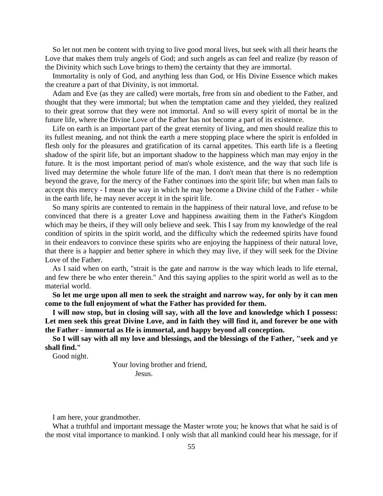So let not men be content with trying to live good moral lives, but seek with all their hearts the Love that makes them truly angels of God; and such angels as can feel and realize (by reason of the Divinity which such Love brings to them) the certainty that they are immortal.

 Immortality is only of God, and anything less than God, or His Divine Essence which makes the creature a part of that Divinity, is not immortal.

 Adam and Eve (as they are called) were mortals, free from sin and obedient to the Father, and thought that they were immortal; but when the temptation came and they yielded, they realized to their great sorrow that they were not immortal. And so will every spirit of mortal be in the future life, where the Divine Love of the Father has not become a part of its existence.

 Life on earth is an important part of the great eternity of living, and men should realize this to its fullest meaning, and not think the earth a mere stopping place where the spirit is enfolded in flesh only for the pleasures and gratification of its carnal appetites. This earth life is a fleeting shadow of the spirit life, but an important shadow to the happiness which man may enjoy in the future. It is the most important period of man's whole existence, and the way that such life is lived may determine the whole future life of the man. I don't mean that there is no redemption beyond the grave, for the mercy of the Father continues into the spirit life; but when man fails to accept this mercy - I mean the way in which he may become a Divine child of the Father - while in the earth life, he may never accept it in the spirit life.

 So many spirits are contented to remain in the happiness of their natural love, and refuse to be convinced that there is a greater Love and happiness awaiting them in the Father's Kingdom which may be theirs, if they will only believe and seek. This I say from my knowledge of the real condition of spirits in the spirit world, and the difficulty which the redeemed spirits have found in their endeavors to convince these spirits who are enjoying the happiness of their natural love, that there is a happier and better sphere in which they may live, if they will seek for the Divine Love of the Father.

 As I said when on earth, "strait is the gate and narrow is the way which leads to life eternal, and few there be who enter therein." And this saying applies to the spirit world as well as to the material world.

**So let me urge upon all men to seek the straight and narrow way, for only by it can men come to the full enjoyment of what the Father has provided for them.** 

 **I will now stop, but in closing will say, with all the love and knowledge which I possess: Let men seek this great Divine Love, and in faith they will find it, and forever be one with the Father - immortal as He is immortal, and happy beyond all conception.** 

 **So I will say with all my love and blessings, and the blessings of the Father, "seek and ye shall find."** 

Good night.

Your loving brother and friend, Jesus.

I am here, your grandmother.

 What a truthful and important message the Master wrote you; he knows that what he said is of the most vital importance to mankind. I only wish that all mankind could hear his message, for if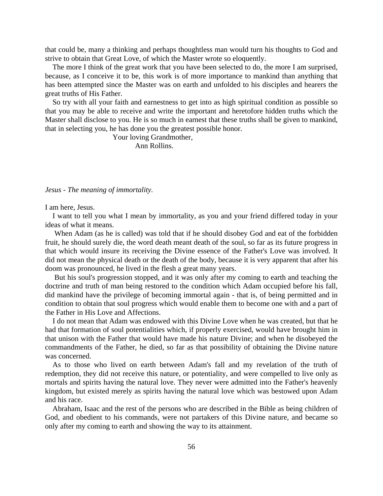that could be, many a thinking and perhaps thoughtless man would turn his thoughts to God and strive to obtain that Great Love, of which the Master wrote so eloquently.

 The more I think of the great work that you have been selected to do, the more I am surprised, because, as I conceive it to be, this work is of more importance to mankind than anything that has been attempted since the Master was on earth and unfolded to his disciples and hearers the great truths of His Father.

 So try with all your faith and earnestness to get into as high spiritual condition as possible so that you may be able to receive and write the important and heretofore hidden truths which the Master shall disclose to you. He is so much in earnest that these truths shall be given to mankind, that in selecting you, he has done you the greatest possible honor.

> Your loving Grandmother, Ann Rollins.

*Jesus - The meaning of immortality.* 

I am here, Jesus.

 I want to tell you what I mean by immortality, as you and your friend differed today in your ideas of what it means.

 When Adam (as he is called) was told that if he should disobey God and eat of the forbidden fruit, he should surely die, the word death meant death of the soul, so far as its future progress in that which would insure its receiving the Divine essence of the Father's Love was involved. It did not mean the physical death or the death of the body, because it is very apparent that after his doom was pronounced, he lived in the flesh a great many years.

 But his soul's progression stopped, and it was only after my coming to earth and teaching the doctrine and truth of man being restored to the condition which Adam occupied before his fall, did mankind have the privilege of becoming immortal again - that is, of being permitted and in condition to obtain that soul progress which would enable them to become one with and a part of the Father in His Love and Affections.

 I do not mean that Adam was endowed with this Divine Love when he was created, but that he had that formation of soul potentialities which, if properly exercised, would have brought him in that unison with the Father that would have made his nature Divine; and when he disobeyed the commandments of the Father, he died, so far as that possibility of obtaining the Divine nature was concerned.

 As to those who lived on earth between Adam's fall and my revelation of the truth of redemption, they did not receive this nature, or potentiality, and were compelled to live only as mortals and spirits having the natural love. They never were admitted into the Father's heavenly kingdom, but existed merely as spirits having the natural love which was bestowed upon Adam and his race.

 Abraham, Isaac and the rest of the persons who are described in the Bible as being children of God, and obedient to his commands, were not partakers of this Divine nature, and became so only after my coming to earth and showing the way to its attainment.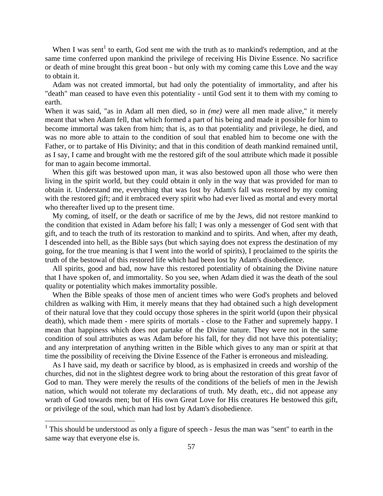When I was sent<sup>1</sup> to earth, God sent me with the truth as to mankind's redemption, and at the same time conferred upon mankind the privilege of receiving His Divine Essence. No sacrifice or death of mine brought this great boon - but only with my coming came this Love and the way to obtain it.

 Adam was not created immortal, but had only the potentiality of immortality, and after his "death" man ceased to have even this potentiality - until God sent it to them with my coming to earth.

When it was said, "as in Adam all men died, so in *(me)* were all men made alive," it merely meant that when Adam fell, that which formed a part of his being and made it possible for him to become immortal was taken from him; that is, as to that potentiality and privilege, he died, and was no more able to attain to the condition of soul that enabled him to become one with the Father, or to partake of His Divinity; and that in this condition of death mankind remained until, as I say, I came and brought with me the restored gift of the soul attribute which made it possible for man to again become immortal.

 When this gift was bestowed upon man, it was also bestowed upon all those who were then living in the spirit world, but they could obtain it only in the way that was provided for man to obtain it. Understand me, everything that was lost by Adam's fall was restored by my coming with the restored gift; and it embraced every spirit who had ever lived as mortal and every mortal who thereafter lived up to the present time.

 My coming, of itself, or the death or sacrifice of me by the Jews, did not restore mankind to the condition that existed in Adam before his fall; I was only a messenger of God sent with that gift, and to teach the truth of its restoration to mankind and to spirits. And when, after my death, I descended into hell, as the Bible says (but which saying does not express the destination of my going, for the true meaning is that I went into the world of spirits), I proclaimed to the spirits the truth of the bestowal of this restored life which had been lost by Adam's disobedience.

 All spirits, good and bad, now have this restored potentiality of obtaining the Divine nature that I have spoken of, and immortality. So you see, when Adam died it was the death of the soul quality or potentiality which makes immortality possible.

 When the Bible speaks of those men of ancient times who were God's prophets and beloved children as walking with Him, it merely means that they had obtained such a high development of their natural love that they could occupy those spheres in the spirit world (upon their physical death), which made them - mere spirits of mortals - close to the Father and supremely happy. I mean that happiness which does not partake of the Divine nature. They were not in the same condition of soul attributes as was Adam before his fall, for they did not have this potentiality; and any interpretation of anything written in the Bible which gives to any man or spirit at that time the possibility of receiving the Divine Essence of the Father is erroneous and misleading.

 As I have said, my death or sacrifice by blood, as is emphasized in creeds and worship of the churches, did not in the slightest degree work to bring about the restoration of this great favor of God to man. They were merely the results of the conditions of the beliefs of men in the Jewish nation, which would not tolerate my declarations of truth. My death, etc., did not appease any wrath of God towards men; but of His own Great Love for His creatures He bestowed this gift, or privilege of the soul, which man had lost by Adam's disobedience.

 $\overline{a}$ 

<sup>&</sup>lt;sup>1</sup> This should be understood as only a figure of speech - Jesus the man was "sent" to earth in the same way that everyone else is.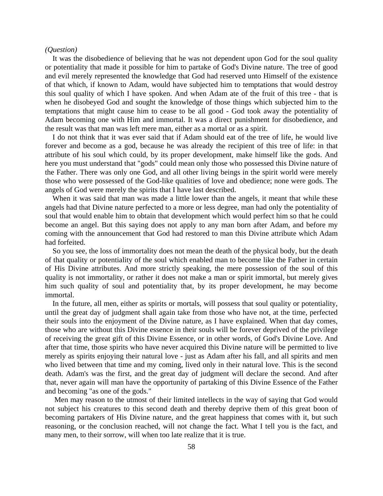#### *(Question)*

It was the disobedience of believing that he was not dependent upon God for the soul quality or potentiality that made it possible for him to partake of God's Divine nature. The tree of good and evil merely represented the knowledge that God had reserved unto Himself of the existence of that which, if known to Adam, would have subjected him to temptations that would destroy this soul quality of which I have spoken. And when Adam ate of the fruit of this tree - that is when he disobeyed God and sought the knowledge of those things which subjected him to the temptations that might cause him to cease to be all good - God took away the potentiality of Adam becoming one with Him and immortal. It was a direct punishment for disobedience, and the result was that man was left mere man, either as a mortal or as a spirit.

 I do not think that it was ever said that if Adam should eat of the tree of life, he would live forever and become as a god, because he was already the recipient of this tree of life: in that attribute of his soul which could, by its proper development, make himself like the gods. And here you must understand that "gods" could mean only those who possessed this Divine nature of the Father. There was only one God, and all other living beings in the spirit world were merely those who were possessed of the God-like qualities of love and obedience; none were gods. The angels of God were merely the spirits that I have last described.

When it was said that man was made a little lower than the angels, it meant that while these angels had that Divine nature perfected to a more or less degree, man had only the potentiality of soul that would enable him to obtain that development which would perfect him so that he could become an angel. But this saying does not apply to any man born after Adam, and before my coming with the announcement that God had restored to man this Divine attribute which Adam had forfeited.

 So you see, the loss of immortality does not mean the death of the physical body, but the death of that quality or potentiality of the soul which enabled man to become like the Father in certain of His Divine attributes. And more strictly speaking, the mere possession of the soul of this quality is not immortality, or rather it does not make a man or spirit immortal, but merely gives him such quality of soul and potentiality that, by its proper development, he may become immortal.

 In the future, all men, either as spirits or mortals, will possess that soul quality or potentiality, until the great day of judgment shall again take from those who have not, at the time, perfected their souls into the enjoyment of the Divine nature, as I have explained. When that day comes, those who are without this Divine essence in their souls will be forever deprived of the privilege of receiving the great gift of this Divine Essence, or in other words, of God's Divine Love. And after that time, those spirits who have never acquired this Divine nature will be permitted to live merely as spirits enjoying their natural love - just as Adam after his fall, and all spirits and men who lived between that time and my coming, lived only in their natural love. This is the second death. Adam's was the first, and the great day of judgment will declare the second. And after that, never again will man have the opportunity of partaking of this Divine Essence of the Father and becoming "as one of the gods."

 Men may reason to the utmost of their limited intellects in the way of saying that God would not subject his creatures to this second death and thereby deprive them of this great boon of becoming partakers of His Divine nature, and the great happiness that comes with it, but such reasoning, or the conclusion reached, will not change the fact. What I tell you is the fact, and many men, to their sorrow, will when too late realize that it is true.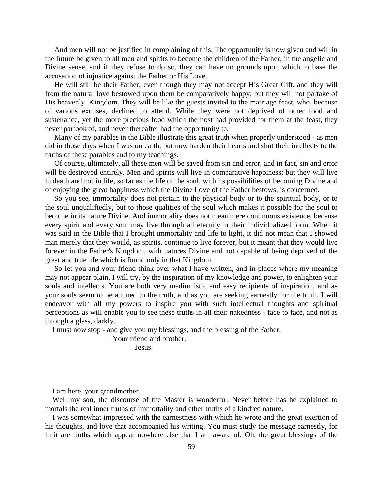And men will not be justified in complaining of this. The opportunity is now given and will in the future be given to all men and spirits to become the children of the Father, in the angelic and Divine sense, and if they refuse to do so, they can have no grounds upon which to base the accusation of injustice against the Father or His Love.

 He will still be their Father, even though they may not accept His Great Gift, and they will from the natural love bestowed upon them be comparatively happy; but they will not partake of His heavenly Kingdom. They will be like the guests invited to the marriage feast, who, because of various excuses, declined to attend. While they were not deprived of other food and sustenance, yet the more precious food which the host had provided for them at the feast, they never partook of, and never thereafter had the opportunity to.

 Many of my parables in the Bible illustrate this great truth when properly understood - as men did in those days when I was on earth, but now harden their hearts and shut their intellects to the truths of these parables and to my teachings.

 Of course, ultimately, all these men will be saved from sin and error, and in fact, sin and error will be destroyed entirely. Men and spirits will live in comparative happiness; but they will live in death and not in life, so far as the life of the soul, with its possibilities of becoming Divine and of enjoying the great happiness which the Divine Love of the Father bestows, is concerned.

 So you see, immortality does not pertain to the physical body or to the spiritual body, or to the soul unqualifiedly, but to those qualities of the soul which makes it possible for the soul to become in its nature Divine. And immortality does not mean mere continuous existence, because every spirit and every soul may live through all eternity in their individualized form. When it was said in the Bible that I brought immortality and life to light, it did not mean that I showed man merely that they would, as spirits, continue to live forever, but it meant that they would live forever in the Father's Kingdom, with natures Divine and not capable of being deprived of the great and true life which is found only in that Kingdom.

 So let you and your friend think over what I have written, and in places where my meaning may not appear plain, I will try, by the inspiration of my knowledge and power, to enlighten your souls and intellects. You are both very mediumistic and easy recipients of inspiration, and as your souls seem to be attuned to the truth, and as you are seeking earnestly for the truth, I will endeavor with all my powers to inspire you with such intellectual thoughts and spiritual perceptions as will enable you to see these truths in all their nakedness - face to face, and not as through a glass, darkly.

I must now stop - and give you my blessings, and the blessing of the Father.

Your friend and brother,

Jesus.

I am here, your grandmother.

 Well my son, the discourse of the Master is wonderful. Never before has he explained to mortals the real inner truths of immortality and other truths of a kindred nature.

 I was somewhat impressed with the earnestness with which he wrote and the great exertion of his thoughts, and love that accompanied his writing. You must study the message earnestly, for in it are truths which appear nowhere else that I am aware of. Oh, the great blessings of the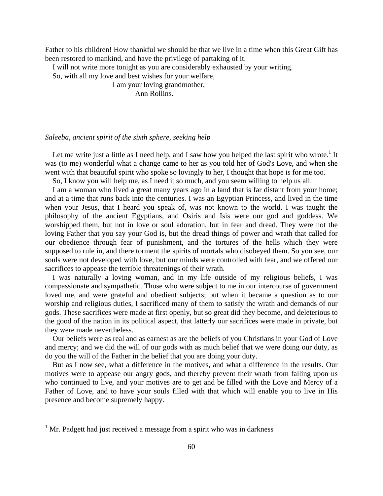Father to his children! How thankful we should be that we live in a time when this Great Gift has been restored to mankind, and have the privilege of partaking of it.

I will not write more tonight as you are considerably exhausted by your writing.

So, with all my love and best wishes for your welfare,

I am your loving grandmother,

Ann Rollins.

### *Saleeba, ancient spirit of the sixth sphere, seeking help*

Let me write just a little as I need help, and I saw how you helped the last spirit who wrote.<sup>1</sup> It was (to me) wonderful what a change came to her as you told her of God's Love, and when she went with that beautiful spirit who spoke so lovingly to her, I thought that hope is for me too.

So, I know you will help me, as I need it so much, and you seem willing to help us all.

 I am a woman who lived a great many years ago in a land that is far distant from your home; and at a time that runs back into the centuries. I was an Egyptian Princess, and lived in the time when your Jesus, that I heard you speak of, was not known to the world. I was taught the philosophy of the ancient Egyptians, and Osiris and Isis were our god and goddess. We worshipped them, but not in love or soul adoration, but in fear and dread. They were not the loving Father that you say your God is, but the dread things of power and wrath that called for our obedience through fear of punishment, and the tortures of the hells which they were supposed to rule in, and there torment the spirits of mortals who disobeyed them. So you see, our souls were not developed with love, but our minds were controlled with fear, and we offered our sacrifices to appease the terrible threatenings of their wrath.

 I was naturally a loving woman, and in my life outside of my religious beliefs, I was compassionate and sympathetic. Those who were subject to me in our intercourse of government loved me, and were grateful and obedient subjects; but when it became a question as to our worship and religious duties, I sacrificed many of them to satisfy the wrath and demands of our gods. These sacrifices were made at first openly, but so great did they become, and deleterious to the good of the nation in its political aspect, that latterly our sacrifices were made in private, but they were made nevertheless.

 Our beliefs were as real and as earnest as are the beliefs of you Christians in your God of Love and mercy; and we did the will of our gods with as much belief that we were doing our duty, as do you the will of the Father in the belief that you are doing your duty.

 But as I now see, what a difference in the motives, and what a difference in the results. Our motives were to appease our angry gods, and thereby prevent their wrath from falling upon us who continued to live, and your motives are to get and be filled with the Love and Mercy of a Father of Love, and to have your souls filled with that which will enable you to live in His presence and become supremely happy.

 $\overline{a}$ 

<sup>&</sup>lt;sup>1</sup> Mr. Padgett had just received a message from a spirit who was in darkness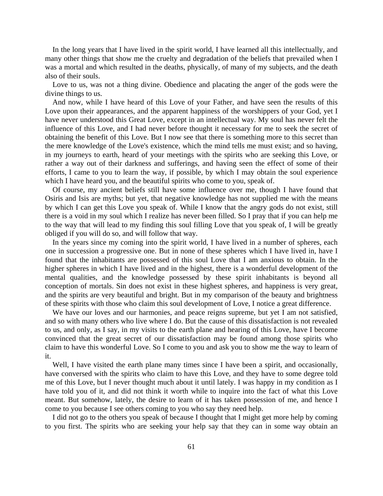In the long years that I have lived in the spirit world, I have learned all this intellectually, and many other things that show me the cruelty and degradation of the beliefs that prevailed when I was a mortal and which resulted in the deaths, physically, of many of my subjects, and the death also of their souls.

 Love to us, was not a thing divine. Obedience and placating the anger of the gods were the divine things to us.

 And now, while I have heard of this Love of your Father, and have seen the results of this Love upon their appearances, and the apparent happiness of the worshippers of your God, yet I have never understood this Great Love, except in an intellectual way. My soul has never felt the influence of this Love, and I had never before thought it necessary for me to seek the secret of obtaining the benefit of this Love. But I now see that there is something more to this secret than the mere knowledge of the Love's existence, which the mind tells me must exist; and so having, in my journeys to earth, heard of your meetings with the spirits who are seeking this Love, or rather a way out of their darkness and sufferings, and having seen the effect of some of their efforts, I came to you to learn the way, if possible, by which I may obtain the soul experience which I have heard you, and the beautiful spirits who come to you, speak of.

 Of course, my ancient beliefs still have some influence over me, though I have found that Osiris and Isis are myths; but yet, that negative knowledge has not supplied me with the means by which I can get this Love you speak of. While I know that the angry gods do not exist, still there is a void in my soul which I realize has never been filled. So I pray that if you can help me to the way that will lead to my finding this soul filling Love that you speak of, I will be greatly obliged if you will do so, and will follow that way.

 In the years since my coming into the spirit world, I have lived in a number of spheres, each one in succession a progressive one. But in none of these spheres which I have lived in, have I found that the inhabitants are possessed of this soul Love that I am anxious to obtain. In the higher spheres in which I have lived and in the highest, there is a wonderful development of the mental qualities, and the knowledge possessed by these spirit inhabitants is beyond all conception of mortals. Sin does not exist in these highest spheres, and happiness is very great, and the spirits are very beautiful and bright. But in my comparison of the beauty and brightness of these spirits with those who claim this soul development of Love, I notice a great difference.

 We have our loves and our harmonies, and peace reigns supreme, but yet I am not satisfied, and so with many others who live where I do. But the cause of this dissatisfaction is not revealed to us, and only, as I say, in my visits to the earth plane and hearing of this Love, have I become convinced that the great secret of our dissatisfaction may be found among those spirits who claim to have this wonderful Love. So I come to you and ask you to show me the way to learn of it.

 Well, I have visited the earth plane many times since I have been a spirit, and occasionally, have conversed with the spirits who claim to have this Love, and they have to some degree told me of this Love, but I never thought much about it until lately. I was happy in my condition as I have told you of it, and did not think it worth while to inquire into the fact of what this Love meant. But somehow, lately, the desire to learn of it has taken possession of me, and hence I come to you because I see others coming to you who say they need help.

 I did not go to the others you speak of because I thought that I might get more help by coming to you first. The spirits who are seeking your help say that they can in some way obtain an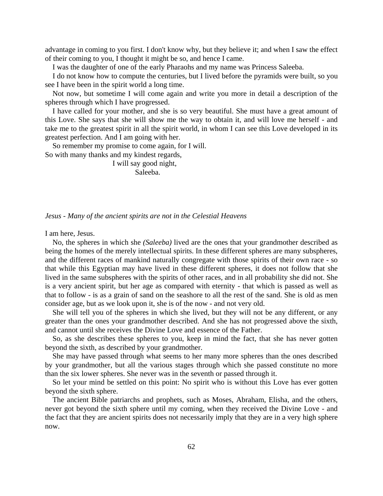advantage in coming to you first. I don't know why, but they believe it; and when I saw the effect of their coming to you, I thought it might be so, and hence I came.

I was the daughter of one of the early Pharaohs and my name was Princess Saleeba.

 I do not know how to compute the centuries, but I lived before the pyramids were built, so you see I have been in the spirit world a long time.

 Not now, but sometime I will come again and write you more in detail a description of the spheres through which I have progressed.

 I have called for your mother, and she is so very beautiful. She must have a great amount of this Love. She says that she will show me the way to obtain it, and will love me herself - and take me to the greatest spirit in all the spirit world, in whom I can see this Love developed in its greatest perfection. And I am going with her.

So remember my promise to come again, for I will.

So with many thanks and my kindest regards,

I will say good night, Saleeba.

#### *Jesus - Many of the ancient spirits are not in the Celestial Heavens*

I am here, Jesus.

 No, the spheres in which she *(Saleeba)* lived are the ones that your grandmother described as being the homes of the merely intellectual spirits. In these different spheres are many subspheres, and the different races of mankind naturally congregate with those spirits of their own race - so that while this Egyptian may have lived in these different spheres, it does not follow that she lived in the same subspheres with the spirits of other races, and in all probability she did not. She is a very ancient spirit, but her age as compared with eternity - that which is passed as well as that to follow - is as a grain of sand on the seashore to all the rest of the sand. She is old as men consider age, but as we look upon it, she is of the now - and not very old.

 She will tell you of the spheres in which she lived, but they will not be any different, or any greater than the ones your grandmother described. And she has not progressed above the sixth, and cannot until she receives the Divine Love and essence of the Father.

 So, as she describes these spheres to you, keep in mind the fact, that she has never gotten beyond the sixth, as described by your grandmother.

 She may have passed through what seems to her many more spheres than the ones described by your grandmother, but all the various stages through which she passed constitute no more than the six lower spheres. She never was in the seventh or passed through it.

 So let your mind be settled on this point: No spirit who is without this Love has ever gotten beyond the sixth sphere.

 The ancient Bible patriarchs and prophets, such as Moses, Abraham, Elisha, and the others, never got beyond the sixth sphere until my coming, when they received the Divine Love - and the fact that they are ancient spirits does not necessarily imply that they are in a very high sphere now.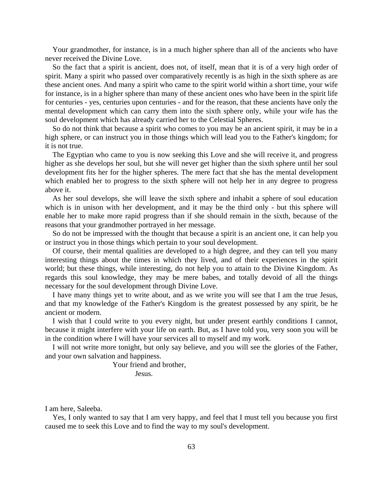Your grandmother, for instance, is in a much higher sphere than all of the ancients who have never received the Divine Love.

 So the fact that a spirit is ancient, does not, of itself, mean that it is of a very high order of spirit. Many a spirit who passed over comparatively recently is as high in the sixth sphere as are these ancient ones. And many a spirit who came to the spirit world within a short time, your wife for instance, is in a higher sphere than many of these ancient ones who have been in the spirit life for centuries - yes, centuries upon centuries - and for the reason, that these ancients have only the mental development which can carry them into the sixth sphere only, while your wife has the soul development which has already carried her to the Celestial Spheres.

 So do not think that because a spirit who comes to you may be an ancient spirit, it may be in a high sphere, or can instruct you in those things which will lead you to the Father's kingdom; for it is not true.

 The Egyptian who came to you is now seeking this Love and she will receive it, and progress higher as she develops her soul, but she will never get higher than the sixth sphere until her soul development fits her for the higher spheres. The mere fact that she has the mental development which enabled her to progress to the sixth sphere will not help her in any degree to progress above it.

 As her soul develops, she will leave the sixth sphere and inhabit a sphere of soul education which is in unison with her development, and it may be the third only - but this sphere will enable her to make more rapid progress than if she should remain in the sixth, because of the reasons that your grandmother portrayed in her message.

 So do not be impressed with the thought that because a spirit is an ancient one, it can help you or instruct you in those things which pertain to your soul development.

 Of course, their mental qualities are developed to a high degree, and they can tell you many interesting things about the times in which they lived, and of their experiences in the spirit world; but these things, while interesting, do not help you to attain to the Divine Kingdom. As regards this soul knowledge, they may be mere babes, and totally devoid of all the things necessary for the soul development through Divine Love.

 I have many things yet to write about, and as we write you will see that I am the true Jesus, and that my knowledge of the Father's Kingdom is the greatest possessed by any spirit, be he ancient or modern.

 I wish that I could write to you every night, but under present earthly conditions I cannot, because it might interfere with your life on earth. But, as I have told you, very soon you will be in the condition where I will have your services all to myself and my work.

 I will not write more tonight, but only say believe, and you will see the glories of the Father, and your own salvation and happiness.

Your friend and brother,

Jesus.

I am here, Saleeba.

 Yes, I only wanted to say that I am very happy, and feel that I must tell you because you first caused me to seek this Love and to find the way to my soul's development.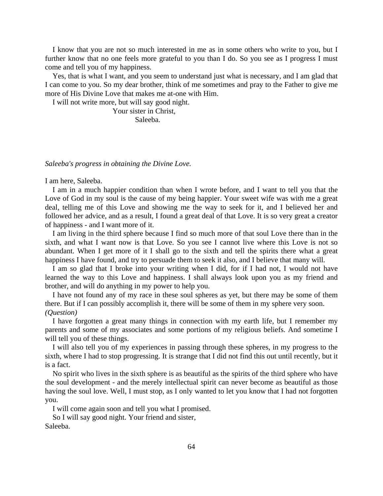I know that you are not so much interested in me as in some others who write to you, but I further know that no one feels more grateful to you than I do. So you see as I progress I must come and tell you of my happiness.

 Yes, that is what I want, and you seem to understand just what is necessary, and I am glad that I can come to you. So my dear brother, think of me sometimes and pray to the Father to give me more of His Divine Love that makes me at-one with Him.

I will not write more, but will say good night.

 Your sister in Christ, Saleeba.

*Saleeba's progress in obtaining the Divine Love.* 

I am here, Saleeba.

 I am in a much happier condition than when I wrote before, and I want to tell you that the Love of God in my soul is the cause of my being happier. Your sweet wife was with me a great deal, telling me of this Love and showing me the way to seek for it, and I believed her and followed her advice, and as a result, I found a great deal of that Love. It is so very great a creator of happiness - and I want more of it.

 I am living in the third sphere because I find so much more of that soul Love there than in the sixth, and what I want now is that Love. So you see I cannot live where this Love is not so abundant. When I get more of it I shall go to the sixth and tell the spirits there what a great happiness I have found, and try to persuade them to seek it also, and I believe that many will.

 I am so glad that I broke into your writing when I did, for if I had not, I would not have learned the way to this Love and happiness. I shall always look upon you as my friend and brother, and will do anything in my power to help you.

 I have not found any of my race in these soul spheres as yet, but there may be some of them there. But if I can possibly accomplish it, there will be some of them in my sphere very soon. *(Question)* 

I have forgotten a great many things in connection with my earth life, but I remember my parents and some of my associates and some portions of my religious beliefs. And sometime I will tell you of these things.

 I will also tell you of my experiences in passing through these spheres, in my progress to the sixth, where I had to stop progressing. It is strange that I did not find this out until recently, but it is a fact.

 No spirit who lives in the sixth sphere is as beautiful as the spirits of the third sphere who have the soul development - and the merely intellectual spirit can never become as beautiful as those having the soul love. Well, I must stop, as I only wanted to let you know that I had not forgotten you.

I will come again soon and tell you what I promised.

 So I will say good night. Your friend and sister, Saleeba.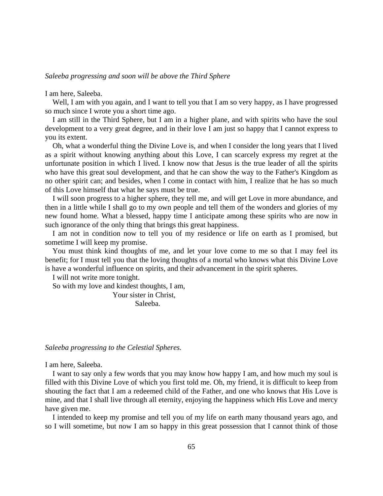### *Saleeba progressing and soon will be above the Third Sphere*

I am here, Saleeba.

 Well, I am with you again, and I want to tell you that I am so very happy, as I have progressed so much since I wrote you a short time ago.

 I am still in the Third Sphere, but I am in a higher plane, and with spirits who have the soul development to a very great degree, and in their love I am just so happy that I cannot express to you its extent.

 Oh, what a wonderful thing the Divine Love is, and when I consider the long years that I lived as a spirit without knowing anything about this Love, I can scarcely express my regret at the unfortunate position in which I lived. I know now that Jesus is the true leader of all the spirits who have this great soul development, and that he can show the way to the Father's Kingdom as no other spirit can; and besides, when I come in contact with him, I realize that he has so much of this Love himself that what he says must be true.

 I will soon progress to a higher sphere, they tell me, and will get Love in more abundance, and then in a little while I shall go to my own people and tell them of the wonders and glories of my new found home. What a blessed, happy time I anticipate among these spirits who are now in such ignorance of the only thing that brings this great happiness.

 I am not in condition now to tell you of my residence or life on earth as I promised, but sometime I will keep my promise.

 You must think kind thoughts of me, and let your love come to me so that I may feel its benefit; for I must tell you that the loving thoughts of a mortal who knows what this Divine Love is have a wonderful influence on spirits, and their advancement in the spirit spheres.

I will not write more tonight.

So with my love and kindest thoughts, I am,

Your sister in Christ,

Saleeba.

*Saleeba progressing to the Celestial Spheres.* 

I am here, Saleeba.

 I want to say only a few words that you may know how happy I am, and how much my soul is filled with this Divine Love of which you first told me. Oh, my friend, it is difficult to keep from shouting the fact that I am a redeemed child of the Father, and one who knows that His Love is mine, and that I shall live through all eternity, enjoying the happiness which His Love and mercy have given me.

 I intended to keep my promise and tell you of my life on earth many thousand years ago, and so I will sometime, but now I am so happy in this great possession that I cannot think of those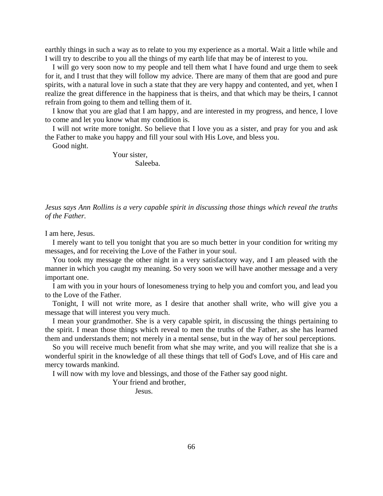earthly things in such a way as to relate to you my experience as a mortal. Wait a little while and I will try to describe to you all the things of my earth life that may be of interest to you.

 I will go very soon now to my people and tell them what I have found and urge them to seek for it, and I trust that they will follow my advice. There are many of them that are good and pure spirits, with a natural love in such a state that they are very happy and contented, and yet, when I realize the great difference in the happiness that is theirs, and that which may be theirs, I cannot refrain from going to them and telling them of it.

 I know that you are glad that I am happy, and are interested in my progress, and hence, I love to come and let you know what my condition is.

 I will not write more tonight. So believe that I love you as a sister, and pray for you and ask the Father to make you happy and fill your soul with His Love, and bless you.

Good night.

 Your sister, Saleeba.

*Jesus says Ann Rollins is a very capable spirit in discussing those things which reveal the truths of the Father.* 

I am here, Jesus.

 I merely want to tell you tonight that you are so much better in your condition for writing my messages, and for receiving the Love of the Father in your soul.

 You took my message the other night in a very satisfactory way, and I am pleased with the manner in which you caught my meaning. So very soon we will have another message and a very important one.

 I am with you in your hours of lonesomeness trying to help you and comfort you, and lead you to the Love of the Father.

 Tonight, I will not write more, as I desire that another shall write, who will give you a message that will interest you very much.

 I mean your grandmother. She is a very capable spirit, in discussing the things pertaining to the spirit. I mean those things which reveal to men the truths of the Father, as she has learned them and understands them; not merely in a mental sense, but in the way of her soul perceptions.

 So you will receive much benefit from what she may write, and you will realize that she is a wonderful spirit in the knowledge of all these things that tell of God's Love, and of His care and mercy towards mankind.

I will now with my love and blessings, and those of the Father say good night.

Your friend and brother,

Jesus.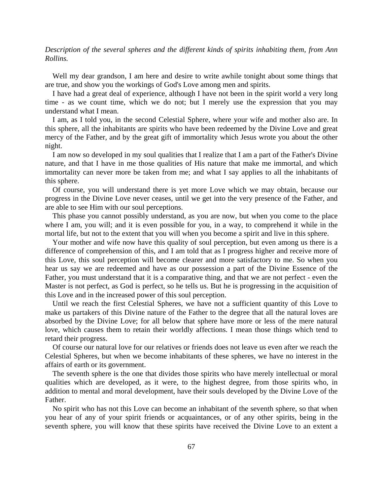# *Description of the several spheres and the different kinds of spirits inhabiting them, from Ann Rollins.*

 Well my dear grandson, I am here and desire to write awhile tonight about some things that are true, and show you the workings of God's Love among men and spirits.

 I have had a great deal of experience, although I have not been in the spirit world a very long time - as we count time, which we do not; but I merely use the expression that you may understand what I mean.

 I am, as I told you, in the second Celestial Sphere, where your wife and mother also are. In this sphere, all the inhabitants are spirits who have been redeemed by the Divine Love and great mercy of the Father, and by the great gift of immortality which Jesus wrote you about the other night.

 I am now so developed in my soul qualities that I realize that I am a part of the Father's Divine nature, and that I have in me those qualities of His nature that make me immortal, and which immortality can never more be taken from me; and what I say applies to all the inhabitants of this sphere.

 Of course, you will understand there is yet more Love which we may obtain, because our progress in the Divine Love never ceases, until we get into the very presence of the Father, and are able to see Him with our soul perceptions.

 This phase you cannot possibly understand, as you are now, but when you come to the place where I am, you will; and it is even possible for you, in a way, to comprehend it while in the mortal life, but not to the extent that you will when you become a spirit and live in this sphere.

 Your mother and wife now have this quality of soul perception, but even among us there is a difference of comprehension of this, and I am told that as I progress higher and receive more of this Love, this soul perception will become clearer and more satisfactory to me. So when you hear us say we are redeemed and have as our possession a part of the Divine Essence of the Father, you must understand that it is a comparative thing, and that we are not perfect - even the Master is not perfect, as God is perfect, so he tells us. But he is progressing in the acquisition of this Love and in the increased power of this soul perception.

 Until we reach the first Celestial Spheres, we have not a sufficient quantity of this Love to make us partakers of this Divine nature of the Father to the degree that all the natural loves are absorbed by the Divine Love; for all below that sphere have more or less of the mere natural love, which causes them to retain their worldly affections. I mean those things which tend to retard their progress.

 Of course our natural love for our relatives or friends does not leave us even after we reach the Celestial Spheres, but when we become inhabitants of these spheres, we have no interest in the affairs of earth or its government.

 The seventh sphere is the one that divides those spirits who have merely intellectual or moral qualities which are developed, as it were, to the highest degree, from those spirits who, in addition to mental and moral development, have their souls developed by the Divine Love of the Father.

 No spirit who has not this Love can become an inhabitant of the seventh sphere, so that when you hear of any of your spirit friends or acquaintances, or of any other spirits, being in the seventh sphere, you will know that these spirits have received the Divine Love to an extent a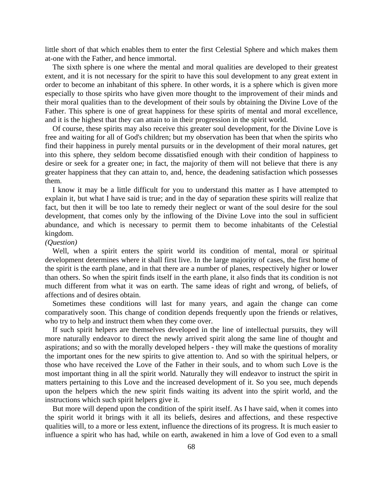little short of that which enables them to enter the first Celestial Sphere and which makes them at-one with the Father, and hence immortal.

 The sixth sphere is one where the mental and moral qualities are developed to their greatest extent, and it is not necessary for the spirit to have this soul development to any great extent in order to become an inhabitant of this sphere. In other words, it is a sphere which is given more especially to those spirits who have given more thought to the improvement of their minds and their moral qualities than to the development of their souls by obtaining the Divine Love of the Father. This sphere is one of great happiness for these spirits of mental and moral excellence, and it is the highest that they can attain to in their progression in the spirit world.

 Of course, these spirits may also receive this greater soul development, for the Divine Love is free and waiting for all of God's children; but my observation has been that when the spirits who find their happiness in purely mental pursuits or in the development of their moral natures, get into this sphere, they seldom become dissatisfied enough with their condition of happiness to desire or seek for a greater one; in fact, the majority of them will not believe that there is any greater happiness that they can attain to, and, hence, the deadening satisfaction which possesses them.

 I know it may be a little difficult for you to understand this matter as I have attempted to explain it, but what I have said is true; and in the day of separation these spirits will realize that fact, but then it will be too late to remedy their neglect or want of the soul desire for the soul development, that comes only by the inflowing of the Divine Love into the soul in sufficient abundance, and which is necessary to permit them to become inhabitants of the Celestial kingdom.

### *(Question)*

Well, when a spirit enters the spirit world its condition of mental, moral or spiritual development determines where it shall first live. In the large majority of cases, the first home of the spirit is the earth plane, and in that there are a number of planes, respectively higher or lower than others. So when the spirit finds itself in the earth plane, it also finds that its condition is not much different from what it was on earth. The same ideas of right and wrong, of beliefs, of affections and of desires obtain.

 Sometimes these conditions will last for many years, and again the change can come comparatively soon. This change of condition depends frequently upon the friends or relatives, who try to help and instruct them when they come over.

 If such spirit helpers are themselves developed in the line of intellectual pursuits, they will more naturally endeavor to direct the newly arrived spirit along the same line of thought and aspirations; and so with the morally developed helpers - they will make the questions of morality the important ones for the new spirits to give attention to. And so with the spiritual helpers, or those who have received the Love of the Father in their souls, and to whom such Love is the most important thing in all the spirit world. Naturally they will endeavor to instruct the spirit in matters pertaining to this Love and the increased development of it. So you see, much depends upon the helpers which the new spirit finds waiting its advent into the spirit world, and the instructions which such spirit helpers give it.

 But more will depend upon the condition of the spirit itself. As I have said, when it comes into the spirit world it brings with it all its beliefs, desires and affections, and these respective qualities will, to a more or less extent, influence the directions of its progress. It is much easier to influence a spirit who has had, while on earth, awakened in him a love of God even to a small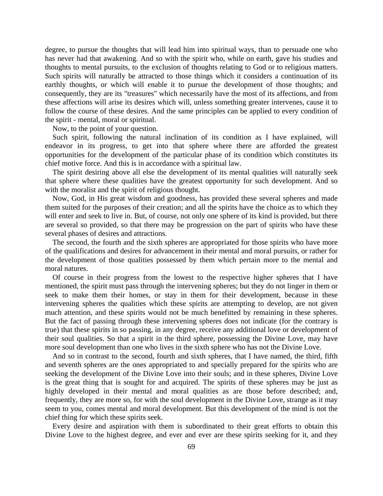degree, to pursue the thoughts that will lead him into spiritual ways, than to persuade one who has never had that awakening. And so with the spirit who, while on earth, gave his studies and thoughts to mental pursuits, to the exclusion of thoughts relating to God or to religious matters. Such spirits will naturally be attracted to those things which it considers a continuation of its earthly thoughts, or which will enable it to pursue the development of those thoughts; and consequently, they are its "treasures" which necessarily have the most of its affections, and from these affections will arise its desires which will, unless something greater intervenes, cause it to follow the course of these desires. And the same principles can be applied to every condition of the spirit - mental, moral or spiritual.

Now, to the point of your question.

 Such spirit, following the natural inclination of its condition as I have explained, will endeavor in its progress, to get into that sphere where there are afforded the greatest opportunities for the development of the particular phase of its condition which constitutes its chief motive force. And this is in accordance with a spiritual law.

 The spirit desiring above all else the development of its mental qualities will naturally seek that sphere where these qualities have the greatest opportunity for such development. And so with the moralist and the spirit of religious thought.

 Now, God, in His great wisdom and goodness, has provided these several spheres and made them suited for the purposes of their creation; and all the spirits have the choice as to which they will enter and seek to live in. But, of course, not only one sphere of its kind is provided, but there are several so provided, so that there may be progression on the part of spirits who have these several phases of desires and attractions.

 The second, the fourth and the sixth spheres are appropriated for those spirits who have more of the qualifications and desires for advancement in their mental and moral pursuits, or rather for the development of those qualities possessed by them which pertain more to the mental and moral natures.

 Of course in their progress from the lowest to the respective higher spheres that I have mentioned, the spirit must pass through the intervening spheres; but they do not linger in them or seek to make them their homes, or stay in them for their development, because in these intervening spheres the qualities which these spirits are attempting to develop, are not given much attention, and these spirits would not be much benefitted by remaining in these spheres. But the fact of passing through these intervening spheres does not indicate (for the contrary is true) that these spirits in so passing, in any degree, receive any additional love or development of their soul qualities. So that a spirit in the third sphere, possessing the Divine Love, may have more soul development than one who lives in the sixth sphere who has not the Divine Love.

 And so in contrast to the second, fourth and sixth spheres, that I have named, the third, fifth and seventh spheres are the ones appropriated to and specially prepared for the spirits who are seeking the development of the Divine Love into their souls; and in these spheres, Divine Love is the great thing that is sought for and acquired. The spirits of these spheres may be just as highly developed in their mental and moral qualities as are those before described; and, frequently, they are more so, for with the soul development in the Divine Love, strange as it may seem to you, comes mental and moral development. But this development of the mind is not the chief thing for which these spirits seek.

 Every desire and aspiration with them is subordinated to their great efforts to obtain this Divine Love to the highest degree, and ever and ever are these spirits seeking for it, and they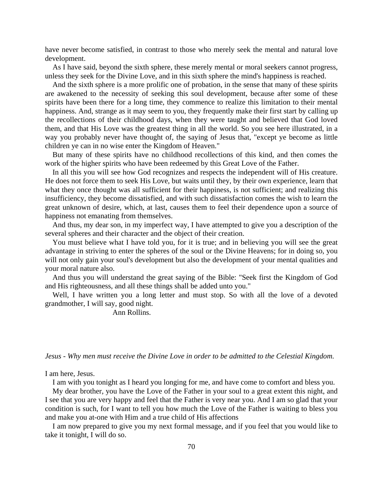have never become satisfied, in contrast to those who merely seek the mental and natural love development.

 As I have said, beyond the sixth sphere, these merely mental or moral seekers cannot progress, unless they seek for the Divine Love, and in this sixth sphere the mind's happiness is reached.

 And the sixth sphere is a more prolific one of probation, in the sense that many of these spirits are awakened to the necessity of seeking this soul development, because after some of these spirits have been there for a long time, they commence to realize this limitation to their mental happiness. And, strange as it may seem to you, they frequently make their first start by calling up the recollections of their childhood days, when they were taught and believed that God loved them, and that His Love was the greatest thing in all the world. So you see here illustrated, in a way you probably never have thought of, the saying of Jesus that, "except ye become as little children ye can in no wise enter the Kingdom of Heaven."

 But many of these spirits have no childhood recollections of this kind, and then comes the work of the higher spirits who have been redeemed by this Great Love of the Father.

 In all this you will see how God recognizes and respects the independent will of His creature. He does not force them to seek His Love, but waits until they, by their own experience, learn that what they once thought was all sufficient for their happiness, is not sufficient; and realizing this insufficiency, they become dissatisfied, and with such dissatisfaction comes the wish to learn the great unknown of desire, which, at last, causes them to feel their dependence upon a source of happiness not emanating from themselves.

 And thus, my dear son, in my imperfect way, I have attempted to give you a description of the several spheres and their character and the object of their creation.

 You must believe what I have told you, for it is true; and in believing you will see the great advantage in striving to enter the spheres of the soul or the Divine Heavens; for in doing so, you will not only gain your soul's development but also the development of your mental qualities and your moral nature also.

 And thus you will understand the great saying of the Bible: "Seek first the Kingdom of God and His righteousness, and all these things shall be added unto you."

 Well, I have written you a long letter and must stop. So with all the love of a devoted grandmother, I will say, good night.

Ann Rollins.

*Jesus - Why men must receive the Divine Love in order to be admitted to the Celestial Kingdom.* 

I am here, Jesus.

I am with you tonight as I heard you longing for me, and have come to comfort and bless you.

 My dear brother, you have the Love of the Father in your soul to a great extent this night, and I see that you are very happy and feel that the Father is very near you. And I am so glad that your condition is such, for I want to tell you how much the Love of the Father is waiting to bless you and make you at-one with Him and a true child of His affections

 I am now prepared to give you my next formal message, and if you feel that you would like to take it tonight, I will do so.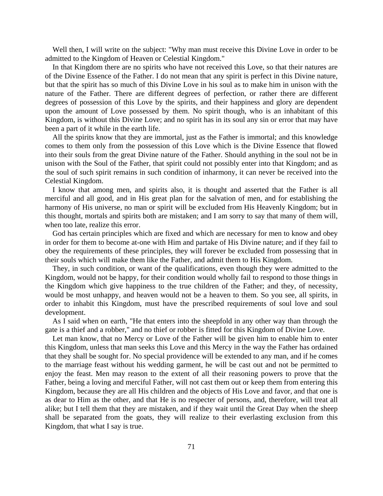Well then, I will write on the subject: "Why man must receive this Divine Love in order to be admitted to the Kingdom of Heaven or Celestial Kingdom."

 In that Kingdom there are no spirits who have not received this Love, so that their natures are of the Divine Essence of the Father. I do not mean that any spirit is perfect in this Divine nature, but that the spirit has so much of this Divine Love in his soul as to make him in unison with the nature of the Father. There are different degrees of perfection, or rather there are different degrees of possession of this Love by the spirits, and their happiness and glory are dependent upon the amount of Love possessed by them. No spirit though, who is an inhabitant of this Kingdom, is without this Divine Love; and no spirit has in its soul any sin or error that may have been a part of it while in the earth life.

 All the spirits know that they are immortal, just as the Father is immortal; and this knowledge comes to them only from the possession of this Love which is the Divine Essence that flowed into their souls from the great Divine nature of the Father. Should anything in the soul not be in unison with the Soul of the Father, that spirit could not possibly enter into that Kingdom; and as the soul of such spirit remains in such condition of inharmony, it can never be received into the Celestial Kingdom.

 I know that among men, and spirits also, it is thought and asserted that the Father is all merciful and all good, and in His great plan for the salvation of men, and for establishing the harmony of His universe, no man or spirit will be excluded from His Heavenly Kingdom; but in this thought, mortals and spirits both are mistaken; and I am sorry to say that many of them will, when too late, realize this error.

 God has certain principles which are fixed and which are necessary for men to know and obey in order for them to become at-one with Him and partake of His Divine nature; and if they fail to obey the requirements of these principles, they will forever be excluded from possessing that in their souls which will make them like the Father, and admit them to His Kingdom.

 They, in such condition, or want of the qualifications, even though they were admitted to the Kingdom, would not be happy, for their condition would wholly fail to respond to those things in the Kingdom which give happiness to the true children of the Father; and they, of necessity, would be most unhappy, and heaven would not be a heaven to them. So you see, all spirits, in order to inhabit this Kingdom, must have the prescribed requirements of soul love and soul development.

 As I said when on earth, "He that enters into the sheepfold in any other way than through the gate is a thief and a robber," and no thief or robber is fitted for this Kingdom of Divine Love.

 Let man know, that no Mercy or Love of the Father will be given him to enable him to enter this Kingdom, unless that man seeks this Love and this Mercy in the way the Father has ordained that they shall be sought for. No special providence will be extended to any man, and if he comes to the marriage feast without his wedding garment, he will be cast out and not be permitted to enjoy the feast. Men may reason to the extent of all their reasoning powers to prove that the Father, being a loving and merciful Father, will not cast them out or keep them from entering this Kingdom, because they are all His children and the objects of His Love and favor, and that one is as dear to Him as the other, and that He is no respecter of persons, and, therefore, will treat all alike; but I tell them that they are mistaken, and if they wait until the Great Day when the sheep shall be separated from the goats, they will realize to their everlasting exclusion from this Kingdom, that what I say is true.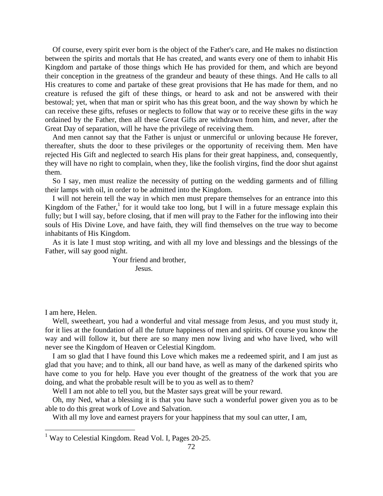Of course, every spirit ever born is the object of the Father's care, and He makes no distinction between the spirits and mortals that He has created, and wants every one of them to inhabit His Kingdom and partake of those things which He has provided for them, and which are beyond their conception in the greatness of the grandeur and beauty of these things. And He calls to all His creatures to come and partake of these great provisions that He has made for them, and no creature is refused the gift of these things, or heard to ask and not be answered with their bestowal; yet, when that man or spirit who has this great boon, and the way shown by which he can receive these gifts, refuses or neglects to follow that way or to receive these gifts in the way ordained by the Father, then all these Great Gifts are withdrawn from him, and never, after the Great Day of separation, will he have the privilege of receiving them.

 And men cannot say that the Father is unjust or unmerciful or unloving because He forever, thereafter, shuts the door to these privileges or the opportunity of receiving them. Men have rejected His Gift and neglected to search His plans for their great happiness, and, consequently, they will have no right to complain, when they, like the foolish virgins, find the door shut against them.

 So I say, men must realize the necessity of putting on the wedding garments and of filling their lamps with oil, in order to be admitted into the Kingdom.

 I will not herein tell the way in which men must prepare themselves for an entrance into this Kingdom of the Father,<sup>1</sup> for it would take too long, but I will in a future message explain this fully; but I will say, before closing, that if men will pray to the Father for the inflowing into their souls of His Divine Love, and have faith, they will find themselves on the true way to become inhabitants of His Kingdom.

 As it is late I must stop writing, and with all my love and blessings and the blessings of the Father, will say good night.

> Your friend and brother, Jesus.

I am here, Helen.

 $\overline{a}$ 

 Well, sweetheart, you had a wonderful and vital message from Jesus, and you must study it, for it lies at the foundation of all the future happiness of men and spirits. Of course you know the way and will follow it, but there are so many men now living and who have lived, who will never see the Kingdom of Heaven or Celestial Kingdom.

 I am so glad that I have found this Love which makes me a redeemed spirit, and I am just as glad that you have; and to think, all our band have, as well as many of the darkened spirits who have come to you for help. Have you ever thought of the greatness of the work that you are doing, and what the probable result will be to you as well as to them?

Well I am not able to tell you, but the Master says great will be your reward.

 Oh, my Ned, what a blessing it is that you have such a wonderful power given you as to be able to do this great work of Love and Salvation.

With all my love and earnest prayers for your happiness that my soul can utter, I am,

<sup>&</sup>lt;sup>1</sup> Way to Celestial Kingdom. Read Vol. I, Pages 20-25.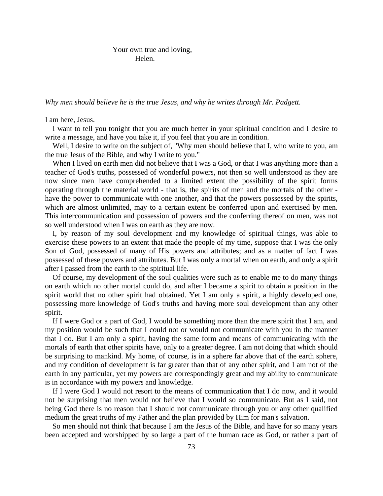Your own true and loving, Helen.

*Why men should believe he is the true Jesus, and why he writes through Mr. Padgett.* 

I am here, Jesus.

 I want to tell you tonight that you are much better in your spiritual condition and I desire to write a message, and have you take it, if you feel that you are in condition.

 Well, I desire to write on the subject of, "Why men should believe that I, who write to you, am the true Jesus of the Bible, and why I write to you."

When I lived on earth men did not believe that I was a God, or that I was anything more than a teacher of God's truths, possessed of wonderful powers, not then so well understood as they are now since men have comprehended to a limited extent the possibility of the spirit forms operating through the material world - that is, the spirits of men and the mortals of the other have the power to communicate with one another, and that the powers possessed by the spirits, which are almost unlimited, may to a certain extent be conferred upon and exercised by men. This intercommunication and possession of powers and the conferring thereof on men, was not so well understood when I was on earth as they are now.

 I, by reason of my soul development and my knowledge of spiritual things, was able to exercise these powers to an extent that made the people of my time, suppose that I was the only Son of God, possessed of many of His powers and attributes; and as a matter of fact I was possessed of these powers and attributes. But I was only a mortal when on earth, and only a spirit after I passed from the earth to the spiritual life.

 Of course, my development of the soul qualities were such as to enable me to do many things on earth which no other mortal could do, and after I became a spirit to obtain a position in the spirit world that no other spirit had obtained. Yet I am only a spirit, a highly developed one, possessing more knowledge of God's truths and having more soul development than any other spirit.

 If I were God or a part of God, I would be something more than the mere spirit that I am, and my position would be such that I could not or would not communicate with you in the manner that I do. But I am only a spirit, having the same form and means of communicating with the mortals of earth that other spirits have, only to a greater degree. I am not doing that which should be surprising to mankind. My home, of course, is in a sphere far above that of the earth sphere, and my condition of development is far greater than that of any other spirit, and I am not of the earth in any particular, yet my powers are correspondingly great and my ability to communicate is in accordance with my powers and knowledge.

 If I were God I would not resort to the means of communication that I do now, and it would not be surprising that men would not believe that I would so communicate. But as I said, not being God there is no reason that I should not communicate through you or any other qualified medium the great truths of my Father and the plan provided by Him for man's salvation.

 So men should not think that because I am the Jesus of the Bible, and have for so many years been accepted and worshipped by so large a part of the human race as God, or rather a part of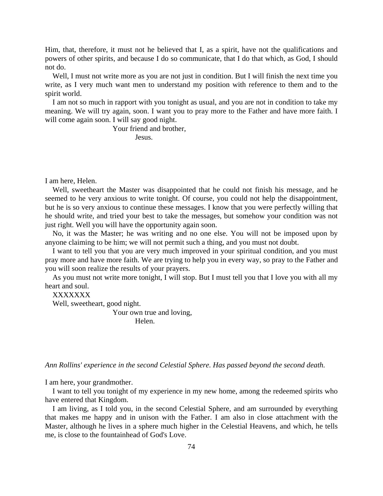Him, that, therefore, it must not he believed that I, as a spirit, have not the qualifications and powers of other spirits, and because I do so communicate, that I do that which, as God, I should not do.

Well, I must not write more as you are not just in condition. But I will finish the next time you write, as I very much want men to understand my position with reference to them and to the spirit world.

 I am not so much in rapport with you tonight as usual, and you are not in condition to take my meaning. We will try again, soon. I want you to pray more to the Father and have more faith. I will come again soon. I will say good night.

> Your friend and brother, Jesus.

I am here, Helen.

 Well, sweetheart the Master was disappointed that he could not finish his message, and he seemed to he very anxious to write tonight. Of course, you could not help the disappointment, but he is so very anxious to continue these messages. I know that you were perfectly willing that he should write, and tried your best to take the messages, but somehow your condition was not just right. Well you will have the opportunity again soon.

 No, it was the Master; he was writing and no one else. You will not be imposed upon by anyone claiming to be him; we will not permit such a thing, and you must not doubt.

 I want to tell you that you are very much improved in your spiritual condition, and you must pray more and have more faith. We are trying to help you in every way, so pray to the Father and you will soon realize the results of your prayers.

 As you must not write more tonight, I will stop. But I must tell you that I love you with all my heart and soul.

XXXXXXX

Well, sweetheart, good night.

Your own true and loving,

Helen.

*Ann Rollins' experience in the second Celestial Sphere. Has passed beyond the second death.* 

I am here, your grandmother.

 I want to tell you tonight of my experience in my new home, among the redeemed spirits who have entered that Kingdom.

 I am living, as I told you, in the second Celestial Sphere, and am surrounded by everything that makes me happy and in unison with the Father. I am also in close attachment with the Master, although he lives in a sphere much higher in the Celestial Heavens, and which, he tells me, is close to the fountainhead of God's Love.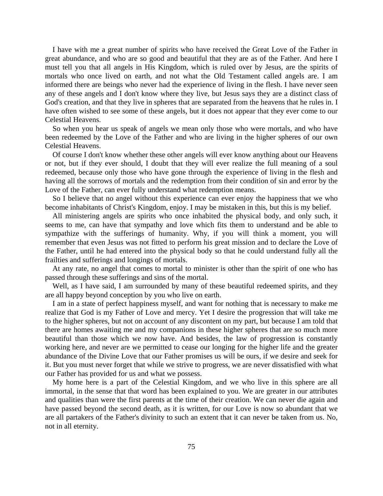I have with me a great number of spirits who have received the Great Love of the Father in great abundance, and who are so good and beautiful that they are as of the Father. And here I must tell you that all angels in His Kingdom, which is ruled over by Jesus, are the spirits of mortals who once lived on earth, and not what the Old Testament called angels are. I am informed there are beings who never had the experience of living in the flesh. I have never seen any of these angels and I don't know where they live, but Jesus says they are a distinct class of God's creation, and that they live in spheres that are separated from the heavens that he rules in. I have often wished to see some of these angels, but it does not appear that they ever come to our Celestial Heavens.

 So when you hear us speak of angels we mean only those who were mortals, and who have been redeemed by the Love of the Father and who are living in the higher spheres of our own Celestial Heavens.

 Of course I don't know whether these other angels will ever know anything about our Heavens or not, but if they ever should, I doubt that they will ever realize the full meaning of a soul redeemed, because only those who have gone through the experience of living in the flesh and having all the sorrows of mortals and the redemption from their condition of sin and error by the Love of the Father, can ever fully understand what redemption means.

 So I believe that no angel without this experience can ever enjoy the happiness that we who become inhabitants of Christ's Kingdom, enjoy. I may be mistaken in this, but this is my belief.

 All ministering angels are spirits who once inhabited the physical body, and only such, it seems to me, can have that sympathy and love which fits them to understand and be able to sympathize with the sufferings of humanity. Why, if you will think a moment, you will remember that even Jesus was not fitted to perform his great mission and to declare the Love of the Father, until he had entered into the physical body so that he could understand fully all the frailties and sufferings and longings of mortals.

 At any rate, no angel that comes to mortal to minister is other than the spirit of one who has passed through these sufferings and sins of the mortal.

 Well, as I have said, I am surrounded by many of these beautiful redeemed spirits, and they are all happy beyond conception by you who live on earth.

 I am in a state of perfect happiness myself, and want for nothing that is necessary to make me realize that God is my Father of Love and mercy. Yet I desire the progression that will take me to the higher spheres, but not on account of any discontent on my part, but because I am told that there are homes awaiting me and my companions in these higher spheres that are so much more beautiful than those which we now have. And besides, the law of progression is constantly working here, and never are we permitted to cease our longing for the higher life and the greater abundance of the Divine Love that our Father promises us will be ours, if we desire and seek for it. But you must never forget that while we strive to progress, we are never dissatisfied with what our Father has provided for us and what we possess.

 My home here is a part of the Celestial Kingdom, and we who live in this sphere are all immortal, in the sense that that word has been explained to you. We are greater in our attributes and qualities than were the first parents at the time of their creation. We can never die again and have passed beyond the second death, as it is written, for our Love is now so abundant that we are all partakers of the Father's divinity to such an extent that it can never be taken from us. No, not in all eternity.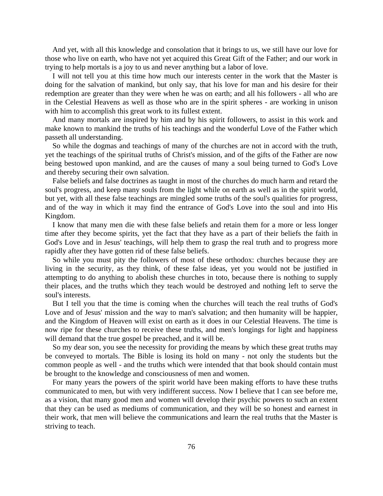And yet, with all this knowledge and consolation that it brings to us, we still have our love for those who live on earth, who have not yet acquired this Great Gift of the Father; and our work in trying to help mortals is a joy to us and never anything but a labor of love.

 I will not tell you at this time how much our interests center in the work that the Master is doing for the salvation of mankind, but only say, that his love for man and his desire for their redemption are greater than they were when he was on earth; and all his followers - all who are in the Celestial Heavens as well as those who are in the spirit spheres - are working in unison with him to accomplish this great work to its fullest extent.

 And many mortals are inspired by him and by his spirit followers, to assist in this work and make known to mankind the truths of his teachings and the wonderful Love of the Father which passeth all understanding.

 So while the dogmas and teachings of many of the churches are not in accord with the truth, yet the teachings of the spiritual truths of Christ's mission, and of the gifts of the Father are now being bestowed upon mankind, and are the causes of many a soul being turned to God's Love and thereby securing their own salvation.

 False beliefs and false doctrines as taught in most of the churches do much harm and retard the soul's progress, and keep many souls from the light while on earth as well as in the spirit world, but yet, with all these false teachings are mingled some truths of the soul's qualities for progress, and of the way in which it may find the entrance of God's Love into the soul and into His Kingdom.

 I know that many men die with these false beliefs and retain them for a more or less longer time after they become spirits, yet the fact that they have as a part of their beliefs the faith in God's Love and in Jesus' teachings, will help them to grasp the real truth and to progress more rapidly after they have gotten rid of these false beliefs.

 So while you must pity the followers of most of these orthodox: churches because they are living in the security, as they think, of these false ideas, yet you would not be justified in attempting to do anything to abolish these churches in toto, because there is nothing to supply their places, and the truths which they teach would be destroyed and nothing left to serve the soul's interests.

 But I tell you that the time is coming when the churches will teach the real truths of God's Love and of Jesus' mission and the way to man's salvation; and then humanity will be happier, and the Kingdom of Heaven will exist on earth as it does in our Celestial Heavens. The time is now ripe for these churches to receive these truths, and men's longings for light and happiness will demand that the true gospel be preached, and it will be.

 So my dear son, you see the necessity for providing the means by which these great truths may be conveyed to mortals. The Bible is losing its hold on many - not only the students but the common people as well - and the truths which were intended that that book should contain must be brought to the knowledge and consciousness of men and women.

 For many years the powers of the spirit world have been making efforts to have these truths communicated to men, but with very indifferent success. Now I believe that I can see before me, as a vision, that many good men and women will develop their psychic powers to such an extent that they can be used as mediums of communication, and they will be so honest and earnest in their work, that men will believe the communications and learn the real truths that the Master is striving to teach.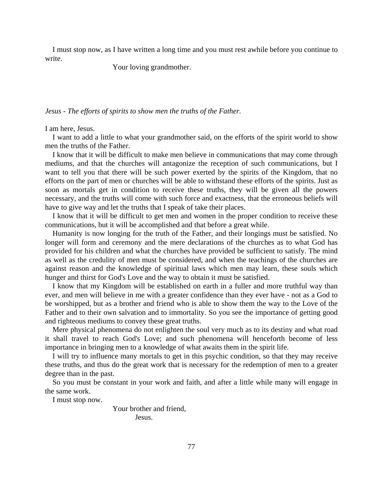I must stop now, as I have written a long time and you must rest awhile before you continue to write.

Your loving grandmother.

### *Jesus - The efforts of spirits to show men the truths of the Father.*

I am here, Jesus.

 I want to add a little to what your grandmother said, on the efforts of the spirit world to show men the truths of the Father.

 I know that it will be difficult to make men believe in communications that may come through mediums, and that the churches will antagonize the reception of such communications, but I want to tell you that there will be such power exerted by the spirits of the Kingdom, that no efforts on the part of men or churches will be able to withstand these efforts of the spirits. Just as soon as mortals get in condition to receive these truths, they will be given all the powers necessary, and the truths will come with such force and exactness, that the erroneous beliefs will have to give way and let the truths that I speak of take their places.

 I know that it will be difficult to get men and women in the proper condition to receive these communications, but it will be accomplished and that before a great while.

 Humanity is now longing for the truth of the Father, and their longings must be satisfied. No longer will form and ceremony and the mere declarations of the churches as to what God has provided for his children and what the churches have provided be sufficient to satisfy. The mind as well as the credulity of men must be considered, and when the teachings of the churches are against reason and the knowledge of spiritual laws which men may learn, these souls which hunger and thirst for God's Love and the way to obtain it must be satisfied.

 I know that my Kingdom will be established on earth in a fuller and more truthful way than ever, and men will believe in me with a greater confidence than they ever have - not as a God to be worshipped, but as a brother and friend who is able to show them the way to the Love of the Father and to their own salvation and to immortality. So you see the importance of getting good and righteous mediums to convey these great truths.

 Mere physical phenomena do not enlighten the soul very much as to its destiny and what road it shall travel to reach God's Love; and such phenomena will henceforth become of less importance in bringing men to a knowledge of what awaits them in the spirit life.

 I will try to influence many mortals to get in this psychic condition, so that they may receive these truths, and thus do the great work that is necessary for the redemption of men to a greater degree than in the past.

 So you must be constant in your work and faith, and after a little while many will engage in the same work.

I must stop now.

Your brother and friend,

Jesus.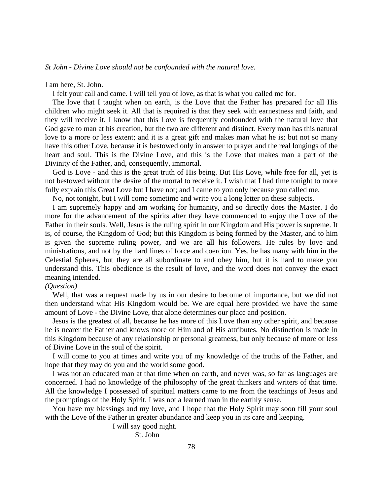### *St John - Divine Love should not be confounded with the natural love.*

### I am here, St. John.

I felt your call and came. I will tell you of love, as that is what you called me for.

 The love that I taught when on earth, is the Love that the Father has prepared for all His children who might seek it. All that is required is that they seek with earnestness and faith, and they will receive it. I know that this Love is frequently confounded with the natural love that God gave to man at his creation, but the two are different and distinct. Every man has this natural love to a more or less extent; and it is a great gift and makes man what he is; but not so many have this other Love, because it is bestowed only in answer to prayer and the real longings of the heart and soul. This is the Divine Love, and this is the Love that makes man a part of the Divinity of the Father, and, consequently, immortal.

 God is Love - and this is the great truth of His being. But His Love, while free for all, yet is not bestowed without the desire of the mortal to receive it. I wish that I had time tonight to more fully explain this Great Love but I have not; and I came to you only because you called me.

No, not tonight, but I will come sometime and write you a long letter on these subjects.

 I am supremely happy and am working for humanity, and so directly does the Master. I do more for the advancement of the spirits after they have commenced to enjoy the Love of the Father in their souls. Well, Jesus is the ruling spirit in our Kingdom and His power is supreme. It is, of course, the Kingdom of God; but this Kingdom is being formed by the Master, and to him is given the supreme ruling power, and we are all his followers. He rules by love and ministrations, and not by the hard lines of force and coercion. Yes, he has many with him in the Celestial Spheres, but they are all subordinate to and obey him, but it is hard to make you understand this. This obedience is the result of love, and the word does not convey the exact meaning intended.

# *(Question)*

Well, that was a request made by us in our desire to become of importance, but we did not then understand what His Kingdom would be. We are equal here provided we have the same amount of Love - the Divine Love, that alone determines our place and position.

 Jesus is the greatest of all, because he has more of this Love than any other spirit, and because he is nearer the Father and knows more of Him and of His attributes. No distinction is made in this Kingdom because of any relationship or personal greatness, but only because of more or less of Divine Love in the soul of the spirit.

 I will come to you at times and write you of my knowledge of the truths of the Father, and hope that they may do you and the world some good.

 I was not an educated man at that time when on earth, and never was, so far as languages are concerned. I had no knowledge of the philosophy of the great thinkers and writers of that time. All the knowledge I possessed of spiritual matters came to me from the teachings of Jesus and the promptings of the Holy Spirit. I was not a learned man in the earthly sense.

 You have my blessings and my love, and I hope that the Holy Spirit may soon fill your soul with the Love of the Father in greater abundance and keep you in its care and keeping.

I will say good night.

St. John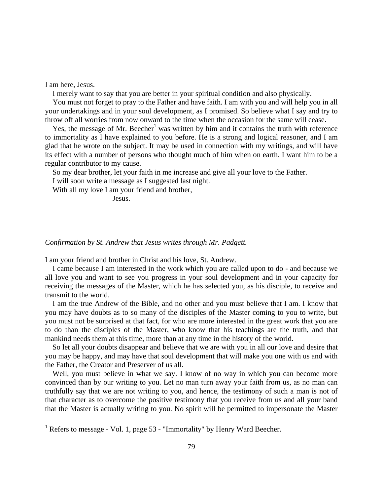I am here, Jesus.

 $\overline{a}$ 

I merely want to say that you are better in your spiritual condition and also physically.

 You must not forget to pray to the Father and have faith. I am with you and will help you in all your undertakings and in your soul development, as I promised. So believe what I say and try to throw off all worries from now onward to the time when the occasion for the same will cease.

Yes, the message of Mr. Beecher<sup>1</sup> was written by him and it contains the truth with reference to immortality as I have explained to you before. He is a strong and logical reasoner, and I am glad that he wrote on the subject. It may be used in connection with my writings, and will have its effect with a number of persons who thought much of him when on earth. I want him to be a regular contributor to my cause.

So my dear brother, let your faith in me increase and give all your love to the Father.

I will soon write a message as I suggested last night.

With all my love I am your friend and brother,

Jesus.

## *Confirmation by St. Andrew that Jesus writes through Mr. Padgett.*

I am your friend and brother in Christ and his love, St. Andrew.

 I came because I am interested in the work which you are called upon to do - and because we all love you and want to see you progress in your soul development and in your capacity for receiving the messages of the Master, which he has selected you, as his disciple, to receive and transmit to the world.

 I am the true Andrew of the Bible, and no other and you must believe that I am. I know that you may have doubts as to so many of the disciples of the Master coming to you to write, but you must not be surprised at that fact, for who are more interested in the great work that you are to do than the disciples of the Master, who know that his teachings are the truth, and that mankind needs them at this time, more than at any time in the history of the world.

 So let all your doubts disappear and believe that we are with you in all our love and desire that you may be happy, and may have that soul development that will make you one with us and with the Father, the Creator and Preserver of us all.

 Well, you must believe in what we say. I know of no way in which you can become more convinced than by our writing to you. Let no man turn away your faith from us, as no man can truthfully say that we are not writing to you, and hence, the testimony of such a man is not of that character as to overcome the positive testimony that you receive from us and all your band that the Master is actually writing to you. No spirit will be permitted to impersonate the Master

<sup>&</sup>lt;sup>1</sup> Refers to message - Vol. 1, page 53 - "Immortality" by Henry Ward Beecher.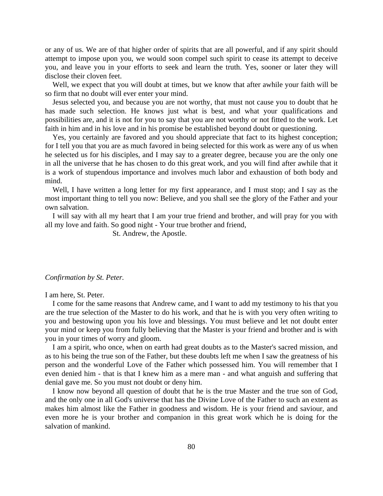or any of us. We are of that higher order of spirits that are all powerful, and if any spirit should attempt to impose upon you, we would soon compel such spirit to cease its attempt to deceive you, and leave you in your efforts to seek and learn the truth. Yes, sooner or later they will disclose their cloven feet.

 Well, we expect that you will doubt at times, but we know that after awhile your faith will be so firm that no doubt will ever enter your mind.

 Jesus selected you, and because you are not worthy, that must not cause you to doubt that he has made such selection. He knows just what is best, and what your qualifications and possibilities are, and it is not for you to say that you are not worthy or not fitted to the work. Let faith in him and in his love and in his promise be established beyond doubt or questioning.

 Yes, you certainly are favored and you should appreciate that fact to its highest conception; for I tell you that you are as much favored in being selected for this work as were any of us when he selected us for his disciples, and I may say to a greater degree, because you are the only one in all the universe that he has chosen to do this great work, and you will find after awhile that it is a work of stupendous importance and involves much labor and exhaustion of both body and mind.

Well, I have written a long letter for my first appearance, and I must stop; and I say as the most important thing to tell you now: Believe, and you shall see the glory of the Father and your own salvation.

 I will say with all my heart that I am your true friend and brother, and will pray for you with all my love and faith. So good night - Your true brother and friend,

St. Andrew, the Apostle.

#### *Confirmation by St. Peter.*

I am here, St. Peter.

 I come for the same reasons that Andrew came, and I want to add my testimony to his that you are the true selection of the Master to do his work, and that he is with you very often writing to you and bestowing upon you his love and blessings. You must believe and let not doubt enter your mind or keep you from fully believing that the Master is your friend and brother and is with you in your times of worry and gloom.

 I am a spirit, who once, when on earth had great doubts as to the Master's sacred mission, and as to his being the true son of the Father, but these doubts left me when I saw the greatness of his person and the wonderful Love of the Father which possessed him. You will remember that I even denied him - that is that I knew him as a mere man - and what anguish and suffering that denial gave me. So you must not doubt or deny him.

 I know now beyond all question of doubt that he is the true Master and the true son of God, and the only one in all God's universe that has the Divine Love of the Father to such an extent as makes him almost like the Father in goodness and wisdom. He is your friend and saviour, and even more he is your brother and companion in this great work which he is doing for the salvation of mankind.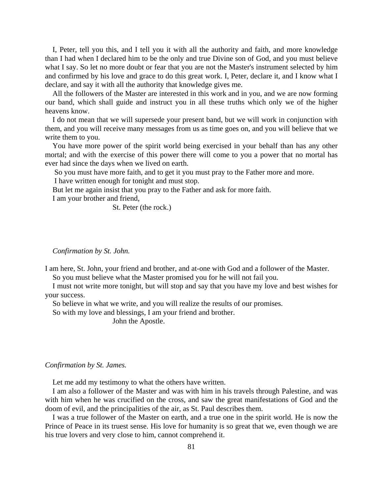I, Peter, tell you this, and I tell you it with all the authority and faith, and more knowledge than I had when I declared him to be the only and true Divine son of God, and you must believe what I say. So let no more doubt or fear that you are not the Master's instrument selected by him and confirmed by his love and grace to do this great work. I, Peter, declare it, and I know what I declare, and say it with all the authority that knowledge gives me.

 All the followers of the Master are interested in this work and in you, and we are now forming our band, which shall guide and instruct you in all these truths which only we of the higher heavens know.

 I do not mean that we will supersede your present band, but we will work in conjunction with them, and you will receive many messages from us as time goes on, and you will believe that we write them to you.

 You have more power of the spirit world being exercised in your behalf than has any other mortal; and with the exercise of this power there will come to you a power that no mortal has ever had since the days when we lived on earth.

So you must have more faith, and to get it you must pray to the Father more and more.

I have written enough for tonight and must stop.

But let me again insist that you pray to the Father and ask for more faith.

I am your brother and friend,

St. Peter (the rock.)

 *Confirmation by St. John.* 

I am here, St. John, your friend and brother, and at-one with God and a follower of the Master. So you must believe what the Master promised you for he will not fail you.

 I must not write more tonight, but will stop and say that you have my love and best wishes for your success.

So believe in what we write, and you will realize the results of our promises.

So with my love and blessings, I am your friend and brother.

John the Apostle.

#### *Confirmation by St. James.*

Let me add my testimony to what the others have written.

 I am also a follower of the Master and was with him in his travels through Palestine, and was with him when he was crucified on the cross, and saw the great manifestations of God and the doom of evil, and the principalities of the air, as St. Paul describes them.

 I was a true follower of the Master on earth, and a true one in the spirit world. He is now the Prince of Peace in its truest sense. His love for humanity is so great that we, even though we are his true lovers and very close to him, cannot comprehend it.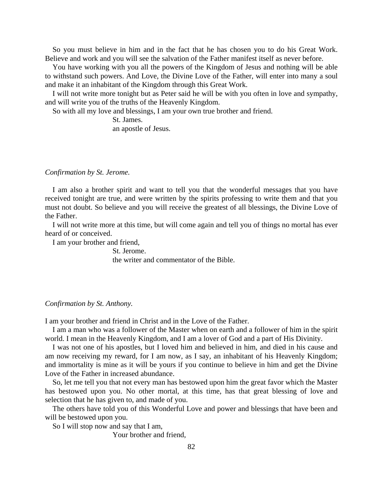So you must believe in him and in the fact that he has chosen you to do his Great Work. Believe and work and you will see the salvation of the Father manifest itself as never before.

 You have working with you all the powers of the Kingdom of Jesus and nothing will be able to withstand such powers. And Love, the Divine Love of the Father, will enter into many a soul and make it an inhabitant of the Kingdom through this Great Work.

 I will not write more tonight but as Peter said he will be with you often in love and sympathy, and will write you of the truths of the Heavenly Kingdom.

So with all my love and blessings, I am your own true brother and friend.

St. James.

an apostle of Jesus.

### *Confirmation by St. Jerome.*

 I am also a brother spirit and want to tell you that the wonderful messages that you have received tonight are true, and were written by the spirits professing to write them and that you must not doubt. So believe and you will receive the greatest of all blessings, the Divine Love of the Father.

 I will not write more at this time, but will come again and tell you of things no mortal has ever heard of or conceived.

I am your brother and friend,

St. Jerome. the writer and commentator of the Bible.

#### *Confirmation by St. Anthony.*

I am your brother and friend in Christ and in the Love of the Father.

 I am a man who was a follower of the Master when on earth and a follower of him in the spirit world. I mean in the Heavenly Kingdom, and I am a lover of God and a part of His Divinity.

 I was not one of his apostles, but I loved him and believed in him, and died in his cause and am now receiving my reward, for I am now, as I say, an inhabitant of his Heavenly Kingdom; and immortality is mine as it will be yours if you continue to believe in him and get the Divine Love of the Father in increased abundance.

 So, let me tell you that not every man has bestowed upon him the great favor which the Master has bestowed upon you. No other mortal, at this time, has that great blessing of love and selection that he has given to, and made of you.

 The others have told you of this Wonderful Love and power and blessings that have been and will be bestowed upon you.

So I will stop now and say that I am,

Your brother and friend,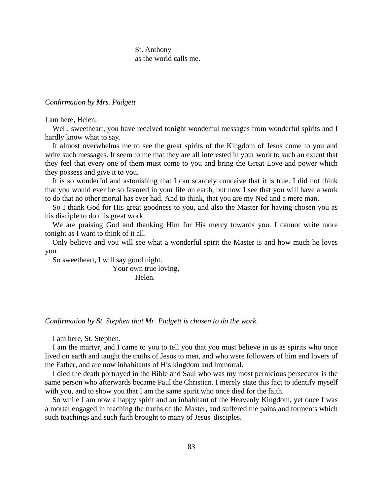St. Anthony as the world calls me.

#### *Confirmation by Mrs. Padgett*

I am here, Helen.

 Well, sweetheart, you have received tonight wonderful messages from wonderful spirits and I hardly know what to say.

 It almost overwhelms me to see the great spirits of the Kingdom of Jesus come to you and write such messages. It seem to me that they are all interested in your work to such an extent that they feel that every one of them must come to you and bring the Great Love and power which they possess and give it to you.

 It is so wonderful and astonishing that I can scarcely conceive that it is true. I did not think that you would ever be so favored in your life on earth, but now I see that you will have a work to do that no other mortal has ever had. And to think, that you are my Ned and a mere man.

 So I thank God for His great goodness to you, and also the Master for having chosen you as his disciple to do this great work.

 We are praising God and thanking Him for His mercy towards you. I cannot write more tonight as I want to think of it all.

 Only believe and you will see what a wonderful spirit the Master is and how much he loves you.

So sweetheart, I will say good night.

 Your own true loving, Helen.

*Confirmation by St. Stephen that Mr. Padgett is chosen to do the work.* 

I am here, St. Stephen.

 I am the martyr, and I came to you to tell you that you must believe in us as spirits who once lived on earth and taught the truths of Jesus to men, and who were followers of him and lovers of the Father, and are now inhabitants of His kingdom and immortal.

 I died the death portrayed in the Bible and Saul who was my most pernicious persecutor is the same person who afterwards became Paul the Christian. I merely state this fact to identify myself with you, and to show you that I am the same spirit who once died for the faith.

 So while I am now a happy spirit and an inhabitant of the Heavenly Kingdom, yet once I was a mortal engaged in teaching the truths of the Master, and suffered the pains and torments which such teachings and such faith brought to many of Jesus' disciples.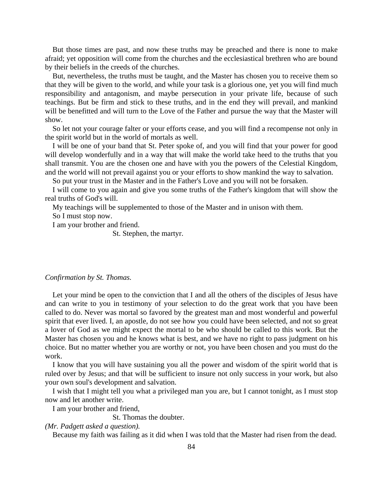But those times are past, and now these truths may be preached and there is none to make afraid; yet opposition will come from the churches and the ecclesiastical brethren who are bound by their beliefs in the creeds of the churches.

 But, nevertheless, the truths must be taught, and the Master has chosen you to receive them so that they will be given to the world, and while your task is a glorious one, yet you will find much responsibility and antagonism, and maybe persecution in your private life, because of such teachings. But be firm and stick to these truths, and in the end they will prevail, and mankind will be benefitted and will turn to the Love of the Father and pursue the way that the Master will show.

 So let not your courage falter or your efforts cease, and you will find a recompense not only in the spirit world but in the world of mortals as well.

 I will be one of your band that St. Peter spoke of, and you will find that your power for good will develop wonderfully and in a way that will make the world take heed to the truths that you shall transmit. You are the chosen one and have with you the powers of the Celestial Kingdom, and the world will not prevail against you or your efforts to show mankind the way to salvation.

So put your trust in the Master and in the Father's Love and you will not be forsaken.

 I will come to you again and give you some truths of the Father's kingdom that will show the real truths of God's will.

My teachings will be supplemented to those of the Master and in unison with them.

So I must stop now.

I am your brother and friend.

St. Stephen, the martyr.

### *Confirmation by St. Thomas.*

 Let your mind be open to the conviction that I and all the others of the disciples of Jesus have and can write to you in testimony of your selection to do the great work that you have been called to do. Never was mortal so favored by the greatest man and most wonderful and powerful spirit that ever lived. I, an apostle, do not see how you could have been selected, and not so great a lover of God as we might expect the mortal to be who should be called to this work. But the Master has chosen you and he knows what is best, and we have no right to pass judgment on his choice. But no matter whether you are worthy or not, you have been chosen and you must do the work.

 I know that you will have sustaining you all the power and wisdom of the spirit world that is ruled over by Jesus; and that will be sufficient to insure not only success in your work, but also your own soul's development and salvation.

 I wish that I might tell you what a privileged man you are, but I cannot tonight, as I must stop now and let another write.

I am your brother and friend,

St. Thomas the doubter.

*(Mr. Padgett asked a question).* 

Because my faith was failing as it did when I was told that the Master had risen from the dead.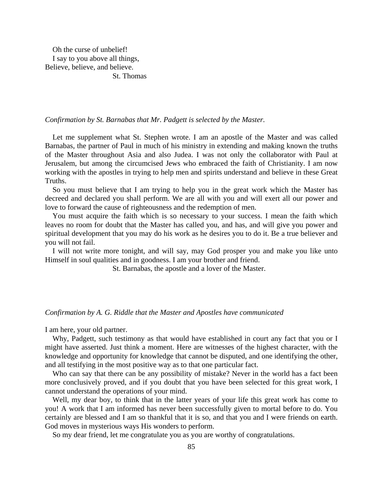Oh the curse of unbelief! I say to you above all things, Believe, believe, and believe. St. Thomas

*Confirmation by St. Barnabas that Mr. Padgett is selected by the Master.* 

Let me supplement what St. Stephen wrote. I am an apostle of the Master and was called Barnabas, the partner of Paul in much of his ministry in extending and making known the truths of the Master throughout Asia and also Judea. I was not only the collaborator with Paul at Jerusalem, but among the circumcised Jews who embraced the faith of Christianity. I am now working with the apostles in trying to help men and spirits understand and believe in these Great Truths.

 So you must believe that I am trying to help you in the great work which the Master has decreed and declared you shall perform. We are all with you and will exert all our power and love to forward the cause of righteousness and the redemption of men.

 You must acquire the faith which is so necessary to your success. I mean the faith which leaves no room for doubt that the Master has called you, and has, and will give you power and spiritual development that you may do his work as he desires you to do it. Be a true believer and you will not fail.

 I will not write more tonight, and will say, may God prosper you and make you like unto Himself in soul qualities and in goodness. I am your brother and friend.

St. Barnabas, the apostle and a lover of the Master.

#### *Confirmation by A. G. Riddle that the Master and Apostles have communicated*

I am here, your old partner.

 Why, Padgett, such testimony as that would have established in court any fact that you or I might have asserted. Just think a moment. Here are witnesses of the highest character, with the knowledge and opportunity for knowledge that cannot be disputed, and one identifying the other, and all testifying in the most positive way as to that one particular fact.

 Who can say that there can be any possibility of mistake? Never in the world has a fact been more conclusively proved, and if you doubt that you have been selected for this great work, I cannot understand the operations of your mind.

 Well, my dear boy, to think that in the latter years of your life this great work has come to you! A work that I am informed has never been successfully given to mortal before to do. You certainly are blessed and I am so thankful that it is so, and that you and I were friends on earth. God moves in mysterious ways His wonders to perform.

So my dear friend, let me congratulate you as you are worthy of congratulations.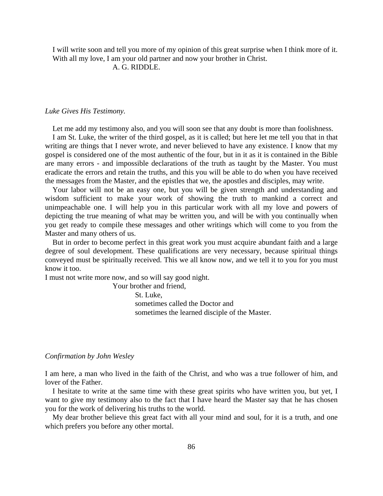I will write soon and tell you more of my opinion of this great surprise when I think more of it. With all my love, I am your old partner and now your brother in Christ.

A. G. RIDDLE.

#### *Luke Gives His Testimony.*

Let me add my testimony also, and you will soon see that any doubt is more than foolishness.

 I am St. Luke, the writer of the third gospel, as it is called; but here let me tell you that in that writing are things that I never wrote, and never believed to have any existence. I know that my gospel is considered one of the most authentic of the four, but in it as it is contained in the Bible are many errors - and impossible declarations of the truth as taught by the Master. You must eradicate the errors and retain the truths, and this you will be able to do when you have received the messages from the Master, and the epistles that we, the apostles and disciples, may write.

 Your labor will not be an easy one, but you will be given strength and understanding and wisdom sufficient to make your work of showing the truth to mankind a correct and unimpeachable one. I will help you in this particular work with all my love and powers of depicting the true meaning of what may be written you, and will be with you continually when you get ready to compile these messages and other writings which will come to you from the Master and many others of us.

 But in order to become perfect in this great work you must acquire abundant faith and a large degree of soul development. These qualifications are very necessary, because spiritual things conveyed must be spiritually received. This we all know now, and we tell it to you for you must know it too.

I must not write more now, and so will say good night.

 Your brother and friend, St. Luke, sometimes called the Doctor and sometimes the learned disciple of the Master.

# *Confirmation by John Wesley*

I am here, a man who lived in the faith of the Christ, and who was a true follower of him, and lover of the Father.

 I hesitate to write at the same time with these great spirits who have written you, but yet, I want to give my testimony also to the fact that I have heard the Master say that he has chosen you for the work of delivering his truths to the world.

 My dear brother believe this great fact with all your mind and soul, for it is a truth, and one which prefers you before any other mortal.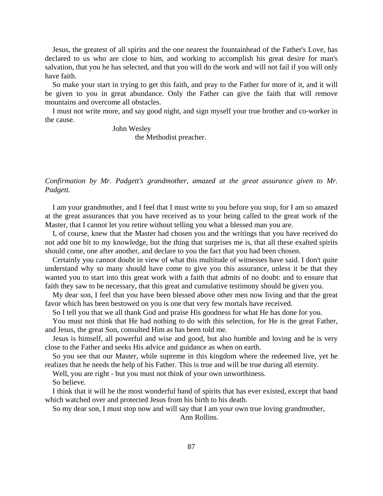Jesus, the greatest of all spirits and the one nearest the fountainhead of the Father's Love, has declared to us who are close to him, and working to accomplish his great desire for man's salvation, that you he has selected, and that you will do the work and will not fail if you will only have faith.

 So make your start in trying to get this faith, and pray to the Father for more of it, and it will be given to you in great abundance. Only the Father can give the faith that will remove mountains and overcome all obstacles.

 I must not write more, and say good night, and sign myself your true brother and co-worker in the cause.

John Wesley

the Methodist preacher.

*Confirmation by Mr. Padgett's grandmother, amazed at the great assurance given to Mr. Padgett.* 

 I am your grandmother, and I feel that I must write to you before you stop, for I am so amazed at the great assurances that you have received as to your being called to the great work of the Master, that I cannot let you retire without telling you what a blessed man you are.

 I, of course, knew that the Master had chosen you and the writings that you have received do not add one bit to my knowledge, but the thing that surprises me is, that all these exalted spirits should come, one after another, and declare to you the fact that you had been chosen.

 Certainly you cannot doubt in view of what this multitude of witnesses have said. I don't quite understand why so many should have come to give you this assurance, unless it be that they wanted you to start into this great work with a faith that admits of no doubt: and to ensure that faith they saw to be necessary, that this great and cumulative testimony should be given you.

 My dear son, I feel that you have been blessed above other men now living and that the great favor which has been bestowed on you is one that very few mortals have received.

So I tell you that we all thank God and praise His goodness for what He has done for you.

 You must not think that He had nothing to do with this selection, for He is the great Father, and Jesus, the great Son, consulted Him as has been told me.

 Jesus is himself, all powerful and wise and good, but also humble and loving and he is very close to the Father and seeks His advice and guidance as when on earth.

 So you see that our Master, while supreme in this kingdom where the redeemed live, yet he realizes that he needs the help of his Father. This is true and will be true during all eternity.

Well, you are right - but you must not think of your own unworthiness.

So believe.

 I think that it will be the most wonderful band of spirits that has ever existed, except that band which watched over and protected Jesus from his birth to his death.

So my dear son, I must stop now and will say that I am your own true loving grandmother,

Ann Rollins.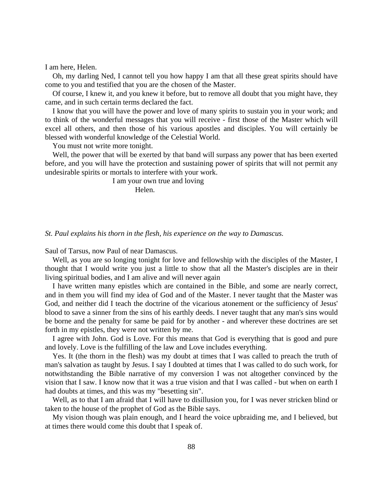I am here, Helen.

 Oh, my darling Ned, I cannot tell you how happy I am that all these great spirits should have come to you and testified that you are the chosen of the Master.

 Of course, I knew it, and you knew it before, but to remove all doubt that you might have, they came, and in such certain terms declared the fact.

 I know that you will have the power and love of many spirits to sustain you in your work; and to think of the wonderful messages that you will receive - first those of the Master which will excel all others, and then those of his various apostles and disciples. You will certainly be blessed with wonderful knowledge of the Celestial World.

You must not write more tonight.

 Well, the power that will be exerted by that band will surpass any power that has been exerted before, and you will have the protection and sustaining power of spirits that will not permit any undesirable spirits or mortals to interfere with your work.

I am your own true and loving

Helen.

*St. Paul explains his thorn in the flesh, his experience on the way to Damascus.* 

Saul of Tarsus, now Paul of near Damascus.

 Well, as you are so longing tonight for love and fellowship with the disciples of the Master, I thought that I would write you just a little to show that all the Master's disciples are in their living spiritual bodies, and I am alive and will never again

 I have written many epistles which are contained in the Bible, and some are nearly correct, and in them you will find my idea of God and of the Master. I never taught that the Master was God, and neither did I teach the doctrine of the vicarious atonement or the sufficiency of Jesus' blood to save a sinner from the sins of his earthly deeds. I never taught that any man's sins would be borne and the penalty for same be paid for by another - and wherever these doctrines are set forth in my epistles, they were not written by me.

 I agree with John. God is Love. For this means that God is everything that is good and pure and lovely. Love is the fulfilling of the law and Love includes everything.

 Yes. It (the thorn in the flesh) was my doubt at times that I was called to preach the truth of man's salvation as taught by Jesus. I say I doubted at times that I was called to do such work, for notwithstanding the Bible narrative of my conversion I was not altogether convinced by the vision that I saw. I know now that it was a true vision and that I was called - but when on earth I had doubts at times, and this was my "besetting sin".

 Well, as to that I am afraid that I will have to disillusion you, for I was never stricken blind or taken to the house of the prophet of God as the Bible says.

 My vision though was plain enough, and I heard the voice upbraiding me, and I believed, but at times there would come this doubt that I speak of.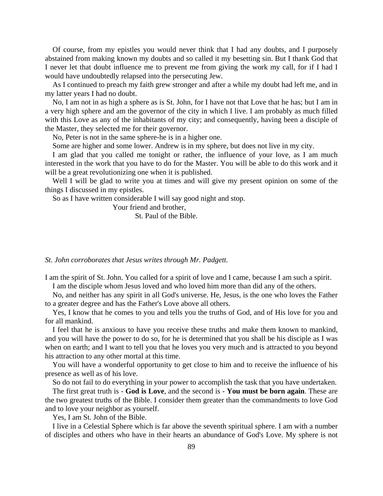Of course, from my epistles you would never think that I had any doubts, and I purposely abstained from making known my doubts and so called it my besetting sin. But I thank God that I never let that doubt influence me to prevent me from giving the work my call, for if I had I would have undoubtedly relapsed into the persecuting Jew.

 As I continued to preach my faith grew stronger and after a while my doubt had left me, and in my latter years I had no doubt.

 No, I am not in as high a sphere as is St. John, for I have not that Love that he has; but I am in a very high sphere and am the governor of the city in which I live. I am probably as much filled with this Love as any of the inhabitants of my city; and consequently, having been a disciple of the Master, they selected me for their governor.

No, Peter is not in the same sphere-he is in a higher one.

Some are higher and some lower. Andrew is in my sphere, but does not live in my city.

 I am glad that you called me tonight or rather, the influence of your love, as I am much interested in the work that you have to do for the Master. You will be able to do this work and it will be a great revolutionizing one when it is published.

 Well I will be glad to write you at times and will give my present opinion on some of the things I discussed in my epistles.

So as I have written considerable I will say good night and stop.

Your friend and brother,

St. Paul of the Bible.

*St. John corroborates that Jesus writes through Mr. Padgett.* 

I am the spirit of St. John. You called for a spirit of love and I came, because I am such a spirit.

I am the disciple whom Jesus loved and who loved him more than did any of the others.

 No, and neither has any spirit in all God's universe. He, Jesus, is the one who loves the Father to a greater degree and has the Father's Love above all others.

 Yes, I know that he comes to you and tells you the truths of God, and of His love for you and for all mankind.

 I feel that he is anxious to have you receive these truths and make them known to mankind, and you will have the power to do so, for he is determined that you shall be his disciple as I was when on earth; and I want to tell you that he loves you very much and is attracted to you beyond his attraction to any other mortal at this time.

 You will have a wonderful opportunity to get close to him and to receive the influence of his presence as well as of his love.

So do not fail to do everything in your power to accomplish the task that you have undertaken.

 The first great truth is - **God is Love**, and the second is - **You must be born again**. These are the two greatest truths of the Bible. I consider them greater than the commandments to love God and to love your neighbor as yourself.

Yes, I am St. John of the Bible.

 I live in a Celestial Sphere which is far above the seventh spiritual sphere. I am with a number of disciples and others who have in their hearts an abundance of God's Love. My sphere is not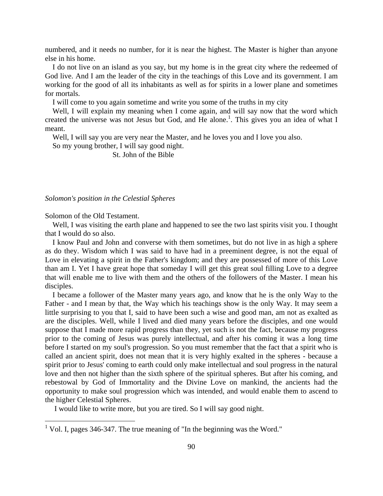numbered, and it needs no number, for it is near the highest. The Master is higher than anyone else in his home.

 I do not live on an island as you say, but my home is in the great city where the redeemed of God live. And I am the leader of the city in the teachings of this Love and its government. I am working for the good of all its inhabitants as well as for spirits in a lower plane and sometimes for mortals.

I will come to you again sometime and write you some of the truths in my city

Well, I will explain my meaning when I come again, and will say now that the word which created the universe was not Jesus but God, and He alone.<sup>1</sup>. This gives you an idea of what I meant.

Well, I will say you are very near the Master, and he loves you and I love you also.

So my young brother, I will say good night.

St. John of the Bible

*Solomon's position in the Celestial Spheres* 

Solomon of the Old Testament.

 Well, I was visiting the earth plane and happened to see the two last spirits visit you. I thought that I would do so also.

 I know Paul and John and converse with them sometimes, but do not live in as high a sphere as do they. Wisdom which I was said to have had in a preeminent degree, is not the equal of Love in elevating a spirit in the Father's kingdom; and they are possessed of more of this Love than am I. Yet I have great hope that someday I will get this great soul filling Love to a degree that will enable me to live with them and the others of the followers of the Master. I mean his disciples.

 I became a follower of the Master many years ago, and know that he is the only Way to the Father - and I mean by that, the Way which his teachings show is the only Way. It may seem a little surprising to you that I, said to have been such a wise and good man, am not as exalted as are the disciples. Well, while I lived and died many years before the disciples, and one would suppose that I made more rapid progress than they, yet such is not the fact, because my progress prior to the coming of Jesus was purely intellectual, and after his coming it was a long time before I started on my soul's progression. So you must remember that the fact that a spirit who is called an ancient spirit, does not mean that it is very highly exalted in the spheres - because a spirit prior to Jesus' coming to earth could only make intellectual and soul progress in the natural love and then not higher than the sixth sphere of the spiritual spheres. But after his coming, and rebestowal by God of Immortality and the Divine Love on mankind, the ancients had the opportunity to make soul progression which was intended, and would enable them to ascend to the higher Celestial Spheres.

I would like to write more, but you are tired. So I will say good night.

 1 Vol. I, pages 346-347. The true meaning of "In the beginning was the Word."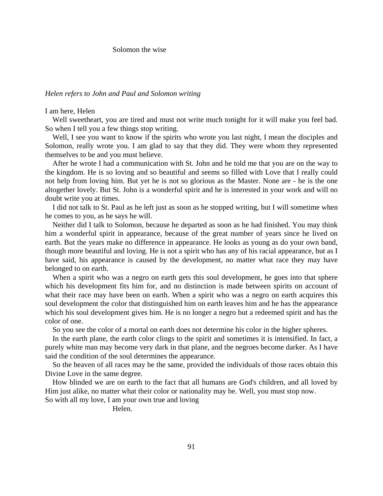### Solomon the wise

### *Helen refers to John and Paul and Solomon writing*

### I am here, Helen

Well sweetheart, you are tired and must not write much tonight for it will make you feel bad. So when I tell you a few things stop writing.

Well, I see you want to know if the spirits who wrote you last night, I mean the disciples and Solomon, really wrote you. I am glad to say that they did. They were whom they represented themselves to be and you must believe.

 After he wrote I had a communication with St. John and he told me that you are on the way to the kingdom. He is so loving and so beautiful and seems so filled with Love that I really could not help from loving him. But yet he is not so glorious as the Master. None are - he is the one altogether lovely. But St. John is a wonderful spirit and he is interested in your work and will no doubt write you at times.

 I did not talk to St. Paul as he left just as soon as he stopped writing, but I will sometime when he comes to you, as he says he will.

 Neither did I talk to Solomon, because he departed as soon as he had finished. You may think him a wonderful spirit in appearance, because of the great number of years since he lived on earth. But the years make no difference in appearance. He looks as young as do your own band, though more beautiful and loving. He is not a spirit who has any of his racial appearance, but as I have said, his appearance is caused by the development, no matter what race they may have belonged to on earth.

 When a spirit who was a negro on earth gets this soul development, he goes into that sphere which his development fits him for, and no distinction is made between spirits on account of what their race may have been on earth. When a spirit who was a negro on earth acquires this soul development the color that distinguished him on earth leaves him and he has the appearance which his soul development gives him. He is no longer a negro but a redeemed spirit and has the color of one.

So you see the color of a mortal on earth does not determine his color in the higher spheres.

 In the earth plane, the earth color clings to the spirit and sometimes it is intensified. In fact, a purely white man may become very dark in that plane, and the negroes become darker. As I have said the condition of the soul determines the appearance.

 So the heaven of all races may be the same, provided the individuals of those races obtain this Divine Love in the same degree.

 How blinded we are on earth to the fact that all humans are God's children, and all loved by Him just alike, no matter what their color or nationality may be. Well, you must stop now. So with all my love, I am your own true and loving

Helen.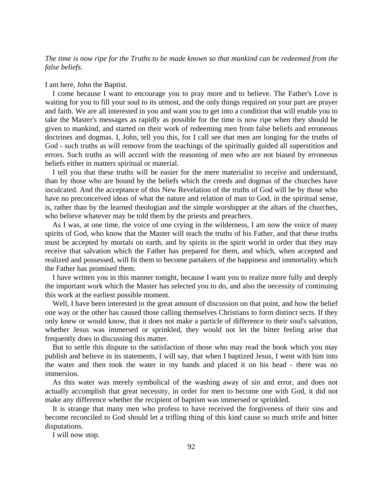# *The time is now ripe for the Truths to be made known so that mankind can be redeemed from the false beliefs.*

#### I am here, John the Baptist.

 I come because I want to encourage you to pray more and to believe. The Father's Love is waiting for you to fill your soul to its utmost, and the only things required on your part are prayer and faith. We are all interested in you and want you to get into a condition that will enable you to take the Master's messages as rapidly as possible for the time is now ripe when they should be given to mankind, and started on their work of redeeming men from false beliefs and erroneous doctrines and dogmas. I, John, tell you this, for I call see that men are longing for the truths of God - such truths as will remove from the teachings of the spiritually guided all superstition and errors. Such truths as will accord with the reasoning of men who are not biased by erroneous beliefs either in matters spiritual or material.

 I tell you that these truths will be easier for the mere materialist to receive and understand, than by those who are bound by the beliefs which the creeds and dogmas of the churches have inculcated. And the acceptance of this New Revelation of the truths of God will be by those who have no preconceived ideas of what the nature and relation of man to God, in the spiritual sense, is, rather than by the learned theologian and the simple worshipper at the altars of the churches, who believe whatever may be told them by the priests and preachers.

 As I was, at one time, the voice of one crying in the wilderness, I am now the voice of many spirits of God, who know that the Master will teach the truths of his Father, and that these truths must be accepted by mortals on earth, and by spirits in the spirit world in order that they may receive that salvation which the Father has prepared for them, and which, when accepted and realized and possessed, will fit them to become partakers of the happiness and immortality which the Father has promised them.

 I have written you in this manner tonight, because I want you to realize more fully and deeply the important work which the Master has selected you to do, and also the necessity of continuing this work at the earliest possible moment.

 Well, I have been interested in the great amount of discussion on that point, and how the belief one way or the other has caused those calling themselves Christians to form distinct sects. If they only knew or would know, that it does not make a particle of difference to their soul's salvation, whether Jesus was immersed or sprinkled, they would not let the bitter feeling arise that frequently does in discussing this matter.

 But to settle this dispute to the satisfaction of those who may read the book which you may publish and believe in its statements, I will say, that when I baptized Jesus, I went with him into the water and then took the water in my hands and placed it on his head - there was no immersion.

 As this water was merely symbolical of the washing away of sin and error, and does not actually accomplish that great necessity, in order for men to become one with God, it did not make any difference whether the recipient of baptism was immersed or sprinkled.

 It is strange that many men who profess to have received the forgiveness of their sins and become reconciled to God should let a trifling thing of this kind cause so much strife and bitter disputations.

I will now stop.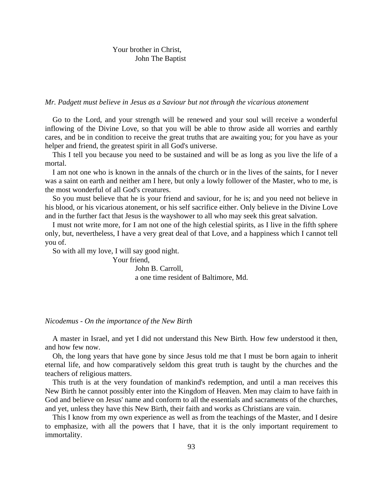Your brother in Christ, John The Baptist

*Mr. Padgett must believe in Jesus as a Saviour but not through the vicarious atonement* 

 Go to the Lord, and your strength will be renewed and your soul will receive a wonderful inflowing of the Divine Love, so that you will be able to throw aside all worries and earthly cares, and be in condition to receive the great truths that are awaiting you; for you have as your helper and friend, the greatest spirit in all God's universe.

 This I tell you because you need to be sustained and will be as long as you live the life of a mortal.

 I am not one who is known in the annals of the church or in the lives of the saints, for I never was a saint on earth and neither am I here, but only a lowly follower of the Master, who to me, is the most wonderful of all God's creatures.

 So you must believe that he is your friend and saviour, for he is; and you need not believe in his blood, or his vicarious atonement, or his self sacrifice either. Only believe in the Divine Love and in the further fact that Jesus is the wayshower to all who may seek this great salvation.

 I must not write more, for I am not one of the high celestial spirits, as I live in the fifth sphere only, but, nevertheless, I have a very great deal of that Love, and a happiness which I cannot tell you of.

So with all my love, I will say good night.

 Your friend, John B. Carroll, a one time resident of Baltimore, Md.

## *Nicodemus - On the importance of the New Birth*

 A master in Israel, and yet I did not understand this New Birth. How few understood it then, and how few now.

 Oh, the long years that have gone by since Jesus told me that I must be born again to inherit eternal life, and how comparatively seldom this great truth is taught by the churches and the teachers of religious matters.

 This truth is at the very foundation of mankind's redemption, and until a man receives this New Birth he cannot possibly enter into the Kingdom of Heaven. Men may claim to have faith in God and believe on Jesus' name and conform to all the essentials and sacraments of the churches, and yet, unless they have this New Birth, their faith and works as Christians are vain.

 This I know from my own experience as well as from the teachings of the Master, and I desire to emphasize, with all the powers that I have, that it is the only important requirement to immortality.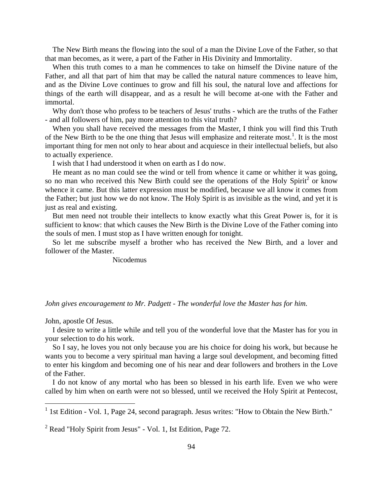The New Birth means the flowing into the soul of a man the Divine Love of the Father, so that that man becomes, as it were, a part of the Father in His Divinity and Immortality.

 When this truth comes to a man he commences to take on himself the Divine nature of the Father, and all that part of him that may be called the natural nature commences to leave him, and as the Divine Love continues to grow and fill his soul, the natural love and affections for things of the earth will disappear, and as a result he will become at-one with the Father and immortal.

 Why don't those who profess to be teachers of Jesus' truths - which are the truths of the Father - and all followers of him, pay more attention to this vital truth?

 When you shall have received the messages from the Master, I think you will find this Truth of the New Birth to be the one thing that Jesus will emphasize and reiterate most.<sup>1</sup>. It is the most important thing for men not only to hear about and acquiesce in their intellectual beliefs, but also to actually experience.

I wish that I had understood it when on earth as I do now.

 He meant as no man could see the wind or tell from whence it came or whither it was going, so no man who received this New Birth could see the operations of the Holy Spirit<sup>2</sup> or know whence it came. But this latter expression must be modified, because we all know it comes from the Father; but just how we do not know. The Holy Spirit is as invisible as the wind, and yet it is just as real and existing.

 But men need not trouble their intellects to know exactly what this Great Power is, for it is sufficient to know: that which causes the New Birth is the Divine Love of the Father coming into the souls of men. I must stop as I have written enough for tonight.

 So let me subscribe myself a brother who has received the New Birth, and a lover and follower of the Master.

Nicodemus

*John gives encouragement to Mr. Padgett - The wonderful love the Master has for him.* 

John, apostle Of Jesus.

 I desire to write a little while and tell you of the wonderful love that the Master has for you in your selection to do his work.

 So I say, he loves you not only because you are his choice for doing his work, but because he wants you to become a very spiritual man having a large soul development, and becoming fitted to enter his kingdom and becoming one of his near and dear followers and brothers in the Love of the Father.

 I do not know of any mortal who has been so blessed in his earth life. Even we who were called by him when on earth were not so blessed, until we received the Holy Spirit at Pentecost,

<sup>1</sup> 1st Edition - Vol. 1, Page 24, second paragraph. Jesus writes: "How to Obtain the New Birth."

<sup>2</sup> Read "Holy Spirit from Jesus" - Vol. 1, Ist Edition, Page 72.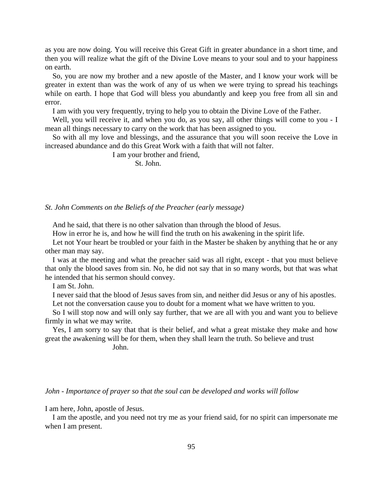as you are now doing. You will receive this Great Gift in greater abundance in a short time, and then you will realize what the gift of the Divine Love means to your soul and to your happiness on earth.

 So, you are now my brother and a new apostle of the Master, and I know your work will be greater in extent than was the work of any of us when we were trying to spread his teachings while on earth. I hope that God will bless you abundantly and keep you free from all sin and error.

I am with you very frequently, trying to help you to obtain the Divine Love of the Father.

Well, you will receive it, and when you do, as you say, all other things will come to you - I mean all things necessary to carry on the work that has been assigned to you.

 So with all my love and blessings, and the assurance that you will soon receive the Love in increased abundance and do this Great Work with a faith that will not falter.

I am your brother and friend,

St. John.

*St. John Comments on the Beliefs of the Preacher (early message)* 

And he said, that there is no other salvation than through the blood of Jesus.

How in error he is, and how he will find the truth on his awakening in the spirit life.

 Let not Your heart be troubled or your faith in the Master be shaken by anything that he or any other man may say.

 I was at the meeting and what the preacher said was all right, except - that you must believe that only the blood saves from sin. No, he did not say that in so many words, but that was what he intended that his sermon should convey.

I am St. John.

I never said that the blood of Jesus saves from sin, and neither did Jesus or any of his apostles.

Let not the conversation cause you to doubt for a moment what we have written to you.

 So I will stop now and will only say further, that we are all with you and want you to believe firmly in what we may write.

 Yes, I am sorry to say that that is their belief, and what a great mistake they make and how great the awakening will be for them, when they shall learn the truth. So believe and trust

John.

*John - Importance of prayer so that the soul can be developed and works will follow* 

I am here, John, apostle of Jesus.

 I am the apostle, and you need not try me as your friend said, for no spirit can impersonate me when I am present.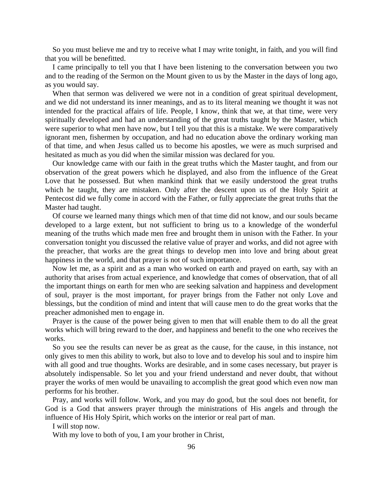So you must believe me and try to receive what I may write tonight, in faith, and you will find that you will be benefitted.

 I came principally to tell you that I have been listening to the conversation between you two and to the reading of the Sermon on the Mount given to us by the Master in the days of long ago, as you would say.

When that sermon was delivered we were not in a condition of great spiritual development, and we did not understand its inner meanings, and as to its literal meaning we thought it was not intended for the practical affairs of life. People, I know, think that we, at that time, were very spiritually developed and had an understanding of the great truths taught by the Master, which were superior to what men have now, but I tell you that this is a mistake. We were comparatively ignorant men, fishermen by occupation, and had no education above the ordinary working man of that time, and when Jesus called us to become his apostles, we were as much surprised and hesitated as much as you did when the similar mission was declared for you.

 Our knowledge came with our faith in the great truths which the Master taught, and from our observation of the great powers which he displayed, and also from the influence of the Great Love that he possessed. But when mankind think that we easily understood the great truths which he taught, they are mistaken. Only after the descent upon us of the Holy Spirit at Pentecost did we fully come in accord with the Father, or fully appreciate the great truths that the Master had taught.

 Of course we learned many things which men of that time did not know, and our souls became developed to a large extent, but not sufficient to bring us to a knowledge of the wonderful meaning of the truths which made men free and brought them in unison with the Father. In your conversation tonight you discussed the relative value of prayer and works, and did not agree with the preacher, that works are the great things to develop men into love and bring about great happiness in the world, and that prayer is not of such importance.

 Now let me, as a spirit and as a man who worked on earth and prayed on earth, say with an authority that arises from actual experience, and knowledge that comes of observation, that of all the important things on earth for men who are seeking salvation and happiness and development of soul, prayer is the most important, for prayer brings from the Father not only Love and blessings, but the condition of mind and intent that will cause men to do the great works that the preacher admonished men to engage in.

 Prayer is the cause of the power being given to men that will enable them to do all the great works which will bring reward to the doer, and happiness and benefit to the one who receives the works.

 So you see the results can never be as great as the cause, for the cause, in this instance, not only gives to men this ability to work, but also to love and to develop his soul and to inspire him with all good and true thoughts. Works are desirable, and in some cases necessary, but prayer is absolutely indispensable. So let you and your friend understand and never doubt, that without prayer the works of men would be unavailing to accomplish the great good which even now man performs for his brother.

 Pray, and works will follow. Work, and you may do good, but the soul does not benefit, for God is a God that answers prayer through the ministrations of His angels and through the influence of His Holy Spirit, which works on the interior or real part of man.

I will stop now.

With my love to both of you, I am your brother in Christ,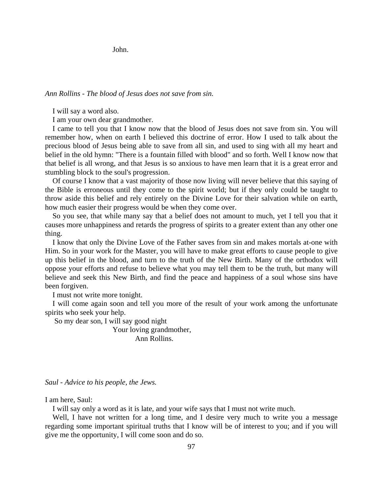John.

*Ann Rollins - The blood of Jesus does not save from sin.* 

I will say a word also.

I am your own dear grandmother.

 I came to tell you that I know now that the blood of Jesus does not save from sin. You will remember how, when on earth I believed this doctrine of error. How I used to talk about the precious blood of Jesus being able to save from all sin, and used to sing with all my heart and belief in the old hymn: "There is a fountain filled with blood" and so forth. Well I know now that that belief is all wrong, and that Jesus is so anxious to have men learn that it is a great error and stumbling block to the soul's progression.

 Of course I know that a vast majority of those now living will never believe that this saying of the Bible is erroneous until they come to the spirit world; but if they only could be taught to throw aside this belief and rely entirely on the Divine Love for their salvation while on earth, how much easier their progress would be when they come over.

 So you see, that while many say that a belief does not amount to much, yet I tell you that it causes more unhappiness and retards the progress of spirits to a greater extent than any other one thing.

 I know that only the Divine Love of the Father saves from sin and makes mortals at-one with Him. So in your work for the Master, you will have to make great efforts to cause people to give up this belief in the blood, and turn to the truth of the New Birth. Many of the orthodox will oppose your efforts and refuse to believe what you may tell them to be the truth, but many will believe and seek this New Birth, and find the peace and happiness of a soul whose sins have been forgiven.

I must not write more tonight.

 I will come again soon and tell you more of the result of your work among the unfortunate spirits who seek your help.

So my dear son, I will say good night

 Your loving grandmother, Ann Rollins.

*Saul - Advice to his people, the Jews.* 

I am here, Saul:

I will say only a word as it is late, and your wife says that I must not write much.

Well, I have not written for a long time, and I desire very much to write you a message regarding some important spiritual truths that I know will be of interest to you; and if you will give me the opportunity, I will come soon and do so.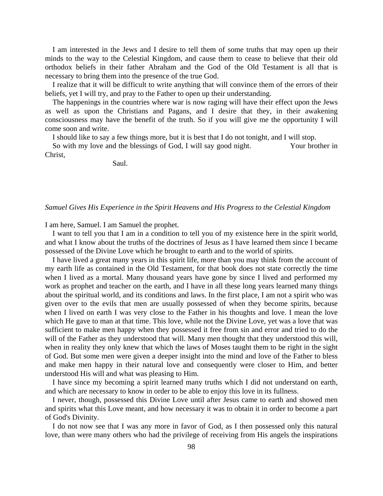I am interested in the Jews and I desire to tell them of some truths that may open up their minds to the way to the Celestial Kingdom, and cause them to cease to believe that their old orthodox beliefs in their father Abraham and the God of the Old Testament is all that is necessary to bring them into the presence of the true God.

 I realize that it will be difficult to write anything that will convince them of the errors of their beliefs, yet I will try, and pray to the Father to open up their understanding.

 The happenings in the countries where war is now raging will have their effect upon the Jews as well as upon the Christians and Pagans, and I desire that they, in their awakening consciousness may have the benefit of the truth. So if you will give me the opportunity I will come soon and write.

I should like to say a few things more, but it is best that I do not tonight, and I will stop.

 So with my love and the blessings of God, I will say good night. Your brother in Christ,

Saul.

## *Samuel Gives His Experience in the Spirit Heavens and His Progress to the Celestial Kingdom*

I am here, Samuel. I am Samuel the prophet.

 I want to tell you that I am in a condition to tell you of my existence here in the spirit world, and what I know about the truths of the doctrines of Jesus as I have learned them since I became possessed of the Divine Love which he brought to earth and to the world of spirits.

 I have lived a great many years in this spirit life, more than you may think from the account of my earth life as contained in the Old Testament, for that book does not state correctly the time when I lived as a mortal. Many thousand years have gone by since I lived and performed my work as prophet and teacher on the earth, and I have in all these long years learned many things about the spiritual world, and its conditions and laws. In the first place, I am not a spirit who was given over to the evils that men are usually possessed of when they become spirits, because when I lived on earth I was very close to the Father in his thoughts and love. I mean the love which He gave to man at that time. This love, while not the Divine Love, yet was a love that was sufficient to make men happy when they possessed it free from sin and error and tried to do the will of the Father as they understood that will. Many men thought that they understood this will, when in reality they only knew that which the laws of Moses taught them to be right in the sight of God. But some men were given a deeper insight into the mind and love of the Father to bless and make men happy in their natural love and consequently were closer to Him, and better understood His will and what was pleasing to Him.

 I have since my becoming a spirit learned many truths which I did not understand on earth, and which are necessary to know in order to be able to enjoy this love in its fullness.

 I never, though, possessed this Divine Love until after Jesus came to earth and showed men and spirits what this Love meant, and how necessary it was to obtain it in order to become a part of God's Divinity.

 I do not now see that I was any more in favor of God, as I then possessed only this natural love, than were many others who had the privilege of receiving from His angels the inspirations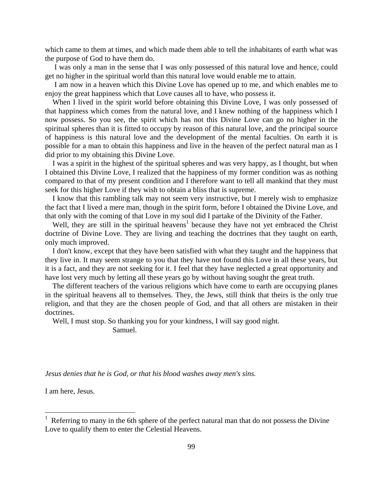which came to them at times, and which made them able to tell the inhabitants of earth what was the purpose of God to have them do.

 I was only a man in the sense that I was only possessed of this natural love and hence, could get no higher in the spiritual world than this natural love would enable me to attain.

 I am now in a heaven which this Divine Love has opened up to me, and which enables me to enjoy the great happiness which that Love causes all to have, who possess it.

When I lived in the spirit world before obtaining this Divine Love, I was only possessed of that happiness which comes from the natural love, and I knew nothing of the happiness which I now possess. So you see, the spirit which has not this Divine Love can go no higher in the spiritual spheres than it is fitted to occupy by reason of this natural love, and the principal source of happiness is this natural love and the development of the mental faculties. On earth it is possible for a man to obtain this happiness and live in the heaven of the perfect natural man as I did prior to my obtaining this Divine Love.

 I was a spirit in the highest of the spiritual spheres and was very happy, as I thought, but when I obtained this Divine Love, I realized that the happiness of my former condition was as nothing compared to that of my present condition and I therefore want to tell all mankind that they must seek for this higher Love if they wish to obtain a bliss that is supreme.

 I know that this rambling talk may not seem very instructive, but I merely wish to emphasize the fact that I lived a mere man, though in the spirit form, before I obtained the Divine Love, and that only with the coming of that Love in my soul did I partake of the Divinity of the Father.

Well, they are still in the spiritual heavens<sup>1</sup> because they have not yet embraced the Christ doctrine of Divine Love. They are living and teaching the doctrines that they taught on earth, only much improved.

 I don't know, except that they have been satisfied with what they taught and the happiness that they live in. It may seem strange to you that they have not found this Love in all these years, but it is a fact, and they are not seeking for it. I feel that they have neglected a great opportunity and have lost very much by letting all these years go by without having sought the great truth.

 The different teachers of the various religions which have come to earth are occupying planes in the spiritual heavens all to themselves. They, the Jews, still think that theirs is the only true religion, and that they are the chosen people of God, and that all others are mistaken in their doctrines.

Well, I must stop. So thanking you for your kindness, I will say good night.

Samuel.

*Jesus denies that he is God, or that his blood washes away men's sins.* 

I am here, Jesus.

 $\overline{a}$ 

 $1$  Referring to many in the 6th sphere of the perfect natural man that do not possess the Divine Love to qualify them to enter the Celestial Heavens.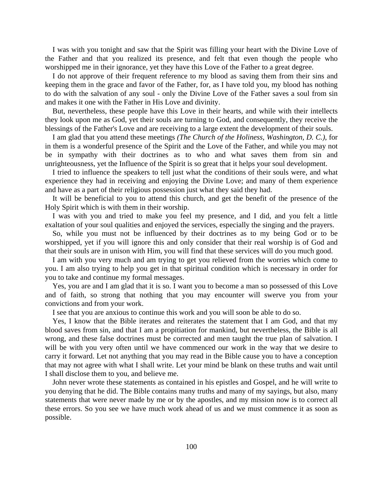I was with you tonight and saw that the Spirit was filling your heart with the Divine Love of the Father and that you realized its presence, and felt that even though the people who worshipped me in their ignorance, yet they have this Love of the Father to a great degree.

 I do not approve of their frequent reference to my blood as saving them from their sins and keeping them in the grace and favor of the Father, for, as I have told you, my blood has nothing to do with the salvation of any soul - only the Divine Love of the Father saves a soul from sin and makes it one with the Father in His Love and divinity.

 But, nevertheless, these people have this Love in their hearts, and while with their intellects they look upon me as God, yet their souls are turning to God, and consequently, they receive the blessings of the Father's Love and are receiving to a large extent the development of their souls.

 I am glad that you attend these meetings *(The Church of the Holiness, Washington, D. C.)*, for in them is a wonderful presence of the Spirit and the Love of the Father, and while you may not be in sympathy with their doctrines as to who and what saves them from sin and unrighteousness, yet the Influence of the Spirit is so great that it helps your soul development.

 I tried to influence the speakers to tell just what the conditions of their souls were, and what experience they had in receiving and enjoying the Divine Love; and many of them experience and have as a part of their religious possession just what they said they had.

 It will be beneficial to you to attend this church, and get the benefit of the presence of the Holy Spirit which is with them in their worship.

 I was with you and tried to make you feel my presence, and I did, and you felt a little exaltation of your soul qualities and enjoyed the services, especially the singing and the prayers.

 So, while you must not be influenced by their doctrines as to my being God or to be worshipped, yet if you will ignore this and only consider that their real worship is of God and that their souls are in unison with Him, you will find that these services will do you much good.

 I am with you very much and am trying to get you relieved from the worries which come to you. I am also trying to help you get in that spiritual condition which is necessary in order for you to take and continue my formal messages.

 Yes, you are and I am glad that it is so. I want you to become a man so possessed of this Love and of faith, so strong that nothing that you may encounter will swerve you from your convictions and from your work.

I see that you are anxious to continue this work and you will soon be able to do so.

 Yes, I know that the Bible iterates and reiterates the statement that I am God, and that my blood saves from sin, and that I am a propitiation for mankind, but nevertheless, the Bible is all wrong, and these false doctrines must be corrected and men taught the true plan of salvation. I will be with you very often until we have commenced our work in the way that we desire to carry it forward. Let not anything that you may read in the Bible cause you to have a conception that may not agree with what I shall write. Let your mind be blank on these truths and wait until I shall disclose them to you, and believe me.

 John never wrote these statements as contained in his epistles and Gospel, and he will write to you denying that he did. The Bible contains many truths and many of my sayings, but also, many statements that were never made by me or by the apostles, and my mission now is to correct all these errors. So you see we have much work ahead of us and we must commence it as soon as possible.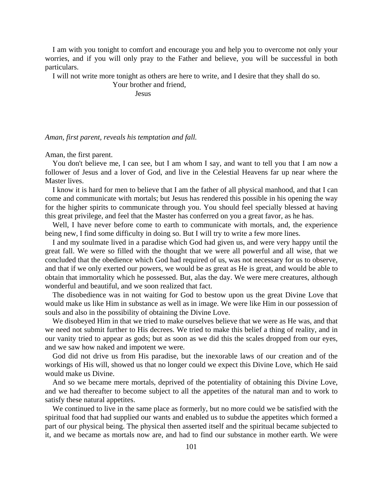I am with you tonight to comfort and encourage you and help you to overcome not only your worries, and if you will only pray to the Father and believe, you will be successful in both particulars.

I will not write more tonight as others are here to write, and I desire that they shall do so.

Your brother and friend,

Jesus

# *Aman, first parent, reveals his temptation and fall.*

Aman, the first parent.

 You don't believe me, I can see, but I am whom I say, and want to tell you that I am now a follower of Jesus and a lover of God, and live in the Celestial Heavens far up near where the Master lives.

 I know it is hard for men to believe that I am the father of all physical manhood, and that I can come and communicate with mortals; but Jesus has rendered this possible in his opening the way for the higher spirits to communicate through you. You should feel specially blessed at having this great privilege, and feel that the Master has conferred on you a great favor, as he has.

Well, I have never before come to earth to communicate with mortals, and, the experience being new, I find some difficulty in doing so. But I will try to write a few more lines.

 I and my soulmate lived in a paradise which God had given us, and were very happy until the great fall. We were so filled with the thought that we were all powerful and all wise, that we concluded that the obedience which God had required of us, was not necessary for us to observe, and that if we only exerted our powers, we would be as great as He is great, and would be able to obtain that immortality which he possessed. But, alas the day. We were mere creatures, although wonderful and beautiful, and we soon realized that fact.

 The disobedience was in not waiting for God to bestow upon us the great Divine Love that would make us like Him in substance as well as in image. We were like Him in our possession of souls and also in the possibility of obtaining the Divine Love.

 We disobeyed Him in that we tried to make ourselves believe that we were as He was, and that we need not submit further to His decrees. We tried to make this belief a thing of reality, and in our vanity tried to appear as gods; but as soon as we did this the scales dropped from our eyes, and we saw how naked and impotent we were.

 God did not drive us from His paradise, but the inexorable laws of our creation and of the workings of His will, showed us that no longer could we expect this Divine Love, which He said would make us Divine.

 And so we became mere mortals, deprived of the potentiality of obtaining this Divine Love, and we had thereafter to become subject to all the appetites of the natural man and to work to satisfy these natural appetites.

 We continued to live in the same place as formerly, but no more could we be satisfied with the spiritual food that had supplied our wants and enabled us to subdue the appetites which formed a part of our physical being. The physical then asserted itself and the spiritual became subjected to it, and we became as mortals now are, and had to find our substance in mother earth. We were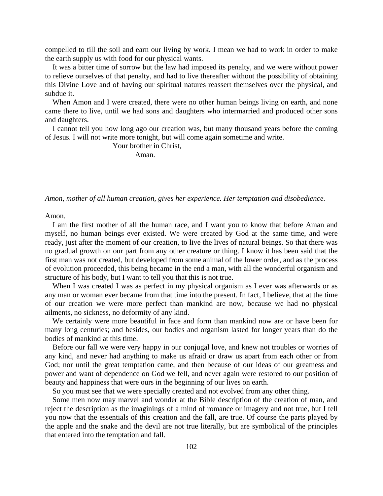compelled to till the soil and earn our living by work. I mean we had to work in order to make the earth supply us with food for our physical wants.

 It was a bitter time of sorrow but the law had imposed its penalty, and we were without power to relieve ourselves of that penalty, and had to live thereafter without the possibility of obtaining this Divine Love and of having our spiritual natures reassert themselves over the physical, and subdue it.

When Amon and I were created, there were no other human beings living on earth, and none came there to live, until we had sons and daughters who intermarried and produced other sons and daughters.

 I cannot tell you how long ago our creation was, but many thousand years before the coming of Jesus. I will not write more tonight, but will come again sometime and write.

Your brother in Christ,

Aman.

*Amon, mother of all human creation, gives her experience. Her temptation and disobedience.* 

Amon.

 I am the first mother of all the human race, and I want you to know that before Aman and myself, no human beings ever existed. We were created by God at the same time, and were ready, just after the moment of our creation, to live the lives of natural beings. So that there was no gradual growth on our part from any other creature or thing. I know it has been said that the first man was not created, but developed from some animal of the lower order, and as the process of evolution proceeded, this being became in the end a man, with all the wonderful organism and structure of his body, but I want to tell you that this is not true.

When I was created I was as perfect in my physical organism as I ever was afterwards or as any man or woman ever became from that time into the present. In fact, I believe, that at the time of our creation we were more perfect than mankind are now, because we had no physical ailments, no sickness, no deformity of any kind.

 We certainly were more beautiful in face and form than mankind now are or have been for many long centuries; and besides, our bodies and organism lasted for longer years than do the bodies of mankind at this time.

 Before our fall we were very happy in our conjugal love, and knew not troubles or worries of any kind, and never had anything to make us afraid or draw us apart from each other or from God; nor until the great temptation came, and then because of our ideas of our greatness and power and want of dependence on God we fell, and never again were restored to our position of beauty and happiness that were ours in the beginning of our lives on earth.

So you must see that we were specially created and not evolved from any other thing.

 Some men now may marvel and wonder at the Bible description of the creation of man, and reject the description as the imaginings of a mind of romance or imagery and not true, but I tell you now that the essentials of this creation and the fall, are true. Of course the parts played by the apple and the snake and the devil are not true literally, but are symbolical of the principles that entered into the temptation and fall.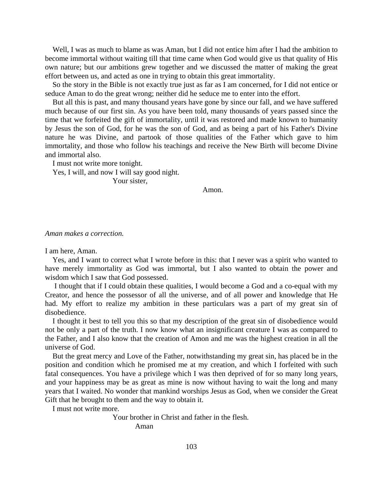Well, I was as much to blame as was Aman, but I did not entice him after I had the ambition to become immortal without waiting till that time came when God would give us that quality of His own nature; but our ambitions grew together and we discussed the matter of making the great effort between us, and acted as one in trying to obtain this great immortality.

 So the story in the Bible is not exactly true just as far as I am concerned, for I did not entice or seduce Aman to do the great wrong; neither did he seduce me to enter into the effort.

 But all this is past, and many thousand years have gone by since our fall, and we have suffered much because of our first sin. As you have been told, many thousands of years passed since the time that we forfeited the gift of immortality, until it was restored and made known to humanity by Jesus the son of God, for he was the son of God, and as being a part of his Father's Divine nature he was Divine, and partook of those qualities of the Father which gave to him immortality, and those who follow his teachings and receive the New Birth will become Divine and immortal also.

I must not write more tonight.

Yes, I will, and now I will say good night.

Your sister,

Amon.

### *Aman makes a correction.*

I am here, Aman.

 Yes, and I want to correct what I wrote before in this: that I never was a spirit who wanted to have merely immortality as God was immortal, but I also wanted to obtain the power and wisdom which I saw that God possessed.

 I thought that if I could obtain these qualities, I would become a God and a co-equal with my Creator, and hence the possessor of all the universe, and of all power and knowledge that He had. My effort to realize my ambition in these particulars was a part of my great sin of disobedience.

 I thought it best to tell you this so that my description of the great sin of disobedience would not be only a part of the truth. I now know what an insignificant creature I was as compared to the Father, and I also know that the creation of Amon and me was the highest creation in all the universe of God.

 But the great mercy and Love of the Father, notwithstanding my great sin, has placed be in the position and condition which he promised me at my creation, and which I forfeited with such fatal consequences. You have a privilege which I was then deprived of for so many long years, and your happiness may be as great as mine is now without having to wait the long and many years that I waited. No wonder that mankind worships Jesus as God, when we consider the Great Gift that he brought to them and the way to obtain it.

I must not write more.

Your brother in Christ and father in the flesh.

Aman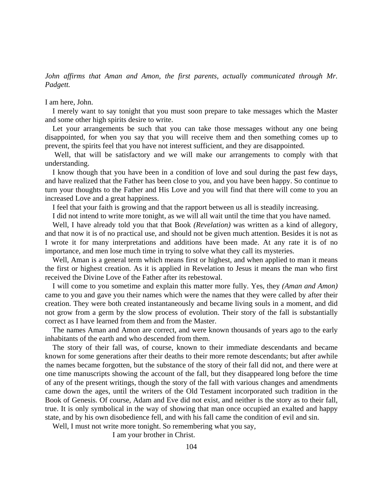John affirms that Aman and Amon, the first parents, actually communicated through Mr. *Padgett.* 

I am here, John.

 I merely want to say tonight that you must soon prepare to take messages which the Master and some other high spirits desire to write.

 Let your arrangements be such that you can take those messages without any one being disappointed, for when you say that you will receive them and then something comes up to prevent, the spirits feel that you have not interest sufficient, and they are disappointed.

 Well, that will be satisfactory and we will make our arrangements to comply with that understanding.

 I know though that you have been in a condition of love and soul during the past few days, and have realized that the Father has been close to you, and you have been happy. So continue to turn your thoughts to the Father and His Love and you will find that there will come to you an increased Love and a great happiness.

I feel that your faith is growing and that the rapport between us all is steadily increasing.

I did not intend to write more tonight, as we will all wait until the time that you have named.

 Well, I have already told you that that Book *(Revelation)* was written as a kind of allegory, and that now it is of no practical use, and should not be given much attention. Besides it is not as I wrote it for many interpretations and additions have been made. At any rate it is of no importance, and men lose much time in trying to solve what they call its mysteries.

 Well, Aman is a general term which means first or highest, and when applied to man it means the first or highest creation. As it is applied in Revelation to Jesus it means the man who first received the Divine Love of the Father after its rebestowal.

 I will come to you sometime and explain this matter more fully. Yes, they *(Aman and Amon)*  came to you and gave you their names which were the names that they were called by after their creation. They were both created instantaneously and became living souls in a moment, and did not grow from a germ by the slow process of evolution. Their story of the fall is substantially correct as I have learned from them and from the Master.

 The names Aman and Amon are correct, and were known thousands of years ago to the early inhabitants of the earth and who descended from them.

 The story of their fall was, of course, known to their immediate descendants and became known for some generations after their deaths to their more remote descendants; but after awhile the names became forgotten, but the substance of the story of their fall did not, and there were at one time manuscripts showing the account of the fall, but they disappeared long before the time of any of the present writings, though the story of the fall with various changes and amendments came down the ages, until the writers of the Old Testament incorporated such tradition in the Book of Genesis. Of course, Adam and Eve did not exist, and neither is the story as to their fall, true. It is only symbolical in the way of showing that man once occupied an exalted and happy state, and by his own disobedience fell, and with his fall came the condition of evil and sin.

Well, I must not write more tonight. So remembering what you say,

I am your brother in Christ.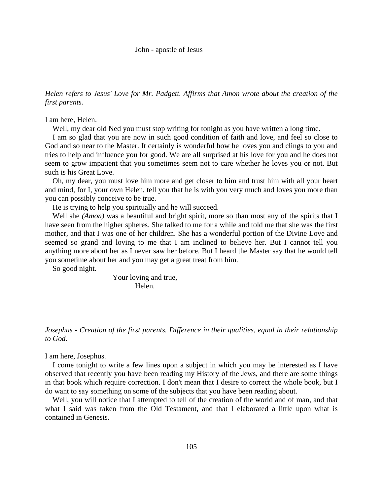#### John - apostle of Jesus

*Helen refers to Jesus' Love for Mr. Padgett. Affirms that Amon wrote about the creation of the first parents.* 

I am here, Helen.

Well, my dear old Ned you must stop writing for tonight as you have written a long time.

 I am so glad that you are now in such good condition of faith and love, and feel so close to God and so near to the Master. It certainly is wonderful how he loves you and clings to you and tries to help and influence you for good. We are all surprised at his love for you and he does not seem to grow impatient that you sometimes seem not to care whether he loves you or not. But such is his Great Love.

 Oh, my dear, you must love him more and get closer to him and trust him with all your heart and mind, for I, your own Helen, tell you that he is with you very much and loves you more than you can possibly conceive to be true.

He is trying to help you spiritually and he will succeed.

 Well she *(Amon)* was a beautiful and bright spirit, more so than most any of the spirits that I have seen from the higher spheres. She talked to me for a while and told me that she was the first mother, and that I was one of her children. She has a wonderful portion of the Divine Love and seemed so grand and loving to me that I am inclined to believe her. But I cannot tell you anything more about her as I never saw her before. But I heard the Master say that he would tell you sometime about her and you may get a great treat from him.

So good night.

 Your loving and true, Helen.

*Josephus - Creation of the first parents. Difference in their qualities, equal in their relationship to God.* 

I am here, Josephus.

 I come tonight to write a few lines upon a subject in which you may be interested as I have observed that recently you have been reading my History of the Jews, and there are some things in that book which require correction. I don't mean that I desire to correct the whole book, but I do want to say something on some of the subjects that you have been reading about.

 Well, you will notice that I attempted to tell of the creation of the world and of man, and that what I said was taken from the Old Testament, and that I elaborated a little upon what is contained in Genesis.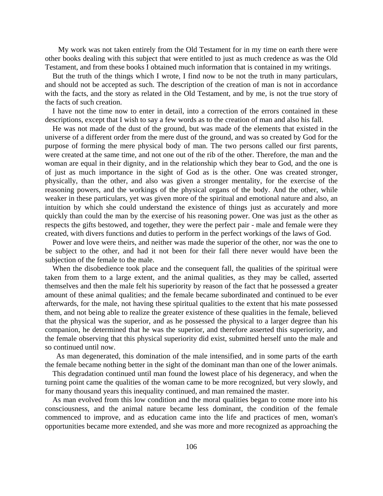My work was not taken entirely from the Old Testament for in my time on earth there were other books dealing with this subject that were entitled to just as much credence as was the Old Testament, and from these books I obtained much information that is contained in my writings.

 But the truth of the things which I wrote, I find now to be not the truth in many particulars, and should not be accepted as such. The description of the creation of man is not in accordance with the facts, and the story as related in the Old Testament, and by me, is not the true story of the facts of such creation.

 I have not the time now to enter in detail, into a correction of the errors contained in these descriptions, except that I wish to say a few words as to the creation of man and also his fall.

 He was not made of the dust of the ground, but was made of the elements that existed in the universe of a different order from the mere dust of the ground, and was so created by God for the purpose of forming the mere physical body of man. The two persons called our first parents, were created at the same time, and not one out of the rib of the other. Therefore, the man and the woman are equal in their dignity, and in the relationship which they bear to God, and the one is of just as much importance in the sight of God as is the other. One was created stronger, physically, than the other, and also was given a stronger mentality, for the exercise of the reasoning powers, and the workings of the physical organs of the body. And the other, while weaker in these particulars, yet was given more of the spiritual and emotional nature and also, an intuition by which she could understand the existence of things just as accurately and more quickly than could the man by the exercise of his reasoning power. One was just as the other as respects the gifts bestowed, and together, they were the perfect pair - male and female were they created, with divers functions and duties to perform in the perfect workings of the laws of God.

 Power and love were theirs, and neither was made the superior of the other, nor was the one to be subject to the other, and had it not been for their fall there never would have been the subjection of the female to the male.

When the disobedience took place and the consequent fall, the qualities of the spiritual were taken from them to a large extent, and the animal qualities, as they may be called, asserted themselves and then the male felt his superiority by reason of the fact that he possessed a greater amount of these animal qualities; and the female became subordinated and continued to be ever afterwards, for the male, not having these spiritual qualities to the extent that his mate possessed them, and not being able to realize the greater existence of these qualities in the female, believed that the physical was the superior, and as he possessed the physical to a larger degree than his companion, he determined that he was the superior, and therefore asserted this superiority, and the female observing that this physical superiority did exist, submitted herself unto the male and so continued until now.

 As man degenerated, this domination of the male intensified, and in some parts of the earth the female became nothing better in the sight of the dominant man than one of the lower animals.

 This degradation continued until man found the lowest place of his degeneracy, and when the turning point came the qualities of the woman came to be more recognized, but very slowly, and for many thousand years this inequality continued, and man remained the master.

 As man evolved from this low condition and the moral qualities began to come more into his consciousness, and the animal nature became less dominant, the condition of the female commenced to improve, and as education came into the life and practices of men, woman's opportunities became more extended, and she was more and more recognized as approaching the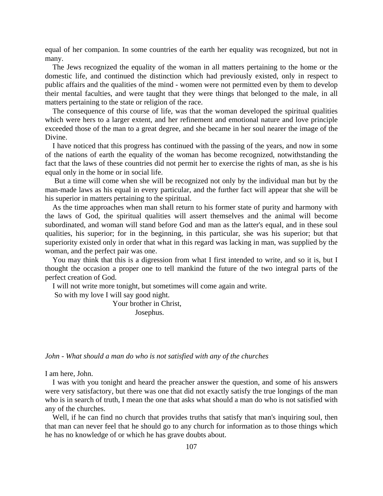equal of her companion. In some countries of the earth her equality was recognized, but not in many.

 The Jews recognized the equality of the woman in all matters pertaining to the home or the domestic life, and continued the distinction which had previously existed, only in respect to public affairs and the qualities of the mind - women were not permitted even by them to develop their mental faculties, and were taught that they were things that belonged to the male, in all matters pertaining to the state or religion of the race.

 The consequence of this course of life, was that the woman developed the spiritual qualities which were hers to a larger extent, and her refinement and emotional nature and love principle exceeded those of the man to a great degree, and she became in her soul nearer the image of the Divine.

 I have noticed that this progress has continued with the passing of the years, and now in some of the nations of earth the equality of the woman has become recognized, notwithstanding the fact that the laws of these countries did not permit her to exercise the rights of man, as she is his equal only in the home or in social life.

 But a time will come when she will be recognized not only by the individual man but by the man-made laws as his equal in every particular, and the further fact will appear that she will be his superior in matters pertaining to the spiritual.

 As the time approaches when man shall return to his former state of purity and harmony with the laws of God, the spiritual qualities will assert themselves and the animal will become subordinated, and woman will stand before God and man as the latter's equal, and in these soul qualities, his superior; for in the beginning, in this particular, she was his superior; but that superiority existed only in order that what in this regard was lacking in man, was supplied by the woman, and the perfect pair was one.

 You may think that this is a digression from what I first intended to write, and so it is, but I thought the occasion a proper one to tell mankind the future of the two integral parts of the perfect creation of God.

I will not write more tonight, but sometimes will come again and write.

So with my love I will say good night.

 Your brother in Christ, Josephus.

*John - What should a man do who is not satisfied with any of the churches* 

I am here, John.

 I was with you tonight and heard the preacher answer the question, and some of his answers were very satisfactory, but there was one that did not exactly satisfy the true longings of the man who is in search of truth, I mean the one that asks what should a man do who is not satisfied with any of the churches.

 Well, if he can find no church that provides truths that satisfy that man's inquiring soul, then that man can never feel that he should go to any church for information as to those things which he has no knowledge of or which he has grave doubts about.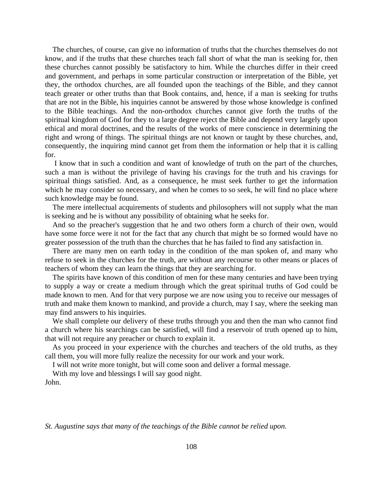The churches, of course, can give no information of truths that the churches themselves do not know, and if the truths that these churches teach fall short of what the man is seeking for, then these churches cannot possibly be satisfactory to him. While the churches differ in their creed and government, and perhaps in some particular construction or interpretation of the Bible, yet they, the orthodox churches, are all founded upon the teachings of the Bible, and they cannot teach greater or other truths than that Book contains, and, hence, if a man is seeking for truths that are not in the Bible, his inquiries cannot be answered by those whose knowledge is confined to the Bible teachings. And the non-orthodox churches cannot give forth the truths of the spiritual kingdom of God for they to a large degree reject the Bible and depend very largely upon ethical and moral doctrines, and the results of the works of mere conscience in determining the right and wrong of things. The spiritual things are not known or taught by these churches, and, consequently, the inquiring mind cannot get from them the information or help that it is calling for.

 I know that in such a condition and want of knowledge of truth on the part of the churches, such a man is without the privilege of having his cravings for the truth and his cravings for spiritual things satisfied. And, as a consequence, he must seek further to get the information which he may consider so necessary, and when he comes to so seek, he will find no place where such knowledge may be found.

 The mere intellectual acquirements of students and philosophers will not supply what the man is seeking and he is without any possibility of obtaining what he seeks for.

 And so the preacher's suggestion that he and two others form a church of their own, would have some force were it not for the fact that any church that might be so formed would have no greater possession of the truth than the churches that he has failed to find any satisfaction in.

 There are many men on earth today in the condition of the man spoken of, and many who refuse to seek in the churches for the truth, are without any recourse to other means or places of teachers of whom they can learn the things that they are searching for.

 The spirits have known of this condition of men for these many centuries and have been trying to supply a way or create a medium through which the great spiritual truths of God could be made known to men. And for that very purpose we are now using you to receive our messages of truth and make them known to mankind, and provide a church, may I say, where the seeking man may find answers to his inquiries.

 We shall complete our delivery of these truths through you and then the man who cannot find a church where his searchings can be satisfied, will find a reservoir of truth opened up to him, that will not require any preacher or church to explain it.

 As you proceed in your experience with the churches and teachers of the old truths, as they call them, you will more fully realize the necessity for our work and your work.

I will not write more tonight, but will come soon and deliver a formal message.

With my love and blessings I will say good night. John.

*St. Augustine says that many of the teachings of the Bible cannot be relied upon.*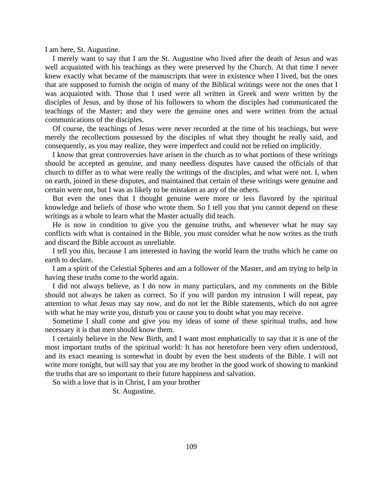I am here, St. Augustine.

 I merely want to say that I am the St. Augustine who lived after the death of Jesus and was well acquainted with his teachings as they were preserved by the Church. At that time I never knew exactly what became of the manuscripts that were in existence when I lived, but the ones that are supposed to furnish the origin of many of the Biblical writings were not the ones that I was acquainted with. Those that I used were all written in Greek and were written by the disciples of Jesus, and by those of his followers to whom the disciples had communicated the teachings of the Master; and they were the genuine ones and were written from the actual communications of the disciples.

 Of course, the teachings of Jesus were never recorded at the time of his teachings, but were merely the recollections possessed by the disciples of what they thought he really said, and consequently, as you may realize, they were imperfect and could not be relied on implicitly.

 I know that great controversies have arisen in the church as to what portions of these writings should be accepted as genuine, and many needless disputes have caused the officials of that church to differ as to what were really the writings of the disciples, and what were not. I, when on earth, joined in these disputes, and maintained that certain of these writings were genuine and certain were not, but I was as likely to be mistaken as any of the others.

 But even the ones that I thought genuine were more or less flavored by the spiritual knowledge and beliefs of those who wrote them. So I tell you that you cannot depend on these writings as a whole to learn what the Master actually did teach.

 He is now in condition to give you the genuine truths, and whenever what he may say conflicts with what is contained in the Bible, you must consider what he now writes as the truth and discard the Bible account as unreliable.

 I tell you this, because I am interested in having the world learn the truths which he came on earth to declare.

 I am a spirit of the Celestial Spheres and am a follower of the Master, and am trying to help in having these truths come to the world again.

 I did not always believe, as I do now in many particulars, and my comments on the Bible should not always be taken as correct. So if you will pardon my intrusion I will repeat, pay attention to what Jesus may say now, and do not let the Bible statements, which do not agree with what he may write you, disturb you or cause you to doubt what you may receive.

 Sometime I shall come and give you my ideas of some of these spiritual truths, and how necessary it is that men should know them.

 I certainly believe in the New Birth, and I want most emphatically to say that it is one of the most important truths of the spiritual world: It has not heretofore been very often understood, and its exact meaning is somewhat in doubt by even the best students of the Bible. I will not write more tonight, but will say that you are my brother in the good work of showing to mankind the truths that are so important to their future happiness and salvation.

So with a love that is in Christ, I am your brother

St. Augustine.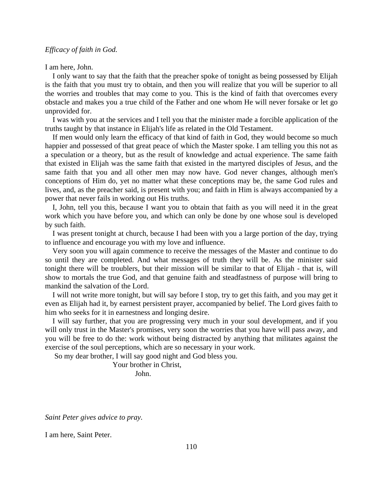### *Efficacy of faith in God.*

I am here, John.

 I only want to say that the faith that the preacher spoke of tonight as being possessed by Elijah is the faith that you must try to obtain, and then you will realize that you will be superior to all the worries and troubles that may come to you. This is the kind of faith that overcomes every obstacle and makes you a true child of the Father and one whom He will never forsake or let go unprovided for.

 I was with you at the services and I tell you that the minister made a forcible application of the truths taught by that instance in Elijah's life as related in the Old Testament.

 If men would only learn the efficacy of that kind of faith in God, they would become so much happier and possessed of that great peace of which the Master spoke. I am telling you this not as a speculation or a theory, but as the result of knowledge and actual experience. The same faith that existed in Elijah was the same faith that existed in the martyred disciples of Jesus, and the same faith that you and all other men may now have. God never changes, although men's conceptions of Him do, yet no matter what these conceptions may be, the same God rules and lives, and, as the preacher said, is present with you; and faith in Him is always accompanied by a power that never fails in working out His truths.

 I, John, tell you this, because I want you to obtain that faith as you will need it in the great work which you have before you, and which can only be done by one whose soul is developed by such faith.

 I was present tonight at church, because I had been with you a large portion of the day, trying to influence and encourage you with my love and influence.

 Very soon you will again commence to receive the messages of the Master and continue to do so until they are completed. And what messages of truth they will be. As the minister said tonight there will be troublers, but their mission will be similar to that of Elijah - that is, will show to mortals the true God, and that genuine faith and steadfastness of purpose will bring to mankind the salvation of the Lord.

 I will not write more tonight, but will say before I stop, try to get this faith, and you may get it even as Elijah had it, by earnest persistent prayer, accompanied by belief. The Lord gives faith to him who seeks for it in earnestness and longing desire.

 I will say further, that you are progressing very much in your soul development, and if you will only trust in the Master's promises, very soon the worries that you have will pass away, and you will be free to do the: work without being distracted by anything that militates against the exercise of the soul perceptions, which are so necessary in your work.

So my dear brother, I will say good night and God bless you.

 Your brother in Christ, John.

*Saint Peter gives advice to pray.* 

I am here, Saint Peter.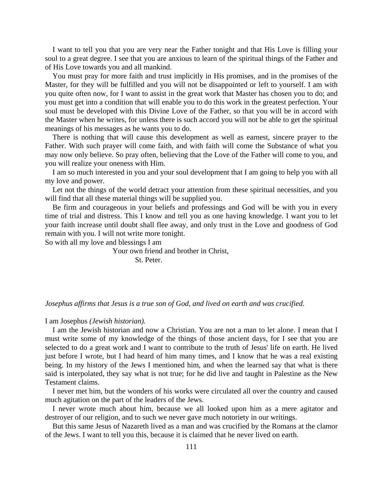I want to tell you that you are very near the Father tonight and that His Love is filling your soul to a great degree. I see that you are anxious to learn of the spiritual things of the Father and of His Love towards you and all mankind.

 You must pray for more faith and trust implicitly in His promises, and in the promises of the Master, for they will be fulfilled and you will not be disappointed or left to yourself. I am with you quite often now, for I want to assist in the great work that Master has chosen you to do; and you must get into a condition that will enable you to do this work in the greatest perfection. Your soul must be developed with this Divine Love of the Father, so that you will be in accord with the Master when he writes, for unless there is such accord you will not be able to get the spiritual meanings of his messages as he wants you to do.

 There is nothing that will cause this development as well as earnest, sincere prayer to the Father. With such prayer will come faith, and with faith will come the Substance of what you may now only believe. So pray often, believing that the Love of the Father will come to you, and you will realize your oneness with Him.

 I am so much interested in you and your soul development that I am going to help you with all my love and power.

 Let not the things of the world detract your attention from these spiritual necessities, and you will find that all these material things will be supplied you.

 Be firm and courageous in your beliefs and professings and God will be with you in every time of trial and distress. This I know and tell you as one having knowledge. I want you to let your faith increase until doubt shall flee away, and only trust in the Love and goodness of God remain with you. I will not write more tonight.

So with all my love and blessings I am

Your own friend and brother in Christ,

St. Peter.

*Josephus affirms that Jesus is a true son of God, and lived on earth and was crucified.* 

### I am Josephus *(Jewish historian).*

I am the Jewish historian and now a Christian. You are not a man to let alone. I mean that I must write some of my knowledge of the things of those ancient days, for I see that you are selected to do a great work and I want to contribute to the truth of Jesus' life on earth. He lived just before I wrote, but I had heard of him many times, and I know that he was a real existing being. In my history of the Jews I mentioned him, and when the learned say that what is there said is interpolated, they say what is not true; for he did live and taught in Palestine as the New Testament claims.

 I never met him, but the wonders of his works were circulated all over the country and caused much agitation on the part of the leaders of the Jews.

 I never wrote much about him, because we all looked upon him as a mere agitator and destroyer of our religion, and to such we never gave much notoriety in our writings.

 But this same Jesus of Nazareth lived as a man and was crucified by the Romans at the clamor of the Jews. I want to tell you this, because it is claimed that he never lived on earth.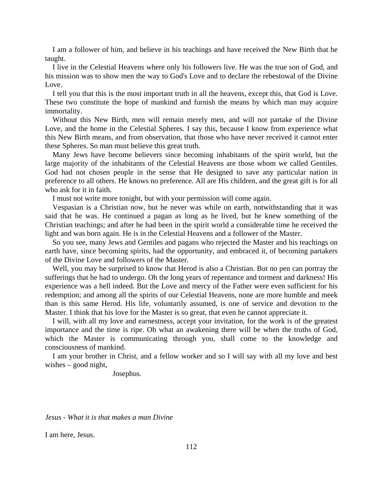I am a follower of him, and believe in his teachings and have received the New Birth that he taught.

 I live in the Celestial Heavens where only his followers live. He was the true son of God, and his mission was to show men the way to God's Love and to declare the rebestowal of the Divine Love.

 I tell you that this is the most important truth in all the heavens, except this, that God is Love. These two constitute the hope of mankind and furnish the means by which man may acquire immortality.

 Without this New Birth, men will remain merely men, and will not partake of the Divine Love, and the home in the Celestial Spheres. I say this, because I know from experience what this New Birth means, and from observation, that those who have never received it cannot enter these Spheres. So man must believe this great truth.

 Many Jews have become believers since becoming inhabitants of the spirit world, but the large majority of the inhabitants of the Celestial Heavens are those whom we called Gentiles. God had not chosen people in the sense that He designed to save any particular nation in preference to all others. He knows no preference. All are His children, and the great gift is for all who ask for it in faith.

I must not write more tonight, but with your permission will come again.

 Vespasian is a Christian now, but he never was while on earth, notwithstanding that it was said that he was. He continued a pagan as long as he lived, but he knew something of the Christian teachings; and after he had been in the spirit world a considerable time he received the light and was born again. He is in the Celestial Heavens and a follower of the Master.

 So you see, many Jews and Gentiles and pagans who rejected the Master and his teachings on earth have, since becoming spirits, had the opportunity, and embraced it, of becoming partakers of the Divine Love and followers of the Master.

 Well, you may be surprised to know that Herod is also a Christian. But no pen can portray the sufferings that he had to undergo. Oh the long years of repentance and torment and darkness! His experience was a hell indeed. But the Love and mercy of the Father were even sufficient for his redemption; and among all the spirits of our Celestial Heavens, none are more humble and meek than is this same Herod. His life, voluntarily assumed, is one of service and devotion to the Master. I think that his love for the Master is so great, that even he cannot appreciate it.

 I will, with all my love and earnestness, accept your invitation, for the work is of the greatest importance and the time is ripe. Oh what an awakening there will be when the truths of God, which the Master is communicating through you, shall come to the knowledge and consciousness of mankind.

 I am your brother in Christ, and a fellow worker and so I will say with all my love and best wishes – good night,

Josephus.

*Jesus - What it is that makes a man Divine* 

I am here, Jesus.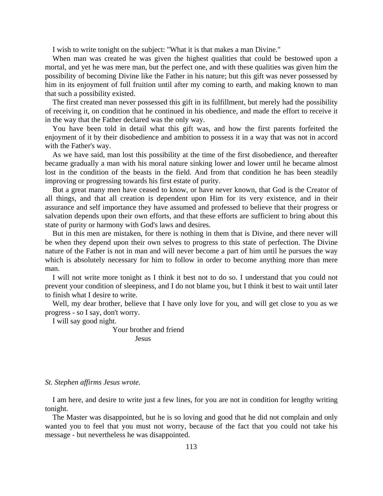I wish to write tonight on the subject: "What it is that makes a man Divine."

 When man was created he was given the highest qualities that could be bestowed upon a mortal, and yet he was mere man, but the perfect one, and with these qualities was given him the possibility of becoming Divine like the Father in his nature; but this gift was never possessed by him in its enjoyment of full fruition until after my coming to earth, and making known to man that such a possibility existed.

 The first created man never possessed this gift in its fulfillment, but merely had the possibility of receiving it, on condition that he continued in his obedience, and made the effort to receive it in the way that the Father declared was the only way.

 You have been told in detail what this gift was, and how the first parents forfeited the enjoyment of it by their disobedience and ambition to possess it in a way that was not in accord with the Father's way.

 As we have said, man lost this possibility at the time of the first disobedience, and thereafter became gradually a man with his moral nature sinking lower and lower until he became almost lost in the condition of the beasts in the field. And from that condition he has been steadily improving or progressing towards his first estate of purity.

 But a great many men have ceased to know, or have never known, that God is the Creator of all things, and that all creation is dependent upon Him for its very existence, and in their assurance and self importance they have assumed and professed to believe that their progress or salvation depends upon their own efforts, and that these efforts are sufficient to bring about this state of purity or harmony with God's laws and desires.

 But in this men are mistaken, for there is nothing in them that is Divine, and there never will be when they depend upon their own selves to progress to this state of perfection. The Divine nature of the Father is not in man and will never become a part of him until he pursues the way which is absolutely necessary for him to follow in order to become anything more than mere man.

 I will not write more tonight as I think it best not to do so. I understand that you could not prevent your condition of sleepiness, and I do not blame you, but I think it best to wait until later to finish what I desire to write.

 Well, my dear brother, believe that I have only love for you, and will get close to you as we progress - so I say, don't worry.

I will say good night.

 Your brother and friend Jesus

### *St. Stephen affirms Jesus wrote.*

 I am here, and desire to write just a few lines, for you are not in condition for lengthy writing tonight.

 The Master was disappointed, but he is so loving and good that he did not complain and only wanted you to feel that you must not worry, because of the fact that you could not take his message - but nevertheless he was disappointed.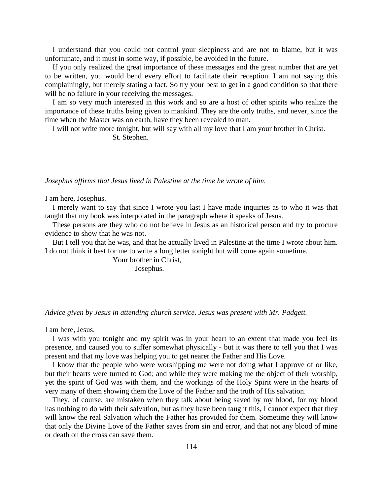I understand that you could not control your sleepiness and are not to blame, but it was unfortunate, and it must in some way, if possible, be avoided in the future.

 If you only realized the great importance of these messages and the great number that are yet to be written, you would bend every effort to facilitate their reception. I am not saying this complainingly, but merely stating a fact. So try your best to get in a good condition so that there will be no failure in your receiving the messages.

 I am so very much interested in this work and so are a host of other spirits who realize the importance of these truths being given to mankind. They are the only truths, and never, since the time when the Master was on earth, have they been revealed to man.

I will not write more tonight, but will say with all my love that I am your brother in Christ.

St. Stephen.

*Josephus affirms that Jesus lived in Palestine at the time he wrote of him.* 

I am here, Josephus.

 I merely want to say that since I wrote you last I have made inquiries as to who it was that taught that my book was interpolated in the paragraph where it speaks of Jesus.

 These persons are they who do not believe in Jesus as an historical person and try to procure evidence to show that he was not.

 But I tell you that he was, and that he actually lived in Palestine at the time I wrote about him. I do not think it best for me to write a long letter tonight but will come again sometime.

Your brother in Christ,

Josephus.

*Advice given by Jesus in attending church service. Jesus was present with Mr. Padgett.* 

I am here, Jesus.

 I was with you tonight and my spirit was in your heart to an extent that made you feel its presence, and caused you to suffer somewhat physically - but it was there to tell you that I was present and that my love was helping you to get nearer the Father and His Love.

 I know that the people who were worshipping me were not doing what I approve of or like, but their hearts were turned to God; and while they were making me the object of their worship, yet the spirit of God was with them, and the workings of the Holy Spirit were in the hearts of very many of them showing them the Love of the Father and the truth of His salvation.

 They, of course, are mistaken when they talk about being saved by my blood, for my blood has nothing to do with their salvation, but as they have been taught this, I cannot expect that they will know the real Salvation which the Father has provided for them. Sometime they will know that only the Divine Love of the Father saves from sin and error, and that not any blood of mine or death on the cross can save them.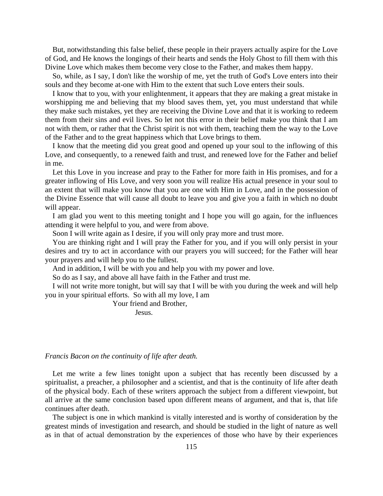But, notwithstanding this false belief, these people in their prayers actually aspire for the Love of God, and He knows the longings of their hearts and sends the Holy Ghost to fill them with this Divine Love which makes them become very close to the Father, and makes them happy.

 So, while, as I say, I don't like the worship of me, yet the truth of God's Love enters into their souls and they become at-one with Him to the extent that such Love enters their souls.

 I know that to you, with your enlightenment, it appears that they are making a great mistake in worshipping me and believing that my blood saves them, yet, you must understand that while they make such mistakes, yet they are receiving the Divine Love and that it is working to redeem them from their sins and evil lives. So let not this error in their belief make you think that I am not with them, or rather that the Christ spirit is not with them, teaching them the way to the Love of the Father and to the great happiness which that Love brings to them.

 I know that the meeting did you great good and opened up your soul to the inflowing of this Love, and consequently, to a renewed faith and trust, and renewed love for the Father and belief in me.

 Let this Love in you increase and pray to the Father for more faith in His promises, and for a greater inflowing of His Love, and very soon you will realize His actual presence in your soul to an extent that will make you know that you are one with Him in Love, and in the possession of the Divine Essence that will cause all doubt to leave you and give you a faith in which no doubt will appear.

 I am glad you went to this meeting tonight and I hope you will go again, for the influences attending it were helpful to you, and were from above.

Soon I will write again as I desire, if you will only pray more and trust more.

 You are thinking right and I will pray the Father for you, and if you will only persist in your desires and try to act in accordance with our prayers you will succeed; for the Father will hear your prayers and will help you to the fullest.

And in addition, I will be with you and help you with my power and love.

So do as I say, and above all have faith in the Father and trust me.

 I will not write more tonight, but will say that I will be with you during the week and will help you in your spiritual efforts. So with all my love, I am

Your friend and Brother,

Jesus.

### *Francis Bacon on the continuity of life after death.*

 Let me write a few lines tonight upon a subject that has recently been discussed by a spiritualist, a preacher, a philosopher and a scientist, and that is the continuity of life after death of the physical body. Each of these writers approach the subject from a different viewpoint, but all arrive at the same conclusion based upon different means of argument, and that is, that life continues after death.

 The subject is one in which mankind is vitally interested and is worthy of consideration by the greatest minds of investigation and research, and should be studied in the light of nature as well as in that of actual demonstration by the experiences of those who have by their experiences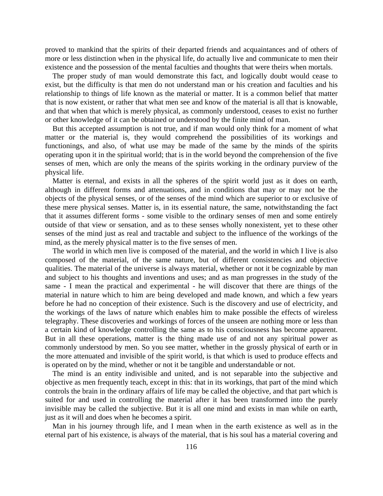proved to mankind that the spirits of their departed friends and acquaintances and of others of more or less distinction when in the physical life, do actually live and communicate to men their existence and the possession of the mental faculties and thoughts that were theirs when mortals.

 The proper study of man would demonstrate this fact, and logically doubt would cease to exist, but the difficulty is that men do not understand man or his creation and faculties and his relationship to things of life known as the material or matter. It is a common belief that matter that is now existent, or rather that what men see and know of the material is all that is knowable, and that when that which is merely physical, as commonly understood, ceases to exist no further or other knowledge of it can be obtained or understood by the finite mind of man.

 But this accepted assumption is not true, and if man would only think for a moment of what matter or the material is, they would comprehend the possibilities of its workings and functionings, and also, of what use may be made of the same by the minds of the spirits operating upon it in the spiritual world; that is in the world beyond the comprehension of the five senses of men, which are only the means of the spirits working in the ordinary purview of the physical life.

 Matter is eternal, and exists in all the spheres of the spirit world just as it does on earth, although in different forms and attenuations, and in conditions that may or may not be the objects of the physical senses, or of the senses of the mind which are superior to or exclusive of these mere physical senses. Matter is, in its essential nature, the same, notwithstanding the fact that it assumes different forms - some visible to the ordinary senses of men and some entirely outside of that view or sensation, and as to these senses wholly nonexistent, yet to these other senses of the mind just as real and tractable and subject to the influence of the workings of the mind, as the merely physical matter is to the five senses of men.

 The world in which men live is composed of the material, and the world in which I live is also composed of the material, of the same nature, but of different consistencies and objective qualities. The material of the universe is always material, whether or not it be cognizable by man and subject to his thoughts and inventions and uses; and as man progresses in the study of the same - I mean the practical and experimental - he will discover that there are things of the material in nature which to him are being developed and made known, and which a few years before he had no conception of their existence. Such is the discovery and use of electricity, and the workings of the laws of nature which enables him to make possible the effects of wireless telegraphy. These discoveries and workings of forces of the unseen are nothing more or less than a certain kind of knowledge controlling the same as to his consciousness has become apparent. But in all these operations, matter is the thing made use of and not any spiritual power as commonly understood by men. So you see matter, whether in the grossly physical of earth or in the more attenuated and invisible of the spirit world, is that which is used to produce effects and is operated on by the mind, whether or not it be tangible and understandable or not.

 The mind is an entity indivisible and united, and is not separable into the subjective and objective as men frequently teach, except in this: that in its workings, that part of the mind which controls the brain in the ordinary affairs of life may be called the objective, and that part which is suited for and used in controlling the material after it has been transformed into the purely invisible may be called the subjective. But it is all one mind and exists in man while on earth, just as it will and does when he becomes a spirit.

 Man in his journey through life, and I mean when in the earth existence as well as in the eternal part of his existence, is always of the material, that is his soul has a material covering and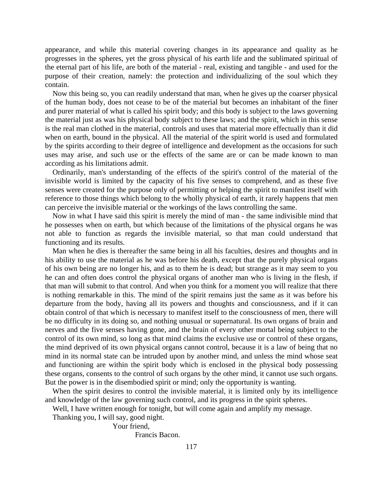appearance, and while this material covering changes in its appearance and quality as he progresses in the spheres, yet the gross physical of his earth life and the sublimated spiritual of the eternal part of his life, are both of the material - real, existing and tangible - and used for the purpose of their creation, namely: the protection and individualizing of the soul which they contain.

 Now this being so, you can readily understand that man, when he gives up the coarser physical of the human body, does not cease to be of the material but becomes an inhabitant of the finer and purer material of what is called his spirit body; and this body is subject to the laws governing the material just as was his physical body subject to these laws; and the spirit, which in this sense is the real man clothed in the material, controls and uses that material more effectually than it did when on earth, bound in the physical. All the material of the spirit world is used and formulated by the spirits according to their degree of intelligence and development as the occasions for such uses may arise, and such use or the effects of the same are or can be made known to man according as his limitations admit.

 Ordinarily, man's understanding of the effects of the spirit's control of the material of the invisible world is limited by the capacity of his five senses to comprehend, and as these five senses were created for the purpose only of permitting or helping the spirit to manifest itself with reference to those things which belong to the wholly physical of earth, it rarely happens that men can perceive the invisible material or the workings of the laws controlling the same.

 Now in what I have said this spirit is merely the mind of man - the same indivisible mind that he possesses when on earth, but which because of the limitations of the physical organs he was not able to function as regards the invisible material, so that man could understand that functioning and its results.

 Man when he dies is thereafter the same being in all his faculties, desires and thoughts and in his ability to use the material as he was before his death, except that the purely physical organs of his own being are no longer his, and as to them he is dead; but strange as it may seem to you he can and often does control the physical organs of another man who is living in the flesh, if that man will submit to that control. And when you think for a moment you will realize that there is nothing remarkable in this. The mind of the spirit remains just the same as it was before his departure from the body, having all its powers and thoughts and consciousness, and if it can obtain control of that which is necessary to manifest itself to the consciousness of men, there will be no difficulty in its doing so, and nothing unusual or supernatural. Its own organs of brain and nerves and the five senses having gone, and the brain of every other mortal being subject to the control of its own mind, so long as that mind claims the exclusive use or control of these organs, the mind deprived of its own physical organs cannot control, because it is a law of being that no mind in its normal state can be intruded upon by another mind, and unless the mind whose seat and functioning are within the spirit body which is enclosed in the physical body possessing these organs, consents to the control of such organs by the other mind, it cannot use such organs. But the power is in the disembodied spirit or mind; only the opportunity is wanting.

When the spirit desires to control the invisible material, it is limited only by its intelligence and knowledge of the law governing such control, and its progress in the spirit spheres.

Well, I have written enough for tonight, but will come again and amplify my message.

Thanking you, I will say, good night.

 Your friend, Francis Bacon.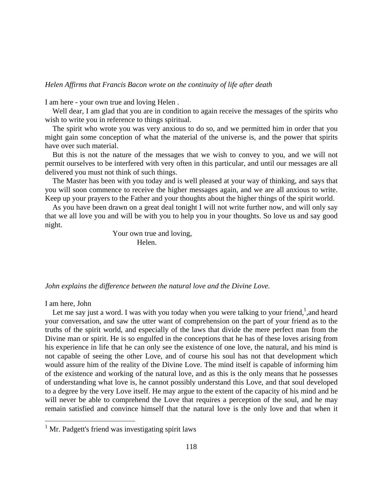### *Helen Affirms that Francis Bacon wrote on the continuity of life after death*

I am here - your own true and loving Helen .

Well dear, I am glad that you are in condition to again receive the messages of the spirits who wish to write you in reference to things spiritual.

 The spirit who wrote you was very anxious to do so, and we permitted him in order that you might gain some conception of what the material of the universe is, and the power that spirits have over such material.

 But this is not the nature of the messages that we wish to convey to you, and we will not permit ourselves to be interfered with very often in this particular, and until our messages are all delivered you must not think of such things.

 The Master has been with you today and is well pleased at your way of thinking, and says that you will soon commence to receive the higher messages again, and we are all anxious to write. Keep up your prayers to the Father and your thoughts about the higher things of the spirit world.

 As you have been drawn on a great deal tonight I will not write further now, and will only say that we all love you and will be with you to help you in your thoughts. So love us and say good night.

> Your own true and loving, Helen.

### *John explains the difference between the natural love and the Divine Love.*

I am here, John

<u>.</u>

Let me say just a word. I was with you today when you were talking to your friend,<sup>1</sup>, and heard your conversation, and saw the utter want of comprehension on the part of your friend as to the truths of the spirit world, and especially of the laws that divide the mere perfect man from the Divine man or spirit. He is so engulfed in the conceptions that he has of these loves arising from his experience in life that he can only see the existence of one love, the natural, and his mind is not capable of seeing the other Love, and of course his soul has not that development which would assure him of the reality of the Divine Love. The mind itself is capable of informing him of the existence and working of the natural love, and as this is the only means that he possesses of understanding what love is, he cannot possibly understand this Love, and that soul developed to a degree by the very Love itself. He may argue to the extent of the capacity of his mind and he will never be able to comprehend the Love that requires a perception of the soul, and he may remain satisfied and convince himself that the natural love is the only love and that when it

<sup>&</sup>lt;sup>1</sup> Mr. Padgett's friend was investigating spirit laws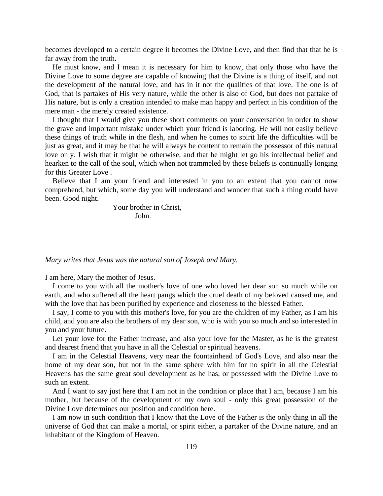becomes developed to a certain degree it becomes the Divine Love, and then find that that he is far away from the truth.

 He must know, and I mean it is necessary for him to know, that only those who have the Divine Love to some degree are capable of knowing that the Divine is a thing of itself, and not the development of the natural love, and has in it not the qualities of that love. The one is of God, that is partakes of His very nature, while the other is also of God, but does not partake of His nature, but is only a creation intended to make man happy and perfect in his condition of the mere man - the merely created existence.

 I thought that I would give you these short comments on your conversation in order to show the grave and important mistake under which your friend is laboring. He will not easily believe these things of truth while in the flesh, and when he comes to spirit life the difficulties will be just as great, and it may be that he will always be content to remain the possessor of this natural love only. I wish that it might be otherwise, and that he might let go his intellectual belief and hearken to the call of the soul, which when not trammeled by these beliefs is continually longing for this Greater Love .

 Believe that I am your friend and interested in you to an extent that you cannot now comprehend, but which, some day you will understand and wonder that such a thing could have been. Good night.

> Your brother in Christ, John.

*Mary writes that Jesus was the natural son of Joseph and Mary.* 

I am here, Mary the mother of Jesus.

 I come to you with all the mother's love of one who loved her dear son so much while on earth, and who suffered all the heart pangs which the cruel death of my beloved caused me, and with the love that has been purified by experience and closeness to the blessed Father.

 I say, I come to you with this mother's love, for you are the children of my Father, as I am his child, and you are also the brothers of my dear son, who is with you so much and so interested in you and your future.

 Let your love for the Father increase, and also your love for the Master, as he is the greatest and dearest friend that you have in all the Celestial or spiritual heavens.

 I am in the Celestial Heavens, very near the fountainhead of God's Love, and also near the home of my dear son, but not in the same sphere with him for no spirit in all the Celestial Heavens has the same great soul development as he has, or possessed with the Divine Love to such an extent.

And I want to say just here that I am not in the condition or place that I am, because I am his mother, but because of the development of my own soul - only this great possession of the Divine Love determines our position and condition here.

 I am now in such condition that I know that the Love of the Father is the only thing in all the universe of God that can make a mortal, or spirit either, a partaker of the Divine nature, and an inhabitant of the Kingdom of Heaven.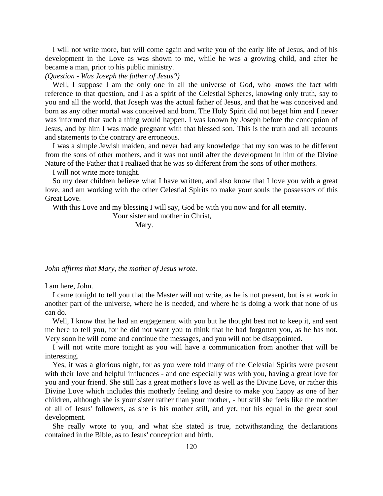I will not write more, but will come again and write you of the early life of Jesus, and of his development in the Love as was shown to me, while he was a growing child, and after he became a man, prior to his public ministry.

# *(Question - Was Joseph the father of Jesus?)*

Well, I suppose I am the only one in all the universe of God, who knows the fact with reference to that question, and I as a spirit of the Celestial Spheres, knowing only truth, say to you and all the world, that Joseph was the actual father of Jesus, and that he was conceived and born as any other mortal was conceived and born. The Holy Spirit did not beget him and I never was informed that such a thing would happen. I was known by Joseph before the conception of Jesus, and by him I was made pregnant with that blessed son. This is the truth and all accounts and statements to the contrary are erroneous.

 I was a simple Jewish maiden, and never had any knowledge that my son was to be different from the sons of other mothers, and it was not until after the development in him of the Divine Nature of the Father that I realized that he was so different from the sons of other mothers.

I will not write more tonight.

 So my dear children believe what I have written, and also know that I love you with a great love, and am working with the other Celestial Spirits to make your souls the possessors of this Great Love.

With this Love and my blessing I will say, God be with you now and for all eternity.

Your sister and mother in Christ,

Mary.

*John affirms that Mary, the mother of Jesus wrote.* 

I am here, John.

 I came tonight to tell you that the Master will not write, as he is not present, but is at work in another part of the universe, where he is needed, and where he is doing a work that none of us can do.

 Well, I know that he had an engagement with you but he thought best not to keep it, and sent me here to tell you, for he did not want you to think that he had forgotten you, as he has not. Very soon he will come and continue the messages, and you will not be disappointed.

 I will not write more tonight as you will have a communication from another that will be interesting.

 Yes, it was a glorious night, for as you were told many of the Celestial Spirits were present with their love and helpful influences - and one especially was with you, having a great love for you and your friend. She still has a great mother's love as well as the Divine Love, or rather this Divine Love which includes this motherly feeling and desire to make you happy as one of her children, although she is your sister rather than your mother, - but still she feels like the mother of all of Jesus' followers, as she is his mother still, and yet, not his equal in the great soul development.

 She really wrote to you, and what she stated is true, notwithstanding the declarations contained in the Bible, as to Jesus' conception and birth.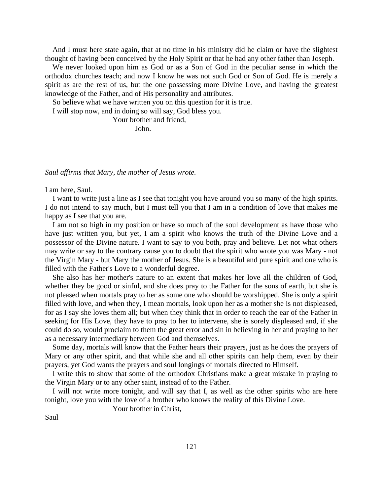And I must here state again, that at no time in his ministry did he claim or have the slightest thought of having been conceived by the Holy Spirit or that he had any other father than Joseph.

 We never looked upon him as God or as a Son of God in the peculiar sense in which the orthodox churches teach; and now I know he was not such God or Son of God. He is merely a spirit as are the rest of us, but the one possessing more Divine Love, and having the greatest knowledge of the Father, and of His personality and attributes.

So believe what we have written you on this question for it is true.

I will stop now, and in doing so will say, God bless you.

Your brother and friend,

John.

*Saul affirms that Mary, the mother of Jesus wrote.* 

I am here, Saul.

 I want to write just a line as I see that tonight you have around you so many of the high spirits. I do not intend to say much, but I must tell you that I am in a condition of love that makes me happy as I see that you are.

 I am not so high in my position or have so much of the soul development as have those who have just written you, but yet, I am a spirit who knows the truth of the Divine Love and a possessor of the Divine nature. I want to say to you both, pray and believe. Let not what others may write or say to the contrary cause you to doubt that the spirit who wrote you was Mary - not the Virgin Mary - but Mary the mother of Jesus. She is a beautiful and pure spirit and one who is filled with the Father's Love to a wonderful degree.

 She also has her mother's nature to an extent that makes her love all the children of God, whether they be good or sinful, and she does pray to the Father for the sons of earth, but she is not pleased when mortals pray to her as some one who should be worshipped. She is only a spirit filled with love, and when they, I mean mortals, look upon her as a mother she is not displeased, for as I say she loves them all; but when they think that in order to reach the ear of the Father in seeking for His Love, they have to pray to her to intervene, she is sorely displeased and, if she could do so, would proclaim to them the great error and sin in believing in her and praying to her as a necessary intermediary between God and themselves.

 Some day, mortals will know that the Father hears their prayers, just as he does the prayers of Mary or any other spirit, and that while she and all other spirits can help them, even by their prayers, yet God wants the prayers and soul longings of mortals directed to Himself.

 I write this to show that some of the orthodox Christians make a great mistake in praying to the Virgin Mary or to any other saint, instead of to the Father.

 I will not write more tonight, and will say that I, as well as the other spirits who are here tonight, love you with the love of a brother who knows the reality of this Divine Love.

Your brother in Christ,

Saul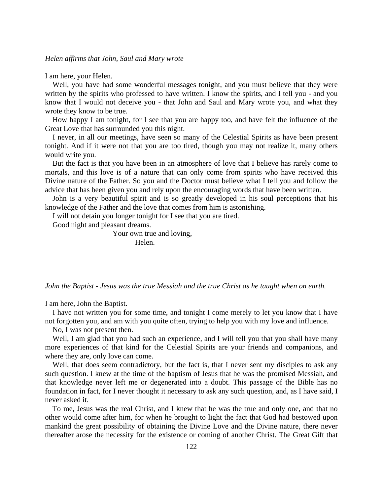### *Helen affirms that John, Saul and Mary wrote*

I am here, your Helen.

 Well, you have had some wonderful messages tonight, and you must believe that they were written by the spirits who professed to have written. I know the spirits, and I tell you - and you know that I would not deceive you - that John and Saul and Mary wrote you, and what they wrote they know to be true.

 How happy I am tonight, for I see that you are happy too, and have felt the influence of the Great Love that has surrounded you this night.

 I never, in all our meetings, have seen so many of the Celestial Spirits as have been present tonight. And if it were not that you are too tired, though you may not realize it, many others would write you.

 But the fact is that you have been in an atmosphere of love that I believe has rarely come to mortals, and this love is of a nature that can only come from spirits who have received this Divine nature of the Father. So you and the Doctor must believe what I tell you and follow the advice that has been given you and rely upon the encouraging words that have been written.

 John is a very beautiful spirit and is so greatly developed in his soul perceptions that his knowledge of the Father and the love that comes from him is astonishing.

I will not detain you longer tonight for I see that you are tired.

Good night and pleasant dreams.

Your own true and loving,

Helen.

*John the Baptist - Jesus was the true Messiah and the true Christ as he taught when on earth.* 

I am here, John the Baptist.

 I have not written you for some time, and tonight I come merely to let you know that I have not forgotten you, and am with you quite often, trying to help you with my love and influence.

No, I was not present then.

 Well, I am glad that you had such an experience, and I will tell you that you shall have many more experiences of that kind for the Celestial Spirits are your friends and companions, and where they are, only love can come.

Well, that does seem contradictory, but the fact is, that I never sent my disciples to ask any such question. I knew at the time of the baptism of Jesus that he was the promised Messiah, and that knowledge never left me or degenerated into a doubt. This passage of the Bible has no foundation in fact, for I never thought it necessary to ask any such question, and, as I have said, I never asked it.

 To me, Jesus was the real Christ, and I knew that he was the true and only one, and that no other would come after him, for when he brought to light the fact that God had bestowed upon mankind the great possibility of obtaining the Divine Love and the Divine nature, there never thereafter arose the necessity for the existence or coming of another Christ. The Great Gift that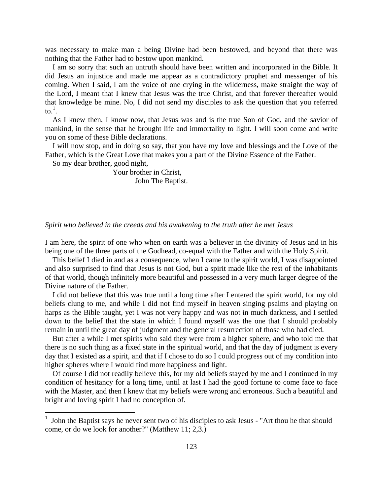was necessary to make man a being Divine had been bestowed, and beyond that there was nothing that the Father had to bestow upon mankind.

 I am so sorry that such an untruth should have been written and incorporated in the Bible. It did Jesus an injustice and made me appear as a contradictory prophet and messenger of his coming. When I said, I am the voice of one crying in the wilderness, make straight the way of the Lord, I meant that I knew that Jesus was the true Christ, and that forever thereafter would that knowledge be mine. No, I did not send my disciples to ask the question that you referred to.<sup>1</sup>.

 As I knew then, I know now, that Jesus was and is the true Son of God, and the savior of mankind, in the sense that he brought life and immortality to light. I will soon come and write you on some of these Bible declarations.

 I will now stop, and in doing so say, that you have my love and blessings and the Love of the Father, which is the Great Love that makes you a part of the Divine Essence of the Father.

So my dear brother, good night,

 $\overline{a}$ 

 Your brother in Christ, John The Baptist.

## *Spirit who believed in the creeds and his awakening to the truth after he met Jesus*

I am here, the spirit of one who when on earth was a believer in the divinity of Jesus and in his being one of the three parts of the Godhead, co-equal with the Father and with the Holy Spirit.

 This belief I died in and as a consequence, when I came to the spirit world, I was disappointed and also surprised to find that Jesus is not God, but a spirit made like the rest of the inhabitants of that world, though infinitely more beautiful and possessed in a very much larger degree of the Divine nature of the Father.

 I did not believe that this was true until a long time after I entered the spirit world, for my old beliefs clung to me, and while I did not find myself in heaven singing psalms and playing on harps as the Bible taught, yet I was not very happy and was not in much darkness, and I settled down to the belief that the state in which I found myself was the one that I should probably remain in until the great day of judgment and the general resurrection of those who had died.

 But after a while I met spirits who said they were from a higher sphere, and who told me that there is no such thing as a fixed state in the spiritual world, and that the day of judgment is every day that I existed as a spirit, and that if I chose to do so I could progress out of my condition into higher spheres where I would find more happiness and light.

 Of course I did not readily believe this, for my old beliefs stayed by me and I continued in my condition of hesitancy for a long time, until at last I had the good fortune to come face to face with the Master, and then I knew that my beliefs were wrong and erroneous. Such a beautiful and bright and loving spirit I had no conception of.

 $<sup>1</sup>$  John the Baptist says he never sent two of his disciples to ask Jesus - "Art thou he that should</sup> come, or do we look for another?" (Matthew 11; 2,3.)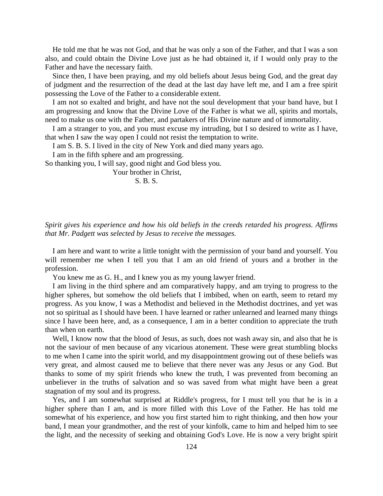He told me that he was not God, and that he was only a son of the Father, and that I was a son also, and could obtain the Divine Love just as he had obtained it, if I would only pray to the Father and have the necessary faith.

 Since then, I have been praying, and my old beliefs about Jesus being God, and the great day of judgment and the resurrection of the dead at the last day have left me, and I am a free spirit possessing the Love of the Father to a considerable extent.

 I am not so exalted and bright, and have not the soul development that your band have, but I am progressing and know that the Divine Love of the Father is what we all, spirits and mortals, need to make us one with the Father, and partakers of His Divine nature and of immortality.

 I am a stranger to you, and you must excuse my intruding, but I so desired to write as I have, that when I saw the way open I could not resist the temptation to write.

I am S. B. S. I lived in the city of New York and died many years ago.

I am in the fifth sphere and am progressing.

So thanking you, I will say, good night and God bless you.

Your brother in Christ,

S. B. S.

*Spirit gives his experience and how his old beliefs in the creeds retarded his progress. Affirms that Mr. Padgett was selected by Jesus to receive the messages.* 

 I am here and want to write a little tonight with the permission of your band and yourself. You will remember me when I tell you that I am an old friend of yours and a brother in the profession.

You knew me as G. H., and I knew you as my young lawyer friend.

 I am living in the third sphere and am comparatively happy, and am trying to progress to the higher spheres, but somehow the old beliefs that I imbibed, when on earth, seem to retard my progress. As you know, I was a Methodist and believed in the Methodist doctrines, and yet was not so spiritual as I should have been. I have learned or rather unlearned and learned many things since I have been here, and, as a consequence, I am in a better condition to appreciate the truth than when on earth.

 Well, I know now that the blood of Jesus, as such, does not wash away sin, and also that he is not the saviour of men because of any vicarious atonement. These were great stumbling blocks to me when I came into the spirit world, and my disappointment growing out of these beliefs was very great, and almost caused me to believe that there never was any Jesus or any God. But thanks to some of my spirit friends who knew the truth, I was prevented from becoming an unbeliever in the truths of salvation and so was saved from what might have been a great stagnation of my soul and its progress.

 Yes, and I am somewhat surprised at Riddle's progress, for I must tell you that he is in a higher sphere than I am, and is more filled with this Love of the Father. He has told me somewhat of his experience, and how you first started him to right thinking, and then how your band, I mean your grandmother, and the rest of your kinfolk, came to him and helped him to see the light, and the necessity of seeking and obtaining God's Love. He is now a very bright spirit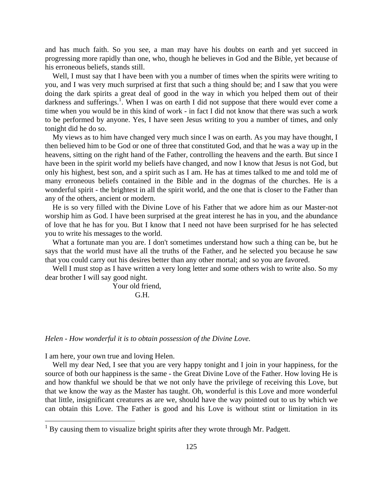and has much faith. So you see, a man may have his doubts on earth and yet succeed in progressing more rapidly than one, who, though he believes in God and the Bible, yet because of his erroneous beliefs, stands still.

Well, I must say that I have been with you a number of times when the spirits were writing to you, and I was very much surprised at first that such a thing should be; and I saw that you were doing the dark spirits a great deal of good in the way in which you helped them out of their darkness and sufferings.<sup>1</sup>. When I was on earth I did not suppose that there would ever come a time when you would be in this kind of work - in fact I did not know that there was such a work to be performed by anyone. Yes, I have seen Jesus writing to you a number of times, and only tonight did he do so.

 My views as to him have changed very much since I was on earth. As you may have thought, I then believed him to be God or one of three that constituted God, and that he was a way up in the heavens, sitting on the right hand of the Father, controlling the heavens and the earth. But since I have been in the spirit world my beliefs have changed, and now I know that Jesus is not God, but only his highest, best son, and a spirit such as I am. He has at times talked to me and told me of many erroneous beliefs contained in the Bible and in the dogmas of the churches. He is a wonderful spirit - the brightest in all the spirit world, and the one that is closer to the Father than any of the others, ancient or modern.

 He is so very filled with the Divine Love of his Father that we adore him as our Master-not worship him as God. I have been surprised at the great interest he has in you, and the abundance of love that he has for you. But I know that I need not have been surprised for he has selected you to write his messages to the world.

 What a fortunate man you are. I don't sometimes understand how such a thing can be, but he says that the world must have all the truths of the Father, and he selected you because he saw that you could carry out his desires better than any other mortal; and so you are favored.

Well I must stop as I have written a very long letter and some others wish to write also. So my dear brother I will say good night.

> Your old friend, G.H.

*Helen - How wonderful it is to obtain possession of the Divine Love.* 

I am here, your own true and loving Helen.

Well my dear Ned, I see that you are very happy tonight and I join in your happiness, for the source of both our happiness is the same - the Great Divine Love of the Father. How loving He is and how thankful we should be that we not only have the privilege of receiving this Love, but that we know the way as the Master has taught. Oh, wonderful is this Love and more wonderful that little, insignificant creatures as are we, should have the way pointed out to us by which we can obtain this Love. The Father is good and his Love is without stint or limitation in its

<sup>&</sup>lt;sup>1</sup> By causing them to visualize bright spirits after they wrote through Mr. Padgett.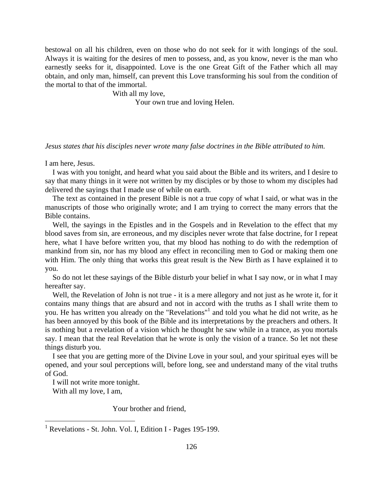bestowal on all his children, even on those who do not seek for it with longings of the soul. Always it is waiting for the desires of men to possess, and, as you know, never is the man who earnestly seeks for it, disappointed. Love is the one Great Gift of the Father which all may obtain, and only man, himself, can prevent this Love transforming his soul from the condition of the mortal to that of the immortal.

With all my love,

Your own true and loving Helen.

# *Jesus states that his disciples never wrote many false doctrines in the Bible attributed to him.*

I am here, Jesus.

 I was with you tonight, and heard what you said about the Bible and its writers, and I desire to say that many things in it were not written by my disciples or by those to whom my disciples had delivered the sayings that I made use of while on earth.

 The text as contained in the present Bible is not a true copy of what I said, or what was in the manuscripts of those who originally wrote; and I am trying to correct the many errors that the Bible contains.

 Well, the sayings in the Epistles and in the Gospels and in Revelation to the effect that my blood saves from sin, are erroneous, and my disciples never wrote that false doctrine, for I repeat here, what I have before written you, that my blood has nothing to do with the redemption of mankind from sin, nor has my blood any effect in reconciling men to God or making them one with Him. The only thing that works this great result is the New Birth as I have explained it to you.

 So do not let these sayings of the Bible disturb your belief in what I say now, or in what I may hereafter say.

 Well, the Revelation of John is not true - it is a mere allegory and not just as he wrote it, for it contains many things that are absurd and not in accord with the truths as I shall write them to you. He has written you already on the "Revelations"<sup>1</sup> and told you what he did not write, as he has been annoyed by this book of the Bible and its interpretations by the preachers and others. It is nothing but a revelation of a vision which he thought he saw while in a trance, as you mortals say. I mean that the real Revelation that he wrote is only the vision of a trance. So let not these things disturb you.

 I see that you are getting more of the Divine Love in your soul, and your spiritual eyes will be opened, and your soul perceptions will, before long, see and understand many of the vital truths of God.

I will not write more tonight.

With all my love, I am,

 $\overline{a}$ 

Your brother and friend,

<sup>&</sup>lt;sup>1</sup> Revelations - St. John. Vol. I, Edition I - Pages 195-199.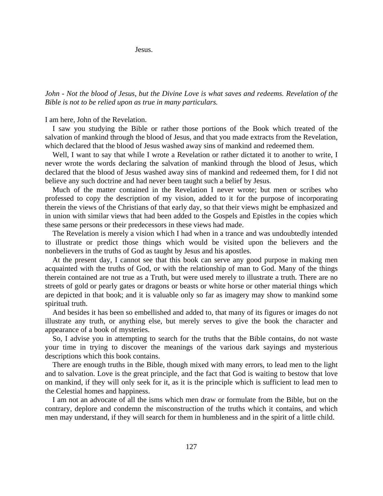Jesus.

*John - Not the blood of Jesus, but the Divine Love is what saves and redeems. Revelation of the Bible is not to be relied upon as true in many particulars.* 

I am here, John of the Revelation.

 I saw you studying the Bible or rather those portions of the Book which treated of the salvation of mankind through the blood of Jesus, and that you made extracts from the Revelation, which declared that the blood of Jesus washed away sins of mankind and redeemed them.

 Well, I want to say that while I wrote a Revelation or rather dictated it to another to write, I never wrote the words declaring the salvation of mankind through the blood of Jesus, which declared that the blood of Jesus washed away sins of mankind and redeemed them, for I did not believe any such doctrine and had never been taught such a belief by Jesus.

 Much of the matter contained in the Revelation I never wrote; but men or scribes who professed to copy the description of my vision, added to it for the purpose of incorporating therein the views of the Christians of that early day, so that their views might be emphasized and in union with similar views that had been added to the Gospels and Epistles in the copies which these same persons or their predecessors in these views had made.

 The Revelation is merely a vision which I had when in a trance and was undoubtedly intended to illustrate or predict those things which would be visited upon the believers and the nonbelievers in the truths of God as taught by Jesus and his apostles.

 At the present day, I cannot see that this book can serve any good purpose in making men acquainted with the truths of God, or with the relationship of man to God. Many of the things therein contained are not true as a Truth, but were used merely to illustrate a truth. There are no streets of gold or pearly gates or dragons or beasts or white horse or other material things which are depicted in that book; and it is valuable only so far as imagery may show to mankind some spiritual truth.

 And besides it has been so embellished and added to, that many of its figures or images do not illustrate any truth, or anything else, but merely serves to give the book the character and appearance of a book of mysteries.

 So, I advise you in attempting to search for the truths that the Bible contains, do not waste your time in trying to discover the meanings of the various dark sayings and mysterious descriptions which this book contains.

 There are enough truths in the Bible, though mixed with many errors, to lead men to the light and to salvation. Love is the great principle, and the fact that God is waiting to bestow that love on mankind, if they will only seek for it, as it is the principle which is sufficient to lead men to the Celestial homes and happiness.

 I am not an advocate of all the isms which men draw or formulate from the Bible, but on the contrary, deplore and condemn the misconstruction of the truths which it contains, and which men may understand, if they will search for them in humbleness and in the spirit of a little child.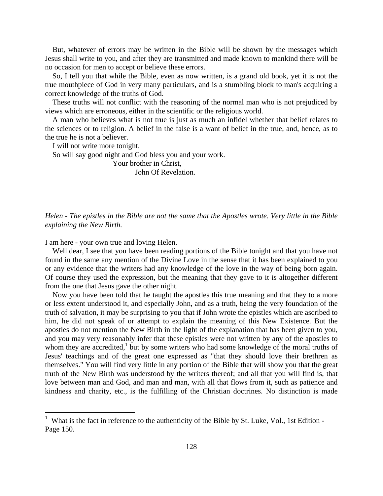But, whatever of errors may be written in the Bible will be shown by the messages which Jesus shall write to you, and after they are transmitted and made known to mankind there will be no occasion for men to accept or believe these errors.

 So, I tell you that while the Bible, even as now written, is a grand old book, yet it is not the true mouthpiece of God in very many particulars, and is a stumbling block to man's acquiring a correct knowledge of the truths of God.

 These truths will not conflict with the reasoning of the normal man who is not prejudiced by views which are erroneous, either in the scientific or the religious world.

 A man who believes what is not true is just as much an infidel whether that belief relates to the sciences or to religion. A belief in the false is a want of belief in the true, and, hence, as to the true he is not a believer.

I will not write more tonight.

So will say good night and God bless you and your work.

Your brother in Christ,

John Of Revelation.

*Helen - The epistles in the Bible are not the same that the Apostles wrote. Very little in the Bible explaining the New Birth.* 

I am here - your own true and loving Helen.

1

 Well dear, I see that you have been reading portions of the Bible tonight and that you have not found in the same any mention of the Divine Love in the sense that it has been explained to you or any evidence that the writers had any knowledge of the love in the way of being born again. Of course they used the expression, but the meaning that they gave to it is altogether different from the one that Jesus gave the other night.

 Now you have been told that he taught the apostles this true meaning and that they to a more or less extent understood it, and especially John, and as a truth, being the very foundation of the truth of salvation, it may be surprising to you that if John wrote the epistles which are ascribed to him, he did not speak of or attempt to explain the meaning of this New Existence. But the apostles do not mention the New Birth in the light of the explanation that has been given to you, and you may very reasonably infer that these epistles were not written by any of the apostles to whom they are accredited, $1$  but by some writers who had some knowledge of the moral truths of Jesus' teachings and of the great one expressed as "that they should love their brethren as themselves." You will find very little in any portion of the Bible that will show you that the great truth of the New Birth was understood by the writers thereof; and all that you will find is, that love between man and God, and man and man, with all that flows from it, such as patience and kindness and charity, etc., is the fulfilling of the Christian doctrines. No distinction is made

 $1$  What is the fact in reference to the authenticity of the Bible by St. Luke, Vol., 1st Edition -Page 150.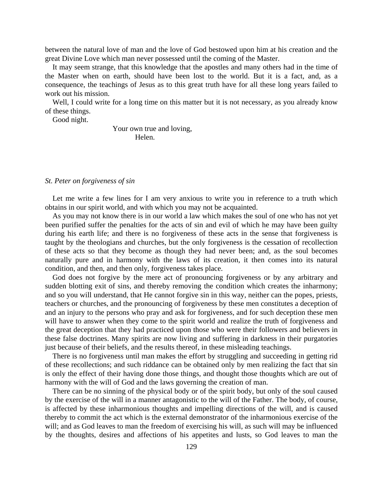between the natural love of man and the love of God bestowed upon him at his creation and the great Divine Love which man never possessed until the coming of the Master.

 It may seem strange, that this knowledge that the apostles and many others had in the time of the Master when on earth, should have been lost to the world. But it is a fact, and, as a consequence, the teachings of Jesus as to this great truth have for all these long years failed to work out his mission.

 Well, I could write for a long time on this matter but it is not necessary, as you already know of these things.

Good night.

 Your own true and loving, Helen.

#### *St. Peter on forgiveness of sin*

 Let me write a few lines for I am very anxious to write you in reference to a truth which obtains in our spirit world, and with which you may not be acquainted.

 As you may not know there is in our world a law which makes the soul of one who has not yet been purified suffer the penalties for the acts of sin and evil of which he may have been guilty during his earth life; and there is no forgiveness of these acts in the sense that forgiveness is taught by the theologians and churches, but the only forgiveness is the cessation of recollection of these acts so that they become as though they had never been; and, as the soul becomes naturally pure and in harmony with the laws of its creation, it then comes into its natural condition, and then, and then only, forgiveness takes place.

 God does not forgive by the mere act of pronouncing forgiveness or by any arbitrary and sudden blotting exit of sins, and thereby removing the condition which creates the inharmony; and so you will understand, that He cannot forgive sin in this way, neither can the popes, priests, teachers or churches, and the pronouncing of forgiveness by these men constitutes a deception of and an injury to the persons who pray and ask for forgiveness, and for such deception these men will have to answer when they come to the spirit world and realize the truth of forgiveness and the great deception that they had practiced upon those who were their followers and believers in these false doctrines. Many spirits are now living and suffering in darkness in their purgatories just because of their beliefs, and the results thereof, in these misleading teachings.

 There is no forgiveness until man makes the effort by struggling and succeeding in getting rid of these recollections; and such riddance can be obtained only by men realizing the fact that sin is only the effect of their having done those things, and thought those thoughts which are out of harmony with the will of God and the laws governing the creation of man.

 There can be no sinning of the physical body or of the spirit body, but only of the soul caused by the exercise of the will in a manner antagonistic to the will of the Father. The body, of course, is affected by these inharmonious thoughts and impelling directions of the will, and is caused thereby to commit the act which is the external demonstrator of the inharmonious exercise of the will; and as God leaves to man the freedom of exercising his will, as such will may be influenced by the thoughts, desires and affections of his appetites and lusts, so God leaves to man the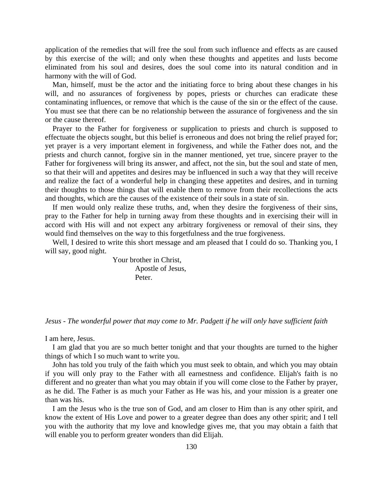application of the remedies that will free the soul from such influence and effects as are caused by this exercise of the will; and only when these thoughts and appetites and lusts become eliminated from his soul and desires, does the soul come into its natural condition and in harmony with the will of God.

 Man, himself, must be the actor and the initiating force to bring about these changes in his will, and no assurances of forgiveness by popes, priests or churches can eradicate these contaminating influences, or remove that which is the cause of the sin or the effect of the cause. You must see that there can be no relationship between the assurance of forgiveness and the sin or the cause thereof.

 Prayer to the Father for forgiveness or supplication to priests and church is supposed to effectuate the objects sought, but this belief is erroneous and does not bring the relief prayed for; yet prayer is a very important element in forgiveness, and while the Father does not, and the priests and church cannot, forgive sin in the manner mentioned, yet true, sincere prayer to the Father for forgiveness will bring its answer, and affect, not the sin, but the soul and state of men, so that their will and appetites and desires may be influenced in such a way that they will receive and realize the fact of a wonderful help in changing these appetites and desires, and in turning their thoughts to those things that will enable them to remove from their recollections the acts and thoughts, which are the causes of the existence of their souls in a state of sin.

 If men would only realize these truths, and, when they desire the forgiveness of their sins, pray to the Father for help in turning away from these thoughts and in exercising their will in accord with His will and not expect any arbitrary forgiveness or removal of their sins, they would find themselves on the way to this forgetfulness and the true forgiveness.

Well, I desired to write this short message and am pleased that I could do so. Thanking you, I will say, good night.

> Your brother in Christ, Apostle of Jesus, Peter.

*Jesus - The wonderful power that may come to Mr. Padgett if he will only have sufficient faith* 

I am here, Jesus.

 I am glad that you are so much better tonight and that your thoughts are turned to the higher things of which I so much want to write you.

 John has told you truly of the faith which you must seek to obtain, and which you may obtain if you will only pray to the Father with all earnestness and confidence. Elijah's faith is no different and no greater than what you may obtain if you will come close to the Father by prayer, as he did. The Father is as much your Father as He was his, and your mission is a greater one than was his.

 I am the Jesus who is the true son of God, and am closer to Him than is any other spirit, and know the extent of His Love and power to a greater degree than does any other spirit; and I tell you with the authority that my love and knowledge gives me, that you may obtain a faith that will enable you to perform greater wonders than did Elijah.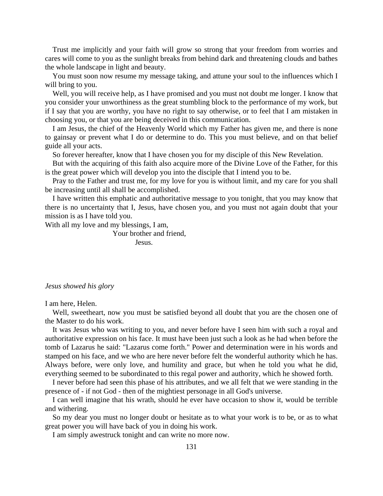Trust me implicitly and your faith will grow so strong that your freedom from worries and cares will come to you as the sunlight breaks from behind dark and threatening clouds and bathes the whole landscape in light and beauty.

 You must soon now resume my message taking, and attune your soul to the influences which I will bring to you.

 Well, you will receive help, as I have promised and you must not doubt me longer. I know that you consider your unworthiness as the great stumbling block to the performance of my work, but if I say that you are worthy, you have no right to say otherwise, or to feel that I am mistaken in choosing you, or that you are being deceived in this communication.

 I am Jesus, the chief of the Heavenly World which my Father has given me, and there is none to gainsay or prevent what I do or determine to do. This you must believe, and on that belief guide all your acts.

So forever hereafter, know that I have chosen you for my disciple of this New Revelation.

 But with the acquiring of this faith also acquire more of the Divine Love of the Father, for this is the great power which will develop you into the disciple that I intend you to be.

 Pray to the Father and trust me, for my love for you is without limit, and my care for you shall be increasing until all shall be accomplished.

 I have written this emphatic and authoritative message to you tonight, that you may know that there is no uncertainty that I, Jesus, have chosen you, and you must not again doubt that your mission is as I have told you.

With all my love and my blessings, I am,

Your brother and friend,

Jesus.

# *Jesus showed his glory*

I am here, Helen.

 Well, sweetheart, now you must be satisfied beyond all doubt that you are the chosen one of the Master to do his work.

 It was Jesus who was writing to you, and never before have I seen him with such a royal and authoritative expression on his face. It must have been just such a look as he had when before the tomb of Lazarus he said: "Lazarus come forth." Power and determination were in his words and stamped on his face, and we who are here never before felt the wonderful authority which he has. Always before, were only love, and humility and grace, but when he told you what he did, everything seemed to be subordinated to this regal power and authority, which he showed forth.

 I never before had seen this phase of his attributes, and we all felt that we were standing in the presence of - if not God - then of the mightiest personage in all God's universe.

 I can well imagine that his wrath, should he ever have occasion to show it, would be terrible and withering.

 So my dear you must no longer doubt or hesitate as to what your work is to be, or as to what great power you will have back of you in doing his work.

I am simply awestruck tonight and can write no more now.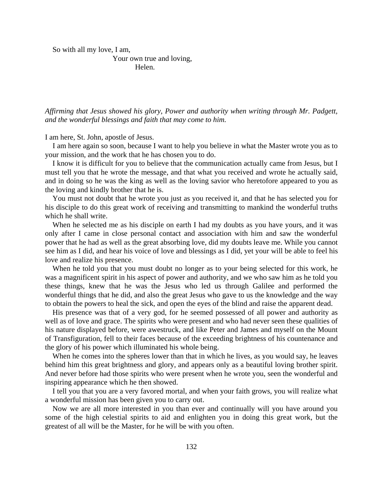So with all my love, I am,

 Your own true and loving, Helen.

*Affirming that Jesus showed his glory, Power and authority when writing through Mr. Padgett, and the wonderful blessings and faith that may come to him.* 

I am here, St. John, apostle of Jesus.

 I am here again so soon, because I want to help you believe in what the Master wrote you as to your mission, and the work that he has chosen you to do.

 I know it is difficult for you to believe that the communication actually came from Jesus, but I must tell you that he wrote the message, and that what you received and wrote he actually said, and in doing so he was the king as well as the loving savior who heretofore appeared to you as the loving and kindly brother that he is.

 You must not doubt that he wrote you just as you received it, and that he has selected you for his disciple to do this great work of receiving and transmitting to mankind the wonderful truths which he shall write.

 When he selected me as his disciple on earth I had my doubts as you have yours, and it was only after I came in close personal contact and association with him and saw the wonderful power that he had as well as the great absorbing love, did my doubts leave me. While you cannot see him as I did, and hear his voice of love and blessings as I did, yet your will be able to feel his love and realize his presence.

 When he told you that you must doubt no longer as to your being selected for this work, he was a magnificent spirit in his aspect of power and authority, and we who saw him as he told you these things, knew that he was the Jesus who led us through Galilee and performed the wonderful things that he did, and also the great Jesus who gave to us the knowledge and the way to obtain the powers to heal the sick, and open the eyes of the blind and raise the apparent dead.

 His presence was that of a very god, for he seemed possessed of all power and authority as well as of love and grace. The spirits who were present and who had never seen these qualities of his nature displayed before, were awestruck, and like Peter and James and myself on the Mount of Transfiguration, fell to their faces because of the exceeding brightness of his countenance and the glory of his power which illuminated his whole being.

 When he comes into the spheres lower than that in which he lives, as you would say, he leaves behind him this great brightness and glory, and appears only as a beautiful loving brother spirit. And never before had those spirits who were present when he wrote you, seen the wonderful and inspiring appearance which he then showed.

 I tell you that you are a very favored mortal, and when your faith grows, you will realize what a wonderful mission has been given you to carry out.

 Now we are all more interested in you than ever and continually will you have around you some of the high celestial spirits to aid and enlighten you in doing this great work, but the greatest of all will be the Master, for he will be with you often.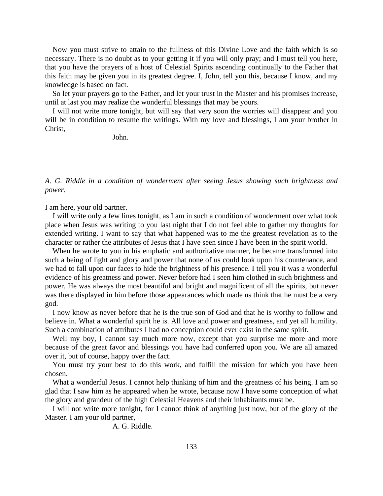Now you must strive to attain to the fullness of this Divine Love and the faith which is so necessary. There is no doubt as to your getting it if you will only pray; and I must tell you here, that you have the prayers of a host of Celestial Spirits ascending continually to the Father that this faith may be given you in its greatest degree. I, John, tell you this, because I know, and my knowledge is based on fact.

 So let your prayers go to the Father, and let your trust in the Master and his promises increase, until at last you may realize the wonderful blessings that may be yours.

 I will not write more tonight, but will say that very soon the worries will disappear and you will be in condition to resume the writings. With my love and blessings, I am your brother in Christ,

John.

*A. G. Riddle in a condition of wonderment after seeing Jesus showing such brightness and power.* 

I am here, your old partner.

 I will write only a few lines tonight, as I am in such a condition of wonderment over what took place when Jesus was writing to you last night that I do not feel able to gather my thoughts for extended writing. I want to say that what happened was to me the greatest revelation as to the character or rather the attributes of Jesus that I have seen since I have been in the spirit world.

 When he wrote to you in his emphatic and authoritative manner, he became transformed into such a being of light and glory and power that none of us could look upon his countenance, and we had to fall upon our faces to hide the brightness of his presence. I tell you it was a wonderful evidence of his greatness and power. Never before had I seen him clothed in such brightness and power. He was always the most beautiful and bright and magnificent of all the spirits, but never was there displayed in him before those appearances which made us think that he must be a very god.

 I now know as never before that he is the true son of God and that he is worthy to follow and believe in. What a wonderful spirit he is. All love and power and greatness, and yet all humility. Such a combination of attributes I had no conception could ever exist in the same spirit.

 Well my boy, I cannot say much more now, except that you surprise me more and more because of the great favor and blessings you have had conferred upon you. We are all amazed over it, but of course, happy over the fact.

 You must try your best to do this work, and fulfill the mission for which you have been chosen.

What a wonderful Jesus. I cannot help thinking of him and the greatness of his being. I am so glad that I saw him as he appeared when he wrote, because now I have some conception of what the glory and grandeur of the high Celestial Heavens and their inhabitants must be.

 I will not write more tonight, for I cannot think of anything just now, but of the glory of the Master. I am your old partner,

A. G. Riddle.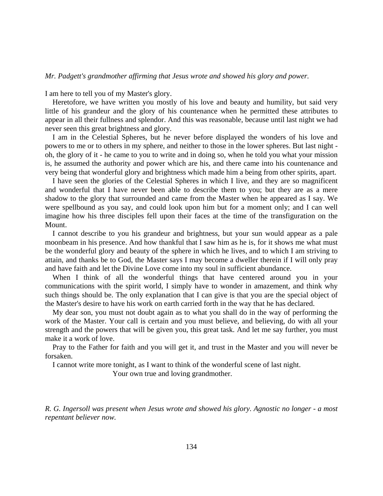# *Mr. Padgett's grandmother affirming that Jesus wrote and showed his glory and power.*

I am here to tell you of my Master's glory.

 Heretofore, we have written you mostly of his love and beauty and humility, but said very little of his grandeur and the glory of his countenance when he permitted these attributes to appear in all their fullness and splendor. And this was reasonable, because until last night we had never seen this great brightness and glory.

 I am in the Celestial Spheres, but he never before displayed the wonders of his love and powers to me or to others in my sphere, and neither to those in the lower spheres. But last night oh, the glory of it - he came to you to write and in doing so, when he told you what your mission is, he assumed the authority and power which are his, and there came into his countenance and very being that wonderful glory and brightness which made him a being from other spirits, apart.

 I have seen the glories of the Celestial Spheres in which I live, and they are so magnificent and wonderful that I have never been able to describe them to you; but they are as a mere shadow to the glory that surrounded and came from the Master when he appeared as I say. We were spellbound as you say, and could look upon him but for a moment only; and I can well imagine how his three disciples fell upon their faces at the time of the transfiguration on the Mount.

 I cannot describe to you his grandeur and brightness, but your sun would appear as a pale moonbeam in his presence. And how thankful that I saw him as he is, for it shows me what must be the wonderful glory and beauty of the sphere in which he lives, and to which I am striving to attain, and thanks be to God, the Master says I may become a dweller therein if I will only pray and have faith and let the Divine Love come into my soul in sufficient abundance.

 When I think of all the wonderful things that have centered around you in your communications with the spirit world, I simply have to wonder in amazement, and think why such things should be. The only explanation that I can give is that you are the special object of the Master's desire to have his work on earth carried forth in the way that he has declared.

 My dear son, you must not doubt again as to what you shall do in the way of performing the work of the Master. Your call is certain and you must believe, and believing, do with all your strength and the powers that will be given you, this great task. And let me say further, you must make it a work of love.

 Pray to the Father for faith and you will get it, and trust in the Master and you will never be forsaken.

I cannot write more tonight, as I want to think of the wonderful scene of last night.

Your own true and loving grandmother.

*R. G. Ingersoll was present when Jesus wrote and showed his glory. Agnostic no longer - a most repentant believer now.*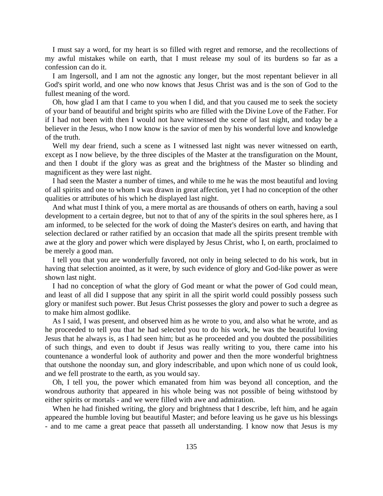I must say a word, for my heart is so filled with regret and remorse, and the recollections of my awful mistakes while on earth, that I must release my soul of its burdens so far as a confession can do it.

 I am Ingersoll, and I am not the agnostic any longer, but the most repentant believer in all God's spirit world, and one who now knows that Jesus Christ was and is the son of God to the fullest meaning of the word.

 Oh, how glad I am that I came to you when I did, and that you caused me to seek the society of your band of beautiful and bright spirits who are filled with the Divine Love of the Father. For if I had not been with then I would not have witnessed the scene of last night, and today be a believer in the Jesus, who I now know is the savior of men by his wonderful love and knowledge of the truth.

 Well my dear friend, such a scene as I witnessed last night was never witnessed on earth, except as I now believe, by the three disciples of the Master at the transfiguration on the Mount, and then I doubt if the glory was as great and the brightness of the Master so blinding and magnificent as they were last night.

 I had seen the Master a number of times, and while to me he was the most beautiful and loving of all spirits and one to whom I was drawn in great affection, yet I had no conception of the other qualities or attributes of his which he displayed last night.

 And what must I think of you, a mere mortal as are thousands of others on earth, having a soul development to a certain degree, but not to that of any of the spirits in the soul spheres here, as I am informed, to be selected for the work of doing the Master's desires on earth, and having that selection declared or rather ratified by an occasion that made all the spirits present tremble with awe at the glory and power which were displayed by Jesus Christ, who I, on earth, proclaimed to be merely a good man.

 I tell you that you are wonderfully favored, not only in being selected to do his work, but in having that selection anointed, as it were, by such evidence of glory and God-like power as were shown last night.

 I had no conception of what the glory of God meant or what the power of God could mean, and least of all did I suppose that any spirit in all the spirit world could possibly possess such glory or manifest such power. But Jesus Christ possesses the glory and power to such a degree as to make him almost godlike.

 As I said, I was present, and observed him as he wrote to you, and also what he wrote, and as he proceeded to tell you that he had selected you to do his work, he was the beautiful loving Jesus that he always is, as I had seen him; but as he proceeded and you doubted the possibilities of such things, and even to doubt if Jesus was really writing to you, there came into his countenance a wonderful look of authority and power and then the more wonderful brightness that outshone the noonday sun, and glory indescribable, and upon which none of us could look, and we fell prostrate to the earth, as you would say.

 Oh, I tell you, the power which emanated from him was beyond all conception, and the wondrous authority that appeared in his whole being was not possible of being withstood by either spirits or mortals - and we were filled with awe and admiration.

When he had finished writing, the glory and brightness that I describe, left him, and he again appeared the humble loving but beautiful Master; and before leaving us he gave us his blessings - and to me came a great peace that passeth all understanding. I know now that Jesus is my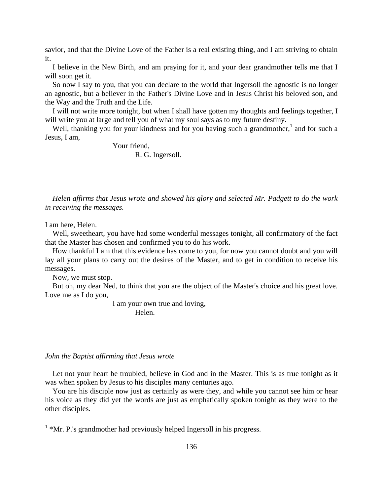savior, and that the Divine Love of the Father is a real existing thing, and I am striving to obtain it.

 I believe in the New Birth, and am praying for it, and your dear grandmother tells me that I will soon get it.

 So now I say to you, that you can declare to the world that Ingersoll the agnostic is no longer an agnostic, but a believer in the Father's Divine Love and in Jesus Christ his beloved son, and the Way and the Truth and the Life.

 I will not write more tonight, but when I shall have gotten my thoughts and feelings together, I will write you at large and tell you of what my soul says as to my future destiny.

Well, thanking you for your kindness and for you having such a grandmother,<sup>1</sup> and for such a Jesus, I am,

Your friend,

R. G. Ingersoll.

 *Helen affirms that Jesus wrote and showed his glory and selected Mr. Padgett to do the work in receiving the messages.* 

I am here, Helen.

 $\overline{a}$ 

 Well, sweetheart, you have had some wonderful messages tonight, all confirmatory of the fact that the Master has chosen and confirmed you to do his work.

 How thankful I am that this evidence has come to you, for now you cannot doubt and you will lay all your plans to carry out the desires of the Master, and to get in condition to receive his messages.

Now, we must stop.

 But oh, my dear Ned, to think that you are the object of the Master's choice and his great love. Love me as I do you,

> I am your own true and loving, Helen.

# *John the Baptist affirming that Jesus wrote*

 Let not your heart be troubled, believe in God and in the Master. This is as true tonight as it was when spoken by Jesus to his disciples many centuries ago.

 You are his disciple now just as certainly as were they, and while you cannot see him or hear his voice as they did yet the words are just as emphatically spoken tonight as they were to the other disciples.

 $1$  \*Mr. P.'s grandmother had previously helped Ingersoll in his progress.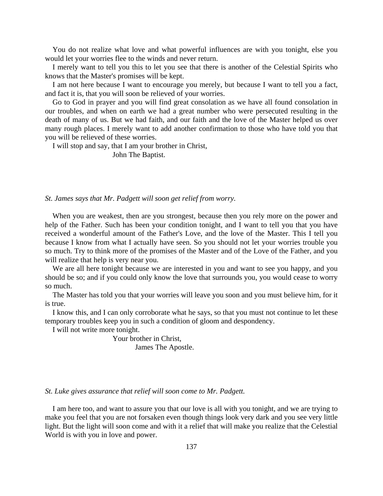You do not realize what love and what powerful influences are with you tonight, else you would let your worries flee to the winds and never return.

 I merely want to tell you this to let you see that there is another of the Celestial Spirits who knows that the Master's promises will be kept.

 I am not here because I want to encourage you merely, but because I want to tell you a fact, and fact it is, that you will soon be relieved of your worries.

 Go to God in prayer and you will find great consolation as we have all found consolation in our troubles, and when on earth we had a great number who were persecuted resulting in the death of many of us. But we had faith, and our faith and the love of the Master helped us over many rough places. I merely want to add another confirmation to those who have told you that you will be relieved of these worries.

I will stop and say, that I am your brother in Christ,

John The Baptist.

*St. James says that Mr. Padgett will soon get relief from worry.* 

When you are weakest, then are you strongest, because then you rely more on the power and help of the Father. Such has been your condition tonight, and I want to tell you that you have received a wonderful amount of the Father's Love, and the love of the Master. This I tell you because I know from what I actually have seen. So you should not let your worries trouble you so much. Try to think more of the promises of the Master and of the Love of the Father, and you will realize that help is very near you.

 We are all here tonight because we are interested in you and want to see you happy, and you should be so; and if you could only know the love that surrounds you, you would cease to worry so much.

 The Master has told you that your worries will leave you soon and you must believe him, for it is true.

 I know this, and I can only corroborate what he says, so that you must not continue to let these temporary troubles keep you in such a condition of gloom and despondency.

I will not write more tonight.

 Your brother in Christ, James The Apostle.

## *St. Luke gives assurance that relief will soon come to Mr. Padgett.*

 I am here too, and want to assure you that our love is all with you tonight, and we are trying to make you feel that you are not forsaken even though things look very dark and you see very little light. But the light will soon come and with it a relief that will make you realize that the Celestial World is with you in love and power.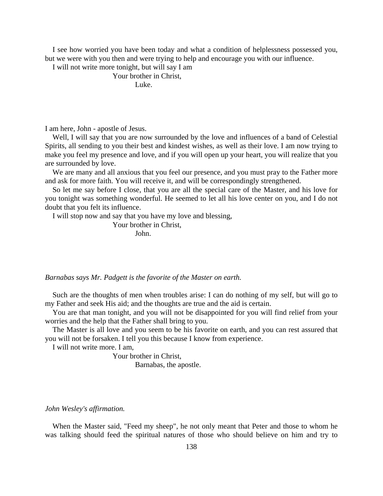I see how worried you have been today and what a condition of helplessness possessed you, but we were with you then and were trying to help and encourage you with our influence.

I will not write more tonight, but will say I am

 Your brother in Christ, Luke.

I am here, John - apostle of Jesus.

 Well, I will say that you are now surrounded by the love and influences of a band of Celestial Spirits, all sending to you their best and kindest wishes, as well as their love. I am now trying to make you feel my presence and love, and if you will open up your heart, you will realize that you are surrounded by love.

 We are many and all anxious that you feel our presence, and you must pray to the Father more and ask for more faith. You will receive it, and will be correspondingly strengthened.

 So let me say before I close, that you are all the special care of the Master, and his love for you tonight was something wonderful. He seemed to let all his love center on you, and I do not doubt that you felt its influence.

I will stop now and say that you have my love and blessing,

Your brother in Christ,

John.

*Barnabas says Mr. Padgett is the favorite of the Master on earth.* 

 Such are the thoughts of men when troubles arise: I can do nothing of my self, but will go to my Father and seek His aid; and the thoughts are true and the aid is certain.

 You are that man tonight, and you will not be disappointed for you will find relief from your worries and the help that the Father shall bring to you.

 The Master is all love and you seem to be his favorite on earth, and you can rest assured that you will not be forsaken. I tell you this because I know from experience.

I will not write more. I am,

Your brother in Christ,

Barnabas, the apostle.

# *John Wesley's affirmation.*

 When the Master said, "Feed my sheep", he not only meant that Peter and those to whom he was talking should feed the spiritual natures of those who should believe on him and try to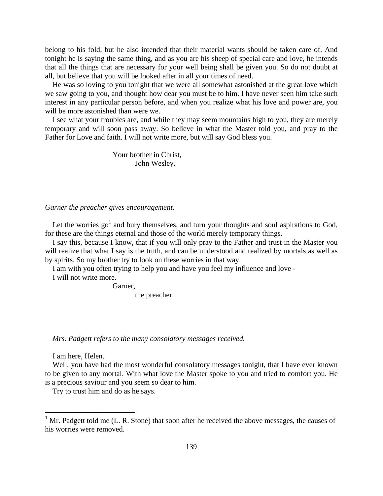belong to his fold, but he also intended that their material wants should be taken care of. And tonight he is saying the same thing, and as you are his sheep of special care and love, he intends that all the things that are necessary for your well being shall be given you. So do not doubt at all, but believe that you will be looked after in all your times of need.

 He was so loving to you tonight that we were all somewhat astonished at the great love which we saw going to you, and thought how dear you must be to him. I have never seen him take such interest in any particular person before, and when you realize what his love and power are, you will be more astonished than were we.

 I see what your troubles are, and while they may seem mountains high to you, they are merely temporary and will soon pass away. So believe in what the Master told you, and pray to the Father for Love and faith. I will not write more, but will say God bless you.

> Your brother in Christ, John Wesley.

# *Garner the preacher gives encouragement.*

Let the worries  $g_0$ <sup>1</sup> and bury themselves, and turn your thoughts and soul aspirations to God, for these are the things eternal and those of the world merely temporary things.

 I say this, because I know, that if you will only pray to the Father and trust in the Master you will realize that what I say is the truth, and can be understood and realized by mortals as well as by spirits. So my brother try to look on these worries in that way.

I am with you often trying to help you and have you feel my influence and love -

I will not write more.

 Garner, the preacher.

*Mrs. Padgett refers to the many consolatory messages received.* 

I am here, Helen.

1

 Well, you have had the most wonderful consolatory messages tonight, that I have ever known to be given to any mortal. With what love the Master spoke to you and tried to comfort you. He is a precious saviour and you seem so dear to him.

Try to trust him and do as he says.

 $1$  Mr. Padgett told me (L. R. Stone) that soon after he received the above messages, the causes of his worries were removed.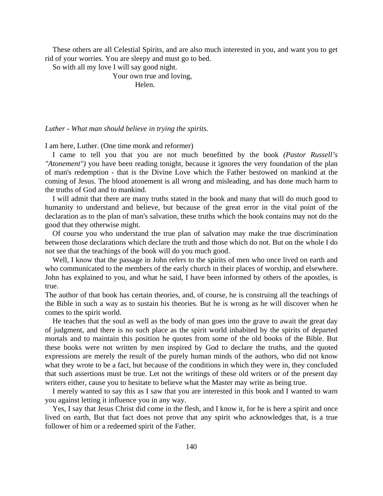These others are all Celestial Spirits, and are also much interested in you, and want you to get rid of your worries. You are sleepy and must go to bed.

So with all my love I will say good night.

 Your own true and loving, Helen.

*Luther - What man should believe in trying the spirits.* 

I am here, Luther. (One time monk and reformer)

 I came to tell you that you are not much benefitted by the book *(Pastor Russell's "Atonement")* you have been reading tonight, because it ignores the very foundation of the plan of man's redemption - that is the Divine Love which the Father bestowed on mankind at the coming of Jesus. The blood atonement is all wrong and misleading, and has done much harm to the truths of God and to mankind.

 I will admit that there are many truths stated in the book and many that will do much good to humanity to understand and believe, but because of the great error in the vital point of the declaration as to the plan of man's salvation, these truths which the book contains may not do the good that they otherwise might.

 Of course you who understand the true plan of salvation may make the true discrimination between those declarations which declare the truth and those which do not. But on the whole I do not see that the teachings of the book will do you much good.

 Well, I know that the passage in John refers to the spirits of men who once lived on earth and who communicated to the members of the early church in their places of worship, and elsewhere. John has explained to you, and what he said, I have been informed by others of the apostles, is true.

The author of that book has certain theories, and, of course, he is construing all the teachings of the Bible in such a way as to sustain his theories. But he is wrong as he will discover when he comes to the spirit world.

 He teaches that the soul as well as the body of man goes into the grave to await the great day of judgment, and there is no such place as the spirit world inhabited by the spirits of departed mortals and to maintain this position he quotes from some of the old books of the Bible. But these books were not written by men inspired by God to declare the truths, and the quoted expressions are merely the result of the purely human minds of the authors, who did not know what they wrote to be a fact, but because of the conditions in which they were in, they concluded that such assertions must be true. Let not the writings of these old writers or of the present day writers either, cause you to hesitate to believe what the Master may write as being true.

 I merely wanted to say this as I saw that you are interested in this book and I wanted to warn you against letting it influence you in any way.

 Yes, I say that Jesus Christ did come in the flesh, and I know it, for he is here a spirit and once lived on earth, But that fact does not prove that any spirit who acknowledges that, is a true follower of him or a redeemed spirit of the Father.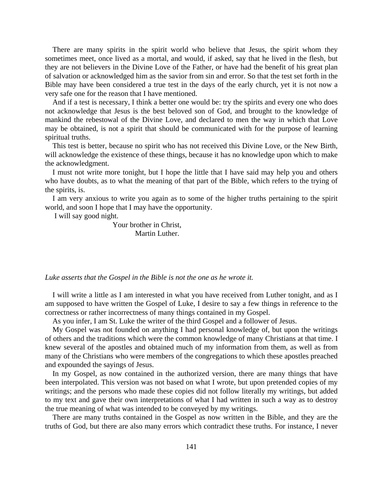There are many spirits in the spirit world who believe that Jesus, the spirit whom they sometimes meet, once lived as a mortal, and would, if asked, say that he lived in the flesh, but they are not believers in the Divine Love of the Father, or have had the benefit of his great plan of salvation or acknowledged him as the savior from sin and error. So that the test set forth in the Bible may have been considered a true test in the days of the early church, yet it is not now a very safe one for the reason that I have mentioned.

 And if a test is necessary, I think a better one would be: try the spirits and every one who does not acknowledge that Jesus is the best beloved son of God, and brought to the knowledge of mankind the rebestowal of the Divine Love, and declared to men the way in which that Love may be obtained, is not a spirit that should be communicated with for the purpose of learning spiritual truths.

 This test is better, because no spirit who has not received this Divine Love, or the New Birth, will acknowledge the existence of these things, because it has no knowledge upon which to make the acknowledgment.

 I must not write more tonight, but I hope the little that I have said may help you and others who have doubts, as to what the meaning of that part of the Bible, which refers to the trying of the spirits, is.

 I am very anxious to write you again as to some of the higher truths pertaining to the spirit world, and soon I hope that I may have the opportunity.

I will say good night.

 Your brother in Christ, Martin Luther.

*Luke asserts that the Gospel in the Bible is not the one as he wrote it.* 

 I will write a little as I am interested in what you have received from Luther tonight, and as I am supposed to have written the Gospel of Luke, I desire to say a few things in reference to the correctness or rather incorrectness of many things contained in my Gospel.

As you infer, I am St. Luke the writer of the third Gospel and a follower of Jesus.

 My Gospel was not founded on anything I had personal knowledge of, but upon the writings of others and the traditions which were the common knowledge of many Christians at that time. I knew several of the apostles and obtained much of my information from them, as well as from many of the Christians who were members of the congregations to which these apostles preached and expounded the sayings of Jesus.

 In my Gospel, as now contained in the authorized version, there are many things that have been interpolated. This version was not based on what I wrote, but upon pretended copies of my writings; and the persons who made these copies did not follow literally my writings, but added to my text and gave their own interpretations of what I had written in such a way as to destroy the true meaning of what was intended to be conveyed by my writings.

 There are many truths contained in the Gospel as now written in the Bible, and they are the truths of God, but there are also many errors which contradict these truths. For instance, I never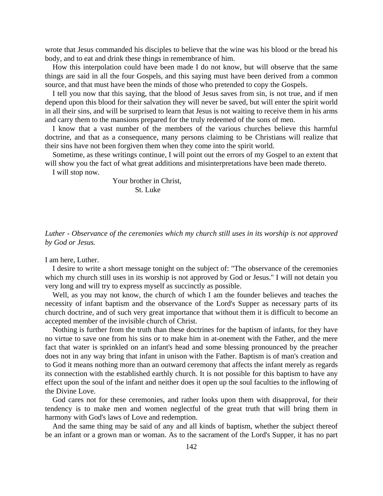wrote that Jesus commanded his disciples to believe that the wine was his blood or the bread his body, and to eat and drink these things in remembrance of him.

 How this interpolation could have been made I do not know, but will observe that the same things are said in all the four Gospels, and this saying must have been derived from a common source, and that must have been the minds of those who pretended to copy the Gospels.

 I tell you now that this saying, that the blood of Jesus saves from sin, is not true, and if men depend upon this blood for their salvation they will never be saved, but will enter the spirit world in all their sins, and will be surprised to learn that Jesus is not waiting to receive them in his arms and carry them to the mansions prepared for the truly redeemed of the sons of men.

 I know that a vast number of the members of the various churches believe this harmful doctrine, and that as a consequence, many persons claiming to be Christians will realize that their sins have not been forgiven them when they come into the spirit world.

 Sometime, as these writings continue, I will point out the errors of my Gospel to an extent that will show you the fact of what great additions and misinterpretations have been made thereto.

I will stop now.

 Your brother in Christ, St. Luke

*Luther - Observance of the ceremonies which my church still uses in its worship is not approved by God or Jesus.* 

I am here, Luther.

 I desire to write a short message tonight on the subject of: "The observance of the ceremonies which my church still uses in its worship is not approved by God or Jesus." I will not detain you very long and will try to express myself as succinctly as possible.

 Well, as you may not know, the church of which I am the founder believes and teaches the necessity of infant baptism and the observance of the Lord's Supper as necessary parts of its church doctrine, and of such very great importance that without them it is difficult to become an accepted member of the invisible church of Christ.

 Nothing is further from the truth than these doctrines for the baptism of infants, for they have no virtue to save one from his sins or to make him in at-onement with the Father, and the mere fact that water is sprinkled on an infant's head and some blessing pronounced by the preacher does not in any way bring that infant in unison with the Father. Baptism is of man's creation and to God it means nothing more than an outward ceremony that affects the infant merely as regards its connection with the established earthly church. It is not possible for this baptism to have any effect upon the soul of the infant and neither does it open up the soul faculties to the inflowing of the Divine Love.

 God cares not for these ceremonies, and rather looks upon them with disapproval, for their tendency is to make men and women neglectful of the great truth that will bring them in harmony with God's laws of Love and redemption.

 And the same thing may be said of any and all kinds of baptism, whether the subject thereof be an infant or a grown man or woman. As to the sacrament of the Lord's Supper, it has no part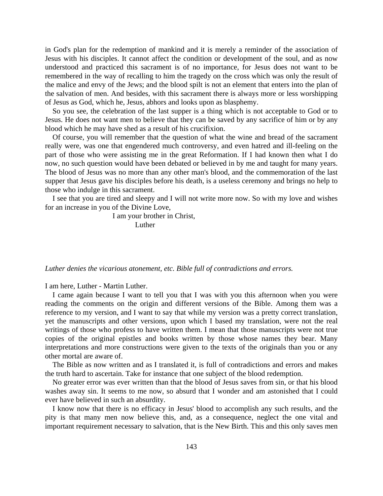in God's plan for the redemption of mankind and it is merely a reminder of the association of Jesus with his disciples. It cannot affect the condition or development of the soul, and as now understood and practiced this sacrament is of no importance, for Jesus does not want to be remembered in the way of recalling to him the tragedy on the cross which was only the result of the malice and envy of the Jews; and the blood spilt is not an element that enters into the plan of the salvation of men. And besides, with this sacrament there is always more or less worshipping of Jesus as God, which he, Jesus, abhors and looks upon as blasphemy.

 So you see, the celebration of the last supper is a thing which is not acceptable to God or to Jesus. He does not want men to believe that they can be saved by any sacrifice of him or by any blood which he may have shed as a result of his crucifixion.

 Of course, you will remember that the question of what the wine and bread of the sacrament really were, was one that engendered much controversy, and even hatred and ill-feeling on the part of those who were assisting me in the great Reformation. If I had known then what I do now, no such question would have been debated or believed in by me and taught for many years. The blood of Jesus was no more than any other man's blood, and the commemoration of the last supper that Jesus gave his disciples before his death, is a useless ceremony and brings no help to those who indulge in this sacrament.

 I see that you are tired and sleepy and I will not write more now. So with my love and wishes for an increase in you of the Divine Love,

> I am your brother in Christ, Luther

*Luther denies the vicarious atonement, etc. Bible full of contradictions and errors.* 

I am here, Luther - Martin Luther.

 I came again because I want to tell you that I was with you this afternoon when you were reading the comments on the origin and different versions of the Bible. Among them was a reference to my version, and I want to say that while my version was a pretty correct translation, yet the manuscripts and other versions, upon which I based my translation, were not the real writings of those who profess to have written them. I mean that those manuscripts were not true copies of the original epistles and books written by those whose names they bear. Many interpretations and more constructions were given to the texts of the originals than you or any other mortal are aware of.

 The Bible as now written and as I translated it, is full of contradictions and errors and makes the truth hard to ascertain. Take for instance that one subject of the blood redemption.

 No greater error was ever written than that the blood of Jesus saves from sin, or that his blood washes away sin. It seems to me now, so absurd that I wonder and am astonished that I could ever have believed in such an absurdity.

 I know now that there is no efficacy in Jesus' blood to accomplish any such results, and the pity is that many men now believe this, and, as a consequence, neglect the one vital and important requirement necessary to salvation, that is the New Birth. This and this only saves men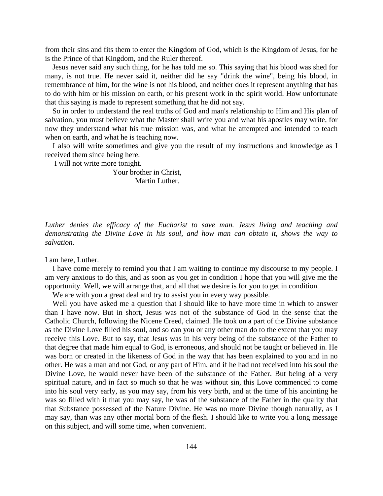from their sins and fits them to enter the Kingdom of God, which is the Kingdom of Jesus, for he is the Prince of that Kingdom, and the Ruler thereof.

 Jesus never said any such thing, for he has told me so. This saying that his blood was shed for many, is not true. He never said it, neither did he say "drink the wine", being his blood, in remembrance of him, for the wine is not his blood, and neither does it represent anything that has to do with him or his mission on earth, or his present work in the spirit world. How unfortunate that this saying is made to represent something that he did not say.

 So in order to understand the real truths of God and man's relationship to Him and His plan of salvation, you must believe what the Master shall write you and what his apostles may write, for now they understand what his true mission was, and what he attempted and intended to teach when on earth, and what he is teaching now.

 I also will write sometimes and give you the result of my instructions and knowledge as I received them since being here.

I will not write more tonight.

 Your brother in Christ, Martin Luther.

*Luther denies the efficacy of the Eucharist to save man. Jesus living and teaching and demonstrating the Divine Love in his soul, and how man can obtain it, shows the way to salvation.* 

# I am here, Luther.

 I have come merely to remind you that I am waiting to continue my discourse to my people. I am very anxious to do this, and as soon as you get in condition I hope that you will give me the opportunity. Well, we will arrange that, and all that we desire is for you to get in condition.

We are with you a great deal and try to assist you in every way possible.

 Well you have asked me a question that I should like to have more time in which to answer than I have now. But in short, Jesus was not of the substance of God in the sense that the Catholic Church, following the Nicene Creed, claimed. He took on a part of the Divine substance as the Divine Love filled his soul, and so can you or any other man do to the extent that you may receive this Love. But to say, that Jesus was in his very being of the substance of the Father to that degree that made him equal to God, is erroneous, and should not be taught or believed in. He was born or created in the likeness of God in the way that has been explained to you and in no other. He was a man and not God, or any part of Him, and if he had not received into his soul the Divine Love, he would never have been of the substance of the Father. But being of a very spiritual nature, and in fact so much so that he was without sin, this Love commenced to come into his soul very early, as you may say, from his very birth, and at the time of his anointing he was so filled with it that you may say, he was of the substance of the Father in the quality that that Substance possessed of the Nature Divine. He was no more Divine though naturally, as I may say, than was any other mortal born of the flesh. I should like to write you a long message on this subject, and will some time, when convenient.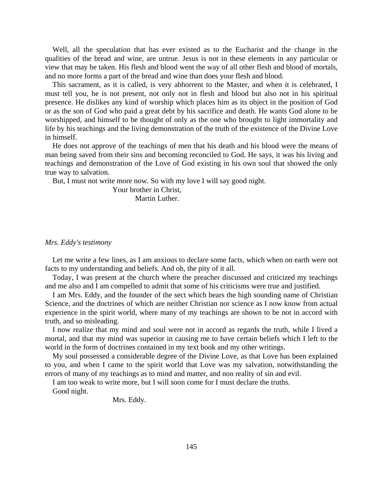Well, all the speculation that has ever existed as to the Eucharist and the change in the qualities of the bread and wine, are untrue. Jesus is not in these elements in any particular or view that may be taken. His flesh and blood went the way of all other flesh and blood of mortals, and no more forms a part of the bread and wine than does your flesh and blood.

 This sacrament, as it is called, is very abhorrent to the Master, and when it is celebrated, I must tell you, he is not present, not only not in flesh and blood but also not in his spiritual presence. He dislikes any kind of worship which places him as its object in the position of God or as the son of God who paid a great debt by his sacrifice and death. He wants God alone to be worshipped, and himself to be thought of only as the one who brought to light immortality and life by his teachings and the living demonstration of the truth of the existence of the Divine Love in himself.

 He does not approve of the teachings of men that his death and his blood were the means of man being saved from their sins and becoming reconciled to God. He says, it was his living and teachings and demonstration of the Love of God existing in his own soul that showed the only true way to salvation.

But, I must not write more now. So with my love I will say good night.

 Your brother in Christ, Martin Luther.

#### *Mrs. Eddy's testimony*

 Let me write a few lines, as I am anxious to declare some facts, which when on earth were not facts to my understanding and beliefs. And oh, the pity of it all.

 Today, I was present at the church where the preacher discussed and criticized my teachings and me also and I am compelled to admit that some of his criticisms were true and justified.

 I am Mrs. Eddy, and the founder of the sect which bears the high sounding name of Christian Science, and the doctrines of which are neither Christian nor science as I now know from actual experience in the spirit world, where many of my teachings are shown to be not in accord with truth, and so misleading.

 I now realize that my mind and soul were not in accord as regards the truth, while I lived a mortal, and that my mind was superior in causing me to have certain beliefs which I left to the world in the form of doctrines contained in my text book and my other writings.

 My soul possessed a considerable degree of the Divine Love, as that Love has been explained to you, and when I came to the spirit world that Love was my salvation, notwithstanding the errors of many of my teachings as to mind and matter, and non reality of sin and evil.

 I am too weak to write more, but I will soon come for I must declare the truths. Good night.

Mrs. Eddy.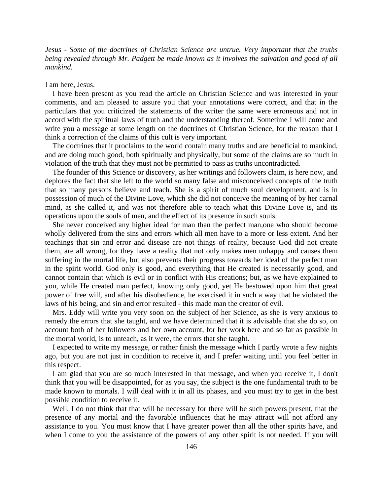*Jesus - Some of the doctrines of Christian Science are untrue. Very important that the truths being revealed through Mr. Padgett be made known as it involves the salvation and good of all mankind.* 

# I am here, Jesus.

 I have been present as you read the article on Christian Science and was interested in your comments, and am pleased to assure you that your annotations were correct, and that in the particulars that you criticized the statements of the writer the same were erroneous and not in accord with the spiritual laws of truth and the understanding thereof. Sometime I will come and write you a message at some length on the doctrines of Christian Science, for the reason that I think a correction of the claims of this cult is very important.

 The doctrines that it proclaims to the world contain many truths and are beneficial to mankind, and are doing much good, both spiritually and physically, but some of the claims are so much in violation of the truth that they must not be permitted to pass as truths uncontradicted.

 The founder of this Science or discovery, as her writings and followers claim, is here now, and deplores the fact that she left to the world so many false and misconceived concepts of the truth that so many persons believe and teach. She is a spirit of much soul development, and is in possession of much of the Divine Love, which she did not conceive the meaning of by her carnal mind, as she called it, and was not therefore able to teach what this Divine Love is, and its operations upon the souls of men, and the effect of its presence in such souls.

 She never conceived any higher ideal for man than the perfect man,one who should become wholly delivered from the sins and errors which all men have to a more or less extent. And her teachings that sin and error and disease are not things of reality, because God did not create them, are all wrong, for they have a reality that not only makes men unhappy and causes them suffering in the mortal life, but also prevents their progress towards her ideal of the perfect man in the spirit world. God only is good, and everything that He created is necessarily good, and cannot contain that which is evil or in conflict with His creations; but, as we have explained to you, while He created man perfect, knowing only good, yet He bestowed upon him that great power of free will, and after his disobedience, he exercised it in such a way that he violated the laws of his being, and sin and error resulted - this made man the creator of evil.

 Mrs. Eddy will write you very soon on the subject of her Science, as she is very anxious to remedy the errors that she taught, and we have determined that it is advisable that she do so, on account both of her followers and her own account, for her work here and so far as possible in the mortal world, is to unteach, as it were, the errors that she taught.

 I expected to write my message, or rather finish the message which I partly wrote a few nights ago, but you are not just in condition to receive it, and I prefer waiting until you feel better in this respect.

 I am glad that you are so much interested in that message, and when you receive it, I don't think that you will be disappointed, for as you say, the subject is the one fundamental truth to be made known to mortals. I will deal with it in all its phases, and you must try to get in the best possible condition to receive it.

 Well, I do not think that that will be necessary for there will be such powers present, that the presence of any mortal and the favorable influences that he may attract will not afford any assistance to you. You must know that I have greater power than all the other spirits have, and when I come to you the assistance of the powers of any other spirit is not needed. If you will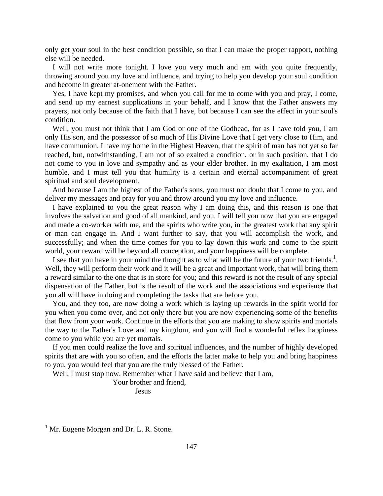only get your soul in the best condition possible, so that I can make the proper rapport, nothing else will be needed.

 I will not write more tonight. I love you very much and am with you quite frequently, throwing around you my love and influence, and trying to help you develop your soul condition and become in greater at-onement with the Father.

 Yes, I have kept my promises, and when you call for me to come with you and pray, I come, and send up my earnest supplications in your behalf, and I know that the Father answers my prayers, not only because of the faith that I have, but because I can see the effect in your soul's condition.

 Well, you must not think that I am God or one of the Godhead, for as I have told you, I am only His son, and the possessor of so much of His Divine Love that I get very close to Him, and have communion. I have my home in the Highest Heaven, that the spirit of man has not yet so far reached, but, notwithstanding, I am not of so exalted a condition, or in such position, that I do not come to you in love and sympathy and as your elder brother. In my exaltation, I am most humble, and I must tell you that humility is a certain and eternal accompaniment of great spiritual and soul development.

 And because I am the highest of the Father's sons, you must not doubt that I come to you, and deliver my messages and pray for you and throw around you my love and influence.

 I have explained to you the great reason why I am doing this, and this reason is one that involves the salvation and good of all mankind, and you. I will tell you now that you are engaged and made a co-worker with me, and the spirits who write you, in the greatest work that any spirit or man can engage in. And I want further to say, that you will accomplish the work, and successfully; and when the time comes for you to lay down this work and come to the spirit world, your reward will be beyond all conception, and your happiness will be complete.

I see that you have in your mind the thought as to what will be the future of your two friends.<sup>1</sup>. Well, they will perform their work and it will be a great and important work, that will bring them a reward similar to the one that is in store for you; and this reward is not the result of any special dispensation of the Father, but is the result of the work and the associations and experience that you all will have in doing and completing the tasks that are before you.

 You, and they too, are now doing a work which is laying up rewards in the spirit world for you when you come over, and not only there but you are now experiencing some of the benefits that flow from your work. Continue in the efforts that you are making to show spirits and mortals the way to the Father's Love and my kingdom, and you will find a wonderful reflex happiness come to you while you are yet mortals.

 If you men could realize the love and spiritual influences, and the number of highly developed spirits that are with you so often, and the efforts the latter make to help you and bring happiness to you, you would feel that you are the truly blessed of the Father.

Well, I must stop now. Remember what I have said and believe that I am,

Your brother and friend,

Jesus

<u>.</u>

 $<sup>1</sup>$  Mr. Eugene Morgan and Dr. L. R. Stone.</sup>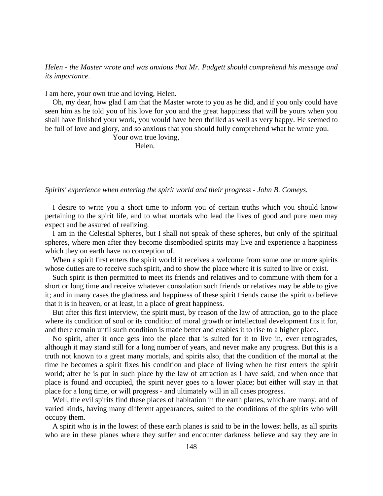*Helen - the Master wrote and was anxious that Mr. Padgett should comprehend his message and its importance.* 

I am here, your own true and loving, Helen.

 Oh, my dear, how glad I am that the Master wrote to you as he did, and if you only could have seen him as he told you of his love for you and the great happiness that will be yours when you shall have finished your work, you would have been thrilled as well as very happy. He seemed to be full of love and glory, and so anxious that you should fully comprehend what he wrote you.

Your own true loving,

Helen.

*Spirits' experience when entering the spirit world and their progress - John B. Comeys.* 

 I desire to write you a short time to inform you of certain truths which you should know pertaining to the spirit life, and to what mortals who lead the lives of good and pure men may expect and be assured of realizing.

 I am in the Celestial Spheres, but I shall not speak of these spheres, but only of the spiritual spheres, where men after they become disembodied spirits may live and experience a happiness which they on earth have no conception of.

When a spirit first enters the spirit world it receives a welcome from some one or more spirits whose duties are to receive such spirit, and to show the place where it is suited to live or exist.

 Such spirit is then permitted to meet its friends and relatives and to commune with them for a short or long time and receive whatever consolation such friends or relatives may be able to give it; and in many cases the gladness and happiness of these spirit friends cause the spirit to believe that it is in heaven, or at least, in a place of great happiness.

 But after this first interview, the spirit must, by reason of the law of attraction, go to the place where its condition of soul or its condition of moral growth or intellectual development fits it for, and there remain until such condition is made better and enables it to rise to a higher place.

 No spirit, after it once gets into the place that is suited for it to live in, ever retrogrades, although it may stand still for a long number of years, and never make any progress. But this is a truth not known to a great many mortals, and spirits also, that the condition of the mortal at the time he becomes a spirit fixes his condition and place of living when he first enters the spirit world; after he is put in such place by the law of attraction as I have said, and when once that place is found and occupied, the spirit never goes to a lower place; but either will stay in that place for a long time, or will progress - and ultimately will in all cases progress.

 Well, the evil spirits find these places of habitation in the earth planes, which are many, and of varied kinds, having many different appearances, suited to the conditions of the spirits who will occupy them.

 A spirit who is in the lowest of these earth planes is said to be in the lowest hells, as all spirits who are in these planes where they suffer and encounter darkness believe and say they are in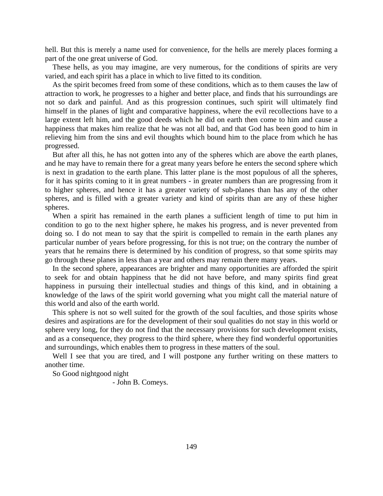hell. But this is merely a name used for convenience, for the hells are merely places forming a part of the one great universe of God.

 These hells, as you may imagine, are very numerous, for the conditions of spirits are very varied, and each spirit has a place in which to live fitted to its condition.

 As the spirit becomes freed from some of these conditions, which as to them causes the law of attraction to work, he progresses to a higher and better place, and finds that his surroundings are not so dark and painful. And as this progression continues, such spirit will ultimately find himself in the planes of light and comparative happiness, where the evil recollections have to a large extent left him, and the good deeds which he did on earth then come to him and cause a happiness that makes him realize that he was not all bad, and that God has been good to him in relieving him from the sins and evil thoughts which bound him to the place from which he has progressed.

 But after all this, he has not gotten into any of the spheres which are above the earth planes, and he may have to remain there for a great many years before he enters the second sphere which is next in gradation to the earth plane. This latter plane is the most populous of all the spheres, for it has spirits coming to it in great numbers - in greater numbers than are progressing from it to higher spheres, and hence it has a greater variety of sub-planes than has any of the other spheres, and is filled with a greater variety and kind of spirits than are any of these higher spheres.

 When a spirit has remained in the earth planes a sufficient length of time to put him in condition to go to the next higher sphere, he makes his progress, and is never prevented from doing so. I do not mean to say that the spirit is compelled to remain in the earth planes any particular number of years before progressing, for this is not true; on the contrary the number of years that he remains there is determined by his condition of progress, so that some spirits may go through these planes in less than a year and others may remain there many years.

 In the second sphere, appearances are brighter and many opportunities are afforded the spirit to seek for and obtain happiness that he did not have before, and many spirits find great happiness in pursuing their intellectual studies and things of this kind, and in obtaining a knowledge of the laws of the spirit world governing what you might call the material nature of this world and also of the earth world.

 This sphere is not so well suited for the growth of the soul faculties, and those spirits whose desires and aspirations are for the development of their soul qualities do not stay in this world or sphere very long, for they do not find that the necessary provisions for such development exists, and as a consequence, they progress to the third sphere, where they find wonderful opportunities and surroundings, which enables them to progress in these matters of the soul.

Well I see that you are tired, and I will postpone any further writing on these matters to another time.

So Good nightgood night

- John B. Comeys.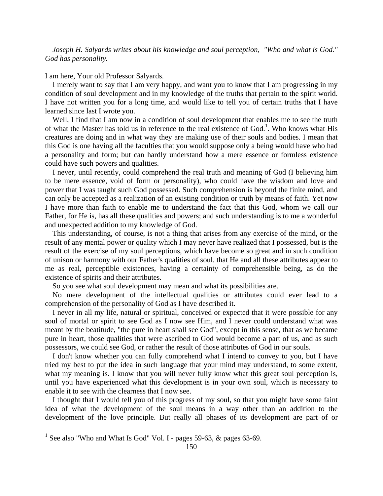*Joseph H. Salyards writes about his knowledge and soul perception, "Who and what is God." God has personality.* 

I am here, Your old Professor Salyards.

 I merely want to say that I am very happy, and want you to know that I am progressing in my condition of soul development and in my knowledge of the truths that pertain to the spirit world. I have not written you for a long time, and would like to tell you of certain truths that I have learned since last I wrote you.

 Well, I find that I am now in a condition of soul development that enables me to see the truth of what the Master has told us in reference to the real existence of God.<sup>1</sup>. Who knows what His creatures are doing and in what way they are making use of their souls and bodies. I mean that this God is one having all the faculties that you would suppose only a being would have who had a personality and form; but can hardly understand how a mere essence or formless existence could have such powers and qualities.

 I never, until recently, could comprehend the real truth and meaning of God (I believing him to be mere essence, void of form or personality), who could have the wisdom and love and power that I was taught such God possessed. Such comprehension is beyond the finite mind, and can only be accepted as a realization of an existing condition or truth by means of faith. Yet now I have more than faith to enable me to understand the fact that this God, whom we call our Father, for He is, has all these qualities and powers; and such understanding is to me a wonderful and unexpected addition to my knowledge of God.

 This understanding, of course, is not a thing that arises from any exercise of the mind, or the result of any mental power or quality which I may never have realized that I possessed, but is the result of the exercise of my soul perceptions, which have become so great and in such condition of unison or harmony with our Father's qualities of soul. that He and all these attributes appear to me as real, perceptible existences, having a certainty of comprehensible being, as do the existence of spirits and their attributes.

So you see what soul development may mean and what its possibilities are.

 No mere development of the intellectual qualities or attributes could ever lead to a comprehension of the personality of God as I have described it.

 I never in all my life, natural or spiritual, conceived or expected that it were possible for any soul of mortal or spirit to see God as I now see Him, and I never could understand what was meant by the beatitude, "the pure in heart shall see God", except in this sense, that as we became pure in heart, those qualities that were ascribed to God would become a part of us, and as such possessors, we could see God, or rather the result of those attributes of God in our souls.

 I don't know whether you can fully comprehend what I intend to convey to you, but I have tried my best to put the idea in such language that your mind may understand, to some extent, what my meaning is. I know that you will never fully know what this great soul perception is, until you have experienced what this development is in your own soul, which is necessary to enable it to see with the clearness that I now see.

 I thought that I would tell you of this progress of my soul, so that you might have some faint idea of what the development of the soul means in a way other than an addition to the development of the love principle. But really all phases of its development are part of or

<sup>&</sup>lt;sup>1</sup> See also "Who and What Is God" Vol. I - pages 59-63, & pages 63-69.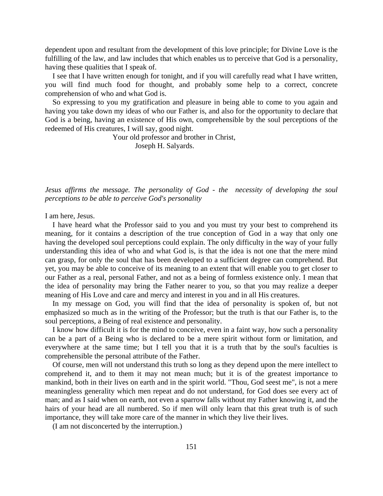dependent upon and resultant from the development of this love principle; for Divine Love is the fulfilling of the law, and law includes that which enables us to perceive that God is a personality, having these qualities that I speak of.

 I see that I have written enough for tonight, and if you will carefully read what I have written, you will find much food for thought, and probably some help to a correct, concrete comprehension of who and what God is.

 So expressing to you my gratification and pleasure in being able to come to you again and having you take down my ideas of who our Father is, and also for the opportunity to declare that God is a being, having an existence of His own, comprehensible by the soul perceptions of the redeemed of His creatures, I will say, good night.

Your old professor and brother in Christ,

Joseph H. Salyards.

*Jesus affirms the message. The personality of God - the necessity of developing the soul perceptions to be able to perceive God's personality* 

I am here, Jesus.

 I have heard what the Professor said to you and you must try your best to comprehend its meaning, for it contains a description of the true conception of God in a way that only one having the developed soul perceptions could explain. The only difficulty in the way of your fully understanding this idea of who and what God is, is that the idea is not one that the mere mind can grasp, for only the soul that has been developed to a sufficient degree can comprehend. But yet, you may be able to conceive of its meaning to an extent that will enable you to get closer to our Father as a real, personal Father, and not as a being of formless existence only. I mean that the idea of personality may bring the Father nearer to you, so that you may realize a deeper meaning of His Love and care and mercy and interest in you and in all His creatures.

 In my message on God, you will find that the idea of personality is spoken of, but not emphasized so much as in the writing of the Professor; but the truth is that our Father is, to the soul perceptions, a Being of real existence and personality.

 I know how difficult it is for the mind to conceive, even in a faint way, how such a personality can be a part of a Being who is declared to be a mere spirit without form or limitation, and everywhere at the same time; but I tell you that it is a truth that by the soul's faculties is comprehensible the personal attribute of the Father.

 Of course, men will not understand this truth so long as they depend upon the mere intellect to comprehend it, and to them it may not mean much; but it is of the greatest importance to mankind, both in their lives on earth and in the spirit world. "Thou, God seest me", is not a mere meaningless generality which men repeat and do not understand, for God does see every act of man; and as I said when on earth, not even a sparrow falls without my Father knowing it, and the hairs of your head are all numbered. So if men will only learn that this great truth is of such importance, they will take more care of the manner in which they live their lives.

(I am not disconcerted by the interruption.)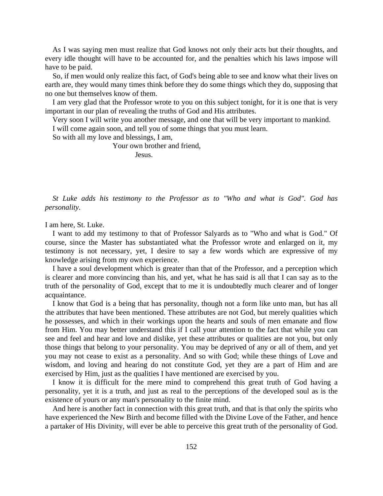As I was saying men must realize that God knows not only their acts but their thoughts, and every idle thought will have to be accounted for, and the penalties which his laws impose will have to be paid.

 So, if men would only realize this fact, of God's being able to see and know what their lives on earth are, they would many times think before they do some things which they do, supposing that no one but themselves know of them.

 I am very glad that the Professor wrote to you on this subject tonight, for it is one that is very important in our plan of revealing the truths of God and His attributes.

Very soon I will write you another message, and one that will be very important to mankind.

I will come again soon, and tell you of some things that you must learn.

So with all my love and blessings, I am,

Your own brother and friend,

Jesus.

 *St Luke adds his testimony to the Professor as to "Who and what is God". God has personality.* 

I am here, St. Luke.

 I want to add my testimony to that of Professor Salyards as to "Who and what is God." Of course, since the Master has substantiated what the Professor wrote and enlarged on it, my testimony is not necessary, yet, I desire to say a few words which are expressive of my knowledge arising from my own experience.

 I have a soul development which is greater than that of the Professor, and a perception which is clearer and more convincing than his, and yet, what he has said is all that I can say as to the truth of the personality of God, except that to me it is undoubtedly much clearer and of longer acquaintance.

 I know that God is a being that has personality, though not a form like unto man, but has all the attributes that have been mentioned. These attributes are not God, but merely qualities which he possesses, and which in their workings upon the hearts and souls of men emanate and flow from Him. You may better understand this if I call your attention to the fact that while you can see and feel and hear and love and dislike, yet these attributes or qualities are not you, but only those things that belong to your personality. You may be deprived of any or all of them, and yet you may not cease to exist as a personality. And so with God; while these things of Love and wisdom, and loving and hearing do not constitute God, yet they are a part of Him and are exercised by Him, just as the qualities I have mentioned are exercised by you.

 I know it is difficult for the mere mind to comprehend this great truth of God having a personality, yet it is a truth, and just as real to the perceptions of the developed soul as is the existence of yours or any man's personality to the finite mind.

 And here is another fact in connection with this great truth, and that is that only the spirits who have experienced the New Birth and become filled with the Divine Love of the Father, and hence a partaker of His Divinity, will ever be able to perceive this great truth of the personality of God.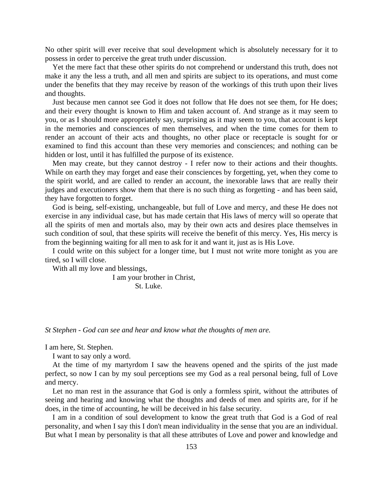No other spirit will ever receive that soul development which is absolutely necessary for it to possess in order to perceive the great truth under discussion.

 Yet the mere fact that these other spirits do not comprehend or understand this truth, does not make it any the less a truth, and all men and spirits are subject to its operations, and must come under the benefits that they may receive by reason of the workings of this truth upon their lives and thoughts.

 Just because men cannot see God it does not follow that He does not see them, for He does; and their every thought is known to Him and taken account of. And strange as it may seem to you, or as I should more appropriately say, surprising as it may seem to you, that account is kept in the memories and consciences of men themselves, and when the time comes for them to render an account of their acts and thoughts, no other place or receptacle is sought for or examined to find this account than these very memories and consciences; and nothing can be hidden or lost, until it has fulfilled the purpose of its existence.

 Men may create, but they cannot destroy - I refer now to their actions and their thoughts. While on earth they may forget and ease their consciences by forgetting, yet, when they come to the spirit world, and are called to render an account, the inexorable laws that are really their judges and executioners show them that there is no such thing as forgetting - and has been said, they have forgotten to forget.

 God is being, self-existing, unchangeable, but full of Love and mercy, and these He does not exercise in any individual case, but has made certain that His laws of mercy will so operate that all the spirits of men and mortals also, may by their own acts and desires place themselves in such condition of soul, that these spirits will receive the benefit of this mercy. Yes, His mercy is from the beginning waiting for all men to ask for it and want it, just as is His Love.

 I could write on this subject for a longer time, but I must not write more tonight as you are tired, so I will close.

With all my love and blessings,

 I am your brother in Christ, St. Luke.

*St Stephen - God can see and hear and know what the thoughts of men are.* 

I am here, St. Stephen.

I want to say only a word.

 At the time of my martyrdom I saw the heavens opened and the spirits of the just made perfect, so now I can by my soul perceptions see my God as a real personal being, full of Love and mercy.

 Let no man rest in the assurance that God is only a formless spirit, without the attributes of seeing and hearing and knowing what the thoughts and deeds of men and spirits are, for if he does, in the time of accounting, he will be deceived in his false security.

 I am in a condition of soul development to know the great truth that God is a God of real personality, and when I say this I don't mean individuality in the sense that you are an individual. But what I mean by personality is that all these attributes of Love and power and knowledge and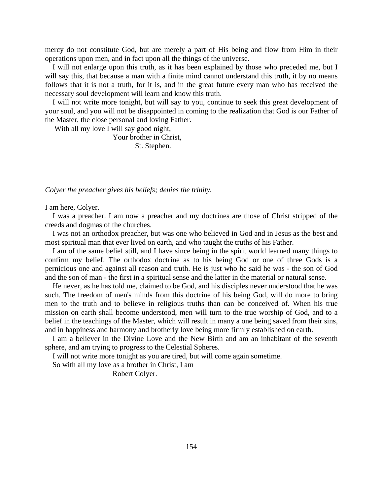mercy do not constitute God, but are merely a part of His being and flow from Him in their operations upon men, and in fact upon all the things of the universe.

 I will not enlarge upon this truth, as it has been explained by those who preceded me, but I will say this, that because a man with a finite mind cannot understand this truth, it by no means follows that it is not a truth, for it is, and in the great future every man who has received the necessary soul development will learn and know this truth.

 I will not write more tonight, but will say to you, continue to seek this great development of your soul, and you will not be disappointed in coming to the realization that God is our Father of the Master, the close personal and loving Father.

With all my love I will say good night,

Your brother in Christ,

St. Stephen.

*Colyer the preacher gives his beliefs; denies the trinity.* 

I am here, Colyer.

 I was a preacher. I am now a preacher and my doctrines are those of Christ stripped of the creeds and dogmas of the churches.

 I was not an orthodox preacher, but was one who believed in God and in Jesus as the best and most spiritual man that ever lived on earth, and who taught the truths of his Father.

 I am of the same belief still, and I have since being in the spirit world learned many things to confirm my belief. The orthodox doctrine as to his being God or one of three Gods is a pernicious one and against all reason and truth. He is just who he said he was - the son of God and the son of man - the first in a spiritual sense and the latter in the material or natural sense.

 He never, as he has told me, claimed to be God, and his disciples never understood that he was such. The freedom of men's minds from this doctrine of his being God, will do more to bring men to the truth and to believe in religious truths than can be conceived of. When his true mission on earth shall become understood, men will turn to the true worship of God, and to a belief in the teachings of the Master, which will result in many a one being saved from their sins, and in happiness and harmony and brotherly love being more firmly established on earth.

 I am a believer in the Divine Love and the New Birth and am an inhabitant of the seventh sphere, and am trying to progress to the Celestial Spheres.

I will not write more tonight as you are tired, but will come again sometime.

So with all my love as a brother in Christ, I am

Robert Colyer.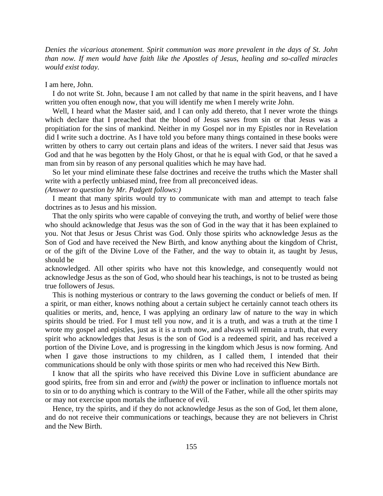*Denies the vicarious atonement. Spirit communion was more prevalent in the days of St. John than now. If men would have faith like the Apostles of Jesus, healing and so-called miracles would exist today.* 

## I am here, John.

 I do not write St. John, because I am not called by that name in the spirit heavens, and I have written you often enough now, that you will identify me when I merely write John.

 Well, I heard what the Master said, and I can only add thereto, that I never wrote the things which declare that I preached that the blood of Jesus saves from sin or that Jesus was a propitiation for the sins of mankind. Neither in my Gospel nor in my Epistles nor in Revelation did I write such a doctrine. As I have told you before many things contained in these books were written by others to carry out certain plans and ideas of the writers. I never said that Jesus was God and that he was begotten by the Holy Ghost, or that he is equal with God, or that he saved a man from sin by reason of any personal qualities which he may have had.

 So let your mind eliminate these false doctrines and receive the truths which the Master shall write with a perfectly unbiased mind, free from all preconceived ideas.

*(Answer to question by Mr. Padgett follows:)* 

I meant that many spirits would try to communicate with man and attempt to teach false doctrines as to Jesus and his mission.

 That the only spirits who were capable of conveying the truth, and worthy of belief were those who should acknowledge that Jesus was the son of God in the way that it has been explained to you. Not that Jesus or Jesus Christ was God. Only those spirits who acknowledge Jesus as the Son of God and have received the New Birth, and know anything about the kingdom of Christ, or of the gift of the Divine Love of the Father, and the way to obtain it, as taught by Jesus, should be

acknowledged. All other spirits who have not this knowledge, and consequently would not acknowledge Jesus as the son of God, who should hear his teachings, is not to be trusted as being true followers of Jesus.

 This is nothing mysterious or contrary to the laws governing the conduct or beliefs of men. If a spirit, or man either, knows nothing about a certain subject he certainly cannot teach others its qualities or merits, and, hence, I was applying an ordinary law of nature to the way in which spirits should be tried. For I must tell you now, and it is a truth, and was a truth at the time I wrote my gospel and epistles, just as it is a truth now, and always will remain a truth, that every spirit who acknowledges that Jesus is the son of God is a redeemed spirit, and has received a portion of the Divine Love, and is progressing in the kingdom which Jesus is now forming. And when I gave those instructions to my children, as I called them, I intended that their communications should be only with those spirits or men who had received this New Birth.

 I know that all the spirits who have received this Divine Love in sufficient abundance are good spirits, free from sin and error and *(with)* the power or inclination to influence mortals not to sin or to do anything which is contrary to the Will of the Father, while all the other spirits may or may not exercise upon mortals the influence of evil.

 Hence, try the spirits, and if they do not acknowledge Jesus as the son of God, let them alone, and do not receive their communications or teachings, because they are not believers in Christ and the New Birth.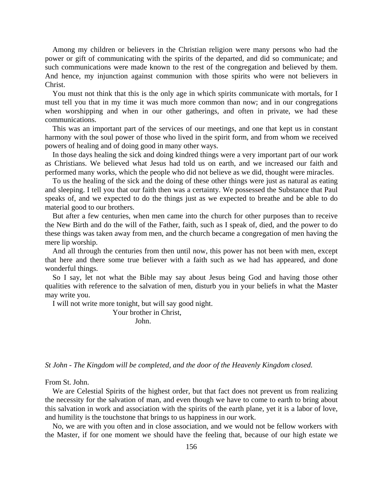Among my children or believers in the Christian religion were many persons who had the power or gift of communicating with the spirits of the departed, and did so communicate; and such communications were made known to the rest of the congregation and believed by them. And hence, my injunction against communion with those spirits who were not believers in Christ.

 You must not think that this is the only age in which spirits communicate with mortals, for I must tell you that in my time it was much more common than now; and in our congregations when worshipping and when in our other gatherings, and often in private, we had these communications.

 This was an important part of the services of our meetings, and one that kept us in constant harmony with the soul power of those who lived in the spirit form, and from whom we received powers of healing and of doing good in many other ways.

 In those days healing the sick and doing kindred things were a very important part of our work as Christians. We believed what Jesus had told us on earth, and we increased our faith and performed many works, which the people who did not believe as we did, thought were miracles.

 To us the healing of the sick and the doing of these other things were just as natural as eating and sleeping. I tell you that our faith then was a certainty. We possessed the Substance that Paul speaks of, and we expected to do the things just as we expected to breathe and be able to do material good to our brothers.

 But after a few centuries, when men came into the church for other purposes than to receive the New Birth and do the will of the Father, faith, such as I speak of, died, and the power to do these things was taken away from men, and the church became a congregation of men having the mere lip worship.

 And all through the centuries from then until now, this power has not been with men, except that here and there some true believer with a faith such as we had has appeared, and done wonderful things.

 So I say, let not what the Bible may say about Jesus being God and having those other qualities with reference to the salvation of men, disturb you in your beliefs in what the Master may write you.

I will not write more tonight, but will say good night.

Your brother in Christ,

John.

*St John - The Kingdom will be completed, and the door of the Heavenly Kingdom closed.* 

From St. John.

 We are Celestial Spirits of the highest order, but that fact does not prevent us from realizing the necessity for the salvation of man, and even though we have to come to earth to bring about this salvation in work and association with the spirits of the earth plane, yet it is a labor of love, and humility is the touchstone that brings to us happiness in our work.

 No, we are with you often and in close association, and we would not be fellow workers with the Master, if for one moment we should have the feeling that, because of our high estate we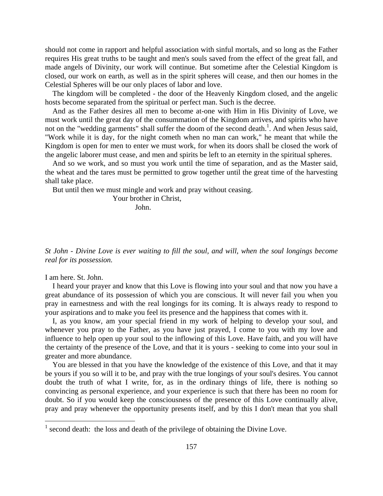should not come in rapport and helpful association with sinful mortals, and so long as the Father requires His great truths to be taught and men's souls saved from the effect of the great fall, and made angels of Divinity, our work will continue. But sometime after the Celestial Kingdom is closed, our work on earth, as well as in the spirit spheres will cease, and then our homes in the Celestial Spheres will be our only places of labor and love.

 The kingdom will be completed - the door of the Heavenly Kingdom closed, and the angelic hosts become separated from the spiritual or perfect man. Such is the decree.

 And as the Father desires all men to become at-one with Him in His Divinity of Love, we must work until the great day of the consummation of the Kingdom arrives, and spirits who have not on the "wedding garments" shall suffer the doom of the second death.<sup>1</sup>. And when Jesus said, "Work while it is day, for the night cometh when no man can work," he meant that while the Kingdom is open for men to enter we must work, for when its doors shall be closed the work of the angelic laborer must cease, and men and spirits be left to an eternity in the spiritual spheres.

 And so we work, and so must you work until the time of separation, and as the Master said, the wheat and the tares must be permitted to grow together until the great time of the harvesting shall take place.

But until then we must mingle and work and pray without ceasing.

 Your brother in Christ, John.

*St John - Divine Love is ever waiting to fill the soul, and will, when the soul longings become real for its possession.* 

I am here. St. John.

 $\overline{a}$ 

 I heard your prayer and know that this Love is flowing into your soul and that now you have a great abundance of its possession of which you are conscious. It will never fail you when you pray in earnestness and with the real longings for its coming. It is always ready to respond to your aspirations and to make you feel its presence and the happiness that comes with it.

 I, as you know, am your special friend in my work of helping to develop your soul, and whenever you pray to the Father, as you have just prayed, I come to you with my love and influence to help open up your soul to the inflowing of this Love. Have faith, and you will have the certainty of the presence of the Love, and that it is yours - seeking to come into your soul in greater and more abundance.

 You are blessed in that you have the knowledge of the existence of this Love, and that it may be yours if you so will it to be, and pray with the true longings of your soul's desires. You cannot doubt the truth of what I write, for, as in the ordinary things of life, there is nothing so convincing as personal experience, and your experience is such that there has been no room for doubt. So if you would keep the consciousness of the presence of this Love continually alive, pray and pray whenever the opportunity presents itself, and by this I don't mean that you shall

 $<sup>1</sup>$  second death: the loss and death of the privilege of obtaining the Divine Love.</sup>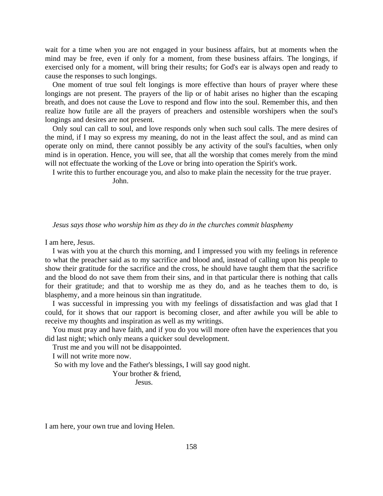wait for a time when you are not engaged in your business affairs, but at moments when the mind may be free, even if only for a moment, from these business affairs. The longings, if exercised only for a moment, will bring their results; for God's ear is always open and ready to cause the responses to such longings.

 One moment of true soul felt longings is more effective than hours of prayer where these longings are not present. The prayers of the lip or of habit arises no higher than the escaping breath, and does not cause the Love to respond and flow into the soul. Remember this, and then realize how futile are all the prayers of preachers and ostensible worshipers when the soul's longings and desires are not present.

 Only soul can call to soul, and love responds only when such soul calls. The mere desires of the mind, if I may so express my meaning, do not in the least affect the soul, and as mind can operate only on mind, there cannot possibly be any activity of the soul's faculties, when only mind is in operation. Hence, you will see, that all the worship that comes merely from the mind will not effectuate the working of the Love or bring into operation the Spirit's work.

I write this to further encourage you, and also to make plain the necessity for the true prayer.

John.

 *Jesus says those who worship him as they do in the churches commit blasphemy* 

I am here, Jesus.

 I was with you at the church this morning, and I impressed you with my feelings in reference to what the preacher said as to my sacrifice and blood and, instead of calling upon his people to show their gratitude for the sacrifice and the cross, he should have taught them that the sacrifice and the blood do not save them from their sins, and in that particular there is nothing that calls for their gratitude; and that to worship me as they do, and as he teaches them to do, is blasphemy, and a more heinous sin than ingratitude.

 I was successful in impressing you with my feelings of dissatisfaction and was glad that I could, for it shows that our rapport is becoming closer, and after awhile you will be able to receive my thoughts and inspiration as well as my writings.

 You must pray and have faith, and if you do you will more often have the experiences that you did last night; which only means a quicker soul development.

Trust me and you will not be disappointed.

I will not write more now.

So with my love and the Father's blessings, I will say good night.

Your brother & friend,

Jesus.

I am here, your own true and loving Helen.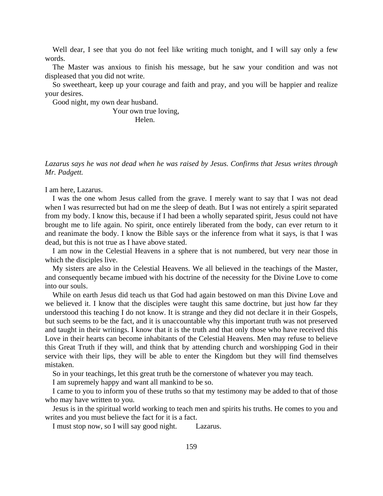Well dear, I see that you do not feel like writing much tonight, and I will say only a few words.

 The Master was anxious to finish his message, but he saw your condition and was not displeased that you did not write.

 So sweetheart, keep up your courage and faith and pray, and you will be happier and realize your desires.

Good night, my own dear husband.

 Your own true loving, Helen.

*Lazarus says he was not dead when he was raised by Jesus. Confirms that Jesus writes through Mr. Padgett.* 

I am here, Lazarus.

 I was the one whom Jesus called from the grave. I merely want to say that I was not dead when I was resurrected but had on me the sleep of death. But I was not entirely a spirit separated from my body. I know this, because if I had been a wholly separated spirit, Jesus could not have brought me to life again. No spirit, once entirely liberated from the body, can ever return to it and reanimate the body. I know the Bible says or the inference from what it says, is that I was dead, but this is not true as I have above stated.

 I am now in the Celestial Heavens in a sphere that is not numbered, but very near those in which the disciples live.

 My sisters are also in the Celestial Heavens. We all believed in the teachings of the Master, and consequently became imbued with his doctrine of the necessity for the Divine Love to come into our souls.

 While on earth Jesus did teach us that God had again bestowed on man this Divine Love and we believed it. I know that the disciples were taught this same doctrine, but just how far they understood this teaching I do not know. It is strange and they did not declare it in their Gospels, but such seems to be the fact, and it is unaccountable why this important truth was not preserved and taught in their writings. I know that it is the truth and that only those who have received this Love in their hearts can become inhabitants of the Celestial Heavens. Men may refuse to believe this Great Truth if they will, and think that by attending church and worshipping God in their service with their lips, they will be able to enter the Kingdom but they will find themselves mistaken.

So in your teachings, let this great truth be the cornerstone of whatever you may teach.

I am supremely happy and want all mankind to be so.

 I came to you to inform you of these truths so that my testimony may be added to that of those who may have written to you.

 Jesus is in the spiritual world working to teach men and spirits his truths. He comes to you and writes and you must believe the fact for it is a fact.

I must stop now, so I will say good night. Lazarus.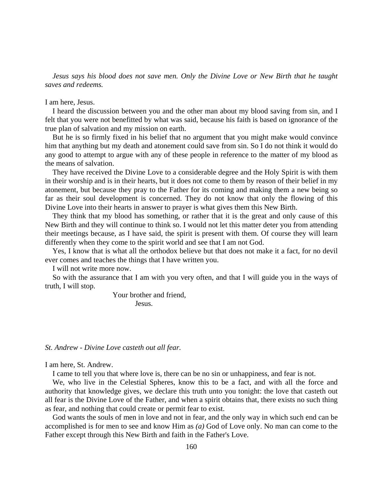*Jesus says his blood does not save men. Only the Divine Love or New Birth that he taught saves and redeems.* 

I am here, Jesus.

 I heard the discussion between you and the other man about my blood saving from sin, and I felt that you were not benefitted by what was said, because his faith is based on ignorance of the true plan of salvation and my mission on earth.

 But he is so firmly fixed in his belief that no argument that you might make would convince him that anything but my death and atonement could save from sin. So I do not think it would do any good to attempt to argue with any of these people in reference to the matter of my blood as the means of salvation.

 They have received the Divine Love to a considerable degree and the Holy Spirit is with them in their worship and is in their hearts, but it does not come to them by reason of their belief in my atonement, but because they pray to the Father for its coming and making them a new being so far as their soul development is concerned. They do not know that only the flowing of this Divine Love into their hearts in answer to prayer is what gives them this New Birth.

 They think that my blood has something, or rather that it is the great and only cause of this New Birth and they will continue to think so. I would not let this matter deter you from attending their meetings because, as I have said, the spirit is present with them. Of course they will learn differently when they come to the spirit world and see that I am not God.

 Yes, I know that is what all the orthodox believe but that does not make it a fact, for no devil ever comes and teaches the things that I have written you.

I will not write more now.

 So with the assurance that I am with you very often, and that I will guide you in the ways of truth, I will stop.

> Your brother and friend, Jesus.

*St. Andrew - Divine Love casteth out all fear.* 

I am here, St. Andrew.

I came to tell you that where love is, there can be no sin or unhappiness, and fear is not.

 We, who live in the Celestial Spheres, know this to be a fact, and with all the force and authority that knowledge gives, we declare this truth unto you tonight: the love that casteth out all fear is the Divine Love of the Father, and when a spirit obtains that, there exists no such thing as fear, and nothing that could create or permit fear to exist.

 God wants the souls of men in love and not in fear, and the only way in which such end can be accomplished is for men to see and know Him as *(a)* God of Love only. No man can come to the Father except through this New Birth and faith in the Father's Love.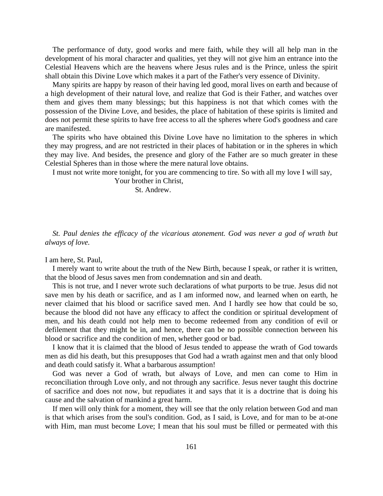The performance of duty, good works and mere faith, while they will all help man in the development of his moral character and qualities, yet they will not give him an entrance into the Celestial Heavens which are the heavens where Jesus rules and is the Prince, unless the spirit shall obtain this Divine Love which makes it a part of the Father's very essence of Divinity.

 Many spirits are happy by reason of their having led good, moral lives on earth and because of a high development of their natural love, and realize that God is their Father, and watches over them and gives them many blessings; but this happiness is not that which comes with the possession of the Divine Love, and besides, the place of habitation of these spirits is limited and does not permit these spirits to have free access to all the spheres where God's goodness and care are manifested.

 The spirits who have obtained this Divine Love have no limitation to the spheres in which they may progress, and are not restricted in their places of habitation or in the spheres in which they may live. And besides, the presence and glory of the Father are so much greater in these Celestial Spheres than in those where the mere natural love obtains.

I must not write more tonight, for you are commencing to tire. So with all my love I will say,

Your brother in Christ,

St. Andrew.

 *St. Paul denies the efficacy of the vicarious atonement. God was never a god of wrath but always of love.* 

# I am here, St. Paul,

 I merely want to write about the truth of the New Birth, because I speak, or rather it is written, that the blood of Jesus saves men from condemnation and sin and death.

 This is not true, and I never wrote such declarations of what purports to be true. Jesus did not save men by his death or sacrifice, and as I am informed now, and learned when on earth, he never claimed that his blood or sacrifice saved men. And I hardly see how that could be so, because the blood did not have any efficacy to affect the condition or spiritual development of men, and his death could not help men to become redeemed from any condition of evil or defilement that they might be in, and hence, there can be no possible connection between his blood or sacrifice and the condition of men, whether good or bad.

 I know that it is claimed that the blood of Jesus tended to appease the wrath of God towards men as did his death, but this presupposes that God had a wrath against men and that only blood and death could satisfy it. What a barbarous assumption!

 God was never a God of wrath, but always of Love, and men can come to Him in reconciliation through Love only, and not through any sacrifice. Jesus never taught this doctrine of sacrifice and does not now, but repudiates it and says that it is a doctrine that is doing his cause and the salvation of mankind a great harm.

 If men will only think for a moment, they will see that the only relation between God and man is that which arises from the soul's condition. God, as I said, is Love, and for man to be at-one with Him, man must become Love; I mean that his soul must be filled or permeated with this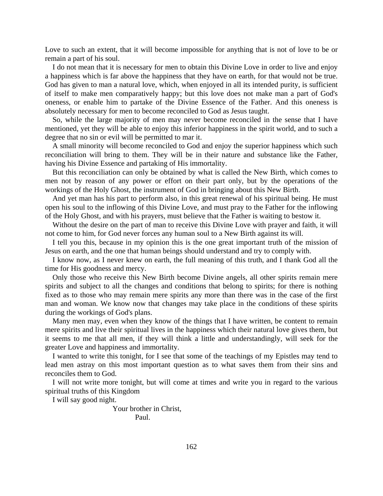Love to such an extent, that it will become impossible for anything that is not of love to be or remain a part of his soul.

 I do not mean that it is necessary for men to obtain this Divine Love in order to live and enjoy a happiness which is far above the happiness that they have on earth, for that would not be true. God has given to man a natural love, which, when enjoyed in all its intended purity, is sufficient of itself to make men comparatively happy; but this love does not make man a part of God's oneness, or enable him to partake of the Divine Essence of the Father. And this oneness is absolutely necessary for men to become reconciled to God as Jesus taught.

 So, while the large majority of men may never become reconciled in the sense that I have mentioned, yet they will be able to enjoy this inferior happiness in the spirit world, and to such a degree that no sin or evil will be permitted to mar it.

 A small minority will become reconciled to God and enjoy the superior happiness which such reconciliation will bring to them. They will be in their nature and substance like the Father, having his Divine Essence and partaking of His immortality.

 But this reconciliation can only be obtained by what is called the New Birth, which comes to men not by reason of any power or effort on their part only, but by the operations of the workings of the Holy Ghost, the instrument of God in bringing about this New Birth.

 And yet man has his part to perform also, in this great renewal of his spiritual being. He must open his soul to the inflowing of this Divine Love, and must pray to the Father for the inflowing of the Holy Ghost, and with his prayers, must believe that the Father is waiting to bestow it.

 Without the desire on the part of man to receive this Divine Love with prayer and faith, it will not come to him, for God never forces any human soul to a New Birth against its will.

 I tell you this, because in my opinion this is the one great important truth of the mission of Jesus on earth, and the one that human beings should understand and try to comply with.

 I know now, as I never knew on earth, the full meaning of this truth, and I thank God all the time for His goodness and mercy.

 Only those who receive this New Birth become Divine angels, all other spirits remain mere spirits and subject to all the changes and conditions that belong to spirits; for there is nothing fixed as to those who may remain mere spirits any more than there was in the case of the first man and woman. We know now that changes may take place in the conditions of these spirits during the workings of God's plans.

 Many men may, even when they know of the things that I have written, be content to remain mere spirits and live their spiritual lives in the happiness which their natural love gives them, but it seems to me that all men, if they will think a little and understandingly, will seek for the greater Love and happiness and immortality.

 I wanted to write this tonight, for I see that some of the teachings of my Epistles may tend to lead men astray on this most important question as to what saves them from their sins and reconciles them to God.

 I will not write more tonight, but will come at times and write you in regard to the various spiritual truths of this Kingdom

I will say good night.

 Your brother in Christ, Paul.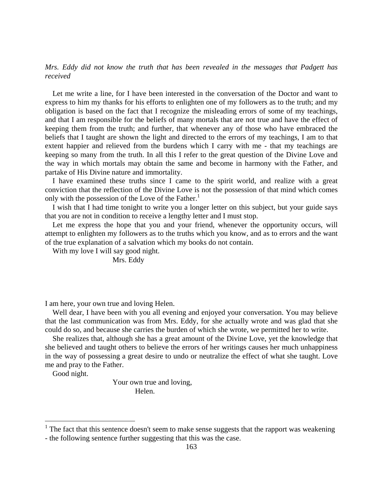# *Mrs. Eddy did not know the truth that has been revealed in the messages that Padgett has received*

 Let me write a line, for I have been interested in the conversation of the Doctor and want to express to him my thanks for his efforts to enlighten one of my followers as to the truth; and my obligation is based on the fact that I recognize the misleading errors of some of my teachings, and that I am responsible for the beliefs of many mortals that are not true and have the effect of keeping them from the truth; and further, that whenever any of those who have embraced the beliefs that I taught are shown the light and directed to the errors of my teachings, I am to that extent happier and relieved from the burdens which I carry with me - that my teachings are keeping so many from the truth. In all this I refer to the great question of the Divine Love and the way in which mortals may obtain the same and become in harmony with the Father, and partake of His Divine nature and immortality.

 I have examined these truths since I came to the spirit world, and realize with a great conviction that the reflection of the Divine Love is not the possession of that mind which comes only with the possession of the Love of the Father.<sup>1</sup>

 I wish that I had time tonight to write you a longer letter on this subject, but your guide says that you are not in condition to receive a lengthy letter and I must stop.

 Let me express the hope that you and your friend, whenever the opportunity occurs, will attempt to enlighten my followers as to the truths which you know, and as to errors and the want of the true explanation of a salvation which my books do not contain.

With my love I will say good night.

Mrs. Eddy

I am here, your own true and loving Helen.

 Well dear, I have been with you all evening and enjoyed your conversation. You may believe that the last communication was from Mrs. Eddy, for she actually wrote and was glad that she could do so, and because she carries the burden of which she wrote, we permitted her to write.

 She realizes that, although she has a great amount of the Divine Love, yet the knowledge that she believed and taught others to believe the errors of her writings causes her much unhappiness in the way of possessing a great desire to undo or neutralize the effect of what she taught. Love me and pray to the Father.

Good night.

<u>.</u>

 Your own true and loving, Helen.

 $<sup>1</sup>$  The fact that this sentence doesn't seem to make sense suggests that the rapport was weakening</sup>

<sup>-</sup> the following sentence further suggesting that this was the case.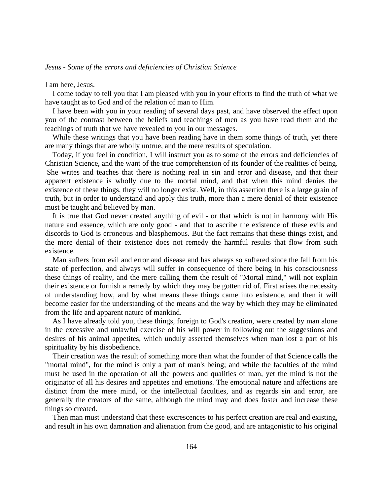### *Jesus - Some of the errors and deficiencies of Christian Science*

#### I am here, Jesus.

 I come today to tell you that I am pleased with you in your efforts to find the truth of what we have taught as to God and of the relation of man to Him.

 I have been with you in your reading of several days past, and have observed the effect upon you of the contrast between the beliefs and teachings of men as you have read them and the teachings of truth that we have revealed to you in our messages.

While these writings that you have been reading have in them some things of truth, yet there are many things that are wholly untrue, and the mere results of speculation.

 Today, if you feel in condition, I will instruct you as to some of the errors and deficiencies of Christian Science, and the want of the true comprehension of its founder of the realities of being. She writes and teaches that there is nothing real in sin and error and disease, and that their apparent existence is wholly due to the mortal mind, and that when this mind denies the existence of these things, they will no longer exist. Well, in this assertion there is a large grain of truth, but in order to understand and apply this truth, more than a mere denial of their existence must be taught and believed by man.

 It is true that God never created anything of evil - or that which is not in harmony with His nature and essence, which are only good - and that to ascribe the existence of these evils and discords to God is erroneous and blasphemous. But the fact remains that these things exist, and the mere denial of their existence does not remedy the harmful results that flow from such existence.

 Man suffers from evil and error and disease and has always so suffered since the fall from his state of perfection, and always will suffer in consequence of there being in his consciousness these things of reality, and the mere calling them the result of "Mortal mind," will not explain their existence or furnish a remedy by which they may be gotten rid of. First arises the necessity of understanding how, and by what means these things came into existence, and then it will become easier for the understanding of the means and the way by which they may be eliminated from the life and apparent nature of mankind.

 As I have already told you, these things, foreign to God's creation, were created by man alone in the excessive and unlawful exercise of his will power in following out the suggestions and desires of his animal appetites, which unduly asserted themselves when man lost a part of his spirituality by his disobedience.

 Their creation was the result of something more than what the founder of that Science calls the "mortal mind", for the mind is only a part of man's being; and while the faculties of the mind must be used in the operation of all the powers and qualities of man, yet the mind is not the originator of all his desires and appetites and emotions. The emotional nature and affections are distinct from the mere mind, or the intellectual faculties, and as regards sin and error, are generally the creators of the same, although the mind may and does foster and increase these things so created.

 Then man must understand that these excrescences to his perfect creation are real and existing, and result in his own damnation and alienation from the good, and are antagonistic to his original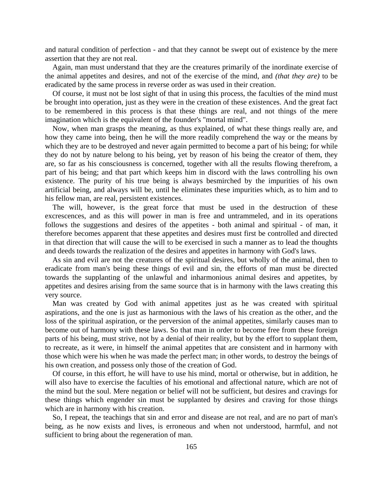and natural condition of perfection - and that they cannot be swept out of existence by the mere assertion that they are not real.

 Again, man must understand that they are the creatures primarily of the inordinate exercise of the animal appetites and desires, and not of the exercise of the mind, and *(that they are)* to be eradicated by the same process in reverse order as was used in their creation.

 Of course, it must not be lost sight of that in using this process, the faculties of the mind must be brought into operation, just as they were in the creation of these existences. And the great fact to be remembered in this process is that these things are real, and not things of the mere imagination which is the equivalent of the founder's "mortal mind".

 Now, when man grasps the meaning, as thus explained, of what these things really are, and how they came into being, then he will the more readily comprehend the way or the means by which they are to be destroyed and never again permitted to become a part of his being; for while they do not by nature belong to his being, yet by reason of his being the creator of them, they are, so far as his consciousness is concerned, together with all the results flowing therefrom, a part of his being; and that part which keeps him in discord with the laws controlling his own existence. The purity of his true being is always besmirched by the impurities of his own artificial being, and always will be, until he eliminates these impurities which, as to him and to his fellow man, are real, persistent existences.

 The will, however, is the great force that must be used in the destruction of these excrescences, and as this will power in man is free and untrammeled, and in its operations follows the suggestions and desires of the appetites - both animal and spiritual - of man, it therefore becomes apparent that these appetites and desires must first be controlled and directed in that direction that will cause the will to be exercised in such a manner as to lead the thoughts and deeds towards the realization of the desires and appetites in harmony with God's laws.

 As sin and evil are not the creatures of the spiritual desires, but wholly of the animal, then to eradicate from man's being these things of evil and sin, the efforts of man must be directed towards the supplanting of the unlawful and inharmonious animal desires and appetites, by appetites and desires arising from the same source that is in harmony with the laws creating this very source.

 Man was created by God with animal appetites just as he was created with spiritual aspirations, and the one is just as harmonious with the laws of his creation as the other, and the loss of the spiritual aspiration, or the perversion of the animal appetites, similarly causes man to become out of harmony with these laws. So that man in order to become free from these foreign parts of his being, must strive, not by a denial of their reality, but by the effort to supplant them, to recreate, as it were, in himself the animal appetites that are consistent and in harmony with those which were his when he was made the perfect man; in other words, to destroy the beings of his own creation, and possess only those of the creation of God.

 Of course, in this effort, he will have to use his mind, mortal or otherwise, but in addition, he will also have to exercise the faculties of his emotional and affectional nature, which are not of the mind but the soul. Mere negation or belief will not be sufficient, but desires and cravings for these things which engender sin must be supplanted by desires and craving for those things which are in harmony with his creation.

 So, I repeat, the teachings that sin and error and disease are not real, and are no part of man's being, as he now exists and lives, is erroneous and when not understood, harmful, and not sufficient to bring about the regeneration of man.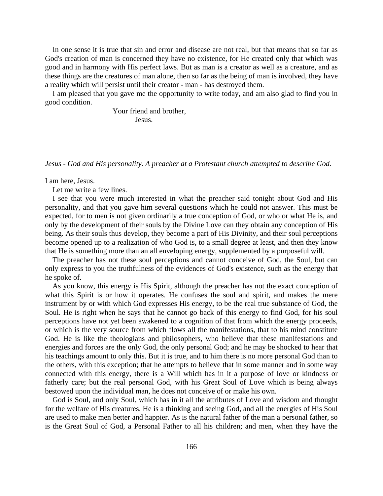In one sense it is true that sin and error and disease are not real, but that means that so far as God's creation of man is concerned they have no existence, for He created only that which was good and in harmony with His perfect laws. But as man is a creator as well as a creature, and as these things are the creatures of man alone, then so far as the being of man is involved, they have a reality which will persist until their creator - man - has destroyed them.

 I am pleased that you gave me the opportunity to write today, and am also glad to find you in good condition.

> Your friend and brother, Jesus.

*Jesus - God and His personality. A preacher at a Protestant church attempted to describe God.* 

I am here, Jesus.

Let me write a few lines.

 I see that you were much interested in what the preacher said tonight about God and His personality, and that you gave him several questions which he could not answer. This must be expected, for to men is not given ordinarily a true conception of God, or who or what He is, and only by the development of their souls by the Divine Love can they obtain any conception of His being. As their souls thus develop, they become a part of His Divinity, and their soul perceptions become opened up to a realization of who God is, to a small degree at least, and then they know that He is something more than an all enveloping energy, supplemented by a purposeful will.

 The preacher has not these soul perceptions and cannot conceive of God, the Soul, but can only express to you the truthfulness of the evidences of God's existence, such as the energy that he spoke of.

 As you know, this energy is His Spirit, although the preacher has not the exact conception of what this Spirit is or how it operates. He confuses the soul and spirit, and makes the mere instrument by or with which God expresses His energy, to be the real true substance of God, the Soul. He is right when he says that he cannot go back of this energy to find God, for his soul perceptions have not yet been awakened to a cognition of that from which the energy proceeds, or which is the very source from which flows all the manifestations, that to his mind constitute God. He is like the theologians and philosophers, who believe that these manifestations and energies and forces are the only God, the only personal God; and he may be shocked to hear that his teachings amount to only this. But it is true, and to him there is no more personal God than to the others, with this exception; that he attempts to believe that in some manner and in some way connected with this energy, there is a Will which has in it a purpose of love or kindness or fatherly care; but the real personal God, with his Great Soul of Love which is being always bestowed upon the individual man, he does not conceive of or make his own.

 God is Soul, and only Soul, which has in it all the attributes of Love and wisdom and thought for the welfare of His creatures. He is a thinking and seeing God, and all the energies of His Soul are used to make men better and happier. As is the natural father of the man a personal father, so is the Great Soul of God, a Personal Father to all his children; and men, when they have the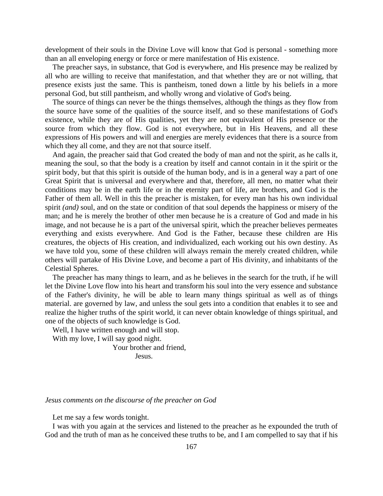development of their souls in the Divine Love will know that God is personal - something more than an all enveloping energy or force or mere manifestation of His existence.

 The preacher says, in substance, that God is everywhere, and His presence may be realized by all who are willing to receive that manifestation, and that whether they are or not willing, that presence exists just the same. This is pantheism, toned down a little by his beliefs in a more personal God, but still pantheism, and wholly wrong and violative of God's being.

 The source of things can never be the things themselves, although the things as they flow from the source have some of the qualities of the source itself, and so these manifestations of God's existence, while they are of His qualities, yet they are not equivalent of His presence or the source from which they flow. God is not everywhere, but in His Heavens, and all these expressions of His powers and will and energies are merely evidences that there is a source from which they all come, and they are not that source itself.

 And again, the preacher said that God created the body of man and not the spirit, as he calls it, meaning the soul, so that the body is a creation by itself and cannot contain in it the spirit or the spirit body, but that this spirit is outside of the human body, and is in a general way a part of one Great Spirit that is universal and everywhere and that, therefore, all men, no matter what their conditions may be in the earth life or in the eternity part of life, are brothers, and God is the Father of them all. Well in this the preacher is mistaken, for every man has his own individual spirit *(and)* soul, and on the state or condition of that soul depends the happiness or misery of the man; and he is merely the brother of other men because he is a creature of God and made in his image, and not because he is a part of the universal spirit, which the preacher believes permeates everything and exists everywhere. And God is the Father, because these children are His creatures, the objects of His creation, and individualized, each working out his own destiny. As we have told you, some of these children will always remain the merely created children, while others will partake of His Divine Love, and become a part of His divinity, and inhabitants of the Celestial Spheres.

 The preacher has many things to learn, and as he believes in the search for the truth, if he will let the Divine Love flow into his heart and transform his soul into the very essence and substance of the Father's divinity, he will be able to learn many things spiritual as well as of things material. are governed by law, and unless the soul gets into a condition that enables it to see and realize the higher truths of the spirit world, it can never obtain knowledge of things spiritual, and one of the objects of such knowledge is God.

Well, I have written enough and will stop.

With my love, I will say good night.

 Your brother and friend, Jesus.

*Jesus comments on the discourse of the preacher on God* 

Let me say a few words tonight.

 I was with you again at the services and listened to the preacher as he expounded the truth of God and the truth of man as he conceived these truths to be, and I am compelled to say that if his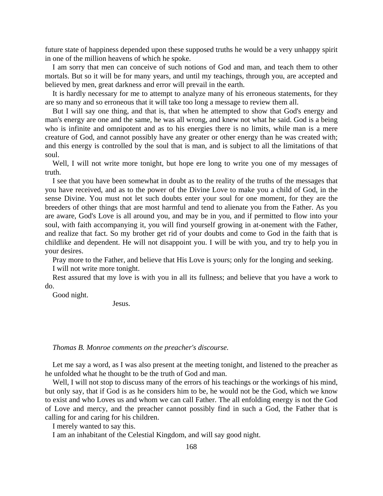future state of happiness depended upon these supposed truths he would be a very unhappy spirit in one of the million heavens of which he spoke.

 I am sorry that men can conceive of such notions of God and man, and teach them to other mortals. But so it will be for many years, and until my teachings, through you, are accepted and believed by men, great darkness and error will prevail in the earth.

 It is hardly necessary for me to attempt to analyze many of his erroneous statements, for they are so many and so erroneous that it will take too long a message to review them all.

 But I will say one thing, and that is, that when he attempted to show that God's energy and man's energy are one and the same, he was all wrong, and knew not what he said. God is a being who is infinite and omnipotent and as to his energies there is no limits, while man is a mere creature of God, and cannot possibly have any greater or other energy than he was created with; and this energy is controlled by the soul that is man, and is subject to all the limitations of that soul.

 Well, I will not write more tonight, but hope ere long to write you one of my messages of truth.

 I see that you have been somewhat in doubt as to the reality of the truths of the messages that you have received, and as to the power of the Divine Love to make you a child of God, in the sense Divine. You must not let such doubts enter your soul for one moment, for they are the breeders of other things that are most harmful and tend to alienate you from the Father. As you are aware, God's Love is all around you, and may be in you, and if permitted to flow into your soul, with faith accompanying it, you will find yourself growing in at-onement with the Father, and realize that fact. So my brother get rid of your doubts and come to God in the faith that is childlike and dependent. He will not disappoint you. I will be with you, and try to help you in your desires.

Pray more to the Father, and believe that His Love is yours; only for the longing and seeking.

I will not write more tonight.

 Rest assured that my love is with you in all its fullness; and believe that you have a work to do.

Good night.

Jesus.

### *Thomas B. Monroe comments on the preacher's discourse.*

 Let me say a word, as I was also present at the meeting tonight, and listened to the preacher as he unfolded what he thought to be the truth of God and man.

Well, I will not stop to discuss many of the errors of his teachings or the workings of his mind, but only say, that if God is as he considers him to be, he would not be the God, which we know to exist and who Loves us and whom we can call Father. The all enfolding energy is not the God of Love and mercy, and the preacher cannot possibly find in such a God, the Father that is calling for and caring for his children.

I merely wanted to say this.

I am an inhabitant of the Celestial Kingdom, and will say good night.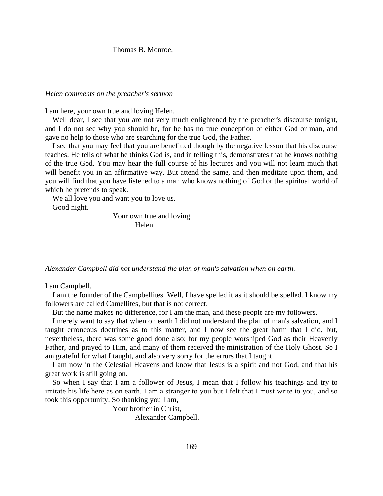### Thomas B. Monroe.

## *Helen comments on the preacher's sermon*

I am here, your own true and loving Helen.

 Well dear, I see that you are not very much enlightened by the preacher's discourse tonight, and I do not see why you should be, for he has no true conception of either God or man, and gave no help to those who are searching for the true God, the Father.

 I see that you may feel that you are benefitted though by the negative lesson that his discourse teaches. He tells of what he thinks God is, and in telling this, demonstrates that he knows nothing of the true God. You may hear the full course of his lectures and you will not learn much that will benefit you in an affirmative way. But attend the same, and then meditate upon them, and you will find that you have listened to a man who knows nothing of God or the spiritual world of which he pretends to speak.

We all love you and want you to love us.

Good night.

 Your own true and loving Helen.

*Alexander Campbell did not understand the plan of man's salvation when on earth.* 

I am Campbell.

 I am the founder of the Campbellites. Well, I have spelled it as it should be spelled. I know my followers are called Camellites, but that is not correct.

But the name makes no difference, for I am the man, and these people are my followers.

 I merely want to say that when on earth I did not understand the plan of man's salvation, and I taught erroneous doctrines as to this matter, and I now see the great harm that I did, but, nevertheless, there was some good done also; for my people worshiped God as their Heavenly Father, and prayed to Him, and many of them received the ministration of the Holy Ghost. So I am grateful for what I taught, and also very sorry for the errors that I taught.

 I am now in the Celestial Heavens and know that Jesus is a spirit and not God, and that his great work is still going on.

 So when I say that I am a follower of Jesus, I mean that I follow his teachings and try to imitate his life here as on earth. I am a stranger to you but I felt that I must write to you, and so took this opportunity. So thanking you I am,

Your brother in Christ,

Alexander Campbell.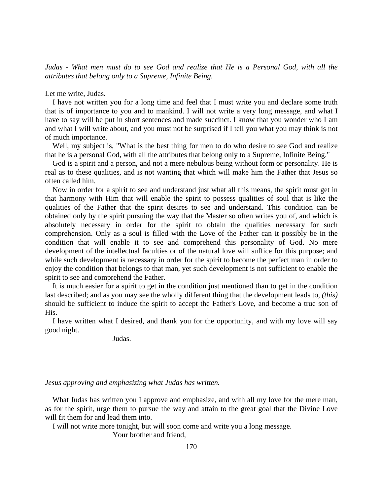*Judas - What men must do to see God and realize that He is a Personal God, with all the attributes that belong only to a Supreme, Infinite Being.* 

Let me write, Judas.

 I have not written you for a long time and feel that I must write you and declare some truth that is of importance to you and to mankind. I will not write a very long message, and what I have to say will be put in short sentences and made succinct. I know that you wonder who I am and what I will write about, and you must not be surprised if I tell you what you may think is not of much importance.

 Well, my subject is, "What is the best thing for men to do who desire to see God and realize that he is a personal God, with all the attributes that belong only to a Supreme, Infinite Being."

 God is a spirit and a person, and not a mere nebulous being without form or personality. He is real as to these qualities, and is not wanting that which will make him the Father that Jesus so often called him.

 Now in order for a spirit to see and understand just what all this means, the spirit must get in that harmony with Him that will enable the spirit to possess qualities of soul that is like the qualities of the Father that the spirit desires to see and understand. This condition can be obtained only by the spirit pursuing the way that the Master so often writes you of, and which is absolutely necessary in order for the spirit to obtain the qualities necessary for such comprehension. Only as a soul is filled with the Love of the Father can it possibly be in the condition that will enable it to see and comprehend this personality of God. No mere development of the intellectual faculties or of the natural love will suffice for this purpose; and while such development is necessary in order for the spirit to become the perfect man in order to enjoy the condition that belongs to that man, yet such development is not sufficient to enable the spirit to see and comprehend the Father.

 It is much easier for a spirit to get in the condition just mentioned than to get in the condition last described; and as you may see the wholly different thing that the development leads to, *(this)*  should be sufficient to induce the spirit to accept the Father's Love, and become a true son of His.

 I have written what I desired, and thank you for the opportunity, and with my love will say good night.

Judas.

*Jesus approving and emphasizing what Judas has written.* 

 What Judas has written you I approve and emphasize, and with all my love for the mere man, as for the spirit, urge them to pursue the way and attain to the great goal that the Divine Love will fit them for and lead them into.

I will not write more tonight, but will soon come and write you a long message.

Your brother and friend,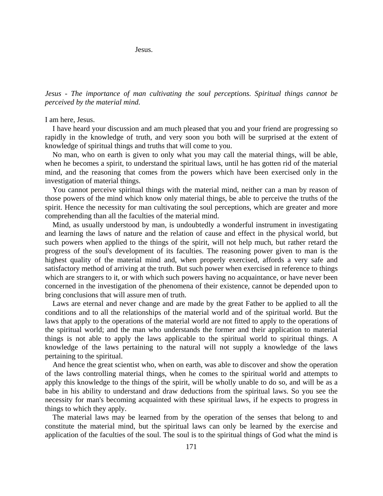Jesus.

*Jesus - The importance of man cultivating the soul perceptions. Spiritual things cannot be perceived by the material mind.* 

I am here, Jesus.

 I have heard your discussion and am much pleased that you and your friend are progressing so rapidly in the knowledge of truth, and very soon you both will be surprised at the extent of knowledge of spiritual things and truths that will come to you.

 No man, who on earth is given to only what you may call the material things, will be able, when he becomes a spirit, to understand the spiritual laws, until he has gotten rid of the material mind, and the reasoning that comes from the powers which have been exercised only in the investigation of material things.

 You cannot perceive spiritual things with the material mind, neither can a man by reason of those powers of the mind which know only material things, be able to perceive the truths of the spirit. Hence the necessity for man cultivating the soul perceptions, which are greater and more comprehending than all the faculties of the material mind.

 Mind, as usually understood by man, is undoubtedly a wonderful instrument in investigating and learning the laws of nature and the relation of cause and effect in the physical world, but such powers when applied to the things of the spirit, will not help much, but rather retard the progress of the soul's development of its faculties. The reasoning power given to man is the highest quality of the material mind and, when properly exercised, affords a very safe and satisfactory method of arriving at the truth. But such power when exercised in reference to things which are strangers to it, or with which such powers having no acquaintance, or have never been concerned in the investigation of the phenomena of their existence, cannot be depended upon to bring conclusions that will assure men of truth.

 Laws are eternal and never change and are made by the great Father to be applied to all the conditions and to all the relationships of the material world and of the spiritual world. But the laws that apply to the operations of the material world are not fitted to apply to the operations of the spiritual world; and the man who understands the former and their application to material things is not able to apply the laws applicable to the spiritual world to spiritual things. A knowledge of the laws pertaining to the natural will not supply a knowledge of the laws pertaining to the spiritual.

 And hence the great scientist who, when on earth, was able to discover and show the operation of the laws controlling material things, when he comes to the spiritual world and attempts to apply this knowledge to the things of the spirit, will be wholly unable to do so, and will be as a babe in his ability to understand and draw deductions from the spiritual laws. So you see the necessity for man's becoming acquainted with these spiritual laws, if he expects to progress in things to which they apply.

 The material laws may be learned from by the operation of the senses that belong to and constitute the material mind, but the spiritual laws can only be learned by the exercise and application of the faculties of the soul. The soul is to the spiritual things of God what the mind is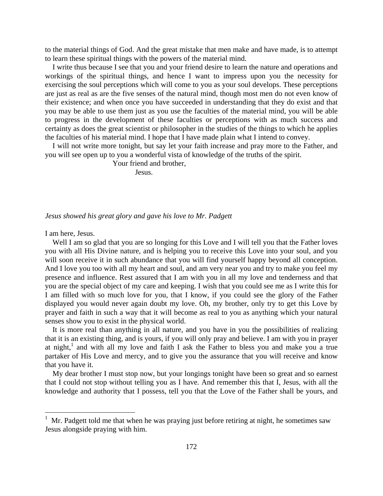to the material things of God. And the great mistake that men make and have made, is to attempt to learn these spiritual things with the powers of the material mind.

 I write thus because I see that you and your friend desire to learn the nature and operations and workings of the spiritual things, and hence I want to impress upon you the necessity for exercising the soul perceptions which will come to you as your soul develops. These perceptions are just as real as are the five senses of the natural mind, though most men do not even know of their existence; and when once you have succeeded in understanding that they do exist and that you may be able to use them just as you use the faculties of the material mind, you will be able to progress in the development of these faculties or perceptions with as much success and certainty as does the great scientist or philosopher in the studies of the things to which he applies the faculties of his material mind. I hope that I have made plain what I intend to convey.

 I will not write more tonight, but say let your faith increase and pray more to the Father, and you will see open up to you a wonderful vista of knowledge of the truths of the spirit.

Your friend and brother,

Jesus.

#### *Jesus showed his great glory and gave his love to Mr. Padgett*

I am here, Jesus.

 $\overline{a}$ 

Well I am so glad that you are so longing for this Love and I will tell you that the Father loves you with all His Divine nature, and is helping you to receive this Love into your soul, and you will soon receive it in such abundance that you will find yourself happy beyond all conception. And I love you too with all my heart and soul, and am very near you and try to make you feel my presence and influence. Rest assured that I am with you in all my love and tenderness and that you are the special object of my care and keeping. I wish that you could see me as I write this for I am filled with so much love for you, that I know, if you could see the glory of the Father displayed you would never again doubt my love. Oh, my brother, only try to get this Love by prayer and faith in such a way that it will become as real to you as anything which your natural senses show you to exist in the physical world.

 It is more real than anything in all nature, and you have in you the possibilities of realizing that it is an existing thing, and is yours, if you will only pray and believe. I am with you in prayer at night,<sup>1</sup> and with all my love and faith I ask the Father to bless you and make you a true partaker of His Love and mercy, and to give you the assurance that you will receive and know that you have it.

 My dear brother I must stop now, but your longings tonight have been so great and so earnest that I could not stop without telling you as I have. And remember this that I, Jesus, with all the knowledge and authority that I possess, tell you that the Love of the Father shall be yours, and

 $1$  Mr. Padgett told me that when he was praying just before retiring at night, he sometimes saw Jesus alongside praying with him.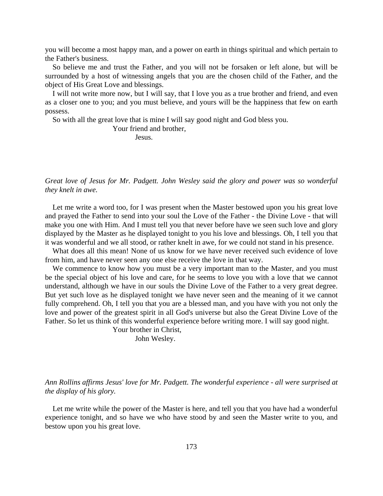you will become a most happy man, and a power on earth in things spiritual and which pertain to the Father's business.

 So believe me and trust the Father, and you will not be forsaken or left alone, but will be surrounded by a host of witnessing angels that you are the chosen child of the Father, and the object of His Great Love and blessings.

 I will not write more now, but I will say, that I love you as a true brother and friend, and even as a closer one to you; and you must believe, and yours will be the happiness that few on earth possess.

So with all the great love that is mine I will say good night and God bless you.

Your friend and brother,

Jesus.

*Great love of Jesus for Mr. Padgett. John Wesley said the glory and power was so wonderful they knelt in awe.* 

 Let me write a word too, for I was present when the Master bestowed upon you his great love and prayed the Father to send into your soul the Love of the Father - the Divine Love - that will make you one with Him. And I must tell you that never before have we seen such love and glory displayed by the Master as he displayed tonight to you his love and blessings. Oh, I tell you that it was wonderful and we all stood, or rather knelt in awe, for we could not stand in his presence.

 What does all this mean! None of us know for we have never received such evidence of love from him, and have never seen any one else receive the love in that way.

 We commence to know how you must be a very important man to the Master, and you must be the special object of his love and care, for he seems to love you with a love that we cannot understand, although we have in our souls the Divine Love of the Father to a very great degree. But yet such love as he displayed tonight we have never seen and the meaning of it we cannot fully comprehend. Oh, I tell you that you are a blessed man, and you have with you not only the love and power of the greatest spirit in all God's universe but also the Great Divine Love of the Father. So let us think of this wonderful experience before writing more. I will say good night.

> Your brother in Christ, John Wesley.

*Ann Rollins affirms Jesus' love for Mr. Padgett. The wonderful experience - all were surprised at the display of his glory.* 

 Let me write while the power of the Master is here, and tell you that you have had a wonderful experience tonight, and so have we who have stood by and seen the Master write to you, and bestow upon you his great love.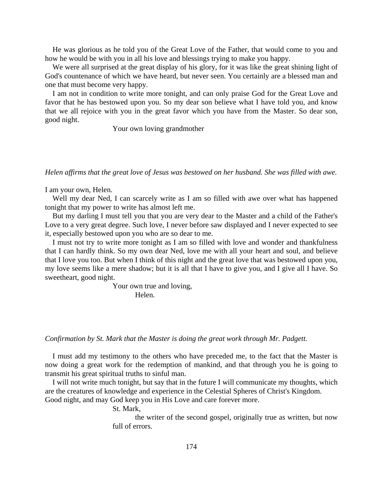He was glorious as he told you of the Great Love of the Father, that would come to you and how he would be with you in all his love and blessings trying to make you happy.

We were all surprised at the great display of his glory, for it was like the great shining light of God's countenance of which we have heard, but never seen. You certainly are a blessed man and one that must become very happy.

 I am not in condition to write more tonight, and can only praise God for the Great Love and favor that he has bestowed upon you. So my dear son believe what I have told you, and know that we all rejoice with you in the great favor which you have from the Master. So dear son, good night.

Your own loving grandmother

*Helen affirms that the great love of Jesus was bestowed on her husband. She was filled with awe.* 

I am your own, Helen.

 Well my dear Ned, I can scarcely write as I am so filled with awe over what has happened tonight that my power to write has almost left me.

 But my darling I must tell you that you are very dear to the Master and a child of the Father's Love to a very great degree. Such love, I never before saw displayed and I never expected to see it, especially bestowed upon you who are so dear to me.

 I must not try to write more tonight as I am so filled with love and wonder and thankfulness that I can hardly think. So my own dear Ned, love me with all your heart and soul, and believe that I love you too. But when I think of this night and the great love that was bestowed upon you, my love seems like a mere shadow; but it is all that I have to give you, and I give all I have. So sweetheart, good night.

> Your own true and loving, Helen.

*Confirmation by St. Mark that the Master is doing the great work through Mr. Padgett.* 

 I must add my testimony to the others who have preceded me, to the fact that the Master is now doing a great work for the redemption of mankind, and that through you he is going to transmit his great spiritual truths to sinful man.

 I will not write much tonight, but say that in the future I will communicate my thoughts, which are the creatures of knowledge and experience in the Celestial Spheres of Christ's Kingdom. Good night, and may God keep you in His Love and care forever more.

St. Mark,

the writer of the second gospel, originally true as written, but now full of errors.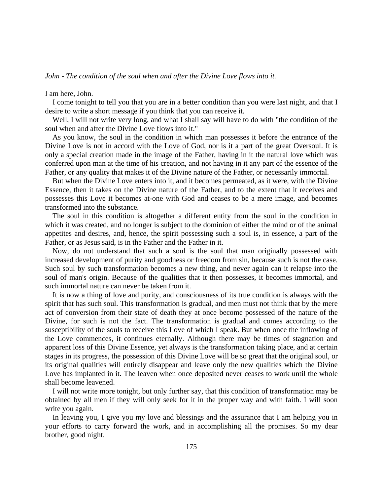# *John - The condition of the soul when and after the Divine Love flows into it.*

#### I am here, John.

 I come tonight to tell you that you are in a better condition than you were last night, and that I desire to write a short message if you think that you can receive it.

 Well, I will not write very long, and what I shall say will have to do with "the condition of the soul when and after the Divine Love flows into it."

 As you know, the soul in the condition in which man possesses it before the entrance of the Divine Love is not in accord with the Love of God, nor is it a part of the great Oversoul. It is only a special creation made in the image of the Father, having in it the natural love which was conferred upon man at the time of his creation, and not having in it any part of the essence of the Father, or any quality that makes it of the Divine nature of the Father, or necessarily immortal.

 But when the Divine Love enters into it, and it becomes permeated, as it were, with the Divine Essence, then it takes on the Divine nature of the Father, and to the extent that it receives and possesses this Love it becomes at-one with God and ceases to be a mere image, and becomes transformed into the substance.

 The soul in this condition is altogether a different entity from the soul in the condition in which it was created, and no longer is subject to the dominion of either the mind or of the animal appetites and desires, and, hence, the spirit possessing such a soul is, in essence, a part of the Father, or as Jesus said, is in the Father and the Father in it.

 Now, do not understand that such a soul is the soul that man originally possessed with increased development of purity and goodness or freedom from sin, because such is not the case. Such soul by such transformation becomes a new thing, and never again can it relapse into the soul of man's origin. Because of the qualities that it then possesses, it becomes immortal, and such immortal nature can never be taken from it.

 It is now a thing of love and purity, and consciousness of its true condition is always with the spirit that has such soul. This transformation is gradual, and men must not think that by the mere act of conversion from their state of death they at once become possessed of the nature of the Divine, for such is not the fact. The transformation is gradual and comes according to the susceptibility of the souls to receive this Love of which I speak. But when once the inflowing of the Love commences, it continues eternally. Although there may be times of stagnation and apparent loss of this Divine Essence, yet always is the transformation taking place, and at certain stages in its progress, the possession of this Divine Love will be so great that the original soul, or its original qualities will entirely disappear and leave only the new qualities which the Divine Love has implanted in it. The leaven when once deposited never ceases to work until the whole shall become leavened.

 I will not write more tonight, but only further say, that this condition of transformation may be obtained by all men if they will only seek for it in the proper way and with faith. I will soon write you again.

 In leaving you, I give you my love and blessings and the assurance that I am helping you in your efforts to carry forward the work, and in accomplishing all the promises. So my dear brother, good night.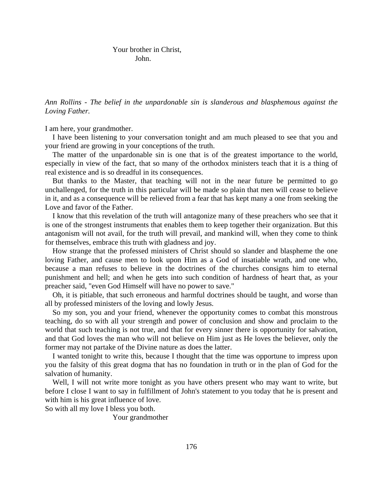Your brother in Christ, John.

*Ann Rollins - The belief in the unpardonable sin is slanderous and blasphemous against the Loving Father.* 

I am here, your grandmother.

 I have been listening to your conversation tonight and am much pleased to see that you and your friend are growing in your conceptions of the truth.

 The matter of the unpardonable sin is one that is of the greatest importance to the world, especially in view of the fact, that so many of the orthodox ministers teach that it is a thing of real existence and is so dreadful in its consequences.

 But thanks to the Master, that teaching will not in the near future be permitted to go unchallenged, for the truth in this particular will be made so plain that men will cease to believe in it, and as a consequence will be relieved from a fear that has kept many a one from seeking the Love and favor of the Father.

 I know that this revelation of the truth will antagonize many of these preachers who see that it is one of the strongest instruments that enables them to keep together their organization. But this antagonism will not avail, for the truth will prevail, and mankind will, when they come to think for themselves, embrace this truth with gladness and joy.

 How strange that the professed ministers of Christ should so slander and blaspheme the one loving Father, and cause men to look upon Him as a God of insatiable wrath, and one who, because a man refuses to believe in the doctrines of the churches consigns him to eternal punishment and hell; and when he gets into such condition of hardness of heart that, as your preacher said, "even God Himself will have no power to save."

 Oh, it is pitiable, that such erroneous and harmful doctrines should be taught, and worse than all by professed ministers of the loving and lowly Jesus.

 So my son, you and your friend, whenever the opportunity comes to combat this monstrous teaching, do so with all your strength and power of conclusion and show and proclaim to the world that such teaching is not true, and that for every sinner there is opportunity for salvation, and that God loves the man who will not believe on Him just as He loves the believer, only the former may not partake of the Divine nature as does the latter.

 I wanted tonight to write this, because I thought that the time was opportune to impress upon you the falsity of this great dogma that has no foundation in truth or in the plan of God for the salvation of humanity.

 Well, I will not write more tonight as you have others present who may want to write, but before I close I want to say in fulfillment of John's statement to you today that he is present and with him is his great influence of love.

So with all my love I bless you both.

Your grandmother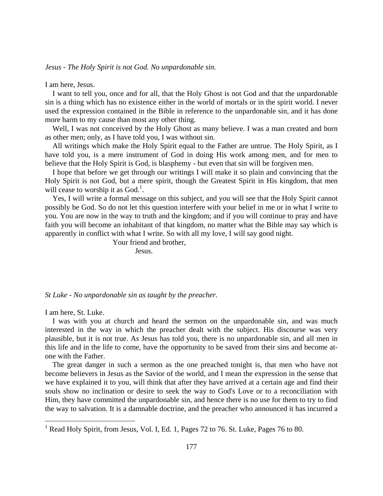## *Jesus - The Holy Spirit is not God. No unpardonable sin.*

#### I am here, Jesus.

 I want to tell you, once and for all, that the Holy Ghost is not God and that the unpardonable sin is a thing which has no existence either in the world of mortals or in the spirit world. I never used the expression contained in the Bible in reference to the unpardonable sin, and it has done more harm to my cause than most any other thing.

 Well, I was not conceived by the Holy Ghost as many believe. I was a man created and born as other men; only, as I have told you, I was without sin.

 All writings which make the Holy Spirit equal to the Father are untrue. The Holy Spirit, as I have told you, is a mere instrument of God in doing His work among men, and for men to believe that the Holy Spirit is God, is blasphemy - but even that sin will be forgiven men.

 I hope that before we get through our writings I will make it so plain and convincing that the Holy Spirit is not God, but a mere spirit, though the Greatest Spirit in His kingdom, that men will cease to worship it as  $God.$ <sup>1</sup>.

 Yes, I will write a formal message on this subject, and you will see that the Holy Spirit cannot possibly be God. So do not let this question interfere with your belief in me or in what I write to you. You are now in the way to truth and the kingdom; and if you will continue to pray and have faith you will become an inhabitant of that kingdom, no matter what the Bible may say which is apparently in conflict with what I write. So with all my love, I will say good night.

Your friend and brother,

Jesus.

### *St Luke - No unpardonable sin as taught by the preacher.*

I am here, St. Luke.

 I was with you at church and heard the sermon on the unpardonable sin, and was much interested in the way in which the preacher dealt with the subject. His discourse was very plausible, but it is not true. As Jesus has told you, there is no unpardonable sin, and all men in this life and in the life to come, have the opportunity to be saved from their sins and become atone with the Father.

 The great danger in such a sermon as the one preached tonight is, that men who have not become believers in Jesus as the Savior of the world, and I mean the expression in the sense that we have explained it to you, will think that after they have arrived at a certain age and find their souls show no inclination or desire to seek the way to God's Love or to a reconciliation with Him, they have committed the unpardonable sin, and hence there is no use for them to try to find the way to salvation. It is a damnable doctrine, and the preacher who announced it has incurred a

 1 Read Holy Spirit, from Jesus, Vol. I, Ed. 1, Pages 72 to 76. St. Luke, Pages 76 to 80.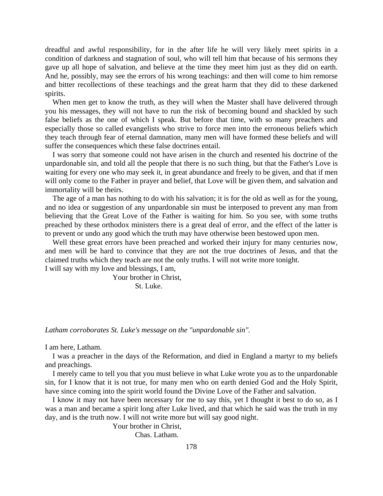dreadful and awful responsibility, for in the after life he will very likely meet spirits in a condition of darkness and stagnation of soul, who will tell him that because of his sermons they gave up all hope of salvation, and believe at the time they meet him just as they did on earth. And he, possibly, may see the errors of his wrong teachings: and then will come to him remorse and bitter recollections of these teachings and the great harm that they did to these darkened spirits.

 When men get to know the truth, as they will when the Master shall have delivered through you his messages, they will not have to run the risk of becoming bound and shackled by such false beliefs as the one of which I speak. But before that time, with so many preachers and especially those so called evangelists who strive to force men into the erroneous beliefs which they teach through fear of eternal damnation, many men will have formed these beliefs and will suffer the consequences which these false doctrines entail.

 I was sorry that someone could not have arisen in the church and resented his doctrine of the unpardonable sin, and told all the people that there is no such thing, but that the Father's Love is waiting for every one who may seek it, in great abundance and freely to be given, and that if men will only come to the Father in prayer and belief, that Love will be given them, and salvation and immortality will be theirs.

 The age of a man has nothing to do with his salvation; it is for the old as well as for the young, and no idea or suggestion of any unpardonable sin must be interposed to prevent any man from believing that the Great Love of the Father is waiting for him. So you see, with some truths preached by these orthodox ministers there is a great deal of error, and the effect of the latter is to prevent or undo any good which the truth may have otherwise been bestowed upon men.

 Well these great errors have been preached and worked their injury for many centuries now, and men will be hard to convince that they are not the true doctrines of Jesus, and that the claimed truths which they teach are not the only truths. I will not write more tonight. I will say with my love and blessings, I am,

> Your brother in Christ, St. Luke.

*Latham corroborates St. Luke's message on the "unpardonable sin".* 

I am here, Latham.

 I was a preacher in the days of the Reformation, and died in England a martyr to my beliefs and preachings.

 I merely came to tell you that you must believe in what Luke wrote you as to the unpardonable sin, for I know that it is not true, for many men who on earth denied God and the Holy Spirit, have since coming into the spirit world found the Divine Love of the Father and salvation.

 I know it may not have been necessary for me to say this, yet I thought it best to do so, as I was a man and became a spirit long after Luke lived, and that which he said was the truth in my day, and is the truth now. I will not write more but will say good night.

Your brother in Christ,

Chas. Latham.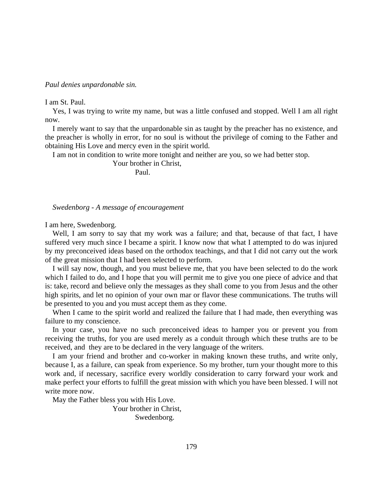*Paul denies unpardonable sin.* 

I am St. Paul.

 Yes, I was trying to write my name, but was a little confused and stopped. Well I am all right now.

 I merely want to say that the unpardonable sin as taught by the preacher has no existence, and the preacher is wholly in error, for no soul is without the privilege of coming to the Father and obtaining His Love and mercy even in the spirit world.

I am not in condition to write more tonight and neither are you, so we had better stop.

Your brother in Christ,

Paul.

 *Swedenborg - A message of encouragement* 

I am here, Swedenborg.

 Well, I am sorry to say that my work was a failure; and that, because of that fact, I have suffered very much since I became a spirit. I know now that what I attempted to do was injured by my preconceived ideas based on the orthodox teachings, and that I did not carry out the work of the great mission that I had been selected to perform.

 I will say now, though, and you must believe me, that you have been selected to do the work which I failed to do, and I hope that you will permit me to give you one piece of advice and that is: take, record and believe only the messages as they shall come to you from Jesus and the other high spirits, and let no opinion of your own mar or flavor these communications. The truths will be presented to you and you must accept them as they come.

When I came to the spirit world and realized the failure that I had made, then everything was failure to my conscience.

 In your case, you have no such preconceived ideas to hamper you or prevent you from receiving the truths, for you are used merely as a conduit through which these truths are to be received, and they are to be declared in the very language of the writers.

 I am your friend and brother and co-worker in making known these truths, and write only, because I, as a failure, can speak from experience. So my brother, turn your thought more to this work and, if necessary, sacrifice every worldly consideration to carry forward your work and make perfect your efforts to fulfill the great mission with which you have been blessed. I will not write more now.

May the Father bless you with His Love.

 Your brother in Christ, Swedenborg.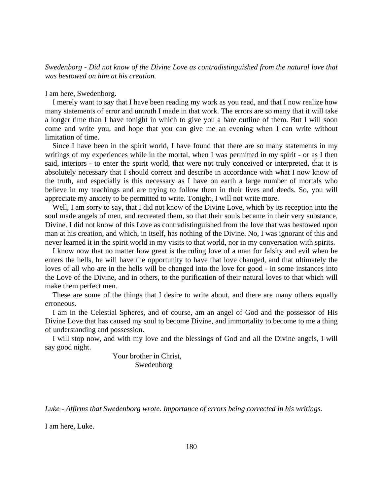*Swedenborg - Did not know of the Divine Love as contradistinguished from the natural love that was bestowed on him at his creation.* 

I am here, Swedenborg.

 I merely want to say that I have been reading my work as you read, and that I now realize how many statements of error and untruth I made in that work. The errors are so many that it will take a longer time than I have tonight in which to give you a bare outline of them. But I will soon come and write you, and hope that you can give me an evening when I can write without limitation of time.

 Since I have been in the spirit world, I have found that there are so many statements in my writings of my experiences while in the mortal, when I was permitted in my spirit - or as I then said, interiors - to enter the spirit world, that were not truly conceived or interpreted, that it is absolutely necessary that I should correct and describe in accordance with what I now know of the truth, and especially is this necessary as I have on earth a large number of mortals who believe in my teachings and are trying to follow them in their lives and deeds. So, you will appreciate my anxiety to be permitted to write. Tonight, I will not write more.

 Well, I am sorry to say, that I did not know of the Divine Love, which by its reception into the soul made angels of men, and recreated them, so that their souls became in their very substance, Divine. I did not know of this Love as contradistinguished from the love that was bestowed upon man at his creation, and which, in itself, has nothing of the Divine. No, I was ignorant of this and never learned it in the spirit world in my visits to that world, nor in my conversation with spirits.

 I know now that no matter how great is the ruling love of a man for falsity and evil when he enters the hells, he will have the opportunity to have that love changed, and that ultimately the loves of all who are in the hells will be changed into the love for good - in some instances into the Love of the Divine, and in others, to the purification of their natural loves to that which will make them perfect men.

 These are some of the things that I desire to write about, and there are many others equally erroneous.

 I am in the Celestial Spheres, and of course, am an angel of God and the possessor of His Divine Love that has caused my soul to become Divine, and immortality to become to me a thing of understanding and possession.

 I will stop now, and with my love and the blessings of God and all the Divine angels, I will say good night.

> Your brother in Christ, Swedenborg

*Luke - Affirms that Swedenborg wrote. Importance of errors being corrected in his writings.* 

I am here, Luke.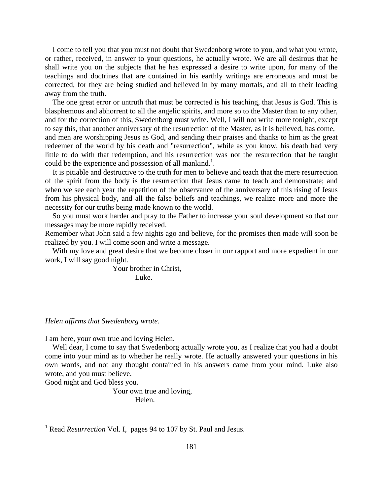I come to tell you that you must not doubt that Swedenborg wrote to you, and what you wrote, or rather, received, in answer to your questions, he actually wrote. We are all desirous that he shall write you on the subjects that he has expressed a desire to write upon, for many of the teachings and doctrines that are contained in his earthly writings are erroneous and must be corrected, for they are being studied and believed in by many mortals, and all to their leading away from the truth.

 The one great error or untruth that must be corrected is his teaching, that Jesus is God. This is blasphemous and abhorrent to all the angelic spirits, and more so to the Master than to any other, and for the correction of this, Swedenborg must write. Well, I will not write more tonight, except to say this, that another anniversary of the resurrection of the Master, as it is believed, has come, and men are worshipping Jesus as God, and sending their praises and thanks to him as the great redeemer of the world by his death and "resurrection", while as you know, his death had very little to do with that redemption, and his resurrection was not the resurrection that he taught could be the experience and possession of all mankind.<sup>1</sup>.

 It is pitiable and destructive to the truth for men to believe and teach that the mere resurrection of the spirit from the body is the resurrection that Jesus came to teach and demonstrate; and when we see each year the repetition of the observance of the anniversary of this rising of Jesus from his physical body, and all the false beliefs and teachings, we realize more and more the necessity for our truths being made known to the world.

 So you must work harder and pray to the Father to increase your soul development so that our messages may be more rapidly received.

Remember what John said a few nights ago and believe, for the promises then made will soon be realized by you. I will come soon and write a message.

 With my love and great desire that we become closer in our rapport and more expedient in our work, I will say good night.

> Your brother in Christ, Luke.

## *Helen affirms that Swedenborg wrote.*

I am here, your own true and loving Helen.

 Well dear, I come to say that Swedenborg actually wrote you, as I realize that you had a doubt come into your mind as to whether he really wrote. He actually answered your questions in his own words, and not any thought contained in his answers came from your mind. Luke also wrote, and you must believe.

Good night and God bless you.

 $\overline{a}$ 

 Your own true and loving, Helen.

<sup>&</sup>lt;sup>1</sup> Read *Resurrection* Vol. I, pages 94 to 107 by St. Paul and Jesus.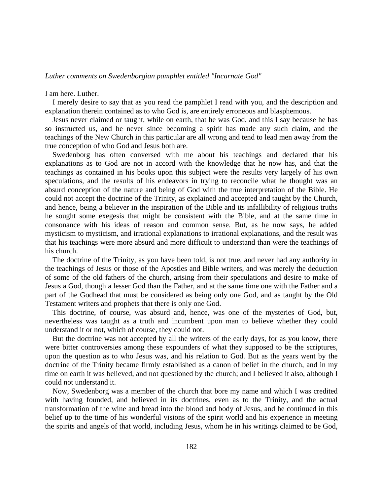## *Luther comments on Swedenborgian pamphlet entitled "Incarnate God"*

I am here. Luther.

 I merely desire to say that as you read the pamphlet I read with you, and the description and explanation therein contained as to who God is, are entirely erroneous and blasphemous.

 Jesus never claimed or taught, while on earth, that he was God, and this I say because he has so instructed us, and he never since becoming a spirit has made any such claim, and the teachings of the New Church in this particular are all wrong and tend to lead men away from the true conception of who God and Jesus both are.

 Swedenborg has often conversed with me about his teachings and declared that his explanations as to God are not in accord with the knowledge that he now has, and that the teachings as contained in his books upon this subject were the results very largely of his own speculations, and the results of his endeavors in trying to reconcile what he thought was an absurd conception of the nature and being of God with the true interpretation of the Bible. He could not accept the doctrine of the Trinity, as explained and accepted and taught by the Church, and hence, being a believer in the inspiration of the Bible and its infallibility of religious truths he sought some exegesis that might be consistent with the Bible, and at the same time in consonance with his ideas of reason and common sense. But, as he now says, he added mysticism to mysticism, and irrational explanations to irrational explanations, and the result was that his teachings were more absurd and more difficult to understand than were the teachings of his church.

 The doctrine of the Trinity, as you have been told, is not true, and never had any authority in the teachings of Jesus or those of the Apostles and Bible writers, and was merely the deduction of some of the old fathers of the church, arising from their speculations and desire to make of Jesus a God, though a lesser God than the Father, and at the same time one with the Father and a part of the Godhead that must be considered as being only one God, and as taught by the Old Testament writers and prophets that there is only one God.

 This doctrine, of course, was absurd and, hence, was one of the mysteries of God, but, nevertheless was taught as a truth and incumbent upon man to believe whether they could understand it or not, which of course, they could not.

 But the doctrine was not accepted by all the writers of the early days, for as you know, there were bitter controversies among these expounders of what they supposed to be the scriptures, upon the question as to who Jesus was, and his relation to God. But as the years went by the doctrine of the Trinity became firmly established as a canon of belief in the church, and in my time on earth it was believed, and not questioned by the church; and I believed it also, although I could not understand it.

 Now, Swedenborg was a member of the church that bore my name and which I was credited with having founded, and believed in its doctrines, even as to the Trinity, and the actual transformation of the wine and bread into the blood and body of Jesus, and he continued in this belief up to the time of his wonderful visions of the spirit world and his experience in meeting the spirits and angels of that world, including Jesus, whom he in his writings claimed to be God,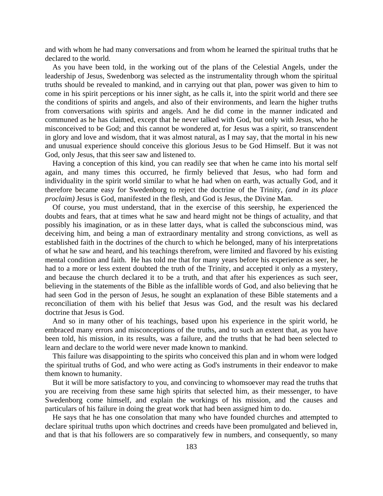and with whom he had many conversations and from whom he learned the spiritual truths that he declared to the world.

 As you have been told, in the working out of the plans of the Celestial Angels, under the leadership of Jesus, Swedenborg was selected as the instrumentality through whom the spiritual truths should be revealed to mankind, and in carrying out that plan, power was given to him to come in his spirit perceptions or his inner sight, as he calls it, into the spirit world and there see the conditions of spirits and angels, and also of their environments, and learn the higher truths from conversations with spirits and angels. And he did come in the manner indicated and communed as he has claimed, except that he never talked with God, but only with Jesus, who he misconceived to be God; and this cannot be wondered at, for Jesus was a spirit, so transcendent in glory and love and wisdom, that it was almost natural, as I may say, that the mortal in his new and unusual experience should conceive this glorious Jesus to be God Himself. But it was not God, only Jesus, that this seer saw and listened to.

 Having a conception of this kind, you can readily see that when he came into his mortal self again, and many times this occurred, he firmly believed that Jesus, who had form and individuality in the spirit world similar to what he had when on earth, was actually God, and it therefore became easy for Swedenborg to reject the doctrine of the Trinity, *(and in its place proclaim)* Jesus is God, manifested in the flesh, and God is Jesus, the Divine Man.

 Of course, you must understand, that in the exercise of this seership, he experienced the doubts and fears, that at times what he saw and heard might not be things of actuality, and that possibly his imagination, or as in these latter days, what is called the subconscious mind, was deceiving him, and being a man of extraordinary mentality and strong convictions, as well as established faith in the doctrines of the church to which he belonged, many of his interpretations of what he saw and heard, and his teachings therefrom, were limited and flavored by his existing mental condition and faith. He has told me that for many years before his experience as seer, he had to a more or less extent doubted the truth of the Trinity, and accepted it only as a mystery, and because the church declared it to be a truth, and that after his experiences as such seer, believing in the statements of the Bible as the infallible words of God, and also believing that he had seen God in the person of Jesus, he sought an explanation of these Bible statements and a reconciliation of them with his belief that Jesus was God, and the result was his declared doctrine that Jesus is God.

 And so in many other of his teachings, based upon his experience in the spirit world, he embraced many errors and misconceptions of the truths, and to such an extent that, as you have been told, his mission, in its results, was a failure, and the truths that he had been selected to learn and declare to the world were never made known to mankind.

 This failure was disappointing to the spirits who conceived this plan and in whom were lodged the spiritual truths of God, and who were acting as God's instruments in their endeavor to make them known to humanity.

 But it will be more satisfactory to you, and convincing to whomsoever may read the truths that you are receiving from these same high spirits that selected him, as their messenger, to have Swedenborg come himself, and explain the workings of his mission, and the causes and particulars of his failure in doing the great work that had been assigned him to do.

 He says that he has one consolation that many who have founded churches and attempted to declare spiritual truths upon which doctrines and creeds have been promulgated and believed in, and that is that his followers are so comparatively few in numbers, and consequently, so many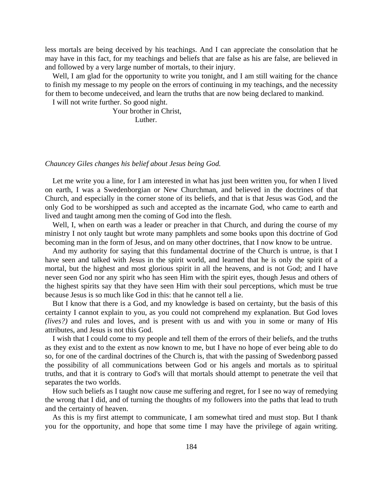less mortals are being deceived by his teachings. And I can appreciate the consolation that he may have in this fact, for my teachings and beliefs that are false as his are false, are believed in and followed by a very large number of mortals, to their injury.

Well, I am glad for the opportunity to write you tonight, and I am still waiting for the chance to finish my message to my people on the errors of continuing in my teachings, and the necessity for them to become undeceived, and learn the truths that are now being declared to mankind.

I will not write further. So good night.

 Your brother in Christ, Luther.

#### *Chauncey Giles changes his belief about Jesus being God.*

Let me write you a line, for I am interested in what has just been written you, for when I lived on earth, I was a Swedenborgian or New Churchman, and believed in the doctrines of that Church, and especially in the corner stone of its beliefs, and that is that Jesus was God, and the only God to be worshipped as such and accepted as the incarnate God, who came to earth and lived and taught among men the coming of God into the flesh.

 Well, I, when on earth was a leader or preacher in that Church, and during the course of my ministry I not only taught but wrote many pamphlets and some books upon this doctrine of God becoming man in the form of Jesus, and on many other doctrines, that I now know to be untrue.

 And my authority for saying that this fundamental doctrine of the Church is untrue, is that I have seen and talked with Jesus in the spirit world, and learned that he is only the spirit of a mortal, but the highest and most glorious spirit in all the heavens, and is not God; and I have never seen God nor any spirit who has seen Him with the spirit eyes, though Jesus and others of the highest spirits say that they have seen Him with their soul perceptions, which must be true because Jesus is so much like God in this: that he cannot tell a lie.

 But I know that there is a God, and my knowledge is based on certainty, but the basis of this certainty I cannot explain to you, as you could not comprehend my explanation. But God loves *(lives?)* and rules and loves, and is present with us and with you in some or many of His attributes, and Jesus is not this God.

 I wish that I could come to my people and tell them of the errors of their beliefs, and the truths as they exist and to the extent as now known to me, but I have no hope of ever being able to do so, for one of the cardinal doctrines of the Church is, that with the passing of Swedenborg passed the possibility of all communications between God or his angels and mortals as to spiritual truths, and that it is contrary to God's will that mortals should attempt to penetrate the veil that separates the two worlds.

 How such beliefs as I taught now cause me suffering and regret, for I see no way of remedying the wrong that I did, and of turning the thoughts of my followers into the paths that lead to truth and the certainty of heaven.

 As this is my first attempt to communicate, I am somewhat tired and must stop. But I thank you for the opportunity, and hope that some time I may have the privilege of again writing.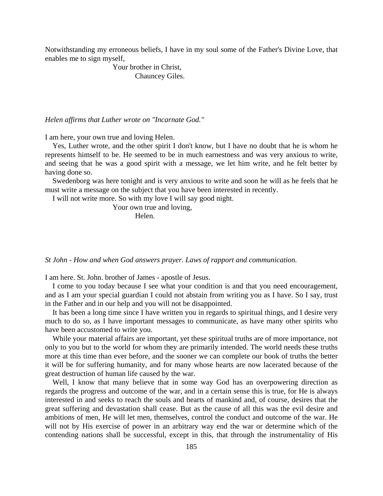Notwithstanding my erroneous beliefs, I have in my soul some of the Father's Divine Love, that enables me to sign myself,

> Your brother in Christ, Chauncey Giles.

*Helen affirms that Luther wrote on "Incarnate God."* 

I am here, your own true and loving Helen.

 Yes, Luther wrote, and the other spirit I don't know, but I have no doubt that he is whom he represents himself to be. He seemed to be in much earnestness and was very anxious to write, and seeing that he was a good spirit with a message, we let him write, and he felt better by having done so.

 Swedenborg was here tonight and is very anxious to write and soon he will as he feels that he must write a message on the subject that you have been interested in recently.

I will not write more. So with my love I will say good night.

 Your own true and loving, Helen.

*St John - How and when God answers prayer. Laws of rapport and communication.* 

I am here. St. John. brother of James - apostle of Jesus.

 I come to you today because I see what your condition is and that you need encouragement, and as I am your special guardian I could not abstain from writing you as I have. So I say, trust in the Father and in our help and you will not be disappointed.

 It has been a long time since I have written you in regards to spiritual things, and I desire very much to do so, as I have important messages to communicate, as have many other spirits who have been accustomed to write you.

 While your material affairs are important, yet these spiritual truths are of more importance, not only to you but to the world for whom they are primarily intended. The world needs these truths more at this time than ever before, and the sooner we can complete our book of truths the better it will be for suffering humanity, and for many whose hearts are now lacerated because of the great destruction of human life caused by the war.

 Well, I know that many believe that in some way God has an overpowering direction as regards the progress and outcome of the war, and in a certain sense this is true, for He is always interested in and seeks to reach the souls and hearts of mankind and, of course, desires that the great suffering and devastation shall cease. But as the cause of all this was the evil desire and ambitions of men, He will let men, themselves, control the conduct and outcome of the war. He will not by His exercise of power in an arbitrary way end the war or determine which of the contending nations shall be successful, except in this, that through the instrumentality of His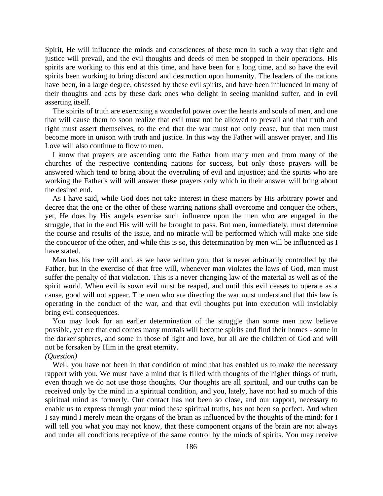Spirit, He will influence the minds and consciences of these men in such a way that right and justice will prevail, and the evil thoughts and deeds of men be stopped in their operations. His spirits are working to this end at this time, and have been for a long time, and so have the evil spirits been working to bring discord and destruction upon humanity. The leaders of the nations have been, in a large degree, obsessed by these evil spirits, and have been influenced in many of their thoughts and acts by these dark ones who delight in seeing mankind suffer, and in evil asserting itself.

 The spirits of truth are exercising a wonderful power over the hearts and souls of men, and one that will cause them to soon realize that evil must not be allowed to prevail and that truth and right must assert themselves, to the end that the war must not only cease, but that men must become more in unison with truth and justice. In this way the Father will answer prayer, and His Love will also continue to flow to men.

 I know that prayers are ascending unto the Father from many men and from many of the churches of the respective contending nations for success, but only those prayers will be answered which tend to bring about the overruling of evil and injustice; and the spirits who are working the Father's will will answer these prayers only which in their answer will bring about the desired end.

 As I have said, while God does not take interest in these matters by His arbitrary power and decree that the one or the other of these warring nations shall overcome and conquer the others, yet, He does by His angels exercise such influence upon the men who are engaged in the struggle, that in the end His will will be brought to pass. But men, immediately, must determine the course and results of the issue, and no miracle will be performed which will make one side the conqueror of the other, and while this is so, this determination by men will be influenced as I have stated.

 Man has his free will and, as we have written you, that is never arbitrarily controlled by the Father, but in the exercise of that free will, whenever man violates the laws of God, man must suffer the penalty of that violation. This is a never changing law of the material as well as of the spirit world. When evil is sown evil must be reaped, and until this evil ceases to operate as a cause, good will not appear. The men who are directing the war must understand that this law is operating in the conduct of the war, and that evil thoughts put into execution will inviolably bring evil consequences.

 You may look for an earlier determination of the struggle than some men now believe possible, yet ere that end comes many mortals will become spirits and find their homes - some in the darker spheres, and some in those of light and love, but all are the children of God and will not be forsaken by Him in the great eternity.

# *(Question)*

Well, you have not been in that condition of mind that has enabled us to make the necessary rapport with you. We must have a mind that is filled with thoughts of the higher things of truth, even though we do not use those thoughts. Our thoughts are all spiritual, and our truths can be received only by the mind in a spiritual condition, and you, lately, have not had so much of this spiritual mind as formerly. Our contact has not been so close, and our rapport, necessary to enable us to express through your mind these spiritual truths, has not been so perfect. And when I say mind I merely mean the organs of the brain as influenced by the thoughts of the mind; for I will tell you what you may not know, that these component organs of the brain are not always and under all conditions receptive of the same control by the minds of spirits. You may receive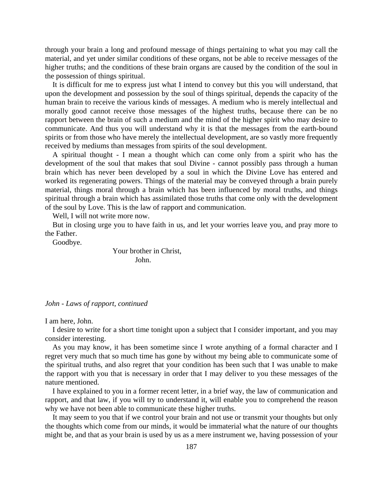through your brain a long and profound message of things pertaining to what you may call the material, and yet under similar conditions of these organs, not be able to receive messages of the higher truths; and the conditions of these brain organs are caused by the condition of the soul in the possession of things spiritual.

 It is difficult for me to express just what I intend to convey but this you will understand, that upon the development and possession by the soul of things spiritual, depends the capacity of the human brain to receive the various kinds of messages. A medium who is merely intellectual and morally good cannot receive those messages of the highest truths, because there can be no rapport between the brain of such a medium and the mind of the higher spirit who may desire to communicate. And thus you will understand why it is that the messages from the earth-bound spirits or from those who have merely the intellectual development, are so vastly more frequently received by mediums than messages from spirits of the soul development.

 A spiritual thought - I mean a thought which can come only from a spirit who has the development of the soul that makes that soul Divine - cannot possibly pass through a human brain which has never been developed by a soul in which the Divine Love has entered and worked its regenerating powers. Things of the material may be conveyed through a brain purely material, things moral through a brain which has been influenced by moral truths, and things spiritual through a brain which has assimilated those truths that come only with the development of the soul by Love. This is the law of rapport and communication.

Well, I will not write more now.

 But in closing urge you to have faith in us, and let your worries leave you, and pray more to the Father.

Goodbye.

 Your brother in Christ, John.

*John - Laws of rapport, continued* 

I am here, John.

 I desire to write for a short time tonight upon a subject that I consider important, and you may consider interesting.

 As you may know, it has been sometime since I wrote anything of a formal character and I regret very much that so much time has gone by without my being able to communicate some of the spiritual truths, and also regret that your condition has been such that I was unable to make the rapport with you that is necessary in order that I may deliver to you these messages of the nature mentioned.

 I have explained to you in a former recent letter, in a brief way, the law of communication and rapport, and that law, if you will try to understand it, will enable you to comprehend the reason why we have not been able to communicate these higher truths.

 It may seem to you that if we control your brain and not use or transmit your thoughts but only the thoughts which come from our minds, it would be immaterial what the nature of our thoughts might be, and that as your brain is used by us as a mere instrument we, having possession of your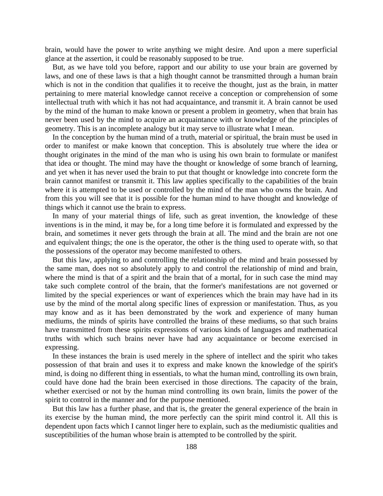brain, would have the power to write anything we might desire. And upon a mere superficial glance at the assertion, it could be reasonably supposed to be true.

 But, as we have told you before, rapport and our ability to use your brain are governed by laws, and one of these laws is that a high thought cannot be transmitted through a human brain which is not in the condition that qualifies it to receive the thought, just as the brain, in matter pertaining to mere material knowledge cannot receive a conception or comprehension of some intellectual truth with which it has not had acquaintance, and transmit it. A brain cannot be used by the mind of the human to make known or present a problem in geometry, when that brain has never been used by the mind to acquire an acquaintance with or knowledge of the principles of geometry. This is an incomplete analogy but it may serve to illustrate what I mean.

 In the conception by the human mind of a truth, material or spiritual, the brain must be used in order to manifest or make known that conception. This is absolutely true where the idea or thought originates in the mind of the man who is using his own brain to formulate or manifest that idea or thought. The mind may have the thought or knowledge of some branch of learning, and yet when it has never used the brain to put that thought or knowledge into concrete form the brain cannot manifest or transmit it. This law applies specifically to the capabilities of the brain where it is attempted to be used or controlled by the mind of the man who owns the brain. And from this you will see that it is possible for the human mind to have thought and knowledge of things which it cannot use the brain to express.

 In many of your material things of life, such as great invention, the knowledge of these inventions is in the mind, it may be, for a long time before it is formulated and expressed by the brain, and sometimes it never gets through the brain at all. The mind and the brain are not one and equivalent things; the one is the operator, the other is the thing used to operate with, so that the possessions of the operator may become manifested to others.

 But this law, applying to and controlling the relationship of the mind and brain possessed by the same man, does not so absolutely apply to and control the relationship of mind and brain, where the mind is that of a spirit and the brain that of a mortal, for in such case the mind may take such complete control of the brain, that the former's manifestations are not governed or limited by the special experiences or want of experiences which the brain may have had in its use by the mind of the mortal along specific lines of expression or manifestation. Thus, as you may know and as it has been demonstrated by the work and experience of many human mediums, the minds of spirits have controlled the brains of these mediums, so that such brains have transmitted from these spirits expressions of various kinds of languages and mathematical truths with which such brains never have had any acquaintance or become exercised in expressing.

 In these instances the brain is used merely in the sphere of intellect and the spirit who takes possession of that brain and uses it to express and make known the knowledge of the spirit's mind, is doing no different thing in essentials, to what the human mind, controlling its own brain, could have done had the brain been exercised in those directions. The capacity of the brain, whether exercised or not by the human mind controlling its own brain, limits the power of the spirit to control in the manner and for the purpose mentioned.

 But this law has a further phase, and that is, the greater the general experience of the brain in its exercise by the human mind, the more perfectly can the spirit mind control it. All this is dependent upon facts which I cannot linger here to explain, such as the mediumistic qualities and susceptibilities of the human whose brain is attempted to be controlled by the spirit.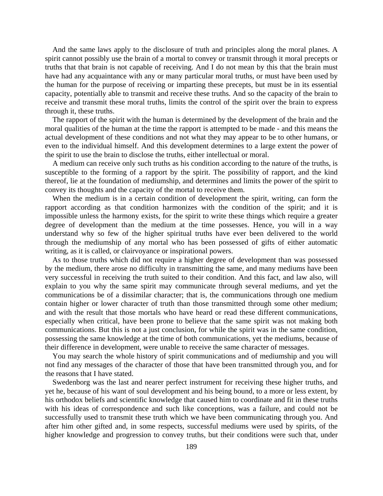And the same laws apply to the disclosure of truth and principles along the moral planes. A spirit cannot possibly use the brain of a mortal to convey or transmit through it moral precepts or truths that that brain is not capable of receiving. And I do not mean by this that the brain must have had any acquaintance with any or many particular moral truths, or must have been used by the human for the purpose of receiving or imparting these precepts, but must be in its essential capacity, potentially able to transmit and receive these truths. And so the capacity of the brain to receive and transmit these moral truths, limits the control of the spirit over the brain to express through it, these truths.

 The rapport of the spirit with the human is determined by the development of the brain and the moral qualities of the human at the time the rapport is attempted to be made - and this means the actual development of these conditions and not what they may appear to be to other humans, or even to the individual himself. And this development determines to a large extent the power of the spirit to use the brain to disclose the truths, either intellectual or moral.

 A medium can receive only such truths as his condition according to the nature of the truths, is susceptible to the forming of a rapport by the spirit. The possibility of rapport, and the kind thereof, lie at the foundation of mediumship, and determines and limits the power of the spirit to convey its thoughts and the capacity of the mortal to receive them.

 When the medium is in a certain condition of development the spirit, writing, can form the rapport according as that condition harmonizes with the condition of the spirit; and it is impossible unless the harmony exists, for the spirit to write these things which require a greater degree of development than the medium at the time possesses. Hence, you will in a way understand why so few of the higher spiritual truths have ever been delivered to the world through the mediumship of any mortal who has been possessed of gifts of either automatic writing, as it is called, or clairvoyance or inspirational powers.

 As to those truths which did not require a higher degree of development than was possessed by the medium, there arose no difficulty in transmitting the same, and many mediums have been very successful in receiving the truth suited to their condition. And this fact, and law also, will explain to you why the same spirit may communicate through several mediums, and yet the communications be of a dissimilar character; that is, the communications through one medium contain higher or lower character of truth than those transmitted through some other medium; and with the result that those mortals who have heard or read these different communications, especially when critical, have been prone to believe that the same spirit was not making both communications. But this is not a just conclusion, for while the spirit was in the same condition, possessing the same knowledge at the time of both communications, yet the mediums, because of their difference in development, were unable to receive the same character of messages.

 You may search the whole history of spirit communications and of mediumship and you will not find any messages of the character of those that have been transmitted through you, and for the reasons that I have stated.

 Swedenborg was the last and nearer perfect instrument for receiving these higher truths, and yet he, because of his want of soul development and his being bound, to a more or less extent, by his orthodox beliefs and scientific knowledge that caused him to coordinate and fit in these truths with his ideas of correspondence and such like conceptions, was a failure, and could not be successfully used to transmit these truth which we have been communicating through you. And after him other gifted and, in some respects, successful mediums were used by spirits, of the higher knowledge and progression to convey truths, but their conditions were such that, under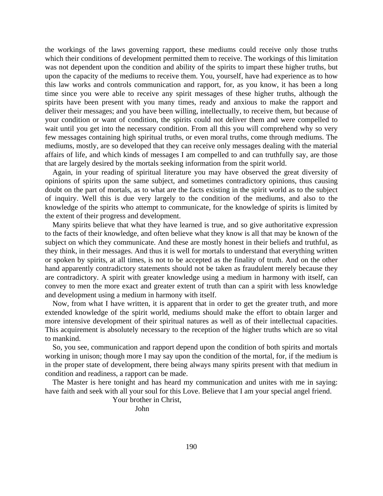the workings of the laws governing rapport, these mediums could receive only those truths which their conditions of development permitted them to receive. The workings of this limitation was not dependent upon the condition and ability of the spirits to impart these higher truths, but upon the capacity of the mediums to receive them. You, yourself, have had experience as to how this law works and controls communication and rapport, for, as you know, it has been a long time since you were able to receive any spirit messages of these higher truths, although the spirits have been present with you many times, ready and anxious to make the rapport and deliver their messages; and you have been willing, intellectually, to receive them, but because of your condition or want of condition, the spirits could not deliver them and were compelled to wait until you get into the necessary condition. From all this you will comprehend why so very few messages containing high spiritual truths, or even moral truths, come through mediums. The mediums, mostly, are so developed that they can receive only messages dealing with the material affairs of life, and which kinds of messages I am compelled to and can truthfully say, are those that are largely desired by the mortals seeking information from the spirit world.

 Again, in your reading of spiritual literature you may have observed the great diversity of opinions of spirits upon the same subject, and sometimes contradictory opinions, thus causing doubt on the part of mortals, as to what are the facts existing in the spirit world as to the subject of inquiry. Well this is due very largely to the condition of the mediums, and also to the knowledge of the spirits who attempt to communicate, for the knowledge of spirits is limited by the extent of their progress and development.

 Many spirits believe that what they have learned is true, and so give authoritative expression to the facts of their knowledge, and often believe what they know is all that may be known of the subject on which they communicate. And these are mostly honest in their beliefs and truthful, as they think, in their messages. And thus it is well for mortals to understand that everything written or spoken by spirits, at all times, is not to be accepted as the finality of truth. And on the other hand apparently contradictory statements should not be taken as fraudulent merely because they are contradictory. A spirit with greater knowledge using a medium in harmony with itself, can convey to men the more exact and greater extent of truth than can a spirit with less knowledge and development using a medium in harmony with itself.

 Now, from what I have written, it is apparent that in order to get the greater truth, and more extended knowledge of the spirit world, mediums should make the effort to obtain larger and more intensive development of their spiritual natures as well as of their intellectual capacities. This acquirement is absolutely necessary to the reception of the higher truths which are so vital to mankind.

 So, you see, communication and rapport depend upon the condition of both spirits and mortals working in unison; though more I may say upon the condition of the mortal, for, if the medium is in the proper state of development, there being always many spirits present with that medium in condition and readiness, a rapport can be made.

 The Master is here tonight and has heard my communication and unites with me in saying: have faith and seek with all your soul for this Love. Believe that I am your special angel friend.

Your brother in Christ,

John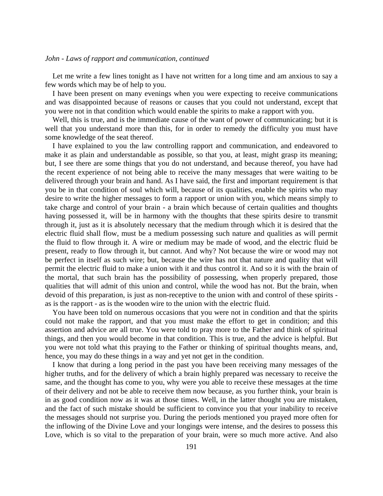### *John - Laws of rapport and communication, continued*

Let me write a few lines tonight as I have not written for a long time and am anxious to say a few words which may be of help to you.

 I have been present on many evenings when you were expecting to receive communications and was disappointed because of reasons or causes that you could not understand, except that you were not in that condition which would enable the spirits to make a rapport with you.

 Well, this is true, and is the immediate cause of the want of power of communicating; but it is well that you understand more than this, for in order to remedy the difficulty you must have some knowledge of the seat thereof.

 I have explained to you the law controlling rapport and communication, and endeavored to make it as plain and understandable as possible, so that you, at least, might grasp its meaning; but, I see there are some things that you do not understand, and because thereof, you have had the recent experience of not being able to receive the many messages that were waiting to be delivered through your brain and hand. As I have said, the first and important requirement is that you be in that condition of soul which will, because of its qualities, enable the spirits who may desire to write the higher messages to form a rapport or union with you, which means simply to take charge and control of your brain - a brain which because of certain qualities and thoughts having possessed it, will be in harmony with the thoughts that these spirits desire to transmit through it, just as it is absolutely necessary that the medium through which it is desired that the electric fluid shall flow, must be a medium possessing such nature and qualities as will permit the fluid to flow through it. A wire or medium may be made of wood, and the electric fluid be present, ready to flow through it, but cannot. And why? Not because the wire or wood may not be perfect in itself as such wire; but, because the wire has not that nature and quality that will permit the electric fluid to make a union with it and thus control it. And so it is with the brain of the mortal, that such brain has the possibility of possessing, when properly prepared, those qualities that will admit of this union and control, while the wood has not. But the brain, when devoid of this preparation, is just as non-receptive to the union with and control of these spirits as is the rapport - as is the wooden wire to the union with the electric fluid.

 You have been told on numerous occasions that you were not in condition and that the spirits could not make the rapport, and that you must make the effort to get in condition; and this assertion and advice are all true. You were told to pray more to the Father and think of spiritual things, and then you would become in that condition. This is true, and the advice is helpful. But you were not told what this praying to the Father or thinking of spiritual thoughts means, and, hence, you may do these things in a way and yet not get in the condition.

 I know that during a long period in the past you have been receiving many messages of the higher truths, and for the delivery of which a brain highly prepared was necessary to receive the same, and the thought has come to you, why were you able to receive these messages at the time of their delivery and not be able to receive them now because, as you further think, your brain is in as good condition now as it was at those times. Well, in the latter thought you are mistaken, and the fact of such mistake should be sufficient to convince you that your inability to receive the messages should not surprise you. During the periods mentioned you prayed more often for the inflowing of the Divine Love and your longings were intense, and the desires to possess this Love, which is so vital to the preparation of your brain, were so much more active. And also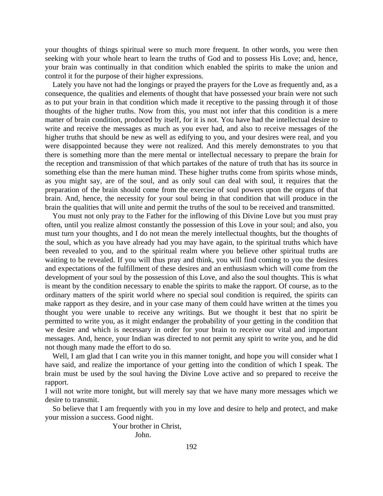your thoughts of things spiritual were so much more frequent. In other words, you were then seeking with your whole heart to learn the truths of God and to possess His Love; and, hence, your brain was continually in that condition which enabled the spirits to make the union and control it for the purpose of their higher expressions.

 Lately you have not had the longings or prayed the prayers for the Love as frequently and, as a consequence, the qualities and elements of thought that have possessed your brain were not such as to put your brain in that condition which made it receptive to the passing through it of those thoughts of the higher truths. Now from this, you must not infer that this condition is a mere matter of brain condition, produced by itself, for it is not. You have had the intellectual desire to write and receive the messages as much as you ever had, and also to receive messages of the higher truths that should be new as well as edifying to you, and your desires were real, and you were disappointed because they were not realized. And this merely demonstrates to you that there is something more than the mere mental or intellectual necessary to prepare the brain for the reception and transmission of that which partakes of the nature of truth that has its source in something else than the mere human mind. These higher truths come from spirits whose minds, as you might say, are of the soul, and as only soul can deal with soul, it requires that the preparation of the brain should come from the exercise of soul powers upon the organs of that brain. And, hence, the necessity for your soul being in that condition that will produce in the brain the qualities that will unite and permit the truths of the soul to be received and transmitted.

 You must not only pray to the Father for the inflowing of this Divine Love but you must pray often, until you realize almost constantly the possession of this Love in your soul; and also, you must turn your thoughts, and I do not mean the merely intellectual thoughts, but the thoughts of the soul, which as you have already had you may have again, to the spiritual truths which have been revealed to you, and to the spiritual realm where you believe other spiritual truths are waiting to be revealed. If you will thus pray and think, you will find coming to you the desires and expectations of the fulfillment of these desires and an enthusiasm which will come from the development of your soul by the possession of this Love, and also the soul thoughts. This is what is meant by the condition necessary to enable the spirits to make the rapport. Of course, as to the ordinary matters of the spirit world where no special soul condition is required, the spirits can make rapport as they desire, and in your case many of them could have written at the times you thought you were unable to receive any writings. But we thought it best that no spirit be permitted to write you, as it might endanger the probability of your getting in the condition that we desire and which is necessary in order for your brain to receive our vital and important messages. And, hence, your Indian was directed to not permit any spirit to write you, and he did not though many made the effort to do so.

Well, I am glad that I can write you in this manner tonight, and hope you will consider what I have said, and realize the importance of your getting into the condition of which I speak. The brain must be used by the soul having the Divine Love active and so prepared to receive the rapport.

I will not write more tonight, but will merely say that we have many more messages which we desire to transmit.

 So believe that I am frequently with you in my love and desire to help and protect, and make your mission a success. Good night.

> Your brother in Christ, John.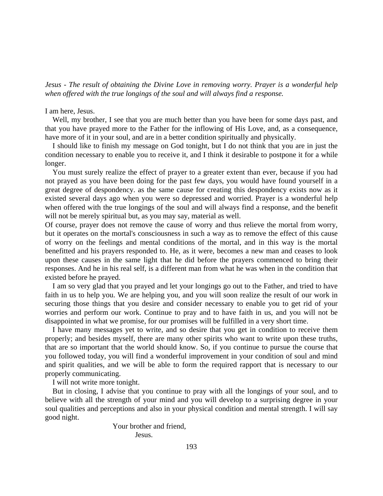*Jesus - The result of obtaining the Divine Love in removing worry. Prayer is a wonderful help when offered with the true longings of the soul and will always find a response.* 

### I am here, Jesus.

 Well, my brother, I see that you are much better than you have been for some days past, and that you have prayed more to the Father for the inflowing of His Love, and, as a consequence, have more of it in your soul, and are in a better condition spiritually and physically.

 I should like to finish my message on God tonight, but I do not think that you are in just the condition necessary to enable you to receive it, and I think it desirable to postpone it for a while longer.

 You must surely realize the effect of prayer to a greater extent than ever, because if you had not prayed as you have been doing for the past few days, you would have found yourself in a great degree of despondency. as the same cause for creating this despondency exists now as it existed several days ago when you were so depressed and worried. Prayer is a wonderful help when offered with the true longings of the soul and will always find a response, and the benefit will not be merely spiritual but, as you may say, material as well.

Of course, prayer does not remove the cause of worry and thus relieve the mortal from worry, but it operates on the mortal's consciousness in such a way as to remove the effect of this cause of worry on the feelings and mental conditions of the mortal, and in this way is the mortal benefitted and his prayers responded to. He, as it were, becomes a new man and ceases to look upon these causes in the same light that he did before the prayers commenced to bring their responses. And he in his real self, is a different man from what he was when in the condition that existed before he prayed.

 I am so very glad that you prayed and let your longings go out to the Father, and tried to have faith in us to help you. We are helping you, and you will soon realize the result of our work in securing those things that you desire and consider necessary to enable you to get rid of your worries and perform our work. Continue to pray and to have faith in us, and you will not be disappointed in what we promise, for our promises will be fulfilled in a very short time.

 I have many messages yet to write, and so desire that you get in condition to receive them properly; and besides myself, there are many other spirits who want to write upon these truths, that are so important that the world should know. So, if you continue to pursue the course that you followed today, you will find a wonderful improvement in your condition of soul and mind and spirit qualities, and we will be able to form the required rapport that is necessary to our properly communicating.

I will not write more tonight.

 But in closing, I advise that you continue to pray with all the longings of your soul, and to believe with all the strength of your mind and you will develop to a surprising degree in your soul qualities and perceptions and also in your physical condition and mental strength. I will say good night.

> Your brother and friend, Jesus.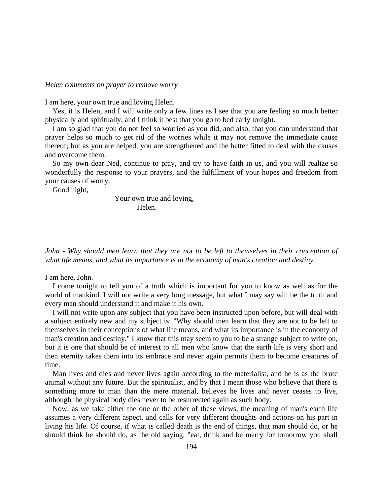#### *Helen comments on prayer to remove worry*

I am here, your own true and loving Helen.

 Yes, it is Helen, and I will write only a few lines as I see that you are feeling so much better physically and spiritually, and I think it best that you go to bed early tonight.

 I am so glad that you do not feel so worried as you did, and also, that you can understand that prayer helps so much to get rid of the worries while it may not remove the immediate cause thereof; but as you are helped, you are strengthened and the better fitted to deal with the causes and overcome them.

 So my own dear Ned, continue to pray, and try to have faith in us, and you will realize so wonderfully the response to your prayers, and the fulfillment of your hopes and freedom from your causes of worry.

Good night,

 Your own true and loving, Helen.

*John - Why should men learn that they are not to be left to themselves in their conception of what life means, and what its importance is in the economy of man's creation and destiny.* 

I am here, John.

 I come tonight to tell you of a truth which is important for you to know as well as for the world of mankind. I will not write a very long message, but what I may say will be the truth and every man should understand it and make it his own.

 I will not write upon any subject that you have been instructed upon before, but will deal with a subject entirely new and my subject is: "Why should men learn that they are not to be left to themselves in their conceptions of what life means, and what its importance is in the economy of man's creation and destiny." I know that this may seem to you to be a strange subject to write on, but it is one that should be of interest to all men who know that the earth life is very short and then eternity takes them into its embrace and never again permits them to become creatures of time.

 Man lives and dies and never lives again according to the materialist, and he is as the brute animal without any future. But the spiritualist, and by that I mean those who believe that there is something more to man than the mere material, believes he lives and never ceases to live, although the physical body dies never to be resurrected again as such body.

 Now, as we take either the one or the other of these views, the meaning of man's earth life assumes a very different aspect, and calls for very different thoughts and actions on his part in living his life. Of course, if what is called death is the end of things, that man should do, or he should think he should do, as the old saying, "eat, drink and be merry for tomorrow you shall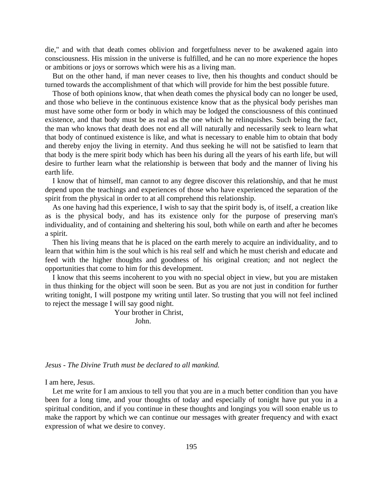die," and with that death comes oblivion and forgetfulness never to be awakened again into consciousness. His mission in the universe is fulfilled, and he can no more experience the hopes or ambitions or joys or sorrows which were his as a living man.

 But on the other hand, if man never ceases to live, then his thoughts and conduct should be turned towards the accomplishment of that which will provide for him the best possible future.

 Those of both opinions know, that when death comes the physical body can no longer be used, and those who believe in the continuous existence know that as the physical body perishes man must have some other form or body in which may be lodged the consciousness of this continued existence, and that body must be as real as the one which he relinquishes. Such being the fact, the man who knows that death does not end all will naturally and necessarily seek to learn what that body of continued existence is like, and what is necessary to enable him to obtain that body and thereby enjoy the living in eternity. And thus seeking he will not be satisfied to learn that that body is the mere spirit body which has been his during all the years of his earth life, but will desire to further learn what the relationship is between that body and the manner of living his earth life.

 I know that of himself, man cannot to any degree discover this relationship, and that he must depend upon the teachings and experiences of those who have experienced the separation of the spirit from the physical in order to at all comprehend this relationship.

 As one having had this experience, I wish to say that the spirit body is, of itself, a creation like as is the physical body, and has its existence only for the purpose of preserving man's individuality, and of containing and sheltering his soul, both while on earth and after he becomes a spirit.

 Then his living means that he is placed on the earth merely to acquire an individuality, and to learn that within him is the soul which is his real self and which he must cherish and educate and feed with the higher thoughts and goodness of his original creation; and not neglect the opportunities that come to him for this development.

 I know that this seems incoherent to you with no special object in view, but you are mistaken in thus thinking for the object will soon be seen. But as you are not just in condition for further writing tonight, I will postpone my writing until later. So trusting that you will not feel inclined to reject the message I will say good night.

Your brother in Christ,

John.

### *Jesus - The Divine Truth must be declared to all mankind.*

I am here, Jesus.

 Let me write for I am anxious to tell you that you are in a much better condition than you have been for a long time, and your thoughts of today and especially of tonight have put you in a spiritual condition, and if you continue in these thoughts and longings you will soon enable us to make the rapport by which we can continue our messages with greater frequency and with exact expression of what we desire to convey.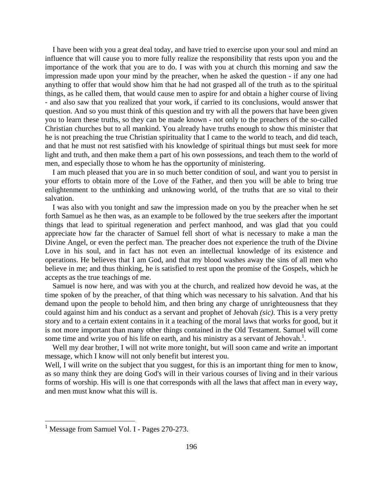I have been with you a great deal today, and have tried to exercise upon your soul and mind an influence that will cause you to more fully realize the responsibility that rests upon you and the importance of the work that you are to do. I was with you at church this morning and saw the impression made upon your mind by the preacher, when he asked the question - if any one had anything to offer that would show him that he had not grasped all of the truth as to the spiritual things, as he called them, that would cause men to aspire for and obtain a higher course of living - and also saw that you realized that your work, if carried to its conclusions, would answer that question. And so you must think of this question and try with all the powers that have been given you to learn these truths, so they can be made known - not only to the preachers of the so-called Christian churches but to all mankind. You already have truths enough to show this minister that he is not preaching the true Christian spirituality that I came to the world to teach, and did teach, and that he must not rest satisfied with his knowledge of spiritual things but must seek for more light and truth, and then make them a part of his own possessions, and teach them to the world of men, and especially those to whom he has the opportunity of ministering.

 I am much pleased that you are in so much better condition of soul, and want you to persist in your efforts to obtain more of the Love of the Father, and then you will be able to bring true enlightenment to the unthinking and unknowing world, of the truths that are so vital to their salvation.

 I was also with you tonight and saw the impression made on you by the preacher when he set forth Samuel as he then was, as an example to be followed by the true seekers after the important things that lead to spiritual regeneration and perfect manhood, and was glad that you could appreciate how far the character of Samuel fell short of what is necessary to make a man the Divine Angel, or even the perfect man. The preacher does not experience the truth of the Divine Love in his soul, and in fact has not even an intellectual knowledge of its existence and operations. He believes that I am God, and that my blood washes away the sins of all men who believe in me; and thus thinking, he is satisfied to rest upon the promise of the Gospels, which he accepts as the true teachings of me.

 Samuel is now here, and was with you at the church, and realized how devoid he was, at the time spoken of by the preacher, of that thing which was necessary to his salvation. And that his demand upon the people to behold him, and then bring any charge of unrighteousness that they could against him and his conduct as a servant and prophet of Jehovah *(sic)*. This is a very pretty story and to a certain extent contains in it a teaching of the moral laws that works for good, but it is not more important than many other things contained in the Old Testament. Samuel will come some time and write you of his life on earth, and his ministry as a servant of Jehovah.<sup>1</sup>.

 Well my dear brother, I will not write more tonight, but will soon came and write an important message, which I know will not only benefit but interest you.

Well, I will write on the subject that you suggest, for this is an important thing for men to know, as so many think they are doing God's will in their various courses of living and in their various forms of worship. His will is one that corresponds with all the laws that affect man in every way, and men must know what this will is.

<u>.</u>

<sup>&</sup>lt;sup>1</sup> Message from Samuel Vol. I - Pages 270-273.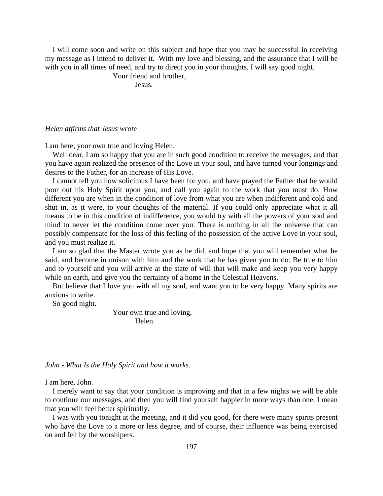I will come soon and write on this subject and hope that you may be successful in receiving my message as I intend to deliver it. With my love and blessing, and the assurance that I will be with you in all times of need, and try to direct you in your thoughts, I will say good night.

Your friend and brother,

Jesus.

### *Helen affirms that Jesus wrote*

I am here, your own true and loving Helen.

 Well dear, I am so happy that you are in such good condition to receive the messages, and that you have again realized the presence of the Love in your soul, and have turned your longings and desires to the Father, for an increase of His Love.

 I cannot tell you how solicitous I have been for you, and have prayed the Father that he would pour out his Holy Spirit upon you, and call you again to the work that you must do. How different you are when in the condition of love from what you are when indifferent and cold and shut in, as it were, to your thoughts of the material. If you could only appreciate what it all means to be in this condition of indifference, you would try with all the powers of your soul and mind to never let the condition come over you. There is nothing in all the universe that can possibly compensate for the loss of this feeling of the possession of the active Love in your soul, and you must realize it.

 I am so glad that the Master wrote you as he did, and hope that you will remember what he said, and become in unison with him and the work that he has given you to do. Be true to him and to yourself and you will arrive at the state of will that will make and keep you very happy while on earth, and give you the certainty of a home in the Celestial Heavens.

 But believe that I love you with all my soul, and want you to be very happy. Many spirits are anxious to write.

So good night.

 Your own true and loving, Helen.

*John - What Is the Holy Spirit and how it works.* 

I am here, John.

 I merely want to say that your condition is improving and that in a few nights we will be able to continue our messages, and then you will find yourself happier in more ways than one. I mean that you will feel better spiritually.

 I was with you tonight at the meeting, and it did you good, for there were many spirits present who have the Love to a more or less degree, and of course, their influence was being exercised on and felt by the worshipers.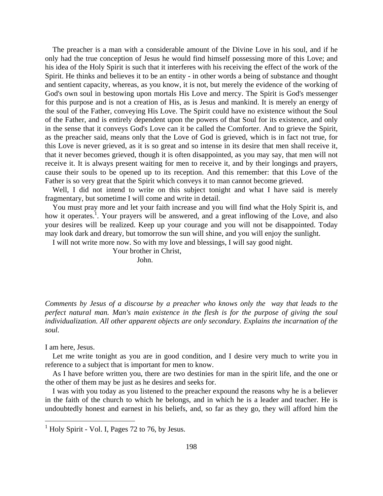The preacher is a man with a considerable amount of the Divine Love in his soul, and if he only had the true conception of Jesus he would find himself possessing more of this Love; and his idea of the Holy Spirit is such that it interferes with his receiving the effect of the work of the Spirit. He thinks and believes it to be an entity - in other words a being of substance and thought and sentient capacity, whereas, as you know, it is not, but merely the evidence of the working of God's own soul in bestowing upon mortals His Love and mercy. The Spirit is God's messenger for this purpose and is not a creation of His, as is Jesus and mankind. It is merely an energy of the soul of the Father, conveying His Love. The Spirit could have no existence without the Soul of the Father, and is entirely dependent upon the powers of that Soul for its existence, and only in the sense that it conveys God's Love can it be called the Comforter. And to grieve the Spirit, as the preacher said, means only that the Love of God is grieved, which is in fact not true, for this Love is never grieved, as it is so great and so intense in its desire that men shall receive it, that it never becomes grieved, though it is often disappointed, as you may say, that men will not receive it. It is always present waiting for men to receive it, and by their longings and prayers, cause their souls to be opened up to its reception. And this remember: that this Love of the Father is so very great that the Spirit which conveys it to man cannot become grieved.

Well, I did not intend to write on this subject tonight and what I have said is merely fragmentary, but sometime I will come and write in detail.

 You must pray more and let your faith increase and you will find what the Holy Spirit is, and how it operates.<sup>1</sup>. Your prayers will be answered, and a great inflowing of the Love, and also your desires will be realized. Keep up your courage and you will not be disappointed. Today may look dark and dreary, but tomorrow the sun will shine, and you will enjoy the sunlight.

I will not write more now. So with my love and blessings, I will say good night.

Your brother in Christ,

John.

*Comments by Jesus of a discourse by a preacher who knows only the way that leads to the perfect natural man. Man's main existence in the flesh is for the purpose of giving the soul individualization. All other apparent objects are only secondary. Explains the incarnation of the soul.* 

I am here, Jesus.

 $\overline{a}$ 

 Let me write tonight as you are in good condition, and I desire very much to write you in reference to a subject that is important for men to know.

 As I have before written you, there are two destinies for man in the spirit life, and the one or the other of them may be just as he desires and seeks for.

 I was with you today as you listened to the preacher expound the reasons why he is a believer in the faith of the church to which he belongs, and in which he is a leader and teacher. He is undoubtedly honest and earnest in his beliefs, and, so far as they go, they will afford him the

 $<sup>1</sup>$  Holy Spirit - Vol. I, Pages 72 to 76, by Jesus.</sup>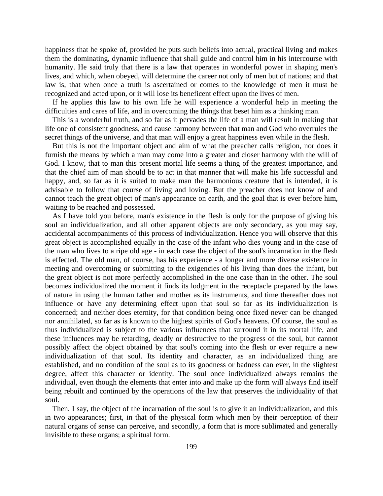happiness that he spoke of, provided he puts such beliefs into actual, practical living and makes them the dominating, dynamic influence that shall guide and control him in his intercourse with humanity. He said truly that there is a law that operates in wonderful power in shaping men's lives, and which, when obeyed, will determine the career not only of men but of nations; and that law is, that when once a truth is ascertained or comes to the knowledge of men it must be recognized and acted upon, or it will lose its beneficent effect upon the lives of men.

 If he applies this law to his own life he will experience a wonderful help in meeting the difficulties and cares of life, and in overcoming the things that beset him as a thinking man.

 This is a wonderful truth, and so far as it pervades the life of a man will result in making that life one of consistent goodness, and cause harmony between that man and God who overrules the secret things of the universe, and that man will enjoy a great happiness even while in the flesh.

 But this is not the important object and aim of what the preacher calls religion, nor does it furnish the means by which a man may come into a greater and closer harmony with the will of God. I know, that to man this present mortal life seems a thing of the greatest importance, and that the chief aim of man should be to act in that manner that will make his life successful and happy, and, so far as it is suited to make man the harmonious creature that is intended, it is advisable to follow that course of living and loving. But the preacher does not know of and cannot teach the great object of man's appearance on earth, and the goal that is ever before him, waiting to be reached and possessed.

 As I have told you before, man's existence in the flesh is only for the purpose of giving his soul an individualization, and all other apparent objects are only secondary, as you may say, accidental accompaniments of this process of individualization. Hence you will observe that this great object is accomplished equally in the case of the infant who dies young and in the case of the man who lives to a ripe old age - in each case the object of the soul's incarnation in the flesh is effected. The old man, of course, has his experience - a longer and more diverse existence in meeting and overcoming or submitting to the exigencies of his living than does the infant, but the great object is not more perfectly accomplished in the one case than in the other. The soul becomes individualized the moment it finds its lodgment in the receptacle prepared by the laws of nature in using the human father and mother as its instruments, and time thereafter does not influence or have any determining effect upon that soul so far as its individualization is concerned; and neither does eternity, for that condition being once fixed never can be changed nor annihilated, so far as is known to the highest spirits of God's heavens. Of course, the soul as thus individualized is subject to the various influences that surround it in its mortal life, and these influences may be retarding, deadly or destructive to the progress of the soul, but cannot possibly affect the object obtained by that soul's coming into the flesh or ever require a new individualization of that soul. Its identity and character, as an individualized thing are established, and no condition of the soul as to its goodness or badness can ever, in the slightest degree, affect this character or identity. The soul once individualized always remains the individual, even though the elements that enter into and make up the form will always find itself being rebuilt and continued by the operations of the law that preserves the individuality of that soul.

 Then, I say, the object of the incarnation of the soul is to give it an individualization, and this in two appearances; first, in that of the physical form which men by their perception of their natural organs of sense can perceive, and secondly, a form that is more sublimated and generally invisible to these organs; a spiritual form.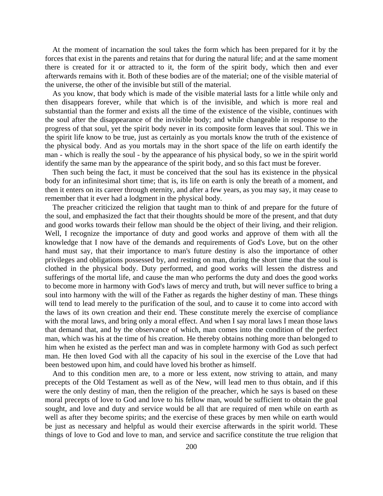At the moment of incarnation the soul takes the form which has been prepared for it by the forces that exist in the parents and retains that for during the natural life; and at the same moment there is created for it or attracted to it, the form of the spirit body, which then and ever afterwards remains with it. Both of these bodies are of the material; one of the visible material of the universe, the other of the invisible but still of the material.

 As you know, that body which is made of the visible material lasts for a little while only and then disappears forever, while that which is of the invisible, and which is more real and substantial than the former and exists all the time of the existence of the visible, continues with the soul after the disappearance of the invisible body; and while changeable in response to the progress of that soul, yet the spirit body never in its composite form leaves that soul. This we in the spirit life know to be true, just as certainly as you mortals know the truth of the existence of the physical body. And as you mortals may in the short space of the life on earth identify the man - which is really the soul - by the appearance of his physical body, so we in the spirit world identify the same man by the appearance of the spirit body, and so this fact must be forever.

 Then such being the fact, it must be conceived that the soul has its existence in the physical body for an infinitesimal short time; that is, its life on earth is only the breath of a moment, and then it enters on its career through eternity, and after a few years, as you may say, it may cease to remember that it ever had a lodgment in the physical body.

 The preacher criticized the religion that taught man to think of and prepare for the future of the soul, and emphasized the fact that their thoughts should be more of the present, and that duty and good works towards their fellow man should be the object of their living, and their religion. Well, I recognize the importance of duty and good works and approve of them with all the knowledge that I now have of the demands and requirements of God's Love, but on the other hand must say, that their importance to man's future destiny is also the importance of other privileges and obligations possessed by, and resting on man, during the short time that the soul is clothed in the physical body. Duty performed, and good works will lessen the distress and sufferings of the mortal life, and cause the man who performs the duty and does the good works to become more in harmony with God's laws of mercy and truth, but will never suffice to bring a soul into harmony with the will of the Father as regards the higher destiny of man. These things will tend to lead merely to the purification of the soul, and to cause it to come into accord with the laws of its own creation and their end. These constitute merely the exercise of compliance with the moral laws, and bring only a moral effect. And when I say moral laws I mean those laws that demand that, and by the observance of which, man comes into the condition of the perfect man, which was his at the time of his creation. He thereby obtains nothing more than belonged to him when he existed as the perfect man and was in complete harmony with God as such perfect man. He then loved God with all the capacity of his soul in the exercise of the Love that had been bestowed upon him, and could have loved his brother as himself.

 And to this condition men are, to a more or less extent, now striving to attain, and many precepts of the Old Testament as well as of the New, will lead men to thus obtain, and if this were the only destiny of man, then the religion of the preacher, which he says is based on these moral precepts of love to God and love to his fellow man, would be sufficient to obtain the goal sought, and love and duty and service would be all that are required of men while on earth as well as after they become spirits; and the exercise of these graces by men while on earth would be just as necessary and helpful as would their exercise afterwards in the spirit world. These things of love to God and love to man, and service and sacrifice constitute the true religion that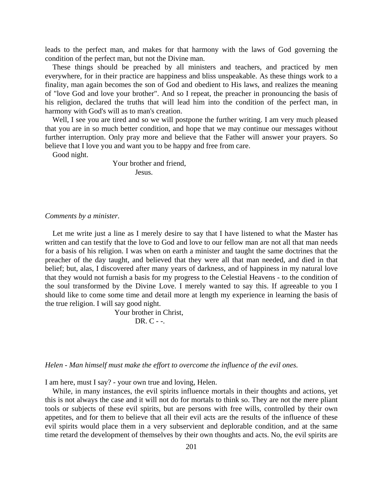leads to the perfect man, and makes for that harmony with the laws of God governing the condition of the perfect man, but not the Divine man.

 These things should be preached by all ministers and teachers, and practiced by men everywhere, for in their practice are happiness and bliss unspeakable. As these things work to a finality, man again becomes the son of God and obedient to His laws, and realizes the meaning of "love God and love your brother". And so I repeat, the preacher in pronouncing the basis of his religion, declared the truths that will lead him into the condition of the perfect man, in harmony with God's will as to man's creation.

 Well, I see you are tired and so we will postpone the further writing. I am very much pleased that you are in so much better condition, and hope that we may continue our messages without further interruption. Only pray more and believe that the Father will answer your prayers. So believe that I love you and want you to be happy and free from care.

Good night.

 Your brother and friend, Jesus.

#### *Comments by a minister.*

 Let me write just a line as I merely desire to say that I have listened to what the Master has written and can testify that the love to God and love to our fellow man are not all that man needs for a basis of his religion. I was when on earth a minister and taught the same doctrines that the preacher of the day taught, and believed that they were all that man needed, and died in that belief; but, alas, I discovered after many years of darkness, and of happiness in my natural love that they would not furnish a basis for my progress to the Celestial Heavens - to the condition of the soul transformed by the Divine Love. I merely wanted to say this. If agreeable to you I should like to come some time and detail more at length my experience in learning the basis of the true religion. I will say good night.

> Your brother in Christ, DR. C - -.

# *Helen - Man himself must make the effort to overcome the influence of the evil ones.*

I am here, must I say? - your own true and loving, Helen.

 While, in many instances, the evil spirits influence mortals in their thoughts and actions, yet this is not always the case and it will not do for mortals to think so. They are not the mere pliant tools or subjects of these evil spirits, but are persons with free wills, controlled by their own appetites, and for them to believe that all their evil acts are the results of the influence of these evil spirits would place them in a very subservient and deplorable condition, and at the same time retard the development of themselves by their own thoughts and acts. No, the evil spirits are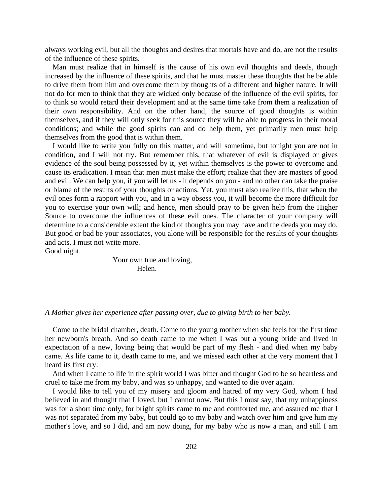always working evil, but all the thoughts and desires that mortals have and do, are not the results of the influence of these spirits.

 Man must realize that in himself is the cause of his own evil thoughts and deeds, though increased by the influence of these spirits, and that he must master these thoughts that he be able to drive them from him and overcome them by thoughts of a different and higher nature. It will not do for men to think that they are wicked only because of the influence of the evil spirits, for to think so would retard their development and at the same time take from them a realization of their own responsibility. And on the other hand, the source of good thoughts is within themselves, and if they will only seek for this source they will be able to progress in their moral conditions; and while the good spirits can and do help them, yet primarily men must help themselves from the good that is within them.

 I would like to write you fully on this matter, and will sometime, but tonight you are not in condition, and I will not try. But remember this, that whatever of evil is displayed or gives evidence of the soul being possessed by it, yet within themselves is the power to overcome and cause its eradication. I mean that men must make the effort; realize that they are masters of good and evil. We can help you, if you will let us - it depends on you - and no other can take the praise or blame of the results of your thoughts or actions. Yet, you must also realize this, that when the evil ones form a rapport with you, and in a way obsess you, it will become the more difficult for you to exercise your own will; and hence, men should pray to be given help from the Higher Source to overcome the influences of these evil ones. The character of your company will determine to a considerable extent the kind of thoughts you may have and the deeds you may do. But good or bad be your associates, you alone will be responsible for the results of your thoughts and acts. I must not write more.

Good night.

 Your own true and loving, Helen.

### *A Mother gives her experience after passing over, due to giving birth to her baby.*

 Come to the bridal chamber, death. Come to the young mother when she feels for the first time her newborn's breath. And so death came to me when I was but a young bride and lived in expectation of a new, loving being that would be part of my flesh - and died when my baby came. As life came to it, death came to me, and we missed each other at the very moment that I heard its first cry.

 And when I came to life in the spirit world I was bitter and thought God to be so heartless and cruel to take me from my baby, and was so unhappy, and wanted to die over again.

 I would like to tell you of my misery and gloom and hatred of my very God, whom I had believed in and thought that I loved, but I cannot now. But this I must say, that my unhappiness was for a short time only, for bright spirits came to me and comforted me, and assured me that I was not separated from my baby, but could go to my baby and watch over him and give him my mother's love, and so I did, and am now doing, for my baby who is now a man, and still I am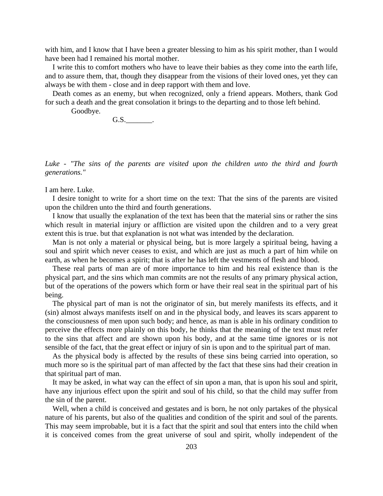with him, and I know that I have been a greater blessing to him as his spirit mother, than I would have been had I remained his mortal mother.

 I write this to comfort mothers who have to leave their babies as they come into the earth life, and to assure them, that, though they disappear from the visions of their loved ones, yet they can always be with them - close and in deep rapport with them and love.

 Death comes as an enemy, but when recognized, only a friend appears. Mothers, thank God for such a death and the great consolation it brings to the departing and to those left behind.

Goodbye.

 $G.S.$ \_\_\_\_\_\_\_\_\_\_\_.

*Luke - "The sins of the parents are visited upon the children unto the third and fourth generations."* 

I am here. Luke.

 I desire tonight to write for a short time on the text: That the sins of the parents are visited upon the children unto the third and fourth generations.

 I know that usually the explanation of the text has been that the material sins or rather the sins which result in material injury or affliction are visited upon the children and to a very great extent this is true. but that explanation is not what was intended by the declaration.

 Man is not only a material or physical being, but is more largely a spiritual being, having a soul and spirit which never ceases to exist, and which are just as much a part of him while on earth, as when he becomes a spirit; that is after he has left the vestments of flesh and blood.

 These real parts of man are of more importance to him and his real existence than is the physical part, and the sins which man commits are not the results of any primary physical action, but of the operations of the powers which form or have their real seat in the spiritual part of his being.

 The physical part of man is not the originator of sin, but merely manifests its effects, and it (sin) almost always manifests itself on and in the physical body, and leaves its scars apparent to the consciousness of men upon such body; and hence, as man is able in his ordinary condition to perceive the effects more plainly on this body, he thinks that the meaning of the text must refer to the sins that affect and are shown upon his body, and at the same time ignores or is not sensible of the fact, that the great effect or injury of sin is upon and to the spiritual part of man.

 As the physical body is affected by the results of these sins being carried into operation, so much more so is the spiritual part of man affected by the fact that these sins had their creation in that spiritual part of man.

 It may be asked, in what way can the effect of sin upon a man, that is upon his soul and spirit, have any injurious effect upon the spirit and soul of his child, so that the child may suffer from the sin of the parent.

 Well, when a child is conceived and gestates and is born, he not only partakes of the physical nature of his parents, but also of the qualities and condition of the spirit and soul of the parents. This may seem improbable, but it is a fact that the spirit and soul that enters into the child when it is conceived comes from the great universe of soul and spirit, wholly independent of the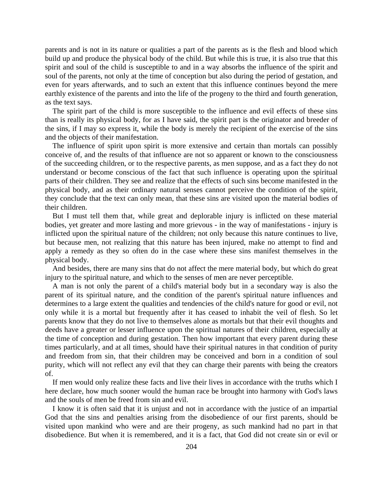parents and is not in its nature or qualities a part of the parents as is the flesh and blood which build up and produce the physical body of the child. But while this is true, it is also true that this spirit and soul of the child is susceptible to and in a way absorbs the influence of the spirit and soul of the parents, not only at the time of conception but also during the period of gestation, and even for years afterwards, and to such an extent that this influence continues beyond the mere earthly existence of the parents and into the life of the progeny to the third and fourth generation, as the text says.

 The spirit part of the child is more susceptible to the influence and evil effects of these sins than is really its physical body, for as I have said, the spirit part is the originator and breeder of the sins, if I may so express it, while the body is merely the recipient of the exercise of the sins and the objects of their manifestation.

 The influence of spirit upon spirit is more extensive and certain than mortals can possibly conceive of, and the results of that influence are not so apparent or known to the consciousness of the succeeding children, or to the respective parents, as men suppose, and as a fact they do not understand or become conscious of the fact that such influence is operating upon the spiritual parts of their children. They see and realize that the effects of such sins become manifested in the physical body, and as their ordinary natural senses cannot perceive the condition of the spirit, they conclude that the text can only mean, that these sins are visited upon the material bodies of their children.

 But I must tell them that, while great and deplorable injury is inflicted on these material bodies, yet greater and more lasting and more grievous - in the way of manifestations - injury is inflicted upon the spiritual nature of the children; not only because this nature continues to live, but because men, not realizing that this nature has been injured, make no attempt to find and apply a remedy as they so often do in the case where these sins manifest themselves in the physical body.

 And besides, there are many sins that do not affect the mere material body, but which do great injury to the spiritual nature, and which to the senses of men are never perceptible.

 A man is not only the parent of a child's material body but in a secondary way is also the parent of its spiritual nature, and the condition of the parent's spiritual nature influences and determines to a large extent the qualities and tendencies of the child's nature for good or evil, not only while it is a mortal but frequently after it has ceased to inhabit the veil of flesh. So let parents know that they do not live to themselves alone as mortals but that their evil thoughts and deeds have a greater or lesser influence upon the spiritual natures of their children, especially at the time of conception and during gestation. Then how important that every parent during these times particularly, and at all times, should have their spiritual natures in that condition of purity and freedom from sin, that their children may be conceived and born in a condition of soul purity, which will not reflect any evil that they can charge their parents with being the creators of.

 If men would only realize these facts and live their lives in accordance with the truths which I here declare, how much sooner would the human race be brought into harmony with God's laws and the souls of men be freed from sin and evil.

 I know it is often said that it is unjust and not in accordance with the justice of an impartial God that the sins and penalties arising from the disobedience of our first parents, should be visited upon mankind who were and are their progeny, as such mankind had no part in that disobedience. But when it is remembered, and it is a fact, that God did not create sin or evil or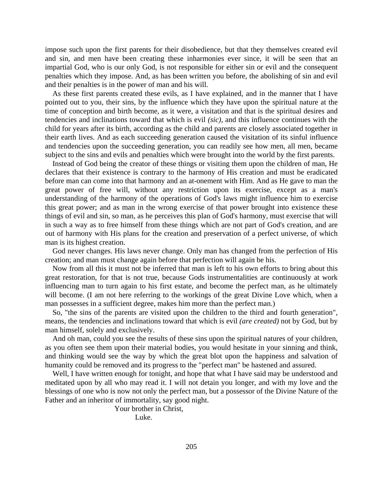impose such upon the first parents for their disobedience, but that they themselves created evil and sin, and men have been creating these inharmonies ever since, it will be seen that an impartial God, who is our only God, is not responsible for either sin or evil and the consequent penalties which they impose. And, as has been written you before, the abolishing of sin and evil and their penalties is in the power of man and his will.

 As these first parents created these evils, as I have explained, and in the manner that I have pointed out to you, their sins, by the influence which they have upon the spiritual nature at the time of conception and birth become, as it were, a visitation and that is the spiritual desires and tendencies and inclinations toward that which is evil *(sic)*, and this influence continues with the child for years after its birth, according as the child and parents are closely associated together in their earth lives. And as each succeeding generation caused the visitation of its sinful influence and tendencies upon the succeeding generation, you can readily see how men, all men, became subject to the sins and evils and penalties which were brought into the world by the first parents.

 Instead of God being the creator of these things or visiting them upon the children of man, He declares that their existence is contrary to the harmony of His creation and must be eradicated before man can come into that harmony and an at-onement with Him. And as He gave to man the great power of free will, without any restriction upon its exercise, except as a man's understanding of the harmony of the operations of God's laws might influence him to exercise this great power; and as man in the wrong exercise of that power brought into existence these things of evil and sin, so man, as he perceives this plan of God's harmony, must exercise that will in such a way as to free himself from these things which are not part of God's creation, and are out of harmony with His plans for the creation and preservation of a perfect universe, of which man is its highest creation.

 God never changes. His laws never change. Only man has changed from the perfection of His creation; and man must change again before that perfection will again be his.

 Now from all this it must not be inferred that man is left to his own efforts to bring about this great restoration, for that is not true, because Gods instrumentalities are continuously at work influencing man to turn again to his first estate, and become the perfect man, as he ultimately will become. (I am not here referring to the workings of the great Divine Love which, when a man possesses in a sufficient degree, makes him more than the perfect man.)

 So, "the sins of the parents are visited upon the children to the third and fourth generation", means, the tendencies and inclinations toward that which is evil *(are created)* not by God, but by man himself, solely and exclusively.

 And oh man, could you see the results of these sins upon the spiritual natures of your children, as you often see them upon their material bodies, you would hesitate in your sinning and think, and thinking would see the way by which the great blot upon the happiness and salvation of humanity could be removed and its progress to the "perfect man" be hastened and assured.

 Well, I have written enough for tonight, and hope that what I have said may be understood and meditated upon by all who may read it. I will not detain you longer, and with my love and the blessings of one who is now not only the perfect man, but a possessor of the Divine Nature of the Father and an inheritor of immortality, say good night.

Your brother in Christ,

Luke.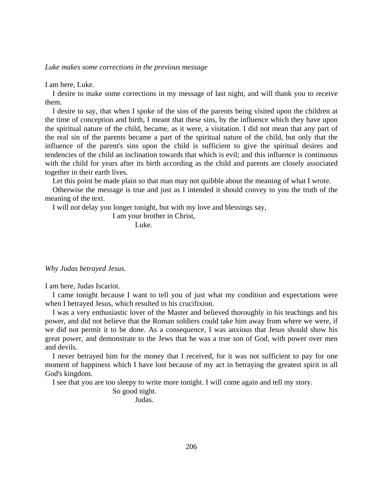## *Luke makes some corrections in the previous message*

I am here, Luke.

 I desire to make some corrections in my message of last night, and will thank you to receive them.

 I desire to say, that when I spoke of the sins of the parents being visited upon the children at the time of conception and birth, I meant that these sins, by the influence which they have upon the spiritual nature of the child, became, as it were, a visitation. I did not mean that any part of the real sin of the parents became a part of the spiritual nature of the child, but only that the influence of the parent's sins upon the child is sufficient to give the spiritual desires and tendencies of the child an inclination towards that which is evil; and this influence is continuous with the child for years after its birth according as the child and parents are closely associated together in their earth lives.

Let this point be made plain so that man may not quibble about the meaning of what I wrote.

 Otherwise the message is true and just as I intended it should convey to you the truth of the meaning of the text.

I will not delay you longer tonight, but with my love and blessings say,

I am your brother in Christ,

Luke.

*Why Judas betrayed Jesus.* 

I am here, Judas Iscariot.

 I came tonight because I want to tell you of just what my condition and expectations were when I betrayed Jesus, which resulted in his crucifixion.

 I was a very enthusiastic lover of the Master and believed thoroughly in his teachings and his power, and did not believe that the Roman soldiers could take him away from where we were, if we did not permit it to be done. As a consequence, I was anxious that Jesus should show his great power, and demonstrate to the Jews that he was a true son of God, with power over men and devils.

 I never betrayed him for the money that I received, for it was not sufficient to pay for one moment of happiness which I have lost because of my act in betraying the greatest spirit in all God's kingdom.

I see that you are too sleepy to write more tonight. I will come again and tell my story.

So good night.

Judas.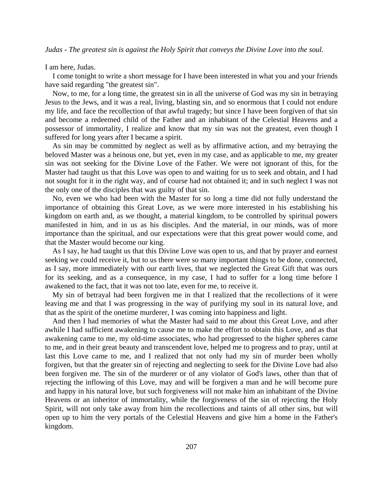*Judas - The greatest sin is against the Holy Spirit that conveys the Divine Love into the soul.* 

## I am here, Judas.

 I come tonight to write a short message for I have been interested in what you and your friends have said regarding "the greatest sin".

 Now, to me, for a long time, the greatest sin in all the universe of God was my sin in betraying Jesus to the Jews, and it was a real, living, blasting sin, and so enormous that I could not endure my life, and face the recollection of that awful tragedy; but since I have been forgiven of that sin and become a redeemed child of the Father and an inhabitant of the Celestial Heavens and a possessor of immortality, I realize and know that my sin was not the greatest, even though I suffered for long years after I became a spirit.

 As sin may be committed by neglect as well as by affirmative action, and my betraying the beloved Master was a heinous one, but yet, even in my case, and as applicable to me, my greater sin was not seeking for the Divine Love of the Father. We were not ignorant of this, for the Master had taught us that this Love was open to and waiting for us to seek and obtain, and I had not sought for it in the right way, and of course had not obtained it; and in such neglect I was not the only one of the disciples that was guilty of that sin.

 No, even we who had been with the Master for so long a time did not fully understand the importance of obtaining this Great Love, as we were more interested in his establishing his kingdom on earth and, as we thought, a material kingdom, to be controlled by spiritual powers manifested in him, and in us as his disciples. And the material, in our minds, was of more importance than the spiritual, and our expectations were that this great power would come, and that the Master would become our king.

 As I say, he had taught us that this Divine Love was open to us, and that by prayer and earnest seeking we could receive it, but to us there were so many important things to be done, connected, as I say, more immediately with our earth lives, that we neglected the Great Gift that was ours for its seeking, and as a consequence, in my case, I had to suffer for a long time before I awakened to the fact, that it was not too late, even for me, to receive it.

 My sin of betrayal had been forgiven me in that I realized that the recollections of it were leaving me and that I was progressing in the way of purifying my soul in its natural love, and that as the spirit of the onetime murderer, I was coming into happiness and light.

 And then I had memories of what the Master had said to me about this Great Love, and after awhile I had sufficient awakening to cause me to make the effort to obtain this Love, and as that awakening came to me, my old-time associates, who had progressed to the higher spheres came to me, and in their great beauty and transcendent love, helped me to progress and to pray, until at last this Love came to me, and I realized that not only had my sin of murder been wholly forgiven, but that the greater sin of rejecting and neglecting to seek for the Divine Love had also been forgiven me. The sin of the murderer or of any violator of God's laws, other than that of rejecting the inflowing of this Love, may and will be forgiven a man and he will become pure and happy in his natural love, but such forgiveness will not make him an inhabitant of the Divine Heavens or an inheritor of immortality, while the forgiveness of the sin of rejecting the Holy Spirit, will not only take away from him the recollections and taints of all other sins, but will open up to him the very portals of the Celestial Heavens and give him a home in the Father's kingdom.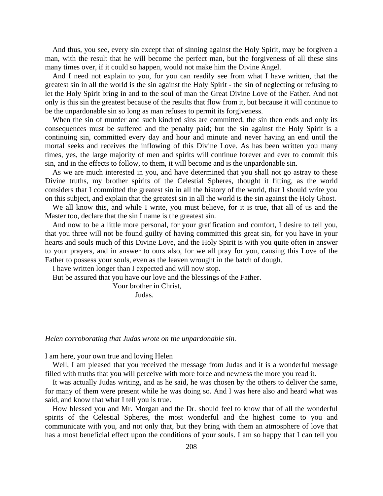And thus, you see, every sin except that of sinning against the Holy Spirit, may be forgiven a man, with the result that he will become the perfect man, but the forgiveness of all these sins many times over, if it could so happen, would not make him the Divine Angel.

 And I need not explain to you, for you can readily see from what I have written, that the greatest sin in all the world is the sin against the Holy Spirit - the sin of neglecting or refusing to let the Holy Spirit bring in and to the soul of man the Great Divine Love of the Father. And not only is this sin the greatest because of the results that flow from it, but because it will continue to be the unpardonable sin so long as man refuses to permit its forgiveness.

 When the sin of murder and such kindred sins are committed, the sin then ends and only its consequences must be suffered and the penalty paid; but the sin against the Holy Spirit is a continuing sin, committed every day and hour and minute and never having an end until the mortal seeks and receives the inflowing of this Divine Love. As has been written you many times, yes, the large majority of men and spirits will continue forever and ever to commit this sin, and in the effects to follow, to them, it will become and is the unpardonable sin.

 As we are much interested in you, and have determined that you shall not go astray to these Divine truths, my brother spirits of the Celestial Spheres, thought it fitting, as the world considers that I committed the greatest sin in all the history of the world, that I should write you on this subject, and explain that the greatest sin in all the world is the sin against the Holy Ghost.

 We all know this, and while I write, you must believe, for it is true, that all of us and the Master too, declare that the sin I name is the greatest sin.

 And now to be a little more personal, for your gratification and comfort, I desire to tell you, that you three will not be found guilty of having committed this great sin, for you have in your hearts and souls much of this Divine Love, and the Holy Spirit is with you quite often in answer to your prayers, and in answer to ours also, for we all pray for you, causing this Love of the Father to possess your souls, even as the leaven wrought in the batch of dough.

I have written longer than I expected and will now stop.

But be assured that you have our love and the blessings of the Father.

Your brother in Christ,

Judas.

#### *Helen corroborating that Judas wrote on the unpardonable sin.*

I am here, your own true and loving Helen

 Well, I am pleased that you received the message from Judas and it is a wonderful message filled with truths that you will perceive with more force and newness the more you read it.

 It was actually Judas writing, and as he said, he was chosen by the others to deliver the same, for many of them were present while he was doing so. And I was here also and heard what was said, and know that what I tell you is true.

 How blessed you and Mr. Morgan and the Dr. should feel to know that of all the wonderful spirits of the Celestial Spheres, the most wonderful and the highest come to you and communicate with you, and not only that, but they bring with them an atmosphere of love that has a most beneficial effect upon the conditions of your souls. I am so happy that I can tell you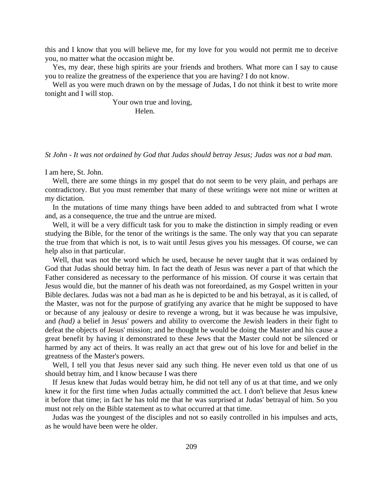this and I know that you will believe me, for my love for you would not permit me to deceive you, no matter what the occasion might be.

 Yes, my dear, these high spirits are your friends and brothers. What more can I say to cause you to realize the greatness of the experience that you are having? I do not know.

 Well as you were much drawn on by the message of Judas, I do not think it best to write more tonight and I will stop.

> Your own true and loving, Helen.

### *St John - It was not ordained by God that Judas should betray Jesus; Judas was not a bad man.*

## I am here, St. John.

 Well, there are some things in my gospel that do not seem to be very plain, and perhaps are contradictory. But you must remember that many of these writings were not mine or written at my dictation.

 In the mutations of time many things have been added to and subtracted from what I wrote and, as a consequence, the true and the untrue are mixed.

 Well, it will be a very difficult task for you to make the distinction in simply reading or even studying the Bible, for the tenor of the writings is the same. The only way that you can separate the true from that which is not, is to wait until Jesus gives you his messages. Of course, we can help also in that particular.

 Well, that was not the word which he used, because he never taught that it was ordained by God that Judas should betray him. In fact the death of Jesus was never a part of that which the Father considered as necessary to the performance of his mission. Of course it was certain that Jesus would die, but the manner of his death was not foreordained, as my Gospel written in your Bible declares. Judas was not a bad man as he is depicted to be and his betrayal, as it is called, of the Master, was not for the purpose of gratifying any avarice that he might be supposed to have or because of any jealousy or desire to revenge a wrong, but it was because he was impulsive, and *(had)* a belief in Jesus' powers and ability to overcome the Jewish leaders in their fight to defeat the objects of Jesus' mission; and he thought he would be doing the Master and his cause a great benefit by having it demonstrated to these Jews that the Master could not be silenced or harmed by any act of theirs. It was really an act that grew out of his love for and belief in the greatness of the Master's powers.

 Well, I tell you that Jesus never said any such thing. He never even told us that one of us should betray him, and I know because I was there

 If Jesus knew that Judas would betray him, he did not tell any of us at that time, and we only knew it for the first time when Judas actually committed the act. I don't believe that Jesus knew it before that time; in fact he has told me that he was surprised at Judas' betrayal of him. So you must not rely on the Bible statement as to what occurred at that time.

 Judas was the youngest of the disciples and not so easily controlled in his impulses and acts, as he would have been were he older.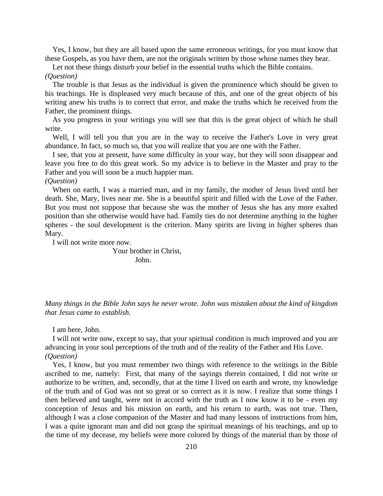Yes, I know, but they are all based upon the same erroneous writings, for you must know that these Gospels, as you have them, are not the originals written by those whose names they bear.

Let not these things disturb your belief in the essential truths which the Bible contains.

# *(Question)*

The trouble is that Jesus as the individual is given the prominence which should be given to his teachings. He is displeased very much because of this, and one of the great objects of his writing anew his truths is to correct that error, and make the truths which he received from the Father, the prominent things.

 As you progress in your writings you will see that this is the great object of which he shall write.

 Well, I will tell you that you are in the way to receive the Father's Love in very great abundance. In fact, so much so, that you will realize that you are one with the Father.

 I see, that you at present, have some difficulty in your way, but they will soon disappear and leave you free to do this great work. So my advice is to believe in the Master and pray to the Father and you will soon be a much happier man.

# *(Question)*

When on earth, I was a married man, and in my family, the mother of Jesus lived until her death. She, Mary, lives near me. She is a beautiful spirit and filled with the Love of the Father. But you must not suppose that because she was the mother of Jesus she has any more exalted position than she otherwise would have had. Family ties do not determine anything in the higher spheres - the soul development is the criterion. Many spirits are living in higher spheres than Mary.

I will not write more now.

 Your brother in Christ, John.

*Many things in the Bible John says he never wrote. John was mistaken about the kind of kingdom that Jesus came to establish.* 

I am here, John.

 I will not write now, except to say, that your spiritual condition is much improved and you are advancing in your soul perceptions of the truth and of the reality of the Father and His Love. *(Question)* 

Yes, I know, but you must remember two things with reference to the writings in the Bible ascribed to me, namely: First, that many of the sayings therein contained, I did not write or authorize to be written, and, secondly, that at the time I lived on earth and wrote, my knowledge of the truth and of God was not so great or so correct as it is now. I realize that some things I then believed and taught, were not in accord with the truth as I now know it to be - even my conception of Jesus and his mission on earth, and his return to earth, was not true. Then, although I was a close companion of the Master and had many lessons of instructions from him, I was a quite ignorant man and did not grasp the spiritual meanings of his teachings, and up to the time of my decease, my beliefs were more colored by things of the material than by those of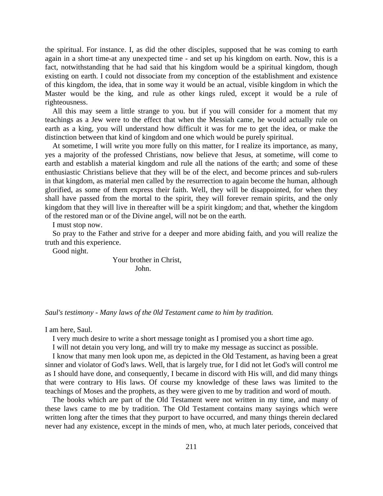the spiritual. For instance. I, as did the other disciples, supposed that he was coming to earth again in a short time-at any unexpected time - and set up his kingdom on earth. Now, this is a fact, notwithstanding that he had said that his kingdom would be a spiritual kingdom, though existing on earth. I could not dissociate from my conception of the establishment and existence of this kingdom, the idea, that in some way it would be an actual, visible kingdom in which the Master would be the king, and rule as other kings ruled, except it would be a rule of righteousness.

 All this may seem a little strange to you. but if you will consider for a moment that my teachings as a Jew were to the effect that when the Messiah came, he would actually rule on earth as a king, you will understand how difficult it was for me to get the idea, or make the distinction between that kind of kingdom and one which would be purely spiritual.

 At sometime, I will write you more fully on this matter, for I realize its importance, as many, yes a majority of the professed Christians, now believe that Jesus, at sometime, will come to earth and establish a material kingdom and rule all the nations of the earth; and some of these enthusiastic Christians believe that they will be of the elect, and become princes and sub-rulers in that kingdom, as material men called by the resurrection to again become the human, although glorified, as some of them express their faith. Well, they will be disappointed, for when they shall have passed from the mortal to the spirit, they will forever remain spirits, and the only kingdom that they will live in thereafter will be a spirit kingdom; and that, whether the kingdom of the restored man or of the Divine angel, will not be on the earth.

I must stop now.

 So pray to the Father and strive for a deeper and more abiding faith, and you will realize the truth and this experience.

Good night.

 Your brother in Christ, John.

*Saul's testimony - Many laws of the 0ld Testament came to him by tradition.* 

I am here, Saul.

I very much desire to write a short message tonight as I promised you a short time ago.

I will not detain you very long, and will try to make my message as succinct as possible.

 I know that many men look upon me, as depicted in the Old Testament, as having been a great sinner and violator of God's laws. Well, that is largely true, for I did not let God's will control me as I should have done, and consequently, I became in discord with His will, and did many things that were contrary to His laws. Of course my knowledge of these laws was limited to the teachings of Moses and the prophets, as they were given to me by tradition and word of mouth.

 The books which are part of the Old Testament were not written in my time, and many of these laws came to me by tradition. The Old Testament contains many sayings which were written long after the times that they purport to have occurred, and many things therein declared never had any existence, except in the minds of men, who, at much later periods, conceived that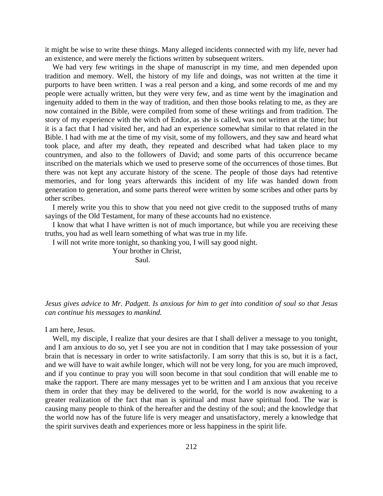it might be wise to write these things. Many alleged incidents connected with my life, never had an existence, and were merely the fictions written by subsequent writers.

 We had very few writings in the shape of manuscript in my time, and men depended upon tradition and memory. Well, the history of my life and doings, was not written at the time it purports to have been written. I was a real person and a king, and some records of me and my people were actually written, but they were very few, and as time went by the imagination and ingenuity added to them in the way of tradition, and then those books relating to me, as they are now contained in the Bible, were compiled from some of these writings and from tradition. The story of my experience with the witch of Endor, as she is called, was not written at the time; but it is a fact that I had visited her, and had an experience somewhat similar to that related in the Bible. I had with me at the time of my visit, some of my followers, and they saw and heard what took place, and after my death, they repeated and described what had taken place to my countrymen, and also to the followers of David; and some parts of this occurrence became inscribed on the materials which we used to preserve some of the occurrences of those times. But there was not kept any accurate history of the scene. The people of those days had retentive memories, and for long years afterwards this incident of my life was handed down from generation to generation, and some parts thereof were written by some scribes and other parts by other scribes.

 I merely write you this to show that you need not give credit to the supposed truths of many sayings of the Old Testament, for many of these accounts had no existence.

 I know that what I have written is not of much importance, but while you are receiving these truths, you had as well learn something of what was true in my life.

I will not write more tonight, so thanking you, I will say good night.

Your brother in Christ,

Saul.

*Jesus gives advice to Mr. Padgett. Is anxious for him to get into condition of soul so that Jesus can continue his messages to mankind.* 

I am here, Jesus.

 Well, my disciple, I realize that your desires are that I shall deliver a message to you tonight, and I am anxious to do so, yet I see you are not in condition that I may take possession of your brain that is necessary in order to write satisfactorily. I am sorry that this is so, but it is a fact, and we will have to wait awhile longer, which will not be very long, for you are much improved, and if you continue to pray you will soon become in that soul condition that will enable me to make the rapport. There are many messages yet to be written and I am anxious that you receive them in order that they may be delivered to the world, for the world is now awakening to a greater realization of the fact that man is spiritual and must have spiritual food. The war is causing many people to think of the hereafter and the destiny of the soul; and the knowledge that the world now has of the future life is very meager and unsatisfactory, merely a knowledge that the spirit survives death and experiences more or less happiness in the spirit life.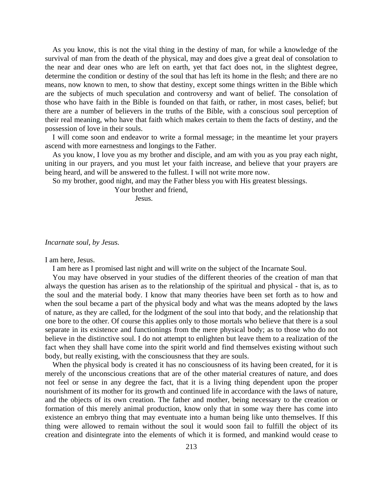As you know, this is not the vital thing in the destiny of man, for while a knowledge of the survival of man from the death of the physical, may and does give a great deal of consolation to the near and dear ones who are left on earth, yet that fact does not, in the slightest degree, determine the condition or destiny of the soul that has left its home in the flesh; and there are no means, now known to men, to show that destiny, except some things written in the Bible which are the subjects of much speculation and controversy and want of belief. The consolation of those who have faith in the Bible is founded on that faith, or rather, in most cases, belief; but there are a number of believers in the truths of the Bible, with a conscious soul perception of their real meaning, who have that faith which makes certain to them the facts of destiny, and the possession of love in their souls.

 I will come soon and endeavor to write a formal message; in the meantime let your prayers ascend with more earnestness and longings to the Father.

 As you know, I love you as my brother and disciple, and am with you as you pray each night, uniting in our prayers, and you must let your faith increase, and believe that your prayers are being heard, and will be answered to the fullest. I will not write more now.

So my brother, good night, and may the Father bless you with His greatest blessings.

Your brother and friend,

Jesus.

### *Incarnate soul, by Jesus.*

#### I am here, Jesus.

I am here as I promised last night and will write on the subject of the Incarnate Soul.

 You may have observed in your studies of the different theories of the creation of man that always the question has arisen as to the relationship of the spiritual and physical - that is, as to the soul and the material body. I know that many theories have been set forth as to how and when the soul became a part of the physical body and what was the means adopted by the laws of nature, as they are called, for the lodgment of the soul into that body, and the relationship that one bore to the other. Of course this applies only to those mortals who believe that there is a soul separate in its existence and functionings from the mere physical body; as to those who do not believe in the distinctive soul. I do not attempt to enlighten but leave them to a realization of the fact when they shall have come into the spirit world and find themselves existing without such body, but really existing, with the consciousness that they are souls.

 When the physical body is created it has no consciousness of its having been created, for it is merely of the unconscious creations that are of the other material creatures of nature, and does not feel or sense in any degree the fact, that it is a living thing dependent upon the proper nourishment of its mother for its growth and continued life in accordance with the laws of nature, and the objects of its own creation. The father and mother, being necessary to the creation or formation of this merely animal production, know only that in some way there has come into existence an embryo thing that may eventuate into a human being like unto themselves. If this thing were allowed to remain without the soul it would soon fail to fulfill the object of its creation and disintegrate into the elements of which it is formed, and mankind would cease to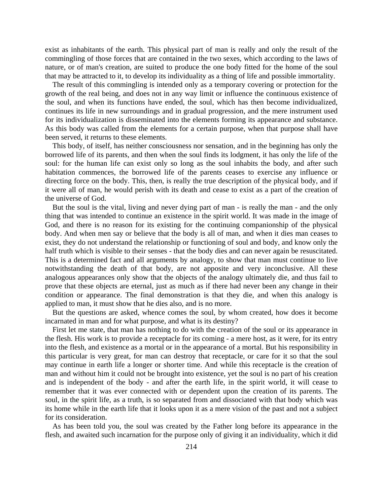exist as inhabitants of the earth. This physical part of man is really and only the result of the commingling of those forces that are contained in the two sexes, which according to the laws of nature, or of man's creation, are suited to produce the one body fitted for the home of the soul that may be attracted to it, to develop its individuality as a thing of life and possible immortality.

 The result of this commingling is intended only as a temporary covering or protection for the growth of the real being, and does not in any way limit or influence the continuous existence of the soul, and when its functions have ended, the soul, which has then become individualized, continues its life in new surroundings and in gradual progression, and the mere instrument used for its individualization is disseminated into the elements forming its appearance and substance. As this body was called from the elements for a certain purpose, when that purpose shall have been served, it returns to these elements.

 This body, of itself, has neither consciousness nor sensation, and in the beginning has only the borrowed life of its parents, and then when the soul finds its lodgment, it has only the life of the soul: for the human life can exist only so long as the soul inhabits the body, and after such habitation commences, the borrowed life of the parents ceases to exercise any influence or directing force on the body. This, then, is really the true description of the physical body, and if it were all of man, he would perish with its death and cease to exist as a part of the creation of the universe of God.

 But the soul is the vital, living and never dying part of man - is really the man - and the only thing that was intended to continue an existence in the spirit world. It was made in the image of God, and there is no reason for its existing for the continuing companionship of the physical body. And when men say or believe that the body is all of man, and when it dies man ceases to exist, they do not understand the relationship or functioning of soul and body, and know only the half truth which is visible to their senses - that the body dies and can never again be resuscitated. This is a determined fact and all arguments by analogy, to show that man must continue to live notwithstanding the death of that body, are not apposite and very inconclusive. All these analogous appearances only show that the objects of the analogy ultimately die, and thus fail to prove that these objects are eternal, just as much as if there had never been any change in their condition or appearance. The final demonstration is that they die, and when this analogy is applied to man, it must show that he dies also, and is no more.

 But the questions are asked, whence comes the soul, by whom created, how does it become incarnated in man and for what purpose, and what is its destiny?

 First let me state, that man has nothing to do with the creation of the soul or its appearance in the flesh. His work is to provide a receptacle for its coming - a mere host, as it were, for its entry into the flesh, and existence as a mortal or in the appearance of a mortal. But his responsibility in this particular is very great, for man can destroy that receptacle, or care for it so that the soul may continue in earth life a longer or shorter time. And while this receptacle is the creation of man and without him it could not be brought into existence, yet the soul is no part of his creation and is independent of the body - and after the earth life, in the spirit world, it will cease to remember that it was ever connected with or dependent upon the creation of its parents. The soul, in the spirit life, as a truth, is so separated from and dissociated with that body which was its home while in the earth life that it looks upon it as a mere vision of the past and not a subject for its consideration.

 As has been told you, the soul was created by the Father long before its appearance in the flesh, and awaited such incarnation for the purpose only of giving it an individuality, which it did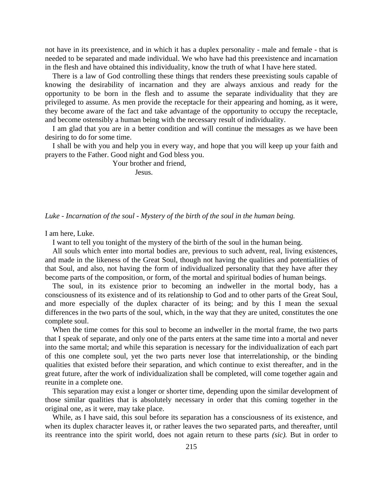not have in its preexistence, and in which it has a duplex personality - male and female - that is needed to be separated and made individual. We who have had this preexistence and incarnation in the flesh and have obtained this individuality, know the truth of what I have here stated.

 There is a law of God controlling these things that renders these preexisting souls capable of knowing the desirability of incarnation and they are always anxious and ready for the opportunity to be born in the flesh and to assume the separate individuality that they are privileged to assume. As men provide the receptacle for their appearing and homing, as it were, they become aware of the fact and take advantage of the opportunity to occupy the receptacle, and become ostensibly a human being with the necessary result of individuality.

 I am glad that you are in a better condition and will continue the messages as we have been desiring to do for some time.

 I shall be with you and help you in every way, and hope that you will keep up your faith and prayers to the Father. Good night and God bless you.

Your brother and friend,

Jesus.

*Luke - Incarnation of the soul - Mystery of the birth of the soul in the human being.* 

I am here, Luke.

I want to tell you tonight of the mystery of the birth of the soul in the human being.

 All souls which enter into mortal bodies are, previous to such advent, real, living existences, and made in the likeness of the Great Soul, though not having the qualities and potentialities of that Soul, and also, not having the form of individualized personality that they have after they become parts of the composition, or form, of the mortal and spiritual bodies of human beings.

 The soul, in its existence prior to becoming an indweller in the mortal body, has a consciousness of its existence and of its relationship to God and to other parts of the Great Soul, and more especially of the duplex character of its being; and by this I mean the sexual differences in the two parts of the soul, which, in the way that they are united, constitutes the one complete soul.

 When the time comes for this soul to become an indweller in the mortal frame, the two parts that I speak of separate, and only one of the parts enters at the same time into a mortal and never into the same mortal; and while this separation is necessary for the individualization of each part of this one complete soul, yet the two parts never lose that interrelationship, or the binding qualities that existed before their separation, and which continue to exist thereafter, and in the great future, after the work of individualization shall be completed, will come together again and reunite in a complete one.

 This separation may exist a longer or shorter time, depending upon the similar development of those similar qualities that is absolutely necessary in order that this coming together in the original one, as it were, may take place.

 While, as I have said, this soul before its separation has a consciousness of its existence, and when its duplex character leaves it, or rather leaves the two separated parts, and thereafter, until its reentrance into the spirit world, does not again return to these parts *(sic).* But in order to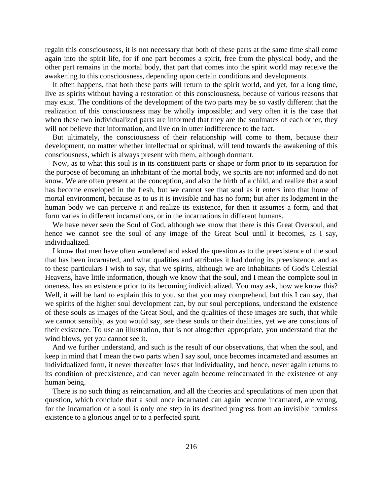regain this consciousness, it is not necessary that both of these parts at the same time shall come again into the spirit life, for if one part becomes a spirit, free from the physical body, and the other part remains in the mortal body, that part that comes into the spirit world may receive the awakening to this consciousness, depending upon certain conditions and developments.

 It often happens, that both these parts will return to the spirit world, and yet, for a long time, live as spirits without having a restoration of this consciousness, because of various reasons that may exist. The conditions of the development of the two parts may be so vastly different that the realization of this consciousness may be wholly impossible; and very often it is the case that when these two individualized parts are informed that they are the soulmates of each other, they will not believe that information, and live on in utter indifference to the fact.

 But ultimately, the consciousness of their relationship will come to them, because their development, no matter whether intellectual or spiritual, will tend towards the awakening of this consciousness, which is always present with them, although dormant.

 Now, as to what this soul is in its constituent parts or shape or form prior to its separation for the purpose of becoming an inhabitant of the mortal body, we spirits are not informed and do not know. We are often present at the conception, and also the birth of a child, and realize that a soul has become enveloped in the flesh, but we cannot see that soul as it enters into that home of mortal environment, because as to us it is invisible and has no form; but after its lodgment in the human body we can perceive it and realize its existence, for then it assumes a form, and that form varies in different incarnations, or in the incarnations in different humans.

 We have never seen the Soul of God, although we know that there is this Great Oversoul, and hence we cannot see the soul of any image of the Great Soul until it becomes, as I say, individualized.

 I know that men have often wondered and asked the question as to the preexistence of the soul that has been incarnated, and what qualities and attributes it had during its preexistence, and as to these particulars I wish to say, that we spirits, although we are inhabitants of God's Celestial Heavens, have little information, though we know that the soul, and I mean the complete soul in oneness, has an existence prior to its becoming individualized. You may ask, how we know this? Well, it will be hard to explain this to you, so that you may comprehend, but this I can say, that we spirits of the higher soul development can, by our soul perceptions, understand the existence of these souls as images of the Great Soul, and the qualities of these images are such, that while we cannot sensibly, as you would say, see these souls or their dualities, yet we are conscious of their existence. To use an illustration, that is not altogether appropriate, you understand that the wind blows, yet you cannot see it.

 And we further understand, and such is the result of our observations, that when the soul, and keep in mind that I mean the two parts when I say soul, once becomes incarnated and assumes an individualized form, it never thereafter loses that individuality, and hence, never again returns to its condition of preexistence, and can never again become reincarnated in the existence of any human being.

 There is no such thing as reincarnation, and all the theories and speculations of men upon that question, which conclude that a soul once incarnated can again become incarnated, are wrong, for the incarnation of a soul is only one step in its destined progress from an invisible formless existence to a glorious angel or to a perfected spirit.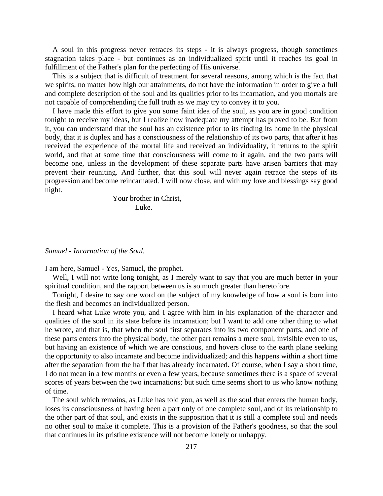A soul in this progress never retraces its steps - it is always progress, though sometimes stagnation takes place - but continues as an individualized spirit until it reaches its goal in fulfillment of the Father's plan for the perfecting of His universe.

 This is a subject that is difficult of treatment for several reasons, among which is the fact that we spirits, no matter how high our attainments, do not have the information in order to give a full and complete description of the soul and its qualities prior to its incarnation, and you mortals are not capable of comprehending the full truth as we may try to convey it to you.

 I have made this effort to give you some faint idea of the soul, as you are in good condition tonight to receive my ideas, but I realize how inadequate my attempt has proved to be. But from it, you can understand that the soul has an existence prior to its finding its home in the physical body, that it is duplex and has a consciousness of the relationship of its two parts, that after it has received the experience of the mortal life and received an individuality, it returns to the spirit world, and that at some time that consciousness will come to it again, and the two parts will become one, unless in the development of these separate parts have arisen barriers that may prevent their reuniting. And further, that this soul will never again retrace the steps of its progression and become reincarnated. I will now close, and with my love and blessings say good night.

> Your brother in Christ, Luke.

# *Samuel - Incarnation of the Soul.*

I am here, Samuel - Yes, Samuel, the prophet.

Well, I will not write long tonight, as I merely want to say that you are much better in your spiritual condition, and the rapport between us is so much greater than heretofore.

 Tonight, I desire to say one word on the subject of my knowledge of how a soul is born into the flesh and becomes an individualized person.

 I heard what Luke wrote you, and I agree with him in his explanation of the character and qualities of the soul in its state before its incarnation; but I want to add one other thing to what he wrote, and that is, that when the soul first separates into its two component parts, and one of these parts enters into the physical body, the other part remains a mere soul, invisible even to us, but having an existence of which we are conscious, and hovers close to the earth plane seeking the opportunity to also incarnate and become individualized; and this happens within a short time after the separation from the half that has already incarnated. Of course, when I say a short time, I do not mean in a few months or even a few years, because sometimes there is a space of several scores of years between the two incarnations; but such time seems short to us who know nothing of time.

 The soul which remains, as Luke has told you, as well as the soul that enters the human body, loses its consciousness of having been a part only of one complete soul, and of its relationship to the other part of that soul, and exists in the supposition that it is still a complete soul and needs no other soul to make it complete. This is a provision of the Father's goodness, so that the soul that continues in its pristine existence will not become lonely or unhappy.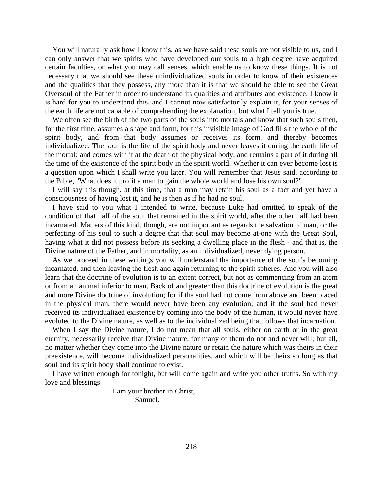You will naturally ask how I know this, as we have said these souls are not visible to us, and I can only answer that we spirits who have developed our souls to a high degree have acquired certain faculties, or what you may call senses, which enable us to know these things. It is not necessary that we should see these unindividualized souls in order to know of their existences and the qualities that they possess, any more than it is that we should be able to see the Great Oversoul of the Father in order to understand its qualities and attributes and existence. I know it is hard for you to understand this, and I cannot now satisfactorily explain it, for your senses of the earth life are not capable of comprehending the explanation, but what I tell you is true.

We often see the birth of the two parts of the souls into mortals and know that such souls then, for the first time, assumes a shape and form, for this invisible image of God fills the whole of the spirit body, and from that body assumes or receives its form, and thereby becomes individualized. The soul is the life of the spirit body and never leaves it during the earth life of the mortal; and comes with it at the death of the physical body, and remains a part of it during all the time of the existence of the spirit body in the spirit world. Whether it can ever become lost is a question upon which I shall write you later. You will remember that Jesus said, according to the Bible, "What does it profit a man to gain the whole world and lose his own soul?"

 I will say this though, at this time, that a man may retain his soul as a fact and yet have a consciousness of having lost it, and he is then as if he had no soul.

 I have said to you what I intended to write, because Luke had omitted to speak of the condition of that half of the soul that remained in the spirit world, after the other half had been incarnated. Matters of this kind, though, are not important as regards the salvation of man, or the perfecting of his soul to such a degree that that soul may become at-one with the Great Soul, having what it did not possess before its seeking a dwelling place in the flesh - and that is, the Divine nature of the Father, and immortality, as an individualized, never dying person.

 As we proceed in these writings you will understand the importance of the soul's becoming incarnated, and then leaving the flesh and again returning to the spirit spheres. And you will also learn that the doctrine of evolution is to an extent correct, but not as commencing from an atom or from an animal inferior to man. Back of and greater than this doctrine of evolution is the great and more Divine doctrine of involution; for if the soul had not come from above and been placed in the physical man, there would never have been any evolution; and if the soul had never received its individualized existence by coming into the body of the human, it would never have evoluted to the Divine nature, as well as to the individualized being that follows that incarnation.

When I say the Divine nature, I do not mean that all souls, either on earth or in the great eternity, necessarily receive that Divine nature, for many of them do not and never will; but all, no matter whether they come into the Divine nature or retain the nature which was theirs in their preexistence, will become individualized personalities, and which will be theirs so long as that soul and its spirit body shall continue to exist.

 I have written enough for tonight, but will come again and write you other truths. So with my love and blessings

> I am your brother in Christ, Samuel.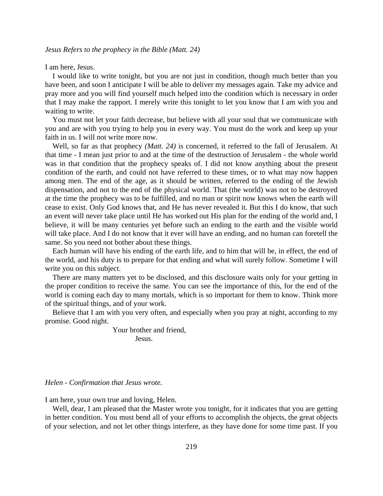I am here, Jesus.

 I would like to write tonight, but you are not just in condition, though much better than you have been, and soon I anticipate I will be able to deliver my messages again. Take my advice and pray more and you will find yourself much helped into the condition which is necessary in order that I may make the rapport. I merely write this tonight to let you know that I am with you and waiting to write.

 You must not let your faith decrease, but believe with all your soul that we communicate with you and are with you trying to help you in every way. You must do the work and keep up your faith in us. I will not write more now.

 Well, so far as that prophecy *(Matt. 24)* is concerned, it referred to the fall of Jerusalem. At that time - I mean just prior to and at the time of the destruction of Jerusalem - the whole world was in that condition that the prophecy speaks of. I did not know anything about the present condition of the earth, and could not have referred to these times, or to what may now happen among men. The end of the age, as it should be written, referred to the ending of the Jewish dispensation, and not to the end of the physical world. That (the world) was not to be destroyed at the time the prophecy was to be fulfilled, and no man or spirit now knows when the earth will cease to exist. Only God knows that, and He has never revealed it. But this I do know, that such an event will never take place until He has worked out His plan for the ending of the world and, I believe, it will be many centuries yet before such an ending to the earth and the visible world will take place. And I do not know that it ever will have an ending, and no human can foretell the same. So you need not bother about these things.

 Each human will have his ending of the earth life, and to him that will be, in effect, the end of the world, and his duty is to prepare for that ending and what will surely follow. Sometime I will write you on this subject.

 There are many matters yet to be disclosed, and this disclosure waits only for your getting in the proper condition to receive the same. You can see the importance of this, for the end of the world is coming each day to many mortals, which is so important for them to know. Think more of the spiritual things, and of your work.

 Believe that I am with you very often, and especially when you pray at night, according to my promise. Good night.

> Your brother and friend, Jesus.

# *Helen - Confirmation that Jesus wrote.*

I am here, your own true and loving, Helen.

 Well, dear, I am pleased that the Master wrote you tonight, for it indicates that you are getting in better condition. You must bend all of your efforts to accomplish the objects, the great objects of your selection, and not let other things interfere, as they have done for some time past. If you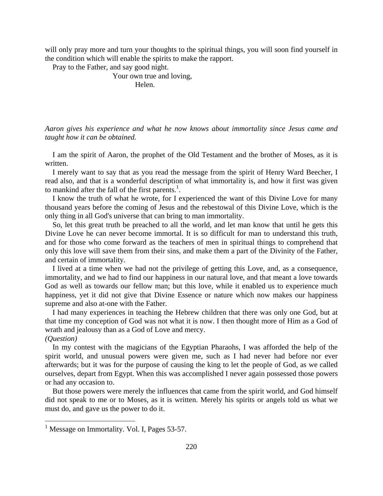will only pray more and turn your thoughts to the spiritual things, you will soon find yourself in the condition which will enable the spirits to make the rapport.

Pray to the Father, and say good night.

 Your own true and loving, Helen.

*Aaron gives his experience and what he now knows about immortality since Jesus came and taught how it can be obtained.* 

 I am the spirit of Aaron, the prophet of the Old Testament and the brother of Moses, as it is written.

 I merely want to say that as you read the message from the spirit of Henry Ward Beecher, I read also, and that is a wonderful description of what immortality is, and how it first was given to mankind after the fall of the first parents.<sup>1</sup>.

 I know the truth of what he wrote, for I experienced the want of this Divine Love for many thousand years before the coming of Jesus and the rebestowal of this Divine Love, which is the only thing in all God's universe that can bring to man immortality.

 So, let this great truth be preached to all the world, and let man know that until he gets this Divine Love he can never become immortal. It is so difficult for man to understand this truth, and for those who come forward as the teachers of men in spiritual things to comprehend that only this love will save them from their sins, and make them a part of the Divinity of the Father, and certain of immortality.

 I lived at a time when we had not the privilege of getting this Love, and, as a consequence, immortality, and we had to find our happiness in our natural love, and that meant a love towards God as well as towards our fellow man; but this love, while it enabled us to experience much happiness, yet it did not give that Divine Essence or nature which now makes our happiness supreme and also at-one with the Father.

 I had many experiences in teaching the Hebrew children that there was only one God, but at that time my conception of God was not what it is now. I then thought more of Him as a God of wrath and jealousy than as a God of Love and mercy.

*(Question)* 

<u>.</u>

In my contest with the magicians of the Egyptian Pharaohs, I was afforded the help of the spirit world, and unusual powers were given me, such as I had never had before nor ever afterwards; but it was for the purpose of causing the king to let the people of God, as we called ourselves, depart from Egypt. When this was accomplished I never again possessed those powers or had any occasion to.

 But those powers were merely the influences that came from the spirit world, and God himself did not speak to me or to Moses, as it is written. Merely his spirits or angels told us what we must do, and gave us the power to do it.

<sup>&</sup>lt;sup>1</sup> Message on Immortality. Vol. I, Pages 53-57.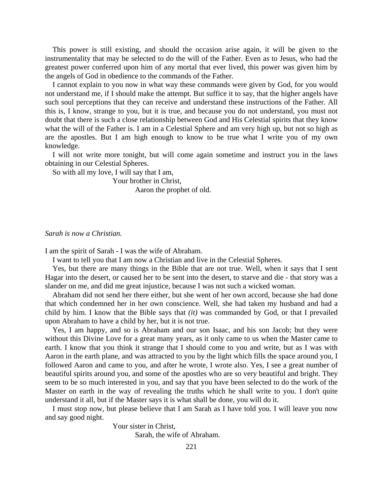This power is still existing, and should the occasion arise again, it will be given to the instrumentality that may be selected to do the will of the Father. Even as to Jesus, who had the greatest power conferred upon him of any mortal that ever lived, this power was given him by the angels of God in obedience to the commands of the Father.

 I cannot explain to you now in what way these commands were given by God, for you would not understand me, if I should make the attempt. But suffice it to say, that the higher angels have such soul perceptions that they can receive and understand these instructions of the Father. All this is, I know, strange to you, but it is true, and because you do not understand, you must not doubt that there is such a close relationship between God and His Celestial spirits that they know what the will of the Father is. I am in a Celestial Sphere and am very high up, but not so high as are the apostles. But I am high enough to know to be true what I write you of my own knowledge.

 I will not write more tonight, but will come again sometime and instruct you in the laws obtaining in our Celestial Spheres.

So with all my love, I will say that I am,

 Your brother in Christ, Aaron the prophet of old.

# *Sarah is now a Christian.*

I am the spirit of Sarah - I was the wife of Abraham.

I want to tell you that I am now a Christian and live in the Celestial Spheres.

 Yes, but there are many things in the Bible that are not true. Well, when it says that I sent Hagar into the desert, or caused her to be sent into the desert, to starve and die - that story was a slander on me, and did me great injustice, because I was not such a wicked woman.

 Abraham did not send her there either, but she went of her own accord, because she had done that which condemned her in her own conscience. Well, she had taken my husband and had a child by him. I know that the Bible says that *(it)* was commanded by God, or that I prevailed upon Abraham to have a child by her, but it is not true.

 Yes, I am happy, and so is Abraham and our son Isaac, and his son Jacob; but they were without this Divine Love for a great many years, as it only came to us when the Master came to earth. I know that you think it strange that I should come to you and write, but as I was with Aaron in the earth plane, and was attracted to you by the light which fills the space around you, I followed Aaron and came to you, and after he wrote, I wrote also. Yes, I see a great number of beautiful spirits around you, and some of the apostles who are so very beautiful and bright. They seem to be so much interested in you, and say that you have been selected to do the work of the Master on earth in the way of revealing the truths which he shall write to you. I don't quite understand it all, but if the Master says it is what shall be done, you will do it.

 I must stop now, but please believe that I am Sarah as I have told you. I will leave you now and say good night.

> Your sister in Christ, Sarah, the wife of Abraham.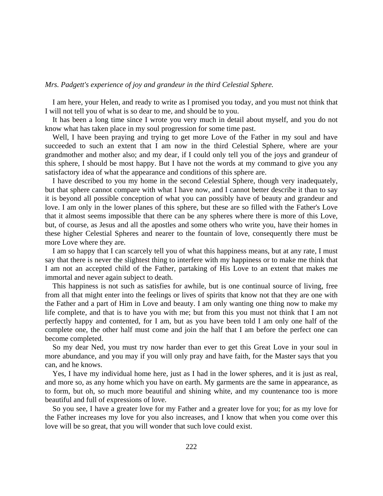# *Mrs. Padgett's experience of joy and grandeur in the third Celestial Sphere.*

 I am here, your Helen, and ready to write as I promised you today, and you must not think that I will not tell you of what is so dear to me, and should be to you.

 It has been a long time since I wrote you very much in detail about myself, and you do not know what has taken place in my soul progression for some time past.

 Well, I have been praying and trying to get more Love of the Father in my soul and have succeeded to such an extent that I am now in the third Celestial Sphere, where are your grandmother and mother also; and my dear, if I could only tell you of the joys and grandeur of this sphere, I should be most happy. But I have not the words at my command to give you any satisfactory idea of what the appearance and conditions of this sphere are.

 I have described to you my home in the second Celestial Sphere, though very inadequately, but that sphere cannot compare with what I have now, and I cannot better describe it than to say it is beyond all possible conception of what you can possibly have of beauty and grandeur and love. I am only in the lower planes of this sphere, but these are so filled with the Father's Love that it almost seems impossible that there can be any spheres where there is more of this Love, but, of course, as Jesus and all the apostles and some others who write you, have their homes in these higher Celestial Spheres and nearer to the fountain of love, consequently there must be more Love where they are.

 I am so happy that I can scarcely tell you of what this happiness means, but at any rate, I must say that there is never the slightest thing to interfere with my happiness or to make me think that I am not an accepted child of the Father, partaking of His Love to an extent that makes me immortal and never again subject to death.

 This happiness is not such as satisfies for awhile, but is one continual source of living, free from all that might enter into the feelings or lives of spirits that know not that they are one with the Father and a part of Him in Love and beauty. I am only wanting one thing now to make my life complete, and that is to have you with me; but from this you must not think that I am not perfectly happy and contented, for I am, but as you have been told I am only one half of the complete one, the other half must come and join the half that I am before the perfect one can become completed.

 So my dear Ned, you must try now harder than ever to get this Great Love in your soul in more abundance, and you may if you will only pray and have faith, for the Master says that you can, and he knows.

 Yes, I have my individual home here, just as I had in the lower spheres, and it is just as real, and more so, as any home which you have on earth. My garments are the same in appearance, as to form, but oh, so much more beautiful and shining white, and my countenance too is more beautiful and full of expressions of love.

 So you see, I have a greater love for my Father and a greater love for you; for as my love for the Father increases my love for you also increases, and I know that when you come over this love will be so great, that you will wonder that such love could exist.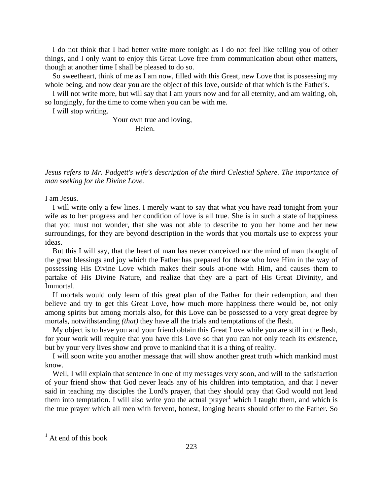I do not think that I had better write more tonight as I do not feel like telling you of other things, and I only want to enjoy this Great Love free from communication about other matters, though at another time I shall be pleased to do so.

 So sweetheart, think of me as I am now, filled with this Great, new Love that is possessing my whole being, and now dear you are the object of this love, outside of that which is the Father's.

 I will not write more, but will say that I am yours now and for all eternity, and am waiting, oh, so longingly, for the time to come when you can be with me.

I will stop writing.

 Your own true and loving, Helen.

*Jesus refers to Mr. Padgett's wife's description of the third Celestial Sphere. The importance of man seeking for the Divine Love.* 

I am Jesus.

 I will write only a few lines. I merely want to say that what you have read tonight from your wife as to her progress and her condition of love is all true. She is in such a state of happiness that you must not wonder, that she was not able to describe to you her home and her new surroundings, for they are beyond description in the words that you mortals use to express your ideas.

 But this I will say, that the heart of man has never conceived nor the mind of man thought of the great blessings and joy which the Father has prepared for those who love Him in the way of possessing His Divine Love which makes their souls at-one with Him, and causes them to partake of His Divine Nature, and realize that they are a part of His Great Divinity, and Immortal.

 If mortals would only learn of this great plan of the Father for their redemption, and then believe and try to get this Great Love, how much more happiness there would be, not only among spirits but among mortals also, for this Love can be possessed to a very great degree by mortals, notwithstanding *(that)* they have all the trials and temptations of the flesh.

 My object is to have you and your friend obtain this Great Love while you are still in the flesh, for your work will require that you have this Love so that you can not only teach its existence, but by your very lives show and prove to mankind that it is a thing of reality.

 I will soon write you another message that will show another great truth which mankind must know.

Well, I will explain that sentence in one of my messages very soon, and will to the satisfaction of your friend show that God never leads any of his children into temptation, and that I never said in teaching my disciples the Lord's prayer, that they should pray that God would not lead them into temptation. I will also write you the actual prayer<sup>1</sup> which I taught them, and which is the true prayer which all men with fervent, honest, longing hearts should offer to the Father. So

 $\overline{a}$ 

<sup>&</sup>lt;sup>1</sup> At end of this book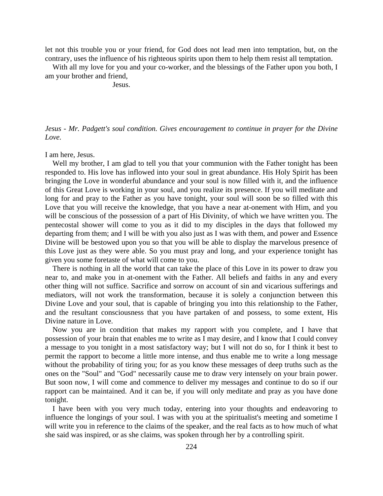let not this trouble you or your friend, for God does not lead men into temptation, but, on the contrary, uses the influence of his righteous spirits upon them to help them resist all temptation.

With all my love for you and your co-worker, and the blessings of the Father upon you both, I am your brother and friend,

Jesus.

*Jesus - Mr. Padgett's soul condition. Gives encouragement to continue in prayer for the Divine Love.* 

I am here, Jesus.

Well my brother, I am glad to tell you that your communion with the Father tonight has been responded to. His love has inflowed into your soul in great abundance. His Holy Spirit has been bringing the Love in wonderful abundance and your soul is now filled with it, and the influence of this Great Love is working in your soul, and you realize its presence. If you will meditate and long for and pray to the Father as you have tonight, your soul will soon be so filled with this Love that you will receive the knowledge, that you have a near at-onement with Him, and you will be conscious of the possession of a part of His Divinity, of which we have written you. The pentecostal shower will come to you as it did to my disciples in the days that followed my departing from them; and I will be with you also just as I was with them, and power and Essence Divine will be bestowed upon you so that you will be able to display the marvelous presence of this Love just as they were able. So you must pray and long, and your experience tonight has given you some foretaste of what will come to you.

 There is nothing in all the world that can take the place of this Love in its power to draw you near to, and make you in at-onement with the Father. All beliefs and faiths in any and every other thing will not suffice. Sacrifice and sorrow on account of sin and vicarious sufferings and mediators, will not work the transformation, because it is solely a conjunction between this Divine Love and your soul, that is capable of bringing you into this relationship to the Father, and the resultant consciousness that you have partaken of and possess, to some extent, His Divine nature in Love.

 Now you are in condition that makes my rapport with you complete, and I have that possession of your brain that enables me to write as I may desire, and I know that I could convey a message to you tonight in a most satisfactory way; but I will not do so, for I think it best to permit the rapport to become a little more intense, and thus enable me to write a long message without the probability of tiring you; for as you know these messages of deep truths such as the ones on the "Soul" and "God" necessarily cause me to draw very intensely on your brain power. But soon now, I will come and commence to deliver my messages and continue to do so if our rapport can be maintained. And it can be, if you will only meditate and pray as you have done tonight.

 I have been with you very much today, entering into your thoughts and endeavoring to influence the longings of your soul. I was with you at the spiritualist's meeting and sometime I will write you in reference to the claims of the speaker, and the real facts as to how much of what she said was inspired, or as she claims, was spoken through her by a controlling spirit.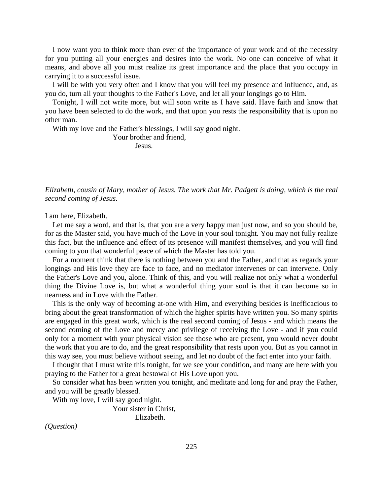I now want you to think more than ever of the importance of your work and of the necessity for you putting all your energies and desires into the work. No one can conceive of what it means, and above all you must realize its great importance and the place that you occupy in carrying it to a successful issue.

 I will be with you very often and I know that you will feel my presence and influence, and, as you do, turn all your thoughts to the Father's Love, and let all your longings go to Him.

 Tonight, I will not write more, but will soon write as I have said. Have faith and know that you have been selected to do the work, and that upon you rests the responsibility that is upon no other man.

With my love and the Father's blessings, I will say good night.

Your brother and friend,

Jesus.

*Elizabeth, cousin of Mary, mother of Jesus. The work that Mr. Padgett is doing, which is the real second coming of Jesus.* 

I am here, Elizabeth.

Let me say a word, and that is, that you are a very happy man just now, and so you should be, for as the Master said, you have much of the Love in your soul tonight. You may not fully realize this fact, but the influence and effect of its presence will manifest themselves, and you will find coming to you that wonderful peace of which the Master has told you.

 For a moment think that there is nothing between you and the Father, and that as regards your longings and His love they are face to face, and no mediator intervenes or can intervene. Only the Father's Love and you, alone. Think of this, and you will realize not only what a wonderful thing the Divine Love is, but what a wonderful thing your soul is that it can become so in nearness and in Love with the Father.

 This is the only way of becoming at-one with Him, and everything besides is inefficacious to bring about the great transformation of which the higher spirits have written you. So many spirits are engaged in this great work, which is the real second coming of Jesus - and which means the second coming of the Love and mercy and privilege of receiving the Love - and if you could only for a moment with your physical vision see those who are present, you would never doubt the work that you are to do, and the great responsibility that rests upon you. But as you cannot in this way see, you must believe without seeing, and let no doubt of the fact enter into your faith.

 I thought that I must write this tonight, for we see your condition, and many are here with you praying to the Father for a great bestowal of His Love upon you.

 So consider what has been written you tonight, and meditate and long for and pray the Father, and you will be greatly blessed.

With my love, I will say good night.

Your sister in Christ,

Elizabeth.

*(Question)*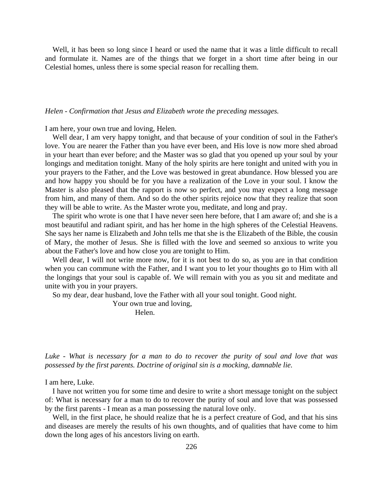Well, it has been so long since I heard or used the name that it was a little difficult to recall and formulate it. Names are of the things that we forget in a short time after being in our Celestial homes, unless there is some special reason for recalling them.

# *Helen - Confirmation that Jesus and Elizabeth wrote the preceding messages.*

I am here, your own true and loving, Helen.

 Well dear, I am very happy tonight, and that because of your condition of soul in the Father's love. You are nearer the Father than you have ever been, and His love is now more shed abroad in your heart than ever before; and the Master was so glad that you opened up your soul by your longings and meditation tonight. Many of the holy spirits are here tonight and united with you in your prayers to the Father, and the Love was bestowed in great abundance. How blessed you are and how happy you should be for you have a realization of the Love in your soul. I know the Master is also pleased that the rapport is now so perfect, and you may expect a long message from him, and many of them. And so do the other spirits rejoice now that they realize that soon they will be able to write. As the Master wrote you, meditate, and long and pray.

 The spirit who wrote is one that I have never seen here before, that I am aware of; and she is a most beautiful and radiant spirit, and has her home in the high spheres of the Celestial Heavens. She says her name is Elizabeth and John tells me that she is the Elizabeth of the Bible, the cousin of Mary, the mother of Jesus. She is filled with the love and seemed so anxious to write you about the Father's love and how close you are tonight to Him.

 Well dear, I will not write more now, for it is not best to do so, as you are in that condition when you can commune with the Father, and I want you to let your thoughts go to Him with all the longings that your soul is capable of. We will remain with you as you sit and meditate and unite with you in your prayers.

So my dear, dear husband, love the Father with all your soul tonight. Good night.

Your own true and loving,

Helen.

*Luke - What is necessary for a man to do to recover the purity of soul and love that was possessed by the first parents. Doctrine of original sin is a mocking, damnable lie.* 

I am here, Luke.

 I have not written you for some time and desire to write a short message tonight on the subject of: What is necessary for a man to do to recover the purity of soul and love that was possessed by the first parents - I mean as a man possessing the natural love only.

 Well, in the first place, he should realize that he is a perfect creature of God, and that his sins and diseases are merely the results of his own thoughts, and of qualities that have come to him down the long ages of his ancestors living on earth.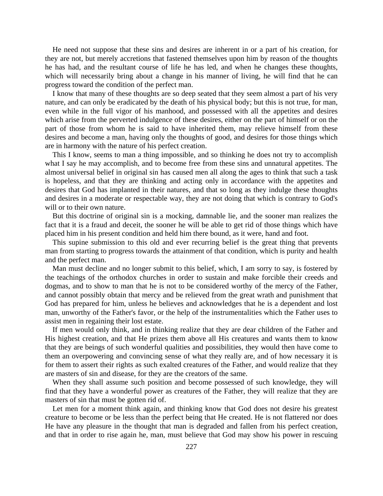He need not suppose that these sins and desires are inherent in or a part of his creation, for they are not, but merely accretions that fastened themselves upon him by reason of the thoughts he has had, and the resultant course of life he has led, and when he changes these thoughts, which will necessarily bring about a change in his manner of living, he will find that he can progress toward the condition of the perfect man.

 I know that many of these thoughts are so deep seated that they seem almost a part of his very nature, and can only be eradicated by the death of his physical body; but this is not true, for man, even while in the full vigor of his manhood, and possessed with all the appetites and desires which arise from the perverted indulgence of these desires, either on the part of himself or on the part of those from whom he is said to have inherited them, may relieve himself from these desires and become a man, having only the thoughts of good, and desires for those things which are in harmony with the nature of his perfect creation.

 This I know, seems to man a thing impossible, and so thinking he does not try to accomplish what I say he may accomplish, and to become free from these sins and unnatural appetites. The almost universal belief in original sin has caused men all along the ages to think that such a task is hopeless, and that they are thinking and acting only in accordance with the appetites and desires that God has implanted in their natures, and that so long as they indulge these thoughts and desires in a moderate or respectable way, they are not doing that which is contrary to God's will or to their own nature.

 But this doctrine of original sin is a mocking, damnable lie, and the sooner man realizes the fact that it is a fraud and deceit, the sooner he will be able to get rid of those things which have placed him in his present condition and held him there bound, as it were, hand and foot.

 This supine submission to this old and ever recurring belief is the great thing that prevents man from starting to progress towards the attainment of that condition, which is purity and health and the perfect man.

 Man must decline and no longer submit to this belief, which, I am sorry to say, is fostered by the teachings of the orthodox churches in order to sustain and make forcible their creeds and dogmas, and to show to man that he is not to be considered worthy of the mercy of the Father, and cannot possibly obtain that mercy and be relieved from the great wrath and punishment that God has prepared for him, unless he believes and acknowledges that he is a dependent and lost man, unworthy of the Father's favor, or the help of the instrumentalities which the Father uses to assist men in regaining their lost estate.

 If men would only think, and in thinking realize that they are dear children of the Father and His highest creation, and that He prizes them above all His creatures and wants them to know that they are beings of such wonderful qualities and possibilities, they would then have come to them an overpowering and convincing sense of what they really are, and of how necessary it is for them to assert their rights as such exalted creatures of the Father, and would realize that they are masters of sin and disease, for they are the creators of the same.

 When they shall assume such position and become possessed of such knowledge, they will find that they have a wonderful power as creatures of the Father, they will realize that they are masters of sin that must be gotten rid of.

 Let men for a moment think again, and thinking know that God does not desire his greatest creature to become or be less than the perfect being that He created. He is not flattered nor does He have any pleasure in the thought that man is degraded and fallen from his perfect creation, and that in order to rise again he, man, must believe that God may show his power in rescuing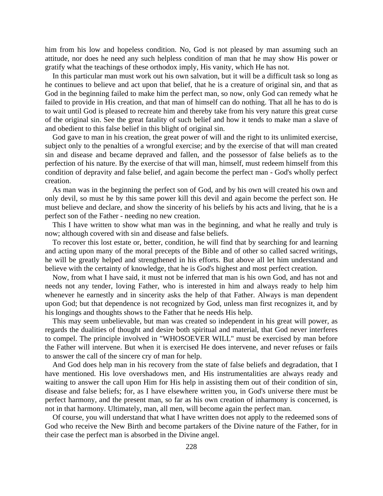him from his low and hopeless condition. No, God is not pleased by man assuming such an attitude, nor does he need any such helpless condition of man that he may show His power or gratify what the teachings of these orthodox imply, His vanity, which He has not.

 In this particular man must work out his own salvation, but it will be a difficult task so long as he continues to believe and act upon that belief, that he is a creature of original sin, and that as God in the beginning failed to make him the perfect man, so now, only God can remedy what he failed to provide in His creation, and that man of himself can do nothing. That all he has to do is to wait until God is pleased to recreate him and thereby take from his very nature this great curse of the original sin. See the great fatality of such belief and how it tends to make man a slave of and obedient to this false belief in this blight of original sin.

 God gave to man in his creation, the great power of will and the right to its unlimited exercise, subject only to the penalties of a wrongful exercise; and by the exercise of that will man created sin and disease and became depraved and fallen, and the possessor of false beliefs as to the perfection of his nature. By the exercise of that will man, himself, must redeem himself from this condition of depravity and false belief, and again become the perfect man - God's wholly perfect creation.

 As man was in the beginning the perfect son of God, and by his own will created his own and only devil, so must he by this same power kill this devil and again become the perfect son. He must believe and declare, and show the sincerity of his beliefs by his acts and living, that he is a perfect son of the Father - needing no new creation.

 This I have written to show what man was in the beginning, and what he really and truly is now; although covered with sin and disease and false beliefs.

 To recover this lost estate or, better, condition, he will find that by searching for and learning and acting upon many of the moral precepts of the Bible and of other so called sacred writings, he will be greatly helped and strengthened in his efforts. But above all let him understand and believe with the certainty of knowledge, that he is God's highest and most perfect creation.

 Now, from what I have said, it must not be inferred that man is his own God, and has not and needs not any tender, loving Father, who is interested in him and always ready to help him whenever he earnestly and in sincerity asks the help of that Father. Always is man dependent upon God; but that dependence is not recognized by God, unless man first recognizes it, and by his longings and thoughts shows to the Father that he needs His help.

 This may seem unbelievable, but man was created so independent in his great will power, as regards the dualities of thought and desire both spiritual and material, that God never interferes to compel. The principle involved in "WHOSOEVER WILL" must be exercised by man before the Father will intervene. But when it is exercised He does intervene, and never refuses or fails to answer the call of the sincere cry of man for help.

 And God does help man in his recovery from the state of false beliefs and degradation, that I have mentioned. His love overshadows men, and His instrumentalities are always ready and waiting to answer the call upon Him for His help in assisting them out of their condition of sin, disease and false beliefs; for, as I have elsewhere written you, in God's universe there must be perfect harmony, and the present man, so far as his own creation of inharmony is concerned, is not in that harmony. Ultimately, man, all men, will become again the perfect man.

 Of course, you will understand that what I have written does not apply to the redeemed sons of God who receive the New Birth and become partakers of the Divine nature of the Father, for in their case the perfect man is absorbed in the Divine angel.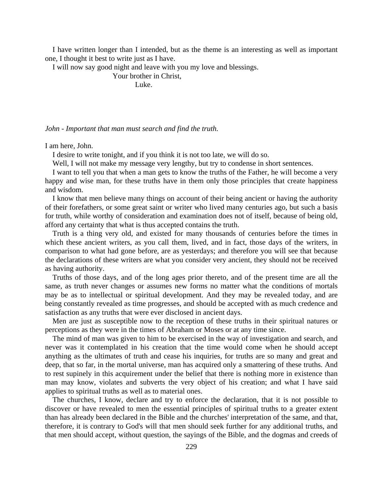I have written longer than I intended, but as the theme is an interesting as well as important one, I thought it best to write just as I have.

I will now say good night and leave with you my love and blessings.

Your brother in Christ,

Luke.

# *John - Important that man must search and find the truth.*

I am here, John.

I desire to write tonight, and if you think it is not too late, we will do so.

Well, I will not make my message very lengthy, but try to condense in short sentences.

 I want to tell you that when a man gets to know the truths of the Father, he will become a very happy and wise man, for these truths have in them only those principles that create happiness and wisdom.

 I know that men believe many things on account of their being ancient or having the authority of their forefathers, or some great saint or writer who lived many centuries ago, but such a basis for truth, while worthy of consideration and examination does not of itself, because of being old, afford any certainty that what is thus accepted contains the truth.

 Truth is a thing very old, and existed for many thousands of centuries before the times in which these ancient writers, as you call them, lived, and in fact, those days of the writers, in comparison to what had gone before, are as yesterdays; and therefore you will see that because the declarations of these writers are what you consider very ancient, they should not be received as having authority.

 Truths of those days, and of the long ages prior thereto, and of the present time are all the same, as truth never changes or assumes new forms no matter what the conditions of mortals may be as to intellectual or spiritual development. And they may be revealed today, and are being constantly revealed as time progresses, and should be accepted with as much credence and satisfaction as any truths that were ever disclosed in ancient days.

 Men are just as susceptible now to the reception of these truths in their spiritual natures or perceptions as they were in the times of Abraham or Moses or at any time since.

 The mind of man was given to him to be exercised in the way of investigation and search, and never was it contemplated in his creation that the time would come when he should accept anything as the ultimates of truth and cease his inquiries, for truths are so many and great and deep, that so far, in the mortal universe, man has acquired only a smattering of these truths. And to rest supinely in this acquirement under the belief that there is nothing more in existence than man may know, violates and subverts the very object of his creation; and what I have said applies to spiritual truths as well as to material ones.

 The churches, I know, declare and try to enforce the declaration, that it is not possible to discover or have revealed to men the essential principles of spiritual truths to a greater extent than has already been declared in the Bible and the churches' interpretation of the same, and that, therefore, it is contrary to God's will that men should seek further for any additional truths, and that men should accept, without question, the sayings of the Bible, and the dogmas and creeds of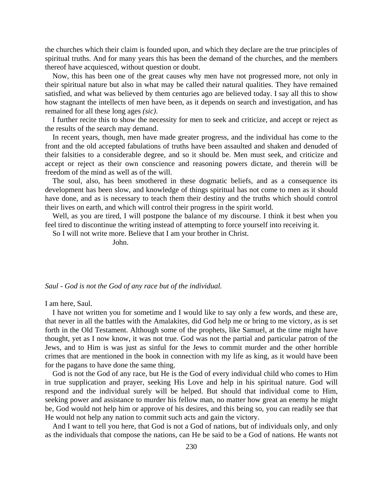the churches which their claim is founded upon, and which they declare are the true principles of spiritual truths. And for many years this has been the demand of the churches, and the members thereof have acquiesced, without question or doubt.

 Now, this has been one of the great causes why men have not progressed more, not only in their spiritual nature but also in what may be called their natural qualities. They have remained satisfied, and what was believed by them centuries ago are believed today. I say all this to show how stagnant the intellects of men have been, as it depends on search and investigation, and has remained for all these long ages *(sic)*.

 I further recite this to show the necessity for men to seek and criticize, and accept or reject as the results of the search may demand.

 In recent years, though, men have made greater progress, and the individual has come to the front and the old accepted fabulations of truths have been assaulted and shaken and denuded of their falsities to a considerable degree, and so it should be. Men must seek, and criticize and accept or reject as their own conscience and reasoning powers dictate, and therein will be freedom of the mind as well as of the will.

 The soul, also, has been smothered in these dogmatic beliefs, and as a consequence its development has been slow, and knowledge of things spiritual has not come to men as it should have done, and as is necessary to teach them their destiny and the truths which should control their lives on earth, and which will control their progress in the spirit world.

 Well, as you are tired, I will postpone the balance of my discourse. I think it best when you feel tired to discontinue the writing instead of attempting to force yourself into receiving it.

So I will not write more. Believe that I am your brother in Christ.

John.

## *Saul - God is not the God of any race but of the individual.*

I am here, Saul.

 I have not written you for sometime and I would like to say only a few words, and these are, that never in all the battles with the Amalakites, did God help me or bring to me victory, as is set forth in the Old Testament. Although some of the prophets, like Samuel, at the time might have thought, yet as I now know, it was not true. God was not the partial and particular patron of the Jews, and to Him is was just as sinful for the Jews to commit murder and the other horrible crimes that are mentioned in the book in connection with my life as king, as it would have been for the pagans to have done the same thing.

 God is not the God of any race, but He is the God of every individual child who comes to Him in true supplication and prayer, seeking His Love and help in his spiritual nature. God will respond and the individual surely will be helped. But should that individual come to Him, seeking power and assistance to murder his fellow man, no matter how great an enemy he might be, God would not help him or approve of his desires, and this being so, you can readily see that He would not help any nation to commit such acts and gain the victory.

 And I want to tell you here, that God is not a God of nations, but of individuals only, and only as the individuals that compose the nations, can He be said to be a God of nations. He wants not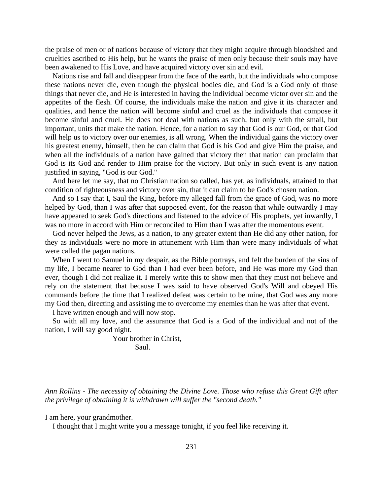the praise of men or of nations because of victory that they might acquire through bloodshed and cruelties ascribed to His help, but he wants the praise of men only because their souls may have been awakened to His Love, and have acquired victory over sin and evil.

 Nations rise and fall and disappear from the face of the earth, but the individuals who compose these nations never die, even though the physical bodies die, and God is a God only of those things that never die, and He is interested in having the individual become victor over sin and the appetites of the flesh. Of course, the individuals make the nation and give it its character and qualities, and hence the nation will become sinful and cruel as the individuals that compose it become sinful and cruel. He does not deal with nations as such, but only with the small, but important, units that make the nation. Hence, for a nation to say that God is our God, or that God will help us to victory over our enemies, is all wrong. When the individual gains the victory over his greatest enemy, himself, then he can claim that God is his God and give Him the praise, and when all the individuals of a nation have gained that victory then that nation can proclaim that God is its God and render to Him praise for the victory. But only in such event is any nation justified in saying, "God is our God."

 And here let me say, that no Christian nation so called, has yet, as individuals, attained to that condition of righteousness and victory over sin, that it can claim to be God's chosen nation.

 And so I say that I, Saul the King, before my alleged fall from the grace of God, was no more helped by God, than I was after that supposed event, for the reason that while outwardly I may have appeared to seek God's directions and listened to the advice of His prophets, yet inwardly, I was no more in accord with Him or reconciled to Him than I was after the momentous event.

 God never helped the Jews, as a nation, to any greater extent than He did any other nation, for they as individuals were no more in attunement with Him than were many individuals of what were called the pagan nations.

 When I went to Samuel in my despair, as the Bible portrays, and felt the burden of the sins of my life, I became nearer to God than I had ever been before, and He was more my God than ever, though I did not realize it. I merely write this to show men that they must not believe and rely on the statement that because I was said to have observed God's Will and obeyed His commands before the time that I realized defeat was certain to be mine, that God was any more my God then, directing and assisting me to overcome my enemies than he was after that event.

I have written enough and will now stop.

 So with all my love, and the assurance that God is a God of the individual and not of the nation, I will say good night.

> Your brother in Christ, Saul.

*Ann Rollins - The necessity of obtaining the Divine Love. Those who refuse this Great Gift after the privilege of obtaining it is withdrawn will suffer the "second death."* 

I am here, your grandmother.

I thought that I might write you a message tonight, if you feel like receiving it.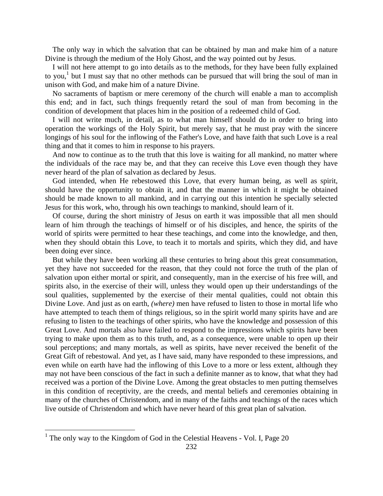The only way in which the salvation that can be obtained by man and make him of a nature Divine is through the medium of the Holy Ghost, and the way pointed out by Jesus.

 I will not here attempt to go into details as to the methods, for they have been fully explained to you,<sup>1</sup> but I must say that no other methods can be pursued that will bring the soul of man in unison with God, and make him of a nature Divine.

 No sacraments of baptism or mere ceremony of the church will enable a man to accomplish this end; and in fact, such things frequently retard the soul of man from becoming in the condition of development that places him in the position of a redeemed child of God.

 I will not write much, in detail, as to what man himself should do in order to bring into operation the workings of the Holy Spirit, but merely say, that he must pray with the sincere longings of his soul for the inflowing of the Father's Love, and have faith that such Love is a real thing and that it comes to him in response to his prayers.

 And now to continue as to the truth that this love is waiting for all mankind, no matter where the individuals of the race may be, and that they can receive this Love even though they have never heard of the plan of salvation as declared by Jesus.

 God intended, when He rebestowed this Love, that every human being, as well as spirit, should have the opportunity to obtain it, and that the manner in which it might be obtained should be made known to all mankind, and in carrying out this intention he specially selected Jesus for this work, who, through his own teachings to mankind, should learn of it.

 Of course, during the short ministry of Jesus on earth it was impossible that all men should learn of him through the teachings of himself or of his disciples, and hence, the spirits of the world of spirits were permitted to hear these teachings, and come into the knowledge, and then, when they should obtain this Love, to teach it to mortals and spirits, which they did, and have been doing ever since.

 But while they have been working all these centuries to bring about this great consummation, yet they have not succeeded for the reason, that they could not force the truth of the plan of salvation upon either mortal or spirit, and consequently, man in the exercise of his free will, and spirits also, in the exercise of their will, unless they would open up their understandings of the soul qualities, supplemented by the exercise of their mental qualities, could not obtain this Divine Love. And just as on earth, *(where)* men have refused to listen to those in mortal life who have attempted to teach them of things religious, so in the spirit world many spirits have and are refusing to listen to the teachings of other spirits, who have the knowledge and possession of this Great Love. And mortals also have failed to respond to the impressions which spirits have been trying to make upon them as to this truth, and, as a consequence, were unable to open up their soul perceptions; and many mortals, as well as spirits, have never received the benefit of the Great Gift of rebestowal. And yet, as I have said, many have responded to these impressions, and even while on earth have had the inflowing of this Love to a more or less extent, although they may not have been conscious of the fact in such a definite manner as to know, that what they had received was a portion of the Divine Love. Among the great obstacles to men putting themselves in this condition of receptivity, are the creeds, and mental beliefs and ceremonies obtaining in many of the churches of Christendom, and in many of the faiths and teachings of the races which live outside of Christendom and which have never heard of this great plan of salvation.

 $\overline{a}$ 

<sup>&</sup>lt;sup>1</sup> The only way to the Kingdom of God in the Celestial Heavens - Vol. I, Page 20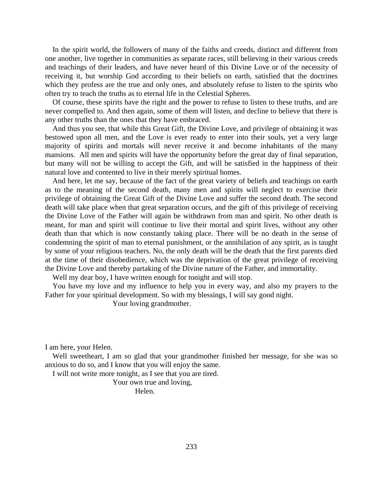In the spirit world, the followers of many of the faiths and creeds, distinct and different from one another, live together in communities as separate races, still believing in their various creeds and teachings of their leaders, and have never heard of this Divine Love or of the necessity of receiving it, but worship God according to their beliefs on earth, satisfied that the doctrines which they profess are the true and only ones, and absolutely refuse to listen to the spirits who often try to teach the truths as to eternal life in the Celestial Spheres.

 Of course, these spirits have the right and the power to refuse to listen to these truths, and are never compelled to. And then again, some of them will listen, and decline to believe that there is any other truths than the ones that they have embraced.

 And thus you see, that while this Great Gift, the Divine Love, and privilege of obtaining it was bestowed upon all men, and the Love is ever ready to enter into their souls, yet a very large majority of spirits and mortals will never receive it and become inhabitants of the many mansions. All men and spirits will have the opportunity before the great day of final separation, but many will not be willing to accept the Gift, and will be satisfied in the happiness of their natural love and contented to live in their merely spiritual homes.

 And here, let me say, because of the fact of the great variety of beliefs and teachings on earth as to the meaning of the second death, many men and spirits will neglect to exercise their privilege of obtaining the Great Gift of the Divine Love and suffer the second death. The second death will take place when that great separation occurs, and the gift of this privilege of receiving the Divine Love of the Father will again be withdrawn from man and spirit. No other death is meant, for man and spirit will continue to live their mortal and spirit lives, without any other death than that which is now constantly taking place. There will be no death in the sense of condemning the spirit of man to eternal punishment, or the annihilation of any spirit, as is taught by some of your religious teachers. No, the only death will be the death that the first parents died at the time of their disobedience, which was the deprivation of the great privilege of receiving the Divine Love and thereby partaking of the Divine nature of the Father, and immortality.

Well my dear boy, I have written enough for tonight and will stop.

 You have my love and my influence to help you in every way, and also my prayers to the Father for your spiritual development. So with my blessings, I will say good night.

Your loving grandmother.

I am here, your Helen.

 Well sweetheart, I am so glad that your grandmother finished her message, for she was so anxious to do so, and I know that you will enjoy the same.

I will not write more tonight, as I see that you are tired.

Your own true and loving,

Helen.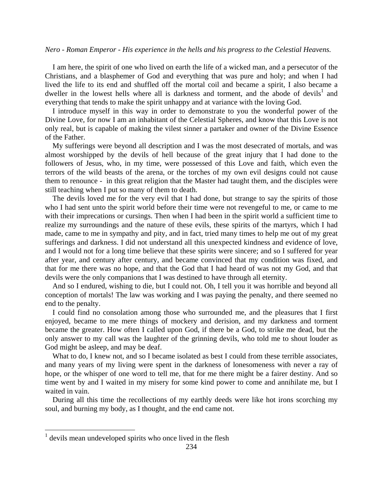# *Nero - Roman Emperor - His experience in the hells and his progress to the Celestial Heavens.*

 I am here, the spirit of one who lived on earth the life of a wicked man, and a persecutor of the Christians, and a blasphemer of God and everything that was pure and holy; and when I had lived the life to its end and shuffled off the mortal coil and became a spirit, I also became a dweller in the lowest hells where all is darkness and torment, and the abode of devils<sup>1</sup> and everything that tends to make the spirit unhappy and at variance with the loving God.

 I introduce myself in this way in order to demonstrate to you the wonderful power of the Divine Love, for now I am an inhabitant of the Celestial Spheres, and know that this Love is not only real, but is capable of making the vilest sinner a partaker and owner of the Divine Essence of the Father.

 My sufferings were beyond all description and I was the most desecrated of mortals, and was almost worshipped by the devils of hell because of the great injury that I had done to the followers of Jesus, who, in my time, were possessed of this Love and faith, which even the terrors of the wild beasts of the arena, or the torches of my own evil designs could not cause them to renounce - in this great religion that the Master had taught them, and the disciples were still teaching when I put so many of them to death.

 The devils loved me for the very evil that I had done, but strange to say the spirits of those who I had sent unto the spirit world before their time were not revengeful to me, or came to me with their imprecations or cursings. Then when I had been in the spirit world a sufficient time to realize my surroundings and the nature of these evils, these spirits of the martyrs, which I had made, came to me in sympathy and pity, and in fact, tried many times to help me out of my great sufferings and darkness. I did not understand all this unexpected kindness and evidence of love, and I would not for a long time believe that these spirits were sincere; and so I suffered for year after year, and century after century, and became convinced that my condition was fixed, and that for me there was no hope, and that the God that I had heard of was not my God, and that devils were the only companions that I was destined to have through all eternity.

 And so I endured, wishing to die, but I could not. Oh, I tell you it was horrible and beyond all conception of mortals! The law was working and I was paying the penalty, and there seemed no end to the penalty.

 I could find no consolation among those who surrounded me, and the pleasures that I first enjoyed, became to me mere things of mockery and derision, and my darkness and torment became the greater. How often I called upon God, if there be a God, to strike me dead, but the only answer to my call was the laughter of the grinning devils, who told me to shout louder as God might be asleep, and may be deaf.

What to do, I knew not, and so I became isolated as best I could from these terrible associates, and many years of my living were spent in the darkness of lonesomeness with never a ray of hope, or the whisper of one word to tell me, that for me there might be a fairer destiny. And so time went by and I waited in my misery for some kind power to come and annihilate me, but I waited in vain.

 During all this time the recollections of my earthly deeds were like hot irons scorching my soul, and burning my body, as I thought, and the end came not.

1

<sup>&</sup>lt;sup>1</sup> devils mean undeveloped spirits who once lived in the flesh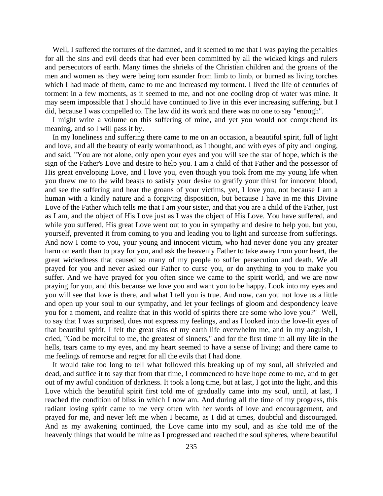Well, I suffered the tortures of the damned, and it seemed to me that I was paying the penalties for all the sins and evil deeds that had ever been committed by all the wicked kings and rulers and persecutors of earth. Many times the shrieks of the Christian children and the groans of the men and women as they were being torn asunder from limb to limb, or burned as living torches which I had made of them, came to me and increased my torment. I lived the life of centuries of torment in a few moments, as it seemed to me, and not one cooling drop of water was mine. It may seem impossible that I should have continued to live in this ever increasing suffering, but I did, because I was compelled to. The law did its work and there was no one to say "enough".

 I might write a volume on this suffering of mine, and yet you would not comprehend its meaning, and so I will pass it by.

 In my loneliness and suffering there came to me on an occasion, a beautiful spirit, full of light and love, and all the beauty of early womanhood, as I thought, and with eyes of pity and longing, and said, "You are not alone, only open your eyes and you will see the star of hope, which is the sign of the Father's Love and desire to help you. I am a child of that Father and the possessor of His great enveloping Love, and I love you, even though you took from me my young life when you threw me to the wild beasts to satisfy your desire to gratify your thirst for innocent blood, and see the suffering and hear the groans of your victims, yet, I love you, not because I am a human with a kindly nature and a forgiving disposition, but because I have in me this Divine Love of the Father which tells me that I am your sister, and that you are a child of the Father, just as I am, and the object of His Love just as I was the object of His Love. You have suffered, and while you suffered, His great Love went out to you in sympathy and desire to help you, but you, yourself, prevented it from coming to you and leading you to light and surcease from sufferings. And now I come to you, your young and innocent victim, who had never done you any greater harm on earth than to pray for you, and ask the heavenly Father to take away from your heart, the great wickedness that caused so many of my people to suffer persecution and death. We all prayed for you and never asked our Father to curse you, or do anything to you to make you suffer. And we have prayed for you often since we came to the spirit world, and we are now praying for you, and this because we love you and want you to be happy. Look into my eyes and you will see that love is there, and what I tell you is true. And now, can you not love us a little and open up your soul to our sympathy, and let your feelings of gloom and despondency leave you for a moment, and realize that in this world of spirits there are some who love you?" Well, to say that I was surprised, does not express my feelings, and as I looked into the love-lit eyes of that beautiful spirit, I felt the great sins of my earth life overwhelm me, and in my anguish, I cried, "God be merciful to me, the greatest of sinners," and for the first time in all my life in the hells, tears came to my eyes, and my heart seemed to have a sense of living; and there came to me feelings of remorse and regret for all the evils that I had done.

 It would take too long to tell what followed this breaking up of my soul, all shriveled and dead, and suffice it to say that from that time, I commenced to have hope come to me, and to get out of my awful condition of darkness. It took a long time, but at last, I got into the light, and this Love which the beautiful spirit first told me of gradually came into my soul, until, at last, I reached the condition of bliss in which I now am. And during all the time of my progress, this radiant loving spirit came to me very often with her words of love and encouragement, and prayed for me, and never left me when I became, as I did at times, doubtful and discouraged. And as my awakening continued, the Love came into my soul, and as she told me of the heavenly things that would be mine as I progressed and reached the soul spheres, where beautiful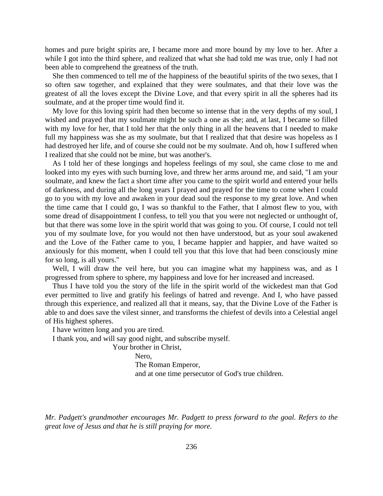homes and pure bright spirits are, I became more and more bound by my love to her. After a while I got into the third sphere, and realized that what she had told me was true, only I had not been able to comprehend the greatness of the truth.

 She then commenced to tell me of the happiness of the beautiful spirits of the two sexes, that I so often saw together, and explained that they were soulmates, and that their love was the greatest of all the loves except the Divine Love, and that every spirit in all the spheres had its soulmate, and at the proper time would find it.

 My love for this loving spirit had then become so intense that in the very depths of my soul, I wished and prayed that my soulmate might be such a one as she; and, at last, I became so filled with my love for her, that I told her that the only thing in all the heavens that I needed to make full my happiness was she as my soulmate, but that I realized that that desire was hopeless as I had destroyed her life, and of course she could not be my soulmate. And oh, how I suffered when I realized that she could not be mine, but was another's.

 As I told her of these longings and hopeless feelings of my soul, she came close to me and looked into my eyes with such burning love, and threw her arms around me, and said, "I am your soulmate, and knew the fact a short time after you came to the spirit world and entered your hells of darkness, and during all the long years I prayed and prayed for the time to come when I could go to you with my love and awaken in your dead soul the response to my great love. And when the time came that I could go, I was so thankful to the Father, that I almost flew to you, with some dread of disappointment I confess, to tell you that you were not neglected or unthought of, but that there was some love in the spirit world that was going to you. Of course, I could not tell you of my soulmate love, for you would not then have understood, but as your soul awakened and the Love of the Father came to you, I became happier and happier, and have waited so anxiously for this moment, when I could tell you that this love that had been consciously mine for so long, is all yours."

 Well, I will draw the veil here, but you can imagine what my happiness was, and as I progressed from sphere to sphere, my happiness and love for her increased and increased.

 Thus I have told you the story of the life in the spirit world of the wickedest man that God ever permitted to live and gratify his feelings of hatred and revenge. And I, who have passed through this experience, and realized all that it means, say, that the Divine Love of the Father is able to and does save the vilest sinner, and transforms the chiefest of devils into a Celestial angel of His highest spheres.

I have written long and you are tired.

I thank you, and will say good night, and subscribe myself.

Your brother in Christ,

Nero,

The Roman Emperor,

and at one time persecutor of God's true children.

*Mr. Padgett's grandmother encourages Mr. Padgett to press forward to the goal. Refers to the great love of Jesus and that he is still praying for more.*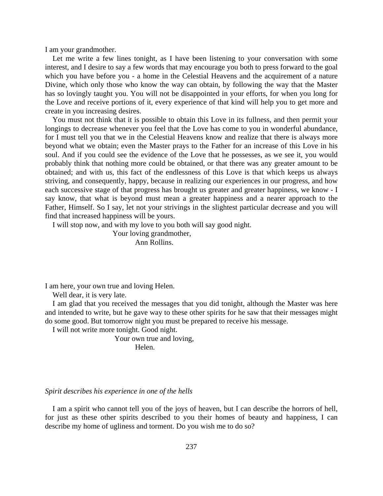I am your grandmother.

 Let me write a few lines tonight, as I have been listening to your conversation with some interest, and I desire to say a few words that may encourage you both to press forward to the goal which you have before you - a home in the Celestial Heavens and the acquirement of a nature Divine, which only those who know the way can obtain, by following the way that the Master has so lovingly taught you. You will not be disappointed in your efforts, for when you long for the Love and receive portions of it, every experience of that kind will help you to get more and create in you increasing desires.

 You must not think that it is possible to obtain this Love in its fullness, and then permit your longings to decrease whenever you feel that the Love has come to you in wonderful abundance, for I must tell you that we in the Celestial Heavens know and realize that there is always more beyond what we obtain; even the Master prays to the Father for an increase of this Love in his soul. And if you could see the evidence of the Love that he possesses, as we see it, you would probably think that nothing more could be obtained, or that there was any greater amount to be obtained; and with us, this fact of the endlessness of this Love is that which keeps us always striving, and consequently, happy, because in realizing our experiences in our progress, and how each successive stage of that progress has brought us greater and greater happiness, we know - I say know, that what is beyond must mean a greater happiness and a nearer approach to the Father, Himself. So I say, let not your strivings in the slightest particular decrease and you will find that increased happiness will be yours.

I will stop now, and with my love to you both will say good night.

Your loving grandmother,

Ann Rollins.

I am here, your own true and loving Helen.

Well dear, it is very late.

 I am glad that you received the messages that you did tonight, although the Master was here and intended to write, but he gave way to these other spirits for he saw that their messages might do some good. But tomorrow night you must be prepared to receive his message.

I will not write more tonight. Good night.

Your own true and loving,

Helen.

#### *Spirit describes his experience in one of the hells*

 I am a spirit who cannot tell you of the joys of heaven, but I can describe the horrors of hell, for just as these other spirits described to you their homes of beauty and happiness, I can describe my home of ugliness and torment. Do you wish me to do so?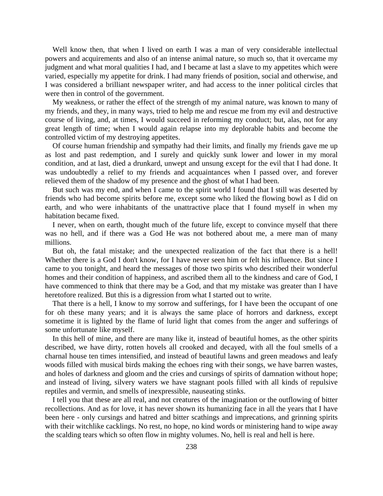Well know then, that when I lived on earth I was a man of very considerable intellectual powers and acquirements and also of an intense animal nature, so much so, that it overcame my judgment and what moral qualities I had, and I became at last a slave to my appetites which were varied, especially my appetite for drink. I had many friends of position, social and otherwise, and I was considered a brilliant newspaper writer, and had access to the inner political circles that were then in control of the government.

 My weakness, or rather the effect of the strength of my animal nature, was known to many of my friends, and they, in many ways, tried to help me and rescue me from my evil and destructive course of living, and, at times, I would succeed in reforming my conduct; but, alas, not for any great length of time; when I would again relapse into my deplorable habits and become the controlled victim of my destroying appetites.

 Of course human friendship and sympathy had their limits, and finally my friends gave me up as lost and past redemption, and I surely and quickly sunk lower and lower in my moral condition, and at last, died a drunkard, unwept and unsung except for the evil that I had done. It was undoubtedly a relief to my friends and acquaintances when I passed over, and forever relieved them of the shadow of my presence and the ghost of what I had been.

 But such was my end, and when I came to the spirit world I found that I still was deserted by friends who had become spirits before me, except some who liked the flowing bowl as I did on earth, and who were inhabitants of the unattractive place that I found myself in when my habitation became fixed.

 I never, when on earth, thought much of the future life, except to convince myself that there was no hell, and if there was a God He was not bothered about me, a mere man of many millions.

 But oh, the fatal mistake; and the unexpected realization of the fact that there is a hell! Whether there is a God I don't know, for I have never seen him or felt his influence. But since I came to you tonight, and heard the messages of those two spirits who described their wonderful homes and their condition of happiness, and ascribed them all to the kindness and care of God, I have commenced to think that there may be a God, and that my mistake was greater than I have heretofore realized. But this is a digression from what I started out to write.

 That there is a hell, I know to my sorrow and sufferings, for I have been the occupant of one for oh these many years; and it is always the same place of horrors and darkness, except sometime it is lighted by the flame of lurid light that comes from the anger and sufferings of some unfortunate like myself.

 In this hell of mine, and there are many like it, instead of beautiful homes, as the other spirits described, we have dirty, rotten hovels all crooked and decayed, with all the foul smells of a charnal house ten times intensified, and instead of beautiful lawns and green meadows and leafy woods filled with musical birds making the echoes ring with their songs, we have barren wastes, and holes of darkness and gloom and the cries and cursings of spirits of damnation without hope; and instead of living, silvery waters we have stagnant pools filled with all kinds of repulsive reptiles and vermin, and smells of inexpressible, nauseating stinks.

 I tell you that these are all real, and not creatures of the imagination or the outflowing of bitter recollections. And as for love, it has never shown its humanizing face in all the years that I have been here - only cursings and hatred and bitter scathings and imprecations, and grinning spirits with their witchlike cacklings. No rest, no hope, no kind words or ministering hand to wipe away the scalding tears which so often flow in mighty volumes. No, hell is real and hell is here.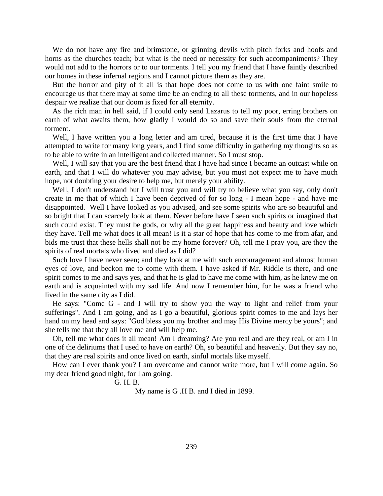We do not have any fire and brimstone, or grinning devils with pitch forks and hoofs and horns as the churches teach; but what is the need or necessity for such accompaniments? They would not add to the horrors or to our torments. I tell you my friend that I have faintly described our homes in these infernal regions and I cannot picture them as they are.

 But the horror and pity of it all is that hope does not come to us with one faint smile to encourage us that there may at some time be an ending to all these torments, and in our hopeless despair we realize that our doom is fixed for all eternity.

 As the rich man in hell said, if I could only send Lazarus to tell my poor, erring brothers on earth of what awaits them, how gladly I would do so and save their souls from the eternal torment.

 Well, I have written you a long letter and am tired, because it is the first time that I have attempted to write for many long years, and I find some difficulty in gathering my thoughts so as to be able to write in an intelligent and collected manner. So I must stop.

 Well, I will say that you are the best friend that I have had since I became an outcast while on earth, and that I will do whatever you may advise, but you must not expect me to have much hope, not doubting your desire to help me, but merely your ability.

Well, I don't understand but I will trust you and will try to believe what you say, only don't create in me that of which I have been deprived of for so long - I mean hope - and have me disappointed. Well I have looked as you advised, and see some spirits who are so beautiful and so bright that I can scarcely look at them. Never before have I seen such spirits or imagined that such could exist. They must be gods, or why all the great happiness and beauty and love which they have. Tell me what does it all mean! Is it a star of hope that has come to me from afar, and bids me trust that these hells shall not be my home forever? Oh, tell me I pray you, are they the spirits of real mortals who lived and died as I did?

 Such love I have never seen; and they look at me with such encouragement and almost human eyes of love, and beckon me to come with them. I have asked if Mr. Riddle is there, and one spirit comes to me and says yes, and that he is glad to have me come with him, as he knew me on earth and is acquainted with my sad life. And now I remember him, for he was a friend who lived in the same city as I did.

 He says: "Come G - and I will try to show you the way to light and relief from your sufferings". And I am going, and as I go a beautiful, glorious spirit comes to me and lays her hand on my head and says: "God bless you my brother and may His Divine mercy be yours"; and she tells me that they all love me and will help me.

 Oh, tell me what does it all mean! Am I dreaming? Are you real and are they real, or am I in one of the deliriums that I used to have on earth? Oh, so beautiful and heavenly. But they say no, that they are real spirits and once lived on earth, sinful mortals like myself.

 How can I ever thank you? I am overcome and cannot write more, but I will come again. So my dear friend good night, for I am going.

G. H. B.

My name is G .H B. and I died in 1899.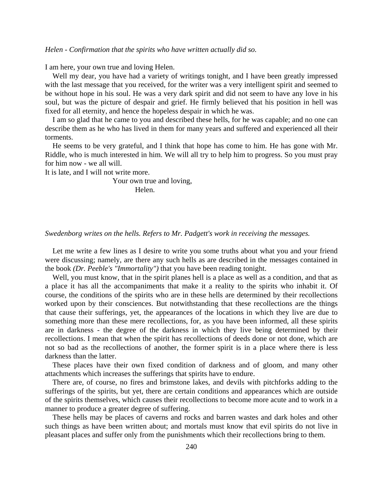#### *Helen - Confirmation that the spirits who have written actually did so.*

I am here, your own true and loving Helen.

 Well my dear, you have had a variety of writings tonight, and I have been greatly impressed with the last message that you received, for the writer was a very intelligent spirit and seemed to be without hope in his soul. He was a very dark spirit and did not seem to have any love in his soul, but was the picture of despair and grief. He firmly believed that his position in hell was fixed for all eternity, and hence the hopeless despair in which he was.

 I am so glad that he came to you and described these hells, for he was capable; and no one can describe them as he who has lived in them for many years and suffered and experienced all their torments.

 He seems to be very grateful, and I think that hope has come to him. He has gone with Mr. Riddle, who is much interested in him. We will all try to help him to progress. So you must pray for him now - we all will.

It is late, and I will not write more.

 Your own true and loving, Helen.

*Swedenborg writes on the hells. Refers to Mr. Padgett's work in receiving the messages.* 

 Let me write a few lines as I desire to write you some truths about what you and your friend were discussing; namely, are there any such hells as are described in the messages contained in the book *(Dr. Peeble's "Immortality")* that you have been reading tonight.

 Well, you must know, that in the spirit planes hell is a place as well as a condition, and that as a place it has all the accompaniments that make it a reality to the spirits who inhabit it. Of course, the conditions of the spirits who are in these hells are determined by their recollections worked upon by their consciences. But notwithstanding that these recollections are the things that cause their sufferings, yet, the appearances of the locations in which they live are due to something more than these mere recollections, for, as you have been informed, all these spirits are in darkness - the degree of the darkness in which they live being determined by their recollections. I mean that when the spirit has recollections of deeds done or not done, which are not so bad as the recollections of another, the former spirit is in a place where there is less darkness than the latter.

 These places have their own fixed condition of darkness and of gloom, and many other attachments which increases the sufferings that spirits have to endure.

 There are, of course, no fires and brimstone lakes, and devils with pitchforks adding to the sufferings of the spirits, but yet, there are certain conditions and appearances which are outside of the spirits themselves, which causes their recollections to become more acute and to work in a manner to produce a greater degree of suffering.

 These hells may be places of caverns and rocks and barren wastes and dark holes and other such things as have been written about; and mortals must know that evil spirits do not live in pleasant places and suffer only from the punishments which their recollections bring to them.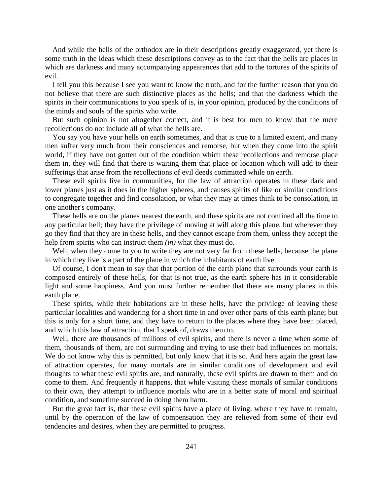And while the hells of the orthodox are in their descriptions greatly exaggerated, yet there is some truth in the ideas which these descriptions convey as to the fact that the hells are places in which are darkness and many accompanying appearances that add to the tortures of the spirits of evil.

 I tell you this because I see you want to know the truth, and for the further reason that you do not believe that there are such distinctive places as the hells; and that the darkness which the spirits in their communications to you speak of is, in your opinion, produced by the conditions of the minds and souls of the spirits who write.

 But such opinion is not altogether correct, and it is best for men to know that the mere recollections do not include all of what the hells are.

 You say you have your hells on earth sometimes, and that is true to a limited extent, and many men suffer very much from their consciences and remorse, but when they come into the spirit world, if they have not gotten out of the condition which these recollections and remorse place them in, they will find that there is waiting them that place or location which will add to their sufferings that arise from the recollections of evil deeds committed while on earth.

 These evil spirits live in communities, for the law of attraction operates in these dark and lower planes just as it does in the higher spheres, and causes spirits of like or similar conditions to congregate together and find consolation, or what they may at times think to be consolation, in one another's company.

 These hells are on the planes nearest the earth, and these spirits are not confined all the time to any particular hell; they have the privilege of moving at will along this plane, but wherever they go they find that they are in these hells, and they cannot escape from them, unless they accept the help from spirits who can instruct them *(in)* what they must do.

 Well, when they come to you to write they are not very far from these hells, because the plane in which they live is a part of the plane in which the inhabitants of earth live.

 Of course, I don't mean to say that that portion of the earth plane that surrounds your earth is composed entirely of these hells, for that is not true, as the earth sphere has in it considerable light and some happiness. And you must further remember that there are many planes in this earth plane.

 These spirits, while their habitations are in these hells, have the privilege of leaving these particular localities and wandering for a short time in and over other parts of this earth plane; but this is only for a short time, and they have to return to the places where they have been placed, and which this law of attraction, that I speak of, draws them to.

 Well, there are thousands of millions of evil spirits, and there is never a time when some of them, thousands of them, are not surrounding and trying to use their bad influences on mortals. We do not know why this is permitted, but only know that it is so. And here again the great law of attraction operates, for many mortals are in similar conditions of development and evil thoughts to what these evil spirits are, and naturally, these evil spirits are drawn to them and do come to them. And frequently it happens, that while visiting these mortals of similar conditions to their own, they attempt to influence mortals who are in a better state of moral and spiritual condition, and sometime succeed in doing them harm.

 But the great fact is, that these evil spirits have a place of living, where they have to remain, until by the operation of the law of compensation they are relieved from some of their evil tendencies and desires, when they are permitted to progress.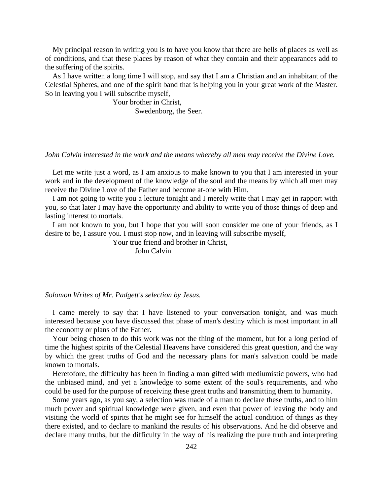My principal reason in writing you is to have you know that there are hells of places as well as of conditions, and that these places by reason of what they contain and their appearances add to the suffering of the spirits.

 As I have written a long time I will stop, and say that I am a Christian and an inhabitant of the Celestial Spheres, and one of the spirit band that is helping you in your great work of the Master. So in leaving you I will subscribe myself,

> Your brother in Christ, Swedenborg, the Seer.

## *John Calvin interested in the work and the means whereby all men may receive the Divine Love.*

 Let me write just a word, as I am anxious to make known to you that I am interested in your work and in the development of the knowledge of the soul and the means by which all men may receive the Divine Love of the Father and become at-one with Him.

 I am not going to write you a lecture tonight and I merely write that I may get in rapport with you, so that later I may have the opportunity and ability to write you of those things of deep and lasting interest to mortals.

 I am not known to you, but I hope that you will soon consider me one of your friends, as I desire to be, I assure you. I must stop now, and in leaving will subscribe myself,

Your true friend and brother in Christ,

John Calvin

## *Solomon Writes of Mr. Padgett's selection by Jesus.*

 I came merely to say that I have listened to your conversation tonight, and was much interested because you have discussed that phase of man's destiny which is most important in all the economy or plans of the Father.

 Your being chosen to do this work was not the thing of the moment, but for a long period of time the highest spirits of the Celestial Heavens have considered this great question, and the way by which the great truths of God and the necessary plans for man's salvation could be made known to mortals.

 Heretofore, the difficulty has been in finding a man gifted with mediumistic powers, who had the unbiased mind, and yet a knowledge to some extent of the soul's requirements, and who could be used for the purpose of receiving these great truths and transmitting them to humanity.

 Some years ago, as you say, a selection was made of a man to declare these truths, and to him much power and spiritual knowledge were given, and even that power of leaving the body and visiting the world of spirits that he might see for himself the actual condition of things as they there existed, and to declare to mankind the results of his observations. And he did observe and declare many truths, but the difficulty in the way of his realizing the pure truth and interpreting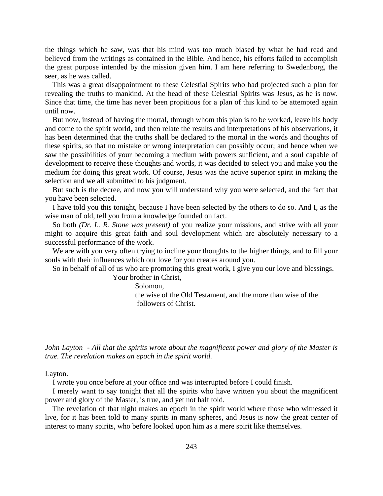the things which he saw, was that his mind was too much biased by what he had read and believed from the writings as contained in the Bible. And hence, his efforts failed to accomplish the great purpose intended by the mission given him. I am here referring to Swedenborg, the seer, as he was called.

 This was a great disappointment to these Celestial Spirits who had projected such a plan for revealing the truths to mankind. At the head of these Celestial Spirits was Jesus, as he is now. Since that time, the time has never been propitious for a plan of this kind to be attempted again until now.

 But now, instead of having the mortal, through whom this plan is to be worked, leave his body and come to the spirit world, and then relate the results and interpretations of his observations, it has been determined that the truths shall be declared to the mortal in the words and thoughts of these spirits, so that no mistake or wrong interpretation can possibly occur; and hence when we saw the possibilities of your becoming a medium with powers sufficient, and a soul capable of development to receive these thoughts and words, it was decided to select you and make you the medium for doing this great work. Of course, Jesus was the active superior spirit in making the selection and we all submitted to his judgment.

 But such is the decree, and now you will understand why you were selected, and the fact that you have been selected.

 I have told you this tonight, because I have been selected by the others to do so. And I, as the wise man of old, tell you from a knowledge founded on fact.

 So both *(Dr. L. R. Stone was present)* of you realize your missions, and strive with all your might to acquire this great faith and soul development which are absolutely necessary to a successful performance of the work.

 We are with you very often trying to incline your thoughts to the higher things, and to fill your souls with their influences which our love for you creates around you.

So in behalf of all of us who are promoting this great work, I give you our love and blessings.

Your brother in Christ,

Solomon,

 the wise of the Old Testament, and the more than wise of the followers of Christ.

*John Layton - All that the spirits wrote about the magnificent power and glory of the Master is true. The revelation makes an epoch in the spirit world.* 

Layton.

I wrote you once before at your office and was interrupted before I could finish.

 I merely want to say tonight that all the spirits who have written you about the magnificent power and glory of the Master, is true, and yet not half told.

 The revelation of that night makes an epoch in the spirit world where those who witnessed it live, for it has been told to many spirits in many spheres, and Jesus is now the great center of interest to many spirits, who before looked upon him as a mere spirit like themselves.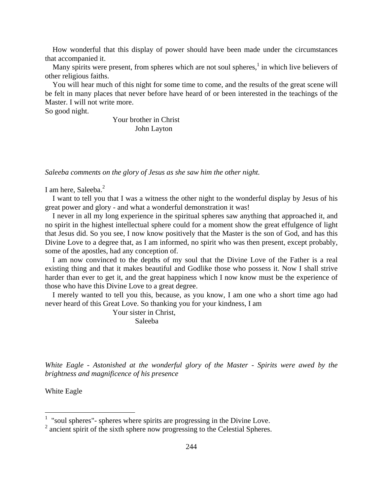How wonderful that this display of power should have been made under the circumstances that accompanied it.

Many spirits were present, from spheres which are not soul spheres, $<sup>1</sup>$  in which live believers of</sup> other religious faiths.

 You will hear much of this night for some time to come, and the results of the great scene will be felt in many places that never before have heard of or been interested in the teachings of the Master. I will not write more.

So good night.

 Your brother in Christ John Layton

*Saleeba comments on the glory of Jesus as she saw him the other night.* 

I am here, Saleeba. $<sup>2</sup>$ </sup>

I want to tell you that I was a witness the other night to the wonderful display by Jesus of his great power and glory - and what a wonderful demonstration it was!

 I never in all my long experience in the spiritual spheres saw anything that approached it, and no spirit in the highest intellectual sphere could for a moment show the great effulgence of light that Jesus did. So you see, I now know positively that the Master is the son of God, and has this Divine Love to a degree that, as I am informed, no spirit who was then present, except probably, some of the apostles, had any conception of.

 I am now convinced to the depths of my soul that the Divine Love of the Father is a real existing thing and that it makes beautiful and Godlike those who possess it. Now I shall strive harder than ever to get it, and the great happiness which I now know must be the experience of those who have this Divine Love to a great degree.

 I merely wanted to tell you this, because, as you know, I am one who a short time ago had never heard of this Great Love. So thanking you for your kindness, I am

Your sister in Christ,

Saleeba

*White Eagle - Astonished at the wonderful glory of the Master - Spirits were awed by the brightness and magnificence of his presence* 

White Eagle

1

 $<sup>1</sup>$  "soul spheres"- spheres where spirits are progressing in the Divine Love.</sup>

<sup>&</sup>lt;sup>2</sup> ancient spirit of the sixth sphere now progressing to the Celestial Spheres.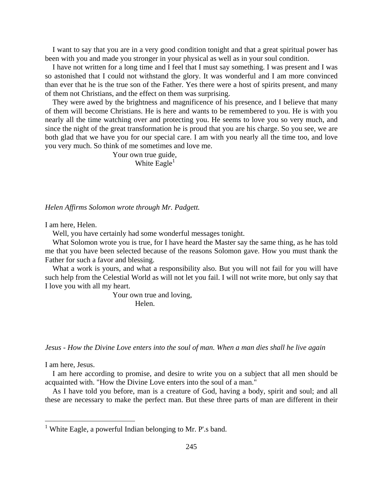I want to say that you are in a very good condition tonight and that a great spiritual power has been with you and made you stronger in your physical as well as in your soul condition.

 I have not written for a long time and I feel that I must say something. I was present and I was so astonished that I could not withstand the glory. It was wonderful and I am more convinced than ever that he is the true son of the Father. Yes there were a host of spirits present, and many of them not Christians, and the effect on them was surprising.

 They were awed by the brightness and magnificence of his presence, and I believe that many of them will become Christians. He is here and wants to be remembered to you. He is with you nearly all the time watching over and protecting you. He seems to love you so very much, and since the night of the great transformation he is proud that you are his charge. So you see, we are both glad that we have you for our special care. I am with you nearly all the time too, and love you very much. So think of me sometimes and love me.

> Your own true guide, White  $Eagle<sup>1</sup>$

*Helen Affirms Solomon wrote through Mr. Padgett.* 

I am here, Helen.

Well, you have certainly had some wonderful messages tonight.

 What Solomon wrote you is true, for I have heard the Master say the same thing, as he has told me that you have been selected because of the reasons Solomon gave. How you must thank the Father for such a favor and blessing.

 What a work is yours, and what a responsibility also. But you will not fail for you will have such help from the Celestial World as will not let you fail. I will not write more, but only say that I love you with all my heart.

> Your own true and loving, Helen.

*Jesus - How the Divine Love enters into the soul of man. When a man dies shall he live again* 

I am here, Jesus.

 $\overline{a}$ 

 I am here according to promise, and desire to write you on a subject that all men should be acquainted with. "How the Divine Love enters into the soul of a man."

 As I have told you before, man is a creature of God, having a body, spirit and soul; and all these are necessary to make the perfect man. But these three parts of man are different in their

<sup>&</sup>lt;sup>1</sup> White Eagle, a powerful Indian belonging to Mr. P'.s band.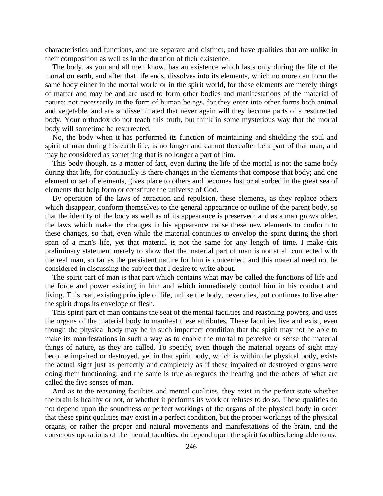characteristics and functions, and are separate and distinct, and have qualities that are unlike in their composition as well as in the duration of their existence.

 The body, as you and all men know, has an existence which lasts only during the life of the mortal on earth, and after that life ends, dissolves into its elements, which no more can form the same body either in the mortal world or in the spirit world, for these elements are merely things of matter and may be and are used to form other bodies and manifestations of the material of nature; not necessarily in the form of human beings, for they enter into other forms both animal and vegetable, and are so disseminated that never again will they become parts of a resurrected body. Your orthodox do not teach this truth, but think in some mysterious way that the mortal body will sometime be resurrected.

 No, the body when it has performed its function of maintaining and shielding the soul and spirit of man during his earth life, is no longer and cannot thereafter be a part of that man, and may be considered as something that is no longer a part of him.

 This body though, as a matter of fact, even during the life of the mortal is not the same body during that life, for continually is there changes in the elements that compose that body; and one element or set of elements, gives place to others and becomes lost or absorbed in the great sea of elements that help form or constitute the universe of God.

 By operation of the laws of attraction and repulsion, these elements, as they replace others which disappear, conform themselves to the general appearance or outline of the parent body, so that the identity of the body as well as of its appearance is preserved; and as a man grows older, the laws which make the changes in his appearance cause these new elements to conform to these changes, so that, even while the material continues to envelop the spirit during the short span of a man's life, yet that material is not the same for any length of time. I make this preliminary statement merely to show that the material part of man is not at all connected with the real man, so far as the persistent nature for him is concerned, and this material need not be considered in discussing the subject that I desire to write about.

 The spirit part of man is that part which contains what may be called the functions of life and the force and power existing in him and which immediately control him in his conduct and living. This real, existing principle of life, unlike the body, never dies, but continues to live after the spirit drops its envelope of flesh.

 This spirit part of man contains the seat of the mental faculties and reasoning powers, and uses the organs of the material body to manifest these attributes. These faculties live and exist, even though the physical body may be in such imperfect condition that the spirit may not he able to make its manifestations in such a way as to enable the mortal to perceive or sense the material things of nature, as they are called. To specify, even though the material organs of sight may become impaired or destroyed, yet in that spirit body, which is within the physical body, exists the actual sight just as perfectly and completely as if these impaired or destroyed organs were doing their functioning; and the same is true as regards the hearing and the others of what are called the five senses of man.

 And as to the reasoning faculties and mental qualities, they exist in the perfect state whether the brain is healthy or not, or whether it performs its work or refuses to do so. These qualities do not depend upon the soundness or perfect workings of the organs of the physical body in order that these spirit qualities may exist in a perfect condition, but the proper workings of the physical organs, or rather the proper and natural movements and manifestations of the brain, and the conscious operations of the mental faculties, do depend upon the spirit faculties being able to use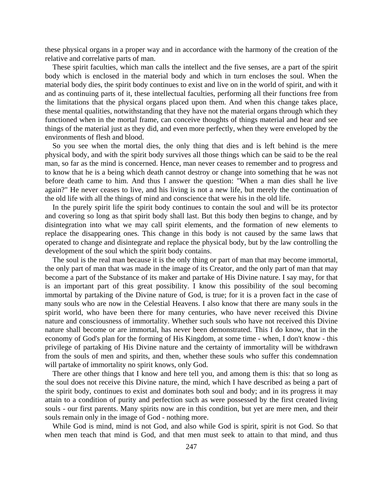these physical organs in a proper way and in accordance with the harmony of the creation of the relative and correlative parts of man.

 These spirit faculties, which man calls the intellect and the five senses, are a part of the spirit body which is enclosed in the material body and which in turn encloses the soul. When the material body dies, the spirit body continues to exist and live on in the world of spirit, and with it and as continuing parts of it, these intellectual faculties, performing all their functions free from the limitations that the physical organs placed upon them. And when this change takes place, these mental qualities, notwithstanding that they have not the material organs through which they functioned when in the mortal frame, can conceive thoughts of things material and hear and see things of the material just as they did, and even more perfectly, when they were enveloped by the environments of flesh and blood.

 So you see when the mortal dies, the only thing that dies and is left behind is the mere physical body, and with the spirit body survives all those things which can be said to be the real man, so far as the mind is concerned. Hence, man never ceases to remember and to progress and to know that he is a being which death cannot destroy or change into something that he was not before death came to him. And thus I answer the question: "When a man dies shall he live again?" He never ceases to live, and his living is not a new life, but merely the continuation of the old life with all the things of mind and conscience that were his in the old life.

 In the purely spirit life the spirit body continues to contain the soul and will be its protector and covering so long as that spirit body shall last. But this body then begins to change, and by disintegration into what we may call spirit elements, and the formation of new elements to replace the disappearing ones. This change in this body is not caused by the same laws that operated to change and disintegrate and replace the physical body, but by the law controlling the development of the soul which the spirit body contains.

 The soul is the real man because it is the only thing or part of man that may become immortal, the only part of man that was made in the image of its Creator, and the only part of man that may become a part of the Substance of its maker and partake of His Divine nature. I say may, for that is an important part of this great possibility. I know this possibility of the soul becoming immortal by partaking of the Divine nature of God, is true; for it is a proven fact in the case of many souls who are now in the Celestial Heavens. I also know that there are many souls in the spirit world, who have been there for many centuries, who have never received this Divine nature and consciousness of immortality. Whether such souls who have not received this Divine nature shall become or are immortal, has never been demonstrated. This I do know, that in the economy of God's plan for the forming of His Kingdom, at some time - when, I don't know - this privilege of partaking of His Divine nature and the certainty of immortality will be withdrawn from the souls of men and spirits, and then, whether these souls who suffer this condemnation will partake of immortality no spirit knows, only God.

 There are other things that I know and here tell you, and among them is this: that so long as the soul does not receive this Divine nature, the mind, which I have described as being a part of the spirit body, continues to exist and dominates both soul and body; and in its progress it may attain to a condition of purity and perfection such as were possessed by the first created living souls - our first parents. Many spirits now are in this condition, but yet are mere men, and their souls remain only in the image of God - nothing more.

 While God is mind, mind is not God, and also while God is spirit, spirit is not God. So that when men teach that mind is God, and that men must seek to attain to that mind, and thus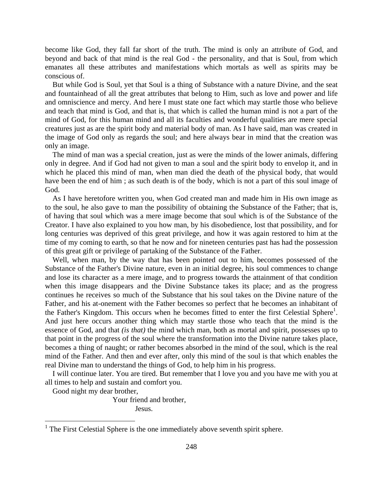become like God, they fall far short of the truth. The mind is only an attribute of God, and beyond and back of that mind is the real God - the personality, and that is Soul, from which emanates all these attributes and manifestations which mortals as well as spirits may be conscious of.

 But while God is Soul, yet that Soul is a thing of Substance with a nature Divine, and the seat and fountainhead of all the great attributes that belong to Him, such as love and power and life and omniscience and mercy. And here I must state one fact which may startle those who believe and teach that mind is God, and that is, that which is called the human mind is not a part of the mind of God, for this human mind and all its faculties and wonderful qualities are mere special creatures just as are the spirit body and material body of man. As I have said, man was created in the image of God only as regards the soul; and here always bear in mind that the creation was only an image.

 The mind of man was a special creation, just as were the minds of the lower animals, differing only in degree. And if God had not given to man a soul and the spirit body to envelop it, and in which he placed this mind of man, when man died the death of the physical body, that would have been the end of him ; as such death is of the body, which is not a part of this soul image of God.

 As I have heretofore written you, when God created man and made him in His own image as to the soul, he also gave to man the possibility of obtaining the Substance of the Father; that is, of having that soul which was a mere image become that soul which is of the Substance of the Creator. I have also explained to you how man, by his disobedience, lost that possibility, and for long centuries was deprived of this great privilege, and how it was again restored to him at the time of my coming to earth, so that he now and for nineteen centuries past has had the possession of this great gift or privilege of partaking of the Substance of the Father.

 Well, when man, by the way that has been pointed out to him, becomes possessed of the Substance of the Father's Divine nature, even in an initial degree, his soul commences to change and lose its character as a mere image, and to progress towards the attainment of that condition when this image disappears and the Divine Substance takes its place; and as the progress continues he receives so much of the Substance that his soul takes on the Divine nature of the Father, and his at-onement with the Father becomes so perfect that he becomes an inhabitant of the Father's Kingdom. This occurs when he becomes fitted to enter the first Celestial Sphere<sup>1</sup>. And just here occurs another thing which may startle those who teach that the mind is the essence of God, and that *(is that)* the mind which man, both as mortal and spirit, possesses up to that point in the progress of the soul where the transformation into the Divine nature takes place, becomes a thing of naught; or rather becomes absorbed in the mind of the soul, which is the real mind of the Father. And then and ever after, only this mind of the soul is that which enables the real Divine man to understand the things of God, to help him in his progress.

 I will continue later. You are tired. But remember that I love you and you have me with you at all times to help and sustain and comfort you.

Good night my dear brother,

<u>.</u>

Your friend and brother,

Jesus.

 $<sup>1</sup>$  The First Celestial Sphere is the one immediately above seventh spirit sphere.</sup>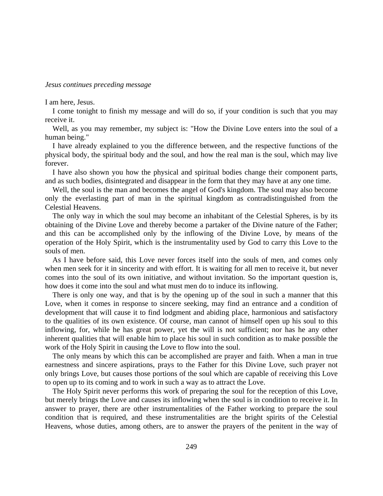#### *Jesus continues preceding message*

I am here, Jesus.

 I come tonight to finish my message and will do so, if your condition is such that you may receive it.

 Well, as you may remember, my subject is: "How the Divine Love enters into the soul of a human being."

 I have already explained to you the difference between, and the respective functions of the physical body, the spiritual body and the soul, and how the real man is the soul, which may live forever.

 I have also shown you how the physical and spiritual bodies change their component parts, and as such bodies, disintegrated and disappear in the form that they may have at any one time.

 Well, the soul is the man and becomes the angel of God's kingdom. The soul may also become only the everlasting part of man in the spiritual kingdom as contradistinguished from the Celestial Heavens.

 The only way in which the soul may become an inhabitant of the Celestial Spheres, is by its obtaining of the Divine Love and thereby become a partaker of the Divine nature of the Father; and this can be accomplished only by the inflowing of the Divine Love, by means of the operation of the Holy Spirit, which is the instrumentality used by God to carry this Love to the souls of men.

 As I have before said, this Love never forces itself into the souls of men, and comes only when men seek for it in sincerity and with effort. It is waiting for all men to receive it, but never comes into the soul of its own initiative, and without invitation. So the important question is, how does it come into the soul and what must men do to induce its inflowing.

 There is only one way, and that is by the opening up of the soul in such a manner that this Love, when it comes in response to sincere seeking, may find an entrance and a condition of development that will cause it to find lodgment and abiding place, harmonious and satisfactory to the qualities of its own existence. Of course, man cannot of himself open up his soul to this inflowing, for, while he has great power, yet the will is not sufficient; nor has he any other inherent qualities that will enable him to place his soul in such condition as to make possible the work of the Holy Spirit in causing the Love to flow into the soul.

 The only means by which this can be accomplished are prayer and faith. When a man in true earnestness and sincere aspirations, prays to the Father for this Divine Love, such prayer not only brings Love, but causes those portions of the soul which are capable of receiving this Love to open up to its coming and to work in such a way as to attract the Love.

 The Holy Spirit never performs this work of preparing the soul for the reception of this Love, but merely brings the Love and causes its inflowing when the soul is in condition to receive it. In answer to prayer, there are other instrumentalities of the Father working to prepare the soul condition that is required, and these instrumentalities are the bright spirits of the Celestial Heavens, whose duties, among others, are to answer the prayers of the penitent in the way of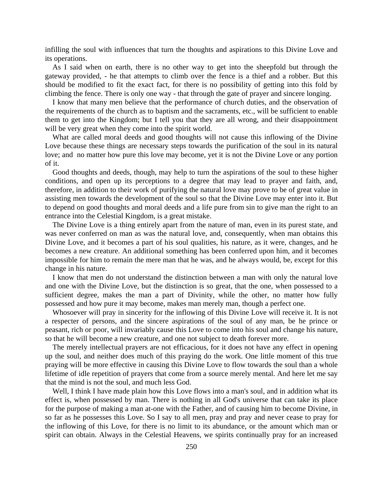infilling the soul with influences that turn the thoughts and aspirations to this Divine Love and its operations.

 As I said when on earth, there is no other way to get into the sheepfold but through the gateway provided, - he that attempts to climb over the fence is a thief and a robber. But this should be modified to fit the exact fact, for there is no possibility of getting into this fold by climbing the fence. There is only one way - that through the gate of prayer and sincere longing.

 I know that many men believe that the performance of church duties, and the observation of the requirements of the church as to baptism and the sacraments, etc., will be sufficient to enable them to get into the Kingdom; but I tell you that they are all wrong, and their disappointment will be very great when they come into the spirit world.

 What are called moral deeds and good thoughts will not cause this inflowing of the Divine Love because these things are necessary steps towards the purification of the soul in its natural love; and no matter how pure this love may become, yet it is not the Divine Love or any portion of it.

 Good thoughts and deeds, though, may help to turn the aspirations of the soul to these higher conditions, and open up its perceptions to a degree that may lead to prayer and faith, and, therefore, in addition to their work of purifying the natural love may prove to be of great value in assisting men towards the development of the soul so that the Divine Love may enter into it. But to depend on good thoughts and moral deeds and a life pure from sin to give man the right to an entrance into the Celestial Kingdom, is a great mistake.

 The Divine Love is a thing entirely apart from the nature of man, even in its purest state, and was never conferred on man as was the natural love, and, consequently, when man obtains this Divine Love, and it becomes a part of his soul qualities, his nature, as it were, changes, and he becomes a new creature. An additional something has been conferred upon him, and it becomes impossible for him to remain the mere man that he was, and he always would, be, except for this change in his nature.

 I know that men do not understand the distinction between a man with only the natural love and one with the Divine Love, but the distinction is so great, that the one, when possessed to a sufficient degree, makes the man a part of Divinity, while the other, no matter how fully possessed and how pure it may become, makes man merely man, though a perfect one.

 Whosoever will pray in sincerity for the inflowing of this Divine Love will receive it. It is not a respecter of persons, and the sincere aspirations of the soul of any man, be he prince or peasant, rich or poor, will invariably cause this Love to come into his soul and change his nature, so that he will become a new creature, and one not subject to death forever more.

 The merely intellectual prayers are not efficacious, for it does not have any effect in opening up the soul, and neither does much of this praying do the work. One little moment of this true praying will be more effective in causing this Divine Love to flow towards the soul than a whole lifetime of idle repetition of prayers that come from a source merely mental. And here let me say that the mind is not the soul, and much less God.

Well, I think I have made plain how this Love flows into a man's soul, and in addition what its effect is, when possessed by man. There is nothing in all God's universe that can take its place for the purpose of making a man at-one with the Father, and of causing him to become Divine, in so far as he possesses this Love. So I say to all men, pray and pray and never cease to pray for the inflowing of this Love, for there is no limit to its abundance, or the amount which man or spirit can obtain. Always in the Celestial Heavens, we spirits continually pray for an increased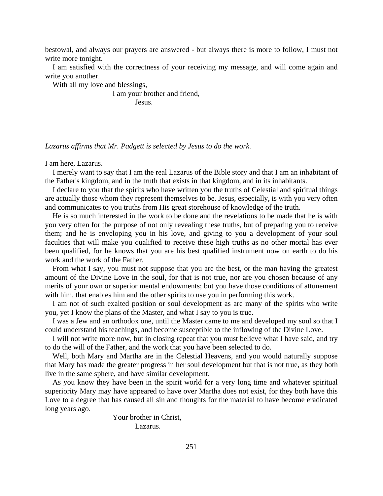bestowal, and always our prayers are answered - but always there is more to follow, I must not write more tonight.

 I am satisfied with the correctness of your receiving my message, and will come again and write you another.

With all my love and blessings,

 I am your brother and friend, Jesus.

# *Lazarus affirms that Mr. Padgett is selected by Jesus to do the work.*

I am here, Lazarus.

 I merely want to say that I am the real Lazarus of the Bible story and that I am an inhabitant of the Father's kingdom, and in the truth that exists in that kingdom, and in its inhabitants.

 I declare to you that the spirits who have written you the truths of Celestial and spiritual things are actually those whom they represent themselves to be. Jesus, especially, is with you very often and communicates to you truths from His great storehouse of knowledge of the truth.

 He is so much interested in the work to be done and the revelations to be made that he is with you very often for the purpose of not only revealing these truths, but of preparing you to receive them; and he is enveloping you in his love, and giving to you a development of your soul faculties that will make you qualified to receive these high truths as no other mortal has ever been qualified, for he knows that you are his best qualified instrument now on earth to do his work and the work of the Father.

 From what I say, you must not suppose that you are the best, or the man having the greatest amount of the Divine Love in the soul, for that is not true, nor are you chosen because of any merits of your own or superior mental endowments; but you have those conditions of attunement with him, that enables him and the other spirits to use you in performing this work.

 I am not of such exalted position or soul development as are many of the spirits who write you, yet I know the plans of the Master, and what I say to you is true.

 I was a Jew and an orthodox one, until the Master came to me and developed my soul so that I could understand his teachings, and become susceptible to the inflowing of the Divine Love.

 I will not write more now, but in closing repeat that you must believe what I have said, and try to do the will of the Father, and the work that you have been selected to do.

 Well, both Mary and Martha are in the Celestial Heavens, and you would naturally suppose that Mary has made the greater progress in her soul development but that is not true, as they both live in the same sphere, and have similar development.

 As you know they have been in the spirit world for a very long time and whatever spiritual superiority Mary may have appeared to have over Martha does not exist, for they both have this Love to a degree that has caused all sin and thoughts for the material to have become eradicated long years ago.

> Your brother in Christ, Lazarus.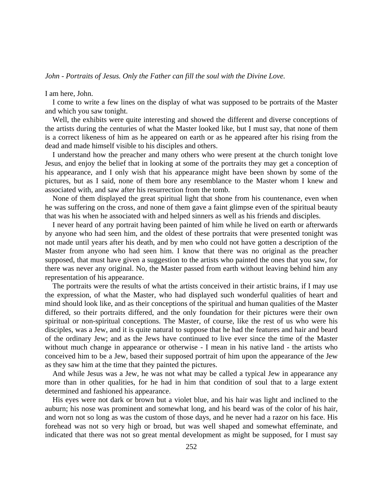# *John - Portraits of Jesus. Only the Father can fill the soul with the Divine Love.*

#### I am here, John.

 I come to write a few lines on the display of what was supposed to be portraits of the Master and which you saw tonight.

 Well, the exhibits were quite interesting and showed the different and diverse conceptions of the artists during the centuries of what the Master looked like, but I must say, that none of them is a correct likeness of him as he appeared on earth or as he appeared after his rising from the dead and made himself visible to his disciples and others.

 I understand how the preacher and many others who were present at the church tonight love Jesus, and enjoy the belief that in looking at some of the portraits they may get a conception of his appearance, and I only wish that his appearance might have been shown by some of the pictures, but as I said, none of them bore any resemblance to the Master whom I knew and associated with, and saw after his resurrection from the tomb.

 None of them displayed the great spiritual light that shone from his countenance, even when he was suffering on the cross, and none of them gave a faint glimpse even of the spiritual beauty that was his when he associated with and helped sinners as well as his friends and disciples.

 I never heard of any portrait having been painted of him while he lived on earth or afterwards by anyone who had seen him, and the oldest of these portraits that were presented tonight was not made until years after his death, and by men who could not have gotten a description of the Master from anyone who had seen him. I know that there was no original as the preacher supposed, that must have given a suggestion to the artists who painted the ones that you saw, for there was never any original. No, the Master passed from earth without leaving behind him any representation of his appearance.

 The portraits were the results of what the artists conceived in their artistic brains, if I may use the expression, of what the Master, who had displayed such wonderful qualities of heart and mind should look like, and as their conceptions of the spiritual and human qualities of the Master differed, so their portraits differed, and the only foundation for their pictures were their own spiritual or non-spiritual conceptions. The Master, of course, like the rest of us who were his disciples, was a Jew, and it is quite natural to suppose that he had the features and hair and beard of the ordinary Jew; and as the Jews have continued to live ever since the time of the Master without much change in appearance or otherwise - I mean in his native land - the artists who conceived him to be a Jew, based their supposed portrait of him upon the appearance of the Jew as they saw him at the time that they painted the pictures.

 And while Jesus was a Jew, he was not what may be called a typical Jew in appearance any more than in other qualities, for he had in him that condition of soul that to a large extent determined and fashioned his appearance.

 His eyes were not dark or brown but a violet blue, and his hair was light and inclined to the auburn; his nose was prominent and somewhat long, and his beard was of the color of his hair, and worn not so long as was the custom of those days, and he never had a razor on his face. His forehead was not so very high or broad, but was well shaped and somewhat effeminate, and indicated that there was not so great mental development as might be supposed, for I must say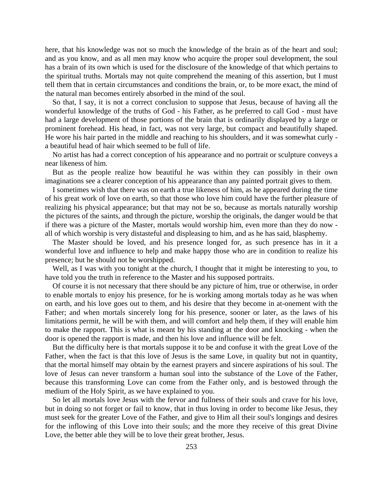here, that his knowledge was not so much the knowledge of the brain as of the heart and soul; and as you know, and as all men may know who acquire the proper soul development, the soul has a brain of its own which is used for the disclosure of the knowledge of that which pertains to the spiritual truths. Mortals may not quite comprehend the meaning of this assertion, but I must tell them that in certain circumstances and conditions the brain, or, to be more exact, the mind of the natural man becomes entirely absorbed in the mind of the soul.

 So that, I say, it is not a correct conclusion to suppose that Jesus, because of having all the wonderful knowledge of the truths of God - his Father, as he preferred to call God - must have had a large development of those portions of the brain that is ordinarily displayed by a large or prominent forehead. His head, in fact, was not very large, but compact and beautifully shaped. He wore his hair parted in the middle and reaching to his shoulders, and it was somewhat curly a beautiful head of hair which seemed to be full of life.

 No artist has had a correct conception of his appearance and no portrait or sculpture conveys a near likeness of him.

 But as the people realize how beautiful he was within they can possibly in their own imaginations see a clearer conception of his appearance than any painted portrait gives to them.

 I sometimes wish that there was on earth a true likeness of him, as he appeared during the time of his great work of love on earth, so that those who love him could have the further pleasure of realizing his physical appearance; but that may not be so, because as mortals naturally worship the pictures of the saints, and through the picture, worship the originals, the danger would be that if there was a picture of the Master, mortals would worship him, even more than they do now all of which worship is very distasteful and displeasing to him, and as he has said, blasphemy.

 The Master should be loved, and his presence longed for, as such presence has in it a wonderful love and influence to help and make happy those who are in condition to realize his presence; but he should not be worshipped.

 Well, as I was with you tonight at the church, I thought that it might be interesting to you, to have told you the truth in reference to the Master and his supposed portraits.

 Of course it is not necessary that there should be any picture of him, true or otherwise, in order to enable mortals to enjoy his presence, for he is working among mortals today as he was when on earth, and his love goes out to them, and his desire that they become in at-onement with the Father; and when mortals sincerely long for his presence, sooner or later, as the laws of his limitations permit, he will be with them, and will comfort and help them, if they will enable him to make the rapport. This is what is meant by his standing at the door and knocking - when the door is opened the rapport is made, and then his love and influence will be felt.

 But the difficulty here is that mortals suppose it to be and confuse it with the great Love of the Father, when the fact is that this love of Jesus is the same Love, in quality but not in quantity, that the mortal himself may obtain by the earnest prayers and sincere aspirations of his soul. The love of Jesus can never transform a human soul into the substance of the Love of the Father, because this transforming Love can come from the Father only, and is bestowed through the medium of the Holy Spirit, as we have explained to you.

 So let all mortals love Jesus with the fervor and fullness of their souls and crave for his love, but in doing so not forget or fail to know, that in thus loving in order to become like Jesus, they must seek for the greater Love of the Father, and give to Him all their soul's longings and desires for the inflowing of this Love into their souls; and the more they receive of this great Divine Love, the better able they will be to love their great brother, Jesus.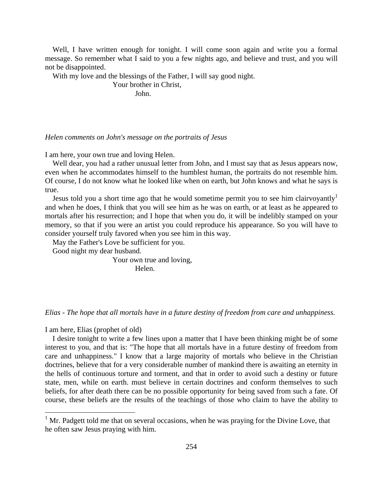Well, I have written enough for tonight. I will come soon again and write you a formal message. So remember what I said to you a few nights ago, and believe and trust, and you will not be disappointed.

With my love and the blessings of the Father, I will say good night.

Your brother in Christ,

John.

# *Helen comments on John's message on the portraits of Jesus*

I am here, your own true and loving Helen.

 Well dear, you had a rather unusual letter from John, and I must say that as Jesus appears now, even when he accommodates himself to the humblest human, the portraits do not resemble him. Of course, I do not know what he looked like when on earth, but John knows and what he says is true.

Jesus told you a short time ago that he would sometime permit you to see him clairvoyantly<sup>1</sup> and when he does, I think that you will see him as he was on earth, or at least as he appeared to mortals after his resurrection; and I hope that when you do, it will be indelibly stamped on your memory, so that if you were an artist you could reproduce his appearance. So you will have to consider yourself truly favored when you see him in this way.

May the Father's Love be sufficient for you.

Good night my dear husband.

 Your own true and loving, Helen.

*Elias - The hope that all mortals have in a future destiny of freedom from care and unhappiness.* 

I am here, Elias (prophet of old)

1

 I desire tonight to write a few lines upon a matter that I have been thinking might be of some interest to you, and that is: "The hope that all mortals have in a future destiny of freedom from care and unhappiness." I know that a large majority of mortals who believe in the Christian doctrines, believe that for a very considerable number of mankind there is awaiting an eternity in the hells of continuous torture and torment, and that in order to avoid such a destiny or future state, men, while on earth. must believe in certain doctrines and conform themselves to such beliefs, for after death there can be no possible opportunity for being saved from such a fate. Of course, these beliefs are the results of the teachings of those who claim to have the ability to

 $<sup>1</sup>$  Mr. Padgett told me that on several occasions, when he was praying for the Divine Love, that</sup> he often saw Jesus praying with him.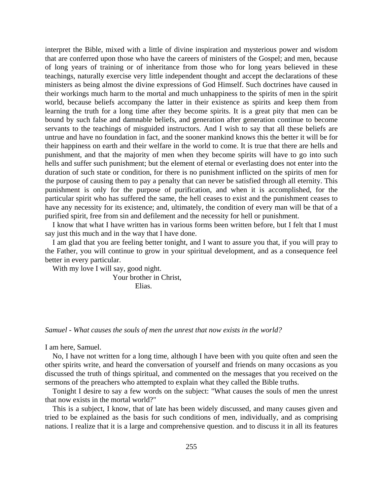interpret the Bible, mixed with a little of divine inspiration and mysterious power and wisdom that are conferred upon those who have the careers of ministers of the Gospel; and men, because of long years of training or of inheritance from those who for long years believed in these teachings, naturally exercise very little independent thought and accept the declarations of these ministers as being almost the divine expressions of God Himself. Such doctrines have caused in their workings much harm to the mortal and much unhappiness to the spirits of men in the spirit world, because beliefs accompany the latter in their existence as spirits and keep them from learning the truth for a long time after they become spirits. It is a great pity that men can be bound by such false and damnable beliefs, and generation after generation continue to become servants to the teachings of misguided instructors. And I wish to say that all these beliefs are untrue and have no foundation in fact, and the sooner mankind knows this the better it will be for their happiness on earth and their welfare in the world to come. It is true that there are hells and punishment, and that the majority of men when they become spirits will have to go into such hells and suffer such punishment; but the element of eternal or everlasting does not enter into the duration of such state or condition, for there is no punishment inflicted on the spirits of men for the purpose of causing them to pay a penalty that can never be satisfied through all eternity. This punishment is only for the purpose of purification, and when it is accomplished, for the particular spirit who has suffered the same, the hell ceases to exist and the punishment ceases to have any necessity for its existence; and, ultimately, the condition of every man will be that of a purified spirit, free from sin and defilement and the necessity for hell or punishment.

 I know that what I have written has in various forms been written before, but I felt that I must say just this much and in the way that I have done.

 I am glad that you are feeling better tonight, and I want to assure you that, if you will pray to the Father, you will continue to grow in your spiritual development, and as a consequence feel better in every particular.

With my love I will say, good night.

 Your brother in Christ, Elias.

*Samuel - What causes the souls of men the unrest that now exists in the world?* 

I am here, Samuel.

 No, I have not written for a long time, although I have been with you quite often and seen the other spirits write, and heard the conversation of yourself and friends on many occasions as you discussed the truth of things spiritual, and commented on the messages that you received on the sermons of the preachers who attempted to explain what they called the Bible truths.

 Tonight I desire to say a few words on the subject: "What causes the souls of men the unrest that now exists in the mortal world?"

 This is a subject, I know, that of late has been widely discussed, and many causes given and tried to be explained as the basis for such conditions of men, individually, and as comprising nations. I realize that it is a large and comprehensive question. and to discuss it in all its features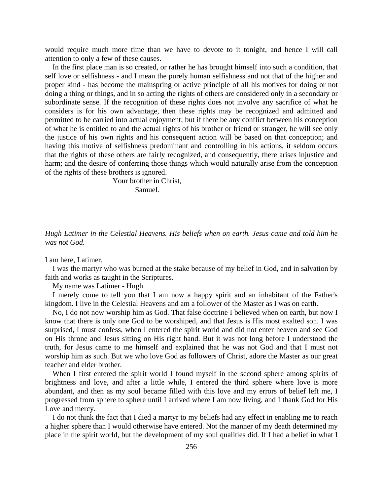would require much more time than we have to devote to it tonight, and hence I will call attention to only a few of these causes.

 In the first place man is so created, or rather he has brought himself into such a condition, that self love or selfishness - and I mean the purely human selfishness and not that of the higher and proper kind - has become the mainspring or active principle of all his motives for doing or not doing a thing or things, and in so acting the rights of others are considered only in a secondary or subordinate sense. If the recognition of these rights does not involve any sacrifice of what he considers is for his own advantage, then these rights may be recognized and admitted and permitted to be carried into actual enjoyment; but if there be any conflict between his conception of what he is entitled to and the actual rights of his brother or friend or stranger, he will see only the justice of his own rights and his consequent action will be based on that conception; and having this motive of selfishness predominant and controlling in his actions, it seldom occurs that the rights of these others are fairly recognized, and consequently, there arises injustice and harm; and the desire of conferring those things which would naturally arise from the conception of the rights of these brothers is ignored.

> Your brother in Christ, Samuel.

*Hugh Latimer in the Celestial Heavens. His beliefs when on earth. Jesus came and told him he was not God.* 

I am here, Latimer,

 I was the martyr who was burned at the stake because of my belief in God, and in salvation by faith and works as taught in the Scriptures.

My name was Latimer - Hugh.

 I merely come to tell you that I am now a happy spirit and an inhabitant of the Father's kingdom. I live in the Celestial Heavens and am a follower of the Master as I was on earth.

 No, I do not now worship him as God. That false doctrine I believed when on earth, but now I know that there is only one God to be worshiped, and that Jesus is His most exalted son. I was surprised, I must confess, when I entered the spirit world and did not enter heaven and see God on His throne and Jesus sitting on His right hand. But it was not long before I understood the truth, for Jesus came to me himself and explained that he was not God and that I must not worship him as such. But we who love God as followers of Christ, adore the Master as our great teacher and elder brother.

 When I first entered the spirit world I found myself in the second sphere among spirits of brightness and love, and after a little while, I entered the third sphere where love is more abundant, and then as my soul became filled with this love and my errors of belief left me, I progressed from sphere to sphere until I arrived where I am now living, and I thank God for His Love and mercy.

 I do not think the fact that I died a martyr to my beliefs had any effect in enabling me to reach a higher sphere than I would otherwise have entered. Not the manner of my death determined my place in the spirit world, but the development of my soul qualities did. If I had a belief in what I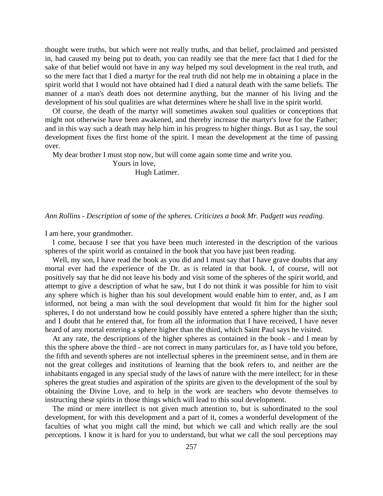thought were truths, but which were not really truths, and that belief, proclaimed and persisted in, had caused my being put to death, you can readily see that the mere fact that I died for the sake of that belief would not have in any way helped my soul development in the real truth, and so the mere fact that I died a martyr for the real truth did not help me in obtaining a place in the spirit world that I would not have obtained had I died a natural death with the same beliefs. The manner of a man's death does not determine anything, but the manner of his living and the development of his soul qualities are what determines where he shall live in the spirit world.

 Of course, the death of the martyr will sometimes awaken soul qualities or conceptions that might not otherwise have been awakened, and thereby increase the martyr's love for the Father; and in this way such a death may help him in his progress to higher things. But as I say, the soul development fixes the first home of the spirit. I mean the development at the time of passing over.

My dear brother I must stop now, but will come again some time and write you.

Yours in love,

Hugh Latimer.

*Ann Rollins - Description of some of the spheres. Criticizes a book Mr. Padgett was reading.* 

I am here, your grandmother.

 I come, because I see that you have been much interested in the description of the various spheres of the spirit world as contained in the book that you have just been reading.

Well, my son, I have read the book as you did and I must say that I have grave doubts that any mortal ever had the experience of the Dr. as is related in that book. I, of course, will not positively say that he did not leave his body and visit some of the spheres of the spirit world, and attempt to give a description of what he saw, but I do not think it was possible for him to visit any sphere which is higher than his soul development would enable him to enter, and, as I am informed, not being a man with the soul development that would fit him for the higher soul spheres, I do not understand how he could possibly have entered a sphere higher than the sixth; and I doubt that he entered that, for from all the information that I have received, I have never heard of any mortal entering a sphere higher than the third, which Saint Paul says he visited.

 At any rate, the descriptions of the higher spheres as contained in the book - and I mean by this the sphere above the third - are not correct in many particulars for, as I have told you before, the fifth and seventh spheres are not intellectual spheres in the preeminent sense, and in them are not the great colleges and institutions of learning that the book refers to, and neither are the inhabitants engaged in any special study of the laws of nature with the mere intellect; for in these spheres the great studies and aspiration of the spirits are given to the development of the soul by obtaining the Divine Love, and to help in the work are teachers who devote themselves to instructing these spirits in those things which will lead to this soul development.

 The mind or mere intellect is not given much attention to, but is subordinated to the soul development, for with this development and a part of it, comes a wonderful development of the faculties of what you might call the mind, but which we call and which really are the soul perceptions. I know it is hard for you to understand, but what we call the soul perceptions may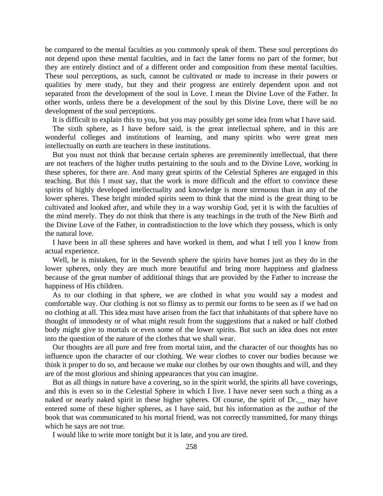be compared to the mental faculties as you commonly speak of them. These soul perceptions do not depend upon these mental faculties, and in fact the latter forms no part of the former, but they are entirely distinct and of a different order and composition from these mental faculties. These soul perceptions, as such, cannot be cultivated or made to increase in their powers or qualities by mere study, but they and their progress are entirely dependent upon and not separated from the development of the soul in Love. I mean the Divine Love of the Father. In other words, unless there be a development of the soul by this Divine Love, there will be no development of the soul perceptions.

It is difficult to explain this to you, but you may possibly get some idea from what I have said.

 The sixth sphere, as I have before said, is the great intellectual sphere, and in this are wonderful colleges and institutions of learning, and many spirits who were great men intellectually on earth are teachers in these institutions.

 But you must not think that because certain spheres are preeminently intellectual, that there are not teachers of the higher truths pertaining to the souls and to the Divine Love, working in these spheres, for there are. And many great spirits of the Celestial Spheres are engaged in this teaching. But this I must say, that the work is more difficult and the effort to convince these spirits of highly developed intellectuality and knowledge is more strenuous than in any of the lower spheres. These bright minded spirits seem to think that the mind is the great thing to be cultivated and looked after, and while they in a way worship God, yet it is with the faculties of the mind merely. They do not think that there is any teachings in the truth of the New Birth and the Divine Love of the Father, in contradistinction to the love which they possess, which is only the natural love.

 I have been in all these spheres and have worked in them, and what I tell you I know from actual experience.

 Well, he is mistaken, for in the Seventh sphere the spirits have homes just as they do in the lower spheres, only they are much more beautiful and bring more happiness and gladness because of the great number of additional things that are provided by the Father to increase the happiness of His children.

 As to our clothing in that sphere, we are clothed in what you would say a modest and comfortable way. Our clothing is not so flimsy as to permit our forms to be seen as if we had on no clothing at all. This idea must have arisen from the fact that inhabitants of that sphere have no thought of immodesty or of what might result from the suggestions that a naked or half clothed body might give to mortals or even some of the lower spirits. But such an idea does not enter into the question of the nature of the clothes that we shall wear.

 Our thoughts are all pure and free from mortal taint, and the character of our thoughts has no influence upon the character of our clothing. We wear clothes to cover our bodies because we think it proper to do so, and because we make our clothes by our own thoughts and will, and they are of the most glorious and shining appearances that you can imagine.

 But as all things in nature have a covering, so in the spirit world, the spirits all have coverings, and this is even so in the Celestial Sphere in which I live. I have never seen such a thing as a naked or nearly naked spirit in these higher spheres. Of course, the spirit of Dr.\_\_ may have entered some of these higher spheres, as I have said, but his information as the author of the book that was communicated to his mortal friend, was not correctly transmitted, for many things which he says are not true.

I would like to write more tonight but it is late, and you are tired.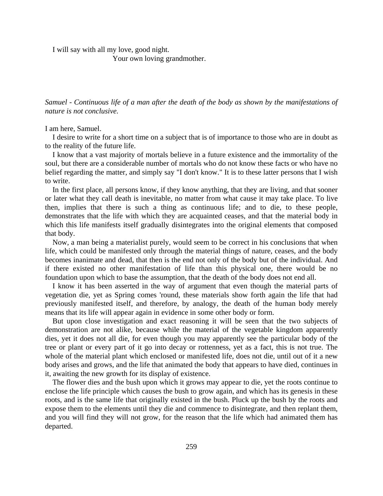I will say with all my love, good night.

Your own loving grandmother.

*Samuel - Continuous life of a man after the death of the body as shown by the manifestations of nature is not conclusive.* 

I am here, Samuel.

 I desire to write for a short time on a subject that is of importance to those who are in doubt as to the reality of the future life.

 I know that a vast majority of mortals believe in a future existence and the immortality of the soul, but there are a considerable number of mortals who do not know these facts or who have no belief regarding the matter, and simply say "I don't know." It is to these latter persons that I wish to write.

 In the first place, all persons know, if they know anything, that they are living, and that sooner or later what they call death is inevitable, no matter from what cause it may take place. To live then, implies that there is such a thing as continuous life; and to die, to these people, demonstrates that the life with which they are acquainted ceases, and that the material body in which this life manifests itself gradually disintegrates into the original elements that composed that body.

 Now, a man being a materialist purely, would seem to be correct in his conclusions that when life, which could be manifested only through the material things of nature, ceases, and the body becomes inanimate and dead, that then is the end not only of the body but of the individual. And if there existed no other manifestation of life than this physical one, there would be no foundation upon which to base the assumption, that the death of the body does not end all.

 I know it has been asserted in the way of argument that even though the material parts of vegetation die, yet as Spring comes 'round, these materials show forth again the life that had previously manifested itself, and therefore, by analogy, the death of the human body merely means that its life will appear again in evidence in some other body or form.

 But upon close investigation and exact reasoning it will be seen that the two subjects of demonstration are not alike, because while the material of the vegetable kingdom apparently dies, yet it does not all die, for even though you may apparently see the particular body of the tree or plant or every part of it go into decay or rottenness, yet as a fact, this is not true. The whole of the material plant which enclosed or manifested life, does not die, until out of it a new body arises and grows, and the life that animated the body that appears to have died, continues in it, awaiting the new growth for its display of existence.

 The flower dies and the bush upon which it grows may appear to die, yet the roots continue to enclose the life principle which causes the bush to grow again, and which has its genesis in these roots, and is the same life that originally existed in the bush. Pluck up the bush by the roots and expose them to the elements until they die and commence to disintegrate, and then replant them, and you will find they will not grow, for the reason that the life which had animated them has departed.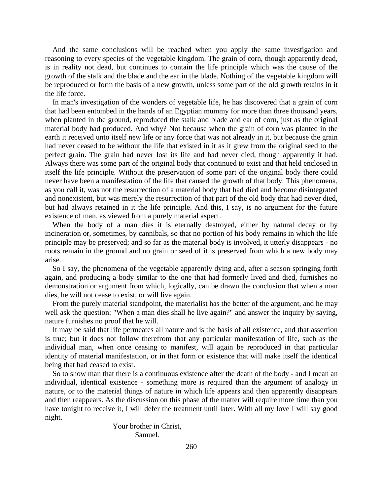And the same conclusions will be reached when you apply the same investigation and reasoning to every species of the vegetable kingdom. The grain of corn, though apparently dead, is in reality not dead, but continues to contain the life principle which was the cause of the growth of the stalk and the blade and the ear in the blade. Nothing of the vegetable kingdom will be reproduced or form the basis of a new growth, unless some part of the old growth retains in it the life force.

 In man's investigation of the wonders of vegetable life, he has discovered that a grain of corn that had been entombed in the hands of an Egyptian mummy for more than three thousand years, when planted in the ground, reproduced the stalk and blade and ear of corn, just as the original material body had produced. And why? Not because when the grain of corn was planted in the earth it received unto itself new life or any force that was not already in it, but because the grain had never ceased to be without the life that existed in it as it grew from the original seed to the perfect grain. The grain had never lost its life and had never died, though apparently it had. Always there was some part of the original body that continued to exist and that held enclosed in itself the life principle. Without the preservation of some part of the original body there could never have been a manifestation of the life that caused the growth of that body. This phenomena, as you call it, was not the resurrection of a material body that had died and become disintegrated and nonexistent, but was merely the resurrection of that part of the old body that had never died, but had always retained in it the life principle. And this, I say, is no argument for the future existence of man, as viewed from a purely material aspect.

 When the body of a man dies it is eternally destroyed, either by natural decay or by incineration or, sometimes, by cannibals, so that no portion of his body remains in which the life principle may be preserved; and so far as the material body is involved, it utterly disappears - no roots remain in the ground and no grain or seed of it is preserved from which a new body may arise.

 So I say, the phenomena of the vegetable apparently dying and, after a season springing forth again, and producing a body similar to the one that had formerly lived and died, furnishes no demonstration or argument from which, logically, can be drawn the conclusion that when a man dies, he will not cease to exist, or will live again.

 From the purely material standpoint, the materialist has the better of the argument, and he may well ask the question: "When a man dies shall he live again?" and answer the inquiry by saying, nature furnishes no proof that he will.

 It may be said that life permeates all nature and is the basis of all existence, and that assertion is true; but it does not follow therefrom that any particular manifestation of life, such as the individual man, when once ceasing to manifest, will again be reproduced in that particular identity of material manifestation, or in that form or existence that will make itself the identical being that had ceased to exist.

 So to show man that there is a continuous existence after the death of the body - and I mean an individual, identical existence - something more is required than the argument of analogy in nature, or to the material things of nature in which life appears and then apparently disappears and then reappears. As the discussion on this phase of the matter will require more time than you have tonight to receive it, I will defer the treatment until later. With all my love I will say good night.

> Your brother in Christ, Samuel.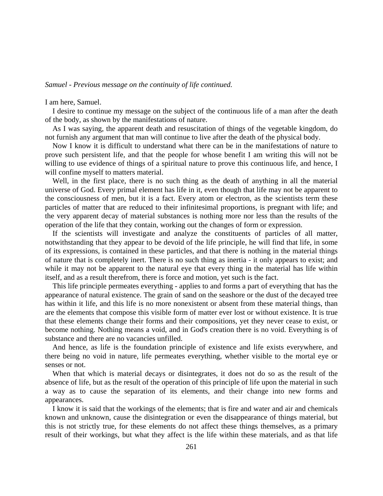#### *Samuel - Previous message on the continuity of life continued.*

## I am here, Samuel.

 I desire to continue my message on the subject of the continuous life of a man after the death of the body, as shown by the manifestations of nature.

 As I was saying, the apparent death and resuscitation of things of the vegetable kingdom, do not furnish any argument that man will continue to live after the death of the physical body.

 Now I know it is difficult to understand what there can be in the manifestations of nature to prove such persistent life, and that the people for whose benefit I am writing this will not be willing to use evidence of things of a spiritual nature to prove this continuous life, and hence, I will confine myself to matters material.

 Well, in the first place, there is no such thing as the death of anything in all the material universe of God. Every primal element has life in it, even though that life may not be apparent to the consciousness of men, but it is a fact. Every atom or electron, as the scientists term these particles of matter that are reduced to their infinitesimal proportions, is pregnant with life; and the very apparent decay of material substances is nothing more nor less than the results of the operation of the life that they contain, working out the changes of form or expression.

 If the scientists will investigate and analyze the constituents of particles of all matter, notwithstanding that they appear to be devoid of the life principle, he will find that life, in some of its expressions, is contained in these particles, and that there is nothing in the material things of nature that is completely inert. There is no such thing as inertia - it only appears to exist; and while it may not be apparent to the natural eye that every thing in the material has life within itself, and as a result therefrom, there is force and motion, yet such is the fact.

 This life principle permeates everything - applies to and forms a part of everything that has the appearance of natural existence. The grain of sand on the seashore or the dust of the decayed tree has within it life, and this life is no more nonexistent or absent from these material things, than are the elements that compose this visible form of matter ever lost or without existence. It is true that these elements change their forms and their compositions, yet they never cease to exist, or become nothing. Nothing means a void, and in God's creation there is no void. Everything is of substance and there are no vacancies unfilled.

 And hence, as life is the foundation principle of existence and life exists everywhere, and there being no void in nature, life permeates everything, whether visible to the mortal eye or senses or not.

 When that which is material decays or disintegrates, it does not do so as the result of the absence of life, but as the result of the operation of this principle of life upon the material in such a way as to cause the separation of its elements, and their change into new forms and appearances.

 I know it is said that the workings of the elements; that is fire and water and air and chemicals known and unknown, cause the disintegration or even the disappearance of things material, but this is not strictly true, for these elements do not affect these things themselves, as a primary result of their workings, but what they affect is the life within these materials, and as that life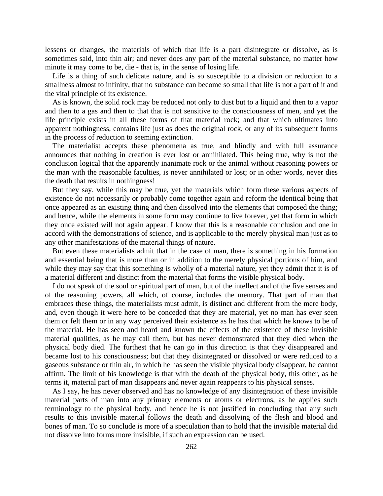lessens or changes, the materials of which that life is a part disintegrate or dissolve, as is sometimes said, into thin air; and never does any part of the material substance, no matter how minute it may come to be, die - that is, in the sense of losing life.

 Life is a thing of such delicate nature, and is so susceptible to a division or reduction to a smallness almost to infinity, that no substance can become so small that life is not a part of it and the vital principle of its existence.

 As is known, the solid rock may be reduced not only to dust but to a liquid and then to a vapor and then to a gas and then to that that is not sensitive to the consciousness of men, and yet the life principle exists in all these forms of that material rock; and that which ultimates into apparent nothingness, contains life just as does the original rock, or any of its subsequent forms in the process of reduction to seeming extinction.

 The materialist accepts these phenomena as true, and blindly and with full assurance announces that nothing in creation is ever lost or annihilated. This being true, why is not the conclusion logical that the apparently inanimate rock or the animal without reasoning powers or the man with the reasonable faculties, is never annihilated or lost; or in other words, never dies the death that results in nothingness!

 But they say, while this may be true, yet the materials which form these various aspects of existence do not necessarily or probably come together again and reform the identical being that once appeared as an existing thing and then dissolved into the elements that composed the thing; and hence, while the elements in some form may continue to live forever, yet that form in which they once existed will not again appear. I know that this is a reasonable conclusion and one in accord with the demonstrations of science, and is applicable to the merely physical man just as to any other manifestations of the material things of nature.

 But even these materialists admit that in the case of man, there is something in his formation and essential being that is more than or in addition to the merely physical portions of him, and while they may say that this something is wholly of a material nature, yet they admit that it is of a material different and distinct from the material that forms the visible physical body.

 I do not speak of the soul or spiritual part of man, but of the intellect and of the five senses and of the reasoning powers, all which, of course, includes the memory. That part of man that embraces these things, the materialists must admit, is distinct and different from the mere body, and, even though it were here to be conceded that they are material, yet no man has ever seen them or felt them or in any way perceived their existence as he has that which he knows to be of the material. He has seen and heard and known the effects of the existence of these invisible material qualities, as he may call them, but has never demonstrated that they died when the physical body died. The furthest that he can go in this direction is that they disappeared and became lost to his consciousness; but that they disintegrated or dissolved or were reduced to a gaseous substance or thin air, in which he has seen the visible physical body disappear, he cannot affirm. The limit of his knowledge is that with the death of the physical body, this other, as he terms it, material part of man disappears and never again reappears to his physical senses.

 As I say, he has never observed and has no knowledge of any disintegration of these invisible material parts of man into any primary elements or atoms or electrons, as he applies such terminology to the physical body, and hence he is not justified in concluding that any such results to this invisible material follows the death and dissolving of the flesh and blood and bones of man. To so conclude is more of a speculation than to hold that the invisible material did not dissolve into forms more invisible, if such an expression can be used.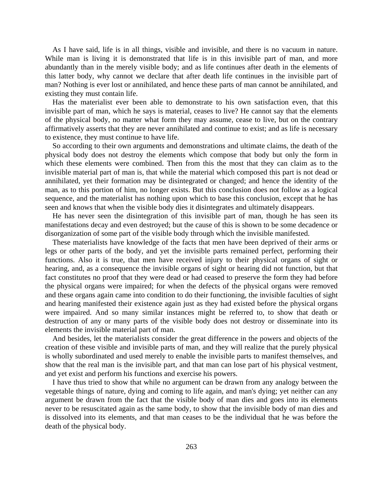As I have said, life is in all things, visible and invisible, and there is no vacuum in nature. While man is living it is demonstrated that life is in this invisible part of man, and more abundantly than in the merely visible body; and as life continues after death in the elements of this latter body, why cannot we declare that after death life continues in the invisible part of man? Nothing is ever lost or annihilated, and hence these parts of man cannot be annihilated, and existing they must contain life.

 Has the materialist ever been able to demonstrate to his own satisfaction even, that this invisible part of man, which he says is material, ceases to live? He cannot say that the elements of the physical body, no matter what form they may assume, cease to live, but on the contrary affirmatively asserts that they are never annihilated and continue to exist; and as life is necessary to existence, they must continue to have life.

 So according to their own arguments and demonstrations and ultimate claims, the death of the physical body does not destroy the elements which compose that body but only the form in which these elements were combined. Then from this the most that they can claim as to the invisible material part of man is, that while the material which composed this part is not dead or annihilated, yet their formation may be disintegrated or changed; and hence the identity of the man, as to this portion of him, no longer exists. But this conclusion does not follow as a logical sequence, and the materialist has nothing upon which to base this conclusion, except that he has seen and knows that when the visible body dies it disintegrates and ultimately disappears.

 He has never seen the disintegration of this invisible part of man, though he has seen its manifestations decay and even destroyed; but the cause of this is shown to be some decadence or disorganization of some part of the visible body through which the invisible manifested.

 These materialists have knowledge of the facts that men have been deprived of their arms or legs or other parts of the body, and yet the invisible parts remained perfect, performing their functions. Also it is true, that men have received injury to their physical organs of sight or hearing, and, as a consequence the invisible organs of sight or hearing did not function, but that fact constitutes no proof that they were dead or had ceased to preserve the form they had before the physical organs were impaired; for when the defects of the physical organs were removed and these organs again came into condition to do their functioning, the invisible faculties of sight and hearing manifested their existence again just as they had existed before the physical organs were impaired. And so many similar instances might be referred to, to show that death or destruction of any or many parts of the visible body does not destroy or disseminate into its elements the invisible material part of man.

 And besides, let the materialists consider the great difference in the powers and objects of the creation of these visible and invisible parts of man, and they will realize that the purely physical is wholly subordinated and used merely to enable the invisible parts to manifest themselves, and show that the real man is the invisible part, and that man can lose part of his physical vestment, and yet exist and perform his functions and exercise his powers.

 I have thus tried to show that while no argument can be drawn from any analogy between the vegetable things of nature, dying and coming to life again, and man's dying; yet neither can any argument be drawn from the fact that the visible body of man dies and goes into its elements never to be resuscitated again as the same body, to show that the invisible body of man dies and is dissolved into its elements, and that man ceases to be the individual that he was before the death of the physical body.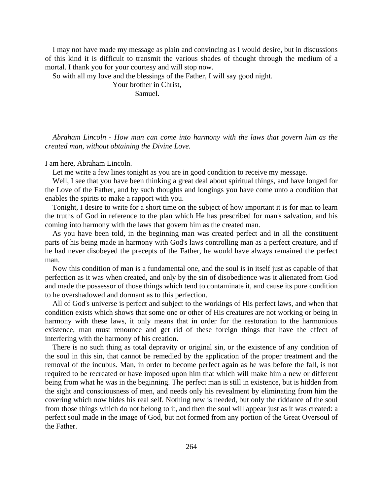I may not have made my message as plain and convincing as I would desire, but in discussions of this kind it is difficult to transmit the various shades of thought through the medium of a mortal. I thank you for your courtesy and will stop now.

So with all my love and the blessings of the Father, I will say good night.

Your brother in Christ,

Samuel.

 *Abraham Lincoln - How man can come into harmony with the laws that govern him as the created man, without obtaining the Divine Love.* 

I am here, Abraham Lincoln.

Let me write a few lines tonight as you are in good condition to receive my message.

 Well, I see that you have been thinking a great deal about spiritual things, and have longed for the Love of the Father, and by such thoughts and longings you have come unto a condition that enables the spirits to make a rapport with you.

 Tonight, I desire to write for a short time on the subject of how important it is for man to learn the truths of God in reference to the plan which He has prescribed for man's salvation, and his coming into harmony with the laws that govern him as the created man.

 As you have been told, in the beginning man was created perfect and in all the constituent parts of his being made in harmony with God's laws controlling man as a perfect creature, and if he had never disobeyed the precepts of the Father, he would have always remained the perfect man.

 Now this condition of man is a fundamental one, and the soul is in itself just as capable of that perfection as it was when created, and only by the sin of disobedience was it alienated from God and made the possessor of those things which tend to contaminate it, and cause its pure condition to he overshadowed and dormant as to this perfection.

 All of God's universe is perfect and subject to the workings of His perfect laws, and when that condition exists which shows that some one or other of His creatures are not working or being in harmony with these laws, it only means that in order for the restoration to the harmonious existence, man must renounce and get rid of these foreign things that have the effect of interfering with the harmony of his creation.

 There is no such thing as total depravity or original sin, or the existence of any condition of the soul in this sin, that cannot be remedied by the application of the proper treatment and the removal of the incubus. Man, in order to become perfect again as he was before the fall, is not required to be recreated or have imposed upon him that which will make him a new or different being from what he was in the beginning. The perfect man is still in existence, but is hidden from the sight and consciousness of men, and needs only his revealment by eliminating from him the covering which now hides his real self. Nothing new is needed, but only the riddance of the soul from those things which do not belong to it, and then the soul will appear just as it was created: a perfect soul made in the image of God, but not formed from any portion of the Great Oversoul of the Father.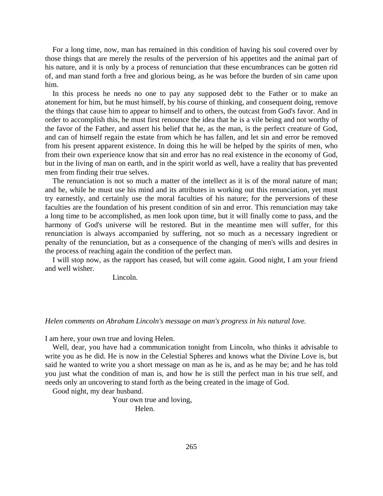For a long time, now, man has remained in this condition of having his soul covered over by those things that are merely the results of the perversion of his appetites and the animal part of his nature, and it is only by a process of renunciation that these encumbrances can be gotten rid of, and man stand forth a free and glorious being, as he was before the burden of sin came upon him.

 In this process he needs no one to pay any supposed debt to the Father or to make an atonement for him, but he must himself, by his course of thinking, and consequent doing, remove the things that cause him to appear to himself and to others, the outcast from God's favor. And in order to accomplish this, he must first renounce the idea that he is a vile being and not worthy of the favor of the Father, and assert his belief that he, as the man, is the perfect creature of God, and can of himself regain the estate from which he has fallen, and let sin and error be removed from his present apparent existence. In doing this he will be helped by the spirits of men, who from their own experience know that sin and error has no real existence in the economy of God, but in the living of man on earth, and in the spirit world as well, have a reality that has prevented men from finding their true selves.

 The renunciation is not so much a matter of the intellect as it is of the moral nature of man; and he, while he must use his mind and its attributes in working out this renunciation, yet must try earnestly, and certainly use the moral faculties of his nature; for the perversions of these faculties are the foundation of his present condition of sin and error. This renunciation may take a long time to be accomplished, as men look upon time, but it will finally come to pass, and the harmony of God's universe will be restored. But in the meantime men will suffer, for this renunciation is always accompanied by suffering, not so much as a necessary ingredient or penalty of the renunciation, but as a consequence of the changing of men's wills and desires in the process of reaching again the condition of the perfect man.

 I will stop now, as the rapport has ceased, but will come again. Good night, I am your friend and well wisher.

Lincoln.

## *Helen comments on Abraham Lincoln's message on man's progress in his natural love.*

I am here, your own true and loving Helen.

 Well, dear, you have had a communication tonight from Lincoln, who thinks it advisable to write you as he did. He is now in the Celestial Spheres and knows what the Divine Love is, but said he wanted to write you a short message on man as he is, and as he may be; and he has told you just what the condition of man is, and how he is still the perfect man in his true self, and needs only an uncovering to stand forth as the being created in the image of God.

Good night, my dear husband.

 Your own true and loving, Helen.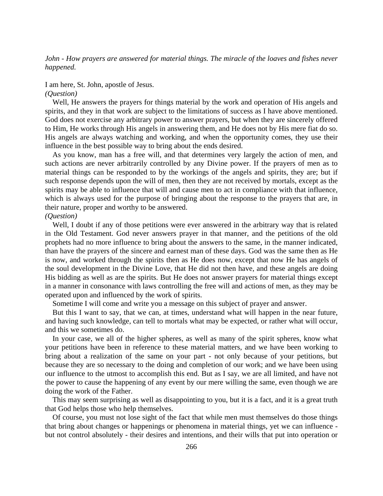*John - How prayers are answered for material things. The miracle of the loaves and fishes never happened.* 

I am here, St. John, apostle of Jesus.

#### *(Question)*

Well, He answers the prayers for things material by the work and operation of His angels and spirits, and they in that work are subject to the limitations of success as I have above mentioned. God does not exercise any arbitrary power to answer prayers, but when they are sincerely offered to Him, He works through His angels in answering them, and He does not by His mere fiat do so. His angels are always watching and working, and when the opportunity comes, they use their influence in the best possible way to bring about the ends desired.

 As you know, man has a free will, and that determines very largely the action of men, and such actions are never arbitrarily controlled by any Divine power. If the prayers of men as to material things can be responded to by the workings of the angels and spirits, they are; but if such response depends upon the will of men, then they are not received by mortals, except as the spirits may be able to influence that will and cause men to act in compliance with that influence, which is always used for the purpose of bringing about the response to the prayers that are, in their nature, proper and worthy to be answered.

# *(Question)*

Well, I doubt if any of those petitions were ever answered in the arbitrary way that is related in the Old Testament. God never answers prayer in that manner, and the petitions of the old prophets had no more influence to bring about the answers to the same, in the manner indicated, than have the prayers of the sincere and earnest man of these days. God was the same then as He is now, and worked through the spirits then as He does now, except that now He has angels of the soul development in the Divine Love, that He did not then have, and these angels are doing His bidding as well as are the spirits. But He does not answer prayers for material things except in a manner in consonance with laws controlling the free will and actions of men, as they may be operated upon and influenced by the work of spirits.

Sometime I will come and write you a message on this subject of prayer and answer.

 But this I want to say, that we can, at times, understand what will happen in the near future, and having such knowledge, can tell to mortals what may be expected, or rather what will occur, and this we sometimes do.

 In your case, we all of the higher spheres, as well as many of the spirit spheres, know what your petitions have been in reference to these material matters, and we have been working to bring about a realization of the same on your part - not only because of your petitions, but because they are so necessary to the doing and completion of our work; and we have been using our influence to the utmost to accomplish this end. But as I say, we are all limited, and have not the power to cause the happening of any event by our mere willing the same, even though we are doing the work of the Father.

 This may seem surprising as well as disappointing to you, but it is a fact, and it is a great truth that God helps those who help themselves.

 Of course, you must not lose sight of the fact that while men must themselves do those things that bring about changes or happenings or phenomena in material things, yet we can influence but not control absolutely - their desires and intentions, and their wills that put into operation or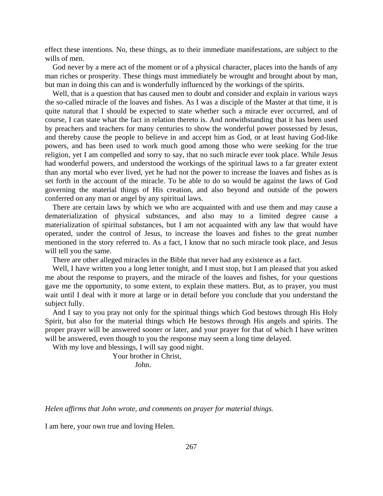effect these intentions. No, these things, as to their immediate manifestations, are subject to the wills of men.

 God never by a mere act of the moment or of a physical character, places into the hands of any man riches or prosperity. These things must immediately be wrought and brought about by man, but man in doing this can and is wonderfully influenced by the workings of the spirits.

 Well, that is a question that has caused men to doubt and consider and explain in various ways the so-called miracle of the loaves and fishes. As I was a disciple of the Master at that time, it is quite natural that I should be expected to state whether such a miracle ever occurred, and of course, I can state what the fact in relation thereto is. And notwithstanding that it has been used by preachers and teachers for many centuries to show the wonderful power possessed by Jesus, and thereby cause the people to believe in and accept him as God, or at least having God-like powers, and has been used to work much good among those who were seeking for the true religion, yet I am compelled and sorry to say, that no such miracle ever took place. While Jesus had wonderful powers, and understood the workings of the spiritual laws to a far greater extent than any mortal who ever lived, yet he had not the power to increase the loaves and fishes as is set forth in the account of the miracle. To be able to do so would be against the laws of God governing the material things of His creation, and also beyond and outside of the powers conferred on any man or angel by any spiritual laws.

 There are certain laws by which we who are acquainted with and use them and may cause a dematerialization of physical substances, and also may to a limited degree cause a materialization of spiritual substances, but I am not acquainted with any law that would have operated, under the control of Jesus, to increase the loaves and fishes to the great number mentioned in the story referred to. As a fact, I know that no such miracle took place, and Jesus will tell you the same.

There are other alleged miracles in the Bible that never had any existence as a fact.

 Well, I have written you a long letter tonight, and I must stop, but I am pleased that you asked me about the response to prayers, and the miracle of the loaves and fishes, for your questions gave me the opportunity, to some extent, to explain these matters. But, as to prayer, you must wait until I deal with it more at large or in detail before you conclude that you understand the subject fully.

 And I say to you pray not only for the spiritual things which God bestows through His Holy Spirit, but also for the material things which He bestows through His angels and spirits. The proper prayer will be answered sooner or later, and your prayer for that of which I have written will be answered, even though to you the response may seem a long time delayed.

With my love and blessings, I will say good night.

Your brother in Christ,

John.

*Helen affirms that John wrote, and comments on prayer for material things.* 

I am here, your own true and loving Helen.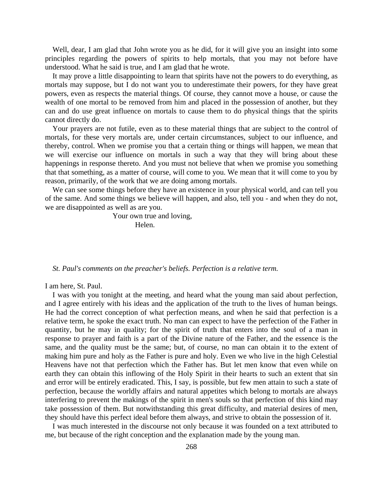Well, dear, I am glad that John wrote you as he did, for it will give you an insight into some principles regarding the powers of spirits to help mortals, that you may not before have understood. What he said is true, and I am glad that he wrote.

 It may prove a little disappointing to learn that spirits have not the powers to do everything, as mortals may suppose, but I do not want you to underestimate their powers, for they have great powers, even as respects the material things. Of course, they cannot move a house, or cause the wealth of one mortal to be removed from him and placed in the possession of another, but they can and do use great influence on mortals to cause them to do physical things that the spirits cannot directly do.

 Your prayers are not futile, even as to these material things that are subject to the control of mortals, for these very mortals are, under certain circumstances, subject to our influence, and thereby, control. When we promise you that a certain thing or things will happen, we mean that we will exercise our influence on mortals in such a way that they will bring about these happenings in response thereto. And you must not believe that when we promise you something that that something, as a matter of course, will come to you. We mean that it will come to you by reason, primarily, of the work that we are doing among mortals.

We can see some things before they have an existence in your physical world, and can tell you of the same. And some things we believe will happen, and also, tell you - and when they do not, we are disappointed as well as are you.

> Your own true and loving, Helen.

*St. Paul's comments on the preacher's beliefs. Perfection is a relative term.* 

I am here, St. Paul.

 I was with you tonight at the meeting, and heard what the young man said about perfection, and I agree entirely with his ideas and the application of the truth to the lives of human beings. He had the correct conception of what perfection means, and when he said that perfection is a relative term, he spoke the exact truth. No man can expect to have the perfection of the Father in quantity, but he may in quality; for the spirit of truth that enters into the soul of a man in response to prayer and faith is a part of the Divine nature of the Father, and the essence is the same, and the quality must be the same; but, of course, no man can obtain it to the extent of making him pure and holy as the Father is pure and holy. Even we who live in the high Celestial Heavens have not that perfection which the Father has. But let men know that even while on earth they can obtain this inflowing of the Holy Spirit in their hearts to such an extent that sin and error will be entirely eradicated. This, I say, is possible, but few men attain to such a state of perfection, because the worldly affairs and natural appetites which belong to mortals are always interfering to prevent the makings of the spirit in men's souls so that perfection of this kind may take possession of them. But notwithstanding this great difficulty, and material desires of men, they should have this perfect ideal before them always, and strive to obtain the possession of it.

 I was much interested in the discourse not only because it was founded on a text attributed to me, but because of the right conception and the explanation made by the young man.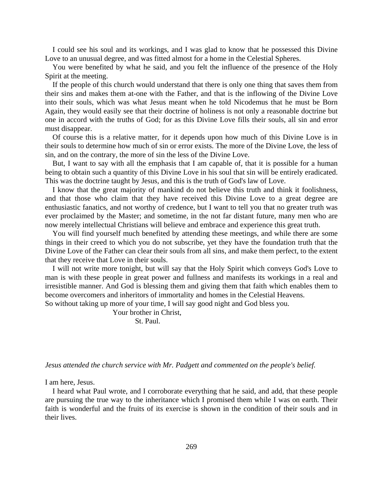I could see his soul and its workings, and I was glad to know that he possessed this Divine Love to an unusual degree, and was fitted almost for a home in the Celestial Spheres.

 You were benefited by what he said, and you felt the influence of the presence of the Holy Spirit at the meeting.

 If the people of this church would understand that there is only one thing that saves them from their sins and makes them at-one with the Father, and that is the inflowing of the Divine Love into their souls, which was what Jesus meant when he told Nicodemus that he must be Born Again, they would easily see that their doctrine of holiness is not only a reasonable doctrine but one in accord with the truths of God; for as this Divine Love fills their souls, all sin and error must disappear.

 Of course this is a relative matter, for it depends upon how much of this Divine Love is in their souls to determine how much of sin or error exists. The more of the Divine Love, the less of sin, and on the contrary, the more of sin the less of the Divine Love.

 But, I want to say with all the emphasis that I am capable of, that it is possible for a human being to obtain such a quantity of this Divine Love in his soul that sin will be entirely eradicated. This was the doctrine taught by Jesus, and this is the truth of God's law of Love.

 I know that the great majority of mankind do not believe this truth and think it foolishness, and that those who claim that they have received this Divine Love to a great degree are enthusiastic fanatics, and not worthy of credence, but I want to tell you that no greater truth was ever proclaimed by the Master; and sometime, in the not far distant future, many men who are now merely intellectual Christians will believe and embrace and experience this great truth.

 You will find yourself much benefited by attending these meetings, and while there are some things in their creed to which you do not subscribe, yet they have the foundation truth that the Divine Love of the Father can clear their souls from all sins, and make them perfect, to the extent that they receive that Love in their souls.

 I will not write more tonight, but will say that the Holy Spirit which conveys God's Love to man is with these people in great power and fullness and manifests its workings in a real and irresistible manner. And God is blessing them and giving them that faith which enables them to become overcomers and inheritors of immortality and homes in the Celestial Heavens.

So without taking up more of your time, I will say good night and God bless you.

Your brother in Christ,

St. Paul.

*Jesus attended the church service with Mr. Padgett and commented on the people's belief.* 

I am here, Jesus.

 I heard what Paul wrote, and I corroborate everything that he said, and add, that these people are pursuing the true way to the inheritance which I promised them while I was on earth. Their faith is wonderful and the fruits of its exercise is shown in the condition of their souls and in their lives.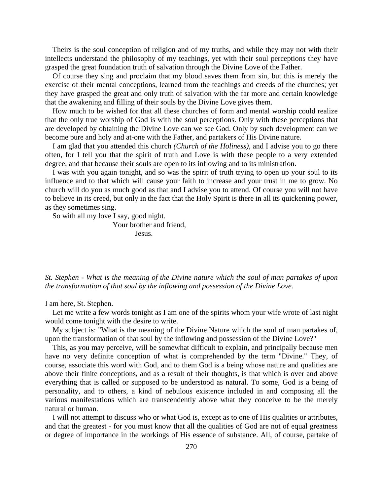Theirs is the soul conception of religion and of my truths, and while they may not with their intellects understand the philosophy of my teachings, yet with their soul perceptions they have grasped the great foundation truth of salvation through the Divine Love of the Father.

 Of course they sing and proclaim that my blood saves them from sin, but this is merely the exercise of their mental conceptions, learned from the teachings and creeds of the churches; yet they have grasped the great and only truth of salvation with the far more and certain knowledge that the awakening and filling of their souls by the Divine Love gives them.

 How much to be wished for that all these churches of form and mental worship could realize that the only true worship of God is with the soul perceptions. Only with these perceptions that are developed by obtaining the Divine Love can we see God. Only by such development can we become pure and holy and at-one with the Father, and partakers of His Divine nature.

 I am glad that you attended this church *(Church of the Holiness)*, and I advise you to go there often, for I tell you that the spirit of truth and Love is with these people to a very extended degree, and that because their souls are open to its inflowing and to its ministration.

 I was with you again tonight, and so was the spirit of truth trying to open up your soul to its influence and to that which will cause your faith to increase and your trust in me to grow. No church will do you as much good as that and I advise you to attend. Of course you will not have to believe in its creed, but only in the fact that the Holy Spirit is there in all its quickening power, as they sometimes sing.

So with all my love I say, good night.

 Your brother and friend, Jesus.

*St. Stephen - What is the meaning of the Divine nature which the soul of man partakes of upon the transformation of that soul by the inflowing and possession of the Divine Love.* 

I am here, St. Stephen.

 Let me write a few words tonight as I am one of the spirits whom your wife wrote of last night would come tonight with the desire to write.

 My subject is: "What is the meaning of the Divine Nature which the soul of man partakes of, upon the transformation of that soul by the inflowing and possession of the Divine Love?"

 This, as you may perceive, will be somewhat difficult to explain, and principally because men have no very definite conception of what is comprehended by the term "Divine." They, of course, associate this word with God, and to them God is a being whose nature and qualities are above their finite conceptions, and as a result of their thoughts, is that which is over and above everything that is called or supposed to be understood as natural. To some, God is a being of personality, and to others, a kind of nebulous existence included in and composing all the various manifestations which are transcendently above what they conceive to be the merely natural or human.

 I will not attempt to discuss who or what God is, except as to one of His qualities or attributes, and that the greatest - for you must know that all the qualities of God are not of equal greatness or degree of importance in the workings of His essence of substance. All, of course, partake of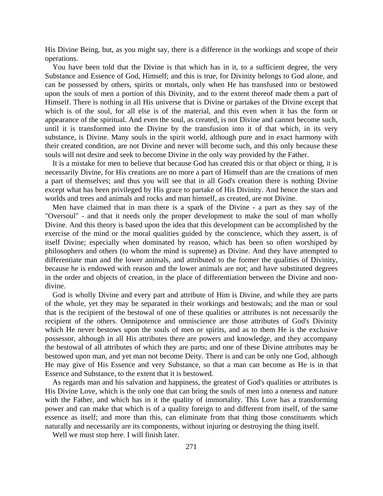His Divine Being, but, as you might say, there is a difference in the workings and scope of their operations.

 You have been told that the Divine is that which has in it, to a sufficient degree, the very Substance and Essence of God, Himself; and this is true, for Divinity belongs to God alone, and can be possessed by others, spirits or mortals, only when He has transfused into or bestowed upon the souls of men a portion of this Divinity, and to the extent thereof made them a part of Himself. There is nothing in all His universe that is Divine or partakes of the Divine except that which is of the soul, for all else is of the material, and this even when it has the form or appearance of the spiritual. And even the soul, as created, is not Divine and cannot become such, until it is transformed into the Divine by the transfusion into it of that which, in its very substance, is Divine. Many souls in the spirit world, although pure and in exact harmony with their created condition, are not Divine and never will become such, and this only because these souls will not desire and seek to become Divine in the only way provided by the Father.

 It is a mistake for men to believe that because God has created this or that object or thing, it is necessarily Divine, for His creations are no more a part of Himself than are the creations of men a part of themselves; and thus you will see that in all God's creation there is nothing Divine except what has been privileged by His grace to partake of His Divinity. And hence the stars and worlds and trees and animals and rocks and man himself, as created, are not Divine.

 Men have claimed that in man there is a spark of the Divine - a part as they say of the "Oversoul" - and that it needs only the proper development to make the soul of man wholly Divine. And this theory is based upon the idea that this development can be accomplished by the exercise of the mind or the moral qualities guided by the conscience, which they assert, is of itself Divine; especially when dominated by reason, which has been so often worshiped by philosophers and others (to whom the mind is supreme) as Divine. And they have attempted to differentiate man and the lower animals, and attributed to the former the qualities of Divinity, because he is endowed with reason and the lower animals are not; and have substituted degrees in the order and objects of creation, in the place of differentiation between the Divine and nondivine.

 God is wholly Divine and every part and attribute of Him is Divine, and while they are parts of the whole, yet they may be separated in their workings and bestowals; and the man or soul that is the recipient of the bestowal of one of these qualities or attributes is not necessarily the recipient of the others. Omnipotence and omniscience are those attributes of God's Divinity which He never bestows upon the souls of men or spirits, and as to them He is the exclusive possessor, although in all His attributes there are powers and knowledge, and they accompany the bestowal of all attributes of which they are parts; and one of these Divine attributes may be bestowed upon man, and yet man not become Deity. There is and can be only one God, although He may give of His Essence and very Substance, so that a man can become as He is in that Essence and Substance, to the extent that it is bestowed.

 As regards man and his salvation and happiness, the greatest of God's qualities or attributes is His Divine Love, which is the only one that can bring the souls of men into a oneness and nature with the Father, and which has in it the quality of immortality. This Love has a transforming power and can make that which is of a quality foreign to and different from itself, of the same essence as itself; and more than this, can eliminate from that thing those constituents which naturally and necessarily are its components, without injuring or destroying the thing itself.

Well we must stop here. I will finish later.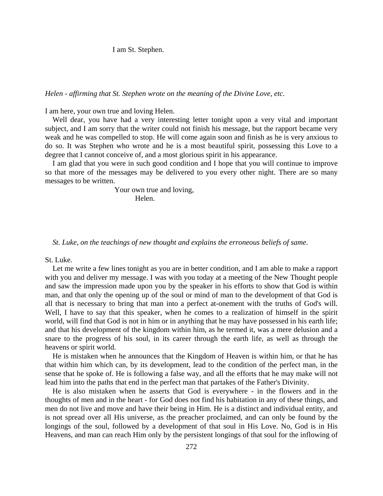I am St. Stephen.

*Helen - affirming that St. Stephen wrote on the meaning of the Divine Love, etc.* 

I am here, your own true and loving Helen.

 Well dear, you have had a very interesting letter tonight upon a very vital and important subject, and I am sorry that the writer could not finish his message, but the rapport became very weak and he was compelled to stop. He will come again soon and finish as he is very anxious to do so. It was Stephen who wrote and he is a most beautiful spirit, possessing this Love to a degree that I cannot conceive of, and a most glorious spirit in his appearance.

 I am glad that you were in such good condition and I hope that you will continue to improve so that more of the messages may be delivered to you every other night. There are so many messages to be written.

> Your own true and loving, Helen.

 *St. Luke, on the teachings of new thought and explains the erroneous beliefs of same.* 

St. Luke.

 Let me write a few lines tonight as you are in better condition, and I am able to make a rapport with you and deliver my message. I was with you today at a meeting of the New Thought people and saw the impression made upon you by the speaker in his efforts to show that God is within man, and that only the opening up of the soul or mind of man to the development of that God is all that is necessary to bring that man into a perfect at-onement with the truths of God's will. Well, I have to say that this speaker, when he comes to a realization of himself in the spirit world, will find that God is not in him or in anything that he may have possessed in his earth life; and that his development of the kingdom within him, as he termed it, was a mere delusion and a snare to the progress of his soul, in its career through the earth life, as well as through the heavens or spirit world.

 He is mistaken when he announces that the Kingdom of Heaven is within him, or that he has that within him which can, by its development, lead to the condition of the perfect man, in the sense that he spoke of. He is following a false way, and all the efforts that he may make will not lead him into the paths that end in the perfect man that partakes of the Father's Divinity.

 He is also mistaken when he asserts that God is everywhere - in the flowers and in the thoughts of men and in the heart - for God does not find his habitation in any of these things, and men do not live and move and have their being in Him. He is a distinct and individual entity, and is not spread over all His universe, as the preacher proclaimed, and can only be found by the longings of the soul, followed by a development of that soul in His Love. No, God is in His Heavens, and man can reach Him only by the persistent longings of that soul for the inflowing of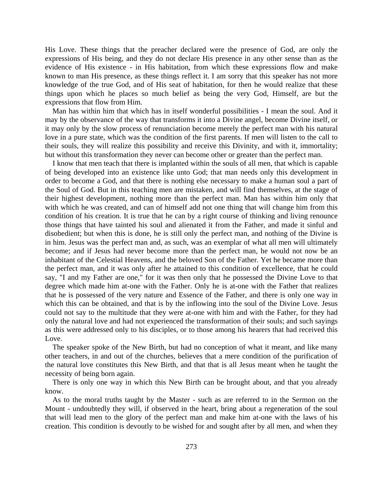His Love. These things that the preacher declared were the presence of God, are only the expressions of His being, and they do not declare His presence in any other sense than as the evidence of His existence - in His habitation, from which these expressions flow and make known to man His presence, as these things reflect it. I am sorry that this speaker has not more knowledge of the true God, and of His seat of habitation, for then he would realize that these things upon which he places so much belief as being the very God, Himself, are but the expressions that flow from Him.

 Man has within him that which has in itself wonderful possibilities - I mean the soul. And it may by the observance of the way that transforms it into a Divine angel, become Divine itself, or it may only by the slow process of renunciation become merely the perfect man with his natural love in a pure state, which was the condition of the first parents. If men will listen to the call to their souls, they will realize this possibility and receive this Divinity, and with it, immortality; but without this transformation they never can become other or greater than the perfect man.

 I know that men teach that there is implanted within the souls of all men, that which is capable of being developed into an existence like unto God; that man needs only this development in order to become a God, and that there is nothing else necessary to make a human soul a part of the Soul of God. But in this teaching men are mistaken, and will find themselves, at the stage of their highest development, nothing more than the perfect man. Man has within him only that with which he was created, and can of himself add not one thing that will change him from this condition of his creation. It is true that he can by a right course of thinking and living renounce those things that have tainted his soul and alienated it from the Father, and made it sinful and disobedient; but when this is done, he is still only the perfect man, and nothing of the Divine is in him. Jesus was the perfect man and, as such, was an exemplar of what all men will ultimately become; and if Jesus had never become more than the perfect man, he would not now be an inhabitant of the Celestial Heavens, and the beloved Son of the Father. Yet he became more than the perfect man, and it was only after he attained to this condition of excellence, that he could say, "I and my Father are one," for it was then only that he possessed the Divine Love to that degree which made him at-one with the Father. Only he is at-one with the Father that realizes that he is possessed of the very nature and Essence of the Father, and there is only one way in which this can be obtained, and that is by the inflowing into the soul of the Divine Love. Jesus could not say to the multitude that they were at-one with him and with the Father, for they had only the natural love and had not experienced the transformation of their souls; and such sayings as this were addressed only to his disciples, or to those among his hearers that had received this Love.

 The speaker spoke of the New Birth, but had no conception of what it meant, and like many other teachers, in and out of the churches, believes that a mere condition of the purification of the natural love constitutes this New Birth, and that that is all Jesus meant when he taught the necessity of being born again.

 There is only one way in which this New Birth can be brought about, and that you already know.

 As to the moral truths taught by the Master - such as are referred to in the Sermon on the Mount - undoubtedly they will, if observed in the heart, bring about a regeneration of the soul that will lead men to the glory of the perfect man and make him at-one with the laws of his creation. This condition is devoutly to be wished for and sought after by all men, and when they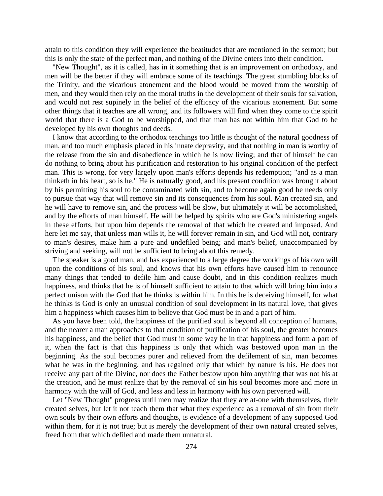attain to this condition they will experience the beatitudes that are mentioned in the sermon; but this is only the state of the perfect man, and nothing of the Divine enters into their condition.

 "New Thought", as it is called, has in it something that is an improvement on orthodoxy, and men will be the better if they will embrace some of its teachings. The great stumbling blocks of the Trinity, and the vicarious atonement and the blood would be moved from the worship of men, and they would then rely on the moral truths in the development of their souls for salvation, and would not rest supinely in the belief of the efficacy of the vicarious atonement. But some other things that it teaches are all wrong, and its followers will find when they come to the spirit world that there is a God to be worshipped, and that man has not within him that God to be developed by his own thoughts and deeds.

 I know that according to the orthodox teachings too little is thought of the natural goodness of man, and too much emphasis placed in his innate depravity, and that nothing in man is worthy of the release from the sin and disobedience in which he is now living; and that of himself he can do nothing to bring about his purification and restoration to his original condition of the perfect man. This is wrong, for very largely upon man's efforts depends his redemption; "and as a man thinketh in his heart, so is he." He is naturally good, and his present condition was brought about by his permitting his soul to be contaminated with sin, and to become again good he needs only to pursue that way that will remove sin and its consequences from his soul. Man created sin, and he will have to remove sin, and the process will be slow, but ultimately it will be accomplished, and by the efforts of man himself. He will be helped by spirits who are God's ministering angels in these efforts, but upon him depends the removal of that which he created and imposed. And here let me say, that unless man wills it, he will forever remain in sin, and God will not, contrary to man's desires, make him a pure and undefiled being; and man's belief, unaccompanied by striving and seeking, will not be sufficient to bring about this remedy.

 The speaker is a good man, and has experienced to a large degree the workings of his own will upon the conditions of his soul, and knows that his own efforts have caused him to renounce many things that tended to defile him and cause doubt, and in this condition realizes much happiness, and thinks that he is of himself sufficient to attain to that which will bring him into a perfect unison with the God that he thinks is within him. In this he is deceiving himself, for what he thinks is God is only an unusual condition of soul development in its natural love, that gives him a happiness which causes him to believe that God must be in and a part of him.

 As you have been told, the happiness of the purified soul is beyond all conception of humans, and the nearer a man approaches to that condition of purification of his soul, the greater becomes his happiness, and the belief that God must in some way be in that happiness and form a part of it, when the fact is that this happiness is only that which was bestowed upon man in the beginning. As the soul becomes purer and relieved from the defilement of sin, man becomes what he was in the beginning, and has regained only that which by nature is his. He does not receive any part of the Divine, nor does the Father bestow upon him anything that was not his at the creation, and he must realize that by the removal of sin his soul becomes more and more in harmony with the will of God, and less and less in harmony with his own perverted will.

 Let "New Thought" progress until men may realize that they are at-one with themselves, their created selves, but let it not teach them that what they experience as a removal of sin from their own souls by their own efforts and thoughts, is evidence of a development of any supposed God within them, for it is not true; but is merely the development of their own natural created selves, freed from that which defiled and made them unnatural.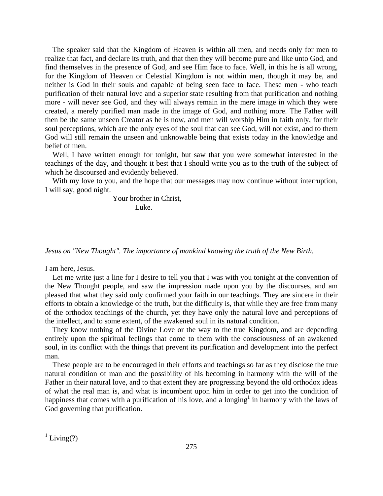The speaker said that the Kingdom of Heaven is within all men, and needs only for men to realize that fact, and declare its truth, and that then they will become pure and like unto God, and find themselves in the presence of God, and see Him face to face. Well, in this he is all wrong, for the Kingdom of Heaven or Celestial Kingdom is not within men, though it may be, and neither is God in their souls and capable of being seen face to face. These men - who teach purification of their natural love and a superior state resulting from that purification and nothing more - will never see God, and they will always remain in the mere image in which they were created, a merely purified man made in the image of God, and nothing more. The Father will then be the same unseen Creator as he is now, and men will worship Him in faith only, for their soul perceptions, which are the only eyes of the soul that can see God, will not exist, and to them God will still remain the unseen and unknowable being that exists today in the knowledge and belief of men.

 Well, I have written enough for tonight, but saw that you were somewhat interested in the teachings of the day, and thought it best that I should write you as to the truth of the subject of which he discoursed and evidently believed.

 With my love to you, and the hope that our messages may now continue without interruption, I will say, good night.

> Your brother in Christ, Luke.

*Jesus on "New Thought". The importance of mankind knowing the truth of the New Birth.* 

I am here, Jesus.

 Let me write just a line for I desire to tell you that I was with you tonight at the convention of the New Thought people, and saw the impression made upon you by the discourses, and am pleased that what they said only confirmed your faith in our teachings. They are sincere in their efforts to obtain a knowledge of the truth, but the difficulty is, that while they are free from many of the orthodox teachings of the church, yet they have only the natural love and perceptions of the intellect, and to some extent, of the awakened soul in its natural condition.

 They know nothing of the Divine Love or the way to the true Kingdom, and are depending entirely upon the spiritual feelings that come to them with the consciousness of an awakened soul, in its conflict with the things that prevent its purification and development into the perfect man.

 These people are to be encouraged in their efforts and teachings so far as they disclose the true natural condition of man and the possibility of his becoming in harmony with the will of the Father in their natural love, and to that extent they are progressing beyond the old orthodox ideas of what the real man is, and what is incumbent upon him in order to get into the condition of happiness that comes with a purification of his love, and a longing<sup>1</sup> in harmony with the laws of God governing that purification.

 $\overline{a}$ 

 $\frac{1}{2}$  Living(?)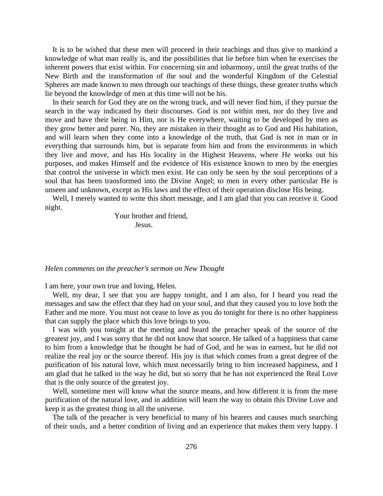It is to be wished that these men will proceed in their teachings and thus give to mankind a knowledge of what man really is, and the possibilities that lie before him when he exercises the inherent powers that exist within. For concerning sin and inharmony, until the great truths of the New Birth and the transformation of the soul and the wonderful Kingdom of the Celestial Spheres are made known to men through our teachings of these things, these greater truths which lie beyond the knowledge of men at this time will not be his.

 In their search for God they are on the wrong track, and will never find him, if they pursue the search in the way indicated by their discourses. God is not within men, nor do they live and move and have their being in Him, nor is He everywhere, waiting to be developed by men as they grow better and purer. No, they are mistaken in their thought as to God and His habitation, and will learn when they come into a knowledge of the truth, that God is not in man or in everything that surrounds him, but is separate from him and from the environments in which they live and move, and has His locality in the Highest Heavens, where He works out his purposes, and makes Himself and the evidence of His existence known to men by the energies that control the universe in which men exist. He can only be seen by the soul perceptions of a soul that has been transformed into the Divine Angel; to men in every other particular He is unseen and unknown, except as His laws and the effect of their operation disclose His being.

 Well, I merely wanted to write this short message, and I am glad that you can receive it. Good night.

> Your brother and friend, Jesus.

### *Helen comments on the preacher's sermon on New Thought*

I am here, your own true and loving, Helen.

 Well, my dear, I see that you are happy tonight, and I am also, for I heard you read the messages and saw the effect that they had on your soul, and that they caused you to love both the Father and me more. You must not cease to love as you do tonight for there is no other happiness that can supply the place which this love brings to you.

 I was with you tonight at the meeting and heard the preacher speak of the source of the greatest joy, and I was sorry that he did not know that source. He talked of a happiness that came to him from a knowledge that he thought he had of God, and he was in earnest, but he did not realize the real joy or the source thereof. His joy is that which comes from a great degree of the purification of his natural love, which must necessarily bring to him increased happiness, and I am glad that he talked in the way he did, but so sorry that he has not experienced the Real Love that is the only source of the greatest joy.

 Well, sometime men will know what the source means, and how different it is from the mere purification of the natural love, and in addition will learn the way to obtain this Divine Love and keep it as the greatest thing in all the universe.

 The talk of the preacher is very beneficial to many of his hearers and causes much searching of their souls, and a better condition of living and an experience that makes them very happy. I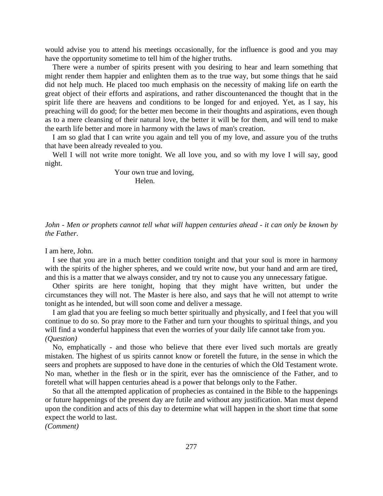would advise you to attend his meetings occasionally, for the influence is good and you may have the opportunity sometime to tell him of the higher truths.

 There were a number of spirits present with you desiring to hear and learn something that might render them happier and enlighten them as to the true way, but some things that he said did not help much. He placed too much emphasis on the necessity of making life on earth the great object of their efforts and aspirations, and rather discountenanced the thought that in the spirit life there are heavens and conditions to be longed for and enjoyed. Yet, as I say, his preaching will do good; for the better men become in their thoughts and aspirations, even though as to a mere cleansing of their natural love, the better it will be for them, and will tend to make the earth life better and more in harmony with the laws of man's creation.

 I am so glad that I can write you again and tell you of my love, and assure you of the truths that have been already revealed to you.

 Well I will not write more tonight. We all love you, and so with my love I will say, good night.

> Your own true and loving, Helen.

*John - Men or prophets cannot tell what will happen centuries ahead - it can only be known by the Father.* 

I am here, John.

 I see that you are in a much better condition tonight and that your soul is more in harmony with the spirits of the higher spheres, and we could write now, but your hand and arm are tired, and this is a matter that we always consider, and try not to cause you any unnecessary fatigue.

 Other spirits are here tonight, hoping that they might have written, but under the circumstances they will not. The Master is here also, and says that he will not attempt to write tonight as he intended, but will soon come and deliver a message.

 I am glad that you are feeling so much better spiritually and physically, and I feel that you will continue to do so. So pray more to the Father and turn your thoughts to spiritual things, and you will find a wonderful happiness that even the worries of your daily life cannot take from you. *(Question)* 

No, emphatically - and those who believe that there ever lived such mortals are greatly mistaken. The highest of us spirits cannot know or foretell the future, in the sense in which the seers and prophets are supposed to have done in the centuries of which the Old Testament wrote. No man, whether in the flesh or in the spirit, ever has the omniscience of the Father, and to foretell what will happen centuries ahead is a power that belongs only to the Father.

 So that all the attempted application of prophecies as contained in the Bible to the happenings or future happenings of the present day are futile and without any justification. Man must depend upon the condition and acts of this day to determine what will happen in the short time that some expect the world to last.

*(Comment)*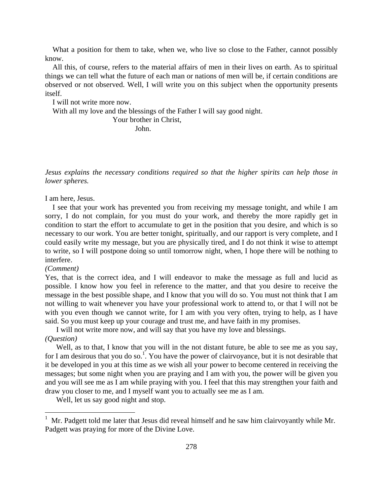What a position for them to take, when we, who live so close to the Father, cannot possibly know.

 All this, of course, refers to the material affairs of men in their lives on earth. As to spiritual things we can tell what the future of each man or nations of men will be, if certain conditions are observed or not observed. Well, I will write you on this subject when the opportunity presents itself.

I will not write more now.

With all my love and the blessings of the Father I will say good night.

Your brother in Christ,

John.

*Jesus explains the necessary conditions required so that the higher spirits can help those in lower spheres.* 

I am here, Jesus.

 I see that your work has prevented you from receiving my message tonight, and while I am sorry, I do not complain, for you must do your work, and thereby the more rapidly get in condition to start the effort to accumulate to get in the position that you desire, and which is so necessary to our work. You are better tonight, spiritually, and our rapport is very complete, and I could easily write my message, but you are physically tired, and I do not think it wise to attempt to write, so I will postpone doing so until tomorrow night, when, I hope there will be nothing to interfere.

# *(Comment)*

Yes, that is the correct idea, and I will endeavor to make the message as full and lucid as possible. I know how you feel in reference to the matter, and that you desire to receive the message in the best possible shape, and I know that you will do so. You must not think that I am not willing to wait whenever you have your professional work to attend to, or that I will not be with you even though we cannot write, for I am with you very often, trying to help, as I have said. So you must keep up your courage and trust me, and have faith in my promises.

I will not write more now, and will say that you have my love and blessings.

# *(Question)*

 $\overline{a}$ 

Well, as to that, I know that you will in the not distant future, be able to see me as you say, for I am desirous that you do so.<sup>1</sup>. You have the power of clairvoyance, but it is not desirable that it be developed in you at this time as we wish all your power to become centered in receiving the messages; but some night when you are praying and I am with you, the power will be given you and you will see me as I am while praying with you. I feel that this may strengthen your faith and draw you closer to me, and I myself want you to actually see me as I am.

Well, let us say good night and stop.

 $1$  Mr. Padgett told me later that Jesus did reveal himself and he saw him clairvoyantly while Mr. Padgett was praying for more of the Divine Love.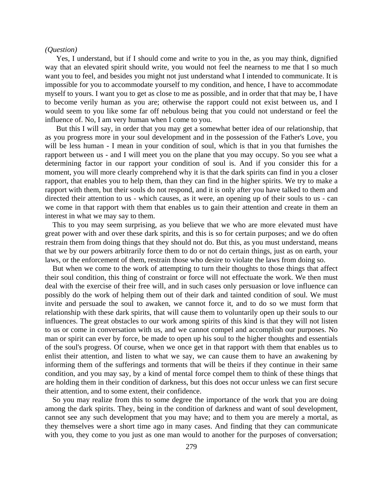#### *(Question)*

Yes, I understand, but if I should come and write to you in the, as you may think, dignified way that an elevated spirit should write, you would not feel the nearness to me that I so much want you to feel, and besides you might not just understand what I intended to communicate. It is impossible for you to accommodate yourself to my condition, and hence, I have to accommodate myself to yours. I want you to get as close to me as possible, and in order that that may be, I have to become verily human as you are; otherwise the rapport could not exist between us, and I would seem to you like some far off nebulous being that you could not understand or feel the influence of. No, I am very human when I come to you.

 But this I will say, in order that you may get a somewhat better idea of our relationship, that as you progress more in your soul development and in the possession of the Father's Love, you will be less human - I mean in your condition of soul, which is that in you that furnishes the rapport between us - and I will meet you on the plane that you may occupy. So you see what a determining factor in our rapport your condition of soul is. And if you consider this for a moment, you will more clearly comprehend why it is that the dark spirits can find in you a closer rapport, that enables you to help them, than they can find in the higher spirits. We try to make a rapport with them, but their souls do not respond, and it is only after you have talked to them and directed their attention to us - which causes, as it were, an opening up of their souls to us - can we come in that rapport with them that enables us to gain their attention and create in them an interest in what we may say to them.

 This to you may seem surprising, as you believe that we who are more elevated must have great power with and over these dark spirits, and this is so for certain purposes; and we do often restrain them from doing things that they should not do. But this, as you must understand, means that we by our powers arbitrarily force them to do or not do certain things, just as on earth, your laws, or the enforcement of them, restrain those who desire to violate the laws from doing so.

 But when we come to the work of attempting to turn their thoughts to those things that affect their soul condition, this thing of constraint or force will not effectuate the work. We then must deal with the exercise of their free will, and in such cases only persuasion or love influence can possibly do the work of helping them out of their dark and tainted condition of soul. We must invite and persuade the soul to awaken, we cannot force it, and to do so we must form that relationship with these dark spirits, that will cause them to voluntarily open up their souls to our influences. The great obstacles to our work among spirits of this kind is that they will not listen to us or come in conversation with us, and we cannot compel and accomplish our purposes. No man or spirit can ever by force, be made to open up his soul to the higher thoughts and essentials of the soul's progress. Of course, when we once get in that rapport with them that enables us to enlist their attention, and listen to what we say, we can cause them to have an awakening by informing them of the sufferings and torments that will be theirs if they continue in their same condition, and you may say, by a kind of mental force compel them to think of these things that are holding them in their condition of darkness, but this does not occur unless we can first secure their attention, and to some extent, their confidence.

 So you may realize from this to some degree the importance of the work that you are doing among the dark spirits. They, being in the condition of darkness and want of soul development, cannot see any such development that you may have; and to them you are merely a mortal, as they themselves were a short time ago in many cases. And finding that they can communicate with you, they come to you just as one man would to another for the purposes of conversation;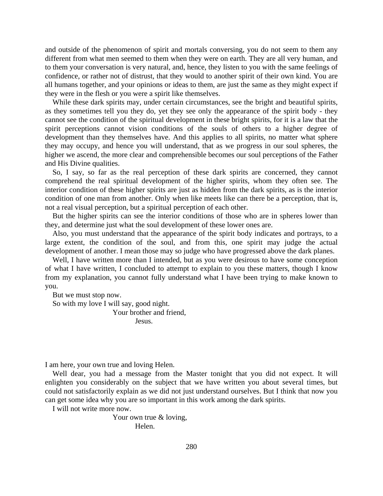and outside of the phenomenon of spirit and mortals conversing, you do not seem to them any different from what men seemed to them when they were on earth. They are all very human, and to them your conversation is very natural, and, hence, they listen to you with the same feelings of confidence, or rather not of distrust, that they would to another spirit of their own kind. You are all humans together, and your opinions or ideas to them, are just the same as they might expect if they were in the flesh or you were a spirit like themselves.

 While these dark spirits may, under certain circumstances, see the bright and beautiful spirits, as they sometimes tell you they do, yet they see only the appearance of the spirit body - they cannot see the condition of the spiritual development in these bright spirits, for it is a law that the spirit perceptions cannot vision conditions of the souls of others to a higher degree of development than they themselves have. And this applies to all spirits, no matter what sphere they may occupy, and hence you will understand, that as we progress in our soul spheres, the higher we ascend, the more clear and comprehensible becomes our soul perceptions of the Father and His Divine qualities.

 So, I say, so far as the real perception of these dark spirits are concerned, they cannot comprehend the real spiritual development of the higher spirits, whom they often see. The interior condition of these higher spirits are just as hidden from the dark spirits, as is the interior condition of one man from another. Only when like meets like can there be a perception, that is, not a real visual perception, but a spiritual perception of each other.

 But the higher spirits can see the interior conditions of those who are in spheres lower than they, and determine just what the soul development of these lower ones are.

 Also, you must understand that the appearance of the spirit body indicates and portrays, to a large extent, the condition of the soul, and from this, one spirit may judge the actual development of another. I mean those may so judge who have progressed above the dark planes.

 Well, I have written more than I intended, but as you were desirous to have some conception of what I have written, I concluded to attempt to explain to you these matters, though I know from my explanation, you cannot fully understand what I have been trying to make known to you.

But we must stop now.

So with my love I will say, good night.

Your brother and friend,

Jesus.

I am here, your own true and loving Helen.

 Well dear, you had a message from the Master tonight that you did not expect. It will enlighten you considerably on the subject that we have written you about several times, but could not satisfactorily explain as we did not just understand ourselves. But I think that now you can get some idea why you are so important in this work among the dark spirits.

I will not write more now.

Your own true & loving, Helen.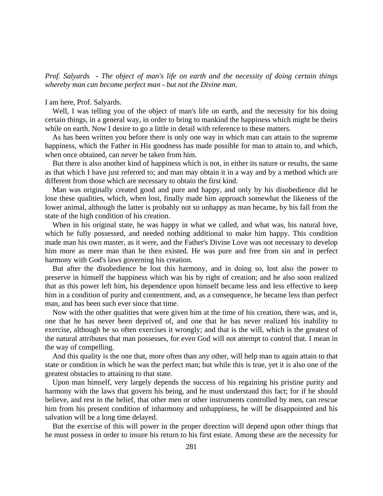*Prof. Salyards - The object of man's life on earth and the necessity of doing certain things whereby man can become perfect man - but not the Divine man.* 

#### I am here, Prof. Salyards.

Well, I was telling you of the object of man's life on earth, and the necessity for his doing certain things, in a general way, in order to bring to mankind the happiness which might be theirs while on earth. Now I desire to go a little in detail with reference to these matters.

 As has been written you before there is only one way in which man can attain to the supreme happiness, which the Father in His goodness has made possible for man to attain to, and which, when once obtained, can never be taken from him.

 But there is also another kind of happiness which is not, in either its nature or results, the same as that which I have just referred to; and man may obtain it in a way and by a method which are different from those which are necessary to obtain the first kind.

 Man was originally created good and pure and happy, and only by his disobedience did he lose these qualities, which, when lost, finally made him approach somewhat the likeness of the lower animal, although the latter is probably not so unhappy as man became, by his fall from the state of the high condition of his creation.

 When in his original state, he was happy in what we called, and what was, his natural love, which he fully possessed, and needed nothing additional to make him happy. This condition made man his own master, as it were, and the Father's Divine Love was not necessary to develop him more as mere man than he then existed. He was pure and free from sin and in perfect harmony with God's laws governing his creation.

 But after the disobedience he lost this harmony, and in doing so, lost also the power to preserve in himself the happiness which was his by right of creation; and he also soon realized that as this power left him, his dependence upon himself became less and less effective to keep him in a condition of purity and contentment, and, as a consequence, he became less than perfect man, and has been such ever since that time.

 Now with the other qualities that were given him at the time of his creation, there was, and is, one that he has never been deprived of, and one that he has never realized his inability to exercise, although he so often exercises it wrongly; and that is the will, which is the greatest of the natural attributes that man possesses, for even God will not attempt to control that. I mean in the way of compelling.

 And this quality is the one that, more often than any other, will help man to again attain to that state or condition in which he was the perfect man; but while this is true, yet it is also one of the greatest obstacles to attaining to that state.

 Upon man himself, very largely depends the success of his regaining his pristine purity and harmony with the laws that govern his being, and he must understand this fact; for if he should believe, and rest in the belief, that other men or other instruments controlled by men, can rescue him from his present condition of inharmony and unhappiness, he will be disappointed and his salvation will be a long time delayed.

 But the exercise of this will power in the proper direction will depend upon other things that he must possess in order to insure his return to his first estate. Among these are the necessity for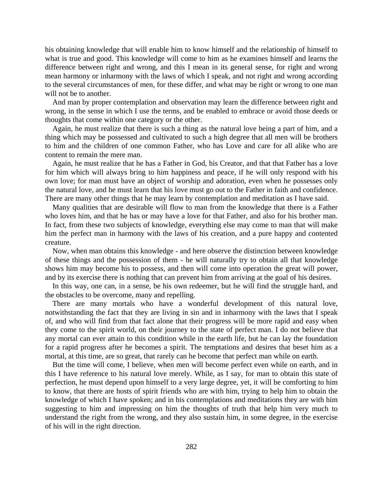his obtaining knowledge that will enable him to know himself and the relationship of himself to what is true and good. This knowledge will come to him as he examines himself and learns the difference between right and wrong, and this I mean in its general sense, for right and wrong mean harmony or inharmony with the laws of which I speak, and not right and wrong according to the several circumstances of men, for these differ, and what may be right or wrong to one man will not be to another.

 And man by proper contemplation and observation may learn the difference between right and wrong, in the sense in which I use the terms, and be enabled to embrace or avoid those deeds or thoughts that come within one category or the other.

 Again, he must realize that there is such a thing as the natural love being a part of him, and a thing which may be possessed and cultivated to such a high degree that all men will be brothers to him and the children of one common Father, who has Love and care for all alike who are content to remain the mere man.

 Again, he must realize that he has a Father in God, his Creator, and that that Father has a love for him which will always bring to him happiness and peace, if he will only respond with his own love; for man must have an object of worship and adoration, even when he possesses only the natural love, and he must learn that his love must go out to the Father in faith and confidence. There are many other things that he may learn by contemplation and meditation as I have said.

 Many qualities that are desirable will flow to man from the knowledge that there is a Father who loves him, and that he has or may have a love for that Father, and also for his brother man. In fact, from these two subjects of knowledge, everything else may come to man that will make him the perfect man in harmony with the laws of his creation, and a pure happy and contented creature.

 Now, when man obtains this knowledge - and here observe the distinction between knowledge of these things and the possession of them - he will naturally try to obtain all that knowledge shows him may become his to possess, and then will come into operation the great will power, and by its exercise there is nothing that can prevent him from arriving at the goal of his desires.

 In this way, one can, in a sense, be his own redeemer, but he will find the struggle hard, and the obstacles to be overcome, many and repelling.

 There are many mortals who have a wonderful development of this natural love, notwithstanding the fact that they are living in sin and in inharmony with the laws that I speak of, and who will find from that fact alone that their progress will be more rapid and easy when they come to the spirit world, on their journey to the state of perfect man. I do not believe that any mortal can ever attain to this condition while in the earth life, but he can lay the foundation for a rapid progress after he becomes a spirit. The temptations and desires that beset him as a mortal, at this time, are so great, that rarely can he become that perfect man while on earth.

 But the time will come, I believe, when men will become perfect even while on earth, and in this I have reference to his natural love merely. While, as I say, for man to obtain this state of perfection, he must depend upon himself to a very large degree, yet, it will be comforting to him to know, that there are hosts of spirit friends who are with him, trying to help him to obtain the knowledge of which I have spoken; and in his contemplations and meditations they are with him suggesting to him and impressing on him the thoughts of truth that help him very much to understand the right from the wrong, and they also sustain him, in some degree, in the exercise of his will in the right direction.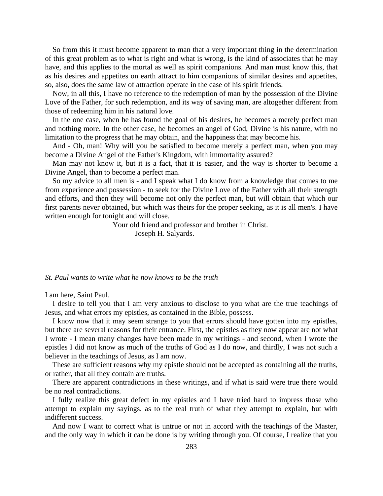So from this it must become apparent to man that a very important thing in the determination of this great problem as to what is right and what is wrong, is the kind of associates that he may have, and this applies to the mortal as well as spirit companions. And man must know this, that as his desires and appetites on earth attract to him companions of similar desires and appetites, so, also, does the same law of attraction operate in the case of his spirit friends.

 Now, in all this, I have no reference to the redemption of man by the possession of the Divine Love of the Father, for such redemption, and its way of saving man, are altogether different from those of redeeming him in his natural love.

 In the one case, when he has found the goal of his desires, he becomes a merely perfect man and nothing more. In the other case, he becomes an angel of God, Divine is his nature, with no limitation to the progress that he may obtain, and the happiness that may become his.

 And - Oh, man! Why will you be satisfied to become merely a perfect man, when you may become a Divine Angel of the Father's Kingdom, with immortality assured?

 Man may not know it, but it is a fact, that it is easier, and the way is shorter to become a Divine Angel, than to become a perfect man.

 So my advice to all men is - and I speak what I do know from a knowledge that comes to me from experience and possession - to seek for the Divine Love of the Father with all their strength and efforts, and then they will become not only the perfect man, but will obtain that which our first parents never obtained, but which was theirs for the proper seeking, as it is all men's. I have written enough for tonight and will close.

Your old friend and professor and brother in Christ.

Joseph H. Salyards.

#### *St. Paul wants to write what he now knows to be the truth*

I am here, Saint Paul.

 I desire to tell you that I am very anxious to disclose to you what are the true teachings of Jesus, and what errors my epistles, as contained in the Bible, possess.

 I know now that it may seem strange to you that errors should have gotten into my epistles, but there are several reasons for their entrance. First, the epistles as they now appear are not what I wrote - I mean many changes have been made in my writings - and second, when I wrote the epistles I did not know as much of the truths of God as I do now, and thirdly, I was not such a believer in the teachings of Jesus, as I am now.

 These are sufficient reasons why my epistle should not be accepted as containing all the truths, or rather, that all they contain are truths.

 There are apparent contradictions in these writings, and if what is said were true there would be no real contradictions.

 I fully realize this great defect in my epistles and I have tried hard to impress those who attempt to explain my sayings, as to the real truth of what they attempt to explain, but with indifferent success.

 And now I want to correct what is untrue or not in accord with the teachings of the Master, and the only way in which it can be done is by writing through you. Of course, I realize that you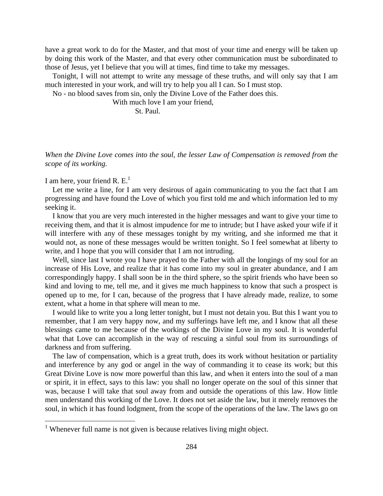have a great work to do for the Master, and that most of your time and energy will be taken up by doing this work of the Master, and that every other communication must be subordinated to those of Jesus, yet I believe that you will at times, find time to take my messages.

 Tonight, I will not attempt to write any message of these truths, and will only say that I am much interested in your work, and will try to help you all I can. So I must stop.

No - no blood saves from sin, only the Divine Love of the Father does this.

With much love I am your friend,

St. Paul.

*When the Divine Love comes into the soul, the lesser Law of Compensation is removed from the scope of its working.* 

I am here, your friend R.  $E<sup>1</sup>$ 

 $\overline{a}$ 

Let me write a line, for I am very desirous of again communicating to you the fact that I am progressing and have found the Love of which you first told me and which information led to my seeking it.

 I know that you are very much interested in the higher messages and want to give your time to receiving them, and that it is almost impudence for me to intrude; but I have asked your wife if it will interfere with any of these messages tonight by my writing, and she informed me that it would not, as none of these messages would be written tonight. So I feel somewhat at liberty to write, and I hope that you will consider that I am not intruding.

Well, since last I wrote you I have prayed to the Father with all the longings of my soul for an increase of His Love, and realize that it has come into my soul in greater abundance, and I am correspondingly happy. I shall soon be in the third sphere, so the spirit friends who have been so kind and loving to me, tell me, and it gives me much happiness to know that such a prospect is opened up to me, for I can, because of the progress that I have already made, realize, to some extent, what a home in that sphere will mean to me.

 I would like to write you a long letter tonight, but I must not detain you. But this I want you to remember, that I am very happy now, and my sufferings have left me, and I know that all these blessings came to me because of the workings of the Divine Love in my soul. It is wonderful what that Love can accomplish in the way of rescuing a sinful soul from its surroundings of darkness and from suffering.

 The law of compensation, which is a great truth, does its work without hesitation or partiality and interference by any god or angel in the way of commanding it to cease its work; but this Great Divine Love is now more powerful than this law, and when it enters into the soul of a man or spirit, it in effect, says to this law: you shall no longer operate on the soul of this sinner that was, because I will take that soul away from and outside the operations of this law. How little men understand this working of the Love. It does not set aside the law, but it merely removes the soul, in which it has found lodgment, from the scope of the operations of the law. The laws go on

<sup>&</sup>lt;sup>1</sup> Whenever full name is not given is because relatives living might object.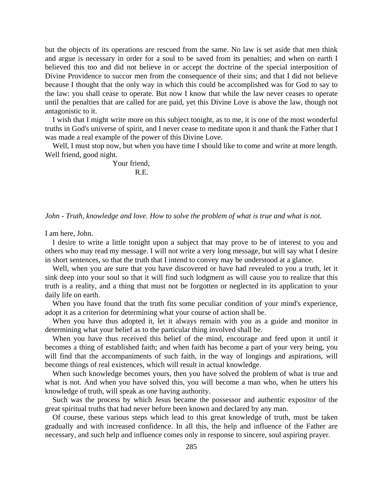but the objects of its operations are rescued from the same. No law is set aside that men think and argue is necessary in order for a soul to be saved from its penalties; and when on earth I believed this too and did not believe in or accept the doctrine of the special interposition of Divine Providence to succor men from the consequence of their sins; and that I did not believe because I thought that the only way in which this could be accomplished was for God to say to the law: you shall cease to operate. But now I know that while the law never ceases to operate until the penalties that are called for are paid, yet this Divine Love is above the law, though not antagonistic to it.

 I wish that I might write more on this subject tonight, as to me, it is one of the most wonderful truths in God's universe of spirit, and I never cease to meditate upon it and thank the Father that I was made a real example of the power of this Divine Love.

 Well, I must stop now, but when you have time I should like to come and write at more length. Well friend, good night.

> Your friend, R.E.

*John - Truth, knowledge and love. How to solve the problem of what is true and what is not.* 

I am here, John.

 I desire to write a little tonight upon a subject that may prove to be of interest to you and others who may read my message. I will not write a very long message, but will say what I desire in short sentences, so that the truth that I intend to convey may be understood at a glance.

 Well, when you are sure that you have discovered or have had revealed to you a truth, let it sink deep into your soul so that it will find such lodgment as will cause you to realize that this truth is a reality, and a thing that must not be forgotten or neglected in its application to your daily life on earth.

 When you have found that the truth fits some peculiar condition of your mind's experience, adopt it as a criterion for determining what your course of action shall be.

 When you have thus adopted it, let it always remain with you as a guide and monitor in determining what your belief as to the particular thing involved shall be.

 When you have thus received this belief of the mind, encourage and feed upon it until it becomes a thing of established faith; and when faith has become a part of your very being, you will find that the accompaniments of such faith, in the way of longings and aspirations, will become things of real existences, which will result in actual knowledge.

 When such knowledge becomes yours, then you have solved the problem of what is true and what is not. And when you have solved this, you will become a man who, when he utters his knowledge of truth, will speak as one having authority.

 Such was the process by which Jesus became the possessor and authentic expositor of the great spiritual truths that had never before been known and declared by any man.

 Of course, these various steps which lead to this great knowledge of truth, must be taken gradually and with increased confidence. In all this, the help and influence of the Father are necessary, and such help and influence comes only in response to sincere, soul aspiring prayer.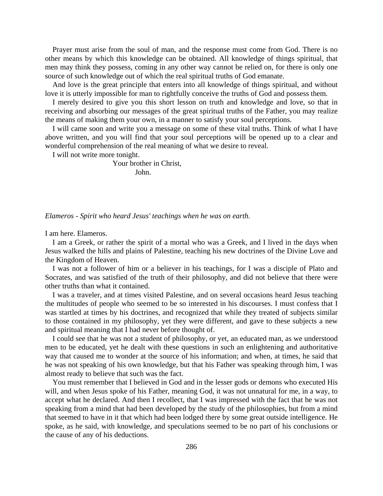Prayer must arise from the soul of man, and the response must come from God. There is no other means by which this knowledge can be obtained. All knowledge of things spiritual, that men may think they possess, coming in any other way cannot be relied on, for there is only one source of such knowledge out of which the real spiritual truths of God emanate.

 And love is the great principle that enters into all knowledge of things spiritual, and without love it is utterly impossible for man to rightfully conceive the truths of God and possess them.

 I merely desired to give you this short lesson on truth and knowledge and love, so that in receiving and absorbing our messages of the great spiritual truths of the Father, you may realize the means of making them your own, in a manner to satisfy your soul perceptions.

 I will came soon and write you a message on some of these vital truths. Think of what I have above written, and you will find that your soul perceptions will be opened up to a clear and wonderful comprehension of the real meaning of what we desire to reveal.

I will not write more tonight.

 Your brother in Christ, John.

*Elameros - Spirit who heard Jesus' teachings when he was on earth.* 

I am here. Elameros.

 I am a Greek, or rather the spirit of a mortal who was a Greek, and I lived in the days when Jesus walked the hills and plains of Palestine, teaching his new doctrines of the Divine Love and the Kingdom of Heaven.

 I was not a follower of him or a believer in his teachings, for I was a disciple of Plato and Socrates, and was satisfied of the truth of their philosophy, and did not believe that there were other truths than what it contained.

 I was a traveler, and at times visited Palestine, and on several occasions heard Jesus teaching the multitudes of people who seemed to be so interested in his discourses. I must confess that I was startled at times by his doctrines, and recognized that while they treated of subjects similar to those contained in my philosophy, yet they were different, and gave to these subjects a new and spiritual meaning that I had never before thought of.

 I could see that he was not a student of philosophy, or yet, an educated man, as we understood men to be educated, yet he dealt with these questions in such an enlightening and authoritative way that caused me to wonder at the source of his information; and when, at times, he said that he was not speaking of his own knowledge, but that his Father was speaking through him, I was almost ready to believe that such was the fact.

 You must remember that I believed in God and in the lesser gods or demons who executed His will, and when Jesus spoke of his Father, meaning God, it was not unnatural for me, in a way, to accept what he declared. And then I recollect, that I was impressed with the fact that he was not speaking from a mind that had been developed by the study of the philosophies, but from a mind that seemed to have in it that which had been lodged there by some great outside intelligence. He spoke, as he said, with knowledge, and speculations seemed to be no part of his conclusions or the cause of any of his deductions.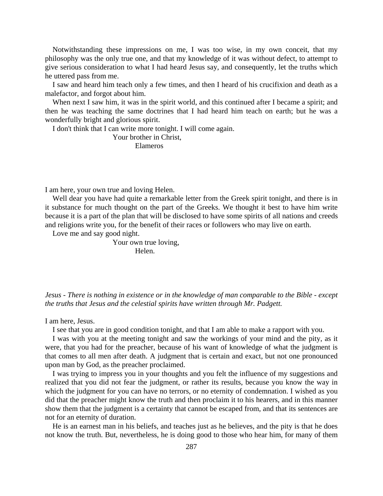Notwithstanding these impressions on me, I was too wise, in my own conceit, that my philosophy was the only true one, and that my knowledge of it was without defect, to attempt to give serious consideration to what I had heard Jesus say, and consequently, let the truths which he uttered pass from me.

 I saw and heard him teach only a few times, and then I heard of his crucifixion and death as a malefactor, and forgot about him.

 When next I saw him, it was in the spirit world, and this continued after I became a spirit; and then he was teaching the same doctrines that I had heard him teach on earth; but he was a wonderfully bright and glorious spirit.

I don't think that I can write more tonight. I will come again.

 Your brother in Christ, Elameros

I am here, your own true and loving Helen.

 Well dear you have had quite a remarkable letter from the Greek spirit tonight, and there is in it substance for much thought on the part of the Greeks. We thought it best to have him write because it is a part of the plan that will be disclosed to have some spirits of all nations and creeds and religions write you, for the benefit of their races or followers who may live on earth.

Love me and say good night.

 Your own true loving, Helen.

*Jesus - There is nothing in existence or in the knowledge of man comparable to the Bible - except the truths that Jesus and the celestial spirits have written through Mr. Padgett.* 

I am here, Jesus.

I see that you are in good condition tonight, and that I am able to make a rapport with you.

 I was with you at the meeting tonight and saw the workings of your mind and the pity, as it were, that you had for the preacher, because of his want of knowledge of what the judgment is that comes to all men after death. A judgment that is certain and exact, but not one pronounced upon man by God, as the preacher proclaimed.

 I was trying to impress you in your thoughts and you felt the influence of my suggestions and realized that you did not fear the judgment, or rather its results, because you know the way in which the judgment for you can have no terrors, or no eternity of condemnation. I wished as you did that the preacher might know the truth and then proclaim it to his hearers, and in this manner show them that the judgment is a certainty that cannot be escaped from, and that its sentences are not for an eternity of duration.

 He is an earnest man in his beliefs, and teaches just as he believes, and the pity is that he does not know the truth. But, nevertheless, he is doing good to those who hear him, for many of them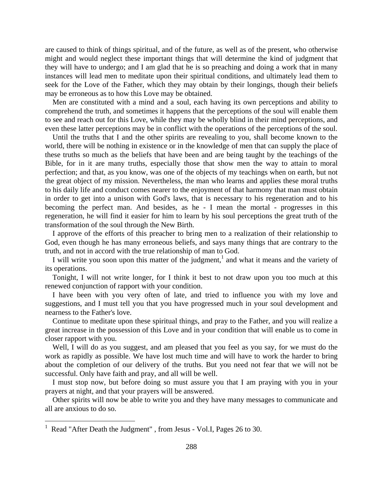are caused to think of things spiritual, and of the future, as well as of the present, who otherwise might and would neglect these important things that will determine the kind of judgment that they will have to undergo; and I am glad that he is so preaching and doing a work that in many instances will lead men to meditate upon their spiritual conditions, and ultimately lead them to seek for the Love of the Father, which they may obtain by their longings, though their beliefs may be erroneous as to how this Love may be obtained.

 Men are constituted with a mind and a soul, each having its own perceptions and ability to comprehend the truth, and sometimes it happens that the perceptions of the soul will enable them to see and reach out for this Love, while they may be wholly blind in their mind perceptions, and even these latter perceptions may be in conflict with the operations of the perceptions of the soul.

 Until the truths that I and the other spirits are revealing to you, shall become known to the world, there will be nothing in existence or in the knowledge of men that can supply the place of these truths so much as the beliefs that have been and are being taught by the teachings of the Bible, for in it are many truths, especially those that show men the way to attain to moral perfection; and that, as you know, was one of the objects of my teachings when on earth, but not the great object of my mission. Nevertheless, the man who learns and applies these moral truths to his daily life and conduct comes nearer to the enjoyment of that harmony that man must obtain in order to get into a unison with God's laws, that is necessary to his regeneration and to his becoming the perfect man. And besides, as he - I mean the mortal - progresses in this regeneration, he will find it easier for him to learn by his soul perceptions the great truth of the transformation of the soul through the New Birth.

 I approve of the efforts of this preacher to bring men to a realization of their relationship to God, even though he has many erroneous beliefs, and says many things that are contrary to the truth, and not in accord with the true relationship of man to God.

I will write you soon upon this matter of the judgment,<sup>1</sup> and what it means and the variety of its operations.

 Tonight, I will not write longer, for I think it best to not draw upon you too much at this renewed conjunction of rapport with your condition.

 I have been with you very often of late, and tried to influence you with my love and suggestions, and I must tell you that you have progressed much in your soul development and nearness to the Father's love.

 Continue to meditate upon these spiritual things, and pray to the Father, and you will realize a great increase in the possession of this Love and in your condition that will enable us to come in closer rapport with you.

 Well, I will do as you suggest, and am pleased that you feel as you say, for we must do the work as rapidly as possible. We have lost much time and will have to work the harder to bring about the completion of our delivery of the truths. But you need not fear that we will not be successful. Only have faith and pray, and all will be well.

 I must stop now, but before doing so must assure you that I am praying with you in your prayers at night, and that your prayers will be answered.

 Other spirits will now be able to write you and they have many messages to communicate and all are anxious to do so.

<sup>&</sup>lt;sup>1</sup> Read "After Death the Judgment", from Jesus - Vol.I, Pages 26 to 30.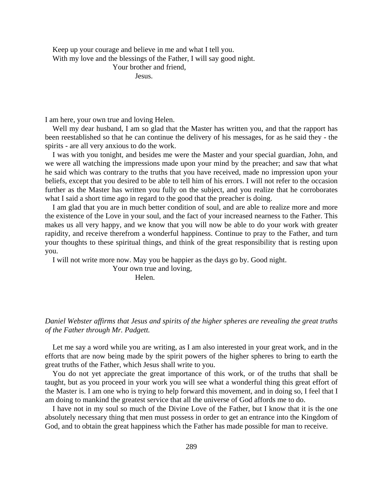Keep up your courage and believe in me and what I tell you. With my love and the blessings of the Father, I will say good night. Your brother and friend,

Jesus.

I am here, your own true and loving Helen.

Well my dear husband, I am so glad that the Master has written you, and that the rapport has been reestablished so that he can continue the delivery of his messages, for as he said they - the spirits - are all very anxious to do the work.

 I was with you tonight, and besides me were the Master and your special guardian, John, and we were all watching the impressions made upon your mind by the preacher; and saw that what he said which was contrary to the truths that you have received, made no impression upon your beliefs, except that you desired to be able to tell him of his errors. I will not refer to the occasion further as the Master has written you fully on the subject, and you realize that he corroborates what I said a short time ago in regard to the good that the preacher is doing.

 I am glad that you are in much better condition of soul, and are able to realize more and more the existence of the Love in your soul, and the fact of your increased nearness to the Father. This makes us all very happy, and we know that you will now be able to do your work with greater rapidity, and receive therefrom a wonderful happiness. Continue to pray to the Father, and turn your thoughts to these spiritual things, and think of the great responsibility that is resting upon you.

I will not write more now. May you be happier as the days go by. Good night.

Your own true and loving,

Helen.

*Daniel Webster affirms that Jesus and spirits of the higher spheres are revealing the great truths of the Father through Mr. Padgett.* 

 Let me say a word while you are writing, as I am also interested in your great work, and in the efforts that are now being made by the spirit powers of the higher spheres to bring to earth the great truths of the Father, which Jesus shall write to you.

 You do not yet appreciate the great importance of this work, or of the truths that shall be taught, but as you proceed in your work you will see what a wonderful thing this great effort of the Master is. I am one who is trying to help forward this movement, and in doing so, I feel that I am doing to mankind the greatest service that all the universe of God affords me to do.

 I have not in my soul so much of the Divine Love of the Father, but I know that it is the one absolutely necessary thing that men must possess in order to get an entrance into the Kingdom of God, and to obtain the great happiness which the Father has made possible for man to receive.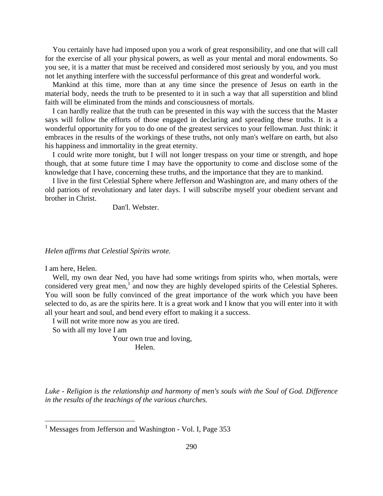You certainly have had imposed upon you a work of great responsibility, and one that will call for the exercise of all your physical powers, as well as your mental and moral endowments. So you see, it is a matter that must be received and considered most seriously by you, and you must not let anything interfere with the successful performance of this great and wonderful work.

 Mankind at this time, more than at any time since the presence of Jesus on earth in the material body, needs the truth to be presented to it in such a way that all superstition and blind faith will be eliminated from the minds and consciousness of mortals.

 I can hardly realize that the truth can be presented in this way with the success that the Master says will follow the efforts of those engaged in declaring and spreading these truths. It is a wonderful opportunity for you to do one of the greatest services to your fellowman. Just think: it embraces in the results of the workings of these truths, not only man's welfare on earth, but also his happiness and immortality in the great eternity.

 I could write more tonight, but I will not longer trespass on your time or strength, and hope though, that at some future time I may have the opportunity to come and disclose some of the knowledge that I have, concerning these truths, and the importance that they are to mankind.

 I live in the first Celestial Sphere where Jefferson and Washington are, and many others of the old patriots of revolutionary and later days. I will subscribe myself your obedient servant and brother in Christ.

Dan'l. Webster.

*Helen affirms that Celestial Spirits wrote.* 

I am here, Helen.

 $\overline{a}$ 

 Well, my own dear Ned, you have had some writings from spirits who, when mortals, were considered very great men,<sup>1</sup> and now they are highly developed spirits of the Celestial Spheres. You will soon be fully convinced of the great importance of the work which you have been selected to do, as are the spirits here. It is a great work and I know that you will enter into it with all your heart and soul, and bend every effort to making it a success.

I will not write more now as you are tired.

So with all my love I am

 Your own true and loving, Helen.

*Luke - Religion is the relationship and harmony of men's souls with the Soul of God. Difference in the results of the teachings of the various churches.* 

<sup>&</sup>lt;sup>1</sup> Messages from Jefferson and Washington - Vol. I, Page 353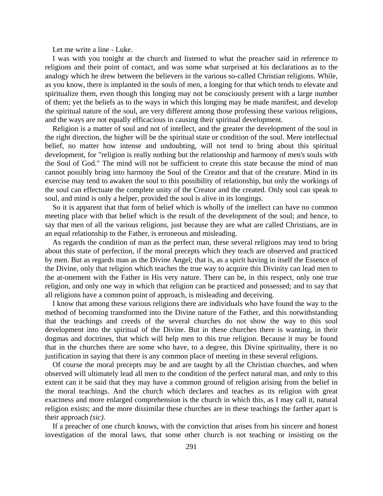Let me write a line - Luke.

 I was with you tonight at the church and listened to what the preacher said in reference to religions and their point of contact, and was some what surprised at his declarations as to the analogy which he drew between the believers in the various so-called Christian religions. While, as you know, there is implanted in the souls of men, a longing for that which tends to elevate and spiritualize them, even though this longing may not be consciously present with a large number of them; yet the beliefs as to the ways in which this longing may be made manifest, and develop the spiritual nature of the soul, are very different among those professing these various religions, and the ways are not equally efficacious in causing their spiritual development.

 Religion is a matter of soul and not of intellect, and the greater the development of the soul in the right direction, the higher will be the spiritual state or condition of the soul. Mere intellectual belief, no matter how intense and undoubting, will not tend to bring about this spiritual development, for "religion is really nothing but the relationship and harmony of men's souls with the Soul of God." The mind will not be sufficient to create this state because the mind of man cannot possibly bring into harmony the Soul of the Creator and that of the creature. Mind in its exercise may tend to awaken the soul to this possibility of relationship, but only the workings of the soul can effectuate the complete unity of the Creator and the created. Only soul can speak to soul, and mind is only a helper, provided the soul is alive in its longings.

 So it is apparent that that form of belief which is wholly of the intellect can have no common meeting place with that belief which is the result of the development of the soul; and hence, to say that men of all the various religions, just because they are what are called Christians, are in an equal relationship to the Father, is erroneous and misleading.

 As regards the condition of man as the perfect man, these several religions may tend to bring about this state of perfection, if the moral precepts which they teach are observed and practiced by men. But as regards man as the Divine Angel; that is, as a spirit having in itself the Essence of the Divine, only that religion which teaches the true way to acquire this Divinity can lead men to the at-onement with the Father in His very nature. There can be, in this respect, only one true religion, and only one way in which that religion can be practiced and possessed; and to say that all religions have a common point of approach, is misleading and deceiving.

 I know that among these various religions there are individuals who have found the way to the method of becoming transformed into the Divine nature of the Father, and this notwithstanding that the teachings and creeds of the several churches do not show the way to this soul development into the spiritual of the Divine. But in these churches there is wanting, in their dogmas and doctrines, that which will help men to this true religion. Because it may be found that in the churches there are some who have, to a degree, this Divine spirituality, there is no justification in saying that there is any common place of meeting in these several religions.

 Of course the moral precepts may be and are taught by all the Christian churches, and when observed will ultimately lead all men to the condition of the perfect natural man, and only to this extent can it be said that they may have a common ground of religion arising from the belief in the moral teachings. And the church which declares and teaches as its religion with great exactness and more enlarged comprehension is the church in which this, as I may call it, natural religion exists; and the more dissimilar these churches are in these teachings the farther apart is their approach *(sic)*.

 If a preacher of one church knows, with the conviction that arises from his sincere and honest investigation of the moral laws, that some other church is not teaching or insisting on the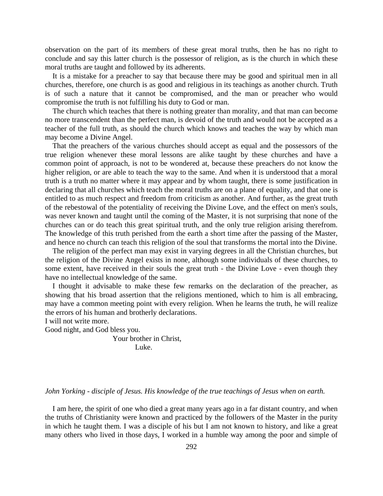observation on the part of its members of these great moral truths, then he has no right to conclude and say this latter church is the possessor of religion, as is the church in which these moral truths are taught and followed by its adherents.

 It is a mistake for a preacher to say that because there may be good and spiritual men in all churches, therefore, one church is as good and religious in its teachings as another church. Truth is of such a nature that it cannot be compromised, and the man or preacher who would compromise the truth is not fulfilling his duty to God or man.

 The church which teaches that there is nothing greater than morality, and that man can become no more transcendent than the perfect man, is devoid of the truth and would not be accepted as a teacher of the full truth, as should the church which knows and teaches the way by which man may become a Divine Angel.

 That the preachers of the various churches should accept as equal and the possessors of the true religion whenever these moral lessons are alike taught by these churches and have a common point of approach, is not to be wondered at, because these preachers do not know the higher religion, or are able to teach the way to the same. And when it is understood that a moral truth is a truth no matter where it may appear and by whom taught, there is some justification in declaring that all churches which teach the moral truths are on a plane of equality, and that one is entitled to as much respect and freedom from criticism as another. And further, as the great truth of the rebestowal of the potentiality of receiving the Divine Love, and the effect on men's souls, was never known and taught until the coming of the Master, it is not surprising that none of the churches can or do teach this great spiritual truth, and the only true religion arising therefrom. The knowledge of this truth perished from the earth a short time after the passing of the Master, and hence no church can teach this religion of the soul that transforms the mortal into the Divine.

 The religion of the perfect man may exist in varying degrees in all the Christian churches, but the religion of the Divine Angel exists in none, although some individuals of these churches, to some extent, have received in their souls the great truth - the Divine Love - even though they have no intellectual knowledge of the same.

 I thought it advisable to make these few remarks on the declaration of the preacher, as showing that his broad assertion that the religions mentioned, which to him is all embracing, may have a common meeting point with every religion. When he learns the truth, he will realize the errors of his human and brotherly declarations.

I will not write more.

Good night, and God bless you.

 Your brother in Christ, Luke.

*John Yorking - disciple of Jesus. His knowledge of the true teachings of Jesus when on earth.* 

 I am here, the spirit of one who died a great many years ago in a far distant country, and when the truths of Christianity were known and practiced by the followers of the Master in the purity in which he taught them. I was a disciple of his but I am not known to history, and like a great many others who lived in those days, I worked in a humble way among the poor and simple of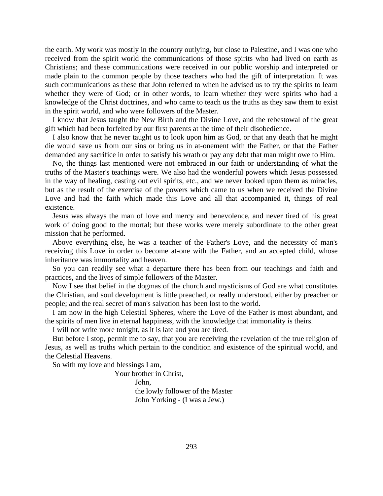the earth. My work was mostly in the country outlying, but close to Palestine, and I was one who received from the spirit world the communications of those spirits who had lived on earth as Christians; and these communications were received in our public worship and interpreted or made plain to the common people by those teachers who had the gift of interpretation. It was such communications as these that John referred to when he advised us to try the spirits to learn whether they were of God; or in other words, to learn whether they were spirits who had a knowledge of the Christ doctrines, and who came to teach us the truths as they saw them to exist in the spirit world, and who were followers of the Master.

 I know that Jesus taught the New Birth and the Divine Love, and the rebestowal of the great gift which had been forfeited by our first parents at the time of their disobedience.

 I also know that he never taught us to look upon him as God, or that any death that he might die would save us from our sins or bring us in at-onement with the Father, or that the Father demanded any sacrifice in order to satisfy his wrath or pay any debt that man might owe to Him.

 No, the things last mentioned were not embraced in our faith or understanding of what the truths of the Master's teachings were. We also had the wonderful powers which Jesus possessed in the way of healing, casting out evil spirits, etc., and we never looked upon them as miracles, but as the result of the exercise of the powers which came to us when we received the Divine Love and had the faith which made this Love and all that accompanied it, things of real existence.

 Jesus was always the man of love and mercy and benevolence, and never tired of his great work of doing good to the mortal; but these works were merely subordinate to the other great mission that he performed.

 Above everything else, he was a teacher of the Father's Love, and the necessity of man's receiving this Love in order to become at-one with the Father, and an accepted child, whose inheritance was immortality and heaven.

 So you can readily see what a departure there has been from our teachings and faith and practices, and the lives of simple followers of the Master.

 Now I see that belief in the dogmas of the church and mysticisms of God are what constitutes the Christian, and soul development is little preached, or really understood, either by preacher or people; and the real secret of man's salvation has been lost to the world.

 I am now in the high Celestial Spheres, where the Love of the Father is most abundant, and the spirits of men live in eternal happiness, with the knowledge that immortality is theirs.

I will not write more tonight, as it is late and you are tired.

 But before I stop, permit me to say, that you are receiving the revelation of the true religion of Jesus, as well as truths which pertain to the condition and existence of the spiritual world, and the Celestial Heavens.

So with my love and blessings I am,

Your brother in Christ,

John,

 the lowly follower of the Master John Yorking - (I was a Jew.)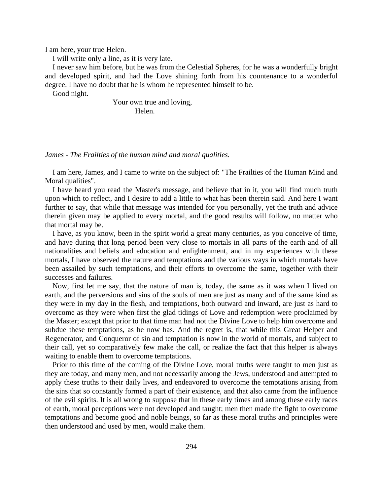I am here, your true Helen.

I will write only a line, as it is very late.

 I never saw him before, but he was from the Celestial Spheres, for he was a wonderfully bright and developed spirit, and had the Love shining forth from his countenance to a wonderful degree. I have no doubt that he is whom he represented himself to be.

Good night.

 Your own true and loving, Helen.

### *James - The Frailties of the human mind and moral qualities.*

 I am here, James, and I came to write on the subject of: "The Frailties of the Human Mind and Moral qualities".

 I have heard you read the Master's message, and believe that in it, you will find much truth upon which to reflect, and I desire to add a little to what has been therein said. And here I want further to say, that while that message was intended for you personally, yet the truth and advice therein given may be applied to every mortal, and the good results will follow, no matter who that mortal may be.

 I have, as you know, been in the spirit world a great many centuries, as you conceive of time, and have during that long period been very close to mortals in all parts of the earth and of all nationalities and beliefs and education and enlightenment, and in my experiences with these mortals, I have observed the nature and temptations and the various ways in which mortals have been assailed by such temptations, and their efforts to overcome the same, together with their successes and failures.

 Now, first let me say, that the nature of man is, today, the same as it was when I lived on earth, and the perversions and sins of the souls of men are just as many and of the same kind as they were in my day in the flesh, and temptations, both outward and inward, are just as hard to overcome as they were when first the glad tidings of Love and redemption were proclaimed by the Master; except that prior to that time man had not the Divine Love to help him overcome and subdue these temptations, as he now has. And the regret is, that while this Great Helper and Regenerator, and Conqueror of sin and temptation is now in the world of mortals, and subject to their call, yet so comparatively few make the call, or realize the fact that this helper is always waiting to enable them to overcome temptations.

 Prior to this time of the coming of the Divine Love, moral truths were taught to men just as they are today, and many men, and not necessarily among the Jews, understood and attempted to apply these truths to their daily lives, and endeavored to overcome the temptations arising from the sins that so constantly formed a part of their existence, and that also came from the influence of the evil spirits. It is all wrong to suppose that in these early times and among these early races of earth, moral perceptions were not developed and taught; men then made the fight to overcome temptations and become good and noble beings, so far as these moral truths and principles were then understood and used by men, would make them.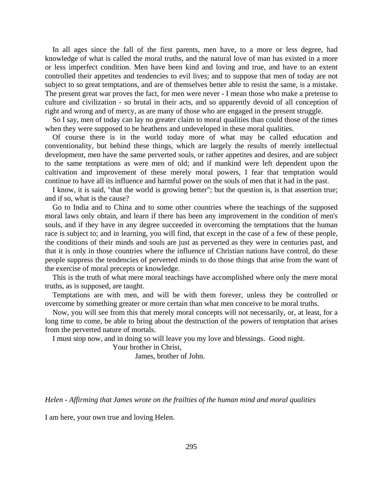In all ages since the fall of the first parents, men have, to a more or less degree, had knowledge of what is called the moral truths, and the natural love of man has existed in a more or less imperfect condition. Men have been kind and loving and true, and have to an extent controlled their appetites and tendencies to evil lives; and to suppose that men of today are not subject to so great temptations, and are of themselves better able to resist the same, is a mistake. The present great war proves the fact, for men were never - I mean those who make a pretense to culture and civilization - so brutal in their acts, and so apparently devoid of all conception of right and wrong and of mercy, as are many of those who are engaged in the present struggle.

 So I say, men of today can lay no greater claim to moral qualities than could those of the times when they were supposed to be heathens and undeveloped in these moral qualities.

 Of course there is in the world today more of what may be called education and conventionality, but behind these things, which are largely the results of merely intellectual development, men have the same perverted souls, or rather appetites and desires, and are subject to the same temptations as were men of old; and if mankind were left dependent upon the cultivation and improvement of these merely moral powers, I fear that temptation would continue to have all its influence and harmful power on the souls of men that it had in the past.

 I know, it is said, "that the world is growing better"; but the question is, is that assertion true; and if so, what is the cause?

 Go to India and to China and to some other countries where the teachings of the supposed moral laws only obtain, and learn if there has been any improvement in the condition of men's souls, and if they have in any degree succeeded in overcoming the temptations that the human race is subject to; and in learning, you will find, that except in the case of a few of these people, the conditions of their minds and souls are just as perverted as they were in centuries past, and that it is only in those countries where the influence of Christian nations have control, do these people suppress the tendencies of perverted minds to do those things that arise from the want of the exercise of moral precepts or knowledge.

 This is the truth of what mere moral teachings have accomplished where only the mere moral truths, as is supposed, are taught.

 Temptations are with men, and will be with them forever, unless they be controlled or overcome by something greater or more certain than what men conceive to be moral truths.

 Now, you will see from this that merely moral concepts will not necessarily, or, at least, for a long time to come, be able to bring about the destruction of the powers of temptation that arises from the perverted nature of mortals.

I must stop now, and in doing so will leave you my love and blessings. Good night.

Your brother in Christ,

James, brother of John.

*Helen - Affirming that James wrote on the frailties of the human mind and moral qualities* 

I am here, your own true and loving Helen.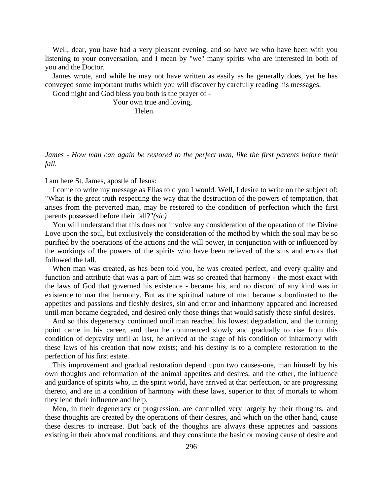Well, dear, you have had a very pleasant evening, and so have we who have been with you listening to your conversation, and I mean by "we" many spirits who are interested in both of you and the Doctor.

 James wrote, and while he may not have written as easily as he generally does, yet he has conveyed some important truths which you will discover by carefully reading his messages.

Good night and God bless you both is the prayer of -

 Your own true and loving, Helen.

James - How man can again be restored to the perfect man, like the first parents before their *fall.* 

I am here St. James, apostle of Jesus:

 I come to write my message as Elias told you I would. Well, I desire to write on the subject of: "What is the great truth respecting the way that the destruction of the powers of temptation, that arises from the perverted man, may be restored to the condition of perfection which the first parents possessed before their fall?"*(sic)*

 You will understand that this does not involve any consideration of the operation of the Divine Love upon the soul, but exclusively the consideration of the method by which the soul may be so purified by the operations of the actions and the will power, in conjunction with or influenced by the workings of the powers of the spirits who have been relieved of the sins and errors that followed the fall.

 When man was created, as has been told you, he was created perfect, and every quality and function and attribute that was a part of him was so created that harmony - the most exact with the laws of God that governed his existence - became his, and no discord of any kind was in existence to mar that harmony. But as the spiritual nature of man became subordinated to the appetites and passions and fleshly desires, sin and error and inharmony appeared and increased until man became degraded, and desired only those things that would satisfy these sinful desires.

 And so this degeneracy continued until man reached his lowest degradation, and the turning point came in his career, and then he commenced slowly and gradually to rise from this condition of depravity until at last, he arrived at the stage of his condition of inharmony with these laws of his creation that now exists; and his destiny is to a complete restoration to the perfection of his first estate.

 This improvement and gradual restoration depend upon two causes-one, man himself by his own thoughts and reformation of the animal appetites and desires; and the other, the influence and guidance of spirits who, in the spirit world, have arrived at that perfection, or are progressing thereto, and are in a condition of harmony with these laws, superior to that of mortals to whom they lend their influence and help.

 Men, in their degeneracy or progression, are controlled very largely by their thoughts, and these thoughts are created by the operations of their desires, and which on the other hand, cause these desires to increase. But back of the thoughts are always these appetites and passions existing in their abnormal conditions, and they constitute the basic or moving cause of desire and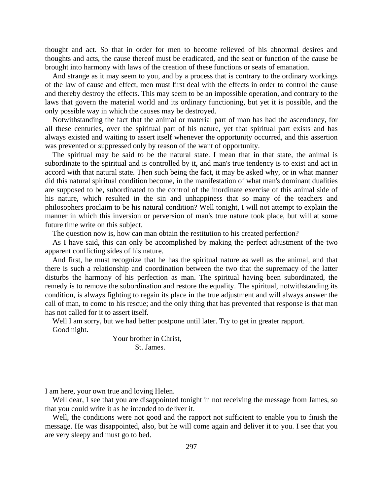thought and act. So that in order for men to become relieved of his abnormal desires and thoughts and acts, the cause thereof must be eradicated, and the seat or function of the cause be brought into harmony with laws of the creation of these functions or seats of emanation.

 And strange as it may seem to you, and by a process that is contrary to the ordinary workings of the law of cause and effect, men must first deal with the effects in order to control the cause and thereby destroy the effects. This may seem to be an impossible operation, and contrary to the laws that govern the material world and its ordinary functioning, but yet it is possible, and the only possible way in which the causes may be destroyed.

 Notwithstanding the fact that the animal or material part of man has had the ascendancy, for all these centuries, over the spiritual part of his nature, yet that spiritual part exists and has always existed and waiting to assert itself whenever the opportunity occurred, and this assertion was prevented or suppressed only by reason of the want of opportunity.

 The spiritual may be said to be the natural state. I mean that in that state, the animal is subordinate to the spiritual and is controlled by it, and man's true tendency is to exist and act in accord with that natural state. Then such being the fact, it may be asked why, or in what manner did this natural spiritual condition become, in the manifestation of what man's dominant dualities are supposed to be, subordinated to the control of the inordinate exercise of this animal side of his nature, which resulted in the sin and unhappiness that so many of the teachers and philosophers proclaim to be his natural condition? Well tonight, I will not attempt to explain the manner in which this inversion or perversion of man's true nature took place, but will at some future time write on this subject.

The question now is, how can man obtain the restitution to his created perfection?

 As I have said, this can only be accomplished by making the perfect adjustment of the two apparent conflicting sides of his nature.

 And first, he must recognize that he has the spiritual nature as well as the animal, and that there is such a relationship and coordination between the two that the supremacy of the latter disturbs the harmony of his perfection as man. The spiritual having been subordinated, the remedy is to remove the subordination and restore the equality. The spiritual, notwithstanding its condition, is always fighting to regain its place in the true adjustment and will always answer the call of man, to come to his rescue; and the only thing that has prevented that response is that man has not called for it to assert itself.

Well I am sorry, but we had better postpone until later. Try to get in greater rapport. Good night.

> Your brother in Christ, St. James.

I am here, your own true and loving Helen.

Well dear, I see that you are disappointed tonight in not receiving the message from James, so that you could write it as he intended to deliver it.

 Well, the conditions were not good and the rapport not sufficient to enable you to finish the message. He was disappointed, also, but he will come again and deliver it to you. I see that you are very sleepy and must go to bed.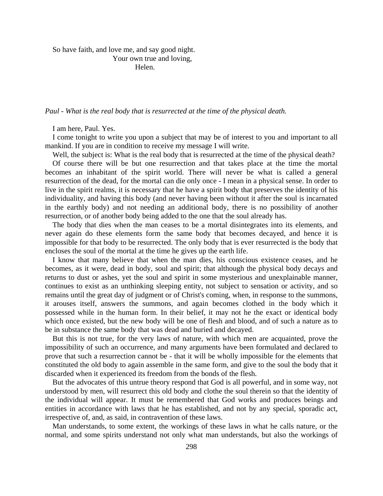So have faith, and love me, and say good night. Your own true and loving, Helen.

*Paul - What is the real body that is resurrected at the time of the physical death.* 

I am here, Paul. Yes.

 I come tonight to write you upon a subject that may be of interest to you and important to all mankind. If you are in condition to receive my message I will write.

Well, the subject is: What is the real body that is resurrected at the time of the physical death?

 Of course there will be but one resurrection and that takes place at the time the mortal becomes an inhabitant of the spirit world. There will never be what is called a general resurrection of the dead, for the mortal can die only once - I mean in a physical sense. In order to live in the spirit realms, it is necessary that he have a spirit body that preserves the identity of his individuality, and having this body (and never having been without it after the soul is incarnated in the earthly body) and not needing an additional body, there is no possibility of another resurrection, or of another body being added to the one that the soul already has.

 The body that dies when the man ceases to be a mortal disintegrates into its elements, and never again do these elements form the same body that becomes decayed, and hence it is impossible for that body to be resurrected. The only body that is ever resurrected is the body that encloses the soul of the mortal at the time he gives up the earth life.

 I know that many believe that when the man dies, his conscious existence ceases, and he becomes, as it were, dead in body, soul and spirit; that although the physical body decays and returns to dust or ashes, yet the soul and spirit in some mysterious and unexplainable manner, continues to exist as an unthinking sleeping entity, not subject to sensation or activity, and so remains until the great day of judgment or of Christ's coming, when, in response to the summons, it arouses itself, answers the summons, and again becomes clothed in the body which it possessed while in the human form. In their belief, it may not he the exact or identical body which once existed, but the new body will be one of flesh and blood, and of such a nature as to be in substance the same body that was dead and buried and decayed.

 But this is not true, for the very laws of nature, with which men are acquainted, prove the impossibility of such an occurrence, and many arguments have been formulated and declared to prove that such a resurrection cannot be - that it will be wholly impossible for the elements that constituted the old body to again assemble in the same form, and give to the soul the body that it discarded when it experienced its freedom from the bonds of the flesh.

 But the advocates of this untrue theory respond that God is all powerful, and in some way, not understood by men, will resurrect this old body and clothe the soul therein so that the identity of the individual will appear. It must be remembered that God works and produces beings and entities in accordance with laws that he has established, and not by any special, sporadic act, irrespective of, and, as said, in contravention of these laws.

 Man understands, to some extent, the workings of these laws in what he calls nature, or the normal, and some spirits understand not only what man understands, but also the workings of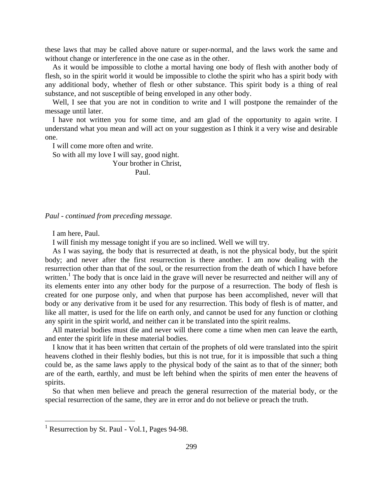these laws that may be called above nature or super-normal, and the laws work the same and without change or interference in the one case as in the other.

 As it would be impossible to clothe a mortal having one body of flesh with another body of flesh, so in the spirit world it would be impossible to clothe the spirit who has a spirit body with any additional body, whether of flesh or other substance. This spirit body is a thing of real substance, and not susceptible of being enveloped in any other body.

Well, I see that you are not in condition to write and I will postpone the remainder of the message until later.

 I have not written you for some time, and am glad of the opportunity to again write. I understand what you mean and will act on your suggestion as I think it a very wise and desirable one.

I will come more often and write.

So with all my love I will say, good night.

 Your brother in Christ, Paul.

*Paul - continued from preceding message.* 

I am here, Paul.

 $\overline{a}$ 

I will finish my message tonight if you are so inclined. Well we will try.

 As I was saying, the body that is resurrected at death, is not the physical body, but the spirit body; and never after the first resurrection is there another. I am now dealing with the resurrection other than that of the soul, or the resurrection from the death of which I have before written.<sup>1</sup> The body that is once laid in the grave will never be resurrected and neither will any of its elements enter into any other body for the purpose of a resurrection. The body of flesh is created for one purpose only, and when that purpose has been accomplished, never will that body or any derivative from it be used for any resurrection. This body of flesh is of matter, and like all matter, is used for the life on earth only, and cannot be used for any function or clothing any spirit in the spirit world, and neither can it be translated into the spirit realms.

 All material bodies must die and never will there come a time when men can leave the earth, and enter the spirit life in these material bodies.

 I know that it has been written that certain of the prophets of old were translated into the spirit heavens clothed in their fleshly bodies, but this is not true, for it is impossible that such a thing could be, as the same laws apply to the physical body of the saint as to that of the sinner; both are of the earth, earthly, and must be left behind when the spirits of men enter the heavens of spirits.

 So that when men believe and preach the general resurrection of the material body, or the special resurrection of the same, they are in error and do not believe or preach the truth.

<sup>&</sup>lt;sup>1</sup> Resurrection by St. Paul - Vol.1, Pages 94-98.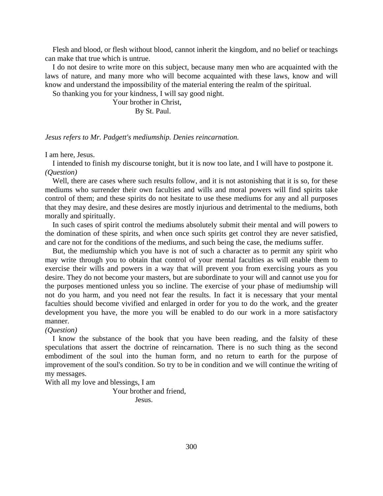Flesh and blood, or flesh without blood, cannot inherit the kingdom, and no belief or teachings can make that true which is untrue.

 I do not desire to write more on this subject, because many men who are acquainted with the laws of nature, and many more who will become acquainted with these laws, know and will know and understand the impossibility of the material entering the realm of the spiritual.

So thanking you for your kindness, I will say good night.

 Your brother in Christ, By St. Paul.

### *Jesus refers to Mr. Padgett's mediumship. Denies reincarnation.*

I am here, Jesus.

 I intended to finish my discourse tonight, but it is now too late, and I will have to postpone it. *(Question)* 

Well, there are cases where such results follow, and it is not astonishing that it is so, for these mediums who surrender their own faculties and wills and moral powers will find spirits take control of them; and these spirits do not hesitate to use these mediums for any and all purposes that they may desire, and these desires are mostly injurious and detrimental to the mediums, both morally and spiritually.

 In such cases of spirit control the mediums absolutely submit their mental and will powers to the domination of these spirits, and when once such spirits get control they are never satisfied, and care not for the conditions of the mediums, and such being the case, the mediums suffer.

 But, the mediumship which you have is not of such a character as to permit any spirit who may write through you to obtain that control of your mental faculties as will enable them to exercise their wills and powers in a way that will prevent you from exercising yours as you desire. They do not become your masters, but are subordinate to your will and cannot use you for the purposes mentioned unless you so incline. The exercise of your phase of mediumship will not do you harm, and you need not fear the results. In fact it is necessary that your mental faculties should become vivified and enlarged in order for you to do the work, and the greater development you have, the more you will be enabled to do our work in a more satisfactory manner.

## *(Question)*

I know the substance of the book that you have been reading, and the falsity of these speculations that assert the doctrine of reincarnation. There is no such thing as the second embodiment of the soul into the human form, and no return to earth for the purpose of improvement of the soul's condition. So try to be in condition and we will continue the writing of my messages.

With all my love and blessings, I am

Your brother and friend,

Jesus.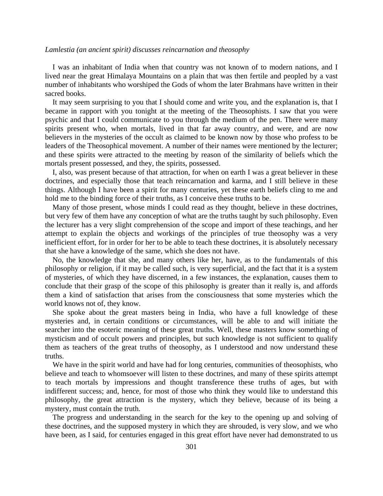#### *Lamlestia (an ancient spirit) discusses reincarnation and theosophy*

 I was an inhabitant of India when that country was not known of to modern nations, and I lived near the great Himalaya Mountains on a plain that was then fertile and peopled by a vast number of inhabitants who worshiped the Gods of whom the later Brahmans have written in their sacred books.

 It may seem surprising to you that I should come and write you, and the explanation is, that I became in rapport with you tonight at the meeting of the Theosophists. I saw that you were psychic and that I could communicate to you through the medium of the pen. There were many spirits present who, when mortals, lived in that far away country, and were, and are now believers in the mysteries of the occult as claimed to be known now by those who profess to be leaders of the Theosophical movement. A number of their names were mentioned by the lecturer; and these spirits were attracted to the meeting by reason of the similarity of beliefs which the mortals present possessed, and they, the spirits, possessed.

 I, also, was present because of that attraction, for when on earth I was a great believer in these doctrines, and especially those that teach reincarnation and karma, and I still believe in these things. Although I have been a spirit for many centuries, yet these earth beliefs cling to me and hold me to the binding force of their truths, as I conceive these truths to be.

 Many of those present, whose minds I could read as they thought, believe in these doctrines, but very few of them have any conception of what are the truths taught by such philosophy. Even the lecturer has a very slight comprehension of the scope and import of these teachings, and her attempt to explain the objects and workings of the principles of true theosophy was a very inefficient effort, for in order for her to be able to teach these doctrines, it is absolutely necessary that she have a knowledge of the same, which she does not have.

 No, the knowledge that she, and many others like her, have, as to the fundamentals of this philosophy or religion, if it may be called such, is very superficial, and the fact that it is a system of mysteries, of which they have discerned, in a few instances, the explanation, causes them to conclude that their grasp of the scope of this philosophy is greater than it really is, and affords them a kind of satisfaction that arises from the consciousness that some mysteries which the world knows not of, they know.

 She spoke about the great masters being in India, who have a full knowledge of these mysteries and, in certain conditions or circumstances, will be able to and will initiate the searcher into the esoteric meaning of these great truths. Well, these masters know something of mysticism and of occult powers and principles, but such knowledge is not sufficient to qualify them as teachers of the great truths of theosophy, as I understood and now understand these truths.

We have in the spirit world and have had for long centuries, communities of theosophists, who believe and teach to whomsoever will listen to these doctrines, and many of these spirits attempt to teach mortals by impressions and thought transference these truths of ages, but with indifferent success; and, hence, for most of those who think they would like to understand this philosophy, the great attraction is the mystery, which they believe, because of its being a mystery, must contain the truth.

 The progress and understanding in the search for the key to the opening up and solving of these doctrines, and the supposed mystery in which they are shrouded, is very slow, and we who have been, as I said, for centuries engaged in this great effort have never had demonstrated to us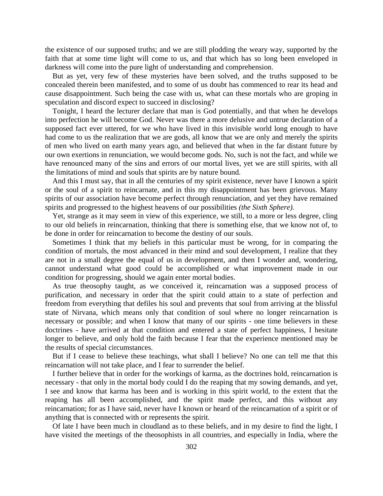the existence of our supposed truths; and we are still plodding the weary way, supported by the faith that at some time light will come to us, and that which has so long been enveloped in darkness will come into the pure light of understanding and comprehension.

 But as yet, very few of these mysteries have been solved, and the truths supposed to be concealed therein been manifested, and to some of us doubt has commenced to rear its head and cause disappointment. Such being the case with us, what can these mortals who are groping in speculation and discord expect to succeed in disclosing?

 Tonight, I heard the lecturer declare that man is God potentially, and that when he develops into perfection he will become God. Never was there a more delusive and untrue declaration of a supposed fact ever uttered, for we who have lived in this invisible world long enough to have had come to us the realization that we are gods, all know that we are only and merely the spirits of men who lived on earth many years ago, and believed that when in the far distant future by our own exertions in renunciation, we would become gods. No, such is not the fact, and while we have renounced many of the sins and errors of our mortal lives, yet we are still spirits, with all the limitations of mind and souls that spirits are by nature bound.

 And this I must say, that in all the centuries of my spirit existence, never have I known a spirit or the soul of a spirit to reincarnate, and in this my disappointment has been grievous. Many spirits of our association have become perfect through renunciation, and yet they have remained spirits and progressed to the highest heavens of our possibilities *(the Sixth Sphere).* 

Yet, strange as it may seem in view of this experience, we still, to a more or less degree, cling to our old beliefs in reincarnation, thinking that there is something else, that we know not of, to be done in order for reincarnation to become the destiny of our souls.

 Sometimes I think that my beliefs in this particular must be wrong, for in comparing the condition of mortals, the most advanced in their mind and soul development, I realize that they are not in a small degree the equal of us in development, and then I wonder and, wondering, cannot understand what good could be accomplished or what improvement made in our condition for progressing, should we again enter mortal bodies.

 As true theosophy taught, as we conceived it, reincarnation was a supposed process of purification, and necessary in order that the spirit could attain to a state of perfection and freedom from everything that defiles his soul and prevents that soul from arriving at the blissful state of Nirvana, which means only that condition of soul where no longer reincarnation is necessary or possible; and when I know that many of our spirits - one time believers in these doctrines - have arrived at that condition and entered a state of perfect happiness, I hesitate longer to believe, and only hold the faith because I fear that the experience mentioned may be the results of special circumstances.

 But if I cease to believe these teachings, what shall I believe? No one can tell me that this reincarnation will not take place, and I fear to surrender the belief.

 I further believe that in order for the workings of karma, as the doctrines hold, reincarnation is necessary - that only in the mortal body could I do the reaping that my sowing demands, and yet, I see and know that karma has been and is working in this spirit world, to the extent that the reaping has all been accomplished, and the spirit made perfect, and this without any reincarnation; for as I have said, never have I known or heard of the reincarnation of a spirit or of anything that is connected with or represents the spirit.

 Of late I have been much in cloudland as to these beliefs, and in my desire to find the light, I have visited the meetings of the theosophists in all countries, and especially in India, where the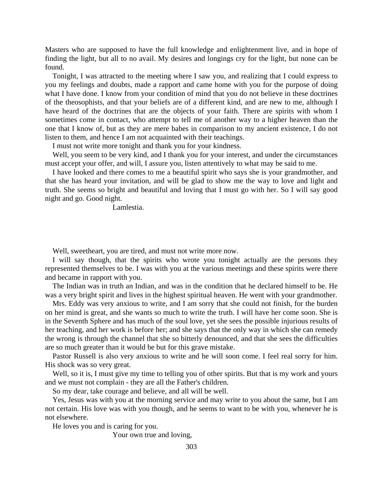Masters who are supposed to have the full knowledge and enlightenment live, and in hope of finding the light, but all to no avail. My desires and longings cry for the light, but none can be found.

 Tonight, I was attracted to the meeting where I saw you, and realizing that I could express to you my feelings and doubts, made a rapport and came home with you for the purpose of doing what I have done. I know from your condition of mind that you do not believe in these doctrines of the theosophists, and that your beliefs are of a different kind, and are new to me, although I have heard of the doctrines that are the objects of your faith. There are spirits with whom I sometimes come in contact, who attempt to tell me of another way to a higher heaven than the one that I know of, but as they are mere babes in comparison to my ancient existence, I do not listen to them, and hence I am not acquainted with their teachings.

I must not write more tonight and thank you for your kindness.

 Well, you seem to be very kind, and I thank you for your interest, and under the circumstances must accept your offer, and will, I assure you, listen attentively to what may be said to me.

 I have looked and there comes to me a beautiful spirit who says she is your grandmother, and that she has heard your invitation, and will be glad to show me the way to love and light and truth. She seems so bright and beautiful and loving that I must go with her. So I will say good night and go. Good night.

Lamlestia.

Well, sweetheart, you are tired, and must not write more now.

 I will say though, that the spirits who wrote you tonight actually are the persons they represented themselves to be. I was with you at the various meetings and these spirits were there and became in rapport with you.

 The Indian was in truth an Indian, and was in the condition that he declared himself to be. He was a very bright spirit and lives in the highest spiritual heaven. He went with your grandmother.

 Mrs. Eddy was very anxious to write, and I am sorry that she could not finish, for the burden on her mind is great, and she wants so much to write the truth. I will have her come soon. She is in the Seventh Sphere and has much of the soul love, yet she sees the possible injurious results of her teaching, and her work is before her; and she says that the only way in which she can remedy the wrong is through the channel that she so bitterly denounced, and that she sees the difficulties are so much greater than it would be but for this grave mistake.

 Pastor Russell is also very anxious to write and he will soon come. I feel real sorry for him. His shock was so very great.

 Well, so it is, I must give my time to telling you of other spirits. But that is my work and yours and we must not complain - they are all the Father's children.

So my dear, take courage and believe, and all will be well.

 Yes, Jesus was with you at the morning service and may write to you about the same, but I am not certain. His love was with you though, and he seems to want to be with you, whenever he is not elsewhere.

He loves you and is caring for you.

Your own true and loving,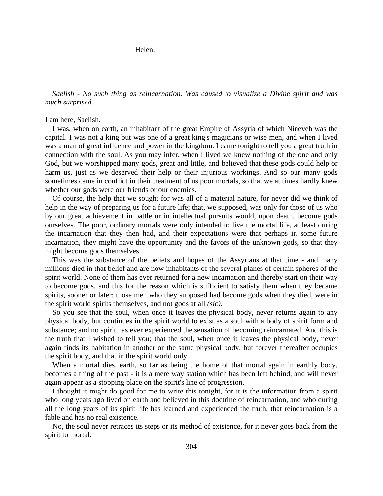Helen.

 *Saelish - No such thing as reincarnation. Was caused to visualize a Divine spirit and was much surprised.* 

I am here, Saelish.

 I was, when on earth, an inhabitant of the great Empire of Assyria of which Nineveh was the capital. I was not a king but was one of a great king's magicians or wise men, and when I lived was a man of great influence and power in the kingdom. I came tonight to tell you a great truth in connection with the soul. As you may infer, when I lived we knew nothing of the one and only God, but we worshipped many gods, great and little, and believed that these gods could help or harm us, just as we deserved their help or their injurious workings. And so our many gods sometimes came in conflict in their treatment of us poor mortals, so that we at times hardly knew whether our gods were our friends or our enemies.

 Of course, the help that we sought for was all of a material nature, for never did we think of help in the way of preparing us for a future life; that, we supposed, was only for those of us who by our great achievement in battle or in intellectual pursuits would, upon death, become gods ourselves. The poor, ordinary mortals were only intended to live the mortal life, at least during the incarnation that they then had, and their expectations were that perhaps in some future incarnation, they might have the opportunity and the favors of the unknown gods, so that they might become gods themselves.

 This was the substance of the beliefs and hopes of the Assyrians at that time - and many millions died in that belief and are now inhabitants of the several planes of certain spheres of the spirit world. None of them has ever returned for a new incarnation and thereby start on their way to become gods, and this for the reason which is sufficient to satisfy them when they became spirits, sooner or later: those men who they supposed had become gods when they died, were in the spirit world spirits themselves, and not gods at all *(sic)*.

 So you see that the soul, when once it leaves the physical body, never returns again to any physical body, but continues in the spirit world to exist as a soul with a body of spirit form and substance; and no spirit has ever experienced the sensation of becoming reincarnated. And this is the truth that I wished to tell you; that the soul, when once it leaves the physical body, never again finds its habitation in another or the same physical body, but forever thereafter occupies the spirit body, and that in the spirit world only.

 When a mortal dies, earth, so far as being the home of that mortal again in earthly body, becomes a thing of the past - it is a mere way station which has been left behind, and will never again appear as a stopping place on the spirit's line of progression.

 I thought it might do good for me to write this tonight, for it is the information from a spirit who long years ago lived on earth and believed in this doctrine of reincarnation, and who during all the long years of its spirit life has learned and experienced the truth, that reincarnation is a fable and has no real existence.

 No, the soul never retraces its steps or its method of existence, for it never goes back from the spirit to mortal.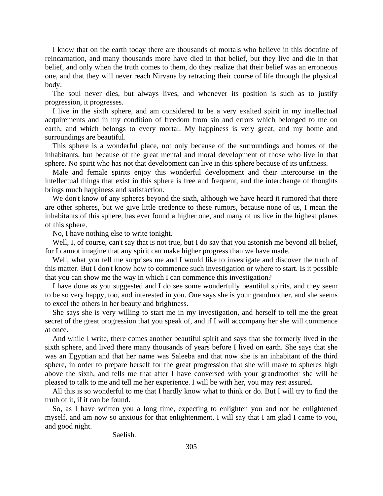I know that on the earth today there are thousands of mortals who believe in this doctrine of reincarnation, and many thousands more have died in that belief, but they live and die in that belief, and only when the truth comes to them, do they realize that their belief was an erroneous one, and that they will never reach Nirvana by retracing their course of life through the physical body.

 The soul never dies, but always lives, and whenever its position is such as to justify progression, it progresses.

 I live in the sixth sphere, and am considered to be a very exalted spirit in my intellectual acquirements and in my condition of freedom from sin and errors which belonged to me on earth, and which belongs to every mortal. My happiness is very great, and my home and surroundings are beautiful.

 This sphere is a wonderful place, not only because of the surroundings and homes of the inhabitants, but because of the great mental and moral development of those who live in that sphere. No spirit who has not that development can live in this sphere because of its unfitness.

 Male and female spirits enjoy this wonderful development and their intercourse in the intellectual things that exist in this sphere is free and frequent, and the interchange of thoughts brings much happiness and satisfaction.

We don't know of any spheres beyond the sixth, although we have heard it rumored that there are other spheres, but we give little credence to these rumors, because none of us, I mean the inhabitants of this sphere, has ever found a higher one, and many of us live in the highest planes of this sphere.

No, I have nothing else to write tonight.

Well, I, of course, can't say that is not true, but I do say that you astonish me beyond all belief, for I cannot imagine that any spirit can make higher progress than we have made.

 Well, what you tell me surprises me and I would like to investigate and discover the truth of this matter. But I don't know how to commence such investigation or where to start. Is it possible that you can show me the way in which I can commence this investigation?

 I have done as you suggested and I do see some wonderfully beautiful spirits, and they seem to be so very happy, too, and interested in you. One says she is your grandmother, and she seems to excel the others in her beauty and brightness.

 She says she is very willing to start me in my investigation, and herself to tell me the great secret of the great progression that you speak of, and if I will accompany her she will commence at once.

 And while I write, there comes another beautiful spirit and says that she formerly lived in the sixth sphere, and lived there many thousands of years before I lived on earth. She says that she was an Egyptian and that her name was Saleeba and that now she is an inhabitant of the third sphere, in order to prepare herself for the great progression that she will make to spheres high above the sixth, and tells me that after I have conversed with your grandmother she will be pleased to talk to me and tell me her experience. I will be with her, you may rest assured.

 All this is so wonderful to me that I hardly know what to think or do. But I will try to find the truth of it, if it can be found.

 So, as I have written you a long time, expecting to enlighten you and not be enlightened myself, and am now so anxious for that enlightenment, I will say that I am glad I came to you, and good night.

Saelish.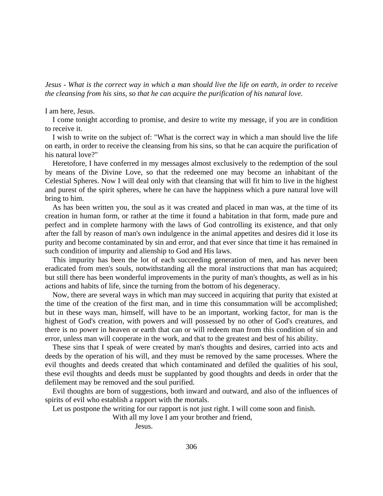*Jesus - What is the correct way in which a man should live the life on earth, in order to receive the cleansing from his sins, so that he can acquire the purification of his natural love.* 

#### I am here, Jesus.

 I come tonight according to promise, and desire to write my message, if you are in condition to receive it.

 I wish to write on the subject of: "What is the correct way in which a man should live the life on earth, in order to receive the cleansing from his sins, so that he can acquire the purification of his natural love?"

 Heretofore, I have conferred in my messages almost exclusively to the redemption of the soul by means of the Divine Love, so that the redeemed one may become an inhabitant of the Celestial Spheres. Now I will deal only with that cleansing that will fit him to live in the highest and purest of the spirit spheres, where he can have the happiness which a pure natural love will bring to him.

 As has been written you, the soul as it was created and placed in man was, at the time of its creation in human form, or rather at the time it found a habitation in that form, made pure and perfect and in complete harmony with the laws of God controlling its existence, and that only after the fall by reason of man's own indulgence in the animal appetites and desires did it lose its purity and become contaminated by sin and error, and that ever since that time it has remained in such condition of impurity and alienship to God and His laws.

 This impurity has been the lot of each succeeding generation of men, and has never been eradicated from men's souls, notwithstanding all the moral instructions that man has acquired; but still there has been wonderful improvements in the purity of man's thoughts, as well as in his actions and habits of life, since the turning from the bottom of his degeneracy.

 Now, there are several ways in which man may succeed in acquiring that purity that existed at the time of the creation of the first man, and in time this consummation will be accomplished; but in these ways man, himself, will have to be an important, working factor, for man is the highest of God's creation, with powers and will possessed by no other of God's creatures, and there is no power in heaven or earth that can or will redeem man from this condition of sin and error, unless man will cooperate in the work, and that to the greatest and best of his ability.

 These sins that I speak of were created by man's thoughts and desires, carried into acts and deeds by the operation of his will, and they must be removed by the same processes. Where the evil thoughts and deeds created that which contaminated and defiled the qualities of his soul, these evil thoughts and deeds must be supplanted by good thoughts and deeds in order that the defilement may be removed and the soul purified.

 Evil thoughts are born of suggestions, both inward and outward, and also of the influences of spirits of evil who establish a rapport with the mortals.

Let us postpone the writing for our rapport is not just right. I will come soon and finish.

With all my love I am your brother and friend,

Jesus.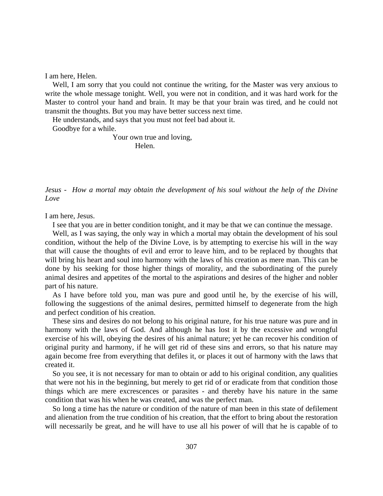I am here, Helen.

 Well, I am sorry that you could not continue the writing, for the Master was very anxious to write the whole message tonight. Well, you were not in condition, and it was hard work for the Master to control your hand and brain. It may be that your brain was tired, and he could not transmit the thoughts. But you may have better success next time.

He understands, and says that you must not feel bad about it.

Goodbye for a while.

 Your own true and loving, Helen.

*Jesus - How a mortal may obtain the development of his soul without the help of the Divine Love* 

I am here, Jesus.

I see that you are in better condition tonight, and it may be that we can continue the message.

 Well, as I was saying, the only way in which a mortal may obtain the development of his soul condition, without the help of the Divine Love, is by attempting to exercise his will in the way that will cause the thoughts of evil and error to leave him, and to be replaced by thoughts that will bring his heart and soul into harmony with the laws of his creation as mere man. This can be done by his seeking for those higher things of morality, and the subordinating of the purely animal desires and appetites of the mortal to the aspirations and desires of the higher and nobler part of his nature.

 As I have before told you, man was pure and good until he, by the exercise of his will, following the suggestions of the animal desires, permitted himself to degenerate from the high and perfect condition of his creation.

 These sins and desires do not belong to his original nature, for his true nature was pure and in harmony with the laws of God. And although he has lost it by the excessive and wrongful exercise of his will, obeying the desires of his animal nature; yet he can recover his condition of original purity and harmony, if he will get rid of these sins and errors, so that his nature may again become free from everything that defiles it, or places it out of harmony with the laws that created it.

 So you see, it is not necessary for man to obtain or add to his original condition, any qualities that were not his in the beginning, but merely to get rid of or eradicate from that condition those things which are mere excrescences or parasites - and thereby have his nature in the same condition that was his when he was created, and was the perfect man.

 So long a time has the nature or condition of the nature of man been in this state of defilement and alienation from the true condition of his creation, that the effort to bring about the restoration will necessarily be great, and he will have to use all his power of will that he is capable of to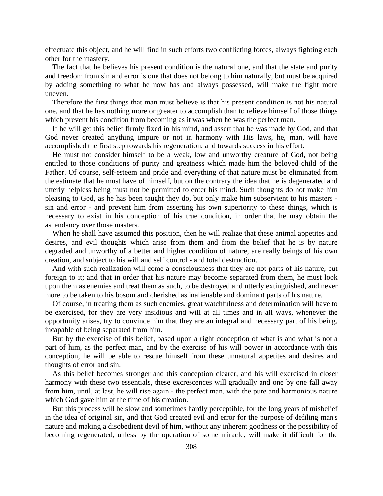effectuate this object, and he will find in such efforts two conflicting forces, always fighting each other for the mastery.

 The fact that he believes his present condition is the natural one, and that the state and purity and freedom from sin and error is one that does not belong to him naturally, but must be acquired by adding something to what he now has and always possessed, will make the fight more uneven.

 Therefore the first things that man must believe is that his present condition is not his natural one, and that he has nothing more or greater to accomplish than to relieve himself of those things which prevent his condition from becoming as it was when he was the perfect man.

 If he will get this belief firmly fixed in his mind, and assert that he was made by God, and that God never created anything impure or not in harmony with His laws, he, man, will have accomplished the first step towards his regeneration, and towards success in his effort.

 He must not consider himself to be a weak, low and unworthy creature of God, not being entitled to those conditions of purity and greatness which made him the beloved child of the Father. Of course, self-esteem and pride and everything of that nature must be eliminated from the estimate that he must have of himself, but on the contrary the idea that he is degenerated and utterly helpless being must not be permitted to enter his mind. Such thoughts do not make him pleasing to God, as he has been taught they do, but only make him subservient to his masters sin and error - and prevent him from asserting his own superiority to these things, which is necessary to exist in his conception of his true condition, in order that he may obtain the ascendancy over those masters.

 When he shall have assumed this position, then he will realize that these animal appetites and desires, and evil thoughts which arise from them and from the belief that he is by nature degraded and unworthy of a better and higher condition of nature, are really beings of his own creation, and subject to his will and self control - and total destruction.

 And with such realization will come a consciousness that they are not parts of his nature, but foreign to it; and that in order that his nature may become separated from them, he must look upon them as enemies and treat them as such, to be destroyed and utterly extinguished, and never more to be taken to his bosom and cherished as inalienable and dominant parts of his nature.

 Of course, in treating them as such enemies, great watchfulness and determination will have to be exercised, for they are very insidious and will at all times and in all ways, whenever the opportunity arises, try to convince him that they are an integral and necessary part of his being, incapable of being separated from him.

 But by the exercise of this belief, based upon a right conception of what is and what is not a part of him, as the perfect man, and by the exercise of his will power in accordance with this conception, he will be able to rescue himself from these unnatural appetites and desires and thoughts of error and sin.

 As this belief becomes stronger and this conception clearer, and his will exercised in closer harmony with these two essentials, these excrescences will gradually and one by one fall away from him, until, at last, he will rise again - the perfect man, with the pure and harmonious nature which God gave him at the time of his creation.

 But this process will be slow and sometimes hardly perceptible, for the long years of misbelief in the idea of original sin, and that God created evil and error for the purpose of defiling man's nature and making a disobedient devil of him, without any inherent goodness or the possibility of becoming regenerated, unless by the operation of some miracle; will make it difficult for the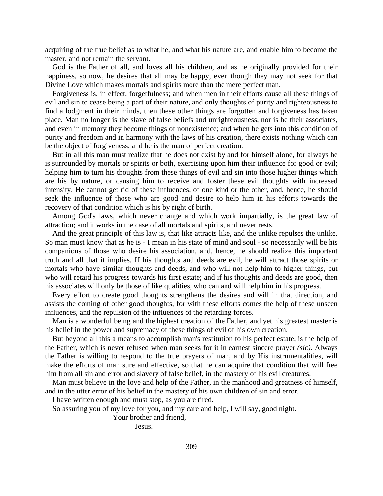acquiring of the true belief as to what he, and what his nature are, and enable him to become the master, and not remain the servant.

 God is the Father of all, and loves all his children, and as he originally provided for their happiness, so now, he desires that all may be happy, even though they may not seek for that Divine Love which makes mortals and spirits more than the mere perfect man.

 Forgiveness is, in effect, forgetfulness; and when men in their efforts cause all these things of evil and sin to cease being a part of their nature, and only thoughts of purity and righteousness to find a lodgment in their minds, then these other things are forgotten and forgiveness has taken place. Man no longer is the slave of false beliefs and unrighteousness, nor is he their associates, and even in memory they become things of nonexistence; and when he gets into this condition of purity and freedom and in harmony with the laws of his creation, there exists nothing which can be the object of forgiveness, and he is the man of perfect creation.

 But in all this man must realize that he does not exist by and for himself alone, for always he is surrounded by mortals or spirits or both, exercising upon him their influence for good or evil; helping him to turn his thoughts from these things of evil and sin into those higher things which are his by nature, or causing him to receive and foster these evil thoughts with increased intensity. He cannot get rid of these influences, of one kind or the other, and, hence, he should seek the influence of those who are good and desire to help him in his efforts towards the recovery of that condition which is his by right of birth.

 Among God's laws, which never change and which work impartially, is the great law of attraction; and it works in the case of all mortals and spirits, and never rests.

 And the great principle of this law is, that like attracts like, and the unlike repulses the unlike. So man must know that as he is - I mean in his state of mind and soul - so necessarily will be his companions of those who desire his association, and, hence, he should realize this important truth and all that it implies. If his thoughts and deeds are evil, he will attract those spirits or mortals who have similar thoughts and deeds, and who will not help him to higher things, but who will retard his progress towards his first estate; and if his thoughts and deeds are good, then his associates will only be those of like qualities, who can and will help him in his progress.

 Every effort to create good thoughts strengthens the desires and will in that direction, and assists the coming of other good thoughts, for with these efforts comes the help of these unseen influences, and the repulsion of the influences of the retarding forces.

 Man is a wonderful being and the highest creation of the Father, and yet his greatest master is his belief in the power and supremacy of these things of evil of his own creation.

 But beyond all this a means to accomplish man's restitution to his perfect estate, is the help of the Father, which is never refused when man seeks for it in earnest sincere prayer *(sic)*. Always the Father is willing to respond to the true prayers of man, and by His instrumentalities, will make the efforts of man sure and effective, so that he can acquire that condition that will free him from all sin and error and slavery of false belief, in the mastery of his evil creatures.

 Man must believe in the love and help of the Father, in the manhood and greatness of himself, and in the utter error of his belief in the mastery of his own children of sin and error.

I have written enough and must stop, as you are tired.

So assuring you of my love for you, and my care and help, I will say, good night.

Your brother and friend,

Jesus.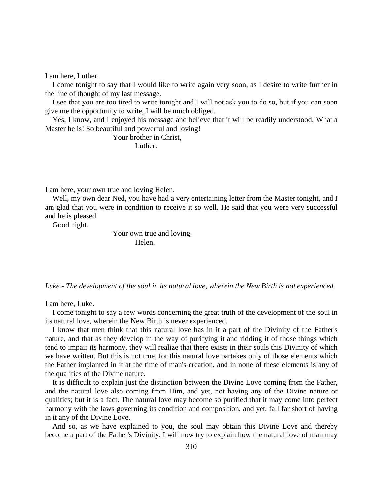I am here, Luther.

 I come tonight to say that I would like to write again very soon, as I desire to write further in the line of thought of my last message.

 I see that you are too tired to write tonight and I will not ask you to do so, but if you can soon give me the opportunity to write, I will be much obliged.

 Yes, I know, and I enjoyed his message and believe that it will be readily understood. What a Master he is! So beautiful and powerful and loving!

Your brother in Christ,

Luther.

I am here, your own true and loving Helen.

 Well, my own dear Ned, you have had a very entertaining letter from the Master tonight, and I am glad that you were in condition to receive it so well. He said that you were very successful and he is pleased.

Good night.

 Your own true and loving, Helen.

*Luke - The development of the soul in its natural love, wherein the New Birth is not experienced.* 

I am here, Luke.

 I come tonight to say a few words concerning the great truth of the development of the soul in its natural love, wherein the New Birth is never experienced.

 I know that men think that this natural love has in it a part of the Divinity of the Father's nature, and that as they develop in the way of purifying it and ridding it of those things which tend to impair its harmony, they will realize that there exists in their souls this Divinity of which we have written. But this is not true, for this natural love partakes only of those elements which the Father implanted in it at the time of man's creation, and in none of these elements is any of the qualities of the Divine nature.

 It is difficult to explain just the distinction between the Divine Love coming from the Father, and the natural love also coming from Him, and yet, not having any of the Divine nature or qualities; but it is a fact. The natural love may become so purified that it may come into perfect harmony with the laws governing its condition and composition, and yet, fall far short of having in it any of the Divine Love.

 And so, as we have explained to you, the soul may obtain this Divine Love and thereby become a part of the Father's Divinity. I will now try to explain how the natural love of man may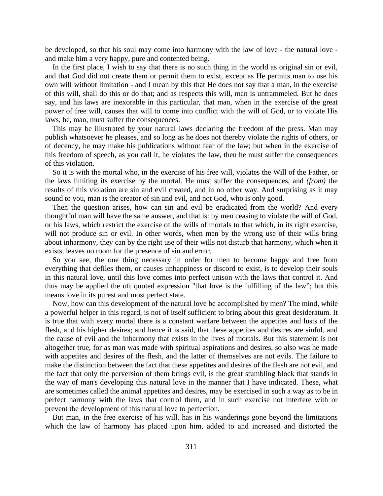be developed, so that his soul may come into harmony with the law of love - the natural love and make him a very happy, pure and contented being.

 In the first place, I wish to say that there is no such thing in the world as original sin or evil, and that God did not create them or permit them to exist, except as He permits man to use his own will without limitation - and I mean by this that He does not say that a man, in the exercise of this will, shall do this or do that; and as respects this will, man is untrammeled. But he does say, and his laws are inexorable in this particular, that man, when in the exercise of the great power of free will, causes that will to come into conflict with the will of God, or to violate His laws, he, man, must suffer the consequences.

 This may be illustrated by your natural laws declaring the freedom of the press. Man may publish whatsoever he pleases, and so long as he does not thereby violate the rights of others, or of decency, he may make his publications without fear of the law; but when in the exercise of this freedom of speech, as you call it, he violates the law, then he must suffer the consequences of this violation.

 So it is with the mortal who, in the exercise of his free will, violates the Will of the Father, or the laws limiting its exercise by the mortal. He must suffer the consequences, and *(from)* the results of this violation are sin and evil created, and in no other way. And surprising as it may sound to you, man is the creator of sin and evil, and not God, who is only good.

 Then the question arises, how can sin and evil be eradicated from the world? And every thoughtful man will have the same answer, and that is: by men ceasing to violate the will of God, or his laws, which restrict the exercise of the wills of mortals to that which, in its right exercise, will not produce sin or evil. In other words, when men by the wrong use of their wills bring about inharmony, they can by the right use of their wills not disturb that harmony, which when it exists, leaves no room for the presence of sin and error.

 So you see, the one thing necessary in order for men to become happy and free from everything that defiles them, or causes unhappiness or discord to exist, is to develop their souls in this natural love, until this love comes into perfect unison with the laws that control it. And thus may be applied the oft quoted expression "that love is the fulfilling of the law"; but this means love in its purest and most perfect state.

 Now, how can this development of the natural love be accomplished by men? The mind, while a powerful helper in this regard, is not of itself sufficient to bring about this great desideratum. It is true that with every mortal there is a constant warfare between the appetites and lusts of the flesh, and his higher desires; and hence it is said, that these appetites and desires are sinful, and the cause of evil and the inharmony that exists in the lives of mortals. But this statement is not altogether true, for as man was made with spiritual aspirations and desires, so also was he made with appetites and desires of the flesh, and the latter of themselves are not evils. The failure to make the distinction between the fact that these appetites and desires of the flesh are not evil, and the fact that only the perversion of them brings evil, is the great stumbling block that stands in the way of man's developing this natural love in the manner that I have indicated. These, what are sometimes called the animal appetites and desires, may be exercised in such a way as to be in perfect harmony with the laws that control them, and in such exercise not interfere with or prevent the development of this natural love to perfection.

 But man, in the free exercise of his will, has in his wanderings gone beyond the limitations which the law of harmony has placed upon him, added to and increased and distorted the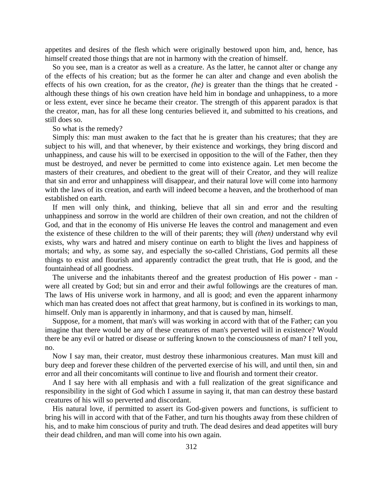appetites and desires of the flesh which were originally bestowed upon him, and, hence, has himself created those things that are not in harmony with the creation of himself.

 So you see, man is a creator as well as a creature. As the latter, he cannot alter or change any of the effects of his creation; but as the former he can alter and change and even abolish the effects of his own creation, for as the creator, *(he)* is greater than the things that he created although these things of his own creation have held him in bondage and unhappiness, to a more or less extent, ever since he became their creator. The strength of this apparent paradox is that the creator, man, has for all these long centuries believed it, and submitted to his creations, and still does so.

So what is the remedy?

 Simply this: man must awaken to the fact that he is greater than his creatures; that they are subject to his will, and that whenever, by their existence and workings, they bring discord and unhappiness, and cause his will to be exercised in opposition to the will of the Father, then they must be destroyed, and never be permitted to come into existence again. Let men become the masters of their creatures, and obedient to the great will of their Creator, and they will realize that sin and error and unhappiness will disappear, and their natural love will come into harmony with the laws of its creation, and earth will indeed become a heaven, and the brotherhood of man established on earth.

 If men will only think, and thinking, believe that all sin and error and the resulting unhappiness and sorrow in the world are children of their own creation, and not the children of God, and that in the economy of His universe He leaves the control and management and even the existence of these children to the will of their parents; they will *(then)* understand why evil exists, why wars and hatred and misery continue on earth to blight the lives and happiness of mortals; and why, as some say, and especially the so-called Christians, God permits all these things to exist and flourish and apparently contradict the great truth, that He is good, and the fountainhead of all goodness.

 The universe and the inhabitants thereof and the greatest production of His power - man were all created by God; but sin and error and their awful followings are the creatures of man. The laws of His universe work in harmony, and all is good; and even the apparent inharmony which man has created does not affect that great harmony, but is confined in its workings to man, himself. Only man is apparently in inharmony, and that is caused by man, himself.

 Suppose, for a moment, that man's will was working in accord with that of the Father; can you imagine that there would be any of these creatures of man's perverted will in existence? Would there be any evil or hatred or disease or suffering known to the consciousness of man? I tell you, no.

 Now I say man, their creator, must destroy these inharmonious creatures. Man must kill and bury deep and forever these children of the perverted exercise of his will, and until then, sin and error and all their concomitants will continue to live and flourish and torment their creator.

 And I say here with all emphasis and with a full realization of the great significance and responsibility in the sight of God which I assume in saying it, that man can destroy these bastard creatures of his will so perverted and discordant.

 His natural love, if permitted to assert its God-given powers and functions, is sufficient to bring his will in accord with that of the Father, and turn his thoughts away from these children of his, and to make him conscious of purity and truth. The dead desires and dead appetites will bury their dead children, and man will come into his own again.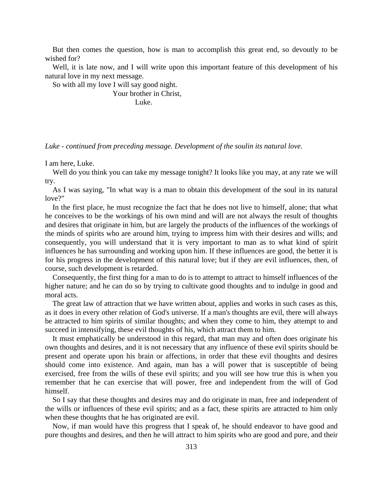But then comes the question, how is man to accomplish this great end, so devoutly to be wished for?

 Well, it is late now, and I will write upon this important feature of this development of his natural love in my next message.

So with all my love I will say good night.

Your brother in Christ,

Luke.

# *Luke - continued from preceding message. Development of the soulin its natural love.*

I am here, Luke.

Well do you think you can take my message tonight? It looks like you may, at any rate we will try.

 As I was saying, "In what way is a man to obtain this development of the soul in its natural love?"

 In the first place, he must recognize the fact that he does not live to himself, alone; that what he conceives to be the workings of his own mind and will are not always the result of thoughts and desires that originate in him, but are largely the products of the influences of the workings of the minds of spirits who are around him, trying to impress him with their desires and wills; and consequently, you will understand that it is very important to man as to what kind of spirit influences he has surrounding and working upon him. If these influences are good, the better it is for his progress in the development of this natural love; but if they are evil influences, then, of course, such development is retarded.

 Consequently, the first thing for a man to do is to attempt to attract to himself influences of the higher nature; and he can do so by trying to cultivate good thoughts and to indulge in good and moral acts.

 The great law of attraction that we have written about, applies and works in such cases as this, as it does in every other relation of God's universe. If a man's thoughts are evil, there will always be attracted to him spirits of similar thoughts; and when they come to him, they attempt to and succeed in intensifying, these evil thoughts of his, which attract them to him.

 It must emphatically be understood in this regard, that man may and often does originate his own thoughts and desires, and it is not necessary that any influence of these evil spirits should be present and operate upon his brain or affections, in order that these evil thoughts and desires should come into existence. And again, man has a will power that is susceptible of being exercised, free from the wills of these evil spirits; and you will see how true this is when you remember that he can exercise that will power, free and independent from the will of God himself.

 So I say that these thoughts and desires may and do originate in man, free and independent of the wills or influences of these evil spirits; and as a fact, these spirits are attracted to him only when these thoughts that he has originated are evil.

 Now, if man would have this progress that I speak of, he should endeavor to have good and pure thoughts and desires, and then he will attract to him spirits who are good and pure, and their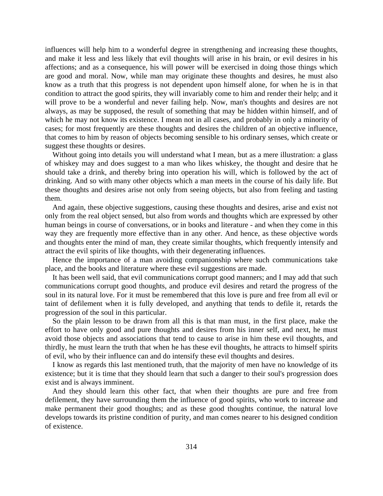influences will help him to a wonderful degree in strengthening and increasing these thoughts, and make it less and less likely that evil thoughts will arise in his brain, or evil desires in his affections; and as a consequence, his will power will be exercised in doing those things which are good and moral. Now, while man may originate these thoughts and desires, he must also know as a truth that this progress is not dependent upon himself alone, for when he is in that condition to attract the good spirits, they will invariably come to him and render their help; and it will prove to be a wonderful and never failing help. Now, man's thoughts and desires are not always, as may be supposed, the result of something that may be hidden within himself, and of which he may not know its existence. I mean not in all cases, and probably in only a minority of cases; for most frequently are these thoughts and desires the children of an objective influence, that comes to him by reason of objects becoming sensible to his ordinary senses, which create or suggest these thoughts or desires.

 Without going into details you will understand what I mean, but as a mere illustration: a glass of whiskey may and does suggest to a man who likes whiskey, the thought and desire that he should take a drink, and thereby bring into operation his will, which is followed by the act of drinking. And so with many other objects which a man meets in the course of his daily life. But these thoughts and desires arise not only from seeing objects, but also from feeling and tasting them.

 And again, these objective suggestions, causing these thoughts and desires, arise and exist not only from the real object sensed, but also from words and thoughts which are expressed by other human beings in course of conversations, or in books and literature - and when they come in this way they are frequently more effective than in any other. And hence, as these objective words and thoughts enter the mind of man, they create similar thoughts, which frequently intensify and attract the evil spirits of like thoughts, with their degenerating influences.

 Hence the importance of a man avoiding companionship where such communications take place, and the books and literature where these evil suggestions are made.

 It has been well said, that evil communications corrupt good manners; and I may add that such communications corrupt good thoughts, and produce evil desires and retard the progress of the soul in its natural love. For it must be remembered that this love is pure and free from all evil or taint of defilement when it is fully developed, and anything that tends to defile it, retards the progression of the soul in this particular.

 So the plain lesson to be drawn from all this is that man must, in the first place, make the effort to have only good and pure thoughts and desires from his inner self, and next, he must avoid those objects and associations that tend to cause to arise in him these evil thoughts, and thirdly, he must learn the truth that when he has these evil thoughts, he attracts to himself spirits of evil, who by their influence can and do intensify these evil thoughts and desires.

 I know as regards this last mentioned truth, that the majority of men have no knowledge of its existence; but it is time that they should learn that such a danger to their soul's progression does exist and is always imminent.

 And they should learn this other fact, that when their thoughts are pure and free from defilement, they have surrounding them the influence of good spirits, who work to increase and make permanent their good thoughts; and as these good thoughts continue, the natural love develops towards its pristine condition of purity, and man comes nearer to his designed condition of existence.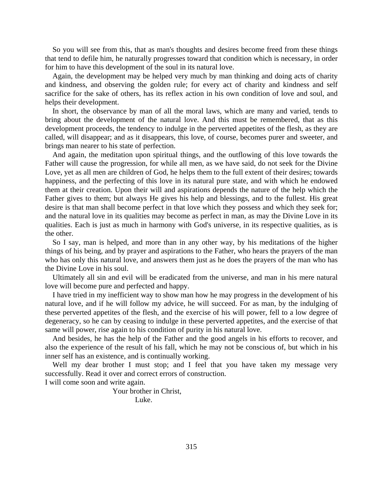So you will see from this, that as man's thoughts and desires become freed from these things that tend to defile him, he naturally progresses toward that condition which is necessary, in order for him to have this development of the soul in its natural love.

 Again, the development may be helped very much by man thinking and doing acts of charity and kindness, and observing the golden rule; for every act of charity and kindness and self sacrifice for the sake of others, has its reflex action in his own condition of love and soul, and helps their development.

 In short, the observance by man of all the moral laws, which are many and varied, tends to bring about the development of the natural love. And this must be remembered, that as this development proceeds, the tendency to indulge in the perverted appetites of the flesh, as they are called, will disappear; and as it disappears, this love, of course, becomes purer and sweeter, and brings man nearer to his state of perfection.

 And again, the meditation upon spiritual things, and the outflowing of this love towards the Father will cause the progression, for while all men, as we have said, do not seek for the Divine Love, yet as all men are children of God, he helps them to the full extent of their desires; towards happiness, and the perfecting of this love in its natural pure state, and with which he endowed them at their creation. Upon their will and aspirations depends the nature of the help which the Father gives to them; but always He gives his help and blessings, and to the fullest. His great desire is that man shall become perfect in that love which they possess and which they seek for; and the natural love in its qualities may become as perfect in man, as may the Divine Love in its qualities. Each is just as much in harmony with God's universe, in its respective qualities, as is the other.

 So I say, man is helped, and more than in any other way, by his meditations of the higher things of his being, and by prayer and aspirations to the Father, who hears the prayers of the man who has only this natural love, and answers them just as he does the prayers of the man who has the Divine Love in his soul.

 Ultimately all sin and evil will be eradicated from the universe, and man in his mere natural love will become pure and perfected and happy.

 I have tried in my inefficient way to show man how he may progress in the development of his natural love, and if he will follow my advice, he will succeed. For as man, by the indulging of these perverted appetites of the flesh, and the exercise of his will power, fell to a low degree of degeneracy, so he can by ceasing to indulge in these perverted appetites, and the exercise of that same will power, rise again to his condition of purity in his natural love.

 And besides, he has the help of the Father and the good angels in his efforts to recover, and also the experience of the result of his fall, which he may not be conscious of, but which in his inner self has an existence, and is continually working.

Well my dear brother I must stop; and I feel that you have taken my message very successfully. Read it over and correct errors of construction.

I will come soon and write again.

 Your brother in Christ, Luke.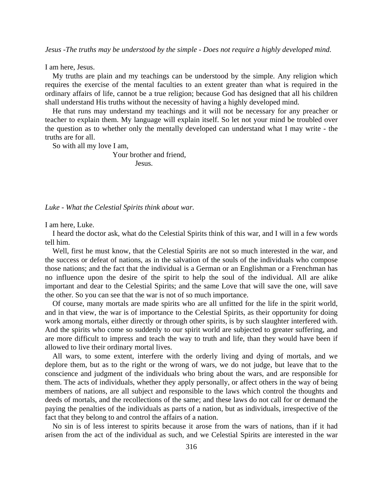*Jesus -The truths may be understood by the simple - Does not require a highly developed mind.* 

I am here, Jesus.

 My truths are plain and my teachings can be understood by the simple. Any religion which requires the exercise of the mental faculties to an extent greater than what is required in the ordinary affairs of life, cannot be a true religion; because God has designed that all his children shall understand His truths without the necessity of having a highly developed mind.

 He that runs may understand my teachings and it will not be necessary for any preacher or teacher to explain them. My language will explain itself. So let not your mind be troubled over the question as to whether only the mentally developed can understand what I may write - the truths are for all.

So with all my love I am,

 Your brother and friend, Jesus.

*Luke - What the Celestial Spirits think about war.* 

I am here, Luke.

 I heard the doctor ask, what do the Celestial Spirits think of this war, and I will in a few words tell him.

 Well, first he must know, that the Celestial Spirits are not so much interested in the war, and the success or defeat of nations, as in the salvation of the souls of the individuals who compose those nations; and the fact that the individual is a German or an Englishman or a Frenchman has no influence upon the desire of the spirit to help the soul of the individual. All are alike important and dear to the Celestial Spirits; and the same Love that will save the one, will save the other. So you can see that the war is not of so much importance.

 Of course, many mortals are made spirits who are all unfitted for the life in the spirit world, and in that view, the war is of importance to the Celestial Spirits, as their opportunity for doing work among mortals, either directly or through other spirits, is by such slaughter interfered with. And the spirits who come so suddenly to our spirit world are subjected to greater suffering, and are more difficult to impress and teach the way to truth and life, than they would have been if allowed to live their ordinary mortal lives.

 All wars, to some extent, interfere with the orderly living and dying of mortals, and we deplore them, but as to the right or the wrong of wars, we do not judge, but leave that to the conscience and judgment of the individuals who bring about the wars, and are responsible for them. The acts of individuals, whether they apply personally, or affect others in the way of being members of nations, are all subject and responsible to the laws which control the thoughts and deeds of mortals, and the recollections of the same; and these laws do not call for or demand the paying the penalties of the individuals as parts of a nation, but as individuals, irrespective of the fact that they belong to and control the affairs of a nation.

 No sin is of less interest to spirits because it arose from the wars of nations, than if it had arisen from the act of the individual as such, and we Celestial Spirits are interested in the war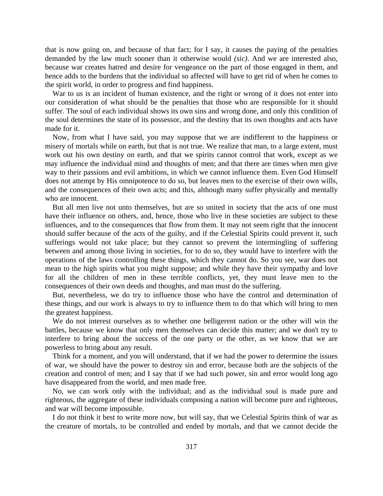that is now going on, and because of that fact; for I say, it causes the paying of the penalties demanded by the law much sooner than it otherwise would *(sic)*. And we are interested also, because war creates hatred and desire for vengeance on the part of those engaged in them, and hence adds to the burdens that the individual so affected will have to get rid of when he comes to the spirit world, in order to progress and find happiness.

War to us is an incident of human existence, and the right or wrong of it does not enter into our consideration of what should be the penalties that those who are responsible for it should suffer. The soul of each individual shows its own sins and wrong done, and only this condition of the soul determines the state of its possessor, and the destiny that its own thoughts and acts have made for it.

 Now, from what I have said, you may suppose that we are indifferent to the happiness or misery of mortals while on earth, but that is not true. We realize that man, to a large extent, must work out his own destiny on earth, and that we spirits cannot control that work, except as we may influence the individual mind and thoughts of men; and that there are times when men give way to their passions and evil ambitions, in which we cannot influence them. Even God Himself does not attempt by His omnipotence to do so, but leaves men to the exercise of their own wills, and the consequences of their own acts; and this, although many suffer physically and mentally who are innocent.

 But all men live not unto themselves, but are so united in society that the acts of one must have their influence on others, and, hence, those who live in these societies are subject to these influences, and to the consequences that flow from them. It may not seem right that the innocent should suffer because of the acts of the guilty, and if the Celestial Spirits could prevent it, such sufferings would not take place; but they cannot so prevent the intermingling of suffering between and among those living in societies, for to do so, they would have to interfere with the operations of the laws controlling these things, which they cannot do. So you see, war does not mean to the high spirits what you might suppose; and while they have their sympathy and love for all the children of men in these terrible conflicts, yet, they must leave men to the consequences of their own deeds and thoughts, and man must do the suffering.

 But, nevertheless, we do try to influence those who have the control and determination of these things, and our work is always to try to influence them to do that which will bring to men the greatest happiness.

 We do not interest ourselves as to whether one belligerent nation or the other will win the battles, because we know that only men themselves can decide this matter; and we don't try to interfere to bring about the success of the one party or the other, as we know that we are powerless to bring about any result.

 Think for a moment, and you will understand, that if we had the power to determine the issues of war, we should have the power to destroy sin and error, because both are the subjects of the creation and control of men; and I say that if we had such power, sin and error would long ago have disappeared from the world, and men made free.

 No, we can work only with the individual; and as the individual soul is made pure and righteous, the aggregate of these individuals composing a nation will become pure and righteous, and war will become impossible.

 I do not think it best to write more now, but will say, that we Celestial Spirits think of war as the creature of mortals, to be controlled and ended by mortals, and that we cannot decide the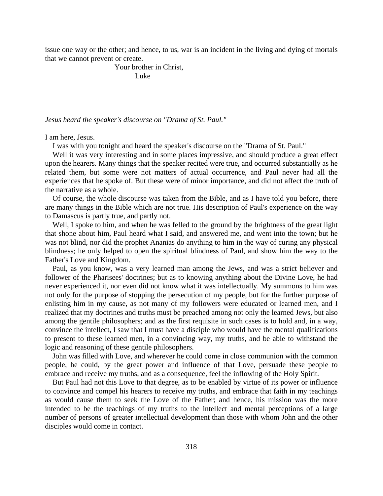issue one way or the other; and hence, to us, war is an incident in the living and dying of mortals that we cannot prevent or create.

Your brother in Christ,

Luke

*Jesus heard the speaker's discourse on "Drama of St. Paul."* 

I am here, Jesus.

I was with you tonight and heard the speaker's discourse on the "Drama of St. Paul."

 Well it was very interesting and in some places impressive, and should produce a great effect upon the hearers. Many things that the speaker recited were true, and occurred substantially as he related them, but some were not matters of actual occurrence, and Paul never had all the experiences that he spoke of. But these were of minor importance, and did not affect the truth of the narrative as a whole.

 Of course, the whole discourse was taken from the Bible, and as I have told you before, there are many things in the Bible which are not true. His description of Paul's experience on the way to Damascus is partly true, and partly not.

 Well, I spoke to him, and when he was felled to the ground by the brightness of the great light that shone about him, Paul heard what I said, and answered me, and went into the town; but he was not blind, nor did the prophet Ananias do anything to him in the way of curing any physical blindness; he only helped to open the spiritual blindness of Paul, and show him the way to the Father's Love and Kingdom.

 Paul, as you know, was a very learned man among the Jews, and was a strict believer and follower of the Pharisees' doctrines; but as to knowing anything about the Divine Love, he had never experienced it, nor even did not know what it was intellectually. My summons to him was not only for the purpose of stopping the persecution of my people, but for the further purpose of enlisting him in my cause, as not many of my followers were educated or learned men, and I realized that my doctrines and truths must be preached among not only the learned Jews, but also among the gentile philosophers; and as the first requisite in such cases is to hold and, in a way, convince the intellect, I saw that I must have a disciple who would have the mental qualifications to present to these learned men, in a convincing way, my truths, and be able to withstand the logic and reasoning of these gentile philosophers.

 John was filled with Love, and wherever he could come in close communion with the common people, he could, by the great power and influence of that Love, persuade these people to embrace and receive my truths, and as a consequence, feel the inflowing of the Holy Spirit.

 But Paul had not this Love to that degree, as to be enabled by virtue of its power or influence to convince and compel his hearers to receive my truths, and embrace that faith in my teachings as would cause them to seek the Love of the Father; and hence, his mission was the more intended to be the teachings of my truths to the intellect and mental perceptions of a large number of persons of greater intellectual development than those with whom John and the other disciples would come in contact.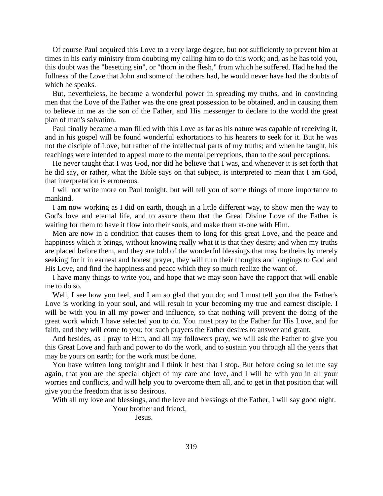Of course Paul acquired this Love to a very large degree, but not sufficiently to prevent him at times in his early ministry from doubting my calling him to do this work; and, as he has told you, this doubt was the "besetting sin", or "thorn in the flesh," from which he suffered. Had he had the fullness of the Love that John and some of the others had, he would never have had the doubts of which he speaks.

 But, nevertheless, he became a wonderful power in spreading my truths, and in convincing men that the Love of the Father was the one great possession to be obtained, and in causing them to believe in me as the son of the Father, and His messenger to declare to the world the great plan of man's salvation.

 Paul finally became a man filled with this Love as far as his nature was capable of receiving it, and in his gospel will be found wonderful exhortations to his hearers to seek for it. But he was not the disciple of Love, but rather of the intellectual parts of my truths; and when he taught, his teachings were intended to appeal more to the mental perceptions, than to the soul perceptions.

 He never taught that I was God, nor did he believe that I was, and whenever it is set forth that he did say, or rather, what the Bible says on that subject, is interpreted to mean that I am God, that interpretation is erroneous.

 I will not write more on Paul tonight, but will tell you of some things of more importance to mankind.

 I am now working as I did on earth, though in a little different way, to show men the way to God's love and eternal life, and to assure them that the Great Divine Love of the Father is waiting for them to have it flow into their souls, and make them at-one with Him.

 Men are now in a condition that causes them to long for this great Love, and the peace and happiness which it brings, without knowing really what it is that they desire; and when my truths are placed before them, and they are told of the wonderful blessings that may be theirs by merely seeking for it in earnest and honest prayer, they will turn their thoughts and longings to God and His Love, and find the happiness and peace which they so much realize the want of.

 I have many things to write you, and hope that we may soon have the rapport that will enable me to do so.

Well, I see how you feel, and I am so glad that you do; and I must tell you that the Father's Love is working in your soul, and will result in your becoming my true and earnest disciple. I will be with you in all my power and influence, so that nothing will prevent the doing of the great work which I have selected you to do. You must pray to the Father for His Love, and for faith, and they will come to you; for such prayers the Father desires to answer and grant.

 And besides, as I pray to Him, and all my followers pray, we will ask the Father to give you this Great Love and faith and power to do the work, and to sustain you through all the years that may be yours on earth; for the work must be done.

 You have written long tonight and I think it best that I stop. But before doing so let me say again, that you are the special object of my care and love, and I will be with you in all your worries and conflicts, and will help you to overcome them all, and to get in that position that will give you the freedom that is so desirous.

With all my love and blessings, and the love and blessings of the Father, I will say good night.

Your brother and friend,

Jesus.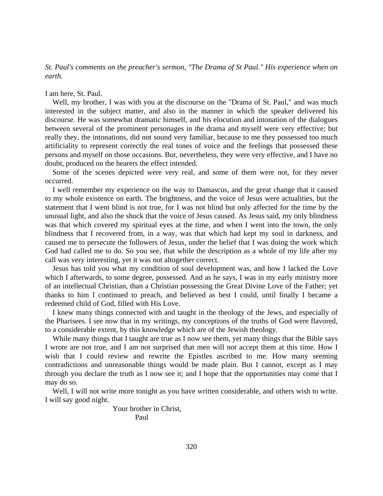*St. Paul's comments on the preacher's sermon, "The Drama of St Paul." His experience when on earth.* 

I am here, St. Paul.

 Well, my brother, I was with you at the discourse on the "Drama of St. Paul," and was much interested in the subject matter, and also in the manner in which the speaker delivered his discourse. He was somewhat dramatic himself, and his elocution and intonation of the dialogues between several of the prominent personages in the drama and myself were very effective; but really they, the intonations, did not sound very familiar, because to me they possessed too much artificiality to represent correctly the real tones of voice and the feelings that possessed these persons and myself on those occasions. But, nevertheless, they were very effective, and I have no doubt, produced on the hearers the effect intended.

 Some of the scenes depicted were very real, and some of them were not, for they never occurred.

 I well remember my experience on the way to Damascus, and the great change that it caused to my whole existence on earth. The brightness, and the voice of Jesus were actualities, but the statement that I went blind is not true, for I was not blind but only affected for the time by the unusual light, and also the shock that the voice of Jesus caused. As Jesus said, my only blindness was that which covered my spiritual eyes at the time, and when I went into the town, the only blindness that I recovered from, in a way, was that which had kept my soul in darkness, and caused me to persecute the followers of Jesus, under the belief that I was doing the work which God had called me to do. So you see, that while the description as a whole of my life after my call was very interesting, yet it was not altogether correct.

 Jesus has told you what my condition of soul development was, and how I lacked the Love which I afterwards, to some degree, possessed. And as he says, I was in my early ministry more of an intellectual Christian, than a Christian possessing the Great Divine Love of the Father; yet thanks to him I continued to preach, and believed as best I could, until finally I became a redeemed child of God, filled with His Love.

 I knew many things connected with and taught in the theology of the Jews, and especially of the Pharisees. I see now that in my writings, my conceptions of the truths of God were flavored, to a considerable extent, by this knowledge which are of the Jewish theology.

 While many things that I taught are true as I now see them, yet many things that the Bible says I wrote are not true, and I am not surprised that men will not accept them at this time. How I wish that I could review and rewrite the Epistles ascribed to me. How many seeming contradictions and unreasonable things would be made plain. But I cannot, except as I may through you declare the truth as I now see it; and I hope that the opportunities may come that I may do so.

 Well, I will not write more tonight as you have written considerable, and others wish to write. I will say good night.

Your brother in Christ,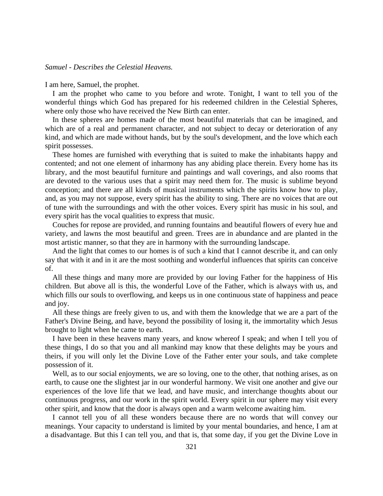## *Samuel - Describes the Celestial Heavens.*

#### I am here, Samuel, the prophet.

 I am the prophet who came to you before and wrote. Tonight, I want to tell you of the wonderful things which God has prepared for his redeemed children in the Celestial Spheres, where only those who have received the New Birth can enter.

 In these spheres are homes made of the most beautiful materials that can be imagined, and which are of a real and permanent character, and not subject to decay or deterioration of any kind, and which are made without hands, but by the soul's development, and the love which each spirit possesses.

 These homes are furnished with everything that is suited to make the inhabitants happy and contented; and not one element of inharmony has any abiding place therein. Every home has its library, and the most beautiful furniture and paintings and wall coverings, and also rooms that are devoted to the various uses that a spirit may need them for. The music is sublime beyond conception; and there are all kinds of musical instruments which the spirits know how to play, and, as you may not suppose, every spirit has the ability to sing. There are no voices that are out of tune with the surroundings and with the other voices. Every spirit has music in his soul, and every spirit has the vocal qualities to express that music.

 Couches for repose are provided, and running fountains and beautiful flowers of every hue and variety, and lawns the most beautiful and green. Trees are in abundance and are planted in the most artistic manner, so that they are in harmony with the surrounding landscape.

 And the light that comes to our homes is of such a kind that I cannot describe it, and can only say that with it and in it are the most soothing and wonderful influences that spirits can conceive of.

 All these things and many more are provided by our loving Father for the happiness of His children. But above all is this, the wonderful Love of the Father, which is always with us, and which fills our souls to overflowing, and keeps us in one continuous state of happiness and peace and joy.

 All these things are freely given to us, and with them the knowledge that we are a part of the Father's Divine Being, and have, beyond the possibility of losing it, the immortality which Jesus brought to light when he came to earth.

 I have been in these heavens many years, and know whereof I speak; and when I tell you of these things, I do so that you and all mankind may know that these delights may be yours and theirs, if you will only let the Divine Love of the Father enter your souls, and take complete possession of it.

 Well, as to our social enjoyments, we are so loving, one to the other, that nothing arises, as on earth, to cause one the slightest jar in our wonderful harmony. We visit one another and give our experiences of the love life that we lead, and have music, and interchange thoughts about our continuous progress, and our work in the spirit world. Every spirit in our sphere may visit every other spirit, and know that the door is always open and a warm welcome awaiting him.

 I cannot tell you of all these wonders because there are no words that will convey our meanings. Your capacity to understand is limited by your mental boundaries, and hence, I am at a disadvantage. But this I can tell you, and that is, that some day, if you get the Divine Love in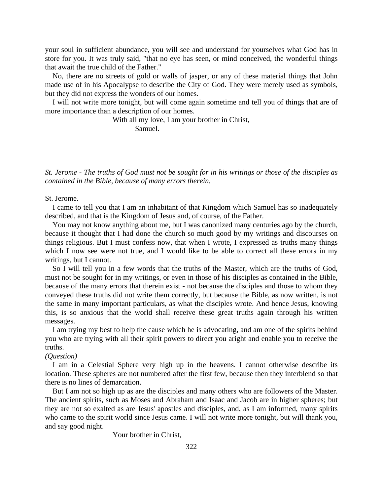your soul in sufficient abundance, you will see and understand for yourselves what God has in store for you. It was truly said, "that no eye has seen, or mind conceived, the wonderful things that await the true child of the Father."

 No, there are no streets of gold or walls of jasper, or any of these material things that John made use of in his Apocalypse to describe the City of God. They were merely used as symbols, but they did not express the wonders of our homes.

 I will not write more tonight, but will come again sometime and tell you of things that are of more importance than a description of our homes.

With all my love, I am your brother in Christ,

Samuel.

*St. Jerome - The truths of God must not be sought for in his writings or those of the disciples as contained in the Bible, because of many errors therein.* 

St. Jerome.

 I came to tell you that I am an inhabitant of that Kingdom which Samuel has so inadequately described, and that is the Kingdom of Jesus and, of course, of the Father.

 You may not know anything about me, but I was canonized many centuries ago by the church, because it thought that I had done the church so much good by my writings and discourses on things religious. But I must confess now, that when I wrote, I expressed as truths many things which I now see were not true, and I would like to be able to correct all these errors in my writings, but I cannot.

 So I will tell you in a few words that the truths of the Master, which are the truths of God, must not be sought for in my writings, or even in those of his disciples as contained in the Bible, because of the many errors that therein exist - not because the disciples and those to whom they conveyed these truths did not write them correctly, but because the Bible, as now written, is not the same in many important particulars, as what the disciples wrote. And hence Jesus, knowing this, is so anxious that the world shall receive these great truths again through his written messages.

 I am trying my best to help the cause which he is advocating, and am one of the spirits behind you who are trying with all their spirit powers to direct you aright and enable you to receive the truths.

## *(Question)*

I am in a Celestial Sphere very high up in the heavens. I cannot otherwise describe its location. These spheres are not numbered after the first few, because then they interblend so that there is no lines of demarcation.

 But I am not so high up as are the disciples and many others who are followers of the Master. The ancient spirits, such as Moses and Abraham and Isaac and Jacob are in higher spheres; but they are not so exalted as are Jesus' apostles and disciples, and, as I am informed, many spirits who came to the spirit world since Jesus came. I will not write more tonight, but will thank you, and say good night.

Your brother in Christ,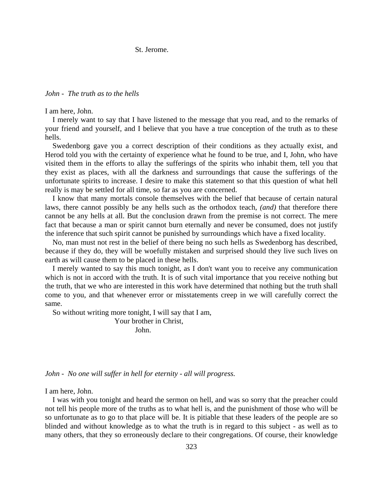## St. Jerome.

# *John - The truth as to the hells*

I am here, John.

 I merely want to say that I have listened to the message that you read, and to the remarks of your friend and yourself, and I believe that you have a true conception of the truth as to these hells.

 Swedenborg gave you a correct description of their conditions as they actually exist, and Herod told you with the certainty of experience what he found to be true, and I, John, who have visited them in the efforts to allay the sufferings of the spirits who inhabit them, tell you that they exist as places, with all the darkness and surroundings that cause the sufferings of the unfortunate spirits to increase. I desire to make this statement so that this question of what hell really is may be settled for all time, so far as you are concerned.

 I know that many mortals console themselves with the belief that because of certain natural laws, there cannot possibly be any hells such as the orthodox teach, *(and)* that therefore there cannot be any hells at all. But the conclusion drawn from the premise is not correct. The mere fact that because a man or spirit cannot burn eternally and never be consumed, does not justify the inference that such spirit cannot be punished by surroundings which have a fixed locality.

 No, man must not rest in the belief of there being no such hells as Swedenborg has described, because if they do, they will be woefully mistaken and surprised should they live such lives on earth as will cause them to be placed in these hells.

 I merely wanted to say this much tonight, as I don't want you to receive any communication which is not in accord with the truth. It is of such vital importance that you receive nothing but the truth, that we who are interested in this work have determined that nothing but the truth shall come to you, and that whenever error or misstatements creep in we will carefully correct the same.

So without writing more tonight, I will say that I am,

 Your brother in Christ, John.

#### *John - No one will suffer in hell for eternity - all will progress.*

I am here, John.

 I was with you tonight and heard the sermon on hell, and was so sorry that the preacher could not tell his people more of the truths as to what hell is, and the punishment of those who will be so unfortunate as to go to that place will be. It is pitiable that these leaders of the people are so blinded and without knowledge as to what the truth is in regard to this subject - as well as to many others, that they so erroneously declare to their congregations. Of course, their knowledge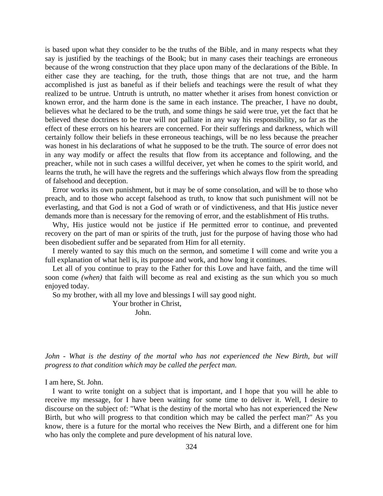is based upon what they consider to be the truths of the Bible, and in many respects what they say is justified by the teachings of the Book; but in many cases their teachings are erroneous because of the wrong construction that they place upon many of the declarations of the Bible. In either case they are teaching, for the truth, those things that are not true, and the harm accomplished is just as baneful as if their beliefs and teachings were the result of what they realized to be untrue. Untruth is untruth, no matter whether it arises from honest conviction or known error, and the harm done is the same in each instance. The preacher, I have no doubt, believes what he declared to be the truth, and some things he said were true, yet the fact that he believed these doctrines to be true will not palliate in any way his responsibility, so far as the effect of these errors on his hearers are concerned. For their sufferings and darkness, which will certainly follow their beliefs in these erroneous teachings, will be no less because the preacher was honest in his declarations of what he supposed to be the truth. The source of error does not in any way modify or affect the results that flow from its acceptance and following, and the preacher, while not in such cases a willful deceiver, yet when he comes to the spirit world, and learns the truth, he will have the regrets and the sufferings which always flow from the spreading of falsehood and deception.

 Error works its own punishment, but it may be of some consolation, and will be to those who preach, and to those who accept falsehood as truth, to know that such punishment will not be everlasting, and that God is not a God of wrath or of vindictiveness, and that His justice never demands more than is necessary for the removing of error, and the establishment of His truths.

 Why, His justice would not be justice if He permitted error to continue, and prevented recovery on the part of man or spirits of the truth, just for the purpose of having those who had been disobedient suffer and be separated from Him for all eternity.

 I merely wanted to say this much on the sermon, and sometime I will come and write you a full explanation of what hell is, its purpose and work, and how long it continues.

 Let all of you continue to pray to the Father for this Love and have faith, and the time will soon come *(when)* that faith will become as real and existing as the sun which you so much enjoyed today.

So my brother, with all my love and blessings I will say good night.

 Your brother in Christ, John.

*John - What is the destiny of the mortal who has not experienced the New Birth, but will progress to that condition which may be called the perfect man.* 

I am here, St. John.

 I want to write tonight on a subject that is important, and I hope that you will he able to receive my message, for I have been waiting for some time to deliver it. Well, I desire to discourse on the subject of: "What is the destiny of the mortal who has not experienced the New Birth, but who will progress to that condition which may be called the perfect man?" As you know, there is a future for the mortal who receives the New Birth, and a different one for him who has only the complete and pure development of his natural love.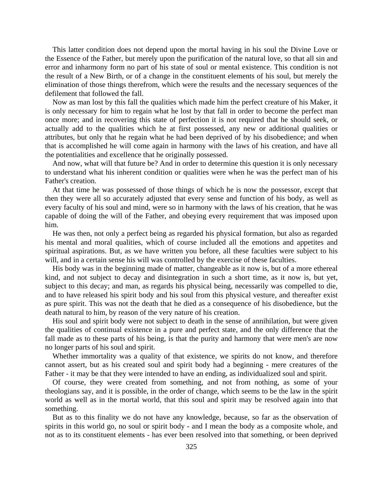This latter condition does not depend upon the mortal having in his soul the Divine Love or the Essence of the Father, but merely upon the purification of the natural love, so that all sin and error and inharmony form no part of his state of soul or mental existence. This condition is not the result of a New Birth, or of a change in the constituent elements of his soul, but merely the elimination of those things therefrom, which were the results and the necessary sequences of the defilement that followed the fall.

 Now as man lost by this fall the qualities which made him the perfect creature of his Maker, it is only necessary for him to regain what he lost by that fall in order to become the perfect man once more; and in recovering this state of perfection it is not required that he should seek, or actually add to the qualities which he at first possessed, any new or additional qualities or attributes, but only that he regain what he had been deprived of by his disobedience; and when that is accomplished he will come again in harmony with the laws of his creation, and have all the potentialities and excellence that he originally possessed.

 And now, what will that future be? And in order to determine this question it is only necessary to understand what his inherent condition or qualities were when he was the perfect man of his Father's creation.

 At that time he was possessed of those things of which he is now the possessor, except that then they were all so accurately adjusted that every sense and function of his body, as well as every faculty of his soul and mind, were so in harmony with the laws of his creation, that he was capable of doing the will of the Father, and obeying every requirement that was imposed upon him.

 He was then, not only a perfect being as regarded his physical formation, but also as regarded his mental and moral qualities, which of course included all the emotions and appetites and spiritual aspirations. But, as we have written you before, all these faculties were subject to his will, and in a certain sense his will was controlled by the exercise of these faculties.

 His body was in the beginning made of matter, changeable as it now is, but of a more ethereal kind, and not subject to decay and disintegration in such a short time, as it now is, but yet, subject to this decay; and man, as regards his physical being, necessarily was compelled to die, and to have released his spirit body and his soul from this physical vesture, and thereafter exist as pure spirit. This was not the death that he died as a consequence of his disobedience, but the death natural to him, by reason of the very nature of his creation.

 His soul and spirit body were not subject to death in the sense of annihilation, but were given the qualities of continual existence in a pure and perfect state, and the only difference that the fall made as to these parts of his being, is that the purity and harmony that were men's are now no longer parts of his soul and spirit.

 Whether immortality was a quality of that existence, we spirits do not know, and therefore cannot assert, but as his created soul and spirit body had a beginning - mere creatures of the Father - it may be that they were intended to have an ending, as individualized soul and spirit.

 Of course, they were created from something, and not from nothing, as some of your theologians say, and it is possible, in the order of change, which seems to be the law in the spirit world as well as in the mortal world, that this soul and spirit may be resolved again into that something.

 But as to this finality we do not have any knowledge, because, so far as the observation of spirits in this world go, no soul or spirit body - and I mean the body as a composite whole, and not as to its constituent elements - has ever been resolved into that something, or been deprived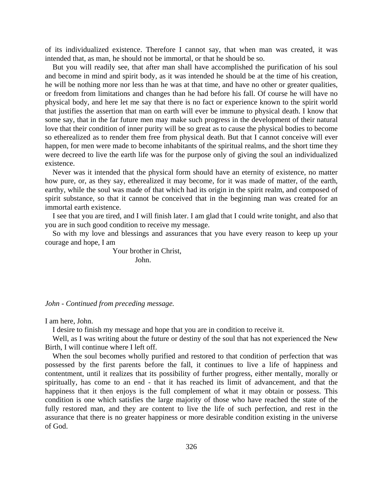of its individualized existence. Therefore I cannot say, that when man was created, it was intended that, as man, he should not be immortal, or that he should be so.

 But you will readily see, that after man shall have accomplished the purification of his soul and become in mind and spirit body, as it was intended he should be at the time of his creation, he will be nothing more nor less than he was at that time, and have no other or greater qualities, or freedom from limitations and changes than he had before his fall. Of course he will have no physical body, and here let me say that there is no fact or experience known to the spirit world that justifies the assertion that man on earth will ever be immune to physical death. I know that some say, that in the far future men may make such progress in the development of their natural love that their condition of inner purity will be so great as to cause the physical bodies to become so etherealized as to render them free from physical death. But that I cannot conceive will ever happen, for men were made to become inhabitants of the spiritual realms, and the short time they were decreed to live the earth life was for the purpose only of giving the soul an individualized existence.

 Never was it intended that the physical form should have an eternity of existence, no matter how pure, or, as they say, etherealized it may become, for it was made of matter, of the earth, earthy, while the soul was made of that which had its origin in the spirit realm, and composed of spirit substance, so that it cannot be conceived that in the beginning man was created for an immortal earth existence.

 I see that you are tired, and I will finish later. I am glad that I could write tonight, and also that you are in such good condition to receive my message.

 So with my love and blessings and assurances that you have every reason to keep up your courage and hope, I am

> Your brother in Christ, John.

*John - Continued from preceding message.* 

I am here, John.

I desire to finish my message and hope that you are in condition to receive it.

 Well, as I was writing about the future or destiny of the soul that has not experienced the New Birth, I will continue where I left off.

 When the soul becomes wholly purified and restored to that condition of perfection that was possessed by the first parents before the fall, it continues to live a life of happiness and contentment, until it realizes that its possibility of further progress, either mentally, morally or spiritually, has come to an end - that it has reached its limit of advancement, and that the happiness that it then enjoys is the full complement of what it may obtain or possess. This condition is one which satisfies the large majority of those who have reached the state of the fully restored man, and they are content to live the life of such perfection, and rest in the assurance that there is no greater happiness or more desirable condition existing in the universe of God.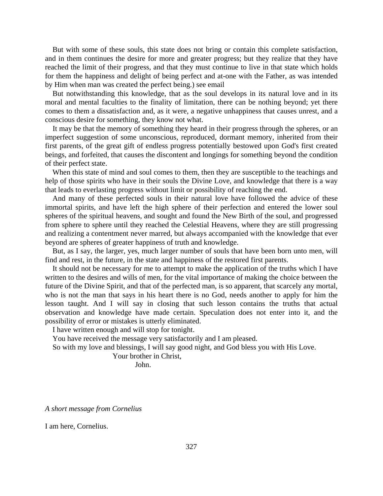But with some of these souls, this state does not bring or contain this complete satisfaction, and in them continues the desire for more and greater progress; but they realize that they have reached the limit of their progress, and that they must continue to live in that state which holds for them the happiness and delight of being perfect and at-one with the Father, as was intended by Him when man was created the perfect being.) see email

 But notwithstanding this knowledge, that as the soul develops in its natural love and in its moral and mental faculties to the finality of limitation, there can be nothing beyond; yet there comes to them a dissatisfaction and, as it were, a negative unhappiness that causes unrest, and a conscious desire for something, they know not what.

 It may be that the memory of something they heard in their progress through the spheres, or an imperfect suggestion of some unconscious, reproduced, dormant memory, inherited from their first parents, of the great gift of endless progress potentially bestowed upon God's first created beings, and forfeited, that causes the discontent and longings for something beyond the condition of their perfect state.

 When this state of mind and soul comes to them, then they are susceptible to the teachings and help of those spirits who have in their souls the Divine Love, and knowledge that there is a way that leads to everlasting progress without limit or possibility of reaching the end.

 And many of these perfected souls in their natural love have followed the advice of these immortal spirits, and have left the high sphere of their perfection and entered the lower soul spheres of the spiritual heavens, and sought and found the New Birth of the soul, and progressed from sphere to sphere until they reached the Celestial Heavens, where they are still progressing and realizing a contentment never marred, but always accompanied with the knowledge that ever beyond are spheres of greater happiness of truth and knowledge.

 But, as I say, the larger, yes, much larger number of souls that have been born unto men, will find and rest, in the future, in the state and happiness of the restored first parents.

 It should not be necessary for me to attempt to make the application of the truths which I have written to the desires and wills of men, for the vital importance of making the choice between the future of the Divine Spirit, and that of the perfected man, is so apparent, that scarcely any mortal, who is not the man that says in his heart there is no God, needs another to apply for him the lesson taught. And I will say in closing that such lesson contains the truths that actual observation and knowledge have made certain. Speculation does not enter into it, and the possibility of error or mistakes is utterly eliminated.

I have written enough and will stop for tonight.

You have received the message very satisfactorily and I am pleased.

So with my love and blessings, I will say good night, and God bless you with His Love.

Your brother in Christ,

John.

*A short message from Cornelius* 

I am here, Cornelius.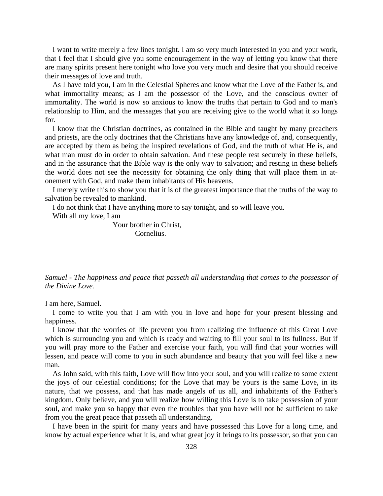I want to write merely a few lines tonight. I am so very much interested in you and your work, that I feel that I should give you some encouragement in the way of letting you know that there are many spirits present here tonight who love you very much and desire that you should receive their messages of love and truth.

 As I have told you, I am in the Celestial Spheres and know what the Love of the Father is, and what immortality means; as I am the possessor of the Love, and the conscious owner of immortality. The world is now so anxious to know the truths that pertain to God and to man's relationship to Him, and the messages that you are receiving give to the world what it so longs for.

 I know that the Christian doctrines, as contained in the Bible and taught by many preachers and priests, are the only doctrines that the Christians have any knowledge of, and, consequently, are accepted by them as being the inspired revelations of God, and the truth of what He is, and what man must do in order to obtain salvation. And these people rest securely in these beliefs, and in the assurance that the Bible way is the only way to salvation; and resting in these beliefs the world does not see the necessity for obtaining the only thing that will place them in atonement with God, and make them inhabitants of His heavens.

 I merely write this to show you that it is of the greatest importance that the truths of the way to salvation be revealed to mankind.

I do not think that I have anything more to say tonight, and so will leave you.

With all my love, I am

 Your brother in Christ, Cornelius.

*Samuel - The happiness and peace that passeth all understanding that comes to the possessor of the Divine Love.* 

I am here, Samuel.

 I come to write you that I am with you in love and hope for your present blessing and happiness.

 I know that the worries of life prevent you from realizing the influence of this Great Love which is surrounding you and which is ready and waiting to fill your soul to its fullness. But if you will pray more to the Father and exercise your faith, you will find that your worries will lessen, and peace will come to you in such abundance and beauty that you will feel like a new man.

 As John said, with this faith, Love will flow into your soul, and you will realize to some extent the joys of our celestial conditions; for the Love that may be yours is the same Love, in its nature, that we possess, and that has made angels of us all, and inhabitants of the Father's kingdom. Only believe, and you will realize how willing this Love is to take possession of your soul, and make you so happy that even the troubles that you have will not be sufficient to take from you the great peace that passeth all understanding.

 I have been in the spirit for many years and have possessed this Love for a long time, and know by actual experience what it is, and what great joy it brings to its possessor, so that you can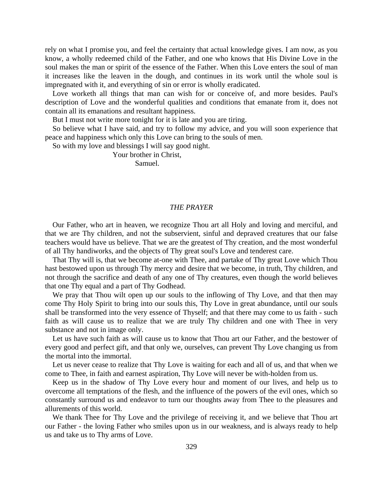rely on what I promise you, and feel the certainty that actual knowledge gives. I am now, as you know, a wholly redeemed child of the Father, and one who knows that His Divine Love in the soul makes the man or spirit of the essence of the Father. When this Love enters the soul of man it increases like the leaven in the dough, and continues in its work until the whole soul is impregnated with it, and everything of sin or error is wholly eradicated.

 Love worketh all things that man can wish for or conceive of, and more besides. Paul's description of Love and the wonderful qualities and conditions that emanate from it, does not contain all its emanations and resultant happiness.

But I must not write more tonight for it is late and you are tiring.

 So believe what I have said, and try to follow my advice, and you will soon experience that peace and happiness which only this Love can bring to the souls of men.

So with my love and blessings I will say good night.

 Your brother in Christ, Samuel.

### *THE PRAYER*

 Our Father, who art in heaven, we recognize Thou art all Holy and loving and merciful, and that we are Thy children, and not the subservient, sinful and depraved creatures that our false teachers would have us believe. That we are the greatest of Thy creation, and the most wonderful of all Thy handiworks, and the objects of Thy great soul's Love and tenderest care.

 That Thy will is, that we become at-one with Thee, and partake of Thy great Love which Thou hast bestowed upon us through Thy mercy and desire that we become, in truth, Thy children, and not through the sacrifice and death of any one of Thy creatures, even though the world believes that one Thy equal and a part of Thy Godhead.

 We pray that Thou wilt open up our souls to the inflowing of Thy Love, and that then may come Thy Holy Spirit to bring into our souls this, Thy Love in great abundance, until our souls shall be transformed into the very essence of Thyself; and that there may come to us faith - such faith as will cause us to realize that we are truly Thy children and one with Thee in very substance and not in image only.

 Let us have such faith as will cause us to know that Thou art our Father, and the bestower of every good and perfect gift, and that only we, ourselves, can prevent Thy Love changing us from the mortal into the immortal.

 Let us never cease to realize that Thy Love is waiting for each and all of us, and that when we come to Thee, in faith and earnest aspiration, Thy Love will never be with-holden from us.

 Keep us in the shadow of Thy Love every hour and moment of our lives, and help us to overcome all temptations of the flesh, and the influence of the powers of the evil ones, which so constantly surround us and endeavor to turn our thoughts away from Thee to the pleasures and allurements of this world.

 We thank Thee for Thy Love and the privilege of receiving it, and we believe that Thou art our Father - the loving Father who smiles upon us in our weakness, and is always ready to help us and take us to Thy arms of Love.